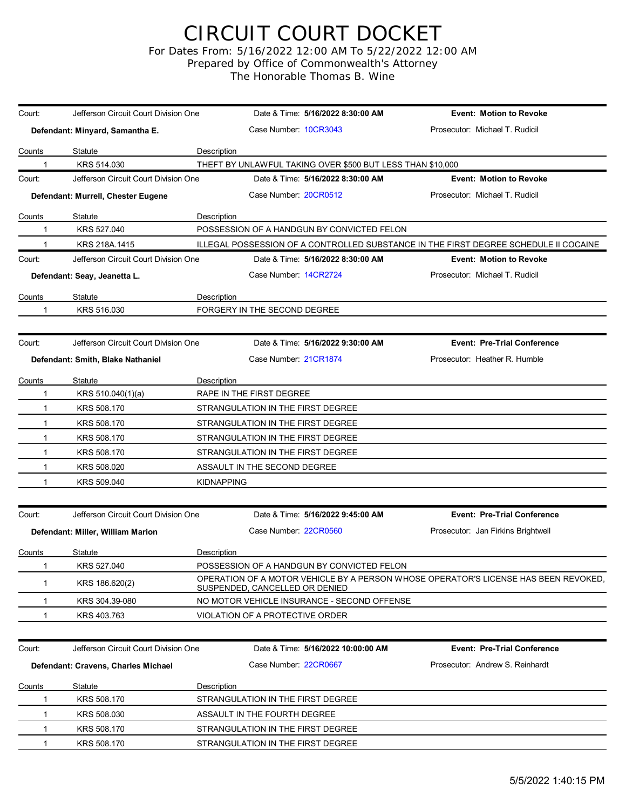## CIRCUIT COURT DOCKET

For Dates From: 5/16/2022 12:00 AM To 5/22/2022 12:00 AM Prepared by Office of Commonwealth's Attorney

The Honorable Thomas B. Wine

| Court:        | Jefferson Circuit Court Division One | Date & Time: 5/16/2022 8:30:00 AM                                                                                     | <b>Event: Motion to Revoke</b>     |
|---------------|--------------------------------------|-----------------------------------------------------------------------------------------------------------------------|------------------------------------|
|               | Defendant: Minyard, Samantha E.      | Case Number: 10CR3043                                                                                                 | Prosecutor: Michael T. Rudicil     |
| <u>Counts</u> | Statute                              | Description                                                                                                           |                                    |
|               | KRS 514.030                          | THEFT BY UNLAWFUL TAKING OVER \$500 BUT LESS THAN \$10,000                                                            |                                    |
| Court:        | Jefferson Circuit Court Division One | Date & Time: 5/16/2022 8:30:00 AM                                                                                     | <b>Event: Motion to Revoke</b>     |
|               | Defendant: Murrell, Chester Eugene   | Case Number 20CR0512                                                                                                  | Prosecutor: Michael T. Rudicil     |
| Counts        | <b>Statute</b>                       | Description                                                                                                           |                                    |
|               | KRS 527.040                          | POSSESSION OF A HANDGUN BY CONVICTED FELON                                                                            |                                    |
|               | KRS 218A.1415                        | ILLEGAL POSSESSION OF A CONTROLLED SUBSTANCE IN THE FIRST DEGREE SCHEDULE II COCAINE                                  |                                    |
| Court:        | Jefferson Circuit Court Division One | Date & Time: 5/16/2022 8:30:00 AM                                                                                     | <b>Event: Motion to Revoke</b>     |
|               | Defendant: Seay, Jeanetta L.         | Case Number 14CR2724                                                                                                  | Prosecutor: Michael T. Rudicil     |
| Counts        | Statute                              | Description                                                                                                           |                                    |
| 1             | KRS 516.030                          | FORGERY IN THE SECOND DEGREE                                                                                          |                                    |
|               |                                      |                                                                                                                       |                                    |
| Court:        | Jefferson Circuit Court Division One | Date & Time: 5/16/2022 9:30:00 AM                                                                                     | <b>Event: Pre-Trial Conference</b> |
|               | Defendant: Smith, Blake Nathaniel    | Case Number 21CR1874                                                                                                  | Prosecutor: Heather R. Humble      |
| Counts        | Statute                              | Description                                                                                                           |                                    |
| 1             | KRS 510.040(1)(a)                    | RAPE IN THE FIRST DEGREE                                                                                              |                                    |
| 1             | KRS 508.170                          | STRANGULATION IN THE FIRST DEGREE                                                                                     |                                    |
| 1             | KRS 508.170                          | STRANGULATION IN THE FIRST DEGREE                                                                                     |                                    |
| 1             | KRS 508.170                          | STRANGULATION IN THE FIRST DEGREE                                                                                     |                                    |
| 1             | KRS 508.170                          | STRANGULATION IN THE FIRST DEGREE                                                                                     |                                    |
| 1             | KRS 508.020                          | ASSAULT IN THE SECOND DEGREE                                                                                          |                                    |
| 1             | KRS 509.040                          | <b>KIDNAPPING</b>                                                                                                     |                                    |
|               |                                      |                                                                                                                       |                                    |
| Court:        | Jefferson Circuit Court Division One | Date & Time: 5/16/2022 9:45:00 AM                                                                                     | <b>Event: Pre-Trial Conference</b> |
|               | Defendant: Miller, William Marion    | Case Number: 22CR0560                                                                                                 | Prosecutor: Jan Firkins Brightwell |
| Counts        | Statute                              | Description                                                                                                           |                                    |
| 1             | KRS 527.040                          | POSSESSION OF A HANDGUN BY CONVICTED FELON                                                                            |                                    |
| 1             | KRS 186.620(2)                       | OPERATION OF A MOTOR VEHICLE BY A PERSON WHOSE OPERATOR'S LICENSE HAS BEEN REVOKED.<br>SUSPENDED, CANCELLED OR DENIED |                                    |
| 1             | KRS 304.39-080                       | NO MOTOR VEHICLE INSURANCE - SECOND OFFENSE                                                                           |                                    |
|               | KRS 403.763                          | VIOLATION OF A PROTECTIVE ORDER                                                                                       |                                    |
|               |                                      |                                                                                                                       |                                    |
| Court:        | Jefferson Circuit Court Division One | Date & Time: 5/16/2022 10:00:00 AM                                                                                    | <b>Event: Pre-Trial Conference</b> |
|               | Defendant: Cravens, Charles Michael  | Case Number: 22CR0667                                                                                                 | Prosecutor: Andrew S. Reinhardt    |
| Counts        | Statute                              | Description                                                                                                           |                                    |
|               | KRS 508.170                          | STRANGULATION IN THE FIRST DEGREE                                                                                     |                                    |
|               | KRS 508.030                          | ASSAULT IN THE FOURTH DEGREE                                                                                          |                                    |
| 1             | KRS 508.170                          | STRANGULATION IN THE FIRST DEGREE                                                                                     |                                    |
| 1             | KRS 508.170                          | STRANGULATION IN THE FIRST DEGREE                                                                                     |                                    |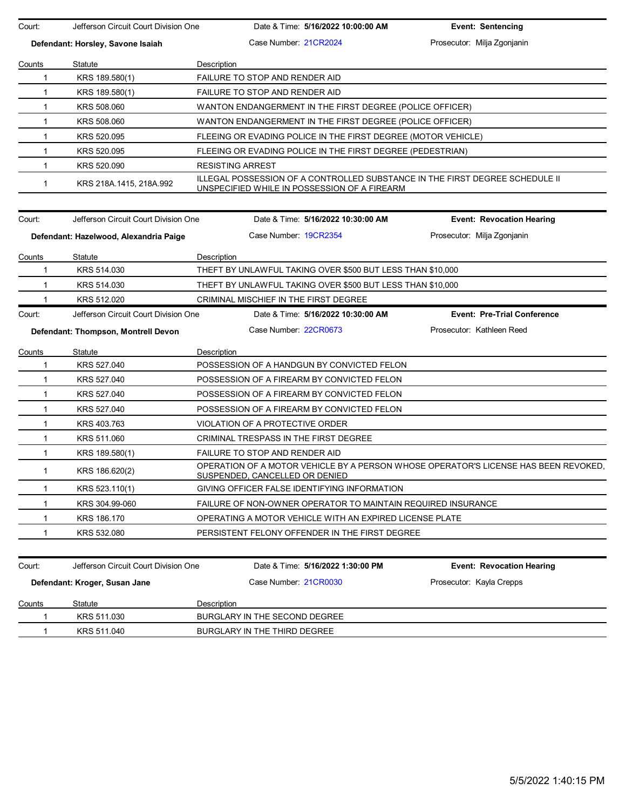| Prosecutor: Milja Zgonjanin<br>Case Number 21CR2024<br>Defendant: Horsley, Savone Isaiah<br>Statute<br>Description<br>Counts<br>KRS 189.580(1)<br>FAILURE TO STOP AND RENDER AID<br>1<br>FAILURE TO STOP AND RENDER AID<br>1<br>KRS 189.580(1)<br>KRS 508.060<br>1<br>WANTON ENDANGERMENT IN THE FIRST DEGREE (POLICE OFFICER)<br>KRS 508.060<br>WANTON ENDANGERMENT IN THE FIRST DEGREE (POLICE OFFICER)<br>1<br>KRS 520.095<br>FLEEING OR EVADING POLICE IN THE FIRST DEGREE (MOTOR VEHICLE)<br>1<br>KRS 520.095<br>$\mathbf{1}$<br>FLEEING OR EVADING POLICE IN THE FIRST DEGREE (PEDESTRIAN)<br>KRS 520.090<br><b>RESISTING ARREST</b><br>$\mathbf 1$<br>ILLEGAL POSSESSION OF A CONTROLLED SUBSTANCE IN THE FIRST DEGREE SCHEDULE II<br>$\mathbf{1}$<br>KRS 218A 1415, 218A 992<br>UNSPECIFIED WHILE IN POSSESSION OF A FIREARM<br>Jefferson Circuit Court Division One<br>Date & Time: 5/16/2022 10:30:00 AM<br>Court:<br><b>Event: Revocation Hearing</b><br>Case Number 19CR2354<br>Prosecutor: Milja Zgonjanin<br>Defendant: Hazelwood, Alexandria Paige<br>Statute<br>Description<br>Counts<br>KRS 514.030<br>THEFT BY UNLAWFUL TAKING OVER \$500 BUT LESS THAN \$10,000<br>1<br>KRS 514.030<br>$\mathbf{1}$<br>THEFT BY UNLAWFUL TAKING OVER \$500 BUT LESS THAN \$10,000<br>KRS 512.020<br>CRIMINAL MISCHIEF IN THE FIRST DEGREE<br>1<br>Jefferson Circuit Court Division One<br><b>Event: Pre-Trial Conference</b><br>Court:<br>Date & Time: 5/16/2022 10:30:00 AM<br>Prosecutor: Kathleen Reed<br>Case Number: 22CR0673<br>Defendant: Thompson, Montrell Devon<br>Statute<br>Description<br>Counts<br>KRS 527.040<br>POSSESSION OF A HANDGUN BY CONVICTED FELON<br>1<br>KRS 527.040<br>POSSESSION OF A FIREARM BY CONVICTED FELON<br>1<br>KRS 527.040<br>POSSESSION OF A FIREARM BY CONVICTED FELON<br>1<br>KRS 527.040<br>POSSESSION OF A FIREARM BY CONVICTED FELON<br>1<br>KRS 403.763<br>VIOLATION OF A PROTECTIVE ORDER<br>$\mathbf{1}$<br>$\mathbf{1}$<br>KRS 511.060<br>CRIMINAL TRESPASS IN THE FIRST DEGREE<br>KRS 189.580(1)<br>FAILURE TO STOP AND RENDER AID<br>$\mathbf{1}$<br>OPERATION OF A MOTOR VEHICLE BY A PERSON WHOSE OPERATOR'S LICENSE HAS BEEN REVOKED.<br>KRS 186.620(2)<br>1<br><u>SUSPENDED, CANCELLED OR DENIED</u><br>GIVING OFFICER FALSE IDENTIFYING INFORMATION<br>KRS 523.110(1)<br>1.<br>KRS 304.99-060<br>FAILURE OF NON-OWNER OPERATOR TO MAINTAIN REQUIRED INSURANCE<br>1<br>KRS 186.170<br>OPERATING A MOTOR VEHICLE WITH AN EXPIRED LICENSE PLATE<br>1<br>KRS 532.080<br>PERSISTENT FELONY OFFENDER IN THE FIRST DEGREE<br>1<br>Jefferson Circuit Court Division One<br>Date & Time: 5/16/2022 1:30:00 PM<br>Court:<br><b>Event: Revocation Hearing</b><br>Case Number 21CR0030<br>Prosecutor: Kayla Crepps<br>Defendant: Kroger, Susan Jane<br><b>Counts</b><br>Statute<br><b>Description</b><br>KRS 511.030<br>BURGLARY IN THE SECOND DEGREE<br>1<br>KRS 511.040<br>BURGLARY IN THE THIRD DEGREE<br>1 | Court: | Jefferson Circuit Court Division One | Date & Time: 5/16/2022 10:00:00 AM | <b>Event: Sentencing</b> |
|--------------------------------------------------------------------------------------------------------------------------------------------------------------------------------------------------------------------------------------------------------------------------------------------------------------------------------------------------------------------------------------------------------------------------------------------------------------------------------------------------------------------------------------------------------------------------------------------------------------------------------------------------------------------------------------------------------------------------------------------------------------------------------------------------------------------------------------------------------------------------------------------------------------------------------------------------------------------------------------------------------------------------------------------------------------------------------------------------------------------------------------------------------------------------------------------------------------------------------------------------------------------------------------------------------------------------------------------------------------------------------------------------------------------------------------------------------------------------------------------------------------------------------------------------------------------------------------------------------------------------------------------------------------------------------------------------------------------------------------------------------------------------------------------------------------------------------------------------------------------------------------------------------------------------------------------------------------------------------------------------------------------------------------------------------------------------------------------------------------------------------------------------------------------------------------------------------------------------------------------------------------------------------------------------------------------------------------------------------------------------------------------------------------------------------------------------------------------------------------------------------------------------------------------------------------------------------------------------------------------------------------------------------------------------------------------------------------------------------------------------------------------------------------------------------------------------------------------------------------------------------------------------------------------------------------------------------------|--------|--------------------------------------|------------------------------------|--------------------------|
|                                                                                                                                                                                                                                                                                                                                                                                                                                                                                                                                                                                                                                                                                                                                                                                                                                                                                                                                                                                                                                                                                                                                                                                                                                                                                                                                                                                                                                                                                                                                                                                                                                                                                                                                                                                                                                                                                                                                                                                                                                                                                                                                                                                                                                                                                                                                                                                                                                                                                                                                                                                                                                                                                                                                                                                                                                                                                                                                                              |        |                                      |                                    |                          |
|                                                                                                                                                                                                                                                                                                                                                                                                                                                                                                                                                                                                                                                                                                                                                                                                                                                                                                                                                                                                                                                                                                                                                                                                                                                                                                                                                                                                                                                                                                                                                                                                                                                                                                                                                                                                                                                                                                                                                                                                                                                                                                                                                                                                                                                                                                                                                                                                                                                                                                                                                                                                                                                                                                                                                                                                                                                                                                                                                              |        |                                      |                                    |                          |
|                                                                                                                                                                                                                                                                                                                                                                                                                                                                                                                                                                                                                                                                                                                                                                                                                                                                                                                                                                                                                                                                                                                                                                                                                                                                                                                                                                                                                                                                                                                                                                                                                                                                                                                                                                                                                                                                                                                                                                                                                                                                                                                                                                                                                                                                                                                                                                                                                                                                                                                                                                                                                                                                                                                                                                                                                                                                                                                                                              |        |                                      |                                    |                          |
|                                                                                                                                                                                                                                                                                                                                                                                                                                                                                                                                                                                                                                                                                                                                                                                                                                                                                                                                                                                                                                                                                                                                                                                                                                                                                                                                                                                                                                                                                                                                                                                                                                                                                                                                                                                                                                                                                                                                                                                                                                                                                                                                                                                                                                                                                                                                                                                                                                                                                                                                                                                                                                                                                                                                                                                                                                                                                                                                                              |        |                                      |                                    |                          |
|                                                                                                                                                                                                                                                                                                                                                                                                                                                                                                                                                                                                                                                                                                                                                                                                                                                                                                                                                                                                                                                                                                                                                                                                                                                                                                                                                                                                                                                                                                                                                                                                                                                                                                                                                                                                                                                                                                                                                                                                                                                                                                                                                                                                                                                                                                                                                                                                                                                                                                                                                                                                                                                                                                                                                                                                                                                                                                                                                              |        |                                      |                                    |                          |
|                                                                                                                                                                                                                                                                                                                                                                                                                                                                                                                                                                                                                                                                                                                                                                                                                                                                                                                                                                                                                                                                                                                                                                                                                                                                                                                                                                                                                                                                                                                                                                                                                                                                                                                                                                                                                                                                                                                                                                                                                                                                                                                                                                                                                                                                                                                                                                                                                                                                                                                                                                                                                                                                                                                                                                                                                                                                                                                                                              |        |                                      |                                    |                          |
|                                                                                                                                                                                                                                                                                                                                                                                                                                                                                                                                                                                                                                                                                                                                                                                                                                                                                                                                                                                                                                                                                                                                                                                                                                                                                                                                                                                                                                                                                                                                                                                                                                                                                                                                                                                                                                                                                                                                                                                                                                                                                                                                                                                                                                                                                                                                                                                                                                                                                                                                                                                                                                                                                                                                                                                                                                                                                                                                                              |        |                                      |                                    |                          |
|                                                                                                                                                                                                                                                                                                                                                                                                                                                                                                                                                                                                                                                                                                                                                                                                                                                                                                                                                                                                                                                                                                                                                                                                                                                                                                                                                                                                                                                                                                                                                                                                                                                                                                                                                                                                                                                                                                                                                                                                                                                                                                                                                                                                                                                                                                                                                                                                                                                                                                                                                                                                                                                                                                                                                                                                                                                                                                                                                              |        |                                      |                                    |                          |
|                                                                                                                                                                                                                                                                                                                                                                                                                                                                                                                                                                                                                                                                                                                                                                                                                                                                                                                                                                                                                                                                                                                                                                                                                                                                                                                                                                                                                                                                                                                                                                                                                                                                                                                                                                                                                                                                                                                                                                                                                                                                                                                                                                                                                                                                                                                                                                                                                                                                                                                                                                                                                                                                                                                                                                                                                                                                                                                                                              |        |                                      |                                    |                          |
|                                                                                                                                                                                                                                                                                                                                                                                                                                                                                                                                                                                                                                                                                                                                                                                                                                                                                                                                                                                                                                                                                                                                                                                                                                                                                                                                                                                                                                                                                                                                                                                                                                                                                                                                                                                                                                                                                                                                                                                                                                                                                                                                                                                                                                                                                                                                                                                                                                                                                                                                                                                                                                                                                                                                                                                                                                                                                                                                                              |        |                                      |                                    |                          |
|                                                                                                                                                                                                                                                                                                                                                                                                                                                                                                                                                                                                                                                                                                                                                                                                                                                                                                                                                                                                                                                                                                                                                                                                                                                                                                                                                                                                                                                                                                                                                                                                                                                                                                                                                                                                                                                                                                                                                                                                                                                                                                                                                                                                                                                                                                                                                                                                                                                                                                                                                                                                                                                                                                                                                                                                                                                                                                                                                              |        |                                      |                                    |                          |
|                                                                                                                                                                                                                                                                                                                                                                                                                                                                                                                                                                                                                                                                                                                                                                                                                                                                                                                                                                                                                                                                                                                                                                                                                                                                                                                                                                                                                                                                                                                                                                                                                                                                                                                                                                                                                                                                                                                                                                                                                                                                                                                                                                                                                                                                                                                                                                                                                                                                                                                                                                                                                                                                                                                                                                                                                                                                                                                                                              |        |                                      |                                    |                          |
|                                                                                                                                                                                                                                                                                                                                                                                                                                                                                                                                                                                                                                                                                                                                                                                                                                                                                                                                                                                                                                                                                                                                                                                                                                                                                                                                                                                                                                                                                                                                                                                                                                                                                                                                                                                                                                                                                                                                                                                                                                                                                                                                                                                                                                                                                                                                                                                                                                                                                                                                                                                                                                                                                                                                                                                                                                                                                                                                                              |        |                                      |                                    |                          |
|                                                                                                                                                                                                                                                                                                                                                                                                                                                                                                                                                                                                                                                                                                                                                                                                                                                                                                                                                                                                                                                                                                                                                                                                                                                                                                                                                                                                                                                                                                                                                                                                                                                                                                                                                                                                                                                                                                                                                                                                                                                                                                                                                                                                                                                                                                                                                                                                                                                                                                                                                                                                                                                                                                                                                                                                                                                                                                                                                              |        |                                      |                                    |                          |
|                                                                                                                                                                                                                                                                                                                                                                                                                                                                                                                                                                                                                                                                                                                                                                                                                                                                                                                                                                                                                                                                                                                                                                                                                                                                                                                                                                                                                                                                                                                                                                                                                                                                                                                                                                                                                                                                                                                                                                                                                                                                                                                                                                                                                                                                                                                                                                                                                                                                                                                                                                                                                                                                                                                                                                                                                                                                                                                                                              |        |                                      |                                    |                          |
|                                                                                                                                                                                                                                                                                                                                                                                                                                                                                                                                                                                                                                                                                                                                                                                                                                                                                                                                                                                                                                                                                                                                                                                                                                                                                                                                                                                                                                                                                                                                                                                                                                                                                                                                                                                                                                                                                                                                                                                                                                                                                                                                                                                                                                                                                                                                                                                                                                                                                                                                                                                                                                                                                                                                                                                                                                                                                                                                                              |        |                                      |                                    |                          |
|                                                                                                                                                                                                                                                                                                                                                                                                                                                                                                                                                                                                                                                                                                                                                                                                                                                                                                                                                                                                                                                                                                                                                                                                                                                                                                                                                                                                                                                                                                                                                                                                                                                                                                                                                                                                                                                                                                                                                                                                                                                                                                                                                                                                                                                                                                                                                                                                                                                                                                                                                                                                                                                                                                                                                                                                                                                                                                                                                              |        |                                      |                                    |                          |
|                                                                                                                                                                                                                                                                                                                                                                                                                                                                                                                                                                                                                                                                                                                                                                                                                                                                                                                                                                                                                                                                                                                                                                                                                                                                                                                                                                                                                                                                                                                                                                                                                                                                                                                                                                                                                                                                                                                                                                                                                                                                                                                                                                                                                                                                                                                                                                                                                                                                                                                                                                                                                                                                                                                                                                                                                                                                                                                                                              |        |                                      |                                    |                          |
|                                                                                                                                                                                                                                                                                                                                                                                                                                                                                                                                                                                                                                                                                                                                                                                                                                                                                                                                                                                                                                                                                                                                                                                                                                                                                                                                                                                                                                                                                                                                                                                                                                                                                                                                                                                                                                                                                                                                                                                                                                                                                                                                                                                                                                                                                                                                                                                                                                                                                                                                                                                                                                                                                                                                                                                                                                                                                                                                                              |        |                                      |                                    |                          |
|                                                                                                                                                                                                                                                                                                                                                                                                                                                                                                                                                                                                                                                                                                                                                                                                                                                                                                                                                                                                                                                                                                                                                                                                                                                                                                                                                                                                                                                                                                                                                                                                                                                                                                                                                                                                                                                                                                                                                                                                                                                                                                                                                                                                                                                                                                                                                                                                                                                                                                                                                                                                                                                                                                                                                                                                                                                                                                                                                              |        |                                      |                                    |                          |
|                                                                                                                                                                                                                                                                                                                                                                                                                                                                                                                                                                                                                                                                                                                                                                                                                                                                                                                                                                                                                                                                                                                                                                                                                                                                                                                                                                                                                                                                                                                                                                                                                                                                                                                                                                                                                                                                                                                                                                                                                                                                                                                                                                                                                                                                                                                                                                                                                                                                                                                                                                                                                                                                                                                                                                                                                                                                                                                                                              |        |                                      |                                    |                          |
|                                                                                                                                                                                                                                                                                                                                                                                                                                                                                                                                                                                                                                                                                                                                                                                                                                                                                                                                                                                                                                                                                                                                                                                                                                                                                                                                                                                                                                                                                                                                                                                                                                                                                                                                                                                                                                                                                                                                                                                                                                                                                                                                                                                                                                                                                                                                                                                                                                                                                                                                                                                                                                                                                                                                                                                                                                                                                                                                                              |        |                                      |                                    |                          |
|                                                                                                                                                                                                                                                                                                                                                                                                                                                                                                                                                                                                                                                                                                                                                                                                                                                                                                                                                                                                                                                                                                                                                                                                                                                                                                                                                                                                                                                                                                                                                                                                                                                                                                                                                                                                                                                                                                                                                                                                                                                                                                                                                                                                                                                                                                                                                                                                                                                                                                                                                                                                                                                                                                                                                                                                                                                                                                                                                              |        |                                      |                                    |                          |
|                                                                                                                                                                                                                                                                                                                                                                                                                                                                                                                                                                                                                                                                                                                                                                                                                                                                                                                                                                                                                                                                                                                                                                                                                                                                                                                                                                                                                                                                                                                                                                                                                                                                                                                                                                                                                                                                                                                                                                                                                                                                                                                                                                                                                                                                                                                                                                                                                                                                                                                                                                                                                                                                                                                                                                                                                                                                                                                                                              |        |                                      |                                    |                          |
|                                                                                                                                                                                                                                                                                                                                                                                                                                                                                                                                                                                                                                                                                                                                                                                                                                                                                                                                                                                                                                                                                                                                                                                                                                                                                                                                                                                                                                                                                                                                                                                                                                                                                                                                                                                                                                                                                                                                                                                                                                                                                                                                                                                                                                                                                                                                                                                                                                                                                                                                                                                                                                                                                                                                                                                                                                                                                                                                                              |        |                                      |                                    |                          |
|                                                                                                                                                                                                                                                                                                                                                                                                                                                                                                                                                                                                                                                                                                                                                                                                                                                                                                                                                                                                                                                                                                                                                                                                                                                                                                                                                                                                                                                                                                                                                                                                                                                                                                                                                                                                                                                                                                                                                                                                                                                                                                                                                                                                                                                                                                                                                                                                                                                                                                                                                                                                                                                                                                                                                                                                                                                                                                                                                              |        |                                      |                                    |                          |
|                                                                                                                                                                                                                                                                                                                                                                                                                                                                                                                                                                                                                                                                                                                                                                                                                                                                                                                                                                                                                                                                                                                                                                                                                                                                                                                                                                                                                                                                                                                                                                                                                                                                                                                                                                                                                                                                                                                                                                                                                                                                                                                                                                                                                                                                                                                                                                                                                                                                                                                                                                                                                                                                                                                                                                                                                                                                                                                                                              |        |                                      |                                    |                          |
|                                                                                                                                                                                                                                                                                                                                                                                                                                                                                                                                                                                                                                                                                                                                                                                                                                                                                                                                                                                                                                                                                                                                                                                                                                                                                                                                                                                                                                                                                                                                                                                                                                                                                                                                                                                                                                                                                                                                                                                                                                                                                                                                                                                                                                                                                                                                                                                                                                                                                                                                                                                                                                                                                                                                                                                                                                                                                                                                                              |        |                                      |                                    |                          |
|                                                                                                                                                                                                                                                                                                                                                                                                                                                                                                                                                                                                                                                                                                                                                                                                                                                                                                                                                                                                                                                                                                                                                                                                                                                                                                                                                                                                                                                                                                                                                                                                                                                                                                                                                                                                                                                                                                                                                                                                                                                                                                                                                                                                                                                                                                                                                                                                                                                                                                                                                                                                                                                                                                                                                                                                                                                                                                                                                              |        |                                      |                                    |                          |
|                                                                                                                                                                                                                                                                                                                                                                                                                                                                                                                                                                                                                                                                                                                                                                                                                                                                                                                                                                                                                                                                                                                                                                                                                                                                                                                                                                                                                                                                                                                                                                                                                                                                                                                                                                                                                                                                                                                                                                                                                                                                                                                                                                                                                                                                                                                                                                                                                                                                                                                                                                                                                                                                                                                                                                                                                                                                                                                                                              |        |                                      |                                    |                          |
|                                                                                                                                                                                                                                                                                                                                                                                                                                                                                                                                                                                                                                                                                                                                                                                                                                                                                                                                                                                                                                                                                                                                                                                                                                                                                                                                                                                                                                                                                                                                                                                                                                                                                                                                                                                                                                                                                                                                                                                                                                                                                                                                                                                                                                                                                                                                                                                                                                                                                                                                                                                                                                                                                                                                                                                                                                                                                                                                                              |        |                                      |                                    |                          |
|                                                                                                                                                                                                                                                                                                                                                                                                                                                                                                                                                                                                                                                                                                                                                                                                                                                                                                                                                                                                                                                                                                                                                                                                                                                                                                                                                                                                                                                                                                                                                                                                                                                                                                                                                                                                                                                                                                                                                                                                                                                                                                                                                                                                                                                                                                                                                                                                                                                                                                                                                                                                                                                                                                                                                                                                                                                                                                                                                              |        |                                      |                                    |                          |
|                                                                                                                                                                                                                                                                                                                                                                                                                                                                                                                                                                                                                                                                                                                                                                                                                                                                                                                                                                                                                                                                                                                                                                                                                                                                                                                                                                                                                                                                                                                                                                                                                                                                                                                                                                                                                                                                                                                                                                                                                                                                                                                                                                                                                                                                                                                                                                                                                                                                                                                                                                                                                                                                                                                                                                                                                                                                                                                                                              |        |                                      |                                    |                          |
|                                                                                                                                                                                                                                                                                                                                                                                                                                                                                                                                                                                                                                                                                                                                                                                                                                                                                                                                                                                                                                                                                                                                                                                                                                                                                                                                                                                                                                                                                                                                                                                                                                                                                                                                                                                                                                                                                                                                                                                                                                                                                                                                                                                                                                                                                                                                                                                                                                                                                                                                                                                                                                                                                                                                                                                                                                                                                                                                                              |        |                                      |                                    |                          |
|                                                                                                                                                                                                                                                                                                                                                                                                                                                                                                                                                                                                                                                                                                                                                                                                                                                                                                                                                                                                                                                                                                                                                                                                                                                                                                                                                                                                                                                                                                                                                                                                                                                                                                                                                                                                                                                                                                                                                                                                                                                                                                                                                                                                                                                                                                                                                                                                                                                                                                                                                                                                                                                                                                                                                                                                                                                                                                                                                              |        |                                      |                                    |                          |
|                                                                                                                                                                                                                                                                                                                                                                                                                                                                                                                                                                                                                                                                                                                                                                                                                                                                                                                                                                                                                                                                                                                                                                                                                                                                                                                                                                                                                                                                                                                                                                                                                                                                                                                                                                                                                                                                                                                                                                                                                                                                                                                                                                                                                                                                                                                                                                                                                                                                                                                                                                                                                                                                                                                                                                                                                                                                                                                                                              |        |                                      |                                    |                          |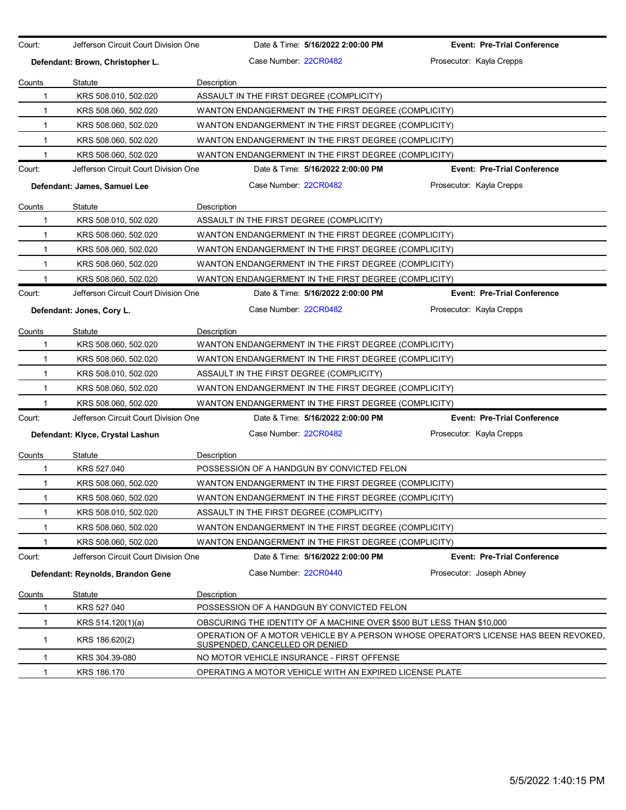| Court:       | Jefferson Circuit Court Division One | Date & Time: 5/16/2022 2:00:00 PM                                                                                            | <b>Event: Pre-Trial Conference</b> |
|--------------|--------------------------------------|------------------------------------------------------------------------------------------------------------------------------|------------------------------------|
|              | Defendant: Brown, Christopher L.     | Case Number: 22CR0482                                                                                                        | Prosecutor: Kayla Crepps           |
| Counts       | <b>Statute</b>                       | Description                                                                                                                  |                                    |
| 1            | KRS 508.010, 502.020                 | ASSAULT IN THE FIRST DEGREE (COMPLICITY)                                                                                     |                                    |
| 1            | KRS 508.060, 502.020                 | WANTON ENDANGERMENT IN THE FIRST DEGREE (COMPLICITY)                                                                         |                                    |
| 1            | KRS 508.060, 502.020                 | WANTON ENDANGERMENT IN THE FIRST DEGREE (COMPLICITY)                                                                         |                                    |
| $\mathbf{1}$ | KRS 508.060, 502.020                 | WANTON ENDANGERMENT IN THE FIRST DEGREE (COMPLICITY)                                                                         |                                    |
| 1            | KRS 508.060, 502.020                 | WANTON ENDANGERMENT IN THE FIRST DEGREE (COMPLICITY)                                                                         |                                    |
| Court:       | Jefferson Circuit Court Division One | Date & Time: 5/16/2022 2:00:00 PM                                                                                            | <b>Event: Pre-Trial Conference</b> |
|              | Defendant: James, Samuel Lee         | Case Number: 22CR0482                                                                                                        | Prosecutor: Kayla Crepps           |
| Counts       | Statute                              | Description                                                                                                                  |                                    |
| 1            | KRS 508.010, 502.020                 | ASSAULT IN THE FIRST DEGREE (COMPLICITY)                                                                                     |                                    |
| 1            | KRS 508.060, 502.020                 | WANTON ENDANGERMENT IN THE FIRST DEGREE (COMPLICITY)                                                                         |                                    |
| 1            | KRS 508.060, 502.020                 | WANTON ENDANGERMENT IN THE FIRST DEGREE (COMPLICITY)                                                                         |                                    |
| $\mathbf{1}$ | KRS 508.060, 502.020                 | WANTON ENDANGERMENT IN THE FIRST DEGREE (COMPLICITY)                                                                         |                                    |
| 1            | KRS 508.060, 502.020                 | WANTON ENDANGERMENT IN THE FIRST DEGREE (COMPLICITY)                                                                         |                                    |
| Court:       | Jefferson Circuit Court Division One | Date & Time: 5/16/2022 2:00:00 PM                                                                                            | <b>Event: Pre-Trial Conference</b> |
|              | Defendant: Jones, Cory L.            | Case Number: 22CR0482                                                                                                        | Prosecutor: Kayla Crepps           |
| Counts       | Statute                              | Description                                                                                                                  |                                    |
| 1            | KRS 508.060, 502.020                 | WANTON ENDANGERMENT IN THE FIRST DEGREE (COMPLICITY)                                                                         |                                    |
| 1            | KRS 508.060, 502.020                 | WANTON ENDANGERMENT IN THE FIRST DEGREE (COMPLICITY)                                                                         |                                    |
| 1            | KRS 508.010, 502.020                 | ASSAULT IN THE FIRST DEGREE (COMPLICITY)                                                                                     |                                    |
| $\mathbf{1}$ | KRS 508.060, 502.020                 | WANTON ENDANGERMENT IN THE FIRST DEGREE (COMPLICITY)                                                                         |                                    |
| 1            | KRS 508.060, 502.020                 | WANTON ENDANGERMENT IN THE FIRST DEGREE (COMPLICITY)                                                                         |                                    |
| Court:       | Jefferson Circuit Court Division One | Date & Time: 5/16/2022 2:00:00 PM                                                                                            | <b>Event: Pre-Trial Conference</b> |
|              | Defendant: Klyce, Crystal Lashun     | Case Number 22CR0482                                                                                                         | Prosecutor: Kayla Crepps           |
| Counts       | <b>Statute</b>                       | Description                                                                                                                  |                                    |
| 1            | KRS 527.040                          | POSSESSION OF A HANDGUN BY CONVICTED FELON                                                                                   |                                    |
| 1            | KRS 508.060, 502.020                 | WANTON ENDANGERMENT IN THE FIRST DEGREE (COMPLICITY)                                                                         |                                    |
| 1            | KRS 508.060, 502.020                 | WANTON ENDANGERMENT IN THE FIRST DEGREE (COMPLICITY)                                                                         |                                    |
| 1            | KRS 508.010, 502.020                 | ASSAULT IN THE FIRST DEGREE (COMPLICITY)                                                                                     |                                    |
| 1            | KRS 508.060, 502.020                 | WANTON ENDANGERMENT IN THE FIRST DEGREE (COMPLICITY)                                                                         |                                    |
| 1            | KRS 508.060, 502.020                 | WANTON ENDANGERMENT IN THE FIRST DEGREE (COMPLICITY)                                                                         |                                    |
| Court:       | Jefferson Circuit Court Division One | Date & Time: 5/16/2022 2:00:00 PM                                                                                            | <b>Event: Pre-Trial Conference</b> |
|              | Defendant: Reynolds, Brandon Gene    | Case Number: 22CR0440                                                                                                        | Prosecutor: Joseph Abney           |
| Counts       | <b>Statute</b>                       | Description                                                                                                                  |                                    |
| 1            | KRS 527.040                          | POSSESSION OF A HANDGUN BY CONVICTED FELON                                                                                   |                                    |
| 1            | KRS 514.120(1)(a)                    | OBSCURING THE IDENTITY OF A MACHINE OVER \$500 BUT LESS THAN \$10,000                                                        |                                    |
| 1            | KRS 186.620(2)                       | OPERATION OF A MOTOR VEHICLE BY A PERSON WHOSE OPERATOR'S LICENSE HAS BEEN REVOKED.<br><b>SUSPENDED, CANCELLED OR DENIED</b> |                                    |
| 1            | KRS 304.39-080                       | NO MOTOR VEHICLE INSURANCE - FIRST OFFENSE                                                                                   |                                    |
| 1            | KRS 186.170                          | OPERATING A MOTOR VEHICLE WITH AN EXPIRED LICENSE PLATE                                                                      |                                    |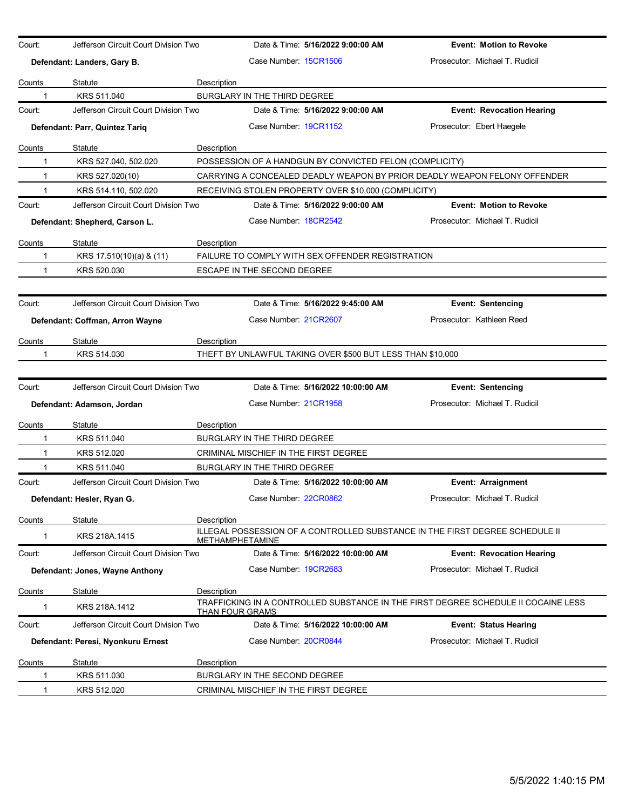| Court:        | Jefferson Circuit Court Division Two |             |                                       | Date & Time: 5/16/2022 9:00:00 AM                          | <b>Event: Motion to Revoke</b>                                                     |
|---------------|--------------------------------------|-------------|---------------------------------------|------------------------------------------------------------|------------------------------------------------------------------------------------|
|               | Defendant: Landers, Gary B.          |             | Case Number 15CR1506                  |                                                            | Prosecutor: Michael T. Rudicil                                                     |
| Counts        | Statute                              | Description |                                       |                                                            |                                                                                    |
| 1             | KRS 511.040                          |             | BURGLARY IN THE THIRD DEGREE          |                                                            |                                                                                    |
| Court:        | Jefferson Circuit Court Division Two |             |                                       | Date & Time: 5/16/2022 9:00:00 AM                          | <b>Event: Revocation Hearing</b>                                                   |
|               | Defendant: Parr, Quintez Tariq       |             | Case Number 19CR1152                  |                                                            | Prosecutor: Ebert Haegele                                                          |
|               |                                      |             |                                       |                                                            |                                                                                    |
| Counts        | Statute                              | Description |                                       |                                                            |                                                                                    |
| 1             | KRS 527.040, 502.020                 |             |                                       | POSSESSION OF A HANDGUN BY CONVICTED FELON (COMPLICITY)    |                                                                                    |
| 1             | KRS 527.020(10)                      |             |                                       |                                                            | CARRYING A CONCEALED DEADLY WEAPON BY PRIOR DEADLY WEAPON FELONY OFFENDER          |
| $\mathbf{1}$  | KRS 514.110, 502.020                 |             |                                       | RECEIVING STOLEN PROPERTY OVER \$10,000 (COMPLICITY)       |                                                                                    |
| Court:        | Jefferson Circuit Court Division Two |             |                                       | Date & Time: 5/16/2022 9:00:00 AM                          | <b>Event: Motion to Revoke</b>                                                     |
|               | Defendant: Shepherd, Carson L.       |             | Case Number 18CR2542                  |                                                            | Prosecutor: Michael T. Rudicil                                                     |
| Counts        | Statute                              | Description |                                       |                                                            |                                                                                    |
| 1             | KRS 17.510(10)(a) & (11)             |             |                                       | FAILURE TO COMPLY WITH SEX OFFENDER REGISTRATION           |                                                                                    |
| 1             | KRS 520.030                          |             | ESCAPE IN THE SECOND DEGREE           |                                                            |                                                                                    |
|               |                                      |             |                                       |                                                            |                                                                                    |
| Court:        | Jefferson Circuit Court Division Two |             |                                       | Date & Time: 5/16/2022 9:45:00 AM                          | <b>Event: Sentencing</b>                                                           |
|               | Defendant: Coffman, Arron Wayne      |             | Case Number: 21CR2607                 |                                                            | Prosecutor: Kathleen Reed                                                          |
|               |                                      |             |                                       |                                                            |                                                                                    |
| <u>Counts</u> | Statute                              | Description |                                       |                                                            |                                                                                    |
| 1             | KRS 514.030                          |             |                                       | THEFT BY UNLAWFUL TAKING OVER \$500 BUT LESS THAN \$10,000 |                                                                                    |
|               |                                      |             |                                       |                                                            |                                                                                    |
| Court:        | Jefferson Circuit Court Division Two |             |                                       | Date & Time: 5/16/2022 10:00:00 AM                         | <b>Event: Sentencing</b>                                                           |
|               | Defendant: Adamson, Jordan           |             | Case Number: 21CR1958                 |                                                            | Prosecutor: Michael T. Rudicil                                                     |
| Counts        | Statute                              | Description |                                       |                                                            |                                                                                    |
| 1             | KRS 511.040                          |             | BURGLARY IN THE THIRD DEGREE          |                                                            |                                                                                    |
| 1             | KRS 512.020                          |             | CRIMINAL MISCHIEF IN THE FIRST DEGREE |                                                            |                                                                                    |
|               | KRS 511.040                          |             | BURGLARY IN THE THIRD DEGREE          |                                                            |                                                                                    |
| Court:        | Jefferson Circuit Court Division Two |             |                                       | Date & Time: 5/16/2022 10:00:00 AM                         | Event: Arraignment                                                                 |
|               | Defendant: Hesler, Ryan G.           |             | Case Number: 22CR0862                 |                                                            | Prosecutor: Michael T. Rudicil                                                     |
| Counts        | Statute                              | Description |                                       |                                                            |                                                                                    |
|               | KRS 218A.1415                        |             | <b>METHAMPHETAMINE</b>                |                                                            | ILLEGAL POSSESSION OF A CONTROLLED SUBSTANCE IN THE FIRST DEGREE SCHEDULE II       |
| Court:        | Jefferson Circuit Court Division Two |             |                                       | Date & Time: 5/16/2022 10:00:00 AM                         | <b>Event: Revocation Hearing</b>                                                   |
|               | Defendant: Jones, Wayne Anthony      |             | Case Number 19CR2683                  |                                                            | Prosecutor: Michael T. Rudicil                                                     |
|               |                                      |             |                                       |                                                            |                                                                                    |
| Counts        | Statute                              | Description |                                       |                                                            | TRAFFICKING IN A CONTROLLED SUBSTANCE IN THE FIRST DEGREE SCHEDULE II COCAINE LESS |
| 1             | KRS 218A.1412                        |             | <u>THAN FOUR GRAMS</u>                |                                                            |                                                                                    |
| Court:        | Jefferson Circuit Court Division Two |             |                                       | Date & Time: 5/16/2022 10:00:00 AM                         | <b>Event: Status Hearing</b>                                                       |
|               | Defendant: Peresi, Nyonkuru Ernest   |             | Case Number: 20CR0844                 |                                                            | Prosecutor: Michael T. Rudicil                                                     |
| <u>Counts</u> | Statute                              | Description |                                       |                                                            |                                                                                    |
| 1             | KRS 511.030                          |             | BURGLARY IN THE SECOND DEGREE         |                                                            |                                                                                    |
| $\mathbf{1}$  | KRS 512.020                          |             | CRIMINAL MISCHIEF IN THE FIRST DEGREE |                                                            |                                                                                    |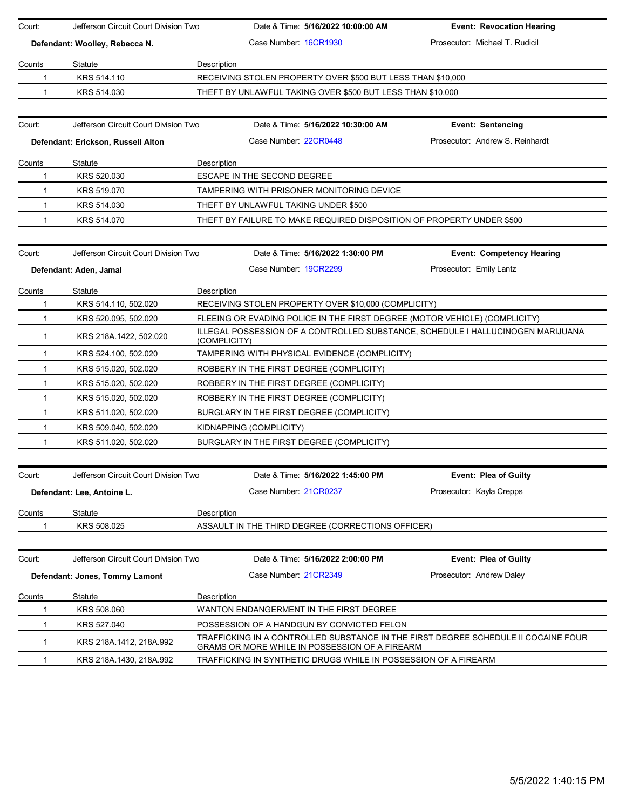| Court:       | Jefferson Circuit Court Division Two | Date & Time: 5/16/2022 10:00:00 AM                                                                                                   | <b>Event: Revocation Hearing</b> |
|--------------|--------------------------------------|--------------------------------------------------------------------------------------------------------------------------------------|----------------------------------|
|              | Defendant: Woolley, Rebecca N.       | Case Number 16CR1930                                                                                                                 | Prosecutor: Michael T. Rudicil   |
|              |                                      |                                                                                                                                      |                                  |
| Counts       | Statute<br>KRS 514.110               | Description<br>RECEIVING STOLEN PROPERTY OVER \$500 BUT LESS THAN \$10,000                                                           |                                  |
| 1<br>1       | KRS 514.030                          |                                                                                                                                      |                                  |
|              |                                      | THEFT BY UNLAWFUL TAKING OVER \$500 BUT LESS THAN \$10,000                                                                           |                                  |
|              |                                      |                                                                                                                                      |                                  |
| Court:       | Jefferson Circuit Court Division Two | Date & Time: 5/16/2022 10:30:00 AM                                                                                                   | <b>Event: Sentencing</b>         |
|              | Defendant: Erickson, Russell Alton   | Case Number: 22CR0448                                                                                                                | Prosecutor: Andrew S. Reinhardt  |
| Counts       | Statute                              | Description                                                                                                                          |                                  |
| $\mathbf 1$  | KRS 520.030                          | <b>ESCAPE IN THE SECOND DEGREE</b>                                                                                                   |                                  |
| 1            | KRS 519.070                          | TAMPERING WITH PRISONER MONITORING DEVICE                                                                                            |                                  |
| 1            | KRS 514.030                          | THEFT BY UNLAWFUL TAKING UNDER \$500                                                                                                 |                                  |
| 1            | KRS 514.070                          | THEFT BY FAILURE TO MAKE REQUIRED DISPOSITION OF PROPERTY UNDER \$500                                                                |                                  |
|              |                                      |                                                                                                                                      |                                  |
| Court:       | Jefferson Circuit Court Division Two | Date & Time: 5/16/2022 1:30:00 PM                                                                                                    | <b>Event: Competency Hearing</b> |
|              | Defendant: Aden, Jamal               | Case Number 19CR2299                                                                                                                 | Prosecutor: Emily Lantz          |
|              |                                      |                                                                                                                                      |                                  |
| Counts<br>1  | Statute<br>KRS 514.110, 502.020      | Description<br>RECEIVING STOLEN PROPERTY OVER \$10,000 (COMPLICITY)                                                                  |                                  |
| 1            | KRS 520.095, 502.020                 | FLEEING OR EVADING POLICE IN THE FIRST DEGREE (MOTOR VEHICLE) (COMPLICITY)                                                           |                                  |
|              |                                      | ILLEGAL POSSESSION OF A CONTROLLED SUBSTANCE, SCHEDULE I HALLUCINOGEN MARIJUANA                                                      |                                  |
| $\mathbf{1}$ | KRS 218A.1422, 502.020               | (COMPLICITY)                                                                                                                         |                                  |
| $\mathbf 1$  | KRS 524.100, 502.020                 | TAMPERING WITH PHYSICAL EVIDENCE (COMPLICITY)                                                                                        |                                  |
| $\mathbf 1$  | KRS 515.020, 502.020                 | ROBBERY IN THE FIRST DEGREE (COMPLICITY)                                                                                             |                                  |
| 1            | KRS 515.020, 502.020                 | ROBBERY IN THE FIRST DEGREE (COMPLICITY)                                                                                             |                                  |
| 1            | KRS 515.020, 502.020                 | ROBBERY IN THE FIRST DEGREE (COMPLICITY)                                                                                             |                                  |
| $\mathbf{1}$ | KRS 511.020, 502.020                 | BURGLARY IN THE FIRST DEGREE (COMPLICITY)                                                                                            |                                  |
| 1            | KRS 509.040, 502.020                 | KIDNAPPING (COMPLICITY)                                                                                                              |                                  |
| 1            | KRS 511.020, 502.020                 | BURGLARY IN THE FIRST DEGREE (COMPLICITY)                                                                                            |                                  |
|              |                                      |                                                                                                                                      |                                  |
| Court:       | Jefferson Circuit Court Division Two | Date & Time: 5/16/2022 1:45:00 PM                                                                                                    | Event: Plea of Guilty            |
|              | Defendant: Lee, Antoine L.           | Case Number 21CR0237                                                                                                                 | Prosecutor: Kavla Crepps         |
| Counts       | Statute                              | Description                                                                                                                          |                                  |
| 1            | KRS 508.025                          | ASSAULT IN THE THIRD DEGREE (CORRECTIONS OFFICER)                                                                                    |                                  |
|              |                                      |                                                                                                                                      |                                  |
|              |                                      |                                                                                                                                      |                                  |
| Court:       | Jefferson Circuit Court Division Two | Date & Time: 5/16/2022 2:00:00 PM                                                                                                    | <b>Event: Plea of Guilty</b>     |
|              | Defendant: Jones, Tommy Lamont       | Case Number: 21CR2349                                                                                                                | Prosecutor: Andrew Daley         |
| Counts       | Statute                              | <b>Description</b>                                                                                                                   |                                  |
|              | KRS 508.060                          | WANTON ENDANGERMENT IN THE FIRST DEGREE                                                                                              |                                  |
| 1            | KRS 527.040                          | POSSESSION OF A HANDGUN BY CONVICTED FELON                                                                                           |                                  |
| 1            | KRS 218A.1412, 218A.992              | TRAFFICKING IN A CONTROLLED SUBSTANCE IN THE FIRST DEGREE SCHEDULE II COCAINE FOUR<br>GRAMS OR MORE WHILE IN POSSESSION OF A FIREARM |                                  |
| 1            | KRS 218A 1430, 218A 992              | TRAFFICKING IN SYNTHETIC DRUGS WHILE IN POSSESSION OF A FIREARM                                                                      |                                  |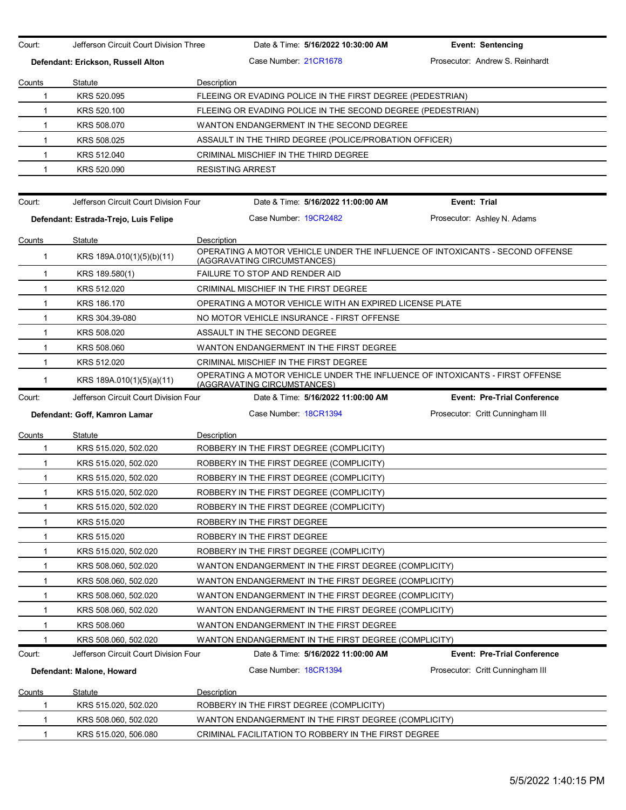Court: Jefferson Circuit Court Division Three Date & Time: **5/16/2022 10:30:00 AM Event: Sentencing Defendant: Erickson, Russell Alton** Case Number: 21CR1678 Prosecutor: Andrew S. Reinhardt Counts Statute **Description** 1 KRS 520.095 FLEEING OR EVADING POLICE IN THE FIRST DEGREE (PEDESTRIAN) 1 KRS 520.100 FLEEING OR EVADING POLICE IN THE SECOND DEGREE (PEDESTRIAN) 1 KRS 508.070 WANTON ENDANGERMENT IN THE SECOND DEGREE 1 KRS 508.025 ASSAULT IN THE THIRD DEGREE (POLICE/PROBATION OFFICER) 1 KRS 512.040 CRIMINAL MISCHIEF IN THE THIRD DEGREE 1 KRS 520.090 RESISTING ARREST Court: Jefferson Circuit Court Division Four Date & Time: **5/16/2022 11:00:00 AM Event: Trial Defendant: Estrada-Trejo, Luis Felipe** Case Number: 19CR2482 Prosecutor: Ashley N. Adams Counts Statute **Description** 1 KRS 189A.010(1)(5)(b)(11) OPERATING A MOTOR VEHICLE UNDER THE INFLUENCE OF INTOXICANTS - SECOND OFFENSE (AGGRAVATING CIRCUMSTANCES) 1 KRS 189.580(1) FAILURE TO STOP AND RENDER AID 1 KRS 512.020 CRIMINAL MISCHIEF IN THE FIRST DEGREE 1 KRS 186.170 OPERATING A MOTOR VEHICLE WITH AN EXPIRED LICENSE PLATE 1 KRS 304.39-080 NO MOTOR VEHICLE INSURANCE - FIRST OFFENSE 1 KRS 508.020 ASSAULT IN THE SECOND DEGREE 1 KRS 508.060 WANTON ENDANGERMENT IN THE FIRST DEGREE 1 KRS 512.020 CRIMINAL MISCHIEF IN THE FIRST DEGREE 1 KRS 189A.010(1)(5)(a)(11) OPERATING A MOTOR VEHICLE UNDER THE INFLUENCE OF INTOXICANTS - FIRST OFFENSE (AGGRAVATING CIRCUMSTANCES) Court: Jefferson Circuit Court Division Four Date & Time: **5/16/2022 11:00:00 AM Event: Pre-Trial Conference Defendant: Goff, Kamron Lamar Case Number: 18CR1394** Prosecutor: Critt Cunningham III Counts Statute **Description** 1 KRS 515.020, 502.020 ROBBERY IN THE FIRST DEGREE (COMPLICITY) 1 KRS 515.020, 502.020 ROBBERY IN THE FIRST DEGREE (COMPLICITY) 1 KRS 515.020, 502.020 ROBBERY IN THE FIRST DEGREE (COMPLICITY) 1 KRS 515.020, 502.020 ROBBERY IN THE FIRST DEGREE (COMPLICITY) 1 KRS 515.020, 502.020 ROBBERY IN THE FIRST DEGREE (COMPLICITY) 1 KRS 515.020 ROBBERY IN THE FIRST DEGREE 1 KRS 515.020 ROBBERY IN THE FIRST DEGREE 1 KRS 515.020, 502.020 ROBBERY IN THE FIRST DEGREE (COMPLICITY) 1 KRS 508.060, 502.020 WANTON ENDANGERMENT IN THE FIRST DEGREE (COMPLICITY) 1 KRS 508.060, 502.020 WANTON ENDANGERMENT IN THE FIRST DEGREE (COMPLICITY) 1 KRS 508.060, 502.020 WANTON ENDANGERMENT IN THE FIRST DEGREE (COMPLICITY) 1 KRS 508.060, 502.020 WANTON ENDANGERMENT IN THE FIRST DEGREE (COMPLICITY) 1 KRS 508.060 WANTON ENDANGERMENT IN THE FIRST DEGREE 1 KRS 508.060, 502.020 WANTON ENDANGERMENT IN THE FIRST DEGREE (COMPLICITY) Court: Jefferson Circuit Court Division Four Date & Time: **5/16/2022 11:00:00 AM Event: Pre-Trial Conference Defendant: Malone, Howard The Case Number: 18CR1394 Prosecutor: Critt Cunningham III** Counts Statute **Description** 1 KRS 515.020, 502.020 ROBBERY IN THE FIRST DEGREE (COMPLICITY) 1 KRS 508.060, 502.020 WANTON ENDANGERMENT IN THE FIRST DEGREE (COMPLICITY) 1 KRS 515.020, 506.080 CRIMINAL FACILITATION TO ROBBERY IN THE FIRST DEGREE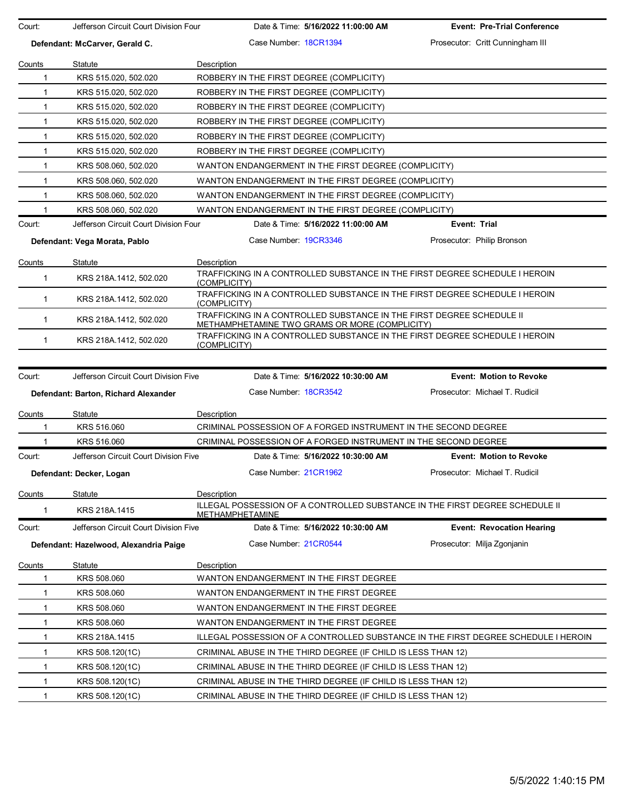| Court:       | Jefferson Circuit Court Division Four  | Date & Time: 5/16/2022 11:00:00 AM                                                                                      | <b>Event: Pre-Trial Conference</b> |
|--------------|----------------------------------------|-------------------------------------------------------------------------------------------------------------------------|------------------------------------|
|              | Defendant: McCarver, Gerald C.         | Case Number 18CR1394                                                                                                    | Prosecutor: Critt Cunningham III   |
| Counts       | Statute                                | Description                                                                                                             |                                    |
| $\mathbf 1$  | KRS 515.020, 502.020                   | ROBBERY IN THE FIRST DEGREE (COMPLICITY)                                                                                |                                    |
| $\mathbf{1}$ | KRS 515.020, 502.020                   | ROBBERY IN THE FIRST DEGREE (COMPLICITY)                                                                                |                                    |
| 1            | KRS 515.020, 502.020                   | ROBBERY IN THE FIRST DEGREE (COMPLICITY)                                                                                |                                    |
| 1            | KRS 515.020, 502.020                   | ROBBERY IN THE FIRST DEGREE (COMPLICITY)                                                                                |                                    |
| $\mathbf{1}$ | KRS 515.020, 502.020                   | ROBBERY IN THE FIRST DEGREE (COMPLICITY)                                                                                |                                    |
| $\mathbf{1}$ | KRS 515.020, 502.020                   | ROBBERY IN THE FIRST DEGREE (COMPLICITY)                                                                                |                                    |
| $\mathbf{1}$ | KRS 508.060, 502.020                   | WANTON ENDANGERMENT IN THE FIRST DEGREE (COMPLICITY)                                                                    |                                    |
| 1            | KRS 508.060, 502.020                   | WANTON ENDANGERMENT IN THE FIRST DEGREE (COMPLICITY)                                                                    |                                    |
| 1            | KRS 508.060, 502.020                   | WANTON ENDANGERMENT IN THE FIRST DEGREE (COMPLICITY)                                                                    |                                    |
| $\mathbf{1}$ | KRS 508.060, 502.020                   | WANTON ENDANGERMENT IN THE FIRST DEGREE (COMPLICITY)                                                                    |                                    |
| Court:       | Jefferson Circuit Court Division Four  | Date & Time: 5/16/2022 11:00:00 AM                                                                                      | Event: Trial                       |
|              |                                        |                                                                                                                         |                                    |
|              | Defendant: Vega Morata, Pablo          | Case Number: 19CR3346                                                                                                   | Prosecutor: Philip Bronson         |
| Counts       | Statute                                | Description                                                                                                             |                                    |
| $\mathbf{1}$ | KRS 218A.1412, 502.020                 | TRAFFICKING IN A CONTROLLED SUBSTANCE IN THE FIRST DEGREE SCHEDULE I HEROIN                                             |                                    |
| $\mathbf{1}$ | KRS 218A.1412, 502.020                 | (COMPLICITY)<br>TRAFFICKING IN A CONTROLLED SUBSTANCE IN THE FIRST DEGREE SCHEDULE I HEROIN<br>(COMPLICITY)             |                                    |
| $\mathbf{1}$ | KRS 218A.1412, 502.020                 | TRAFFICKING IN A CONTROLLED SUBSTANCE IN THE FIRST DEGREE SCHEDULE II<br>METHAMPHETAMINE TWO GRAMS OR MORE (COMPLICITY) |                                    |
| 1            | KRS 218A.1412, 502.020                 | TRAFFICKING IN A CONTROLLED SUBSTANCE IN THE FIRST DEGREE SCHEDULE I HEROIN<br>(COMPLICITY)                             |                                    |
|              |                                        |                                                                                                                         |                                    |
| Court:       | Jefferson Circuit Court Division Five  | Date & Time: 5/16/2022 10:30:00 AM                                                                                      | <b>Event: Motion to Revoke</b>     |
|              | Defendant: Barton, Richard Alexander   | Case Number: 18CR3542                                                                                                   | Prosecutor: Michael T. Rudicil     |
| Counts       | Statute                                | Description                                                                                                             |                                    |
| 1            | KRS 516.060                            | CRIMINAL POSSESSION OF A FORGED INSTRUMENT IN THE SECOND DEGREE                                                         |                                    |
| 1            | KRS 516,060                            | CRIMINAL POSSESSION OF A FORGED INSTRUMENT IN THE SECOND DEGREE                                                         |                                    |
| Court:       | Jefferson Circuit Court Division Five  | Date & Time: 5/16/2022 10:30:00 AM                                                                                      | <b>Event: Motion to Revoke</b>     |
|              | Defendant: Decker, Logan               | Case Number: 21CR1962                                                                                                   | Prosecutor: Michael T. Rudicil     |
| Counts       | Statute                                | Description                                                                                                             |                                    |
|              |                                        | ILLEGAL POSSESSION OF A CONTROLLED SUBSTANCE IN THE FIRST DEGREE SCHEDULE II                                            |                                    |
| 1            | KRS 218A.1415                          | METHAMPHETAMINE                                                                                                         |                                    |
| Court:       | Jefferson Circuit Court Division Five  | Date & Time: 5/16/2022 10:30:00 AM                                                                                      | <b>Event: Revocation Hearing</b>   |
|              | Defendant: Hazelwood, Alexandria Paige | Case Number: 21CR0544                                                                                                   | Prosecutor: Milja Zgonjanin        |
| Counts       | Statute                                | Description                                                                                                             |                                    |
| 1            | KRS 508.060                            | WANTON ENDANGERMENT IN THE FIRST DEGREE                                                                                 |                                    |
| 1            | KRS 508.060                            | WANTON ENDANGERMENT IN THE FIRST DEGREE                                                                                 |                                    |
| 1            | KRS 508.060                            | WANTON ENDANGERMENT IN THE FIRST DEGREE                                                                                 |                                    |
| 1            | KRS 508.060                            | WANTON ENDANGERMENT IN THE FIRST DEGREE                                                                                 |                                    |
| 1            | KRS 218A.1415                          | ILLEGAL POSSESSION OF A CONTROLLED SUBSTANCE IN THE FIRST DEGREE SCHEDULE I HEROIN                                      |                                    |
| 1            | KRS 508.120(1C)                        | CRIMINAL ABUSE IN THE THIRD DEGREE (IF CHILD IS LESS THAN 12)                                                           |                                    |
| 1            |                                        |                                                                                                                         |                                    |
|              | KRS 508.120(1C)                        | CRIMINAL ABUSE IN THE THIRD DEGREE (IF CHILD IS LESS THAN 12)                                                           |                                    |
| $\mathbf 1$  | KRS 508.120(1C)                        | CRIMINAL ABUSE IN THE THIRD DEGREE (IF CHILD IS LESS THAN 12)                                                           |                                    |
| 1            | KRS 508.120(1C)                        | CRIMINAL ABUSE IN THE THIRD DEGREE (IF CHILD IS LESS THAN 12)                                                           |                                    |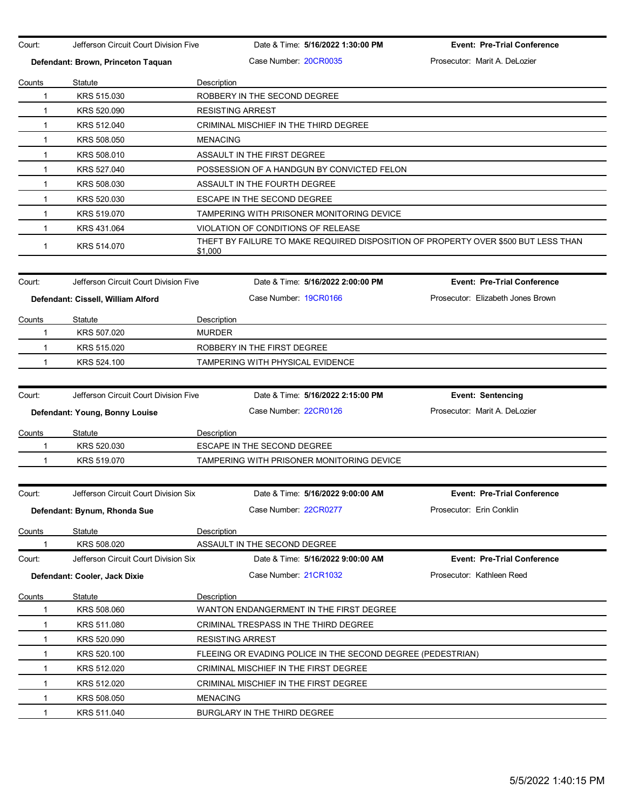| Court:       | Jefferson Circuit Court Division Five |                 | Date & Time: 5/16/2022 1:30:00 PM                           | <b>Event: Pre-Trial Conference</b>                                                 |
|--------------|---------------------------------------|-----------------|-------------------------------------------------------------|------------------------------------------------------------------------------------|
|              | Defendant: Brown, Princeton Taquan    |                 | Case Number 20CR0035                                        | Prosecutor: Marit A. DeLozier                                                      |
| Counts       | Statute                               | Description     |                                                             |                                                                                    |
| 1            | KRS 515.030                           |                 | ROBBERY IN THE SECOND DEGREE                                |                                                                                    |
| 1            | KRS 520.090                           |                 | <b>RESISTING ARREST</b>                                     |                                                                                    |
| $\mathbf{1}$ | KRS 512.040                           |                 | CRIMINAL MISCHIEF IN THE THIRD DEGREE                       |                                                                                    |
| 1            | KRS 508.050                           | <b>MENACING</b> |                                                             |                                                                                    |
| $\mathbf{1}$ | KRS 508.010                           |                 | ASSAULT IN THE FIRST DEGREE                                 |                                                                                    |
| 1            | KRS 527.040                           |                 | POSSESSION OF A HANDGUN BY CONVICTED FELON                  |                                                                                    |
| $\mathbf{1}$ | KRS 508.030                           |                 | ASSAULT IN THE FOURTH DEGREE                                |                                                                                    |
| $\mathbf{1}$ | KRS 520.030                           |                 | ESCAPE IN THE SECOND DEGREE                                 |                                                                                    |
| $\mathbf 1$  | KRS 519.070                           |                 | TAMPERING WITH PRISONER MONITORING DEVICE                   |                                                                                    |
| 1            | KRS 431.064                           |                 | VIOLATION OF CONDITIONS OF RELEASE                          |                                                                                    |
| 1            | KRS 514.070                           | \$1,000         |                                                             | THEFT BY FAILURE TO MAKE REQUIRED DISPOSITION OF PROPERTY OVER \$500 BUT LESS THAN |
| Court:       | Jefferson Circuit Court Division Five |                 | Date & Time: 5/16/2022 2:00:00 PM                           | <b>Event: Pre-Trial Conference</b>                                                 |
|              | Defendant: Cissell, William Alford    |                 | Case Number: 19CR0166                                       | Prosecutor: Elizabeth Jones Brown                                                  |
|              |                                       |                 |                                                             |                                                                                    |
| Counts       | Statute                               | Description     |                                                             |                                                                                    |
| 1            | KRS 507.020                           | <b>MURDER</b>   |                                                             |                                                                                    |
| 1            | KRS 515.020                           |                 | ROBBERY IN THE FIRST DEGREE                                 |                                                                                    |
| $\mathbf{1}$ | KRS 524.100                           |                 | TAMPERING WITH PHYSICAL EVIDENCE                            |                                                                                    |
| Court:       | Jefferson Circuit Court Division Five |                 | Date & Time: 5/16/2022 2:15:00 PM                           | <b>Event: Sentencing</b>                                                           |
|              | Defendant: Young, Bonny Louise        |                 | Case Number: 22CR0126                                       | Prosecutor: Marit A. DeLozier                                                      |
| Counts       | Statute                               | Description     |                                                             |                                                                                    |
| 1            | KRS 520.030                           |                 | ESCAPE IN THE SECOND DEGREE                                 |                                                                                    |
| $\mathbf 1$  | KRS 519.070                           |                 | TAMPERING WITH PRISONER MONITORING DEVICE                   |                                                                                    |
|              |                                       |                 |                                                             |                                                                                    |
| Court:       | Jefferson Circuit Court Division Six  |                 | Date & Time: 5/16/2022 9:00:00 AM                           | <b>Event: Pre-Trial Conference</b>                                                 |
|              | Defendant: Bynum, Rhonda Sue          |                 | Case Number: 22CR0277                                       | Prosecutor: Erin Conklin                                                           |
| Counts       | Statute                               | Description     |                                                             |                                                                                    |
| 1            | KRS 508.020                           |                 | ASSAULT IN THE SECOND DEGREE                                |                                                                                    |
| Court:       | Jefferson Circuit Court Division Six  |                 | Date & Time: 5/16/2022 9:00:00 AM                           | <b>Event: Pre-Trial Conference</b>                                                 |
|              | Defendant: Cooler, Jack Dixie         |                 | Case Number 21CR1032                                        | Prosecutor: Kathleen Reed                                                          |
| Counts       | Statute                               | Description     |                                                             |                                                                                    |
| 1            | KRS 508.060                           |                 | WANTON ENDANGERMENT IN THE FIRST DEGREE                     |                                                                                    |
| 1            | KRS 511.080                           |                 | CRIMINAL TRESPASS IN THE THIRD DEGREE                       |                                                                                    |
| 1            | KRS 520.090                           |                 | <b>RESISTING ARREST</b>                                     |                                                                                    |
| $\mathbf 1$  | KRS 520.100                           |                 | FLEEING OR EVADING POLICE IN THE SECOND DEGREE (PEDESTRIAN) |                                                                                    |
| 1            | KRS 512.020                           |                 | CRIMINAL MISCHIEF IN THE FIRST DEGREE                       |                                                                                    |
| 1            | KRS 512.020                           |                 | CRIMINAL MISCHIEF IN THE FIRST DEGREE                       |                                                                                    |
| 1            | KRS 508.050                           | <b>MENACING</b> |                                                             |                                                                                    |
| 1            | KRS 511.040                           |                 | BURGLARY IN THE THIRD DEGREE                                |                                                                                    |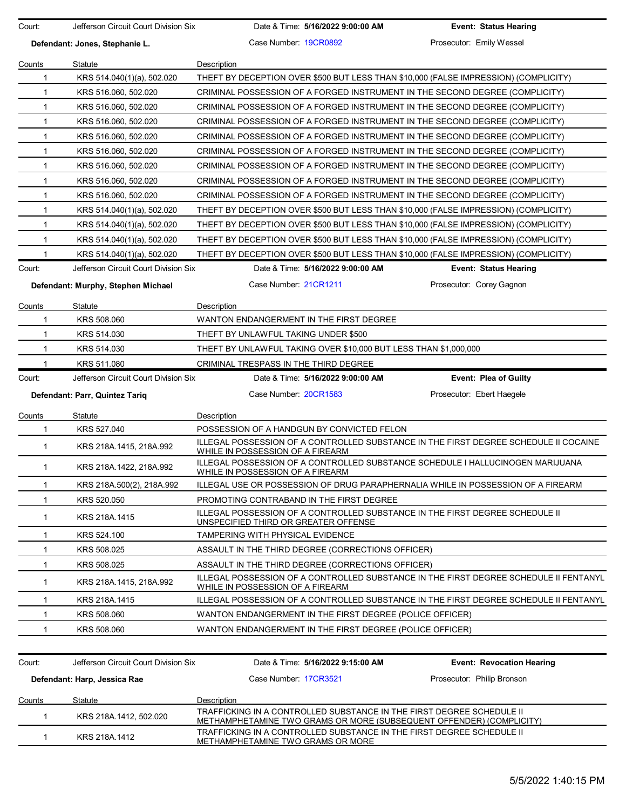| Case Number 19CR0892<br>Prosecutor: Emily Wessel<br>Defendant: Jones, Stephanie L.<br>Description<br>Statute<br>Counts<br>THEFT BY DECEPTION OVER \$500 BUT LESS THAN \$10,000 (FALSE IMPRESSION) (COMPLICITY)<br>1<br>KRS 514.040(1)(a), 502.020 |                                                                              |  |  |  |  |
|---------------------------------------------------------------------------------------------------------------------------------------------------------------------------------------------------------------------------------------------------|------------------------------------------------------------------------------|--|--|--|--|
|                                                                                                                                                                                                                                                   |                                                                              |  |  |  |  |
|                                                                                                                                                                                                                                                   |                                                                              |  |  |  |  |
|                                                                                                                                                                                                                                                   |                                                                              |  |  |  |  |
| $\mathbf{1}$<br>KRS 516.060, 502.020                                                                                                                                                                                                              | CRIMINAL POSSESSION OF A FORGED INSTRUMENT IN THE SECOND DEGREE (COMPLICITY) |  |  |  |  |
| $\mathbf{1}$<br>KRS 516.060, 502.020<br>CRIMINAL POSSESSION OF A FORGED INSTRUMENT IN THE SECOND DEGREE (COMPLICITY)                                                                                                                              |                                                                              |  |  |  |  |
| $\mathbf{1}$<br>KRS 516.060, 502.020<br>CRIMINAL POSSESSION OF A FORGED INSTRUMENT IN THE SECOND DEGREE (COMPLICITY)                                                                                                                              |                                                                              |  |  |  |  |
| $\mathbf{1}$<br>KRS 516.060, 502.020<br>CRIMINAL POSSESSION OF A FORGED INSTRUMENT IN THE SECOND DEGREE (COMPLICITY)                                                                                                                              |                                                                              |  |  |  |  |
| CRIMINAL POSSESSION OF A FORGED INSTRUMENT IN THE SECOND DEGREE (COMPLICITY)<br>$\mathbf{1}$<br>KRS 516.060, 502.020                                                                                                                              |                                                                              |  |  |  |  |
| $\mathbf{1}$<br>KRS 516.060, 502.020<br>CRIMINAL POSSESSION OF A FORGED INSTRUMENT IN THE SECOND DEGREE (COMPLICITY)                                                                                                                              |                                                                              |  |  |  |  |
| KRS 516.060, 502.020<br>CRIMINAL POSSESSION OF A FORGED INSTRUMENT IN THE SECOND DEGREE (COMPLICITY)<br>$\mathbf{1}$                                                                                                                              |                                                                              |  |  |  |  |
| KRS 516.060, 502.020<br>CRIMINAL POSSESSION OF A FORGED INSTRUMENT IN THE SECOND DEGREE (COMPLICITY)<br>1                                                                                                                                         |                                                                              |  |  |  |  |
| KRS 514.040(1)(a), 502.020<br>THEFT BY DECEPTION OVER \$500 BUT LESS THAN \$10,000 (FALSE IMPRESSION) (COMPLICITY)<br>1                                                                                                                           |                                                                              |  |  |  |  |
| THEFT BY DECEPTION OVER \$500 BUT LESS THAN \$10,000 (FALSE IMPRESSION) (COMPLICITY)<br>$\mathbf{1}$<br>KRS 514.040(1)(a), 502.020                                                                                                                |                                                                              |  |  |  |  |
| $\mathbf{1}$<br>THEFT BY DECEPTION OVER \$500 BUT LESS THAN \$10,000 (FALSE IMPRESSION) (COMPLICITY)<br>KRS 514.040(1)(a), 502.020                                                                                                                |                                                                              |  |  |  |  |
| $\mathbf{1}$<br>THEFT BY DECEPTION OVER \$500 BUT LESS THAN \$10,000 (FALSE IMPRESSION) (COMPLICITY)<br>KRS 514.040(1)(a), 502.020                                                                                                                |                                                                              |  |  |  |  |
| Jefferson Circuit Court Division Six<br>Court:<br>Date & Time: 5/16/2022 9:00:00 AM                                                                                                                                                               | <b>Event: Status Hearing</b>                                                 |  |  |  |  |
| Case Number 21CR1211<br>Prosecutor: Corey Gagnon<br>Defendant: Murphy, Stephen Michael                                                                                                                                                            |                                                                              |  |  |  |  |
| Statute<br>Description<br>Counts                                                                                                                                                                                                                  |                                                                              |  |  |  |  |
| KRS 508.060<br>WANTON ENDANGERMENT IN THE FIRST DEGREE<br>$\mathbf 1$                                                                                                                                                                             |                                                                              |  |  |  |  |
| KRS 514.030<br>THEFT BY UNLAWFUL TAKING UNDER \$500<br>$\mathbf{1}$                                                                                                                                                                               |                                                                              |  |  |  |  |
| KRS 514.030<br>THEFT BY UNLAWFUL TAKING OVER \$10,000 BUT LESS THAN \$1,000,000<br>-1                                                                                                                                                             |                                                                              |  |  |  |  |
| 1<br>KRS 511.080<br>CRIMINAL TRESPASS IN THE THIRD DEGREE                                                                                                                                                                                         |                                                                              |  |  |  |  |
|                                                                                                                                                                                                                                                   |                                                                              |  |  |  |  |
| Jefferson Circuit Court Division Six<br>Date & Time: 5/16/2022 9:00:00 AM<br>Court:                                                                                                                                                               | <b>Event: Plea of Guilty</b>                                                 |  |  |  |  |
| Case Number: 20CR1583<br>Prosecutor: Ebert Haegele<br>Defendant: Parr, Quintez Tariq                                                                                                                                                              |                                                                              |  |  |  |  |
| Statute<br>Counts<br>Description                                                                                                                                                                                                                  |                                                                              |  |  |  |  |
| KRS 527.040<br>POSSESSION OF A HANDGUN BY CONVICTED FELON<br>$\mathbf 1$                                                                                                                                                                          |                                                                              |  |  |  |  |
| ILLEGAL POSSESSION OF A CONTROLLED SUBSTANCE IN THE FIRST DEGREE SCHEDULE II COCAINE<br>$\mathbf{1}$<br>KRS 218A.1415, 218A.992<br>WHILE IN POSSESSION OF A FIREARM                                                                               |                                                                              |  |  |  |  |
| ILLEGAL POSSESSION OF A CONTROLLED SUBSTANCE SCHEDULE I HALLUCINOGEN MARIJUANA<br>KRS 218A.1422, 218A.992<br>$\mathbf{1}$<br>WHILE IN POSSESSION OF A FIREARM                                                                                     |                                                                              |  |  |  |  |
| ILLEGAL USE OR POSSESSION OF DRUG PARAPHERNALIA WHILE IN POSSESSION OF A FIREARM<br>1<br>KRS 218A.500(2), 218A.992                                                                                                                                |                                                                              |  |  |  |  |
| KRS 520.050<br>PROMOTING CONTRABAND IN THE FIRST DEGREE<br>1                                                                                                                                                                                      |                                                                              |  |  |  |  |
| ILLEGAL POSSESSION OF A CONTROLLED SUBSTANCE IN THE FIRST DEGREE SCHEDULE II<br>KRS 218A.1415<br>1<br>UNSPECIFIED THIRD OR GREATER OFFENSE                                                                                                        |                                                                              |  |  |  |  |
| TAMPERING WITH PHYSICAL EVIDENCE<br>1<br>KRS 524.100                                                                                                                                                                                              |                                                                              |  |  |  |  |
| KRS 508.025<br>ASSAULT IN THE THIRD DEGREE (CORRECTIONS OFFICER)<br>1                                                                                                                                                                             |                                                                              |  |  |  |  |
| $\mathbf{1}$<br>KRS 508.025<br>ASSAULT IN THE THIRD DEGREE (CORRECTIONS OFFICER)                                                                                                                                                                  |                                                                              |  |  |  |  |
| ILLEGAL POSSESSION OF A CONTROLLED SUBSTANCE IN THE FIRST DEGREE SCHEDULE II FENTANYL<br>$\mathbf{1}$<br>KRS 218A.1415, 218A.992<br>WHILE IN POSSESSION OF A FIREARM                                                                              |                                                                              |  |  |  |  |
| ILLEGAL POSSESSION OF A CONTROLLED SUBSTANCE IN THE FIRST DEGREE SCHEDULE II FENTANYL<br>KRS 218A.1415<br>1                                                                                                                                       |                                                                              |  |  |  |  |
| KRS 508.060<br>WANTON ENDANGERMENT IN THE FIRST DEGREE (POLICE OFFICER)<br>1                                                                                                                                                                      |                                                                              |  |  |  |  |
| KRS 508.060<br>WANTON ENDANGERMENT IN THE FIRST DEGREE (POLICE OFFICER)<br>1                                                                                                                                                                      |                                                                              |  |  |  |  |
| Jefferson Circuit Court Division Six<br>Date & Time: 5/16/2022 9:15:00 AM<br>Court:                                                                                                                                                               | <b>Event: Revocation Hearing</b>                                             |  |  |  |  |
| Case Number: 17CR3521<br>Prosecutor: Philip Bronson<br>Defendant: Harp, Jessica Rae                                                                                                                                                               |                                                                              |  |  |  |  |
| Counts<br>Statute<br>Description                                                                                                                                                                                                                  |                                                                              |  |  |  |  |
| TRAFFICKING IN A CONTROLLED SUBSTANCE IN THE FIRST DEGREE SCHEDULE II<br>$\mathbf{1}$<br>KRS 218A.1412, 502.020<br>METHAMPHETAMINE TWO GRAMS OR MORE (SUBSEQUENT OFFENDER) (COMPLICITY)                                                           |                                                                              |  |  |  |  |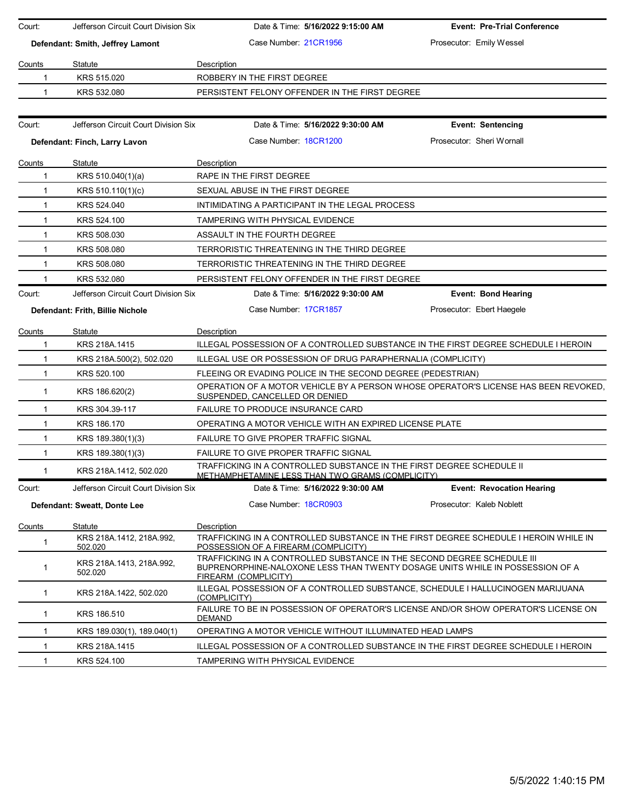| Court:        | Jefferson Circuit Court Division Six | Date & Time: 5/16/2022 9:15:00 AM                                                                                                                                                | <b>Event: Pre-Trial Conference</b> |
|---------------|--------------------------------------|----------------------------------------------------------------------------------------------------------------------------------------------------------------------------------|------------------------------------|
|               | Defendant: Smith, Jeffrey Lamont     | Case Number 21CR1956                                                                                                                                                             | Prosecutor: Emily Wessel           |
| Counts        | Statute                              | Description                                                                                                                                                                      |                                    |
| 1             | KRS 515.020                          | ROBBERY IN THE FIRST DEGREE                                                                                                                                                      |                                    |
| 1             | KRS 532.080                          | PERSISTENT FELONY OFFENDER IN THE FIRST DEGREE                                                                                                                                   |                                    |
|               |                                      |                                                                                                                                                                                  |                                    |
| Court:        | Jefferson Circuit Court Division Six | Date & Time: 5/16/2022 9:30:00 AM                                                                                                                                                | <b>Event: Sentencing</b>           |
|               | Defendant: Finch, Larry Lavon        | Case Number 18CR1200                                                                                                                                                             | Prosecutor: Sheri Wornall          |
| Counts        | <b>Statute</b>                       | Description                                                                                                                                                                      |                                    |
| $\mathbf 1$   | KRS 510.040(1)(a)                    | RAPE IN THE FIRST DEGREE                                                                                                                                                         |                                    |
| $\mathbf 1$   | KRS 510.110(1)(c)                    | SEXUAL ABUSE IN THE FIRST DEGREE                                                                                                                                                 |                                    |
| 1             | KRS 524.040                          | INTIMIDATING A PARTICIPANT IN THE LEGAL PROCESS                                                                                                                                  |                                    |
| 1             | KRS 524.100                          | TAMPERING WITH PHYSICAL EVIDENCE                                                                                                                                                 |                                    |
| $\mathbf{1}$  | KRS 508.030                          | ASSAULT IN THE FOURTH DEGREE                                                                                                                                                     |                                    |
| $\mathbf{1}$  | KRS 508.080                          | TERRORISTIC THREATENING IN THE THIRD DEGREE                                                                                                                                      |                                    |
| $\mathbf{1}$  | KRS 508,080                          | TERRORISTIC THREATENING IN THE THIRD DEGREE                                                                                                                                      |                                    |
| 1             | KRS 532.080                          | PERSISTENT FELONY OFFENDER IN THE FIRST DEGREE                                                                                                                                   |                                    |
| Court:        | Jefferson Circuit Court Division Six | Date & Time: 5/16/2022 9:30:00 AM                                                                                                                                                | <b>Event: Bond Hearing</b>         |
|               | Defendant: Frith, Billie Nichole     | Case Number: 17CR1857                                                                                                                                                            | Prosecutor: Ebert Haegele          |
| Counts        | Statute                              | Description                                                                                                                                                                      |                                    |
| 1             | KRS 218A.1415                        | ILLEGAL POSSESSION OF A CONTROLLED SUBSTANCE IN THE FIRST DEGREE SCHEDULE I HEROIN                                                                                               |                                    |
| 1             | KRS 218A 500(2), 502.020             | ILLEGAL USE OR POSSESSION OF DRUG PARAPHERNALIA (COMPLICITY)                                                                                                                     |                                    |
| $\mathbf 1$   | KRS 520.100                          | FLEEING OR EVADING POLICE IN THE SECOND DEGREE (PEDESTRIAN)                                                                                                                      |                                    |
| 1             | KRS 186.620(2)                       | OPERATION OF A MOTOR VEHICLE BY A PERSON WHOSE OPERATOR'S LICENSE HAS BEEN REVOKED.<br>SUSPENDED, CANCELLED OR DENIED                                                            |                                    |
| $\mathbf{1}$  | KRS 304.39-117                       | <b>FAILURE TO PRODUCE INSURANCE CARD</b>                                                                                                                                         |                                    |
| $\mathbf{1}$  | KRS 186.170                          | OPERATING A MOTOR VEHICLE WITH AN EXPIRED LICENSE PLATE                                                                                                                          |                                    |
| 1             | KRS 189.380(1)(3)                    | FAILURE TO GIVE PROPER TRAFFIC SIGNAL                                                                                                                                            |                                    |
| $\mathbf{1}$  | KRS 189.380(1)(3)                    | FAILURE TO GIVE PROPER TRAFFIC SIGNAL                                                                                                                                            |                                    |
| 1             | KRS 218A.1412, 502.020               | TRAFFICKING IN A CONTROLLED SUBSTANCE IN THE FIRST DEGREE SCHEDULE II<br><u>METHAMPHETAMINE LESS THAN TWO GRAMS (COMPLICITY)</u>                                                 |                                    |
| Court:        | Jefferson Circuit Court Division Six | Date & Time: 5/16/2022 9:30:00 AM                                                                                                                                                | <b>Event: Revocation Hearing</b>   |
|               | Defendant: Sweatt, Donte Lee         | Case Number 18CR0903                                                                                                                                                             | Prosecutor: Kaleb Noblett          |
| <b>Counts</b> | Statute                              | Description                                                                                                                                                                      |                                    |
| 1             | KRS 218A.1412, 218A.992,<br>502.020  | TRAFFICKING IN A CONTROLLED SUBSTANCE IN THE FIRST DEGREE SCHEDULE I HEROIN WHILE IN<br>POSSESSION OF A FIREARM (COMPLICITY)                                                     |                                    |
| $\mathbf 1$   | KRS 218A.1413, 218A.992,<br>502.020  | TRAFFICKING IN A CONTROLLED SUBSTANCE IN THE SECOND DEGREE SCHEDULE III<br>BUPRENORPHINE-NALOXONE LESS THAN TWENTY DOSAGE UNITS WHILE IN POSSESSION OF A<br>FIREARM (COMPLICITY) |                                    |
| $\mathbf{1}$  | KRS 218A.1422, 502.020               | ILLEGAL POSSESSION OF A CONTROLLED SUBSTANCE, SCHEDULE I HALLUCINOGEN MARIJUANA<br>(COMPLICITY)                                                                                  |                                    |
| 1             | KRS 186.510                          | FAILURE TO BE IN POSSESSION OF OPERATOR'S LICENSE AND/OR SHOW OPERATOR'S LICENSE ON<br>DEMAND                                                                                    |                                    |
| 1             | KRS 189.030(1), 189.040(1)           | OPERATING A MOTOR VEHICLE WITHOUT ILLUMINATED HEAD LAMPS                                                                                                                         |                                    |
| 1             | KRS 218A.1415                        | ILLEGAL POSSESSION OF A CONTROLLED SUBSTANCE IN THE FIRST DEGREE SCHEDULE I HEROIN                                                                                               |                                    |
| $\mathbf{1}$  | KRS 524.100                          | TAMPERING WITH PHYSICAL EVIDENCE                                                                                                                                                 |                                    |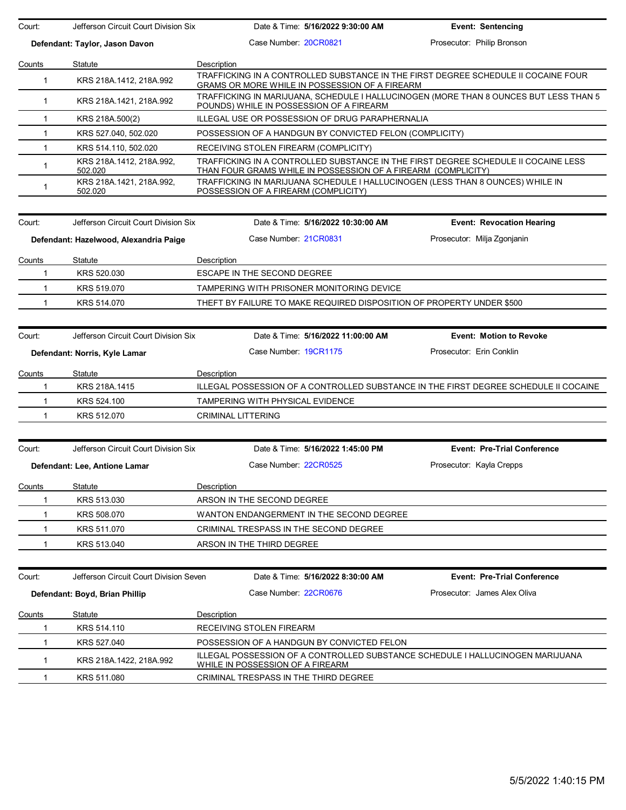| Court:        | Jefferson Circuit Court Division Six   | Date & Time: 5/16/2022 9:30:00 AM                             | <b>Event: Sentencing</b>                                                                                                          |  |  |  |  |
|---------------|----------------------------------------|---------------------------------------------------------------|-----------------------------------------------------------------------------------------------------------------------------------|--|--|--|--|
|               | Defendant: Taylor, Jason Davon         | Case Number 20CR0821                                          | Prosecutor: Philip Bronson                                                                                                        |  |  |  |  |
| Counts        | Statute                                | Description                                                   |                                                                                                                                   |  |  |  |  |
| $\mathbf{1}$  | KRS 218A 1412, 218A 992                | GRAMS OR MORE WHILE IN POSSESSION OF A FIREARM                | TRAFFICKING IN A CONTROLLED SUBSTANCE IN THE FIRST DEGREE SCHEDULE II COCAINE FOUR                                                |  |  |  |  |
| $\mathbf 1$   | KRS 218A.1421, 218A.992                |                                                               | TRAFFICKING IN MARIJUANA, SCHEDULE I HALLUCINOGEN (MORE THAN 8 OUNCES BUT LESS THAN 5<br>POUNDS) WHILE IN POSSESSION OF A FIREARM |  |  |  |  |
| $\mathbf{1}$  | KRS 218A.500(2)                        | ILLEGAL USE OR POSSESSION OF DRUG PARAPHERNALIA               |                                                                                                                                   |  |  |  |  |
| $\mathbf 1$   | KRS 527.040, 502.020                   | POSSESSION OF A HANDGUN BY CONVICTED FELON (COMPLICITY)       |                                                                                                                                   |  |  |  |  |
| $\mathbf{1}$  | KRS 514.110, 502.020                   | RECEIVING STOLEN FIREARM (COMPLICITY)                         |                                                                                                                                   |  |  |  |  |
| $\mathbf{1}$  | KRS 218A 1412, 218A 992,<br>502.020    | THAN FOUR GRAMS WHILE IN POSSESSION OF A FIREARM (COMPLICITY) | TRAFFICKING IN A CONTROLLED SUBSTANCE IN THE FIRST DEGREE SCHEDULE II COCAINE LESS                                                |  |  |  |  |
| $\mathbf{1}$  | KRS 218A.1421, 218A.992,<br>502.020    | POSSESSION OF A FIREARM (COMPLICITY)                          | TRAFFICKING IN MARIJUANA SCHEDULE I HALLUCINOGEN (LESS THAN 8 OUNCES) WHILE IN                                                    |  |  |  |  |
| Court:        | Jefferson Circuit Court Division Six   | Date & Time: 5/16/2022 10:30:00 AM                            | <b>Event: Revocation Hearing</b>                                                                                                  |  |  |  |  |
|               |                                        |                                                               |                                                                                                                                   |  |  |  |  |
|               | Defendant: Hazelwood, Alexandria Paige | Case Number 21CR0831                                          | Prosecutor: Milja Zgonjanin                                                                                                       |  |  |  |  |
| Counts        | Statute                                | Description                                                   |                                                                                                                                   |  |  |  |  |
| 1             | KRS 520.030                            | ESCAPE IN THE SECOND DEGREE                                   |                                                                                                                                   |  |  |  |  |
| $\mathbf{1}$  | KRS 519.070                            | TAMPERING WITH PRISONER MONITORING DEVICE                     |                                                                                                                                   |  |  |  |  |
| 1             | KRS 514.070                            |                                                               | THEFT BY FAILURE TO MAKE REQUIRED DISPOSITION OF PROPERTY UNDER \$500                                                             |  |  |  |  |
|               |                                        |                                                               |                                                                                                                                   |  |  |  |  |
| Court:        | Jefferson Circuit Court Division Six   | Date & Time: 5/16/2022 11:00:00 AM                            | <b>Event: Motion to Revoke</b>                                                                                                    |  |  |  |  |
|               | Defendant: Norris, Kyle Lamar          | Case Number 19CR1175                                          | Prosecutor: Erin Conklin                                                                                                          |  |  |  |  |
| Counts        | Statute                                | Description                                                   |                                                                                                                                   |  |  |  |  |
| $\mathbf 1$   | KRS 218A.1415                          |                                                               | ILLEGAL POSSESSION OF A CONTROLLED SUBSTANCE IN THE FIRST DEGREE SCHEDULE II COCAINE                                              |  |  |  |  |
| 1             | KRS 524.100                            | TAMPERING WITH PHYSICAL EVIDENCE                              |                                                                                                                                   |  |  |  |  |
| 1.            | KRS 512.070                            | <b>CRIMINAL LITTERING</b>                                     |                                                                                                                                   |  |  |  |  |
|               |                                        |                                                               |                                                                                                                                   |  |  |  |  |
| Court:        | Jefferson Circuit Court Division Six   | Date & Time: 5/16/2022 1:45:00 PM                             | <b>Event: Pre-Trial Conference</b>                                                                                                |  |  |  |  |
|               | Defendant: Lee, Antione Lamar          | Case Number 22CR0525                                          | Prosecutor: Kayla Crepps                                                                                                          |  |  |  |  |
|               |                                        |                                                               |                                                                                                                                   |  |  |  |  |
| Counts<br>1   | Statute<br>KRS 513.030                 | Description<br>ARSON IN THE SECOND DEGREE                     |                                                                                                                                   |  |  |  |  |
| 1             |                                        |                                                               |                                                                                                                                   |  |  |  |  |
|               | KRS 508.070                            | WANTON ENDANGERMENT IN THE SECOND DEGREE                      |                                                                                                                                   |  |  |  |  |
| 1             | KRS 511.070                            | CRIMINAL TRESPASS IN THE SECOND DEGREE                        |                                                                                                                                   |  |  |  |  |
| 1             | KRS 513.040                            | ARSON IN THE THIRD DEGREE                                     |                                                                                                                                   |  |  |  |  |
|               |                                        |                                                               |                                                                                                                                   |  |  |  |  |
| Court:        | Jefferson Circuit Court Division Seven | Date & Time: 5/16/2022 8:30:00 AM                             | <b>Event: Pre-Trial Conference</b>                                                                                                |  |  |  |  |
|               | Defendant: Boyd, Brian Phillip         | Case Number: 22CR0676                                         | Prosecutor: James Alex Oliva                                                                                                      |  |  |  |  |
| <u>Counts</u> | Statute                                | Description                                                   |                                                                                                                                   |  |  |  |  |
| 1             | KRS 514.110                            | RECEIVING STOLEN FIREARM                                      |                                                                                                                                   |  |  |  |  |
| 1             | KRS 527.040                            | POSSESSION OF A HANDGUN BY CONVICTED FELON                    |                                                                                                                                   |  |  |  |  |
| $\mathbf{1}$  | KRS 218A 1422, 218A 992                | WHILE IN POSSESSION OF A FIREARM                              | ILLEGAL POSSESSION OF A CONTROLLED SUBSTANCE SCHEDULE I HALLUCINOGEN MARIJUANA                                                    |  |  |  |  |
| $\mathbf{1}$  | KRS 511.080                            | CRIMINAL TRESPASS IN THE THIRD DEGREE                         |                                                                                                                                   |  |  |  |  |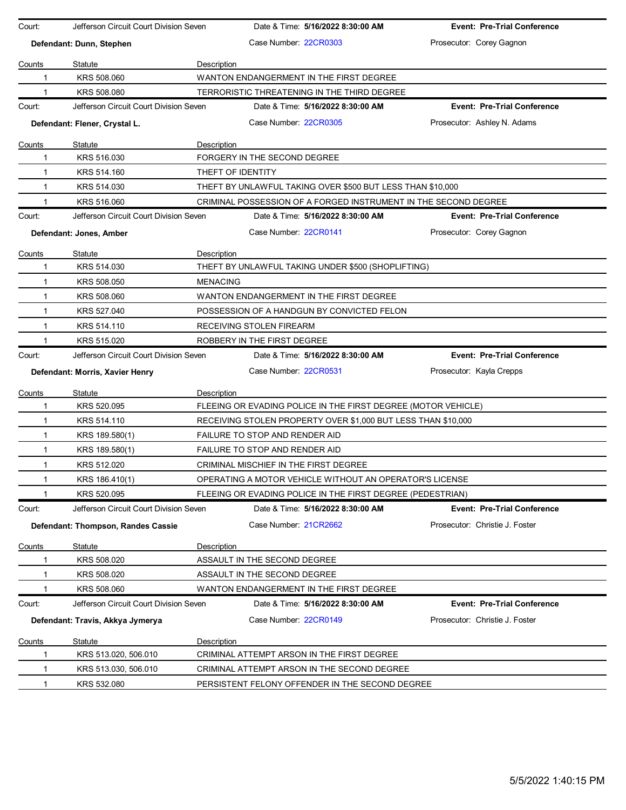| Court:       | Jefferson Circuit Court Division Seven |                 |                                       | Date & Time: 5/16/2022 8:30:00 AM                             | <b>Event: Pre-Trial Conference</b>                              |
|--------------|----------------------------------------|-----------------|---------------------------------------|---------------------------------------------------------------|-----------------------------------------------------------------|
|              | Defendant: Dunn, Stephen               |                 | Case Number: 22CR0303                 |                                                               | Prosecutor: Corey Gagnon                                        |
| Counts       | Statute                                | Description     |                                       |                                                               |                                                                 |
| 1            | KRS 508.060                            |                 |                                       | WANTON ENDANGERMENT IN THE FIRST DEGREE                       |                                                                 |
| 1            | KRS 508.080                            |                 |                                       | TERRORISTIC THREATENING IN THE THIRD DEGREE                   |                                                                 |
| Court:       | Jefferson Circuit Court Division Seven |                 |                                       | Date & Time: 5/16/2022 8:30:00 AM                             | <b>Event: Pre-Trial Conference</b>                              |
|              | Defendant: Flener, Crystal L.          |                 | Case Number: 22CR0305                 |                                                               | Prosecutor: Ashley N. Adams                                     |
| Counts       | Statute                                | Description     |                                       |                                                               |                                                                 |
| 1            | KRS 516.030                            |                 | FORGERY IN THE SECOND DEGREE          |                                                               |                                                                 |
| $\mathbf{1}$ | KRS 514.160                            |                 | THEFT OF IDENTITY                     |                                                               |                                                                 |
| 1            | KRS 514.030                            |                 |                                       | THEFT BY UNLAWFUL TAKING OVER \$500 BUT LESS THAN \$10,000    |                                                                 |
| 1            | KRS 516.060                            |                 |                                       |                                                               | CRIMINAL POSSESSION OF A FORGED INSTRUMENT IN THE SECOND DEGREE |
| Court:       | Jefferson Circuit Court Division Seven |                 |                                       | Date & Time: 5/16/2022 8:30:00 AM                             | <b>Event: Pre-Trial Conference</b>                              |
|              | Defendant: Jones, Amber                |                 | Case Number 22CR0141                  |                                                               | Prosecutor: Corey Gagnon                                        |
| Counts       | Statute                                | Description     |                                       |                                                               |                                                                 |
| $\mathbf 1$  | KRS 514.030                            |                 |                                       | THEFT BY UNLAWFUL TAKING UNDER \$500 (SHOPLIFTING)            |                                                                 |
| 1            | KRS 508.050                            | <b>MENACING</b> |                                       |                                                               |                                                                 |
| $\mathbf{1}$ | KRS 508.060                            |                 |                                       | WANTON ENDANGERMENT IN THE FIRST DEGREE                       |                                                                 |
| $\mathbf{1}$ | KRS 527.040                            |                 |                                       | POSSESSION OF A HANDGUN BY CONVICTED FELON                    |                                                                 |
| $\mathbf{1}$ | KRS 514.110                            |                 | RECEIVING STOLEN FIREARM              |                                                               |                                                                 |
|              | KRS 515.020                            |                 | ROBBERY IN THE FIRST DEGREE           |                                                               |                                                                 |
| Court:       | Jefferson Circuit Court Division Seven |                 |                                       | Date & Time: 5/16/2022 8:30:00 AM                             | <b>Event: Pre-Trial Conference</b>                              |
|              | Defendant: Morris, Xavier Henry        |                 | Case Number: 22CR0531                 |                                                               | Prosecutor: Kayla Crepps                                        |
| Counts       | Statute                                | Description     |                                       |                                                               |                                                                 |
| 1            | KRS 520.095                            |                 |                                       | FLEEING OR EVADING POLICE IN THE FIRST DEGREE (MOTOR VEHICLE) |                                                                 |
| 1            | KRS 514.110                            |                 |                                       | RECEIVING STOLEN PROPERTY OVER \$1,000 BUT LESS THAN \$10,000 |                                                                 |
| $\mathbf{1}$ | KRS 189.580(1)                         |                 | FAILURE TO STOP AND RENDER AID        |                                                               |                                                                 |
| $\mathbf{1}$ | KRS 189.580(1)                         |                 | FAILURE TO STOP AND RENDER AID        |                                                               |                                                                 |
| 1            | KRS 512.020                            |                 | CRIMINAL MISCHIEF IN THE FIRST DEGREE |                                                               |                                                                 |
| 1            | KRS 186.410(1)                         |                 |                                       | OPERATING A MOTOR VEHICLE WITHOUT AN OPERATOR'S LICENSE       |                                                                 |
|              | KRS 520.095                            |                 |                                       | FLEEING OR EVADING POLICE IN THE FIRST DEGREE (PEDESTRIAN)    |                                                                 |
| Court:       | Jefferson Circuit Court Division Seven |                 |                                       | Date & Time: 5/16/2022 8:30:00 AM                             | <b>Event: Pre-Trial Conference</b>                              |
|              | Defendant: Thompson, Randes Cassie     |                 | Case Number 21CR2662                  |                                                               | Prosecutor: Christie J. Foster                                  |
| Counts       | Statute                                | Description     |                                       |                                                               |                                                                 |
| 1            | KRS 508.020                            |                 | ASSAULT IN THE SECOND DEGREE          |                                                               |                                                                 |
| 1            | KRS 508.020                            |                 | ASSAULT IN THE SECOND DEGREE          |                                                               |                                                                 |
|              | KRS 508.060                            |                 |                                       | WANTON ENDANGERMENT IN THE FIRST DEGREE                       |                                                                 |
| Court:       | Jefferson Circuit Court Division Seven |                 |                                       | Date & Time: 5/16/2022 8:30:00 AM                             | <b>Event: Pre-Trial Conference</b>                              |
|              | Defendant: Travis, Akkya Jymerya       |                 | Case Number: 22CR0149                 |                                                               | Prosecutor: Christie J. Foster                                  |
| Counts       | Statute                                | Description     |                                       |                                                               |                                                                 |
| 1            | KRS 513.020, 506.010                   |                 |                                       | CRIMINAL ATTEMPT ARSON IN THE FIRST DEGREE                    |                                                                 |
| 1            | KRS 513.030, 506.010                   |                 |                                       | CRIMINAL ATTEMPT ARSON IN THE SECOND DEGREE                   |                                                                 |
| 1            | KRS 532.080                            |                 |                                       | PERSISTENT FELONY OFFENDER IN THE SECOND DEGREE               |                                                                 |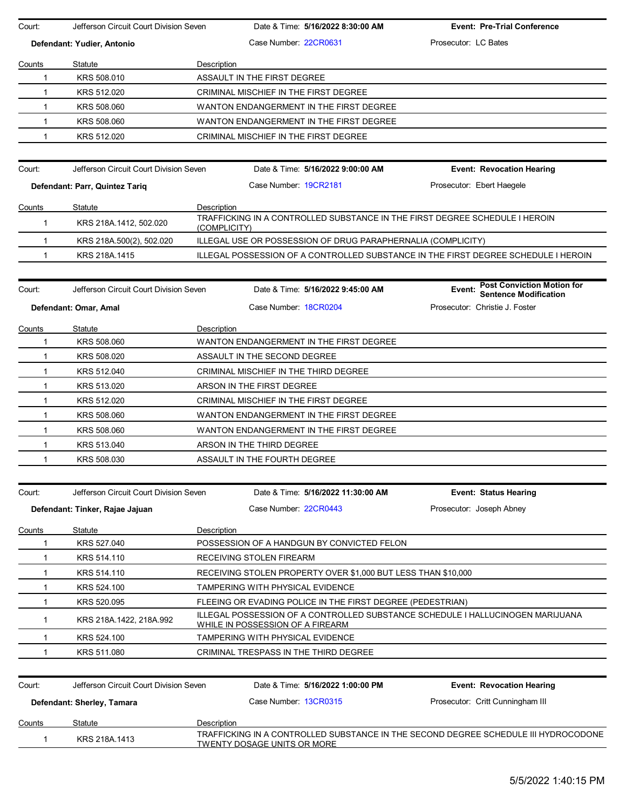| Court:        | Jefferson Circuit Court Division Seven |                                         | Date & Time: 5/16/2022 8:30:00 AM                             | <b>Event: Pre-Trial Conference</b>                                                  |  |  |  |  |
|---------------|----------------------------------------|-----------------------------------------|---------------------------------------------------------------|-------------------------------------------------------------------------------------|--|--|--|--|
|               | Defendant: Yudier, Antonio             |                                         | Case Number 22CR0631                                          | Prosecutor: LC Bates                                                                |  |  |  |  |
| Counts        | Statute                                | Description                             |                                                               |                                                                                     |  |  |  |  |
| 1             | KRS 508.010                            |                                         | ASSAULT IN THE FIRST DEGREE                                   |                                                                                     |  |  |  |  |
| 1             | KRS 512.020                            |                                         | CRIMINAL MISCHIEF IN THE FIRST DEGREE                         |                                                                                     |  |  |  |  |
| $\mathbf{1}$  | KRS 508.060                            | WANTON ENDANGERMENT IN THE FIRST DEGREE |                                                               |                                                                                     |  |  |  |  |
| $\mathbf{1}$  | KRS 508.060                            |                                         | WANTON ENDANGERMENT IN THE FIRST DEGREE                       |                                                                                     |  |  |  |  |
| 1             | KRS 512.020                            |                                         | CRIMINAL MISCHIEF IN THE FIRST DEGREE                         |                                                                                     |  |  |  |  |
|               |                                        |                                         |                                                               |                                                                                     |  |  |  |  |
| Court:        | Jefferson Circuit Court Division Seven |                                         | Date & Time: 5/16/2022 9:00:00 AM                             | <b>Event: Revocation Hearing</b>                                                    |  |  |  |  |
|               | Defendant: Parr, Quintez Tariq         |                                         | Case Number 19CR2181                                          | Prosecutor: Ebert Haegele                                                           |  |  |  |  |
| Counts        | Statute                                | Description                             |                                                               |                                                                                     |  |  |  |  |
| 1             | KRS 218A 1412, 502.020                 | (COMPLICITY)                            |                                                               | TRAFFICKING IN A CONTROLLED SUBSTANCE IN THE FIRST DEGREE SCHEDULE I HEROIN         |  |  |  |  |
| $\mathbf{1}$  | KRS 218A 500(2), 502.020               |                                         | ILLEGAL USE OR POSSESSION OF DRUG PARAPHERNALIA (COMPLICITY)  |                                                                                     |  |  |  |  |
| $\mathbf{1}$  | KRS 218A.1415                          |                                         |                                                               | ILLEGAL POSSESSION OF A CONTROLLED SUBSTANCE IN THE FIRST DEGREE SCHEDULE I HEROIN  |  |  |  |  |
|               | Jefferson Circuit Court Division Seven |                                         |                                                               | <b>Post Conviction Motion for</b>                                                   |  |  |  |  |
| Court:        |                                        |                                         | Date & Time: 5/16/2022 9:45:00 AM                             | Event:<br><b>Sentence Modification</b>                                              |  |  |  |  |
|               | Defendant: Omar, Amal                  |                                         | Case Number 18CR0204                                          | Prosecutor: Christie J. Foster                                                      |  |  |  |  |
| Counts        | Statute                                | Description                             |                                                               |                                                                                     |  |  |  |  |
| 1             | KRS 508.060                            |                                         | WANTON ENDANGERMENT IN THE FIRST DEGREE                       |                                                                                     |  |  |  |  |
| 1             | KRS 508.020                            |                                         | ASSAULT IN THE SECOND DEGREE                                  |                                                                                     |  |  |  |  |
| 1             | KRS 512.040                            |                                         | CRIMINAL MISCHIEF IN THE THIRD DEGREE                         |                                                                                     |  |  |  |  |
| 1             | KRS 513.020                            |                                         | ARSON IN THE FIRST DEGREE                                     |                                                                                     |  |  |  |  |
| $\mathbf{1}$  | KRS 512.020                            |                                         | CRIMINAL MISCHIEF IN THE FIRST DEGREE                         |                                                                                     |  |  |  |  |
| $\mathbf{1}$  | KRS 508.060                            |                                         | WANTON ENDANGERMENT IN THE FIRST DEGREE                       |                                                                                     |  |  |  |  |
| $\mathbf{1}$  | KRS 508.060                            |                                         | WANTON ENDANGERMENT IN THE FIRST DEGREE                       |                                                                                     |  |  |  |  |
| 1             | KRS 513.040                            |                                         | ARSON IN THE THIRD DEGREE                                     |                                                                                     |  |  |  |  |
| 1             | KRS 508.030                            |                                         | ASSAULT IN THE FOURTH DEGREE                                  |                                                                                     |  |  |  |  |
|               |                                        |                                         |                                                               |                                                                                     |  |  |  |  |
| Court:        | Jefferson Circuit Court Division Seven |                                         | Date & Time: 5/16/2022 11:30:00 AM                            | <b>Event: Status Hearing</b>                                                        |  |  |  |  |
|               | Defendant: Tinker, Rajae Jajuan        |                                         | Case Number 22CR0443                                          | Prosecutor: Joseph Abney                                                            |  |  |  |  |
| <u>Counts</u> | Statute                                | Description                             |                                                               |                                                                                     |  |  |  |  |
| 1             | KRS 527.040                            |                                         | POSSESSION OF A HANDGUN BY CONVICTED FELON                    |                                                                                     |  |  |  |  |
| 1             | KRS 514.110                            |                                         | RECEIVING STOLEN FIREARM                                      |                                                                                     |  |  |  |  |
| 1             | KRS 514.110                            |                                         | RECEIVING STOLEN PROPERTY OVER \$1,000 BUT LESS THAN \$10,000 |                                                                                     |  |  |  |  |
| 1             | KRS 524.100                            |                                         | TAMPERING WITH PHYSICAL EVIDENCE                              |                                                                                     |  |  |  |  |
| 1             | KRS 520.095                            |                                         | FLEEING OR EVADING POLICE IN THE FIRST DEGREE (PEDESTRIAN)    |                                                                                     |  |  |  |  |
| 1             | KRS 218A.1422, 218A.992                |                                         | WHILE IN POSSESSION OF A FIREARM                              | ILLEGAL POSSESSION OF A CONTROLLED SUBSTANCE SCHEDULE I HALLUCINOGEN MARIJUANA      |  |  |  |  |
| 1             | KRS 524.100                            |                                         | TAMPERING WITH PHYSICAL EVIDENCE                              |                                                                                     |  |  |  |  |
| 1             | KRS 511.080                            |                                         | CRIMINAL TRESPASS IN THE THIRD DEGREE                         |                                                                                     |  |  |  |  |
|               |                                        |                                         |                                                               |                                                                                     |  |  |  |  |
| Court:        | Jefferson Circuit Court Division Seven |                                         | Date & Time: 5/16/2022 1:00:00 PM                             | <b>Event: Revocation Hearing</b>                                                    |  |  |  |  |
|               | Defendant: Sherley, Tamara             |                                         | Case Number 13CR0315                                          | Prosecutor: Critt Cunningham III                                                    |  |  |  |  |
| <b>Counts</b> | Statute                                | Description                             |                                                               |                                                                                     |  |  |  |  |
| 1             | KRS 218A.1413                          |                                         | TWENTY DOSAGE UNITS OR MORE                                   | TRAFFICKING IN A CONTROLLED SUBSTANCE IN THE SECOND DEGREE SCHEDULE III HYDROCODONE |  |  |  |  |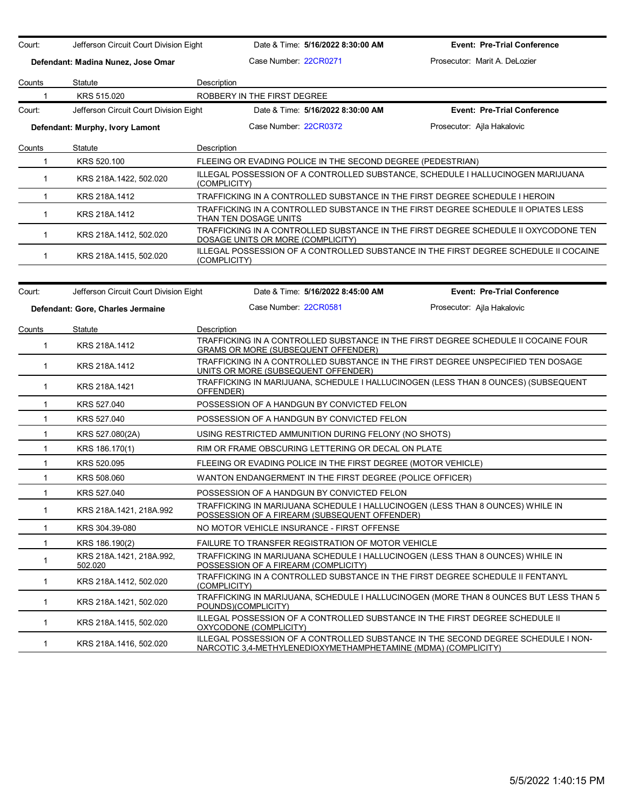| Court:        | Jefferson Circuit Court Division Eight |                                                             | Date & Time: 5/16/2022 8:30:00 AM                             | <b>Event: Pre-Trial Conference</b>                                                                                                                  |
|---------------|----------------------------------------|-------------------------------------------------------------|---------------------------------------------------------------|-----------------------------------------------------------------------------------------------------------------------------------------------------|
|               | Defendant: Madina Nunez, Jose Omar     | Case Number: 22CR0271                                       |                                                               | Prosecutor: Marit A. DeLozier                                                                                                                       |
| Counts        | Statute                                | Description                                                 |                                                               |                                                                                                                                                     |
|               | KRS 515.020                            | ROBBERY IN THE FIRST DEGREE                                 |                                                               |                                                                                                                                                     |
| Court:        | Jefferson Circuit Court Division Eight |                                                             | Date & Time: 5/16/2022 8:30:00 AM                             | <b>Event: Pre-Trial Conference</b>                                                                                                                  |
|               | Defendant: Murphy, Ivory Lamont        | Case Number: 22CR0372                                       |                                                               | Prosecutor: Ajla Hakalovic                                                                                                                          |
| Counts        | Statute                                | Description                                                 |                                                               |                                                                                                                                                     |
| $\mathbf{1}$  | KRS 520.100                            | FLEEING OR EVADING POLICE IN THE SECOND DEGREE (PEDESTRIAN) |                                                               |                                                                                                                                                     |
| $\mathbf{1}$  | KRS 218A.1422, 502.020                 | (COMPLICITY)                                                |                                                               | ILLEGAL POSSESSION OF A CONTROLLED SUBSTANCE, SCHEDULE I HALLUCINOGEN MARIJUANA                                                                     |
| $\mathbf{1}$  | KRS 218A.1412                          |                                                             |                                                               | TRAFFICKING IN A CONTROLLED SUBSTANCE IN THE FIRST DEGREE SCHEDULE I HEROIN                                                                         |
| $\mathbf{1}$  | KRS 218A.1412                          | THAN TEN DOSAGE UNITS                                       |                                                               | TRAFFICKING IN A CONTROLLED SUBSTANCE IN THE FIRST DEGREE SCHEDULE II OPIATES LESS                                                                  |
| $\mathbf{1}$  | KRS 218A.1412, 502.020                 | DOSAGE UNITS OR MORE (COMPLICITY)                           |                                                               | TRAFFICKING IN A CONTROLLED SUBSTANCE IN THE FIRST DEGREE SCHEDULE II OXYCODONE TEN                                                                 |
| $\mathbf{1}$  | KRS 218A.1415, 502.020                 | (COMPLICITY)                                                |                                                               | ILLEGAL POSSESSION OF A CONTROLLED SUBSTANCE IN THE FIRST DEGREE SCHEDULE II COCAINE                                                                |
|               | Jefferson Circuit Court Division Eight |                                                             | Date & Time: 5/16/2022 8:45:00 AM                             | <b>Event: Pre-Trial Conference</b>                                                                                                                  |
| Court:        |                                        |                                                             |                                                               |                                                                                                                                                     |
|               | Defendant: Gore, Charles Jermaine      | Case Number 22CR0581                                        |                                                               | Prosecutor: Ajla Hakalovic                                                                                                                          |
| <b>Counts</b> | Statute                                | Description                                                 |                                                               |                                                                                                                                                     |
| $\mathbf{1}$  | KRS 218A.1412                          | GRAMS OR MORE (SUBSEQUENT OFFENDER)                         |                                                               | TRAFFICKING IN A CONTROLLED SUBSTANCE IN THE FIRST DEGREE SCHEDULE II COCAINE FOUR                                                                  |
| $\mathbf{1}$  | KRS 218A.1412                          | UNITS OR MORE (SUBSEQUENT OFFENDER)                         |                                                               | TRAFFICKING IN A CONTROLLED SUBSTANCE IN THE FIRST DEGREE UNSPECIFIED TEN DOSAGE                                                                    |
| $\mathbf{1}$  | KRS 218A.1421                          | OFFENDER)                                                   |                                                               | TRAFFICKING IN MARIJUANA, SCHEDULE I HALLUCINOGEN (LESS THAN 8 OUNCES) (SUBSEQUENT                                                                  |
| $\mathbf{1}$  | KRS 527.040                            |                                                             | POSSESSION OF A HANDGUN BY CONVICTED FELON                    |                                                                                                                                                     |
| $\mathbf{1}$  | KRS 527.040                            |                                                             | POSSESSION OF A HANDGUN BY CONVICTED FELON                    |                                                                                                                                                     |
| $\mathbf{1}$  | KRS 527.080(2A)                        | USING RESTRICTED AMMUNITION DURING FELONY (NO SHOTS)        |                                                               |                                                                                                                                                     |
| $\mathbf{1}$  | KRS 186.170(1)                         |                                                             | RIM OR FRAME OBSCURING LETTERING OR DECAL ON PLATE            |                                                                                                                                                     |
| $\mathbf{1}$  | KRS 520.095                            |                                                             | FLEEING OR EVADING POLICE IN THE FIRST DEGREE (MOTOR VEHICLE) |                                                                                                                                                     |
| $\mathbf{1}$  | KRS 508,060                            | WANTON ENDANGERMENT IN THE FIRST DEGREE (POLICE OFFICER)    |                                                               |                                                                                                                                                     |
| $\mathbf{1}$  | KRS 527.040                            | POSSESSION OF A HANDGUN BY CONVICTED FELON                  |                                                               |                                                                                                                                                     |
| $\mathbf{1}$  | KRS 218A.1421, 218A.992                | POSSESSION OF A FIREARM (SUBSEQUENT OFFENDER)               |                                                               | TRAFFICKING IN MARIJUANA SCHEDULE I HALLUCINOGEN (LESS THAN 8 OUNCES) WHILE IN                                                                      |
| 1             | KRS 304.39-080                         | NO MOTOR VEHICLE INSURANCE - FIRST OFFENSE                  |                                                               |                                                                                                                                                     |
| 1             | KRS 186.190(2)                         | FAILURE TO TRANSFER REGISTRATION OF MOTOR VEHICLE           |                                                               |                                                                                                                                                     |
| $\mathbf{1}$  | KRS 218A.1421, 218A.992,<br>502.020    | POSSESSION OF A FIREARM (COMPLICITY)                        |                                                               | TRAFFICKING IN MARIJUANA SCHEDULE I HALLUCINOGEN (LESS THAN 8 OUNCES) WHILE IN                                                                      |
| $\mathbf{1}$  | KRS 218A.1412, 502.020                 | (COMPLICITY)                                                |                                                               | TRAFFICKING IN A CONTROLLED SUBSTANCE IN THE FIRST DEGREE SCHEDULE II FENTANYL                                                                      |
| 1             | KRS 218A 1421, 502.020                 | POUNDS)(COMPLICITY)                                         |                                                               | TRAFFICKING IN MARIJUANA, SCHEDULE I HALLUCINOGEN (MORE THAN 8 OUNCES BUT LESS THAN 5                                                               |
| $\mathbf{1}$  | KRS 218A 1415, 502.020                 | OXYCODONE (COMPLICITY)                                      |                                                               | ILLEGAL POSSESSION OF A CONTROLLED SUBSTANCE IN THE FIRST DEGREE SCHEDULE II                                                                        |
| $\mathbf{1}$  | KRS 218A 1416, 502.020                 |                                                             |                                                               | ILLEGAL POSSESSION OF A CONTROLLED SUBSTANCE IN THE SECOND DEGREE SCHEDULE I NON-<br>NARCOTIC 3,4-METHYLENEDIOXYMETHAMPHETAMINE (MDMA) (COMPLICITY) |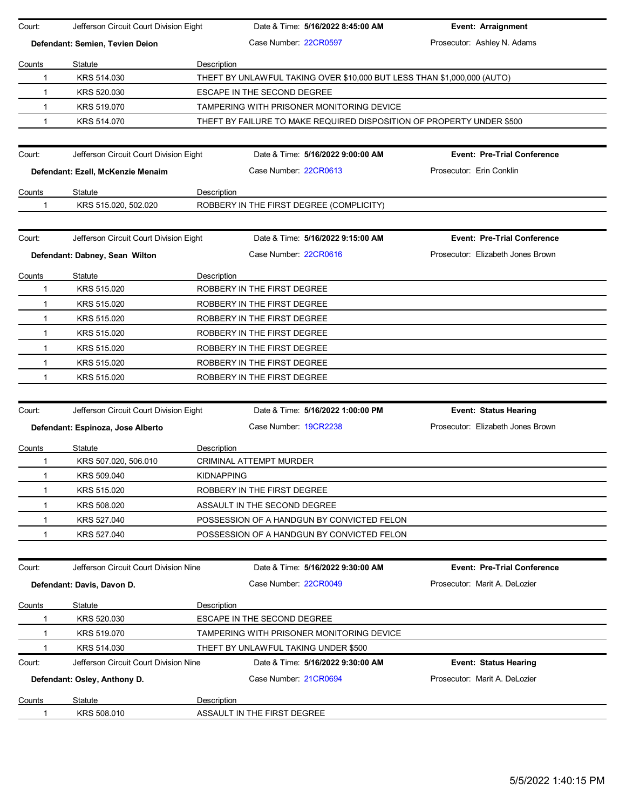| Court:                          | Jefferson Circuit Court Division Eight     |                   | Date & Time: 5/16/2022 8:45:00 AM                                       | Event: Arraignment                 |  |
|---------------------------------|--------------------------------------------|-------------------|-------------------------------------------------------------------------|------------------------------------|--|
| Defendant: Semien, Tevien Deion |                                            |                   | Case Number: 22CR0597                                                   | Prosecutor: Ashley N. Adams        |  |
| Counts                          | Statute                                    | Description       |                                                                         |                                    |  |
| 1                               | KRS 514.030                                |                   | THEFT BY UNLAWFUL TAKING OVER \$10,000 BUT LESS THAN \$1,000,000 (AUTO) |                                    |  |
| 1                               | KRS 520.030                                |                   | ESCAPE IN THE SECOND DEGREE                                             |                                    |  |
| 1                               | KRS 519.070                                |                   | TAMPERING WITH PRISONER MONITORING DEVICE                               |                                    |  |
| 1                               | KRS 514.070                                |                   | THEFT BY FAILURE TO MAKE REQUIRED DISPOSITION OF PROPERTY UNDER \$500   |                                    |  |
|                                 |                                            |                   |                                                                         |                                    |  |
| Court:                          | Jefferson Circuit Court Division Eight     |                   | Date & Time: 5/16/2022 9:00:00 AM                                       | <b>Event: Pre-Trial Conference</b> |  |
|                                 | Defendant: Ezell, McKenzie Menaim          |                   | Case Number: 22CR0613                                                   | Prosecutor: Erin Conklin           |  |
| Counts                          | Statute                                    | Description       |                                                                         |                                    |  |
| 1                               | KRS 515.020, 502.020                       |                   | ROBBERY IN THE FIRST DEGREE (COMPLICITY)                                |                                    |  |
|                                 |                                            |                   |                                                                         |                                    |  |
| Court:                          | Jefferson Circuit Court Division Eight     |                   | Date & Time: 5/16/2022 9:15:00 AM                                       | <b>Event: Pre-Trial Conference</b> |  |
|                                 | Defendant: Dabney, Sean Wilton             |                   | Case Number: 22CR0616                                                   | Prosecutor: Elizabeth Jones Brown  |  |
| Counts                          | Statute                                    | Description       |                                                                         |                                    |  |
| 1                               | KRS 515.020                                |                   | ROBBERY IN THE FIRST DEGREE                                             |                                    |  |
| $\mathbf{1}$                    | KRS 515.020                                |                   | ROBBERY IN THE FIRST DEGREE                                             |                                    |  |
| $\mathbf{1}$                    | KRS 515.020                                |                   | ROBBERY IN THE FIRST DEGREE                                             |                                    |  |
| 1                               | KRS 515.020                                |                   | ROBBERY IN THE FIRST DEGREE                                             |                                    |  |
| $\mathbf{1}$                    | KRS 515.020                                |                   | ROBBERY IN THE FIRST DEGREE                                             |                                    |  |
| 1                               | KRS 515.020<br>ROBBERY IN THE FIRST DEGREE |                   |                                                                         |                                    |  |
| 1                               | KRS 515.020                                |                   | ROBBERY IN THE FIRST DEGREE                                             |                                    |  |
|                                 |                                            |                   |                                                                         |                                    |  |
| Court:                          | Jefferson Circuit Court Division Eight     |                   | Date & Time: 5/16/2022 1:00:00 PM                                       | <b>Event: Status Hearing</b>       |  |
|                                 | Defendant: Espinoza, Jose Alberto          |                   | Case Number 19CR2238                                                    | Prosecutor: Elizabeth Jones Brown  |  |
| Counts                          | Statute                                    | Description       |                                                                         |                                    |  |
| 1                               | KRS 507.020, 506.010                       |                   | CRIMINAL ATTEMPT MURDER                                                 |                                    |  |
| 1                               | KRS 509.040                                | <b>KIDNAPPING</b> |                                                                         |                                    |  |
| 1                               | KRS 515.020                                |                   | ROBBERY IN THE FIRST DEGREE                                             |                                    |  |
| 1                               | KRS 508.020                                |                   | ASSAULT IN THE SECOND DEGREE                                            |                                    |  |
| 1                               | KRS 527.040                                |                   | POSSESSION OF A HANDGUN BY CONVICTED FELON                              |                                    |  |
|                                 | KRS 527.040                                |                   | POSSESSION OF A HANDGUN BY CONVICTED FELON                              |                                    |  |
|                                 |                                            |                   |                                                                         |                                    |  |
| Court:                          | Jefferson Circuit Court Division Nine      |                   | Date & Time: 5/16/2022 9:30:00 AM                                       | <b>Event: Pre-Trial Conference</b> |  |
|                                 | Defendant: Davis, Davon D.                 |                   | Case Number: 22CR0049                                                   | Prosecutor: Marit A. DeLozier      |  |
| Counts                          | Statute                                    | Description       |                                                                         |                                    |  |
|                                 | KRS 520.030                                |                   | <b>ESCAPE IN THE SECOND DEGREE</b>                                      |                                    |  |
|                                 | KRS 519.070                                |                   | TAMPERING WITH PRISONER MONITORING DEVICE                               |                                    |  |
|                                 | KRS 514.030                                |                   | THEFT BY UNLAWFUL TAKING UNDER \$500                                    |                                    |  |
| Court:                          | Jefferson Circuit Court Division Nine      |                   | Date & Time: 5/16/2022 9:30:00 AM                                       | <b>Event: Status Hearing</b>       |  |
|                                 | Defendant: Osley, Anthony D.               |                   | Case Number: 21CR0694                                                   | Prosecutor: Marit A. DeLozier      |  |
|                                 |                                            |                   |                                                                         |                                    |  |
| Counts                          | Statute                                    | Description       |                                                                         |                                    |  |
|                                 | KRS 508.010                                |                   | ASSAULT IN THE FIRST DEGREE                                             |                                    |  |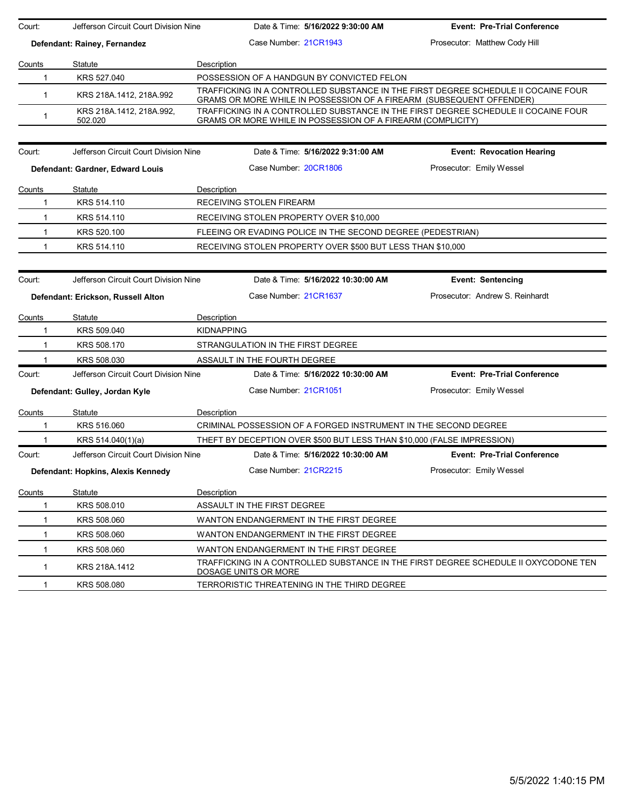| Court:       | Jefferson Circuit Court Division Nine |                   | Date & Time: 5/16/2022 9:30:00 AM                                       | <b>Event: Pre-Trial Conference</b>                                                  |
|--------------|---------------------------------------|-------------------|-------------------------------------------------------------------------|-------------------------------------------------------------------------------------|
|              | Defendant: Rainey, Fernandez          |                   | Case Number 21CR1943                                                    | Prosecutor: Matthew Cody Hill                                                       |
| Counts       | Statute                               | Description       |                                                                         |                                                                                     |
| 1            | KRS 527.040                           |                   | POSSESSION OF A HANDGUN BY CONVICTED FELON                              |                                                                                     |
| $\mathbf{1}$ | KRS 218A.1412, 218A.992               |                   | GRAMS OR MORE WHILE IN POSSESSION OF A FIREARM (SUBSEQUENT OFFENDER)    | TRAFFICKING IN A CONTROLLED SUBSTANCE IN THE FIRST DEGREE SCHEDULE II COCAINE FOUR  |
| $\mathbf{1}$ | KRS 218A.1412, 218A.992,<br>502.020   |                   | GRAMS OR MORE WHILE IN POSSESSION OF A FIREARM (COMPLICITY)             | TRAFFICKING IN A CONTROLLED SUBSTANCE IN THE FIRST DEGREE SCHEDULE II COCAINE FOUR  |
| Court:       | Jefferson Circuit Court Division Nine |                   | Date & Time: 5/16/2022 9:31:00 AM                                       | <b>Event: Revocation Hearing</b>                                                    |
|              | Defendant: Gardner, Edward Louis      |                   | Case Number 20CR1806                                                    | Prosecutor: Emily Wessel                                                            |
| Counts       | Statute                               | Description       |                                                                         |                                                                                     |
| $\mathbf{1}$ | KRS 514.110                           |                   | RECEIVING STOLEN FIREARM                                                |                                                                                     |
| $\mathbf{1}$ | KRS 514.110                           |                   | RECEIVING STOLEN PROPERTY OVER \$10,000                                 |                                                                                     |
| $\mathbf{1}$ | KRS 520.100                           |                   | FLEEING OR EVADING POLICE IN THE SECOND DEGREE (PEDESTRIAN)             |                                                                                     |
| $\mathbf{1}$ | KRS 514.110                           |                   | RECEIVING STOLEN PROPERTY OVER \$500 BUT LESS THAN \$10,000             |                                                                                     |
|              |                                       |                   |                                                                         |                                                                                     |
| Court:       | Jefferson Circuit Court Division Nine |                   | Date & Time: 5/16/2022 10:30:00 AM                                      | <b>Event: Sentencing</b>                                                            |
|              | Defendant: Erickson, Russell Alton    |                   | Case Number 21CR1637                                                    | Prosecutor: Andrew S. Reinhardt                                                     |
| Counts       | Statute                               | Description       |                                                                         |                                                                                     |
| 1            | KRS 509.040                           | <b>KIDNAPPING</b> |                                                                         |                                                                                     |
| $\mathbf{1}$ | KRS 508.170                           |                   | STRANGULATION IN THE FIRST DEGREE                                       |                                                                                     |
| 1            | KRS 508.030                           |                   | ASSAULT IN THE FOURTH DEGREE                                            |                                                                                     |
| Court:       | Jefferson Circuit Court Division Nine |                   | Date & Time: 5/16/2022 10:30:00 AM                                      | <b>Event: Pre-Trial Conference</b>                                                  |
|              | Defendant: Gulley, Jordan Kyle        |                   | Case Number 21CR1051                                                    | Prosecutor: Emily Wessel                                                            |
| Counts       | Statute                               | Description       |                                                                         |                                                                                     |
| 1            | KRS 516.060                           |                   | CRIMINAL POSSESSION OF A FORGED INSTRUMENT IN THE SECOND DEGREE         |                                                                                     |
| 1            | KRS 514.040(1)(a)                     |                   | THEFT BY DECEPTION OVER \$500 BUT LESS THAN \$10,000 (FALSE IMPRESSION) |                                                                                     |
| Court:       | Jefferson Circuit Court Division Nine |                   | Date & Time: 5/16/2022 10:30:00 AM                                      | <b>Event: Pre-Trial Conference</b>                                                  |
|              | Defendant: Hopkins, Alexis Kennedy    |                   | Case Number 21CR2215                                                    | Prosecutor: Emily Wessel                                                            |
| Counts       | Statute                               | Description       |                                                                         |                                                                                     |
| 1            | KRS 508.010                           |                   | ASSAULT IN THE FIRST DEGREE                                             |                                                                                     |
| 1            | KRS 508.060                           |                   | WANTON ENDANGERMENT IN THE FIRST DEGREE                                 |                                                                                     |
| 1            | KRS 508,060                           |                   | WANTON ENDANGERMENT IN THE FIRST DEGREE                                 |                                                                                     |
| 1            | KRS 508.060                           |                   | WANTON ENDANGERMENT IN THE FIRST DEGREE                                 |                                                                                     |
| 1            | KRS 218A 1412                         |                   | DOSAGE UNITS OR MORE                                                    | TRAFFICKING IN A CONTROLLED SUBSTANCE IN THE FIRST DEGREE SCHEDULE II OXYCODONE TEN |
| 1            | KRS 508.080                           |                   | TERRORISTIC THREATENING IN THE THIRD DEGREE                             |                                                                                     |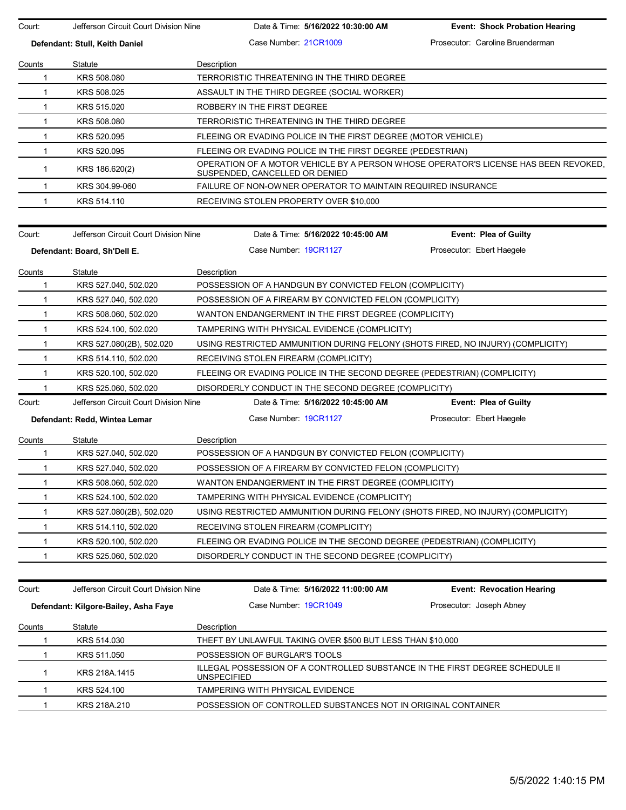Court: Jefferson Circuit Court Division Nine Date & Time: **5/16/2022 10:30:00 AM Event: Shock Probation Hearing Defendant: Stull, Keith Daniel Case Number: 21CR1009 Prosecutor: Caroline Bruenderman** Counts Statute **Description** 1 KRS 508.080 TERRORISTIC THREATENING IN THE THIRD DEGREE 1 KRS 508.025 ASSAULT IN THE THIRD DEGREE (SOCIAL WORKER) 1 KRS 515.020 ROBBERY IN THE FIRST DEGREE 1 KRS 508.080 TERRORISTIC THREATENING IN THE THIRD DEGREE 1 KRS 520.095 FLEEING OR EVADING POLICE IN THE FIRST DEGREE (MOTOR VEHICLE) 1 KRS 520.095 FLEEING OR EVADING POLICE IN THE FIRST DEGREE (PEDESTRIAN) 1 KRS 186.620(2) OPERATION OF A MOTOR VEHICLE BY A PERSON WHOSE OPERATOR'S LICENSE HAS BEEN REVOKED, SUSPENDED, CANCELLED OR DENIED 1 KRS 304.99-060 FAILURE OF NON-OWNER OPERATOR TO MAINTAIN REQUIRED INSURANCE 1 KRS 514.110 RECEIVING STOLEN PROPERTY OVER \$10,000 Court: Jefferson Circuit Court Division Nine Date & Time: **5/16/2022 10:45:00 AM Event: Plea of Guilty Defendant: Board, Sh'Dell E.** Case Number: 19CR1127 Prosecutor: Ebert Haegele Counts Statute Description 1 KRS 527.040, 502.020 POSSESSION OF A HANDGUN BY CONVICTED FELON (COMPLICITY) 1 KRS 527.040, 502.020 POSSESSION OF A FIREARM BY CONVICTED FELON (COMPLICITY) 1 KRS 508.060, 502.020 WANTON ENDANGERMENT IN THE FIRST DEGREE (COMPLICITY) 1 KRS 524.100, 502.020 TAMPERING WITH PHYSICAL EVIDENCE (COMPLICITY) 1 KRS 527.080(2B), 502.020 USING RESTRICTED AMMUNITION DURING FELONY (SHOTS FIRED, NO INJURY) (COMPLICITY) 1 KRS 514.110, 502.020 RECEIVING STOLEN FIREARM (COMPLICITY) 1 KRS 520.100, 502.020 FLEEING OR EVADING POLICE IN THE SECOND DEGREE (PEDESTRIAN) (COMPLICITY) 1 KRS 525.060, 502.020 DISORDERLY CONDUCT IN THE SECOND DEGREE (COMPLICITY) Court: Jefferson Circuit Court Division Nine Date & Time: **5/16/2022 10:45:00 AM Event: Plea of Guilty Defendant: Redd, Wintea Lemar Case Number: 19CR1127** Prosecutor: Ebert Haegele Counts Statute **Description** 1 KRS 527.040, 502.020 POSSESSION OF A HANDGUN BY CONVICTED FELON (COMPLICITY) 1 KRS 527.040, 502.020 POSSESSION OF A FIREARM BY CONVICTED FELON (COMPLICITY) 1 KRS 508.060, 502.020 WANTON ENDANGERMENT IN THE FIRST DEGREE (COMPLICITY) 1 KRS 524.100, 502.020 TAMPERING WITH PHYSICAL EVIDENCE (COMPLICITY) 1 KRS 527.080(2B), 502.020 USING RESTRICTED AMMUNITION DURING FELONY (SHOTS FIRED, NO INJURY) (COMPLICITY) 1 KRS 514.110, 502.020 RECEIVING STOLEN FIREARM (COMPLICITY) 1 KRS 520.100, 502.020 FLEEING OR EVADING POLICE IN THE SECOND DEGREE (PEDESTRIAN) (COMPLICITY) 1 KRS 525.060, 502.020 DISORDERLY CONDUCT IN THE SECOND DEGREE (COMPLICITY) Court: Jefferson Circuit Court Division Nine Date & Time: **5/16/2022 11:00:00 AM Event: Revocation Hearing Defendant: Kilgore-Bailey, Asha Faye Case Number: 19CR1049** Prosecutor: Joseph Abney Counts Statute Description 1 KRS 514.030 THEFT BY UNLAWFUL TAKING OVER \$500 BUT LESS THAN \$10,000 1 KRS 511.050 POSSESSION OF BURGLAR'S TOOLS 1 KRS 218A.1415 ILLEGAL POSSESSION OF A CONTROLLED SUBSTANCE IN THE FIRST DEGREE SCHEDULE II UNSPECIFIED 1 KRS 524.100 TAMPERING WITH PHYSICAL EVIDENCE 1 KRS 218A.210 POSSESSION OF CONTROLLED SUBSTANCES NOT IN ORIGINAL CONTAINER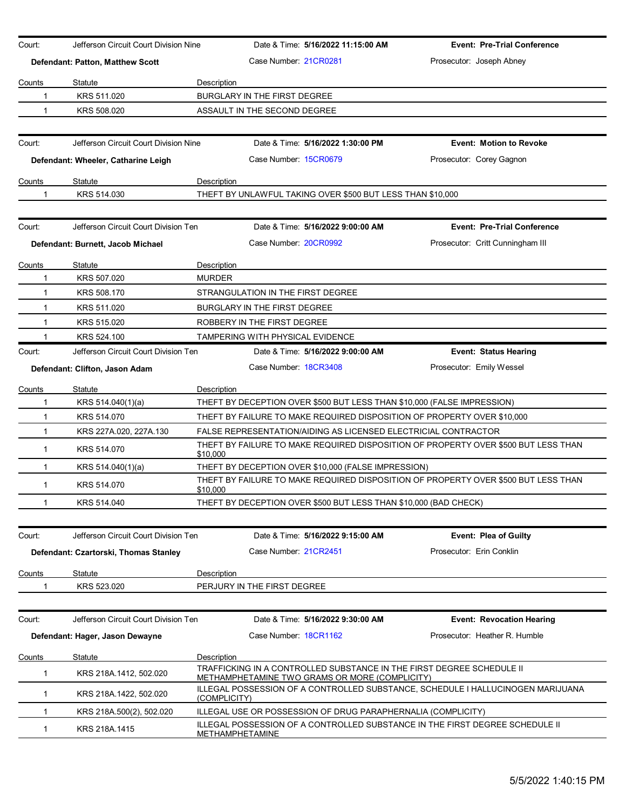| Court:                           | Jefferson Circuit Court Division Nine |                                                                  | Date & Time: 5/16/2022 11:15:00 AM | <b>Event: Pre-Trial Conference</b>                                                 |
|----------------------------------|---------------------------------------|------------------------------------------------------------------|------------------------------------|------------------------------------------------------------------------------------|
| Defendant: Patton, Matthew Scott |                                       | Case Number 21CR0281                                             |                                    | Prosecutor: Joseph Abney                                                           |
| Counts                           | Statute                               | Description                                                      |                                    |                                                                                    |
| 1                                | KRS 511.020                           | BURGLARY IN THE FIRST DEGREE                                     |                                    |                                                                                    |
| $\mathbf{1}$                     | KRS 508.020                           | ASSAULT IN THE SECOND DEGREE                                     |                                    |                                                                                    |
|                                  |                                       |                                                                  |                                    |                                                                                    |
| Court:                           | Jefferson Circuit Court Division Nine |                                                                  | Date & Time: 5/16/2022 1:30:00 PM  | <b>Event: Motion to Revoke</b>                                                     |
|                                  | Defendant: Wheeler, Catharine Leigh   | Case Number 15CR0679                                             |                                    | Prosecutor: Corey Gagnon                                                           |
| Counts                           | Statute                               | Description                                                      |                                    |                                                                                    |
| 1                                | KRS 514.030                           | THEFT BY UNLAWFUL TAKING OVER \$500 BUT LESS THAN \$10,000       |                                    |                                                                                    |
|                                  |                                       |                                                                  |                                    |                                                                                    |
| Court:                           | Jefferson Circuit Court Division Ten  |                                                                  | Date & Time: 5/16/2022 9:00:00 AM  | <b>Event: Pre-Trial Conference</b>                                                 |
|                                  | Defendant: Burnett, Jacob Michael     | Case Number: 20CR0992                                            |                                    | Prosecutor: Critt Cunningham III                                                   |
| Counts                           | Statute                               | Description                                                      |                                    |                                                                                    |
| 1                                | KRS 507.020                           | <b>MURDER</b>                                                    |                                    |                                                                                    |
| 1                                | KRS 508.170                           | STRANGULATION IN THE FIRST DEGREE                                |                                    |                                                                                    |
| $\mathbf{1}$                     | KRS 511.020                           | BURGLARY IN THE FIRST DEGREE                                     |                                    |                                                                                    |
| $\mathbf{1}$                     | KRS 515.020                           | ROBBERY IN THE FIRST DEGREE                                      |                                    |                                                                                    |
| 1                                | KRS 524.100                           | TAMPERING WITH PHYSICAL EVIDENCE                                 |                                    |                                                                                    |
| Court:                           | Jefferson Circuit Court Division Ten  |                                                                  | Date & Time: 5/16/2022 9:00:00 AM  | <b>Event: Status Hearing</b>                                                       |
|                                  | Defendant: Clifton, Jason Adam        | Case Number 18CR3408                                             |                                    | Prosecutor: Emily Wessel                                                           |
| Counts                           | Statute                               | Description                                                      |                                    |                                                                                    |
| 1                                | KRS 514.040(1)(a)                     |                                                                  |                                    | THEFT BY DECEPTION OVER \$500 BUT LESS THAN \$10,000 (FALSE IMPRESSION)            |
| $\mathbf{1}$                     | KRS 514.070                           |                                                                  |                                    | THEFT BY FAILURE TO MAKE REQUIRED DISPOSITION OF PROPERTY OVER \$10,000            |
| $\mathbf{1}$                     | KRS 227A.020, 227A.130                | FALSE REPRESENTATION/AIDING AS LICENSED ELECTRICIAL CONTRACTOR   |                                    |                                                                                    |
| 1                                | KRS 514.070                           | \$10,000                                                         |                                    | THEFT BY FAILURE TO MAKE REQUIRED DISPOSITION OF PROPERTY OVER \$500 BUT LESS THAN |
| 1                                | KRS 514.040(1)(a)                     | THEFT BY DECEPTION OVER \$10,000 (FALSE IMPRESSION)              |                                    |                                                                                    |
| $\mathbf{1}$                     | KRS 514.070                           | \$10,000                                                         |                                    | THEFT BY FAILURE TO MAKE REQUIRED DISPOSITION OF PROPERTY OVER \$500 BUT LESS THAN |
| $\mathbf 1$                      | KRS 514.040                           | THEFT BY DECEPTION OVER \$500 BUT LESS THAN \$10,000 (BAD CHECK) |                                    |                                                                                    |
|                                  |                                       |                                                                  |                                    |                                                                                    |
| Court:                           | Jefferson Circuit Court Division Ten  |                                                                  | Date & Time: 5/16/2022 9:15:00 AM  | Event: Plea of Guilty                                                              |
|                                  | Defendant: Czartorski, Thomas Stanley | Case Number 21CR2451                                             |                                    | Prosecutor: Erin Conklin                                                           |
| Counts                           | Statute                               | Description                                                      |                                    |                                                                                    |
| 1                                | KRS 523.020                           | PERJURY IN THE FIRST DEGREE                                      |                                    |                                                                                    |
|                                  |                                       |                                                                  |                                    |                                                                                    |
| Court:                           | Jefferson Circuit Court Division Ten  |                                                                  | Date & Time: 5/16/2022 9:30:00 AM  | <b>Event: Revocation Hearing</b>                                                   |
|                                  | Defendant: Hager, Jason Dewayne       | Case Number 18CR1162                                             |                                    | Prosecutor: Heather R. Humble                                                      |
| <b>Counts</b>                    | Statute                               | Description                                                      |                                    |                                                                                    |
| 1                                | KRS 218A.1412, 502.020                | METHAMPHETAMINE TWO GRAMS OR MORE (COMPLICITY)                   |                                    | TRAFFICKING IN A CONTROLLED SUBSTANCE IN THE FIRST DEGREE SCHEDULE II              |
| 1                                | KRS 218A.1422, 502.020                | (COMPLICITY)                                                     |                                    | ILLEGAL POSSESSION OF A CONTROLLED SUBSTANCE, SCHEDULE I HALLUCINOGEN MARIJUANA    |
| 1                                | KRS 218A.500(2), 502.020              | ILLEGAL USE OR POSSESSION OF DRUG PARAPHERNALIA (COMPLICITY)     |                                    |                                                                                    |
| 1                                | KRS 218A.1415                         | METHAMPHETAMINE                                                  |                                    | ILLEGAL POSSESSION OF A CONTROLLED SUBSTANCE IN THE FIRST DEGREE SCHEDULE II       |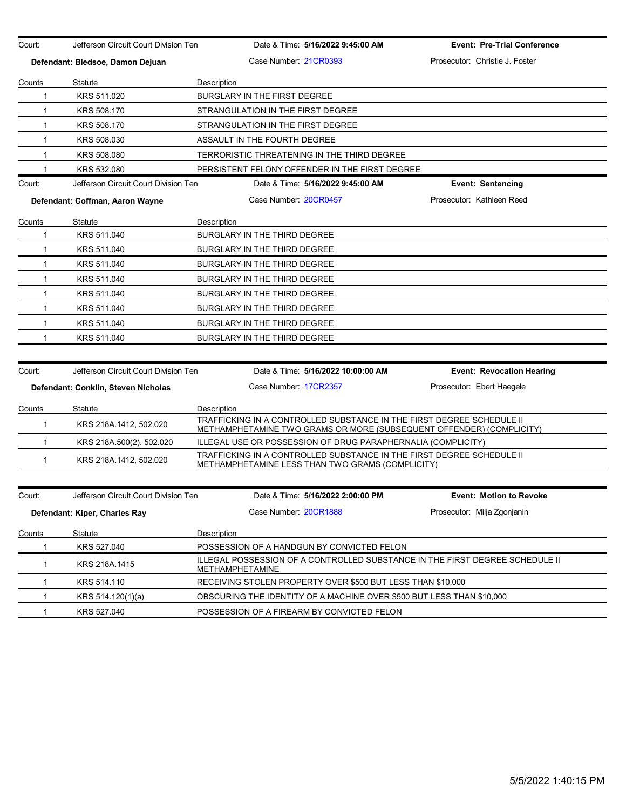| Court:        | Jefferson Circuit Court Division Ten | Date & Time: 5/16/2022 9:45:00 AM                                                                                                             | <b>Event: Pre-Trial Conference</b> |
|---------------|--------------------------------------|-----------------------------------------------------------------------------------------------------------------------------------------------|------------------------------------|
|               | Defendant: Bledsoe, Damon Dejuan     | Case Number 21CR0393                                                                                                                          | Prosecutor: Christie J. Foster     |
|               |                                      |                                                                                                                                               |                                    |
| Counts<br>1   | Statute<br>KRS 511.020               | Description<br><b>BURGLARY IN THE FIRST DEGREE</b>                                                                                            |                                    |
| $\mathbf{1}$  | KRS 508.170                          | STRANGULATION IN THE FIRST DEGREE                                                                                                             |                                    |
| 1             | KRS 508.170                          | STRANGULATION IN THE FIRST DEGREE                                                                                                             |                                    |
| 1             | KRS 508.030                          | ASSAULT IN THE FOURTH DEGREE                                                                                                                  |                                    |
| $\mathbf{1}$  | KRS 508,080                          | TERRORISTIC THREATENING IN THE THIRD DEGREE                                                                                                   |                                    |
| 1             | KRS 532.080                          | PERSISTENT FELONY OFFENDER IN THE FIRST DEGREE                                                                                                |                                    |
| Court:        | Jefferson Circuit Court Division Ten | Date & Time: 5/16/2022 9:45:00 AM                                                                                                             | <b>Event: Sentencing</b>           |
|               |                                      | Case Number 20CR0457                                                                                                                          | Prosecutor: Kathleen Reed          |
|               | Defendant: Coffman, Aaron Wayne      |                                                                                                                                               |                                    |
| Counts        | Statute                              | Description                                                                                                                                   |                                    |
| 1             | KRS 511.040                          | <b>BURGLARY IN THE THIRD DEGREE</b>                                                                                                           |                                    |
| 1             | KRS 511.040                          | BURGLARY IN THE THIRD DEGREE                                                                                                                  |                                    |
| $\mathbf{1}$  | KRS 511.040                          | BURGLARY IN THE THIRD DEGREE                                                                                                                  |                                    |
| $\mathbf{1}$  | KRS 511.040                          | BURGLARY IN THE THIRD DEGREE                                                                                                                  |                                    |
| $\mathbf{1}$  | KRS 511.040                          | BURGLARY IN THE THIRD DEGREE                                                                                                                  |                                    |
| $\mathbf{1}$  | KRS 511.040                          | <b>BURGLARY IN THE THIRD DEGREE</b>                                                                                                           |                                    |
| 1             | KRS 511.040                          | BURGLARY IN THE THIRD DEGREE                                                                                                                  |                                    |
| $\mathbf{1}$  | KRS 511.040                          | BURGLARY IN THE THIRD DEGREE                                                                                                                  |                                    |
|               |                                      |                                                                                                                                               |                                    |
| Court:        | Jefferson Circuit Court Division Ten | Date & Time: 5/16/2022 10:00:00 AM                                                                                                            | <b>Event: Revocation Hearing</b>   |
|               | Defendant: Conklin, Steven Nicholas  | Case Number 17CR2357                                                                                                                          | Prosecutor: Ebert Haegele          |
| Counts        | Statute                              | Description                                                                                                                                   |                                    |
| $\mathbf{1}$  | KRS 218A.1412, 502.020               | TRAFFICKING IN A CONTROLLED SUBSTANCE IN THE FIRST DEGREE SCHEDULE II<br>METHAMPHETAMINE TWO GRAMS OR MORE (SUBSEQUENT OFFENDER) (COMPLICITY) |                                    |
| $\mathbf{1}$  | KRS 218A.500(2), 502.020             | ILLEGAL USE OR POSSESSION OF DRUG PARAPHERNALIA (COMPLICITY)                                                                                  |                                    |
| 1             | KRS 218A.1412, 502.020               | TRAFFICKING IN A CONTROLLED SUBSTANCE IN THE FIRST DEGREE SCHEDULE II<br>METHAMPHETAMINE LESS THAN TWO GRAMS (COMPLICITY)                     |                                    |
|               |                                      |                                                                                                                                               |                                    |
| Court:        | Jefferson Circuit Court Division Ten | Date & Time: 5/16/2022 2:00:00 PM                                                                                                             | Event: Motion to Revoke            |
|               | Defendant: Kiper, Charles Ray        | Case Number: 20CR1888                                                                                                                         | Prosecutor: Milja Zgonjanin        |
| <b>Counts</b> | Statute                              | Description                                                                                                                                   |                                    |
| 1             | KRS 527.040                          | POSSESSION OF A HANDGUN BY CONVICTED FELON                                                                                                    |                                    |
| 1             | KRS 218A.1415                        | ILLEGAL POSSESSION OF A CONTROLLED SUBSTANCE IN THE FIRST DEGREE SCHEDULE II<br><b>METHAMPHETAMINE</b>                                        |                                    |
| 1             | KRS 514.110                          | RECEIVING STOLEN PROPERTY OVER \$500 BUT LESS THAN \$10,000                                                                                   |                                    |
| $\mathbf 1$   | KRS 514.120(1)(a)                    | OBSCURING THE IDENTITY OF A MACHINE OVER \$500 BUT LESS THAN \$10,000                                                                         |                                    |
| $\mathbf{1}$  | KRS 527.040                          | POSSESSION OF A FIREARM BY CONVICTED FELON                                                                                                    |                                    |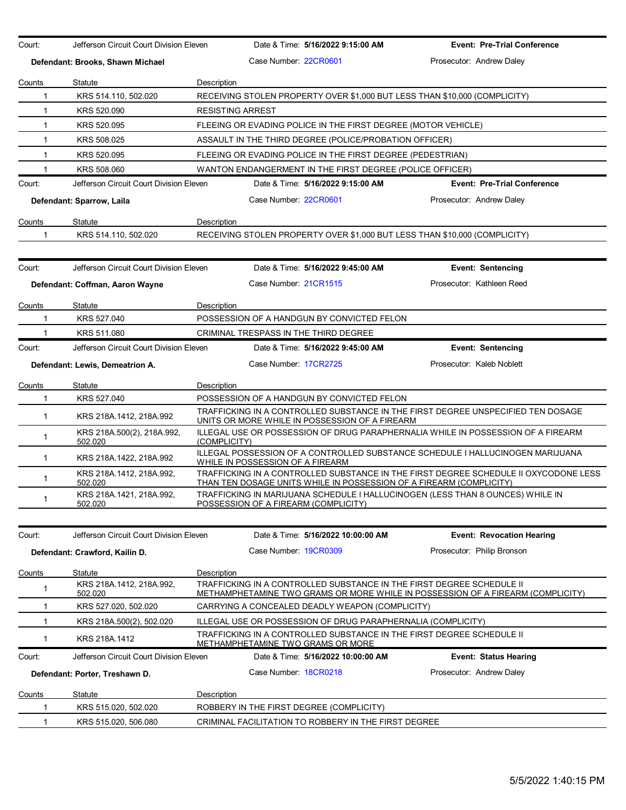| Court:                | Jefferson Circuit Court Division Eleven |              |                                      | Date & Time: 5/16/2022 9:15:00 AM                             | <b>Event: Pre-Trial Conference</b>                                                                                                                          |
|-----------------------|-----------------------------------------|--------------|--------------------------------------|---------------------------------------------------------------|-------------------------------------------------------------------------------------------------------------------------------------------------------------|
|                       | Defendant: Brooks, Shawn Michael        |              | Case Number 22CR0601                 |                                                               | Prosecutor: Andrew Daley                                                                                                                                    |
|                       |                                         |              |                                      |                                                               |                                                                                                                                                             |
| Counts                | Statute                                 | Description  |                                      |                                                               |                                                                                                                                                             |
| $\mathbf{1}$          | KRS 514.110, 502.020                    |              |                                      |                                                               | RECEIVING STOLEN PROPERTY OVER \$1,000 BUT LESS THAN \$10,000 (COMPLICITY)                                                                                  |
| $\mathbf{1}$          | KRS 520.090                             |              | <b>RESISTING ARREST</b>              |                                                               |                                                                                                                                                             |
| $\mathbf{1}$          | KRS 520.095                             |              |                                      | FLEEING OR EVADING POLICE IN THE FIRST DEGREE (MOTOR VEHICLE) |                                                                                                                                                             |
| $\mathbf{1}$          | KRS 508.025                             |              |                                      | ASSAULT IN THE THIRD DEGREE (POLICE/PROBATION OFFICER)        |                                                                                                                                                             |
| $\mathbf{1}$          | KRS 520.095                             |              |                                      | FLEEING OR EVADING POLICE IN THE FIRST DEGREE (PEDESTRIAN)    |                                                                                                                                                             |
| 1                     | KRS 508.060                             |              |                                      | WANTON ENDANGERMENT IN THE FIRST DEGREE (POLICE OFFICER)      |                                                                                                                                                             |
| Court:                | Jefferson Circuit Court Division Eleven |              |                                      | Date & Time: 5/16/2022 9:15:00 AM                             | <b>Event: Pre-Trial Conference</b>                                                                                                                          |
|                       | Defendant: Sparrow, Laila               |              | Case Number: 22CR0601                |                                                               | Prosecutor: Andrew Daley                                                                                                                                    |
| Counts                | Statute                                 | Description  |                                      |                                                               |                                                                                                                                                             |
| 1                     | KRS 514.110, 502.020                    |              |                                      |                                                               | RECEIVING STOLEN PROPERTY OVER \$1,000 BUT LESS THAN \$10,000 (COMPLICITY)                                                                                  |
|                       |                                         |              |                                      |                                                               |                                                                                                                                                             |
| Court:                | Jefferson Circuit Court Division Eleven |              |                                      | Date & Time: 5/16/2022 9:45:00 AM                             | <b>Event: Sentencing</b>                                                                                                                                    |
|                       | Defendant: Coffman, Aaron Wayne         |              | Case Number: 21CR1515                |                                                               | Prosecutor: Kathleen Reed                                                                                                                                   |
| Counts                | Statute                                 | Description  |                                      |                                                               |                                                                                                                                                             |
| -1                    | KRS 527,040                             |              |                                      | POSSESSION OF A HANDGUN BY CONVICTED FELON                    |                                                                                                                                                             |
|                       | KRS 511.080                             |              |                                      | CRIMINAL TRESPASS IN THE THIRD DEGREE                         |                                                                                                                                                             |
| Court:                | Jefferson Circuit Court Division Eleven |              |                                      | Date & Time: 5/16/2022 9:45:00 AM                             | <b>Event: Sentencing</b>                                                                                                                                    |
|                       | Defendant: Lewis, Demeatrion A.         |              | Case Number 17CR2725                 |                                                               | Prosecutor: Kaleb Noblett                                                                                                                                   |
|                       |                                         |              |                                      |                                                               |                                                                                                                                                             |
| Counts<br>$\mathbf 1$ | Statute<br>KRS 527.040                  | Description  |                                      | POSSESSION OF A HANDGUN BY CONVICTED FELON                    |                                                                                                                                                             |
| $\mathbf{1}$          | KRS 218A.1412, 218A.992                 |              |                                      |                                                               | TRAFFICKING IN A CONTROLLED SUBSTANCE IN THE FIRST DEGREE UNSPECIFIED TEN DOSAGE                                                                            |
| $\mathbf 1$           | KRS 218A.500(2), 218A.992,              |              |                                      | UNITS OR MORE WHILE IN POSSESSION OF A FIREARM                | ILLEGAL USE OR POSSESSION OF DRUG PARAPHERNALIA WHILE IN POSSESSION OF A FIREARM                                                                            |
|                       | 502.020                                 | (COMPLICITY) |                                      |                                                               | ILLEGAL POSSESSION OF A CONTROLLED SUBSTANCE SCHEDULE I HALLUCINOGEN MARIJUANA                                                                              |
| $\mathbf{1}$          | KRS 218A.1422, 218A.992                 |              | WHILE IN POSSESSION OF A FIREARM     |                                                               |                                                                                                                                                             |
| $\mathbf{1}$          | KRS 218A.1412, 218A.992,<br>502.020     |              |                                      |                                                               | TRAFFICKING IN A CONTROLLED SUBSTANCE IN THE FIRST DEGREE SCHEDULE II OXYCODONE LESS<br>THAN TEN DOSAGE UNITS WHILE IN POSSESSION OF A FIREARM (COMPLICITY) |
| 1                     | KRS 218A.1421, 218A.992,<br>502.020     |              | POSSESSION OF A FIREARM (COMPLICITY) |                                                               | TRAFFICKING IN MARIJUANA SCHEDULE I HALLUCINOGEN (LESS THAN 8 OUNCES) WHILE IN                                                                              |
|                       |                                         |              |                                      |                                                               |                                                                                                                                                             |
| Court:                | Jefferson Circuit Court Division Eleven |              |                                      | Date & Time: 5/16/2022 10:00:00 AM                            | <b>Event: Revocation Hearing</b>                                                                                                                            |
|                       | Defendant: Crawford, Kailin D.          |              | Case Number 19CR0309                 |                                                               | Prosecutor: Philip Bronson                                                                                                                                  |
| Counts                | <b>Statute</b>                          | Description  |                                      |                                                               |                                                                                                                                                             |
| $\mathbf 1$           | KRS 218A.1412, 218A.992,<br>502.020     |              |                                      |                                                               | TRAFFICKING IN A CONTROLLED SUBSTANCE IN THE FIRST DEGREE SCHEDULE II<br>METHAMPHETAMINE TWO GRAMS OR MORE WHILE IN POSSESSION OF A FIREARM (COMPLICITY)    |
| -1                    | KRS 527.020, 502.020                    |              |                                      | CARRYING A CONCEALED DEADLY WEAPON (COMPLICITY)               |                                                                                                                                                             |
| 1                     | KRS 218A 500(2), 502.020                |              |                                      | ILLEGAL USE OR POSSESSION OF DRUG PARAPHERNALIA (COMPLICITY)  |                                                                                                                                                             |
| $\mathbf{1}$          | KRS 218A.1412                           |              |                                      | <b>METHAMPHETAMINE TWO GRAMS OR MORE</b>                      | TRAFFICKING IN A CONTROLLED SUBSTANCE IN THE FIRST DEGREE SCHEDULE II                                                                                       |
| Court:                | Jefferson Circuit Court Division Eleven |              |                                      | Date & Time: 5/16/2022 10:00:00 AM                            | <b>Event: Status Hearing</b>                                                                                                                                |
|                       | Defendant: Porter, Treshawn D.          |              | Case Number: 18CR0218                |                                                               | Prosecutor: Andrew Daley                                                                                                                                    |
| Counts                | Statute                                 | Description  |                                      |                                                               |                                                                                                                                                             |
| 1                     | KRS 515.020, 502.020                    |              |                                      | ROBBERY IN THE FIRST DEGREE (COMPLICITY)                      |                                                                                                                                                             |
| $\mathbf{1}$          | KRS 515.020, 506.080                    |              |                                      | CRIMINAL FACILITATION TO ROBBERY IN THE FIRST DEGREE          |                                                                                                                                                             |
|                       |                                         |              |                                      |                                                               |                                                                                                                                                             |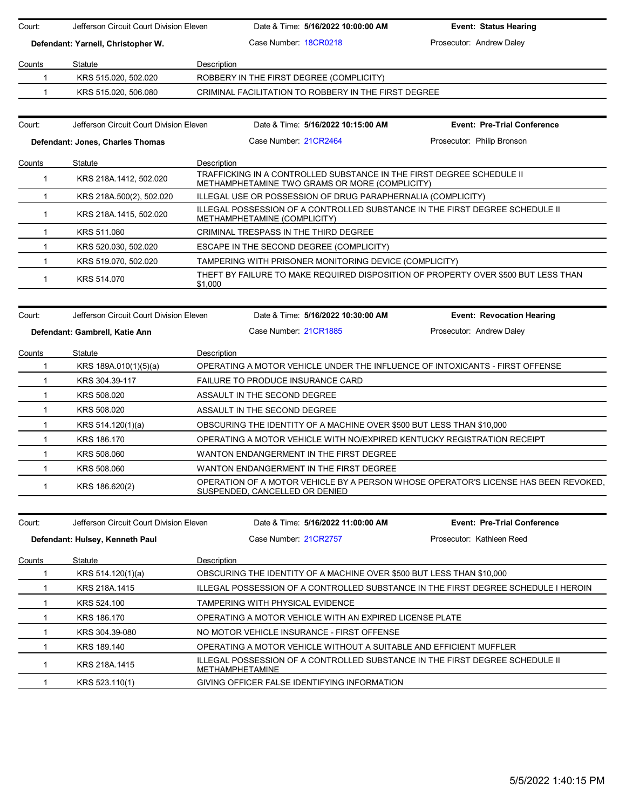| Court:        | Jefferson Circuit Court Division Eleven |             | Date & Time: 5/16/2022 10:00:00 AM                                                                                      | <b>Event: Status Hearing</b>                                                        |
|---------------|-----------------------------------------|-------------|-------------------------------------------------------------------------------------------------------------------------|-------------------------------------------------------------------------------------|
|               | Defendant: Yarnell, Christopher W.      |             | Case Number 18CR0218                                                                                                    | Prosecutor: Andrew Daley                                                            |
| Counts        | Statute                                 | Description |                                                                                                                         |                                                                                     |
| $\mathbf 1$   | KRS 515.020, 502.020                    |             | ROBBERY IN THE FIRST DEGREE (COMPLICITY)                                                                                |                                                                                     |
| 1             | KRS 515.020, 506.080                    |             | CRIMINAL FACILITATION TO ROBBERY IN THE FIRST DEGREE                                                                    |                                                                                     |
|               |                                         |             |                                                                                                                         |                                                                                     |
| Court:        | Jefferson Circuit Court Division Eleven |             | Date & Time: 5/16/2022 10:15:00 AM                                                                                      | <b>Event: Pre-Trial Conference</b>                                                  |
|               | Defendant: Jones, Charles Thomas        |             | Case Number 21CR2464                                                                                                    | Prosecutor: Philip Bronson                                                          |
| <b>Counts</b> | Statute                                 | Description |                                                                                                                         |                                                                                     |
| $\mathbf{1}$  | KRS 218A.1412, 502.020                  |             | TRAFFICKING IN A CONTROLLED SUBSTANCE IN THE FIRST DEGREE SCHEDULE II<br>METHAMPHETAMINE TWO GRAMS OR MORE (COMPLICITY) |                                                                                     |
| $\mathbf{1}$  | KRS 218A.500(2), 502.020                |             | ILLEGAL USE OR POSSESSION OF DRUG PARAPHERNALIA (COMPLICITY)                                                            |                                                                                     |
| 1             | KRS 218A 1415, 502.020                  |             | ILLEGAL POSSESSION OF A CONTROLLED SUBSTANCE IN THE FIRST DEGREE SCHEDULE II<br>METHAMPHETAMINE (COMPLICITY)            |                                                                                     |
| 1             | KRS 511.080                             |             | CRIMINAL TRESPASS IN THE THIRD DEGREE                                                                                   |                                                                                     |
| 1.            | KRS 520.030, 502.020                    |             | ESCAPE IN THE SECOND DEGREE (COMPLICITY)                                                                                |                                                                                     |
| $\mathbf 1$   | KRS 519.070, 502.020                    |             | TAMPERING WITH PRISONER MONITORING DEVICE (COMPLICITY)                                                                  |                                                                                     |
| $\mathbf{1}$  | KRS 514.070                             | \$1,000     |                                                                                                                         | THEFT BY FAILURE TO MAKE REQUIRED DISPOSITION OF PROPERTY OVER \$500 BUT LESS THAN  |
|               |                                         |             |                                                                                                                         |                                                                                     |
| Court:        | Jefferson Circuit Court Division Eleven |             | Date & Time: 5/16/2022 10:30:00 AM                                                                                      | <b>Event: Revocation Hearing</b>                                                    |
|               | Defendant: Gambrell, Katie Ann          |             | Case Number 21CR1885                                                                                                    | Prosecutor: Andrew Daley                                                            |
|               |                                         |             |                                                                                                                         |                                                                                     |
| Counts        | Statute                                 | Description |                                                                                                                         |                                                                                     |
| $\mathbf{1}$  | KRS 189A.010(1)(5)(a)                   |             | OPERATING A MOTOR VEHICLE UNDER THE INFLUENCE OF INTOXICANTS - FIRST OFFENSE                                            |                                                                                     |
| $\mathbf 1$   | KRS 304.39-117                          |             | <b>FAILURE TO PRODUCE INSURANCE CARD</b>                                                                                |                                                                                     |
| $\mathbf 1$   | KRS 508.020                             |             | ASSAULT IN THE SECOND DEGREE                                                                                            |                                                                                     |
| $\mathbf 1$   | KRS 508.020                             |             | ASSAULT IN THE SECOND DEGREE                                                                                            |                                                                                     |
| 1             | KRS 514.120(1)(a)                       |             | OBSCURING THE IDENTITY OF A MACHINE OVER \$500 BUT LESS THAN \$10,000                                                   |                                                                                     |
| $\mathbf 1$   | KRS 186.170                             |             | OPERATING A MOTOR VEHICLE WITH NO/EXPIRED KENTUCKY REGISTRATION RECEIPT                                                 |                                                                                     |
| $\mathbf{1}$  | KRS 508.060                             |             | WANTON ENDANGERMENT IN THE FIRST DEGREE                                                                                 |                                                                                     |
| $\mathbf{1}$  | KRS 508,060                             |             | WANTON ENDANGERMENT IN THE FIRST DEGREE                                                                                 |                                                                                     |
| $\mathbf 1$   | KRS 186.620(2)                          |             | SUSPENDED, CANCELLED OR DENIED                                                                                          | OPERATION OF A MOTOR VEHICLE BY A PERSON WHOSE OPERATOR'S LICENSE HAS BEEN REVOKED. |
|               |                                         |             | Date & Time: 5/16/2022 11:00:00 AM                                                                                      |                                                                                     |
| Court:        | Jefferson Circuit Court Division Eleven |             |                                                                                                                         | <b>Event: Pre-Trial Conference</b>                                                  |
|               | Defendant: Hulsey, Kenneth Paul         |             | Case Number 21CR2757                                                                                                    | Prosecutor: Kathleen Reed                                                           |
| Counts        | Statute                                 | Description |                                                                                                                         |                                                                                     |
| 1             | KRS 514.120(1)(a)                       |             | OBSCURING THE IDENTITY OF A MACHINE OVER \$500 BUT LESS THAN \$10,000                                                   |                                                                                     |
| 1             | KRS 218A.1415                           |             |                                                                                                                         | ILLEGAL POSSESSION OF A CONTROLLED SUBSTANCE IN THE FIRST DEGREE SCHEDULE I HEROIN  |
| 1             | KRS 524.100                             |             | TAMPERING WITH PHYSICAL EVIDENCE                                                                                        |                                                                                     |
| 1             | KRS 186.170                             |             | OPERATING A MOTOR VEHICLE WITH AN EXPIRED LICENSE PLATE                                                                 |                                                                                     |
| 1             | KRS 304.39-080                          |             | NO MOTOR VEHICLE INSURANCE - FIRST OFFENSE                                                                              |                                                                                     |
| 1             | KRS 189.140                             |             | OPERATING A MOTOR VEHICLE WITHOUT A SUITABLE AND EFFICIENT MUFFLER                                                      |                                                                                     |
| 1             | KRS 218A.1415                           |             | ILLEGAL POSSESSION OF A CONTROLLED SUBSTANCE IN THE FIRST DEGREE SCHEDULE II<br>METHAMPHETAMINE                         |                                                                                     |
| 1             | KRS 523.110(1)                          |             | GIVING OFFICER FALSE IDENTIFYING INFORMATION                                                                            |                                                                                     |
|               |                                         |             |                                                                                                                         |                                                                                     |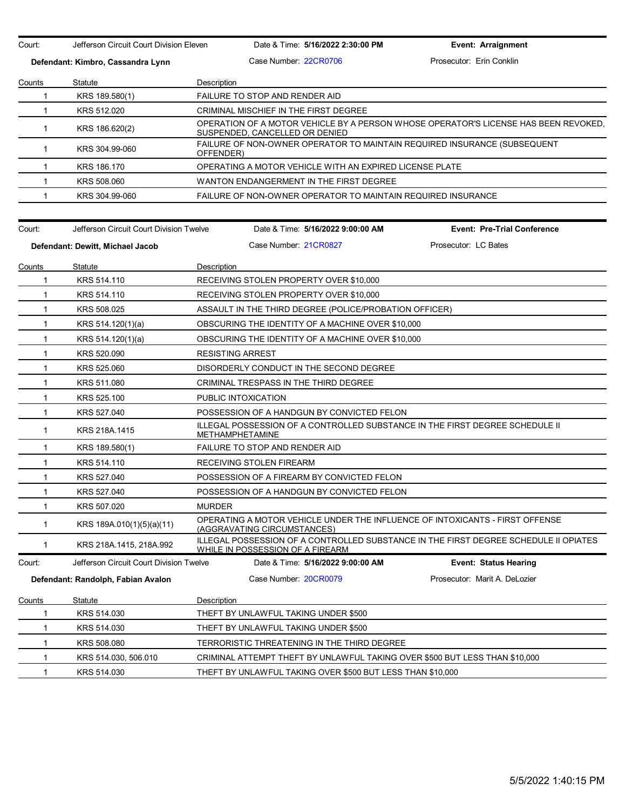Court: Jefferson Circuit Court Division Eleven Date & Time: **5/16/2022 2:30:00 PM Event: Arraignment Defendant: Kimbro, Cassandra Lynn** Case Number: 22CR0706 Prosecutor: Erin Conklin Counts Statute **Description** 1 KRS 189.580(1) FAILURE TO STOP AND RENDER AID 1 KRS 512.020 CRIMINAL MISCHIEF IN THE FIRST DEGREE 1 KRS 186.620(2) OPERATION OF A MOTOR VEHICLE BY A PERSON WHOSE OPERATOR'S LICENSE HAS BEEN REVOKED, SUSPENDED, CANCELLED OR DENIED 1 KRS 304.99-060 FAILURE OF NON-OWNER OPERATOR TO MAINTAIN REQUIRED INSURANCE (SUBSEQUENT OFFENDER) 1 KRS 186.170 OPERATING A MOTOR VEHICLE WITH AN EXPIRED LICENSE PLATE 1 KRS 508.060 WANTON ENDANGERMENT IN THE FIRST DEGREE 1 KRS 304.99-060 FAILURE OF NON-OWNER OPERATOR TO MAINTAIN REQUIRED INSURANCE Court: Jefferson Circuit Court Division Twelve Date & Time: **5/16/2022 9:00:00 AM Event: Pre-Trial Conference Defendant: Dewitt, Michael Jacob** Case Number: 21CR0827 Prosecutor: LC Bates Counts Statute Description 1 KRS 514.110 RECEIVING STOLEN PROPERTY OVER \$10,000 1 KRS 514.110 RECEIVING STOLEN PROPERTY OVER \$10,000 1 KRS 508.025 ASSAULT IN THE THIRD DEGREE (POLICE/PROBATION OFFICER) 1 KRS 514.120(1)(a) OBSCURING THE IDENTITY OF A MACHINE OVER \$10,000 1 KRS 514.120(1)(a) OBSCURING THE IDENTITY OF A MACHINE OVER \$10,000 1 KRS 520.090 RESISTING ARREST 1 KRS 525.060 DISORDERLY CONDUCT IN THE SECOND DEGREE 1 KRS 511.080 CRIMINAL TRESPASS IN THE THIRD DEGREE 1 KRS 525.100 PUBLIC INTOXICATION 1 KRS 527.040 POSSESSION OF A HANDGUN BY CONVICTED FELON 1 KRS 218A 1415 ILLEGAL POSSESSION OF A CONTROLLED SUBSTANCE IN THE FIRST DEGREE SCHEDULE II METHAMPHETAMINE 1 KRS 189.580(1) FAILURE TO STOP AND RENDER AID 1 KRS 514.110 RECEIVING STOLEN FIREARM 1 KRS 527.040 POSSESSION OF A FIREARM BY CONVICTED FELON 1 KRS 527.040 POSSESSION OF A HANDGUN BY CONVICTED FELON 1 KRS 507.020 MURDER 1 KRS 189A.010(1)(5)(a)(11) OPERATING A MOTOR VEHICLE UNDER THE INFLUENCE OF INTOXICANTS - FIRST OFFENSE (AGGRAVATING CIRCUMSTANCES) 1 KRS 218A.1415, 218A.992 ILLEGAL POSSESSION OF A CONTROLLED SUBSTANCE IN THE FIRST DEGREE SCHEDULE II OPIATES WHILE IN POSSESSION OF A FIREARM Court: Jefferson Circuit Court Division Twelve Date & Time: **5/16/2022 9:00:00 AM Event: Status Hearing Defendant: Randolph, Fabian Avalon** Case Number: 20CR0079 Prosecutor: Marit A. DeLozier Counts Statute Description 1 KRS 514.030 THEFT BY UNLAWFUL TAKING UNDER \$500 1 KRS 514.030 THEFT BY UNLAWFUL TAKING UNDER \$500 1 KRS 508.080 TERRORISTIC THREATENING IN THE THIRD DEGREE 1 KRS 514.030, 506.010 CRIMINAL ATTEMPT THEFT BY UNLAWFUL TAKING OVER \$500 BUT LESS THAN \$10,000 1 KRS 514.030 THEFT BY UNLAWFUL TAKING OVER \$500 BUT LESS THAN \$10,000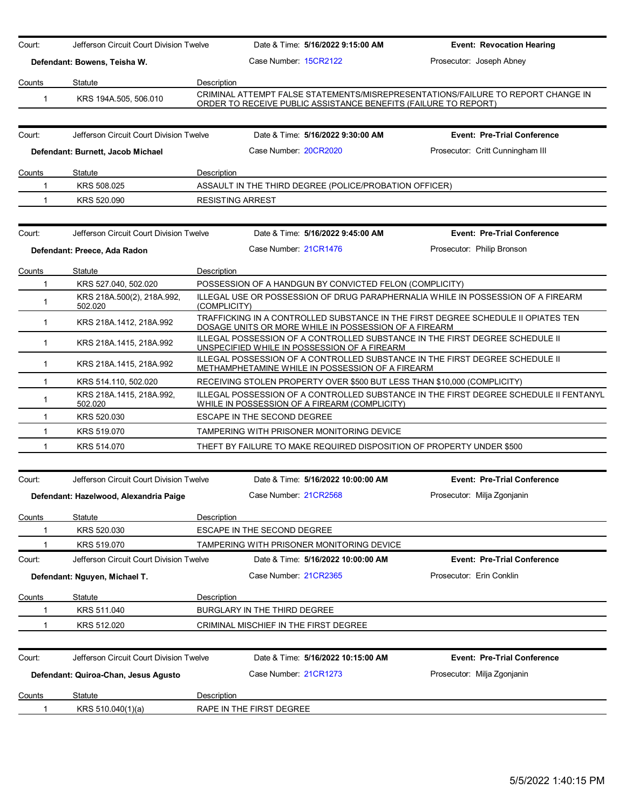| Court:        | Jefferson Circuit Court Division Twelve |                                                                                                                                  | Date & Time: 5/16/2022 9:15:00 AM                                                                                            | <b>Event: Revocation Hearing</b>                                                      |  |
|---------------|-----------------------------------------|----------------------------------------------------------------------------------------------------------------------------------|------------------------------------------------------------------------------------------------------------------------------|---------------------------------------------------------------------------------------|--|
|               | Defendant: Bowens, Teisha W.            |                                                                                                                                  | Case Number 15CR2122                                                                                                         | Prosecutor: Joseph Abney                                                              |  |
| Counts        | Statute                                 | Description                                                                                                                      |                                                                                                                              |                                                                                       |  |
| $\mathbf{1}$  | KRS 194A.505, 506.010                   |                                                                                                                                  | ORDER TO RECEIVE PUBLIC ASSISTANCE BENEFITS (FAILURE TO REPORT)                                                              | CRIMINAL ATTEMPT FALSE STATEMENTS/MISREPRESENTATIONS/FAILURE TO REPORT CHANGE IN      |  |
|               |                                         |                                                                                                                                  |                                                                                                                              |                                                                                       |  |
| Court:        | Jefferson Circuit Court Division Twelve |                                                                                                                                  | Date & Time: 5/16/2022 9:30:00 AM                                                                                            | <b>Event: Pre-Trial Conference</b>                                                    |  |
|               | Defendant: Burnett, Jacob Michael       |                                                                                                                                  | Case Number 20CR2020                                                                                                         | Prosecutor: Critt Cunningham III                                                      |  |
| Counts        | Statute                                 | Description                                                                                                                      |                                                                                                                              |                                                                                       |  |
| 1             | KRS 508.025                             |                                                                                                                                  | ASSAULT IN THE THIRD DEGREE (POLICE/PROBATION OFFICER)                                                                       |                                                                                       |  |
| 1             | KRS 520.090                             | <b>RESISTING ARREST</b>                                                                                                          |                                                                                                                              |                                                                                       |  |
| Court:        | Jefferson Circuit Court Division Twelve |                                                                                                                                  | Date & Time: 5/16/2022 9:45:00 AM                                                                                            | <b>Event: Pre-Trial Conference</b>                                                    |  |
|               |                                         |                                                                                                                                  | Case Number: 21CR1476                                                                                                        |                                                                                       |  |
|               | Defendant: Preece, Ada Radon            |                                                                                                                                  |                                                                                                                              | Prosecutor: Philip Bronson                                                            |  |
| Counts        | Statute                                 | Description                                                                                                                      |                                                                                                                              |                                                                                       |  |
| $\mathbf 1$   | KRS 527.040, 502.020                    |                                                                                                                                  | POSSESSION OF A HANDGUN BY CONVICTED FELON (COMPLICITY)                                                                      |                                                                                       |  |
| 1             | KRS 218A.500(2), 218A.992,<br>502.020   | (COMPLICITY)                                                                                                                     |                                                                                                                              | ILLEGAL USE OR POSSESSION OF DRUG PARAPHERNALIA WHILE IN POSSESSION OF A FIREARM      |  |
| $\mathbf{1}$  | KRS 218A.1412, 218A.992                 |                                                                                                                                  | DOSAGE UNITS OR MORE WHILE IN POSSESSION OF A FIREARM                                                                        | TRAFFICKING IN A CONTROLLED SUBSTANCE IN THE FIRST DEGREE SCHEDULE II OPIATES TEN     |  |
| $\mathbf{1}$  | KRS 218A 1415, 218A 992                 |                                                                                                                                  | ILLEGAL POSSESSION OF A CONTROLLED SUBSTANCE IN THE FIRST DEGREE SCHEDULE II<br>UNSPECIFIED WHILE IN POSSESSION OF A FIREARM |                                                                                       |  |
| $\mathbf{1}$  | KRS 218A.1415, 218A.992                 | ILLEGAL POSSESSION OF A CONTROLLED SUBSTANCE IN THE FIRST DEGREE SCHEDULE II<br>METHAMPHETAMINE WHILE IN POSSESSION OF A FIREARM |                                                                                                                              |                                                                                       |  |
| -1            | KRS 514.110, 502.020                    |                                                                                                                                  | RECEIVING STOLEN PROPERTY OVER \$500 BUT LESS THAN \$10,000 (COMPLICITY)                                                     |                                                                                       |  |
| 1             | KRS 218A 1415, 218A 992,<br>502.020     |                                                                                                                                  | WHILE IN POSSESSION OF A FIREARM (COMPLICITY)                                                                                | ILLEGAL POSSESSION OF A CONTROLLED SUBSTANCE IN THE FIRST DEGREE SCHEDULE II FENTANYL |  |
| 1             | KRS 520.030                             |                                                                                                                                  | ESCAPE IN THE SECOND DEGREE                                                                                                  |                                                                                       |  |
| $\mathbf{1}$  | KRS 519.070                             |                                                                                                                                  | TAMPERING WITH PRISONER MONITORING DEVICE                                                                                    |                                                                                       |  |
| 1             | KRS 514.070                             |                                                                                                                                  | THEFT BY FAILURE TO MAKE REQUIRED DISPOSITION OF PROPERTY UNDER \$500                                                        |                                                                                       |  |
| Court:        | Jefferson Circuit Court Division Twelve |                                                                                                                                  | Date & Time: 5/16/2022 10:00:00 AM                                                                                           | <b>Event: Pre-Trial Conference</b>                                                    |  |
|               |                                         |                                                                                                                                  |                                                                                                                              |                                                                                       |  |
|               | Defendant: Hazelwood, Alexandria Paige  |                                                                                                                                  | Case Number: 21CR2568                                                                                                        | Prosecutor: Milja Zgonjanin                                                           |  |
| <u>Counts</u> | Statute                                 | Description                                                                                                                      |                                                                                                                              |                                                                                       |  |
|               | KRS 520.030                             |                                                                                                                                  | <b>ESCAPE IN THE SECOND DEGREE</b>                                                                                           |                                                                                       |  |
|               | KRS 519.070                             |                                                                                                                                  | TAMPERING WITH PRISONER MONITORING DEVICE                                                                                    |                                                                                       |  |
| Court:        | Jefferson Circuit Court Division Twelve |                                                                                                                                  | Date & Time: 5/16/2022 10:00:00 AM                                                                                           | <b>Event: Pre-Trial Conference</b>                                                    |  |
|               | Defendant: Nguyen, Michael T.           |                                                                                                                                  | Case Number 21CR2365                                                                                                         | Prosecutor: Erin Conklin                                                              |  |
| <u>Counts</u> | Statute                                 | Description                                                                                                                      |                                                                                                                              |                                                                                       |  |
|               | KRS 511.040                             |                                                                                                                                  | BURGLARY IN THE THIRD DEGREE                                                                                                 |                                                                                       |  |
|               | KRS 512.020                             |                                                                                                                                  | CRIMINAL MISCHIEF IN THE FIRST DEGREE                                                                                        |                                                                                       |  |
| Court:        | Jefferson Circuit Court Division Twelve |                                                                                                                                  | Date & Time: 5/16/2022 10:15:00 AM                                                                                           | <b>Event: Pre-Trial Conference</b>                                                    |  |
|               | Defendant: Quiroa-Chan, Jesus Agusto    |                                                                                                                                  | Case Number 21CR1273                                                                                                         | Prosecutor: Milja Zgonjanin                                                           |  |
| <u>Counts</u> | Statute                                 | <b>Description</b>                                                                                                               |                                                                                                                              |                                                                                       |  |
| 1             | KRS 510.040(1)(a)                       |                                                                                                                                  | RAPE IN THE FIRST DEGREE                                                                                                     |                                                                                       |  |
|               |                                         |                                                                                                                                  |                                                                                                                              |                                                                                       |  |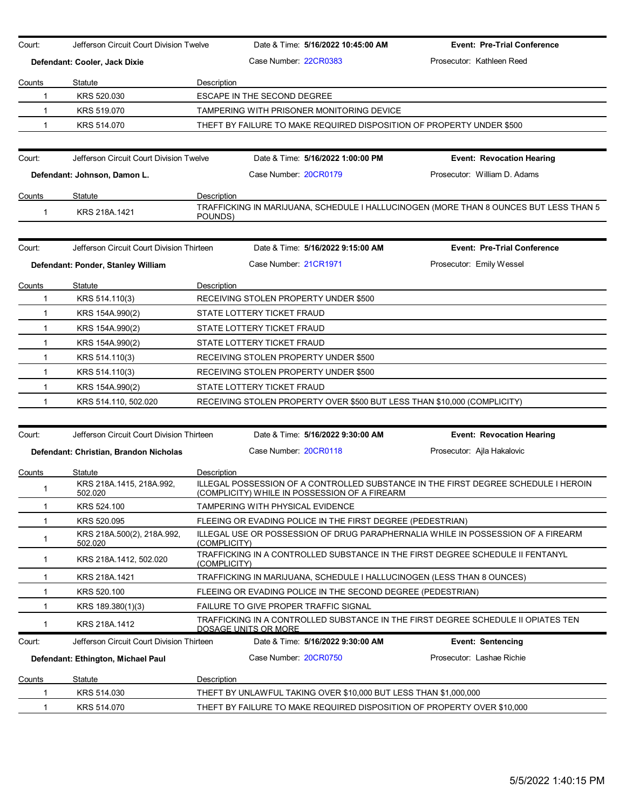| Case Number 22CR0383<br>Prosecutor: Kathleen Reed<br>Defendant: Cooler, Jack Dixie<br>Counts<br>Statute<br>Description<br>KRS 520.030<br>ESCAPE IN THE SECOND DEGREE<br>1<br>TAMPERING WITH PRISONER MONITORING DEVICE<br>$\mathbf{1}$<br>KRS 519.070<br>KRS 514.070<br>THEFT BY FAILURE TO MAKE REQUIRED DISPOSITION OF PROPERTY UNDER \$500<br>1<br>Jefferson Circuit Court Division Twelve<br>Date & Time: 5/16/2022 1:00:00 PM<br>Court:<br><b>Event: Revocation Hearing</b><br>Case Number 20CR0179<br>Prosecutor: William D. Adams<br>Defendant: Johnson, Damon L.<br>Description<br>Counts<br>Statute<br>TRAFFICKING IN MARIJUANA, SCHEDULE I HALLUCINOGEN (MORE THAN 8 OUNCES BUT LESS THAN 5<br>KRS 218A.1421<br>$\mathbf{1}$<br>POUNDS)<br>Jefferson Circuit Court Division Thirteen<br>Date & Time: 5/16/2022 9:15:00 AM<br><b>Event: Pre-Trial Conference</b><br>Court:<br>Case Number 21CR1971<br>Prosecutor: Emily Wessel<br>Defendant: Ponder, Stanley William<br>Statute<br>Description<br>Counts<br>KRS 514.110(3)<br>RECEIVING STOLEN PROPERTY UNDER \$500<br>1<br>STATE LOTTERY TICKET FRAUD<br>$\mathbf 1$<br>KRS 154A.990(2)<br>$\mathbf{1}$<br>KRS 154A.990(2)<br>STATE LOTTERY TICKET FRAUD<br>1<br>KRS 154A.990(2)<br>STATE LOTTERY TICKET FRAUD<br>$\mathbf{1}$<br>KRS 514.110(3)<br>RECEIVING STOLEN PROPERTY UNDER \$500<br>$\mathbf{1}$<br>KRS 514.110(3)<br>RECEIVING STOLEN PROPERTY UNDER \$500<br>KRS 154A.990(2)<br>STATE LOTTERY TICKET FRAUD<br>$\mathbf{1}$<br>KRS 514.110, 502.020<br>RECEIVING STOLEN PROPERTY OVER \$500 BUT LESS THAN \$10,000 (COMPLICITY)<br>1<br>Jefferson Circuit Court Division Thirteen<br>Date & Time: 5/16/2022 9:30:00 AM<br>Court:<br><b>Event: Revocation Hearing</b><br>Case Number 20CR0118<br>Prosecutor: Ajla Hakalovic<br>Defendant: Christian, Brandon Nicholas<br>Description<br>Counts<br>Statute<br>ILLEGAL POSSESSION OF A CONTROLLED SUBSTANCE IN THE FIRST DEGREE SCHEDULE I HEROIN<br>KRS 218A.1415, 218A.992,<br>$\mathbf 1$<br>(COMPLICITY) WHILE IN POSSESSION OF A FIREARM<br>502.020<br>KRS 524.100<br>TAMPERING WITH PHYSICAL EVIDENCE<br>1<br>KRS 520.095<br>FLEEING OR EVADING POLICE IN THE FIRST DEGREE (PEDESTRIAN)<br>1<br>ILLEGAL USE OR POSSESSION OF DRUG PARAPHERNALIA WHILE IN POSSESSION OF A FIREARM<br>KRS 218A.500(2), 218A.992,<br>$\mathbf{1}$<br>502.020<br>(COMPLICITY)<br>TRAFFICKING IN A CONTROLLED SUBSTANCE IN THE FIRST DEGREE SCHEDULE II FENTANYL<br>KRS 218A.1412, 502.020<br>$\mathbf 1$<br>(COMPLICITY)<br>TRAFFICKING IN MARIJUANA, SCHEDULE I HALLUCINOGEN (LESS THAN 8 OUNCES)<br>KRS 218A.1421<br>-1<br>KRS 520.100<br>FLEEING OR EVADING POLICE IN THE SECOND DEGREE (PEDESTRIAN)<br>-1<br>KRS 189.380(1)(3)<br>FAILURE TO GIVE PROPER TRAFFIC SIGNAL<br>-1<br>TRAFFICKING IN A CONTROLLED SUBSTANCE IN THE FIRST DEGREE SCHEDULE II OPIATES TEN<br>$\mathbf{1}$<br>KRS 218A.1412<br><u>DOSAGE UNITS OR MORE</u><br>Jefferson Circuit Court Division Thirteen<br>Date & Time: 5/16/2022 9:30:00 AM<br><b>Event: Sentencing</b><br>Court:<br>Case Number: 20CR0750<br>Prosecutor: Lashae Richie<br>Defendant: Ethington, Michael Paul<br>Statute<br>Description<br><b>Counts</b><br>THEFT BY UNLAWFUL TAKING OVER \$10,000 BUT LESS THAN \$1,000,000<br>KRS 514.030<br>1<br>KRS 514.070<br>THEFT BY FAILURE TO MAKE REQUIRED DISPOSITION OF PROPERTY OVER \$10,000<br>1 | Court: | Jefferson Circuit Court Division Twelve | Date & Time: 5/16/2022 10:45:00 AM | <b>Event: Pre-Trial Conference</b> |
|-------------------------------------------------------------------------------------------------------------------------------------------------------------------------------------------------------------------------------------------------------------------------------------------------------------------------------------------------------------------------------------------------------------------------------------------------------------------------------------------------------------------------------------------------------------------------------------------------------------------------------------------------------------------------------------------------------------------------------------------------------------------------------------------------------------------------------------------------------------------------------------------------------------------------------------------------------------------------------------------------------------------------------------------------------------------------------------------------------------------------------------------------------------------------------------------------------------------------------------------------------------------------------------------------------------------------------------------------------------------------------------------------------------------------------------------------------------------------------------------------------------------------------------------------------------------------------------------------------------------------------------------------------------------------------------------------------------------------------------------------------------------------------------------------------------------------------------------------------------------------------------------------------------------------------------------------------------------------------------------------------------------------------------------------------------------------------------------------------------------------------------------------------------------------------------------------------------------------------------------------------------------------------------------------------------------------------------------------------------------------------------------------------------------------------------------------------------------------------------------------------------------------------------------------------------------------------------------------------------------------------------------------------------------------------------------------------------------------------------------------------------------------------------------------------------------------------------------------------------------------------------------------------------------------------------------------------------------------------------------------------------------------------------------------------------------------------------------------------------------------------------------------------------------------------------------------------------------------------------------------------------------------------------------------------------------------------------------------------------------------------------------------|--------|-----------------------------------------|------------------------------------|------------------------------------|
|                                                                                                                                                                                                                                                                                                                                                                                                                                                                                                                                                                                                                                                                                                                                                                                                                                                                                                                                                                                                                                                                                                                                                                                                                                                                                                                                                                                                                                                                                                                                                                                                                                                                                                                                                                                                                                                                                                                                                                                                                                                                                                                                                                                                                                                                                                                                                                                                                                                                                                                                                                                                                                                                                                                                                                                                                                                                                                                                                                                                                                                                                                                                                                                                                                                                                                                                                                                                 |        |                                         |                                    |                                    |
|                                                                                                                                                                                                                                                                                                                                                                                                                                                                                                                                                                                                                                                                                                                                                                                                                                                                                                                                                                                                                                                                                                                                                                                                                                                                                                                                                                                                                                                                                                                                                                                                                                                                                                                                                                                                                                                                                                                                                                                                                                                                                                                                                                                                                                                                                                                                                                                                                                                                                                                                                                                                                                                                                                                                                                                                                                                                                                                                                                                                                                                                                                                                                                                                                                                                                                                                                                                                 |        |                                         |                                    |                                    |
|                                                                                                                                                                                                                                                                                                                                                                                                                                                                                                                                                                                                                                                                                                                                                                                                                                                                                                                                                                                                                                                                                                                                                                                                                                                                                                                                                                                                                                                                                                                                                                                                                                                                                                                                                                                                                                                                                                                                                                                                                                                                                                                                                                                                                                                                                                                                                                                                                                                                                                                                                                                                                                                                                                                                                                                                                                                                                                                                                                                                                                                                                                                                                                                                                                                                                                                                                                                                 |        |                                         |                                    |                                    |
|                                                                                                                                                                                                                                                                                                                                                                                                                                                                                                                                                                                                                                                                                                                                                                                                                                                                                                                                                                                                                                                                                                                                                                                                                                                                                                                                                                                                                                                                                                                                                                                                                                                                                                                                                                                                                                                                                                                                                                                                                                                                                                                                                                                                                                                                                                                                                                                                                                                                                                                                                                                                                                                                                                                                                                                                                                                                                                                                                                                                                                                                                                                                                                                                                                                                                                                                                                                                 |        |                                         |                                    |                                    |
|                                                                                                                                                                                                                                                                                                                                                                                                                                                                                                                                                                                                                                                                                                                                                                                                                                                                                                                                                                                                                                                                                                                                                                                                                                                                                                                                                                                                                                                                                                                                                                                                                                                                                                                                                                                                                                                                                                                                                                                                                                                                                                                                                                                                                                                                                                                                                                                                                                                                                                                                                                                                                                                                                                                                                                                                                                                                                                                                                                                                                                                                                                                                                                                                                                                                                                                                                                                                 |        |                                         |                                    |                                    |
|                                                                                                                                                                                                                                                                                                                                                                                                                                                                                                                                                                                                                                                                                                                                                                                                                                                                                                                                                                                                                                                                                                                                                                                                                                                                                                                                                                                                                                                                                                                                                                                                                                                                                                                                                                                                                                                                                                                                                                                                                                                                                                                                                                                                                                                                                                                                                                                                                                                                                                                                                                                                                                                                                                                                                                                                                                                                                                                                                                                                                                                                                                                                                                                                                                                                                                                                                                                                 |        |                                         |                                    |                                    |
|                                                                                                                                                                                                                                                                                                                                                                                                                                                                                                                                                                                                                                                                                                                                                                                                                                                                                                                                                                                                                                                                                                                                                                                                                                                                                                                                                                                                                                                                                                                                                                                                                                                                                                                                                                                                                                                                                                                                                                                                                                                                                                                                                                                                                                                                                                                                                                                                                                                                                                                                                                                                                                                                                                                                                                                                                                                                                                                                                                                                                                                                                                                                                                                                                                                                                                                                                                                                 |        |                                         |                                    |                                    |
|                                                                                                                                                                                                                                                                                                                                                                                                                                                                                                                                                                                                                                                                                                                                                                                                                                                                                                                                                                                                                                                                                                                                                                                                                                                                                                                                                                                                                                                                                                                                                                                                                                                                                                                                                                                                                                                                                                                                                                                                                                                                                                                                                                                                                                                                                                                                                                                                                                                                                                                                                                                                                                                                                                                                                                                                                                                                                                                                                                                                                                                                                                                                                                                                                                                                                                                                                                                                 |        |                                         |                                    |                                    |
|                                                                                                                                                                                                                                                                                                                                                                                                                                                                                                                                                                                                                                                                                                                                                                                                                                                                                                                                                                                                                                                                                                                                                                                                                                                                                                                                                                                                                                                                                                                                                                                                                                                                                                                                                                                                                                                                                                                                                                                                                                                                                                                                                                                                                                                                                                                                                                                                                                                                                                                                                                                                                                                                                                                                                                                                                                                                                                                                                                                                                                                                                                                                                                                                                                                                                                                                                                                                 |        |                                         |                                    |                                    |
|                                                                                                                                                                                                                                                                                                                                                                                                                                                                                                                                                                                                                                                                                                                                                                                                                                                                                                                                                                                                                                                                                                                                                                                                                                                                                                                                                                                                                                                                                                                                                                                                                                                                                                                                                                                                                                                                                                                                                                                                                                                                                                                                                                                                                                                                                                                                                                                                                                                                                                                                                                                                                                                                                                                                                                                                                                                                                                                                                                                                                                                                                                                                                                                                                                                                                                                                                                                                 |        |                                         |                                    |                                    |
|                                                                                                                                                                                                                                                                                                                                                                                                                                                                                                                                                                                                                                                                                                                                                                                                                                                                                                                                                                                                                                                                                                                                                                                                                                                                                                                                                                                                                                                                                                                                                                                                                                                                                                                                                                                                                                                                                                                                                                                                                                                                                                                                                                                                                                                                                                                                                                                                                                                                                                                                                                                                                                                                                                                                                                                                                                                                                                                                                                                                                                                                                                                                                                                                                                                                                                                                                                                                 |        |                                         |                                    |                                    |
|                                                                                                                                                                                                                                                                                                                                                                                                                                                                                                                                                                                                                                                                                                                                                                                                                                                                                                                                                                                                                                                                                                                                                                                                                                                                                                                                                                                                                                                                                                                                                                                                                                                                                                                                                                                                                                                                                                                                                                                                                                                                                                                                                                                                                                                                                                                                                                                                                                                                                                                                                                                                                                                                                                                                                                                                                                                                                                                                                                                                                                                                                                                                                                                                                                                                                                                                                                                                 |        |                                         |                                    |                                    |
|                                                                                                                                                                                                                                                                                                                                                                                                                                                                                                                                                                                                                                                                                                                                                                                                                                                                                                                                                                                                                                                                                                                                                                                                                                                                                                                                                                                                                                                                                                                                                                                                                                                                                                                                                                                                                                                                                                                                                                                                                                                                                                                                                                                                                                                                                                                                                                                                                                                                                                                                                                                                                                                                                                                                                                                                                                                                                                                                                                                                                                                                                                                                                                                                                                                                                                                                                                                                 |        |                                         |                                    |                                    |
|                                                                                                                                                                                                                                                                                                                                                                                                                                                                                                                                                                                                                                                                                                                                                                                                                                                                                                                                                                                                                                                                                                                                                                                                                                                                                                                                                                                                                                                                                                                                                                                                                                                                                                                                                                                                                                                                                                                                                                                                                                                                                                                                                                                                                                                                                                                                                                                                                                                                                                                                                                                                                                                                                                                                                                                                                                                                                                                                                                                                                                                                                                                                                                                                                                                                                                                                                                                                 |        |                                         |                                    |                                    |
|                                                                                                                                                                                                                                                                                                                                                                                                                                                                                                                                                                                                                                                                                                                                                                                                                                                                                                                                                                                                                                                                                                                                                                                                                                                                                                                                                                                                                                                                                                                                                                                                                                                                                                                                                                                                                                                                                                                                                                                                                                                                                                                                                                                                                                                                                                                                                                                                                                                                                                                                                                                                                                                                                                                                                                                                                                                                                                                                                                                                                                                                                                                                                                                                                                                                                                                                                                                                 |        |                                         |                                    |                                    |
|                                                                                                                                                                                                                                                                                                                                                                                                                                                                                                                                                                                                                                                                                                                                                                                                                                                                                                                                                                                                                                                                                                                                                                                                                                                                                                                                                                                                                                                                                                                                                                                                                                                                                                                                                                                                                                                                                                                                                                                                                                                                                                                                                                                                                                                                                                                                                                                                                                                                                                                                                                                                                                                                                                                                                                                                                                                                                                                                                                                                                                                                                                                                                                                                                                                                                                                                                                                                 |        |                                         |                                    |                                    |
|                                                                                                                                                                                                                                                                                                                                                                                                                                                                                                                                                                                                                                                                                                                                                                                                                                                                                                                                                                                                                                                                                                                                                                                                                                                                                                                                                                                                                                                                                                                                                                                                                                                                                                                                                                                                                                                                                                                                                                                                                                                                                                                                                                                                                                                                                                                                                                                                                                                                                                                                                                                                                                                                                                                                                                                                                                                                                                                                                                                                                                                                                                                                                                                                                                                                                                                                                                                                 |        |                                         |                                    |                                    |
|                                                                                                                                                                                                                                                                                                                                                                                                                                                                                                                                                                                                                                                                                                                                                                                                                                                                                                                                                                                                                                                                                                                                                                                                                                                                                                                                                                                                                                                                                                                                                                                                                                                                                                                                                                                                                                                                                                                                                                                                                                                                                                                                                                                                                                                                                                                                                                                                                                                                                                                                                                                                                                                                                                                                                                                                                                                                                                                                                                                                                                                                                                                                                                                                                                                                                                                                                                                                 |        |                                         |                                    |                                    |
|                                                                                                                                                                                                                                                                                                                                                                                                                                                                                                                                                                                                                                                                                                                                                                                                                                                                                                                                                                                                                                                                                                                                                                                                                                                                                                                                                                                                                                                                                                                                                                                                                                                                                                                                                                                                                                                                                                                                                                                                                                                                                                                                                                                                                                                                                                                                                                                                                                                                                                                                                                                                                                                                                                                                                                                                                                                                                                                                                                                                                                                                                                                                                                                                                                                                                                                                                                                                 |        |                                         |                                    |                                    |
|                                                                                                                                                                                                                                                                                                                                                                                                                                                                                                                                                                                                                                                                                                                                                                                                                                                                                                                                                                                                                                                                                                                                                                                                                                                                                                                                                                                                                                                                                                                                                                                                                                                                                                                                                                                                                                                                                                                                                                                                                                                                                                                                                                                                                                                                                                                                                                                                                                                                                                                                                                                                                                                                                                                                                                                                                                                                                                                                                                                                                                                                                                                                                                                                                                                                                                                                                                                                 |        |                                         |                                    |                                    |
|                                                                                                                                                                                                                                                                                                                                                                                                                                                                                                                                                                                                                                                                                                                                                                                                                                                                                                                                                                                                                                                                                                                                                                                                                                                                                                                                                                                                                                                                                                                                                                                                                                                                                                                                                                                                                                                                                                                                                                                                                                                                                                                                                                                                                                                                                                                                                                                                                                                                                                                                                                                                                                                                                                                                                                                                                                                                                                                                                                                                                                                                                                                                                                                                                                                                                                                                                                                                 |        |                                         |                                    |                                    |
|                                                                                                                                                                                                                                                                                                                                                                                                                                                                                                                                                                                                                                                                                                                                                                                                                                                                                                                                                                                                                                                                                                                                                                                                                                                                                                                                                                                                                                                                                                                                                                                                                                                                                                                                                                                                                                                                                                                                                                                                                                                                                                                                                                                                                                                                                                                                                                                                                                                                                                                                                                                                                                                                                                                                                                                                                                                                                                                                                                                                                                                                                                                                                                                                                                                                                                                                                                                                 |        |                                         |                                    |                                    |
|                                                                                                                                                                                                                                                                                                                                                                                                                                                                                                                                                                                                                                                                                                                                                                                                                                                                                                                                                                                                                                                                                                                                                                                                                                                                                                                                                                                                                                                                                                                                                                                                                                                                                                                                                                                                                                                                                                                                                                                                                                                                                                                                                                                                                                                                                                                                                                                                                                                                                                                                                                                                                                                                                                                                                                                                                                                                                                                                                                                                                                                                                                                                                                                                                                                                                                                                                                                                 |        |                                         |                                    |                                    |
|                                                                                                                                                                                                                                                                                                                                                                                                                                                                                                                                                                                                                                                                                                                                                                                                                                                                                                                                                                                                                                                                                                                                                                                                                                                                                                                                                                                                                                                                                                                                                                                                                                                                                                                                                                                                                                                                                                                                                                                                                                                                                                                                                                                                                                                                                                                                                                                                                                                                                                                                                                                                                                                                                                                                                                                                                                                                                                                                                                                                                                                                                                                                                                                                                                                                                                                                                                                                 |        |                                         |                                    |                                    |
|                                                                                                                                                                                                                                                                                                                                                                                                                                                                                                                                                                                                                                                                                                                                                                                                                                                                                                                                                                                                                                                                                                                                                                                                                                                                                                                                                                                                                                                                                                                                                                                                                                                                                                                                                                                                                                                                                                                                                                                                                                                                                                                                                                                                                                                                                                                                                                                                                                                                                                                                                                                                                                                                                                                                                                                                                                                                                                                                                                                                                                                                                                                                                                                                                                                                                                                                                                                                 |        |                                         |                                    |                                    |
|                                                                                                                                                                                                                                                                                                                                                                                                                                                                                                                                                                                                                                                                                                                                                                                                                                                                                                                                                                                                                                                                                                                                                                                                                                                                                                                                                                                                                                                                                                                                                                                                                                                                                                                                                                                                                                                                                                                                                                                                                                                                                                                                                                                                                                                                                                                                                                                                                                                                                                                                                                                                                                                                                                                                                                                                                                                                                                                                                                                                                                                                                                                                                                                                                                                                                                                                                                                                 |        |                                         |                                    |                                    |
|                                                                                                                                                                                                                                                                                                                                                                                                                                                                                                                                                                                                                                                                                                                                                                                                                                                                                                                                                                                                                                                                                                                                                                                                                                                                                                                                                                                                                                                                                                                                                                                                                                                                                                                                                                                                                                                                                                                                                                                                                                                                                                                                                                                                                                                                                                                                                                                                                                                                                                                                                                                                                                                                                                                                                                                                                                                                                                                                                                                                                                                                                                                                                                                                                                                                                                                                                                                                 |        |                                         |                                    |                                    |
|                                                                                                                                                                                                                                                                                                                                                                                                                                                                                                                                                                                                                                                                                                                                                                                                                                                                                                                                                                                                                                                                                                                                                                                                                                                                                                                                                                                                                                                                                                                                                                                                                                                                                                                                                                                                                                                                                                                                                                                                                                                                                                                                                                                                                                                                                                                                                                                                                                                                                                                                                                                                                                                                                                                                                                                                                                                                                                                                                                                                                                                                                                                                                                                                                                                                                                                                                                                                 |        |                                         |                                    |                                    |
|                                                                                                                                                                                                                                                                                                                                                                                                                                                                                                                                                                                                                                                                                                                                                                                                                                                                                                                                                                                                                                                                                                                                                                                                                                                                                                                                                                                                                                                                                                                                                                                                                                                                                                                                                                                                                                                                                                                                                                                                                                                                                                                                                                                                                                                                                                                                                                                                                                                                                                                                                                                                                                                                                                                                                                                                                                                                                                                                                                                                                                                                                                                                                                                                                                                                                                                                                                                                 |        |                                         |                                    |                                    |
|                                                                                                                                                                                                                                                                                                                                                                                                                                                                                                                                                                                                                                                                                                                                                                                                                                                                                                                                                                                                                                                                                                                                                                                                                                                                                                                                                                                                                                                                                                                                                                                                                                                                                                                                                                                                                                                                                                                                                                                                                                                                                                                                                                                                                                                                                                                                                                                                                                                                                                                                                                                                                                                                                                                                                                                                                                                                                                                                                                                                                                                                                                                                                                                                                                                                                                                                                                                                 |        |                                         |                                    |                                    |
|                                                                                                                                                                                                                                                                                                                                                                                                                                                                                                                                                                                                                                                                                                                                                                                                                                                                                                                                                                                                                                                                                                                                                                                                                                                                                                                                                                                                                                                                                                                                                                                                                                                                                                                                                                                                                                                                                                                                                                                                                                                                                                                                                                                                                                                                                                                                                                                                                                                                                                                                                                                                                                                                                                                                                                                                                                                                                                                                                                                                                                                                                                                                                                                                                                                                                                                                                                                                 |        |                                         |                                    |                                    |
|                                                                                                                                                                                                                                                                                                                                                                                                                                                                                                                                                                                                                                                                                                                                                                                                                                                                                                                                                                                                                                                                                                                                                                                                                                                                                                                                                                                                                                                                                                                                                                                                                                                                                                                                                                                                                                                                                                                                                                                                                                                                                                                                                                                                                                                                                                                                                                                                                                                                                                                                                                                                                                                                                                                                                                                                                                                                                                                                                                                                                                                                                                                                                                                                                                                                                                                                                                                                 |        |                                         |                                    |                                    |
|                                                                                                                                                                                                                                                                                                                                                                                                                                                                                                                                                                                                                                                                                                                                                                                                                                                                                                                                                                                                                                                                                                                                                                                                                                                                                                                                                                                                                                                                                                                                                                                                                                                                                                                                                                                                                                                                                                                                                                                                                                                                                                                                                                                                                                                                                                                                                                                                                                                                                                                                                                                                                                                                                                                                                                                                                                                                                                                                                                                                                                                                                                                                                                                                                                                                                                                                                                                                 |        |                                         |                                    |                                    |
|                                                                                                                                                                                                                                                                                                                                                                                                                                                                                                                                                                                                                                                                                                                                                                                                                                                                                                                                                                                                                                                                                                                                                                                                                                                                                                                                                                                                                                                                                                                                                                                                                                                                                                                                                                                                                                                                                                                                                                                                                                                                                                                                                                                                                                                                                                                                                                                                                                                                                                                                                                                                                                                                                                                                                                                                                                                                                                                                                                                                                                                                                                                                                                                                                                                                                                                                                                                                 |        |                                         |                                    |                                    |
|                                                                                                                                                                                                                                                                                                                                                                                                                                                                                                                                                                                                                                                                                                                                                                                                                                                                                                                                                                                                                                                                                                                                                                                                                                                                                                                                                                                                                                                                                                                                                                                                                                                                                                                                                                                                                                                                                                                                                                                                                                                                                                                                                                                                                                                                                                                                                                                                                                                                                                                                                                                                                                                                                                                                                                                                                                                                                                                                                                                                                                                                                                                                                                                                                                                                                                                                                                                                 |        |                                         |                                    |                                    |
|                                                                                                                                                                                                                                                                                                                                                                                                                                                                                                                                                                                                                                                                                                                                                                                                                                                                                                                                                                                                                                                                                                                                                                                                                                                                                                                                                                                                                                                                                                                                                                                                                                                                                                                                                                                                                                                                                                                                                                                                                                                                                                                                                                                                                                                                                                                                                                                                                                                                                                                                                                                                                                                                                                                                                                                                                                                                                                                                                                                                                                                                                                                                                                                                                                                                                                                                                                                                 |        |                                         |                                    |                                    |
|                                                                                                                                                                                                                                                                                                                                                                                                                                                                                                                                                                                                                                                                                                                                                                                                                                                                                                                                                                                                                                                                                                                                                                                                                                                                                                                                                                                                                                                                                                                                                                                                                                                                                                                                                                                                                                                                                                                                                                                                                                                                                                                                                                                                                                                                                                                                                                                                                                                                                                                                                                                                                                                                                                                                                                                                                                                                                                                                                                                                                                                                                                                                                                                                                                                                                                                                                                                                 |        |                                         |                                    |                                    |
|                                                                                                                                                                                                                                                                                                                                                                                                                                                                                                                                                                                                                                                                                                                                                                                                                                                                                                                                                                                                                                                                                                                                                                                                                                                                                                                                                                                                                                                                                                                                                                                                                                                                                                                                                                                                                                                                                                                                                                                                                                                                                                                                                                                                                                                                                                                                                                                                                                                                                                                                                                                                                                                                                                                                                                                                                                                                                                                                                                                                                                                                                                                                                                                                                                                                                                                                                                                                 |        |                                         |                                    |                                    |
|                                                                                                                                                                                                                                                                                                                                                                                                                                                                                                                                                                                                                                                                                                                                                                                                                                                                                                                                                                                                                                                                                                                                                                                                                                                                                                                                                                                                                                                                                                                                                                                                                                                                                                                                                                                                                                                                                                                                                                                                                                                                                                                                                                                                                                                                                                                                                                                                                                                                                                                                                                                                                                                                                                                                                                                                                                                                                                                                                                                                                                                                                                                                                                                                                                                                                                                                                                                                 |        |                                         |                                    |                                    |
|                                                                                                                                                                                                                                                                                                                                                                                                                                                                                                                                                                                                                                                                                                                                                                                                                                                                                                                                                                                                                                                                                                                                                                                                                                                                                                                                                                                                                                                                                                                                                                                                                                                                                                                                                                                                                                                                                                                                                                                                                                                                                                                                                                                                                                                                                                                                                                                                                                                                                                                                                                                                                                                                                                                                                                                                                                                                                                                                                                                                                                                                                                                                                                                                                                                                                                                                                                                                 |        |                                         |                                    |                                    |
|                                                                                                                                                                                                                                                                                                                                                                                                                                                                                                                                                                                                                                                                                                                                                                                                                                                                                                                                                                                                                                                                                                                                                                                                                                                                                                                                                                                                                                                                                                                                                                                                                                                                                                                                                                                                                                                                                                                                                                                                                                                                                                                                                                                                                                                                                                                                                                                                                                                                                                                                                                                                                                                                                                                                                                                                                                                                                                                                                                                                                                                                                                                                                                                                                                                                                                                                                                                                 |        |                                         |                                    |                                    |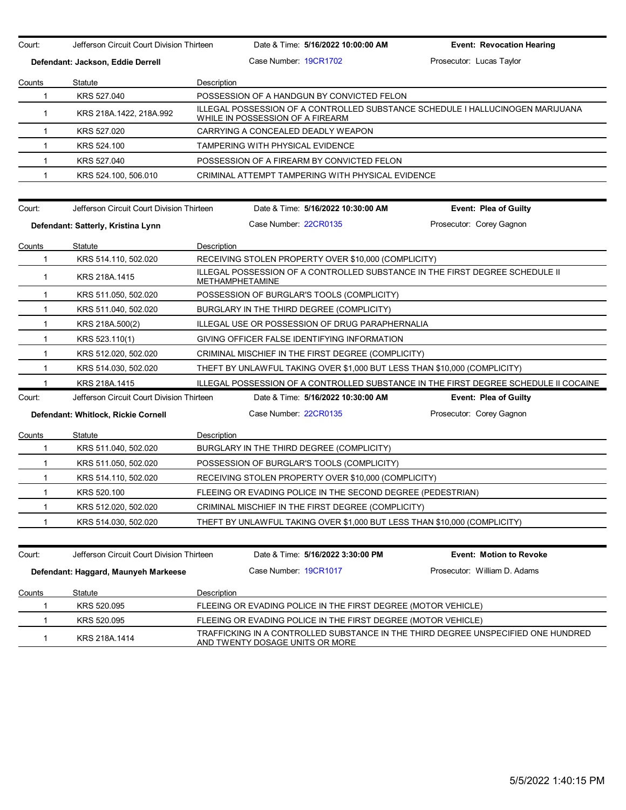Court: Jefferson Circuit Court Division Thirteen Date & Time: **5/16/2022 10:00:00 AM Event: Revocation Hearing Defendant: Jackson, Eddie Derrell Case Number: 19CR1702 Prosecutor: Lucas Taylor** Prosecutor: Lucas Taylor Counts Statute **Description** 1 KRS 527.040 POSSESSION OF A HANDGUN BY CONVICTED FELON 1 KRS 218A.1422, 218A.992 ILLEGAL POSSESSION OF A CONTROLLED SUBSTANCE SCHEDULE I HALLUCINOGEN MARIJUANA WHILE IN POSSESSION OF A FIREARM 1 KRS 527.020 CARRYING A CONCEALED DEADLY WEAPON 1 KRS 524.100 TAMPERING WITH PHYSICAL EVIDENCE 1 KRS 527.040 POSSESSION OF A FIREARM BY CONVICTED FELON 1 KRS 524.100, 506.010 CRIMINAL ATTEMPT TAMPERING WITH PHYSICAL EVIDENCE Court: Jefferson Circuit Court Division Thirteen Date & Time: **5/16/2022 10:30:00 AM Event: Plea of Guilty Defendant: Satterly, Kristina Lynn** Case Number: 22CR0135 Prosecutor: Corey Gagnon Counts Statute Description 1 KRS 514.110, 502.020 RECEIVING STOLEN PROPERTY OVER \$10,000 (COMPLICITY) ILLEGAL POSSESSION OF A CONTROLLED SUBSTANCE IN THE FIRST DEGREE SCHEDULE II<br>ACTUALITY AND LES UNITARY IN THE SUBSTANCE IN THE FIRST DEGREE SCHEDULE II METHAMPHETAMINE 1 KRS 511.050, 502.020 POSSESSION OF BURGLAR'S TOOLS (COMPLICITY) 1 KRS 511.040, 502.020 BURGLARY IN THE THIRD DEGREE (COMPLICITY) 1 KRS 218A.500(2) ILLEGAL USE OR POSSESSION OF DRUG PARAPHERNALIA 1 KRS 523.110(1) GIVING OFFICER FALSE IDENTIFYING INFORMATION 1 KRS 512.020, 502.020 CRIMINAL MISCHIEF IN THE FIRST DEGREE (COMPLICITY) 1 KRS 514.030, 502.020 THEFT BY UNLAWFUL TAKING OVER \$1,000 BUT LESS THAN \$10,000 (COMPLICITY) 1 KRS 218A.1415 ILLEGAL POSSESSION OF A CONTROLLED SUBSTANCE IN THE FIRST DEGREE SCHEDULE II COCAINE Court: Jefferson Circuit Court Division Thirteen Date & Time: **5/16/2022 10:30:00 AM Event: Plea of Guilty Defendant: Whitlock, Rickie Cornell** Case Number: 22CR0135 Prosecutor: Corey Gagnon Counts Statute **Description** 1 KRS 511.040, 502.020 BURGLARY IN THE THIRD DEGREE (COMPLICITY) 1 KRS 511.050, 502.020 POSSESSION OF BURGLAR'S TOOLS (COMPLICITY) 1 KRS 514.110, 502.020 RECEIVING STOLEN PROPERTY OVER \$10,000 (COMPLICITY) 1 KRS 520.100 FLEEING OR EVADING POLICE IN THE SECOND DEGREE (PEDESTRIAN) 1 KRS 512.020, 502.020 CRIMINAL MISCHIEF IN THE FIRST DEGREE (COMPLICITY) 1 KRS 514.030, 502.020 THEFT BY UNLAWFUL TAKING OVER \$1,000 BUT LESS THAN \$10,000 (COMPLICITY) Court: Jefferson Circuit Court Division Thirteen Date & Time: **5/16/2022 3:30:00 PM Event: Motion to Revoke Defendant: Haggard, Maunyeh Markeese** Case Number: 19CR1017 Prosecutor: William D. Adams **Counts** Statute Description 1 KRS 520.095 FLEEING OR EVADING POLICE IN THE FIRST DEGREE (MOTOR VEHICLE) 1 KRS 520.095 FLEEING OR EVADING POLICE IN THE FIRST DEGREE (MOTOR VEHICLE) 1 KRS 218A.1414 TRAFFICKING IN A CONTROLLED SUBSTANCE IN THE THIRD DEGREE UNSPECIFIED ONE HUNDRED AND TWENTY DOSAGE UNITS OR MORE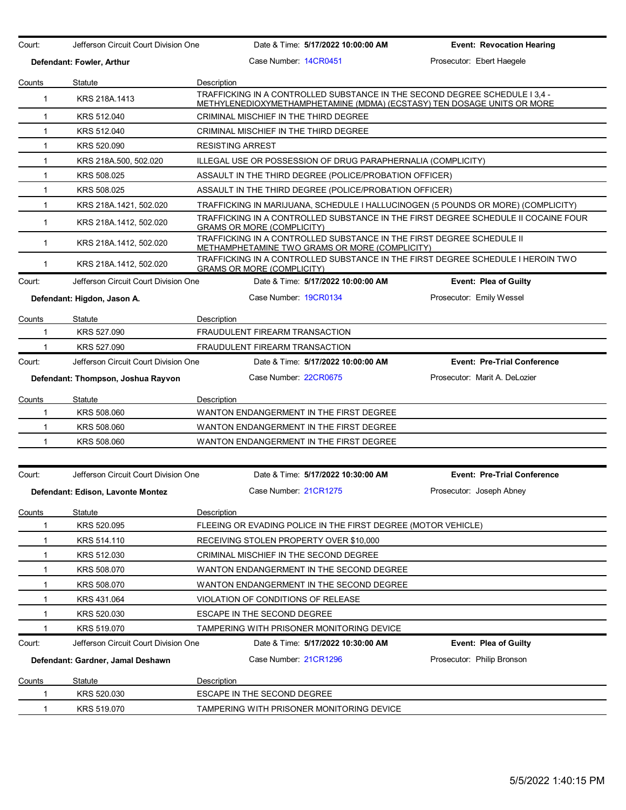| Court:<br>Jefferson Circuit Court Division One |                                      | Date & Time: 5/17/2022 10:00:00 AM                                                                                                                    | <b>Event: Revocation Hearing</b>   |  |
|------------------------------------------------|--------------------------------------|-------------------------------------------------------------------------------------------------------------------------------------------------------|------------------------------------|--|
|                                                | Defendant: Fowler, Arthur            | Case Number 14CR0451                                                                                                                                  | Prosecutor: Ebert Haegele          |  |
| Counts                                         | Statute                              | Description                                                                                                                                           |                                    |  |
| $\mathbf{1}$                                   | KRS 218A.1413                        | TRAFFICKING IN A CONTROLLED SUBSTANCE IN THE SECOND DEGREE SCHEDULE 13.4 -<br>METHYLENEDIOXYMETHAMPHETAMINE (MDMA) (ECSTASY) TEN DOSAGE UNITS OR MORE |                                    |  |
| 1                                              | KRS 512.040                          | CRIMINAL MISCHIEF IN THE THIRD DEGREE                                                                                                                 |                                    |  |
| $\mathbf{1}$                                   | KRS 512.040                          | CRIMINAL MISCHIEF IN THE THIRD DEGREE                                                                                                                 |                                    |  |
| $\mathbf{1}$                                   | KRS 520.090                          | <b>RESISTING ARREST</b>                                                                                                                               |                                    |  |
| $\mathbf{1}$                                   | KRS 218A.500, 502.020                | ILLEGAL USE OR POSSESSION OF DRUG PARAPHERNALIA (COMPLICITY)                                                                                          |                                    |  |
| $\mathbf{1}$                                   | KRS 508.025                          | ASSAULT IN THE THIRD DEGREE (POLICE/PROBATION OFFICER)                                                                                                |                                    |  |
| $\mathbf{1}$                                   | KRS 508.025                          | ASSAULT IN THE THIRD DEGREE (POLICE/PROBATION OFFICER)                                                                                                |                                    |  |
| $\mathbf{1}$                                   | KRS 218A.1421, 502.020               | TRAFFICKING IN MARIJUANA, SCHEDULE I HALLUCINOGEN (5 POUNDS OR MORE) (COMPLICITY)                                                                     |                                    |  |
| $\mathbf 1$                                    | KRS 218A.1412, 502.020               | TRAFFICKING IN A CONTROLLED SUBSTANCE IN THE FIRST DEGREE SCHEDULE II COCAINE FOUR<br><b>GRAMS OR MORE (COMPLICITY)</b>                               |                                    |  |
| $\mathbf{1}$                                   | KRS 218A.1412, 502.020               | TRAFFICKING IN A CONTROLLED SUBSTANCE IN THE FIRST DEGREE SCHEDULE II<br>METHAMPHETAMINE TWO GRAMS OR MORE (COMPLICITY)                               |                                    |  |
| $\mathbf 1$                                    | KRS 218A.1412, 502.020               | TRAFFICKING IN A CONTROLLED SUBSTANCE IN THE FIRST DEGREE SCHEDULE I HEROIN TWO<br><b>GRAMS OR MORE (COMPLICITY)</b>                                  |                                    |  |
| Court:                                         | Jefferson Circuit Court Division One | Date & Time: 5/17/2022 10:00:00 AM                                                                                                                    | <b>Event: Plea of Guilty</b>       |  |
|                                                | Defendant: Higdon, Jason A.          | Case Number 19CR0134                                                                                                                                  | Prosecutor: Emily Wessel           |  |
| Counts                                         | Statute                              | Description                                                                                                                                           |                                    |  |
| 1                                              | KRS 527.090                          | <b>FRAUDULENT FIREARM TRANSACTION</b>                                                                                                                 |                                    |  |
|                                                | KRS 527.090                          | FRAUDULENT FIREARM TRANSACTION                                                                                                                        |                                    |  |
| Court:                                         | Jefferson Circuit Court Division One | Date & Time: 5/17/2022 10:00:00 AM                                                                                                                    | <b>Event: Pre-Trial Conference</b> |  |
|                                                | Defendant: Thompson, Joshua Rayvon   | Case Number 22CR0675                                                                                                                                  | Prosecutor: Marit A. DeLozier      |  |
| Counts                                         | Statute                              | Description                                                                                                                                           |                                    |  |
| 1                                              | KRS 508.060                          | WANTON ENDANGERMENT IN THE FIRST DEGREE                                                                                                               |                                    |  |
| 1                                              | KRS 508.060                          | WANTON ENDANGERMENT IN THE FIRST DEGREE                                                                                                               |                                    |  |
| 1                                              | KRS 508.060                          | WANTON ENDANGERMENT IN THE FIRST DEGREE                                                                                                               |                                    |  |
|                                                |                                      |                                                                                                                                                       |                                    |  |
| Court:                                         | Jefferson Circuit Court Division One | Date & Time: 5/17/2022 10:30:00 AM                                                                                                                    | <b>Event: Pre-Trial Conference</b> |  |
|                                                | Defendant: Edison, Lavonte Montez    | Case Number: 21CR1275                                                                                                                                 | Prosecutor: Joseph Abney           |  |
| Counts                                         | <b>Statute</b>                       | Description                                                                                                                                           |                                    |  |
| 1                                              | KRS 520.095                          | FLEEING OR EVADING POLICE IN THE FIRST DEGREE (MOTOR VEHICLE)                                                                                         |                                    |  |
| 1                                              | KRS 514.110                          | RECEIVING STOLEN PROPERTY OVER \$10,000                                                                                                               |                                    |  |
| $\mathbf{1}$                                   | KRS 512.030                          | CRIMINAL MISCHIEF IN THE SECOND DEGREE                                                                                                                |                                    |  |
| 1                                              | KRS 508.070                          | WANTON ENDANGERMENT IN THE SECOND DEGREE                                                                                                              |                                    |  |
| 1                                              | KRS 508.070                          | WANTON ENDANGERMENT IN THE SECOND DEGREE                                                                                                              |                                    |  |
| 1                                              | KRS 431.064                          | VIOLATION OF CONDITIONS OF RELEASE                                                                                                                    |                                    |  |
| 1                                              | KRS 520.030                          | ESCAPE IN THE SECOND DEGREE                                                                                                                           |                                    |  |
| 1                                              | KRS 519.070                          | TAMPERING WITH PRISONER MONITORING DEVICE                                                                                                             |                                    |  |
| Court:                                         | Jefferson Circuit Court Division One | Date & Time: 5/17/2022 10:30:00 AM                                                                                                                    | Event: Plea of Guilty              |  |
|                                                | Defendant: Gardner, Jamal Deshawn    | Case Number 21CR1296                                                                                                                                  | Prosecutor: Philip Bronson         |  |
| <b>Counts</b>                                  | Statute                              | Description                                                                                                                                           |                                    |  |
| 1                                              | KRS 520.030                          | ESCAPE IN THE SECOND DEGREE                                                                                                                           |                                    |  |
| $\mathbf 1$                                    | KRS 519.070                          | TAMPERING WITH PRISONER MONITORING DEVICE                                                                                                             |                                    |  |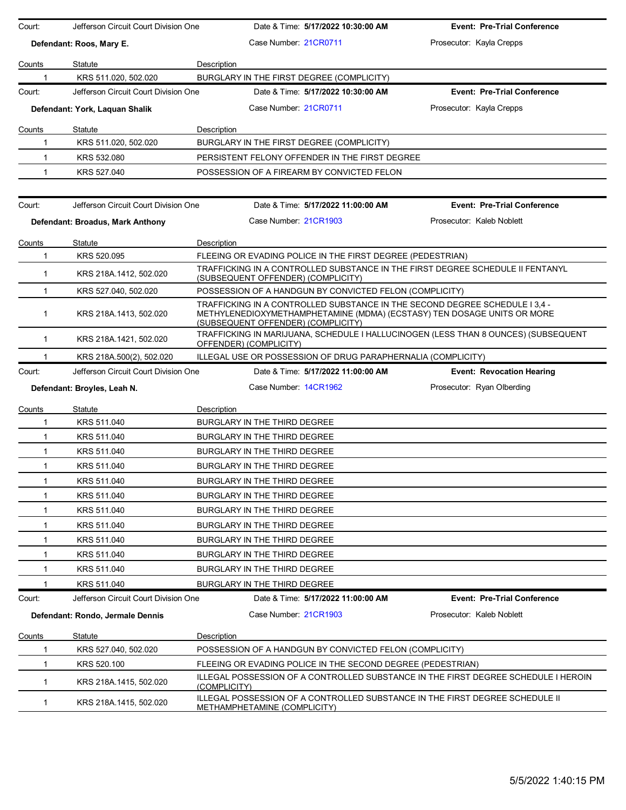| Court:        | Jefferson Circuit Court Division One | Date & Time: 5/17/2022 10:30:00 AM                                                                                                                                                           | <b>Event: Pre-Trial Conference</b> |
|---------------|--------------------------------------|----------------------------------------------------------------------------------------------------------------------------------------------------------------------------------------------|------------------------------------|
|               | Defendant: Roos, Mary E.             | Case Number 21CR0711                                                                                                                                                                         | Prosecutor: Kayla Crepps           |
| Counts        | Statute                              | Description                                                                                                                                                                                  |                                    |
| 1             | KRS 511.020, 502.020                 | BURGLARY IN THE FIRST DEGREE (COMPLICITY)                                                                                                                                                    |                                    |
| Court:        | Jefferson Circuit Court Division One | Date & Time: 5/17/2022 10:30:00 AM                                                                                                                                                           | <b>Event: Pre-Trial Conference</b> |
|               | Defendant: York, Laquan Shalik       | Case Number 21CR0711                                                                                                                                                                         | Prosecutor: Kayla Crepps           |
| <b>Counts</b> | Statute                              | Description                                                                                                                                                                                  |                                    |
| 1             | KRS 511.020, 502.020                 | BURGLARY IN THE FIRST DEGREE (COMPLICITY)                                                                                                                                                    |                                    |
| $\mathbf{1}$  | KRS 532.080                          | PERSISTENT FELONY OFFENDER IN THE FIRST DEGREE                                                                                                                                               |                                    |
| 1             | KRS 527.040                          | POSSESSION OF A FIREARM BY CONVICTED FELON                                                                                                                                                   |                                    |
|               |                                      |                                                                                                                                                                                              |                                    |
| Court:        | Jefferson Circuit Court Division One | Date & Time: 5/17/2022 11:00:00 AM                                                                                                                                                           | <b>Event: Pre-Trial Conference</b> |
|               | Defendant: Broadus, Mark Anthony     | Case Number 21CR1903                                                                                                                                                                         | Prosecutor: Kaleb Noblett          |
| Counts        | Statute                              | Description                                                                                                                                                                                  |                                    |
| 1             | KRS 520.095                          | FLEEING OR EVADING POLICE IN THE FIRST DEGREE (PEDESTRIAN)                                                                                                                                   |                                    |
| $\mathbf{1}$  | KRS 218A 1412, 502.020               | TRAFFICKING IN A CONTROLLED SUBSTANCE IN THE FIRST DEGREE SCHEDULE II FENTANYL<br>(SUBSEQUENT OFFENDER) (COMPLICITY)                                                                         |                                    |
| $\mathbf{1}$  | KRS 527.040, 502.020                 | POSSESSION OF A HANDGUN BY CONVICTED FELON (COMPLICITY)                                                                                                                                      |                                    |
| $\mathbf{1}$  | KRS 218A 1413, 502.020               | TRAFFICKING IN A CONTROLLED SUBSTANCE IN THE SECOND DEGREE SCHEDULE I 3,4 -<br>METHYLENEDIOXYMETHAMPHETAMINE (MDMA) (ECSTASY) TEN DOSAGE UNITS OR MORE<br>(SUBSEQUENT OFFENDER) (COMPLICITY) |                                    |
| $\mathbf{1}$  | KRS 218A.1421, 502.020               | TRAFFICKING IN MARIJUANA, SCHEDULE I HALLUCINOGEN (LESS THAN 8 OUNCES) (SUBSEQUENT<br>OFFENDER) (COMPLICITY)                                                                                 |                                    |
| 1             | KRS 218A.500(2), 502.020             | ILLEGAL USE OR POSSESSION OF DRUG PARAPHERNALIA (COMPLICITY)                                                                                                                                 |                                    |
|               |                                      |                                                                                                                                                                                              |                                    |
| Court:        | Jefferson Circuit Court Division One | Date & Time: 5/17/2022 11:00:00 AM                                                                                                                                                           | <b>Event: Revocation Hearing</b>   |
|               | Defendant: Broyles, Leah N.          | Case Number: 14CR1962                                                                                                                                                                        | Prosecutor: Ryan Olberding         |
| Counts        | Statute                              | Description                                                                                                                                                                                  |                                    |
| 1             | KRS 511.040                          | BURGLARY IN THE THIRD DEGREE                                                                                                                                                                 |                                    |
| $\mathbf{1}$  | KRS 511.040                          | BURGLARY IN THE THIRD DEGREE                                                                                                                                                                 |                                    |
| $\mathbf{1}$  | KRS 511.040                          | BURGLARY IN THE THIRD DEGREE                                                                                                                                                                 |                                    |
| $\mathbf{1}$  | KRS 511.040                          | BURGLARY IN THE THIRD DEGREE                                                                                                                                                                 |                                    |
| -1            | KRS 511.040                          | BURGLARY IN THE THIRD DEGREE                                                                                                                                                                 |                                    |
|               | KRS 511.040                          | BURGLARY IN THE THIRD DEGREE                                                                                                                                                                 |                                    |
| 1             | KRS 511.040                          | BURGLARY IN THE THIRD DEGREE                                                                                                                                                                 |                                    |
| 1             | KRS 511.040                          | BURGLARY IN THE THIRD DEGREE                                                                                                                                                                 |                                    |
| 1             | KRS 511.040                          | BURGLARY IN THE THIRD DEGREE                                                                                                                                                                 |                                    |
| -1            | KRS 511.040                          | BURGLARY IN THE THIRD DEGREE                                                                                                                                                                 |                                    |
| 1             | KRS 511.040                          | BURGLARY IN THE THIRD DEGREE                                                                                                                                                                 |                                    |
|               | KRS 511.040                          | BURGLARY IN THE THIRD DEGREE                                                                                                                                                                 |                                    |
| Court:        | Jefferson Circuit Court Division One | Date & Time: 5/17/2022 11:00:00 AM                                                                                                                                                           | <b>Event: Pre-Trial Conference</b> |
|               | Defendant: Rondo, Jermale Dennis     | Case Number: 21CR1903                                                                                                                                                                        | Prosecutor: Kaleb Noblett          |
| Counts        | Statute                              | Description                                                                                                                                                                                  |                                    |
| 1             | KRS 527.040, 502.020                 | POSSESSION OF A HANDGUN BY CONVICTED FELON (COMPLICITY)                                                                                                                                      |                                    |
| 1             | KRS 520.100                          | FLEEING OR EVADING POLICE IN THE SECOND DEGREE (PEDESTRIAN)                                                                                                                                  |                                    |
| $\mathbf{1}$  | KRS 218A.1415, 502.020               | ILLEGAL POSSESSION OF A CONTROLLED SUBSTANCE IN THE FIRST DEGREE SCHEDULE I HEROIN<br>(COMPLICITY)<br>ILLEGAL POSSESSION OF A CONTROLLED SUBSTANCE IN THE FIRST DEGREE SCHEDULE II           |                                    |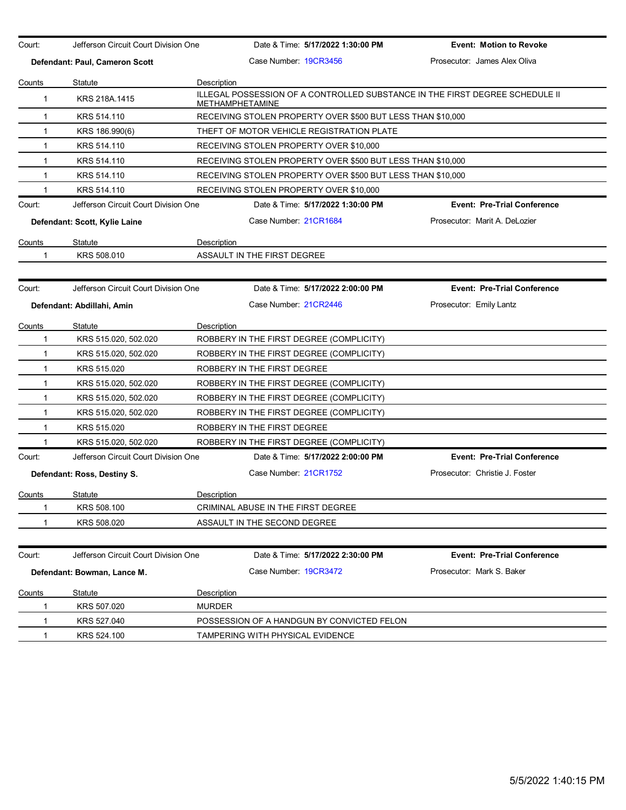| Court:        | Jefferson Circuit Court Division One |                    | Date & Time: 5/17/2022 1:30:00 PM                                                                      | <b>Event: Motion to Revoke</b>     |
|---------------|--------------------------------------|--------------------|--------------------------------------------------------------------------------------------------------|------------------------------------|
|               | Defendant: Paul, Cameron Scott       |                    | Case Number 19CR3456                                                                                   | Prosecutor: James Alex Oliva       |
| Counts        | Statute                              | Description        |                                                                                                        |                                    |
| $\mathbf 1$   | KRS 218A.1415                        |                    | ILLEGAL POSSESSION OF A CONTROLLED SUBSTANCE IN THE FIRST DEGREE SCHEDULE II<br><b>METHAMPHETAMINE</b> |                                    |
| $\mathbf{1}$  | KRS 514.110                          |                    | RECEIVING STOLEN PROPERTY OVER \$500 BUT LESS THAN \$10,000                                            |                                    |
| $\mathbf{1}$  | KRS 186.990(6)                       |                    | THEFT OF MOTOR VEHICLE REGISTRATION PLATE                                                              |                                    |
| $\mathbf{1}$  | KRS 514.110                          |                    | RECEIVING STOLEN PROPERTY OVER \$10,000                                                                |                                    |
| 1             | KRS 514.110                          |                    | RECEIVING STOLEN PROPERTY OVER \$500 BUT LESS THAN \$10,000                                            |                                    |
| $\mathbf{1}$  | KRS 514.110                          |                    | RECEIVING STOLEN PROPERTY OVER \$500 BUT LESS THAN \$10,000                                            |                                    |
| 1             | KRS 514.110                          |                    | RECEIVING STOLEN PROPERTY OVER \$10,000                                                                |                                    |
| Court:        | Jefferson Circuit Court Division One |                    | Date & Time: 5/17/2022 1:30:00 PM                                                                      | <b>Event: Pre-Trial Conference</b> |
|               | Defendant: Scott, Kylie Laine        |                    | Case Number 21CR1684                                                                                   | Prosecutor: Marit A. DeLozier      |
| Counts        | Statute                              | Description        |                                                                                                        |                                    |
| 1             | KRS 508.010                          |                    | ASSAULT IN THE FIRST DEGREE                                                                            |                                    |
|               |                                      |                    |                                                                                                        |                                    |
| Court:        | Jefferson Circuit Court Division One |                    | Date & Time: 5/17/2022 2:00:00 PM                                                                      | <b>Event: Pre-Trial Conference</b> |
|               | Defendant: Abdillahi, Amin           |                    | Case Number 21CR2446                                                                                   | Prosecutor: Emily Lantz            |
| Counts        | Statute                              | Description        |                                                                                                        |                                    |
| $\mathbf 1$   | KRS 515.020, 502.020                 |                    | ROBBERY IN THE FIRST DEGREE (COMPLICITY)                                                               |                                    |
| 1             | KRS 515.020, 502.020                 |                    | ROBBERY IN THE FIRST DEGREE (COMPLICITY)                                                               |                                    |
| $\mathbf{1}$  | KRS 515.020                          |                    | ROBBERY IN THE FIRST DEGREE                                                                            |                                    |
| $\mathbf{1}$  | KRS 515.020, 502.020                 |                    | ROBBERY IN THE FIRST DEGREE (COMPLICITY)                                                               |                                    |
| $\mathbf{1}$  | KRS 515.020, 502.020                 |                    | ROBBERY IN THE FIRST DEGREE (COMPLICITY)                                                               |                                    |
| 1             | KRS 515.020, 502.020                 |                    | ROBBERY IN THE FIRST DEGREE (COMPLICITY)                                                               |                                    |
| $\mathbf{1}$  | KRS 515.020                          |                    | ROBBERY IN THE FIRST DEGREE                                                                            |                                    |
| 1             | KRS 515.020, 502.020                 |                    | ROBBERY IN THE FIRST DEGREE (COMPLICITY)                                                               |                                    |
| Court:        | Jefferson Circuit Court Division One |                    | Date & Time: 5/17/2022 2:00:00 PM                                                                      | <b>Event: Pre-Trial Conference</b> |
|               | Defendant: Ross, Destiny S.          |                    | Case Number 21CR1752                                                                                   | Prosecutor: Christie J. Foster     |
| <u>Counts</u> | Statute                              | <b>Description</b> |                                                                                                        |                                    |
| 1             | KRS 508.100                          |                    | CRIMINAL ABUSE IN THE FIRST DEGREE                                                                     |                                    |
| 1             | KRS 508.020                          |                    | ASSAULT IN THE SECOND DEGREE                                                                           |                                    |
|               |                                      |                    |                                                                                                        |                                    |
| Court:        | Jefferson Circuit Court Division One |                    | Date & Time: 5/17/2022 2:30:00 PM                                                                      | <b>Event: Pre-Trial Conference</b> |
|               | Defendant: Bowman, Lance M.          |                    | Case Number 19CR3472                                                                                   | Prosecutor: Mark S. Baker          |
| Counts        | <b>Statute</b>                       | Description        |                                                                                                        |                                    |
| 1             | KRS 507.020                          | <b>MURDER</b>      |                                                                                                        |                                    |
| 1             | KRS 527.040                          |                    | POSSESSION OF A HANDGUN BY CONVICTED FELON                                                             |                                    |
| $\mathbf 1$   | KRS 524.100                          |                    | TAMPERING WITH PHYSICAL EVIDENCE                                                                       |                                    |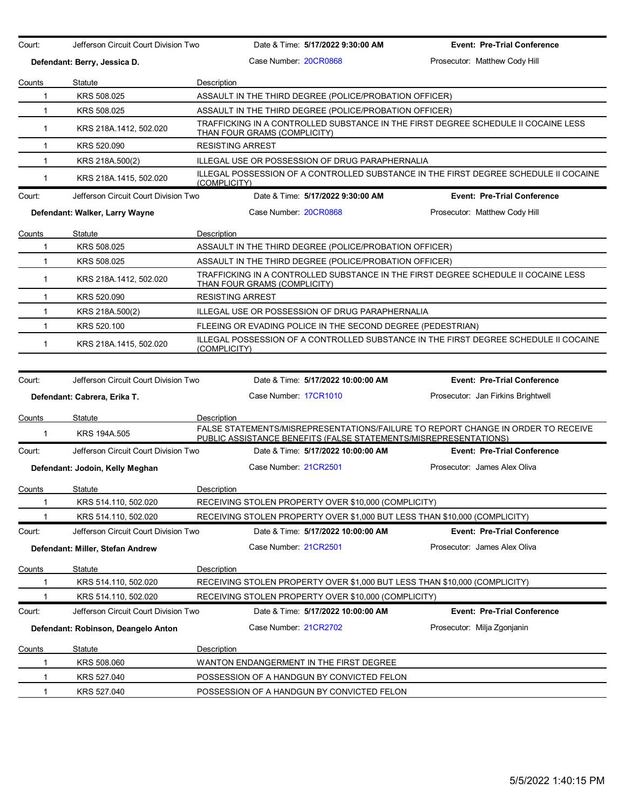| Court:                                                                                                                                         | Jefferson Circuit Court Division Two                                       |                                                                                                                    | Date & Time: 5/17/2022 9:30:00 AM  | <b>Event: Pre-Trial Conference</b>                                                                                                                   |  |  |  |
|------------------------------------------------------------------------------------------------------------------------------------------------|----------------------------------------------------------------------------|--------------------------------------------------------------------------------------------------------------------|------------------------------------|------------------------------------------------------------------------------------------------------------------------------------------------------|--|--|--|
| Defendant: Berry, Jessica D.                                                                                                                   |                                                                            | Case Number: 20CR0868                                                                                              |                                    | Prosecutor: Matthew Cody Hill                                                                                                                        |  |  |  |
| Counts                                                                                                                                         | Statute                                                                    | Description                                                                                                        |                                    |                                                                                                                                                      |  |  |  |
| $\mathbf 1$                                                                                                                                    | KRS 508.025                                                                | ASSAULT IN THE THIRD DEGREE (POLICE/PROBATION OFFICER)                                                             |                                    |                                                                                                                                                      |  |  |  |
| $\mathbf{1}$                                                                                                                                   | KRS 508.025                                                                | ASSAULT IN THE THIRD DEGREE (POLICE/PROBATION OFFICER)                                                             |                                    |                                                                                                                                                      |  |  |  |
| $\mathbf{1}$                                                                                                                                   | KRS 218A.1412, 502.020                                                     | TRAFFICKING IN A CONTROLLED SUBSTANCE IN THE FIRST DEGREE SCHEDULE II COCAINE LESS<br>THAN FOUR GRAMS (COMPLICITY) |                                    |                                                                                                                                                      |  |  |  |
| $\mathbf 1$                                                                                                                                    | KRS 520.090                                                                | <b>RESISTING ARREST</b>                                                                                            |                                    |                                                                                                                                                      |  |  |  |
| $\mathbf{1}$                                                                                                                                   | KRS 218A.500(2)                                                            | ILLEGAL USE OR POSSESSION OF DRUG PARAPHERNALIA                                                                    |                                    |                                                                                                                                                      |  |  |  |
| $\mathbf{1}$                                                                                                                                   | KRS 218A 1415, 502.020                                                     | (COMPLICITY)                                                                                                       |                                    | ILLEGAL POSSESSION OF A CONTROLLED SUBSTANCE IN THE FIRST DEGREE SCHEDULE II COCAINE                                                                 |  |  |  |
| Court:                                                                                                                                         | Jefferson Circuit Court Division Two                                       |                                                                                                                    | Date & Time: 5/17/2022 9:30:00 AM  | <b>Event: Pre-Trial Conference</b>                                                                                                                   |  |  |  |
|                                                                                                                                                | Defendant: Walker, Larry Wayne                                             | Case Number 20CR0868                                                                                               |                                    | Prosecutor: Matthew Cody Hill                                                                                                                        |  |  |  |
| Counts                                                                                                                                         | Statute                                                                    | Description                                                                                                        |                                    |                                                                                                                                                      |  |  |  |
| $\mathbf 1$                                                                                                                                    | KRS 508.025                                                                | ASSAULT IN THE THIRD DEGREE (POLICE/PROBATION OFFICER)                                                             |                                    |                                                                                                                                                      |  |  |  |
| $\mathbf{1}$                                                                                                                                   | KRS 508.025                                                                | ASSAULT IN THE THIRD DEGREE (POLICE/PROBATION OFFICER)                                                             |                                    |                                                                                                                                                      |  |  |  |
| $\mathbf 1$                                                                                                                                    | KRS 218A.1412, 502.020                                                     | THAN FOUR GRAMS (COMPLICITY)                                                                                       |                                    | TRAFFICKING IN A CONTROLLED SUBSTANCE IN THE FIRST DEGREE SCHEDULE II COCAINE LESS                                                                   |  |  |  |
| $\mathbf{1}$                                                                                                                                   | KRS 520.090                                                                | <b>RESISTING ARREST</b>                                                                                            |                                    |                                                                                                                                                      |  |  |  |
| $\mathbf 1$                                                                                                                                    | KRS 218A.500(2)                                                            | <b>ILLEGAL USE OR POSSESSION OF DRUG PARAPHERNALIA</b>                                                             |                                    |                                                                                                                                                      |  |  |  |
| 1                                                                                                                                              | KRS 520.100<br>FLEEING OR EVADING POLICE IN THE SECOND DEGREE (PEDESTRIAN) |                                                                                                                    |                                    |                                                                                                                                                      |  |  |  |
| ILLEGAL POSSESSION OF A CONTROLLED SUBSTANCE IN THE FIRST DEGREE SCHEDULE II COCAINE<br>$\mathbf{1}$<br>KRS 218A.1415, 502.020<br>(COMPLICITY) |                                                                            |                                                                                                                    |                                    |                                                                                                                                                      |  |  |  |
|                                                                                                                                                |                                                                            |                                                                                                                    |                                    |                                                                                                                                                      |  |  |  |
| Court:                                                                                                                                         | Jefferson Circuit Court Division Two                                       |                                                                                                                    | Date & Time: 5/17/2022 10:00:00 AM | <b>Event: Pre-Trial Conference</b>                                                                                                                   |  |  |  |
|                                                                                                                                                | Defendant: Cabrera, Erika T.                                               | Case Number 17CR1010                                                                                               |                                    | Prosecutor: Jan Firkins Brightwell                                                                                                                   |  |  |  |
| <u>Counts</u>                                                                                                                                  | Statute                                                                    | Description                                                                                                        |                                    |                                                                                                                                                      |  |  |  |
| $\mathbf 1$                                                                                                                                    | KRS 194A.505                                                               |                                                                                                                    |                                    | FALSE STATEMENTS/MISREPRESENTATIONS/FAILURE TO REPORT CHANGE IN ORDER TO RECEIVE<br>PUBLIC ASSISTANCE BENEFITS (FALSE STATEMENTS/MISREPRESENTATIONS) |  |  |  |
| Court:                                                                                                                                         | Jefferson Circuit Court Division Two                                       |                                                                                                                    | Date & Time: 5/17/2022 10:00:00 AM | <b>Event: Pre-Trial Conference</b>                                                                                                                   |  |  |  |
|                                                                                                                                                | Defendant: Jodoin, Kelly Meghan                                            | Case Number 21CR2501                                                                                               |                                    | Prosecutor: James Alex Oliva                                                                                                                         |  |  |  |
| Counts                                                                                                                                         | Statute                                                                    | Description                                                                                                        |                                    |                                                                                                                                                      |  |  |  |
| 1                                                                                                                                              | KRS 514.110, 502.020                                                       | RECEIVING STOLEN PROPERTY OVER \$10,000 (COMPLICITY)                                                               |                                    |                                                                                                                                                      |  |  |  |
|                                                                                                                                                | KRS 514.110, 502.020                                                       |                                                                                                                    |                                    | RECEIVING STOLEN PROPERTY OVER \$1,000 BUT LESS THAN \$10,000 (COMPLICITY)                                                                           |  |  |  |
| Court:                                                                                                                                         | Jefferson Circuit Court Division Two                                       |                                                                                                                    | Date & Time: 5/17/2022 10:00:00 AM | <b>Event: Pre-Trial Conference</b>                                                                                                                   |  |  |  |
|                                                                                                                                                | Defendant: Miller, Stefan Andrew                                           | Case Number: 21CR2501                                                                                              |                                    | Prosecutor: James Alex Oliva                                                                                                                         |  |  |  |
| Counts                                                                                                                                         | Statute                                                                    | Description                                                                                                        |                                    |                                                                                                                                                      |  |  |  |
|                                                                                                                                                | KRS 514.110, 502.020                                                       | RECEIVING STOLEN PROPERTY OVER \$1,000 BUT LESS THAN \$10,000 (COMPLICITY)                                         |                                    |                                                                                                                                                      |  |  |  |
|                                                                                                                                                | KRS 514.110, 502.020                                                       | RECEIVING STOLEN PROPERTY OVER \$10,000 (COMPLICITY)                                                               |                                    |                                                                                                                                                      |  |  |  |
| Court:                                                                                                                                         | Jefferson Circuit Court Division Two                                       |                                                                                                                    | Date & Time: 5/17/2022 10:00:00 AM | <b>Event: Pre-Trial Conference</b>                                                                                                                   |  |  |  |
|                                                                                                                                                | Defendant: Robinson, Deangelo Anton                                        | Case Number: 21CR2702                                                                                              |                                    | Prosecutor: Milja Zgonjanin                                                                                                                          |  |  |  |
| Counts                                                                                                                                         | Statute                                                                    | Description                                                                                                        |                                    |                                                                                                                                                      |  |  |  |
|                                                                                                                                                | KRS 508.060                                                                | WANTON ENDANGERMENT IN THE FIRST DEGREE                                                                            |                                    |                                                                                                                                                      |  |  |  |
| 1                                                                                                                                              | KRS 527.040                                                                | POSSESSION OF A HANDGUN BY CONVICTED FELON                                                                         |                                    |                                                                                                                                                      |  |  |  |
| $\mathbf 1$                                                                                                                                    | KRS 527.040                                                                | POSSESSION OF A HANDGUN BY CONVICTED FELON                                                                         |                                    |                                                                                                                                                      |  |  |  |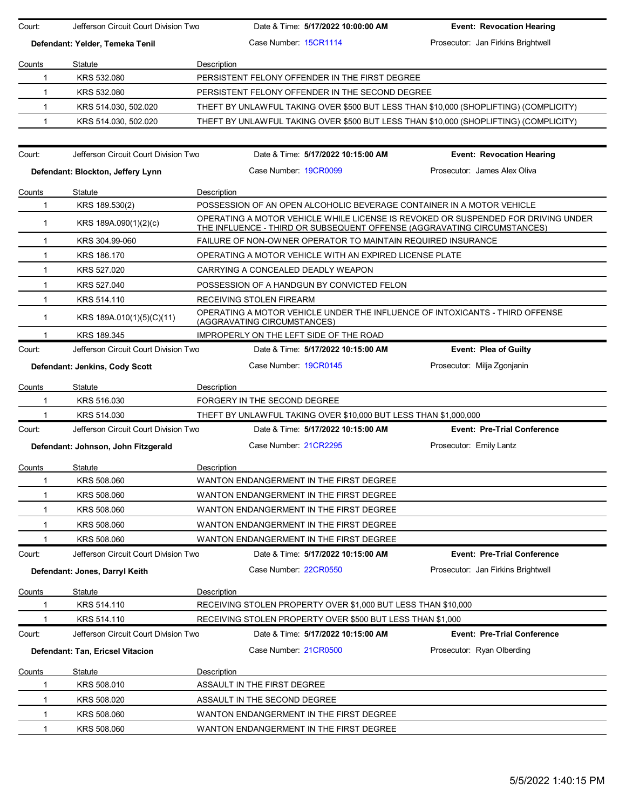| Court:                          | Jefferson Circuit Court Division Two | Date & Time: 5/17/2022 10:00:00 AM                                                                                                                           | <b>Event: Revocation Hearing</b>   |
|---------------------------------|--------------------------------------|--------------------------------------------------------------------------------------------------------------------------------------------------------------|------------------------------------|
| Defendant: Yelder, Temeka Tenil |                                      | Case Number 15CR1114                                                                                                                                         | Prosecutor: Jan Firkins Brightwell |
| Counts                          | Statute                              | Description                                                                                                                                                  |                                    |
| 1                               | KRS 532.080                          | PERSISTENT FELONY OFFENDER IN THE FIRST DEGREE                                                                                                               |                                    |
| 1                               | KRS 532.080                          | PERSISTENT FELONY OFFENDER IN THE SECOND DEGREE                                                                                                              |                                    |
| $\mathbf{1}$                    | KRS 514.030, 502.020                 | THEFT BY UNLAWFUL TAKING OVER \$500 BUT LESS THAN \$10,000 (SHOPLIFTING) (COMPLICITY)                                                                        |                                    |
| $\mathbf{1}$                    | KRS 514.030, 502.020                 | THEFT BY UNLAWFUL TAKING OVER \$500 BUT LESS THAN \$10,000 (SHOPLIFTING) (COMPLICITY)                                                                        |                                    |
|                                 |                                      |                                                                                                                                                              |                                    |
| Court:                          | Jefferson Circuit Court Division Two | Date & Time: 5/17/2022 10:15:00 AM                                                                                                                           | <b>Event: Revocation Hearing</b>   |
|                                 | Defendant: Blockton, Jeffery Lynn    | Case Number 19CR0099                                                                                                                                         | Prosecutor: James Alex Oliva       |
| Counts                          | Statute                              | Description                                                                                                                                                  |                                    |
| 1                               | KRS 189.530(2)                       | POSSESSION OF AN OPEN ALCOHOLIC BEVERAGE CONTAINER IN A MOTOR VEHICLE                                                                                        |                                    |
| $\mathbf{1}$                    | KRS 189A.090(1)(2)(c)                | OPERATING A MOTOR VEHICLE WHILE LICENSE IS REVOKED OR SUSPENDED FOR DRIVING UNDER<br>THE INFLUENCE - THIRD OR SUBSEQUENT OFFENSE (AGGRAVATING CIRCUMSTANCES) |                                    |
| 1                               | KRS 304.99-060                       | FAILURE OF NON-OWNER OPERATOR TO MAINTAIN REQUIRED INSURANCE                                                                                                 |                                    |
| 1                               | KRS 186.170                          | OPERATING A MOTOR VEHICLE WITH AN EXPIRED LICENSE PLATE                                                                                                      |                                    |
| 1                               | KRS 527.020                          | CARRYING A CONCEALED DEADLY WEAPON                                                                                                                           |                                    |
| $\mathbf{1}$                    | KRS 527.040                          | POSSESSION OF A HANDGUN BY CONVICTED FELON                                                                                                                   |                                    |
| $\mathbf{1}$                    | KRS 514.110                          | RECEIVING STOLEN FIREARM                                                                                                                                     |                                    |
| $\mathbf{1}$                    | KRS 189A.010(1)(5)(C)(11)            | OPERATING A MOTOR VEHICLE UNDER THE INFLUENCE OF INTOXICANTS - THIRD OFFENSE<br>(AGGRAVATING CIRCUMSTANCES)                                                  |                                    |
|                                 | KRS 189.345                          | IMPROPERLY ON THE LEFT SIDE OF THE ROAD                                                                                                                      |                                    |
| Court:                          | Jefferson Circuit Court Division Two | Date & Time: 5/17/2022 10:15:00 AM                                                                                                                           | <b>Event: Plea of Guilty</b>       |
|                                 | Defendant: Jenkins, Cody Scott       | Case Number 19CR0145                                                                                                                                         | Prosecutor: Milja Zgonjanin        |
| Counts                          | Statute                              | Description                                                                                                                                                  |                                    |
| 1                               | KRS 516.030                          | FORGERY IN THE SECOND DEGREE                                                                                                                                 |                                    |
|                                 | KRS 514.030                          | THEFT BY UNLAWFUL TAKING OVER \$10,000 BUT LESS THAN \$1,000,000                                                                                             |                                    |
| Court:                          | Jefferson Circuit Court Division Two | Date & Time: 5/17/2022 10:15:00 AM                                                                                                                           | <b>Event: Pre-Trial Conference</b> |
|                                 | Defendant: Johnson, John Fitzgerald  | Case Number 21CR2295                                                                                                                                         | Prosecutor: Emily Lantz            |
| Counts                          | Statute                              | Description                                                                                                                                                  |                                    |
| $\mathbf{1}$                    | KRS 508.060                          | WANTON ENDANGERMENT IN THE FIRST DEGREE                                                                                                                      |                                    |
| 1                               | KRS 508.060                          | WANTON ENDANGERMENT IN THE FIRST DEGREE                                                                                                                      |                                    |
| 1                               | KRS 508.060                          | WANTON ENDANGERMENT IN THE FIRST DEGREE                                                                                                                      |                                    |
| 1                               | KRS 508.060                          | WANTON ENDANGERMENT IN THE FIRST DEGREE                                                                                                                      |                                    |
| 1                               | KRS 508.060                          | WANTON ENDANGERMENT IN THE FIRST DEGREE                                                                                                                      |                                    |
| Court:                          | Jefferson Circuit Court Division Two | Date & Time: 5/17/2022 10:15:00 AM                                                                                                                           | <b>Event: Pre-Trial Conference</b> |
|                                 | Defendant: Jones, Darryl Keith       | Case Number. 22CR0550                                                                                                                                        | Prosecutor: Jan Firkins Brightwell |
| Counts                          | Statute                              | Description                                                                                                                                                  |                                    |
|                                 | KRS 514.110                          | RECEIVING STOLEN PROPERTY OVER \$1,000 BUT LESS THAN \$10,000                                                                                                |                                    |
|                                 | KRS 514.110                          | RECEIVING STOLEN PROPERTY OVER \$500 BUT LESS THAN \$1,000                                                                                                   |                                    |
| Court:                          | Jefferson Circuit Court Division Two | Date & Time: 5/17/2022 10:15:00 AM                                                                                                                           | <b>Event: Pre-Trial Conference</b> |
|                                 | Defendant: Tan, Ericsel Vitacion     | Case Number 21CR0500                                                                                                                                         | Prosecutor: Ryan Olberding         |
| Counts                          | Statute                              | Description                                                                                                                                                  |                                    |
| 1                               | KRS 508.010                          | ASSAULT IN THE FIRST DEGREE                                                                                                                                  |                                    |
| 1                               | KRS 508.020                          | ASSAULT IN THE SECOND DEGREE                                                                                                                                 |                                    |
| 1                               | KRS 508.060                          | WANTON ENDANGERMENT IN THE FIRST DEGREE                                                                                                                      |                                    |
| $\mathbf{1}$                    | KRS 508.060                          | WANTON ENDANGERMENT IN THE FIRST DEGREE                                                                                                                      |                                    |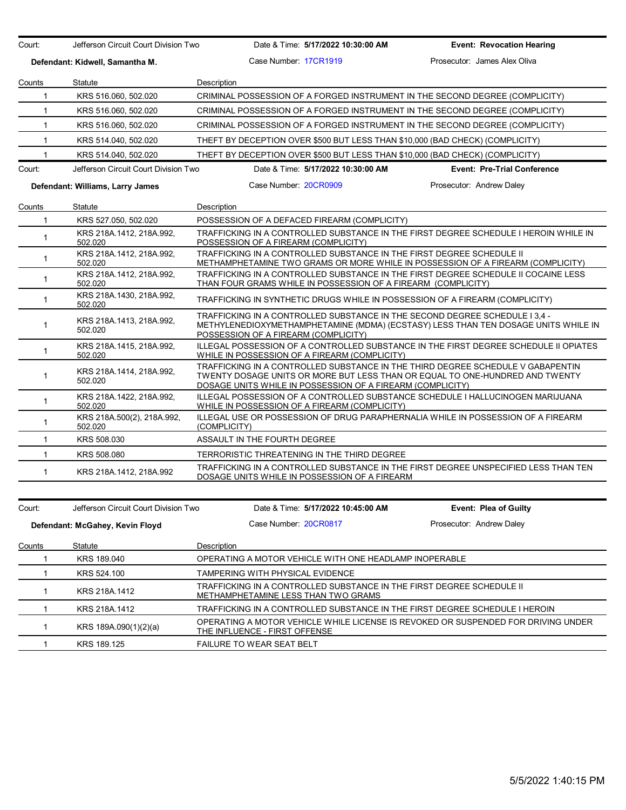| Case Number 17CR1919<br>Defendant: Kidwell, Samantha M.<br>Counts<br>Statute<br>Description<br>KRS 516.060, 502.020<br>CRIMINAL POSSESSION OF A FORGED INSTRUMENT IN THE SECOND DEGREE (COMPLICITY)<br>$\mathbf{1}$<br>$\mathbf{1}$<br>KRS 516.060, 502.020<br>CRIMINAL POSSESSION OF A FORGED INSTRUMENT IN THE SECOND DEGREE (COMPLICITY)<br>CRIMINAL POSSESSION OF A FORGED INSTRUMENT IN THE SECOND DEGREE (COMPLICITY)<br>$\mathbf{1}$<br>KRS 516.060, 502.020<br>$\mathbf{1}$<br>KRS 514.040, 502.020<br>THEFT BY DECEPTION OVER \$500 BUT LESS THAN \$10,000 (BAD CHECK) (COMPLICITY)<br>$\mathbf{1}$<br>KRS 514.040, 502.020<br>THEFT BY DECEPTION OVER \$500 BUT LESS THAN \$10,000 (BAD CHECK) (COMPLICITY)<br>Court:<br>Jefferson Circuit Court Division Two<br>Date & Time: 5/17/2022 10:30:00 AM<br>Case Number: 20CR0909<br>Defendant: Williams, Larry James | <b>Event: Revocation Hearing</b><br>Prosecutor: James Alex Oliva<br><b>Event: Pre-Trial Conference</b>                                                            |  |  |  |
|----------------------------------------------------------------------------------------------------------------------------------------------------------------------------------------------------------------------------------------------------------------------------------------------------------------------------------------------------------------------------------------------------------------------------------------------------------------------------------------------------------------------------------------------------------------------------------------------------------------------------------------------------------------------------------------------------------------------------------------------------------------------------------------------------------------------------------------------------------------------------|-------------------------------------------------------------------------------------------------------------------------------------------------------------------|--|--|--|
|                                                                                                                                                                                                                                                                                                                                                                                                                                                                                                                                                                                                                                                                                                                                                                                                                                                                            |                                                                                                                                                                   |  |  |  |
|                                                                                                                                                                                                                                                                                                                                                                                                                                                                                                                                                                                                                                                                                                                                                                                                                                                                            |                                                                                                                                                                   |  |  |  |
|                                                                                                                                                                                                                                                                                                                                                                                                                                                                                                                                                                                                                                                                                                                                                                                                                                                                            |                                                                                                                                                                   |  |  |  |
|                                                                                                                                                                                                                                                                                                                                                                                                                                                                                                                                                                                                                                                                                                                                                                                                                                                                            |                                                                                                                                                                   |  |  |  |
|                                                                                                                                                                                                                                                                                                                                                                                                                                                                                                                                                                                                                                                                                                                                                                                                                                                                            |                                                                                                                                                                   |  |  |  |
|                                                                                                                                                                                                                                                                                                                                                                                                                                                                                                                                                                                                                                                                                                                                                                                                                                                                            |                                                                                                                                                                   |  |  |  |
|                                                                                                                                                                                                                                                                                                                                                                                                                                                                                                                                                                                                                                                                                                                                                                                                                                                                            |                                                                                                                                                                   |  |  |  |
|                                                                                                                                                                                                                                                                                                                                                                                                                                                                                                                                                                                                                                                                                                                                                                                                                                                                            |                                                                                                                                                                   |  |  |  |
|                                                                                                                                                                                                                                                                                                                                                                                                                                                                                                                                                                                                                                                                                                                                                                                                                                                                            |                                                                                                                                                                   |  |  |  |
|                                                                                                                                                                                                                                                                                                                                                                                                                                                                                                                                                                                                                                                                                                                                                                                                                                                                            | Prosecutor: Andrew Daley                                                                                                                                          |  |  |  |
| Counts<br>Statute<br>Description                                                                                                                                                                                                                                                                                                                                                                                                                                                                                                                                                                                                                                                                                                                                                                                                                                           |                                                                                                                                                                   |  |  |  |
| $\mathbf{1}$<br>KRS 527.050, 502.020<br>POSSESSION OF A DEFACED FIREARM (COMPLICITY)                                                                                                                                                                                                                                                                                                                                                                                                                                                                                                                                                                                                                                                                                                                                                                                       |                                                                                                                                                                   |  |  |  |
| TRAFFICKING IN A CONTROLLED SUBSTANCE IN THE FIRST DEGREE SCHEDULE I HEROIN WHILE IN<br>KRS 218A.1412, 218A.992,<br>1<br>502.020<br>POSSESSION OF A FIREARM (COMPLICITY)                                                                                                                                                                                                                                                                                                                                                                                                                                                                                                                                                                                                                                                                                                   |                                                                                                                                                                   |  |  |  |
| KRS 218A.1412, 218A.992,<br>TRAFFICKING IN A CONTROLLED SUBSTANCE IN THE FIRST DEGREE SCHEDULE II<br>$\mathbf{1}$<br>502.020<br>METHAMPHETAMINE TWO GRAMS OR MORE WHILE IN POSSESSION OF A FIREARM (COMPLICITY)                                                                                                                                                                                                                                                                                                                                                                                                                                                                                                                                                                                                                                                            |                                                                                                                                                                   |  |  |  |
| KRS 218A.1412, 218A.992,<br>TRAFFICKING IN A CONTROLLED SUBSTANCE IN THE FIRST DEGREE SCHEDULE II COCAINE LESS<br>$\mathbf{1}$<br>THAN FOUR GRAMS WHILE IN POSSESSION OF A FIREARM (COMPLICITY)<br>502.020                                                                                                                                                                                                                                                                                                                                                                                                                                                                                                                                                                                                                                                                 |                                                                                                                                                                   |  |  |  |
| KRS 218A.1430, 218A.992,<br>$\mathbf{1}$<br>TRAFFICKING IN SYNTHETIC DRUGS WHILE IN POSSESSION OF A FIREARM (COMPLICITY)<br>502.020                                                                                                                                                                                                                                                                                                                                                                                                                                                                                                                                                                                                                                                                                                                                        |                                                                                                                                                                   |  |  |  |
| KRS 218A 1413, 218A 992,<br>1<br>502.020<br>POSSESSION OF A FIREARM (COMPLICITY)                                                                                                                                                                                                                                                                                                                                                                                                                                                                                                                                                                                                                                                                                                                                                                                           | TRAFFICKING IN A CONTROLLED SUBSTANCE IN THE SECOND DEGREE SCHEDULE I 3.4 -<br>METHYLENEDIOXYMETHAMPHETAMINE (MDMA) (ECSTASY) LESS THAN TEN DOSAGE UNITS WHILE IN |  |  |  |
| ILLEGAL POSSESSION OF A CONTROLLED SUBSTANCE IN THE FIRST DEGREE SCHEDULE II OPIATES<br>KRS 218A 1415, 218A 992,<br>$\mathbf{1}$<br>WHILE IN POSSESSION OF A FIREARM (COMPLICITY)<br>502.020                                                                                                                                                                                                                                                                                                                                                                                                                                                                                                                                                                                                                                                                               |                                                                                                                                                                   |  |  |  |
| TRAFFICKING IN A CONTROLLED SUBSTANCE IN THE THIRD DEGREE SCHEDULE V GABAPENTIN<br>KRS 218A 1414, 218A 992,<br>TWENTY DOSAGE UNITS OR MORE BUT LESS THAN OR EQUAL TO ONE-HUNDRED AND TWENTY<br>$\mathbf{1}$<br>502.020<br>DOSAGE UNITS WHILE IN POSSESSION OF A FIREARM (COMPLICITY)                                                                                                                                                                                                                                                                                                                                                                                                                                                                                                                                                                                       |                                                                                                                                                                   |  |  |  |
| ILLEGAL POSSESSION OF A CONTROLLED SUBSTANCE SCHEDULE I HALLUCINOGEN MARIJUANA<br>KRS 218A.1422, 218A.992,<br>$\mathbf{1}$<br>502.020<br>WHILE IN POSSESSION OF A FIREARM (COMPLICITY)                                                                                                                                                                                                                                                                                                                                                                                                                                                                                                                                                                                                                                                                                     |                                                                                                                                                                   |  |  |  |
| KRS 218A.500(2), 218A.992,<br>ILLEGAL USE OR POSSESSION OF DRUG PARAPHERNALIA WHILE IN POSSESSION OF A FIREARM<br>$\mathbf{1}$<br>502.020<br>(COMPLICITY)                                                                                                                                                                                                                                                                                                                                                                                                                                                                                                                                                                                                                                                                                                                  |                                                                                                                                                                   |  |  |  |
| KRS 508.030<br>ASSAULT IN THE FOURTH DEGREE<br>$\mathbf{1}$                                                                                                                                                                                                                                                                                                                                                                                                                                                                                                                                                                                                                                                                                                                                                                                                                |                                                                                                                                                                   |  |  |  |
| $\mathbf{1}$<br>KRS 508,080<br>TERRORISTIC THREATENING IN THE THIRD DEGREE                                                                                                                                                                                                                                                                                                                                                                                                                                                                                                                                                                                                                                                                                                                                                                                                 |                                                                                                                                                                   |  |  |  |
| TRAFFICKING IN A CONTROLLED SUBSTANCE IN THE FIRST DEGREE UNSPECIFIED LESS THAN TEN<br>$\mathbf{1}$<br>KRS 218A.1412, 218A.992<br>DOSAGE UNITS WHILE IN POSSESSION OF A FIREARM                                                                                                                                                                                                                                                                                                                                                                                                                                                                                                                                                                                                                                                                                            |                                                                                                                                                                   |  |  |  |

| Court: | Jefferson Circuit Court Division Two | Date & Time: 5/17/2022 10:45:00 AM                                                                                 | <b>Event: Plea of Guilty</b> |  |  |
|--------|--------------------------------------|--------------------------------------------------------------------------------------------------------------------|------------------------------|--|--|
|        | Defendant: McGahey, Kevin Floyd      | Case Number 20CR0817                                                                                               | Prosecutor: Andrew Daley     |  |  |
| Counts | Statute                              | Description                                                                                                        |                              |  |  |
|        | KRS 189,040                          | OPERATING A MOTOR VEHICLE WITH ONE HEADLAMP INOPERABLE                                                             |                              |  |  |
|        | KRS 524.100                          | <b>TAMPERING WITH PHYSICAL EVIDENCE</b>                                                                            |                              |  |  |
|        | KRS 218A 1412                        | TRAFFICKING IN A CONTROLLED SUBSTANCE IN THE FIRST DEGREE SCHEDULE II<br>METHAMPHETAMINE LESS THAN TWO GRAMS       |                              |  |  |
|        | KRS 218A.1412                        | TRAFFICKING IN A CONTROLLED SUBSTANCE IN THE FIRST DEGREE SCHEDULE I HEROIN                                        |                              |  |  |
|        | KRS 189A.090(1)(2)(a)                | OPERATING A MOTOR VEHICLE WHILE LICENSE IS REVOKED OR SUSPENDED FOR DRIVING UNDER<br>THE INFLUENCE - FIRST OFFENSE |                              |  |  |
|        | KRS 189.125                          | <b>FAILURE TO WEAR SEAT BELT</b>                                                                                   |                              |  |  |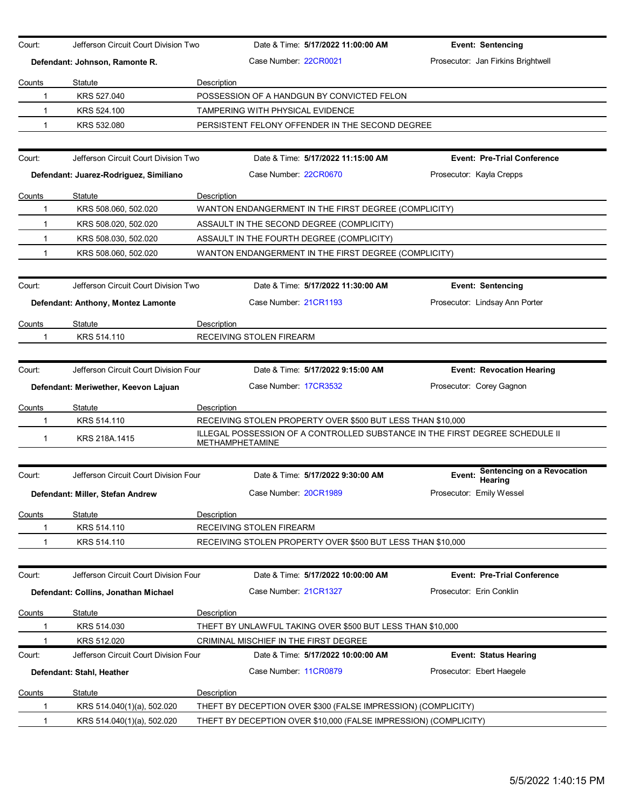| Court:                               | Jefferson Circuit Court Division Two   |                    | Date & Time: 5/17/2022 11:00:00 AM                                                                                                          | <b>Event: Sentencing</b>           |  |  |  |
|--------------------------------------|----------------------------------------|--------------------|---------------------------------------------------------------------------------------------------------------------------------------------|------------------------------------|--|--|--|
|                                      |                                        |                    | Case Number: 22CR0021                                                                                                                       | Prosecutor: Jan Firkins Brightwell |  |  |  |
|                                      | Defendant: Johnson, Ramonte R.         |                    |                                                                                                                                             |                                    |  |  |  |
| Counts                               | Statute                                | Description        |                                                                                                                                             |                                    |  |  |  |
| 1                                    | KRS 527.040                            |                    | POSSESSION OF A HANDGUN BY CONVICTED FELON                                                                                                  |                                    |  |  |  |
|                                      | KRS 524.100                            |                    | <b>TAMPERING WITH PHYSICAL EVIDENCE</b>                                                                                                     |                                    |  |  |  |
| 1                                    | KRS 532,080                            |                    | PERSISTENT FELONY OFFENDER IN THE SECOND DEGREE                                                                                             |                                    |  |  |  |
| Court:                               | Jefferson Circuit Court Division Two   |                    | Date & Time: 5/17/2022 11:15:00 AM                                                                                                          | <b>Event: Pre-Trial Conference</b> |  |  |  |
|                                      | Defendant: Juarez-Rodriguez, Similiano |                    | Case Number 22CR0670                                                                                                                        | Prosecutor: Kayla Crepps           |  |  |  |
| Counts                               | Statute                                | Description        |                                                                                                                                             |                                    |  |  |  |
| 1                                    | KRS 508.060, 502.020                   |                    | WANTON ENDANGERMENT IN THE FIRST DEGREE (COMPLICITY)                                                                                        |                                    |  |  |  |
| 1                                    | KRS 508.020, 502.020                   |                    | ASSAULT IN THE SECOND DEGREE (COMPLICITY)                                                                                                   |                                    |  |  |  |
| 1                                    | KRS 508.030, 502.020                   |                    | ASSAULT IN THE FOURTH DEGREE (COMPLICITY)                                                                                                   |                                    |  |  |  |
| 1                                    | KRS 508.060, 502.020                   |                    | WANTON ENDANGERMENT IN THE FIRST DEGREE (COMPLICITY)                                                                                        |                                    |  |  |  |
|                                      |                                        |                    |                                                                                                                                             |                                    |  |  |  |
| Court:                               | Jefferson Circuit Court Division Two   |                    | Date & Time: 5/17/2022 11:30:00 AM                                                                                                          | <b>Event: Sentencing</b>           |  |  |  |
|                                      | Defendant: Anthony, Montez Lamonte     |                    | Case Number: 21CR1193                                                                                                                       | Prosecutor: Lindsay Ann Porter     |  |  |  |
|                                      |                                        |                    |                                                                                                                                             |                                    |  |  |  |
| Counts<br>1                          | Statute                                | Description        |                                                                                                                                             |                                    |  |  |  |
|                                      | KRS 514.110                            |                    | RECEIVING STOLEN FIREARM                                                                                                                    |                                    |  |  |  |
| Court:                               | Jefferson Circuit Court Division Four  |                    | Date & Time: 5/17/2022 9:15:00 AM                                                                                                           | <b>Event: Revocation Hearing</b>   |  |  |  |
| Defendant: Meriwether, Keevon Lajuan |                                        |                    | Case Number 17CR3532                                                                                                                        | Prosecutor: Corey Gagnon           |  |  |  |
|                                      |                                        |                    |                                                                                                                                             |                                    |  |  |  |
| Counts                               | Statute<br>KRS 514.110                 | Description        |                                                                                                                                             |                                    |  |  |  |
|                                      |                                        |                    | RECEIVING STOLEN PROPERTY OVER \$500 BUT LESS THAN \$10,000<br>ILLEGAL POSSESSION OF A CONTROLLED SUBSTANCE IN THE FIRST DEGREE SCHEDULE II |                                    |  |  |  |
| $\mathbf{1}$                         | KRS 218A.1415                          |                    | <b>METHAMPHETAMINE</b>                                                                                                                      |                                    |  |  |  |
|                                      |                                        |                    |                                                                                                                                             | Sentencing on a Revocation         |  |  |  |
| Court:                               | Jefferson Circuit Court Division Four  |                    | Date & Time: 5/17/2022 9:30:00 AM                                                                                                           | Event:<br>Hearing                  |  |  |  |
|                                      | Defendant: Miller, Stefan Andrew       |                    | Case Number: 20CR1989                                                                                                                       | Prosecutor: Emily Wessel           |  |  |  |
| Counts                               | Statute                                | Description        |                                                                                                                                             |                                    |  |  |  |
|                                      | KRS 514.110                            |                    | RECEIVING STOLEN FIREARM                                                                                                                    |                                    |  |  |  |
|                                      | KRS 514.110                            |                    | RECEIVING STOLEN PROPERTY OVER \$500 BUT LESS THAN \$10,000                                                                                 |                                    |  |  |  |
|                                      |                                        |                    |                                                                                                                                             |                                    |  |  |  |
| Court:                               | Jefferson Circuit Court Division Four  |                    | Date & Time: 5/17/2022 10:00:00 AM                                                                                                          | <b>Event: Pre-Trial Conference</b> |  |  |  |
|                                      | Defendant: Collins, Jonathan Michael   |                    | Case Number 21CR1327                                                                                                                        | Prosecutor: Erin Conklin           |  |  |  |
| Counts                               | Statute                                | Description        |                                                                                                                                             |                                    |  |  |  |
|                                      | KRS 514.030                            |                    | THEFT BY UNLAWFUL TAKING OVER \$500 BUT LESS THAN \$10,000                                                                                  |                                    |  |  |  |
|                                      | KRS 512.020                            |                    | CRIMINAL MISCHIEF IN THE FIRST DEGREE                                                                                                       |                                    |  |  |  |
| Court:                               | Jefferson Circuit Court Division Four  |                    | Date & Time: 5/17/2022 10:00:00 AM                                                                                                          | <b>Event: Status Hearing</b>       |  |  |  |
|                                      | Defendant: Stahl, Heather              |                    | Case Number 11CR0879                                                                                                                        | Prosecutor: Ebert Haegele          |  |  |  |
| Counts                               | Statute                                | <b>Description</b> |                                                                                                                                             |                                    |  |  |  |
| 1                                    | KRS 514.040(1)(a), 502.020             |                    | THEFT BY DECEPTION OVER \$300 (FALSE IMPRESSION) (COMPLICITY)                                                                               |                                    |  |  |  |
| 1                                    | KRS 514.040(1)(a), 502.020             |                    | THEFT BY DECEPTION OVER \$10,000 (FALSE IMPRESSION) (COMPLICITY)                                                                            |                                    |  |  |  |
|                                      |                                        |                    |                                                                                                                                             |                                    |  |  |  |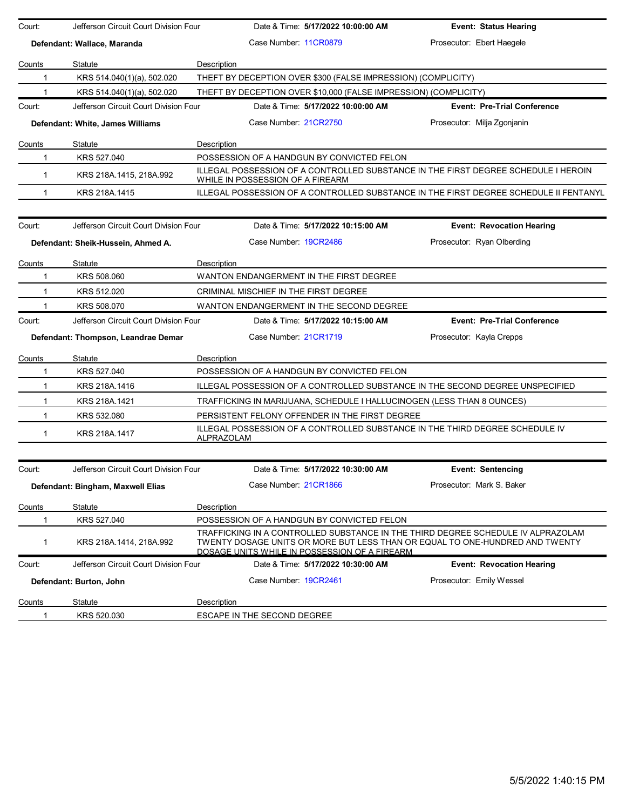| Court:<br>Jefferson Circuit Court Division Four |                                       | Date & Time: 5/17/2022 10:00:00 AM                                                                                                                                                                                | <b>Event: Status Hearing</b>       |  |  |  |
|-------------------------------------------------|---------------------------------------|-------------------------------------------------------------------------------------------------------------------------------------------------------------------------------------------------------------------|------------------------------------|--|--|--|
| Defendant: Wallace, Maranda                     |                                       | Case Number 11CR0879                                                                                                                                                                                              | Prosecutor: Ebert Haegele          |  |  |  |
| Counts                                          | Statute                               | Description                                                                                                                                                                                                       |                                    |  |  |  |
| 1                                               | KRS 514.040(1)(a), 502.020            | THEFT BY DECEPTION OVER \$300 (FALSE IMPRESSION) (COMPLICITY)                                                                                                                                                     |                                    |  |  |  |
| 1                                               | KRS 514.040(1)(a), 502.020            | THEFT BY DECEPTION OVER \$10,000 (FALSE IMPRESSION) (COMPLICITY)                                                                                                                                                  |                                    |  |  |  |
| Court:                                          | Jefferson Circuit Court Division Four | Date & Time: 5/17/2022 10:00:00 AM                                                                                                                                                                                | <b>Event: Pre-Trial Conference</b> |  |  |  |
|                                                 | Defendant: White, James Williams      | Case Number. 21CR2750                                                                                                                                                                                             | Prosecutor: Milja Zgonjanin        |  |  |  |
| Counts<br>Statute                               |                                       | Description                                                                                                                                                                                                       |                                    |  |  |  |
| 1                                               | KRS 527.040                           | POSSESSION OF A HANDGUN BY CONVICTED FELON                                                                                                                                                                        |                                    |  |  |  |
| $\mathbf{1}$                                    | KRS 218A.1415, 218A.992               | ILLEGAL POSSESSION OF A CONTROLLED SUBSTANCE IN THE FIRST DEGREE SCHEDULE I HEROIN<br>WHILE IN POSSESSION OF A FIREARM                                                                                            |                                    |  |  |  |
| 1                                               | KRS 218A.1415                         | ILLEGAL POSSESSION OF A CONTROLLED SUBSTANCE IN THE FIRST DEGREE SCHEDULE II FENTANYL                                                                                                                             |                                    |  |  |  |
| Court:                                          | Jefferson Circuit Court Division Four | Date & Time: 5/17/2022 10:15:00 AM                                                                                                                                                                                | <b>Event: Revocation Hearing</b>   |  |  |  |
|                                                 | Defendant: Sheik-Hussein, Ahmed A.    | Case Number 19CR2486                                                                                                                                                                                              | Prosecutor: Ryan Olberding         |  |  |  |
| Counts                                          | Statute                               | Description                                                                                                                                                                                                       |                                    |  |  |  |
| 1                                               | KRS 508.060                           | WANTON ENDANGERMENT IN THE FIRST DEGREE                                                                                                                                                                           |                                    |  |  |  |
| KRS 512.020<br>1                                |                                       | CRIMINAL MISCHIEF IN THE FIRST DEGREE                                                                                                                                                                             |                                    |  |  |  |
| 1                                               | KRS 508.070                           | WANTON ENDANGERMENT IN THE SECOND DEGREE                                                                                                                                                                          |                                    |  |  |  |
| Court:                                          | Jefferson Circuit Court Division Four | Date & Time: 5/17/2022 10:15:00 AM                                                                                                                                                                                | <b>Event: Pre-Trial Conference</b> |  |  |  |
|                                                 | Defendant: Thompson, Leandrae Demar   | Case Number 21CR1719                                                                                                                                                                                              | Prosecutor: Kayla Crepps           |  |  |  |
| Counts                                          | Statute                               | Description                                                                                                                                                                                                       |                                    |  |  |  |
| 1                                               | KRS 527.040                           | POSSESSION OF A HANDGUN BY CONVICTED FELON                                                                                                                                                                        |                                    |  |  |  |
| $\mathbf{1}$                                    | KRS 218A.1416                         | ILLEGAL POSSESSION OF A CONTROLLED SUBSTANCE IN THE SECOND DEGREE UNSPECIFIED                                                                                                                                     |                                    |  |  |  |
| $\mathbf{1}$                                    | KRS 218A.1421                         | TRAFFICKING IN MARIJUANA, SCHEDULE I HALLUCINOGEN (LESS THAN 8 OUNCES)                                                                                                                                            |                                    |  |  |  |
| 1                                               | KRS 532.080                           | PERSISTENT FELONY OFFENDER IN THE FIRST DEGREE                                                                                                                                                                    |                                    |  |  |  |
| 1                                               | KRS 218A.1417                         | ILLEGAL POSSESSION OF A CONTROLLED SUBSTANCE IN THE THIRD DEGREE SCHEDULE IV<br>ALPRAZOLAM                                                                                                                        |                                    |  |  |  |
| Court:                                          | Jefferson Circuit Court Division Four | Date & Time: 5/17/2022 10:30:00 AM                                                                                                                                                                                | <b>Event: Sentencing</b>           |  |  |  |
|                                                 | Defendant: Bingham, Maxwell Elias     | Case Number 21CR1866                                                                                                                                                                                              | Prosecutor: Mark S. Baker          |  |  |  |
| Counts                                          | Statute                               | Description                                                                                                                                                                                                       |                                    |  |  |  |
| 1                                               | KRS 527.040                           | POSSESSION OF A HANDGUN BY CONVICTED FELON                                                                                                                                                                        |                                    |  |  |  |
| 1                                               | KRS 218A.1414, 218A.992               | TRAFFICKING IN A CONTROLLED SUBSTANCE IN THE THIRD DEGREE SCHEDULE IV ALPRAZOLAM<br>TWENTY DOSAGE UNITS OR MORE BUT LESS THAN OR EQUAL TO ONE-HUNDRED AND TWENTY<br>DOSAGE UNITS WHILE IN POSSESSION OF A FIREARM |                                    |  |  |  |
| Court:                                          | Jefferson Circuit Court Division Four | Date & Time: 5/17/2022 10:30:00 AM                                                                                                                                                                                | <b>Event: Revocation Hearing</b>   |  |  |  |
|                                                 | Defendant: Burton, John               | Case Number 19CR2461                                                                                                                                                                                              | Prosecutor: Emily Wessel           |  |  |  |
| Counts                                          | Statute                               | Description                                                                                                                                                                                                       |                                    |  |  |  |
| 1                                               | KRS 520.030                           | ESCAPE IN THE SECOND DEGREE                                                                                                                                                                                       |                                    |  |  |  |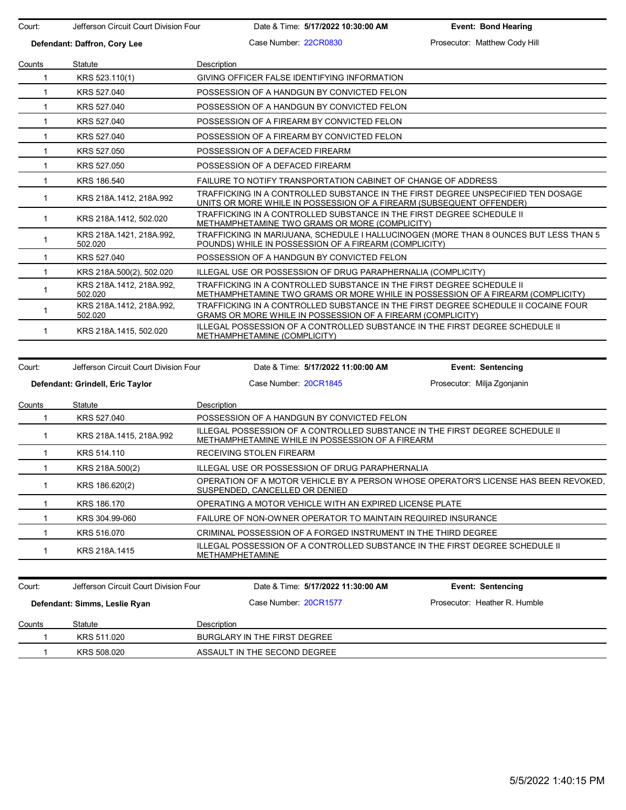| Court:                       | Jefferson Circuit Court Division Four | Date & Time: 5/17/2022 10:30:00 AM                                                                                                                              | <b>Event: Bond Hearing</b>    |  |  |  |
|------------------------------|---------------------------------------|-----------------------------------------------------------------------------------------------------------------------------------------------------------------|-------------------------------|--|--|--|
| Defendant: Daffron, Cory Lee |                                       | Case Number: 22CR0830                                                                                                                                           | Prosecutor: Matthew Cody Hill |  |  |  |
| Counts                       | Statute                               | Description                                                                                                                                                     |                               |  |  |  |
| 1                            | KRS 523.110(1)                        | GIVING OFFICER FALSE IDENTIFYING INFORMATION                                                                                                                    |                               |  |  |  |
| $\mathbf{1}$                 | KRS 527,040                           | POSSESSION OF A HANDGUN BY CONVICTED FELON                                                                                                                      |                               |  |  |  |
| $\mathbf{1}$                 | KRS 527.040                           | POSSESSION OF A HANDGUN BY CONVICTED FELON                                                                                                                      |                               |  |  |  |
| 1                            | KRS 527.040                           | POSSESSION OF A FIREARM BY CONVICTED FELON                                                                                                                      |                               |  |  |  |
| $\mathbf{1}$                 | KRS 527,040                           | POSSESSION OF A FIREARM BY CONVICTED FELON                                                                                                                      |                               |  |  |  |
|                              |                                       |                                                                                                                                                                 |                               |  |  |  |
| $\mathbf{1}$                 | KRS 527.050                           | POSSESSION OF A DEFACED FIREARM                                                                                                                                 |                               |  |  |  |
| 1                            | KRS 527.050                           | POSSESSION OF A DEFACED FIREARM                                                                                                                                 |                               |  |  |  |
| 1                            | KRS 186.540                           | FAILURE TO NOTIFY TRANSPORTATION CABINET OF CHANGE OF ADDRESS                                                                                                   |                               |  |  |  |
| $\mathbf{1}$                 | KRS 218A.1412, 218A.992               | TRAFFICKING IN A CONTROLLED SUBSTANCE IN THE FIRST DEGREE UNSPECIFIED TEN DOSAGE<br>UNITS OR MORE WHILE IN POSSESSION OF A FIREARM (SUBSEQUENT OFFENDER)        |                               |  |  |  |
| $\mathbf{1}$                 | KRS 218A 1412, 502.020                | TRAFFICKING IN A CONTROLLED SUBSTANCE IN THE FIRST DEGREE SCHEDULE II<br>METHAMPHETAMINE TWO GRAMS OR MORE (COMPLICITY)                                         |                               |  |  |  |
| 1                            | KRS 218A.1421, 218A.992,<br>502.020   | TRAFFICKING IN MARIJUANA, SCHEDULE I HALLUCINOGEN (MORE THAN 8 OUNCES BUT LESS THAN 5<br>POUNDS) WHILE IN POSSESSION OF A FIREARM (COMPLICITY)                  |                               |  |  |  |
| $\mathbf{1}$                 | KRS 527.040                           | POSSESSION OF A HANDGUN BY CONVICTED FELON                                                                                                                      |                               |  |  |  |
| $\mathbf{1}$                 | KRS 218A 500(2), 502.020              | ILLEGAL USE OR POSSESSION OF DRUG PARAPHERNALIA (COMPLICITY)                                                                                                    |                               |  |  |  |
| $\mathbf{1}$                 | KRS 218A.1412, 218A.992,<br>502.020   | TRAFFICKING IN A CONTROLLED SUBSTANCE IN THE FIRST DEGREE SCHEDULE II<br><b>METHAMPHETAMINE TWO GRAMS OR MORE WHILE IN POSSESSION OF A FIREARM (COMPLICITY)</b> |                               |  |  |  |
| $\mathbf{1}$                 | KRS 218A.1412, 218A.992,<br>502.020   | TRAFFICKING IN A CONTROLLED SUBSTANCE IN THE FIRST DEGREE SCHEDULE II COCAINE FOUR<br>GRAMS OR MORE WHILE IN POSSESSION OF A FIREARM (COMPLICITY)               |                               |  |  |  |
| $\mathbf{1}$                 | KRS 218A.1415, 502.020                | ILLEGAL POSSESSION OF A CONTROLLED SUBSTANCE IN THE FIRST DEGREE SCHEDULE II<br>METHAMPHETAMINE (COMPLICITY)                                                    |                               |  |  |  |
|                              |                                       |                                                                                                                                                                 |                               |  |  |  |
| Court:                       | Jefferson Circuit Court Division Four | Date & Time: 5/17/2022 11:00:00 AM                                                                                                                              | <b>Event: Sentencing</b>      |  |  |  |
|                              | Defendant: Grindell, Eric Taylor      | Case Number 20CR1845                                                                                                                                            | Prosecutor: Milja Zgonjanin   |  |  |  |
| Counts                       | <b>Statute</b>                        | Description                                                                                                                                                     |                               |  |  |  |
| 1                            | KRS 527.040                           | POSSESSION OF A HANDGUN BY CONVICTED FELON                                                                                                                      |                               |  |  |  |
| $\mathbf{1}$                 | KRS 218A.1415, 218A.992               | ILLEGAL POSSESSION OF A CONTROLLED SUBSTANCE IN THE FIRST DEGREE SCHEDULE II<br>METHAMPHETAMINE WHILE IN POSSESSION OF A FIREARM                                |                               |  |  |  |
| 1                            | KRS 514.110                           | RECEIVING STOLEN FIREARM                                                                                                                                        |                               |  |  |  |
| $\mathbf{1}$                 | KRS 218A.500(2)                       | ILLEGAL USE OR POSSESSION OF DRUG PARAPHERNALIA                                                                                                                 |                               |  |  |  |

|  | KRS 186.620(2) | OPERATION OF A MOTOR VEHICLE BY A PERSON WHOSE OPERATOR'S LICENSE HAS BEEN REVOKED<br>SUSPENDED, CANCELLED OR DENIED |
|--|----------------|----------------------------------------------------------------------------------------------------------------------|
|  | KRS 186.170    | OPERATING A MOTOR VEHICLE WITH AN EXPIRED LICENSE PLATE                                                              |
|  | KRS 304.99-060 | FAILURE OF NON-OWNER OPERATOR TO MAINTAIN REQUIRED INSURANCE                                                         |
|  | KRS 516,070    | CRIMINAL POSSESSION OF A FORGED INSTRUMENT IN THE THIRD DEGREE                                                       |
|  | KRS 218A 1415  | ILLEGAL POSSESSION OF A CONTROLLED SUBSTANCE IN THE FIRST DEGREE SCHEDULE II<br><b>METHAMPHETAMINE</b>               |
|  |                |                                                                                                                      |

| Court:                        | Jefferson Circuit Court Division Four |             | Date & Time: 5/17/2022 11:30:00 AM | <b>Event: Sentencing</b>      |  |
|-------------------------------|---------------------------------------|-------------|------------------------------------|-------------------------------|--|
| Defendant: Simms, Leslie Ryan |                                       |             | Case Number 20CR1577               | Prosecutor: Heather R. Humble |  |
| Counts                        | Statute                               | Description |                                    |                               |  |
|                               | KRS 511.020                           |             | BURGLARY IN THE FIRST DEGREE       |                               |  |
|                               | KRS 508.020                           |             | ASSAULT IN THE SECOND DEGREE       |                               |  |
|                               |                                       |             |                                    |                               |  |

 $\overline{\phantom{0}}$ Ξ.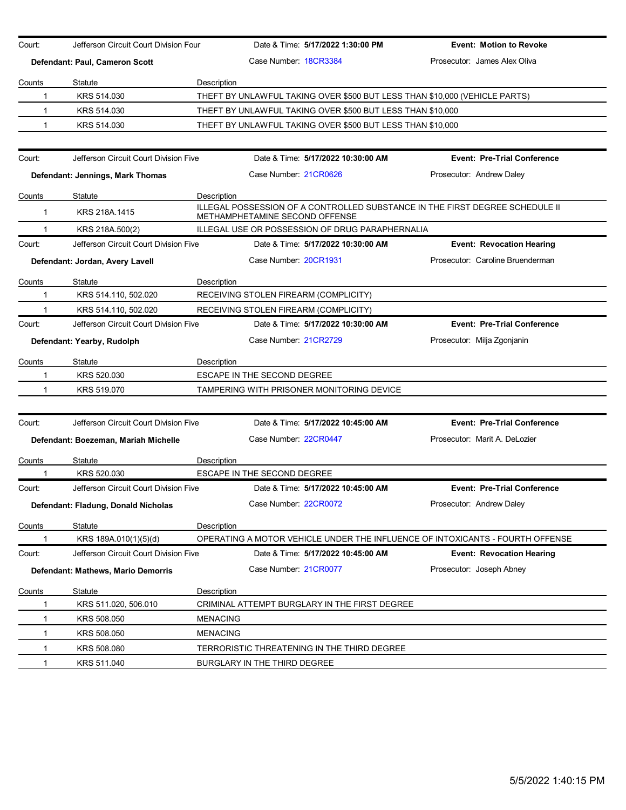| Court:      | Jefferson Circuit Court Division Four |                 |                                    | Date & Time: 5/17/2022 1:30:00 PM                          | <b>Event: Motion to Revoke</b>                                                |
|-------------|---------------------------------------|-----------------|------------------------------------|------------------------------------------------------------|-------------------------------------------------------------------------------|
|             |                                       |                 | Case Number 18CR3384               |                                                            | Prosecutor: James Alex Oliva                                                  |
|             | Defendant: Paul, Cameron Scott        |                 |                                    |                                                            |                                                                               |
| Counts      | Statute                               | Description     |                                    |                                                            |                                                                               |
| 1           | KRS 514.030                           |                 |                                    |                                                            | THEFT BY UNLAWFUL TAKING OVER \$500 BUT LESS THAN \$10,000 (VEHICLE PARTS)    |
| 1           | KRS 514.030                           |                 |                                    | THEFT BY UNLAWFUL TAKING OVER \$500 BUT LESS THAN \$10,000 |                                                                               |
| 1           | KRS 514.030                           |                 |                                    | THEFT BY UNLAWFUL TAKING OVER \$500 BUT LESS THAN \$10,000 |                                                                               |
|             |                                       |                 |                                    |                                                            |                                                                               |
| Court:      | Jefferson Circuit Court Division Five |                 |                                    | Date & Time: 5/17/2022 10:30:00 AM                         | <b>Event: Pre-Trial Conference</b>                                            |
|             | Defendant: Jennings, Mark Thomas      |                 | Case Number 21CR0626               |                                                            | Prosecutor: Andrew Daley                                                      |
| Counts      | Statute                               | Description     |                                    |                                                            |                                                                               |
| $\mathbf 1$ | KRS 218A.1415                         |                 | METHAMPHETAMINE SECOND OFFENSE     |                                                            | ILLEGAL POSSESSION OF A CONTROLLED SUBSTANCE IN THE FIRST DEGREE SCHEDULE II  |
|             | KRS 218A.500(2)                       |                 |                                    | ILLEGAL USE OR POSSESSION OF DRUG PARAPHERNALIA            |                                                                               |
| Court:      | Jefferson Circuit Court Division Five |                 |                                    | Date & Time: 5/17/2022 10:30:00 AM                         | <b>Event: Revocation Hearing</b>                                              |
|             | Defendant: Jordan, Avery Lavell       |                 | Case Number 20CR1931               |                                                            | Prosecutor: Caroline Bruenderman                                              |
| Counts      | <b>Statute</b>                        | Description     |                                    |                                                            |                                                                               |
| 1           | KRS 514.110, 502.020                  |                 |                                    | RECEIVING STOLEN FIREARM (COMPLICITY)                      |                                                                               |
|             | KRS 514.110, 502.020                  |                 |                                    | RECEIVING STOLEN FIREARM (COMPLICITY)                      |                                                                               |
| Court:      | Jefferson Circuit Court Division Five |                 |                                    | Date & Time: 5/17/2022 10:30:00 AM                         | <b>Event: Pre-Trial Conference</b>                                            |
|             | Defendant: Yearby, Rudolph            |                 | Case Number 21CR2729               |                                                            | Prosecutor: Milja Zgonjanin                                                   |
| Counts      | Statute                               | Description     |                                    |                                                            |                                                                               |
| 1           | KRS 520.030                           |                 | ESCAPE IN THE SECOND DEGREE        |                                                            |                                                                               |
| 1           | KRS 519.070                           |                 |                                    | TAMPERING WITH PRISONER MONITORING DEVICE                  |                                                                               |
|             |                                       |                 |                                    |                                                            |                                                                               |
| Court:      | Jefferson Circuit Court Division Five |                 |                                    | Date & Time: 5/17/2022 10:45:00 AM                         | <b>Event: Pre-Trial Conference</b>                                            |
|             | Defendant: Boezeman, Mariah Michelle  |                 | Case Number 22CR0447               |                                                            | Prosecutor: Marit A. DeLozier                                                 |
| Counts      | Statute                               | Description     |                                    |                                                            |                                                                               |
|             | KRS 520.030                           |                 | <b>ESCAPE IN THE SECOND DEGREE</b> |                                                            |                                                                               |
| Court:      | Jefferson Circuit Court Division Five |                 |                                    | Date & Time: 5/17/2022 10:45:00 AM                         | <b>Event: Pre-Trial Conference</b>                                            |
|             | Defendant: Fladung, Donald Nicholas   |                 | Case Number: 22CR0072              |                                                            | Prosecutor: Andrew Daley                                                      |
| Counts      | Statute                               | Description     |                                    |                                                            |                                                                               |
|             | KRS 189A.010(1)(5)(d)                 |                 |                                    |                                                            | OPERATING A MOTOR VEHICLE UNDER THE INFLUENCE OF INTOXICANTS - FOURTH OFFENSE |
| Court:      | Jefferson Circuit Court Division Five |                 |                                    | Date & Time: 5/17/2022 10:45:00 AM                         | <b>Event: Revocation Hearing</b>                                              |
|             | Defendant: Mathews, Mario Demorris    |                 | Case Number: 21CR0077              |                                                            | Prosecutor: Joseph Abney                                                      |
| Counts      | <b>Statute</b>                        | Description     |                                    |                                                            |                                                                               |
|             | KRS 511.020, 506.010                  |                 |                                    | CRIMINAL ATTEMPT BURGLARY IN THE FIRST DEGREE              |                                                                               |
|             | KRS 508.050                           | <b>MENACING</b> |                                    |                                                            |                                                                               |
| 1           | KRS 508.050                           | <b>MENACING</b> |                                    |                                                            |                                                                               |
| 1           | KRS 508.080                           |                 |                                    | TERRORISTIC THREATENING IN THE THIRD DEGREE                |                                                                               |
| 1           | KRS 511.040                           |                 | BURGLARY IN THE THIRD DEGREE       |                                                            |                                                                               |
|             |                                       |                 |                                    |                                                            |                                                                               |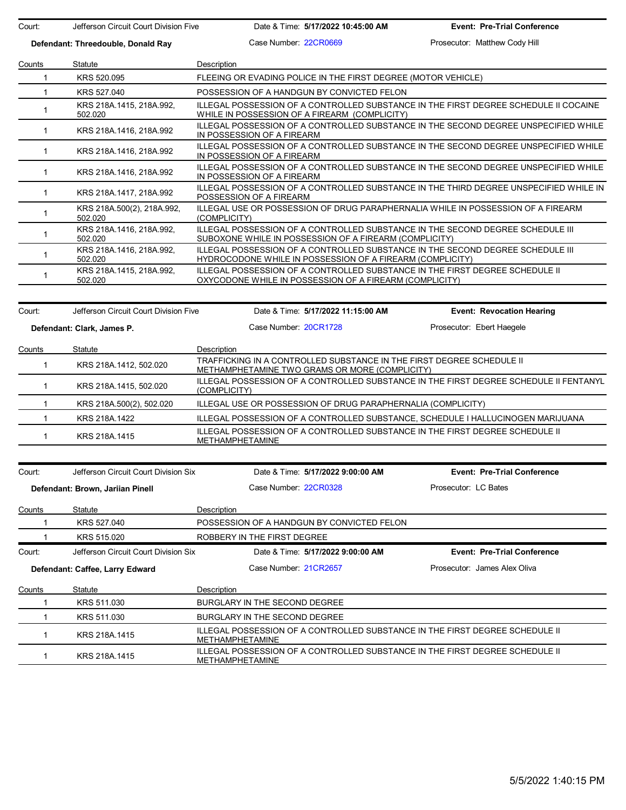Court: Jefferson Circuit Court Division Five Date & Time: **5/17/2022 10:45:00 AM Event: Pre-Trial Conference**

**Defendant: Threedouble, Donald Ray** Case Number: 22CR0669 Prosecutor: Matthew Cody Hill Counts Statute **Description** 1 KRS 520.095 FLEEING OR EVADING POLICE IN THE FIRST DEGREE (MOTOR VEHICLE) 1 KRS 527.040 POSSESSION OF A HANDGUN BY CONVICTED FELON <sup>1</sup> KRS 218A.1415, 218A.992, 502.020 ILLEGAL POSSESSION OF A CONTROLLED SUBSTANCE IN THE FIRST DEGREE SCHEDULE II COCAINE WHILE IN POSSESSION OF A FIREARM (COMPLICITY) 1 KRS 218A.1416, 218A.992 ILLEGAL POSSESSION OF A CONTROLLED SUBSTANCE IN THE SECOND DEGREE UNSPECIFIED WHILE IN POSSESSION OF A FIREARM 1 KRS 218A.1416, 218A.992 ILLEGAL POSSESSION OF A CONTROLLED SUBSTANCE IN THE SECOND DEGREE UNSPECIFIED WHILE IN POSSESSION OF A FIREARM 1 KRS 218A.1416, 218A.992 ILLEGAL POSSESSION OF A CONTROLLED SUBSTANCE IN THE SECOND DEGREE UNSPECIFIED WHILE IN POSSESSION OF A FIREARM 1 KRS 218A.1417, 218A.992 ILLEGAL POSSESSION OF A CONTROLLED SUBSTANCE IN THE THIRD DEGREE UNSPECIFIED WHILE IN POSSESSION OF A FIREARM 1 KRS 218A.500(2), 218A.992, 502.020 ILLEGAL USE OR POSSESSION OF DRUG PARAPHERNALIA WHILE IN POSSESSION OF A FIREARM (COMPLICITY) 1 KRS 218A.1416, 218A.992, 502.020 ILLEGAL POSSESSION OF A CONTROLLED SUBSTANCE IN THE SECOND DEGREE SCHEDULE III SUBOXONE WHILE IN POSSESSION OF A FIREARM (COMPLICITY) <sup>1</sup> KRS 218A.1416, 218A.992, 502.020 ILLEGAL POSSESSION OF A CONTROLLED SUBSTANCE IN THE SECOND DEGREE SCHEDULE III HYDROCODONE WHILE IN POSSESSION OF A FIREARM (COMPLICITY) 1 KRS 218A.1415, 218A.992, 502.020 ILLEGAL POSSESSION OF A CONTROLLED SUBSTANCE IN THE FIRST DEGREE SCHEDULE II OXYCODONE WHILE IN POSSESSION OF A FIREARM (COMPLICITY)

Court: Jefferson Circuit Court Division Five Date & Time: **5/17/2022 11:15:00 AM Event: Revocation Hearing Defendant: Clark, James P.** Case Number: 20CR1728 Prosecutor: Ebert Haegele Counts Statute Description 1 KRS 218A.1412, 502.020 TRAFFICKING IN A CONTROLLED SUBSTANCE IN THE FIRST DEGREE SCHEDULE II METHAMPHETAMINE TWO GRAMS OR MORE (COMPLICITY) 1 KRS 218A.1415, 502.020 ILLEGAL POSSESSION OF A CONTROLLED SUBSTANCE IN THE FIRST DEGREE SCHEDULE II FENTANYL (COMPLICITY) 1 KRS 218A.500(2), 502.020 ILLEGAL USE OR POSSESSION OF DRUG PARAPHERNALIA (COMPLICITY) 1 KRS 218A.1422 ILLEGAL POSSESSION OF A CONTROLLED SUBSTANCE, SCHEDULE I HALLUCINOGEN MARIJUANA 1 KRS 218A.1415 ILLEGAL POSSESSION OF A CONTROLLED SUBSTANCE IN THE FIRST DEGREE SCHEDULE II METHAMPHETAMINE

| Court: | Jefferson Circuit Court Division Six | Date & Time: 5/17/2022 9:00:00 AM                                                                      | <b>Event: Pre-Trial Conference</b> |  |
|--------|--------------------------------------|--------------------------------------------------------------------------------------------------------|------------------------------------|--|
|        | Defendant: Brown, Jariian Pinell     | Case Number: 22CR0328                                                                                  | Prosecutor: LC Bates               |  |
| Counts | Statute                              | <b>Description</b>                                                                                     |                                    |  |
|        | KRS 527,040                          | POSSESSION OF A HANDGUN BY CONVICTED FELON                                                             |                                    |  |
|        | KRS 515,020                          | ROBBERY IN THE FIRST DEGREE.                                                                           |                                    |  |
| Court: | Jefferson Circuit Court Division Six | Date & Time: 5/17/2022 9:00:00 AM                                                                      | <b>Event: Pre-Trial Conference</b> |  |
|        | Defendant: Caffee, Larry Edward      | Case Number 21CR2657                                                                                   | Prosecutor: James Alex Oliva       |  |
| Counts | Statute                              | Description                                                                                            |                                    |  |
|        | KRS 511,030                          | BURGLARY IN THE SECOND DEGREE.                                                                         |                                    |  |
|        | KRS 511,030                          | BURGLARY IN THE SECOND DEGREE                                                                          |                                    |  |
|        | KRS 218A.1415                        | ILLEGAL POSSESSION OF A CONTROLLED SUBSTANCE IN THE FIRST DEGREE SCHEDULE II<br><b>METHAMPHETAMINE</b> |                                    |  |
|        | KRS 218A.1415                        | ILLEGAL POSSESSION OF A CONTROLLED SUBSTANCE IN THE FIRST DEGREE SCHEDULE II<br><b>METHAMPHETAMINE</b> |                                    |  |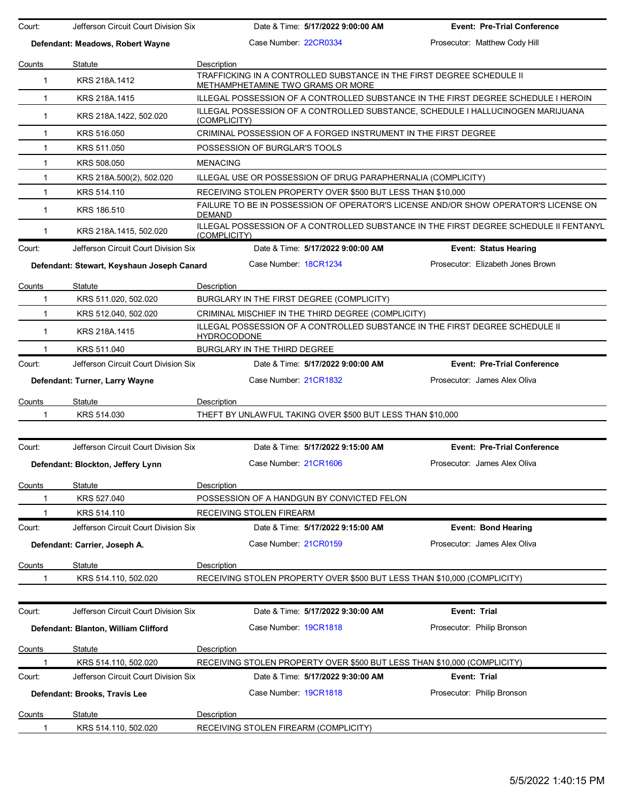| Court:        | Jefferson Circuit Court Division Six       | Date & Time: 5/17/2022 9:00:00 AM                                                                          | <b>Event: Pre-Trial Conference</b> |
|---------------|--------------------------------------------|------------------------------------------------------------------------------------------------------------|------------------------------------|
|               | Defendant: Meadows, Robert Wayne           | Case Number: 22CR0334                                                                                      | Prosecutor: Matthew Cody Hill      |
| Counts        | Statute                                    | Description                                                                                                |                                    |
| $\mathbf{1}$  | KRS 218A.1412                              | TRAFFICKING IN A CONTROLLED SUBSTANCE IN THE FIRST DEGREE SCHEDULE II<br>METHAMPHETAMINE TWO GRAMS OR MORE |                                    |
| 1             | KRS 218A.1415                              | ILLEGAL POSSESSION OF A CONTROLLED SUBSTANCE IN THE FIRST DEGREE SCHEDULE I HEROIN                         |                                    |
| 1             | KRS 218A.1422, 502.020                     | ILLEGAL POSSESSION OF A CONTROLLED SUBSTANCE, SCHEDULE I HALLUCINOGEN MARIJUANA<br>(COMPLICITY)            |                                    |
| $\mathbf{1}$  | KRS 516.050                                | CRIMINAL POSSESSION OF A FORGED INSTRUMENT IN THE FIRST DEGREE                                             |                                    |
| 1             | KRS 511,050                                | POSSESSION OF BURGLAR'S TOOLS                                                                              |                                    |
| 1             | KRS 508.050                                | <b>MENACING</b>                                                                                            |                                    |
| 1             | KRS 218A.500(2), 502.020                   | ILLEGAL USE OR POSSESSION OF DRUG PARAPHERNALIA (COMPLICITY)                                               |                                    |
| $\mathbf{1}$  | KRS 514.110                                | RECEIVING STOLEN PROPERTY OVER \$500 BUT LESS THAN \$10,000                                                |                                    |
| $\mathbf{1}$  | KRS 186.510                                | FAILURE TO BE IN POSSESSION OF OPERATOR'S LICENSE AND/OR SHOW OPERATOR'S LICENSE ON<br><b>DEMAND</b>       |                                    |
| $\mathbf 1$   | KRS 218A 1415, 502.020                     | ILLEGAL POSSESSION OF A CONTROLLED SUBSTANCE IN THE FIRST DEGREE SCHEDULE II FENTANYL<br>(COMPLICITY)      |                                    |
| Court:        | Jefferson Circuit Court Division Six       | Date & Time: 5/17/2022 9:00:00 AM                                                                          | <b>Event: Status Hearing</b>       |
|               | Defendant: Stewart, Keyshaun Joseph Canard | Case Number: 18CR1234                                                                                      | Prosecutor: Elizabeth Jones Brown  |
| Counts        | Statute                                    | Description                                                                                                |                                    |
| 1             | KRS 511.020, 502.020                       | BURGLARY IN THE FIRST DEGREE (COMPLICITY)                                                                  |                                    |
| 1             | KRS 512.040, 502.020                       | CRIMINAL MISCHIEF IN THE THIRD DEGREE (COMPLICITY)                                                         |                                    |
| $\mathbf 1$   | KRS 218A.1415                              | ILLEGAL POSSESSION OF A CONTROLLED SUBSTANCE IN THE FIRST DEGREE SCHEDULE II<br><b>HYDROCODONE</b>         |                                    |
|               | KRS 511.040                                | BURGLARY IN THE THIRD DEGREE                                                                               |                                    |
| Court:        | Jefferson Circuit Court Division Six       | Date & Time: 5/17/2022 9:00:00 AM                                                                          | <b>Event: Pre-Trial Conference</b> |
|               | Defendant: Turner, Larry Wayne             | Case Number 21CR1832                                                                                       | Prosecutor: James Alex Oliva       |
| Counts        | Statute                                    | Description                                                                                                |                                    |
| 1             | KRS 514.030                                | THEFT BY UNLAWFUL TAKING OVER \$500 BUT LESS THAN \$10,000                                                 |                                    |
|               |                                            |                                                                                                            |                                    |
| Court:        | Jefferson Circuit Court Division Six       | Date & Time: 5/17/2022 9:15:00 AM                                                                          | <b>Event: Pre-Trial Conference</b> |
|               | Defendant: Blockton, Jeffery Lynn          | Case Number 21CR1606                                                                                       | Prosecutor: James Alex Oliva       |
| Counts        | Statute                                    | Description                                                                                                |                                    |
|               | KRS 527.040                                | POSSESSION OF A HANDGUN BY CONVICTED FELON                                                                 |                                    |
|               | KRS 514.110                                | RECEIVING STOLEN FIREARM                                                                                   |                                    |
| Court:        | Jefferson Circuit Court Division Six       | Date & Time: 5/17/2022 9:15:00 AM                                                                          | <b>Event: Bond Hearing</b>         |
|               | Defendant: Carrier, Joseph A.              | Case Number: 21CR0159                                                                                      | Prosecutor: James Alex Oliva       |
| Counts        | Statute                                    | Description                                                                                                |                                    |
| 1             | KRS 514.110, 502.020                       | RECEIVING STOLEN PROPERTY OVER \$500 BUT LESS THAN \$10,000 (COMPLICITY)                                   |                                    |
|               |                                            |                                                                                                            |                                    |
| Court:        | Jefferson Circuit Court Division Six       | Date & Time: 5/17/2022 9:30:00 AM                                                                          | Event: Trial                       |
|               | Defendant: Blanton, William Clifford       | Case Number: 19CR1818                                                                                      | Prosecutor: Philip Bronson         |
| Counts        | Statute                                    | <b>Description</b>                                                                                         |                                    |
|               | KRS 514.110, 502.020                       | RECEIVING STOLEN PROPERTY OVER \$500 BUT LESS THAN \$10,000 (COMPLICITY)                                   |                                    |
| Court:        | Jefferson Circuit Court Division Six       | Date & Time: 5/17/2022 9:30:00 AM                                                                          | Event: Trial                       |
|               | Defendant: Brooks, Travis Lee              | Case Number: 19CR1818                                                                                      | Prosecutor: Philip Bronson         |
| <b>Counts</b> | Statute                                    | Description                                                                                                |                                    |
| 1             | KRS 514.110, 502.020                       | RECEIVING STOLEN FIREARM (COMPLICITY)                                                                      |                                    |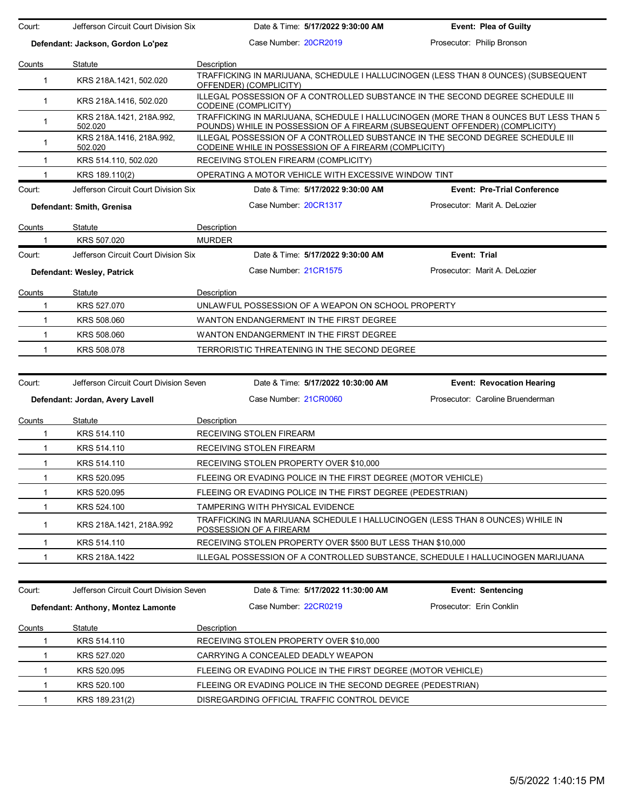| Court:       | Jefferson Circuit Court Division Six   |                      | Date & Time: 5/17/2022 9:30:00 AM                             | <b>Event: Plea of Guilty</b>                                                                                                                                         |
|--------------|----------------------------------------|----------------------|---------------------------------------------------------------|----------------------------------------------------------------------------------------------------------------------------------------------------------------------|
|              | Defendant: Jackson, Gordon Lo'pez      |                      | Case Number 20CR2019                                          | Prosecutor: Philip Bronson                                                                                                                                           |
| Counts       | Statute                                | Description          |                                                               |                                                                                                                                                                      |
| $\mathbf{1}$ | KRS 218A.1421, 502.020                 |                      | OFFENDER) (COMPLICITY)                                        | TRAFFICKING IN MARIJUANA, SCHEDULE I HALLUCINOGEN (LESS THAN 8 OUNCES) (SUBSEQUENT                                                                                   |
| $\mathbf{1}$ | KRS 218A.1416, 502.020                 | CODEINE (COMPLICITY) |                                                               | ILLEGAL POSSESSION OF A CONTROLLED SUBSTANCE IN THE SECOND DEGREE SCHEDULE III                                                                                       |
| $\mathbf{1}$ | KRS 218A.1421, 218A.992,<br>502.020    |                      |                                                               | TRAFFICKING IN MARIJUANA, SCHEDULE I HALLUCINOGEN (MORE THAN 8 OUNCES BUT LESS THAN 5<br>POUNDS) WHILE IN POSSESSION OF A FIREARM (SUBSEQUENT OFFENDER) (COMPLICITY) |
| $\mathbf{1}$ | KRS 218A.1416, 218A.992,<br>502.020    |                      | CODEINE WHILE IN POSSESSION OF A FIREARM (COMPLICITY)         | ILLEGAL POSSESSION OF A CONTROLLED SUBSTANCE IN THE SECOND DEGREE SCHEDULE III                                                                                       |
| $\mathbf{1}$ | KRS 514.110, 502.020                   |                      | RECEIVING STOLEN FIREARM (COMPLICITY)                         |                                                                                                                                                                      |
| 1            | KRS 189.110(2)                         |                      | OPERATING A MOTOR VEHICLE WITH EXCESSIVE WINDOW TINT          |                                                                                                                                                                      |
| Court:       | Jefferson Circuit Court Division Six   |                      | Date & Time: 5/17/2022 9:30:00 AM                             | <b>Event: Pre-Trial Conference</b>                                                                                                                                   |
|              | Defendant: Smith, Grenisa              |                      | Case Number 20CR1317                                          | Prosecutor: Marit A. DeLozier                                                                                                                                        |
| Counts       | Statute                                | Description          |                                                               |                                                                                                                                                                      |
| 1            | KRS 507.020                            | <b>MURDER</b>        |                                                               |                                                                                                                                                                      |
| Court:       | Jefferson Circuit Court Division Six   |                      | Date & Time: 5/17/2022 9:30:00 AM                             | Event: Trial                                                                                                                                                         |
|              | Defendant: Wesley, Patrick             |                      | Case Number: 21CR1575                                         | Prosecutor: Marit A. DeLozier                                                                                                                                        |
| Counts       | Statute                                | Description          |                                                               |                                                                                                                                                                      |
| $\mathbf{1}$ | KRS 527.070                            |                      | UNLAWFUL POSSESSION OF A WEAPON ON SCHOOL PROPERTY            |                                                                                                                                                                      |
| $\mathbf{1}$ | KRS 508,060                            |                      | WANTON ENDANGERMENT IN THE FIRST DEGREE                       |                                                                                                                                                                      |
| $\mathbf{1}$ | KRS 508.060                            |                      | WANTON ENDANGERMENT IN THE FIRST DEGREE                       |                                                                                                                                                                      |
| 1            | KRS 508.078                            |                      | TERRORISTIC THREATENING IN THE SECOND DEGREE                  |                                                                                                                                                                      |
| Court:       | Jefferson Circuit Court Division Seven |                      | Date & Time: 5/17/2022 10:30:00 AM                            |                                                                                                                                                                      |
|              |                                        |                      |                                                               | <b>Event: Revocation Hearing</b>                                                                                                                                     |
|              | Defendant: Jordan, Avery Lavell        |                      | Case Number: 21CR0060                                         | Prosecutor: Caroline Bruenderman                                                                                                                                     |
| Counts       | Statute                                | Description          |                                                               |                                                                                                                                                                      |
| 1            | KRS 514.110                            |                      | RECEIVING STOLEN FIREARM                                      |                                                                                                                                                                      |
| $\mathbf{1}$ | KRS 514.110                            |                      | <b>RECEIVING STOLEN FIREARM</b>                               |                                                                                                                                                                      |
| $\mathbf{1}$ | KRS 514.110                            |                      | RECEIVING STOLEN PROPERTY OVER \$10,000                       |                                                                                                                                                                      |
| 1            | KRS 520.095                            |                      | FLEEING OR EVADING POLICE IN THE FIRST DEGREE (MOTOR VEHICLE) |                                                                                                                                                                      |
| 1            | KRS 520.095                            |                      | FLEEING OR EVADING POLICE IN THE FIRST DEGREE (PEDESTRIAN)    |                                                                                                                                                                      |
| 1            | KRS 524.100                            |                      | TAMPERING WITH PHYSICAL EVIDENCE                              |                                                                                                                                                                      |
| 1            | KRS 218A.1421, 218A.992                |                      | POSSESSION OF A FIREARM                                       | TRAFFICKING IN MARIJUANA SCHEDULE I HALLUCINOGEN (LESS THAN 8 OUNCES) WHILE IN                                                                                       |
| 1            | KRS 514.110                            |                      | RECEIVING STOLEN PROPERTY OVER \$500 BUT LESS THAN \$10,000   |                                                                                                                                                                      |
| 1            | KRS 218A.1422                          |                      |                                                               | ILLEGAL POSSESSION OF A CONTROLLED SUBSTANCE, SCHEDULE I HALLUCINOGEN MARIJUANA                                                                                      |
| Court:       | Jefferson Circuit Court Division Seven |                      | Date & Time: 5/17/2022 11:30:00 AM                            | <b>Event: Sentencing</b>                                                                                                                                             |
|              |                                        |                      |                                                               |                                                                                                                                                                      |
|              | Defendant: Anthony, Montez Lamonte     |                      | Case Number: 22CR0219                                         | Prosecutor: Erin Conklin                                                                                                                                             |
| Counts       | Statute                                | Description          |                                                               |                                                                                                                                                                      |
| 1            | KRS 514.110                            |                      | RECEIVING STOLEN PROPERTY OVER \$10,000                       |                                                                                                                                                                      |
| 1            | KRS 527.020                            |                      | CARRYING A CONCEALED DEADLY WEAPON                            |                                                                                                                                                                      |
| 1            | KRS 520.095                            |                      | FLEEING OR EVADING POLICE IN THE FIRST DEGREE (MOTOR VEHICLE) |                                                                                                                                                                      |
| 1            | KRS 520.100                            |                      | FLEEING OR EVADING POLICE IN THE SECOND DEGREE (PEDESTRIAN)   |                                                                                                                                                                      |
| 1            | KRS 189.231(2)                         |                      | DISREGARDING OFFICIAL TRAFFIC CONTROL DEVICE                  |                                                                                                                                                                      |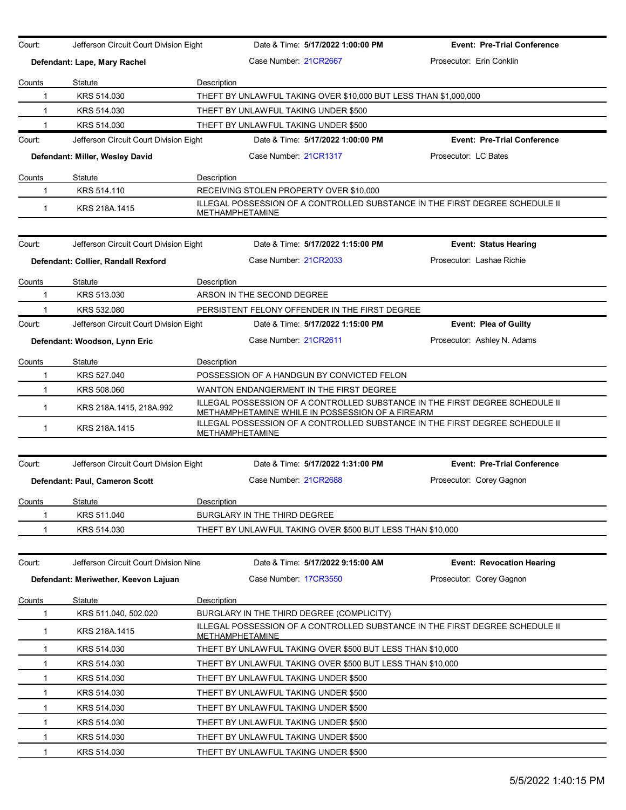| Court:        | Jefferson Circuit Court Division Eight |                                            | Date & Time: 5/17/2022 1:00:00 PM                                | <b>Event: Pre-Trial Conference</b>                                           |  |  |  |
|---------------|----------------------------------------|--------------------------------------------|------------------------------------------------------------------|------------------------------------------------------------------------------|--|--|--|
|               | Defendant: Lape, Mary Rachel           |                                            | Case Number 21CR2667                                             | Prosecutor: Erin Conklin                                                     |  |  |  |
| Counts        | Statute                                | Description                                |                                                                  |                                                                              |  |  |  |
| 1             | KRS 514.030                            |                                            | THEFT BY UNLAWFUL TAKING OVER \$10,000 BUT LESS THAN \$1,000,000 |                                                                              |  |  |  |
| $\mathbf{1}$  | KRS 514.030                            |                                            | THEFT BY UNLAWFUL TAKING UNDER \$500                             |                                                                              |  |  |  |
|               | KRS 514.030                            |                                            | THEFT BY UNLAWFUL TAKING UNDER \$500                             |                                                                              |  |  |  |
| Court:        | Jefferson Circuit Court Division Eight |                                            | Date & Time: 5/17/2022 1:00:00 PM                                | <b>Event: Pre-Trial Conference</b>                                           |  |  |  |
|               | Defendant: Miller, Wesley David        |                                            | Case Number 21CR1317                                             | Prosecutor: LC Bates                                                         |  |  |  |
| Counts        | Statute                                | Description                                |                                                                  |                                                                              |  |  |  |
| -1            | KRS 514.110                            |                                            | RECEIVING STOLEN PROPERTY OVER \$10,000                          |                                                                              |  |  |  |
| $\mathbf{1}$  | KRS 218A.1415                          | METHAMPHETAMINE                            |                                                                  | ILLEGAL POSSESSION OF A CONTROLLED SUBSTANCE IN THE FIRST DEGREE SCHEDULE II |  |  |  |
| Court:        | Jefferson Circuit Court Division Eight |                                            | Date & Time: 5/17/2022 1:15:00 PM                                | <b>Event: Status Hearing</b>                                                 |  |  |  |
|               | Defendant: Collier, Randall Rexford    |                                            | Case Number 21CR2033                                             | Prosecutor: Lashae Richie                                                    |  |  |  |
|               |                                        |                                            |                                                                  |                                                                              |  |  |  |
| Counts        | Statute                                | Description                                |                                                                  |                                                                              |  |  |  |
| 1             | KRS 513,030                            |                                            | ARSON IN THE SECOND DEGREE                                       |                                                                              |  |  |  |
|               | KRS 532.080                            |                                            | PERSISTENT FELONY OFFENDER IN THE FIRST DEGREE                   |                                                                              |  |  |  |
| Court:        | Jefferson Circuit Court Division Eight |                                            | Date & Time: 5/17/2022 1:15:00 PM                                | <b>Event: Plea of Guilty</b>                                                 |  |  |  |
|               | Defendant: Woodson, Lynn Eric          |                                            | Case Number 21CR2611                                             | Prosecutor: Ashley N. Adams                                                  |  |  |  |
| Counts        | Statute                                | Description                                |                                                                  |                                                                              |  |  |  |
| 1             | KRS 527,040                            | POSSESSION OF A HANDGUN BY CONVICTED FELON |                                                                  |                                                                              |  |  |  |
| 1             | KRS 508.060                            | WANTON ENDANGERMENT IN THE FIRST DEGREE    |                                                                  |                                                                              |  |  |  |
| 1             | KRS 218A.1415, 218A.992                |                                            | METHAMPHETAMINE WHILE IN POSSESSION OF A FIREARM                 | ILLEGAL POSSESSION OF A CONTROLLED SUBSTANCE IN THE FIRST DEGREE SCHEDULE II |  |  |  |
| $\mathbf{1}$  | KRS 218A.1415                          | <b>METHAMPHETAMINE</b>                     |                                                                  | ILLEGAL POSSESSION OF A CONTROLLED SUBSTANCE IN THE FIRST DEGREE SCHEDULE II |  |  |  |
|               |                                        |                                            |                                                                  |                                                                              |  |  |  |
| Court:        | Jefferson Circuit Court Division Eight |                                            | Date & Time: 5/17/2022 1:31:00 PM                                | <b>Event: Pre-Trial Conference</b>                                           |  |  |  |
|               | Defendant: Paul, Cameron Scott         |                                            | Case Number 21CR2688                                             | Prosecutor: Corey Gagnon                                                     |  |  |  |
| Counts        | Statute                                | Description                                |                                                                  |                                                                              |  |  |  |
|               | KRS 511.040                            |                                            | BURGLARY IN THE THIRD DEGREE                                     |                                                                              |  |  |  |
| 1             | KRS 514.030                            |                                            | THEFT BY UNLAWFUL TAKING OVER \$500 BUT LESS THAN \$10,000       |                                                                              |  |  |  |
| Court:        | Jefferson Circuit Court Division Nine  |                                            | Date & Time: 5/17/2022 9:15:00 AM                                | <b>Event: Revocation Hearing</b>                                             |  |  |  |
|               | Defendant: Meriwether, Keevon Lajuan   |                                            | Case Number 17CR3550                                             | Prosecutor: Corey Gagnon                                                     |  |  |  |
| <b>Counts</b> | <b>Statute</b>                         | Description                                |                                                                  |                                                                              |  |  |  |
| 1             | KRS 511.040, 502.020                   |                                            | BURGLARY IN THE THIRD DEGREE (COMPLICITY)                        |                                                                              |  |  |  |
| $\mathbf{1}$  | KRS 218A.1415                          | <b>METHAMPHETAMINE</b>                     |                                                                  | ILLEGAL POSSESSION OF A CONTROLLED SUBSTANCE IN THE FIRST DEGREE SCHEDULE II |  |  |  |
| 1             | KRS 514.030                            |                                            | THEFT BY UNLAWFUL TAKING OVER \$500 BUT LESS THAN \$10,000       |                                                                              |  |  |  |
| 1             | KRS 514.030                            |                                            | THEFT BY UNLAWFUL TAKING OVER \$500 BUT LESS THAN \$10,000       |                                                                              |  |  |  |
| -1            | KRS 514.030                            |                                            | THEFT BY UNLAWFUL TAKING UNDER \$500                             |                                                                              |  |  |  |
| $\mathbf{1}$  | KRS 514.030                            |                                            | THEFT BY UNLAWFUL TAKING UNDER \$500                             |                                                                              |  |  |  |
| $\mathbf{1}$  | KRS 514.030                            |                                            | THEFT BY UNLAWFUL TAKING UNDER \$500                             |                                                                              |  |  |  |
| $\mathbf{1}$  | KRS 514.030                            |                                            | THEFT BY UNLAWFUL TAKING UNDER \$500                             |                                                                              |  |  |  |
| 1             | KRS 514.030                            |                                            | THEFT BY UNLAWFUL TAKING UNDER \$500                             |                                                                              |  |  |  |
| 1             | KRS 514.030                            |                                            | THEFT BY UNLAWFUL TAKING UNDER \$500                             |                                                                              |  |  |  |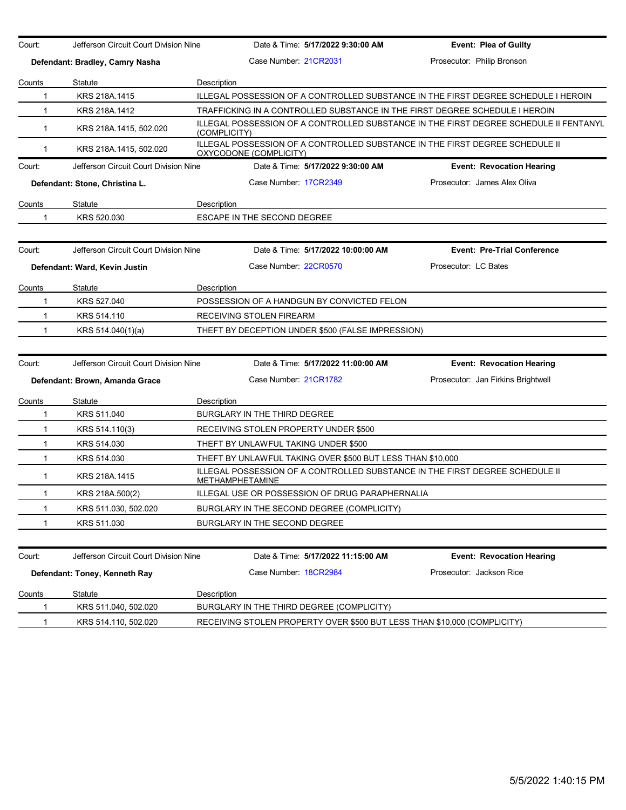| Court:       | Jefferson Circuit Court Division Nine |                                           | Date & Time: 5/17/2022 9:30:00 AM                          | <b>Event: Plea of Guilty</b>                                                          |  |
|--------------|---------------------------------------|-------------------------------------------|------------------------------------------------------------|---------------------------------------------------------------------------------------|--|
|              | Defendant: Bradley, Camry Nasha       | Case Number 21CR2031                      |                                                            | Prosecutor: Philip Bronson                                                            |  |
| Counts       | Statute                               | Description                               |                                                            |                                                                                       |  |
| 1            | KRS 218A.1415                         |                                           |                                                            | ILLEGAL POSSESSION OF A CONTROLLED SUBSTANCE IN THE FIRST DEGREE SCHEDULE I HEROIN    |  |
| $\mathbf{1}$ | KRS 218A.1412                         |                                           |                                                            | TRAFFICKING IN A CONTROLLED SUBSTANCE IN THE FIRST DEGREE SCHEDULE I HEROIN           |  |
| $\mathbf{1}$ | KRS 218A.1415, 502.020                | (COMPLICITY)                              |                                                            | ILLEGAL POSSESSION OF A CONTROLLED SUBSTANCE IN THE FIRST DEGREE SCHEDULE II FENTANYL |  |
| $\mathbf{1}$ | KRS 218A 1415, 502.020                | OXYCODONE (COMPLICITY)                    |                                                            | ILLEGAL POSSESSION OF A CONTROLLED SUBSTANCE IN THE FIRST DEGREE SCHEDULE II          |  |
| Court:       | Jefferson Circuit Court Division Nine |                                           | Date & Time: 5/17/2022 9:30:00 AM                          | <b>Event: Revocation Hearing</b>                                                      |  |
|              | Defendant: Stone, Christina L.        | Case Number 17CR2349                      |                                                            | Prosecutor: James Alex Oliva                                                          |  |
| Counts       | Statute                               | Description                               |                                                            |                                                                                       |  |
| 1            | KRS 520.030                           | ESCAPE IN THE SECOND DEGREE               |                                                            |                                                                                       |  |
| Court:       | Jefferson Circuit Court Division Nine |                                           | Date & Time: 5/17/2022 10:00:00 AM                         | <b>Event: Pre-Trial Conference</b>                                                    |  |
|              | Defendant: Ward, Kevin Justin         | Case Number: 22CR0570                     |                                                            | Prosecutor: LC Bates                                                                  |  |
|              |                                       |                                           |                                                            |                                                                                       |  |
| Counts       | Statute                               | Description                               |                                                            |                                                                                       |  |
| 1            | KRS 527.040                           |                                           | POSSESSION OF A HANDGUN BY CONVICTED FELON                 |                                                                                       |  |
| $\mathbf{1}$ | KRS 514.110                           | RECEIVING STOLEN FIREARM                  |                                                            |                                                                                       |  |
| 1            | KRS 514.040(1)(a)                     |                                           | THEFT BY DECEPTION UNDER \$500 (FALSE IMPRESSION)          |                                                                                       |  |
|              |                                       |                                           |                                                            |                                                                                       |  |
| Court:       | Jefferson Circuit Court Division Nine |                                           | Date & Time: 5/17/2022 11:00:00 AM                         | <b>Event: Revocation Hearing</b>                                                      |  |
|              | Defendant: Brown, Amanda Grace        | Case Number 21CR1782                      |                                                            | Prosecutor: Jan Firkins Brightwell                                                    |  |
| Counts       | Statute                               | Description                               |                                                            |                                                                                       |  |
| 1            | KRS 511.040                           | <b>BURGLARY IN THE THIRD DEGREE</b>       |                                                            |                                                                                       |  |
| $\mathbf{1}$ | KRS 514.110(3)                        | RECEIVING STOLEN PROPERTY UNDER \$500     |                                                            |                                                                                       |  |
| 1            | KRS 514.030                           | THEFT BY UNLAWFUL TAKING UNDER \$500      |                                                            |                                                                                       |  |
| 1            | KRS 514.030                           |                                           | THEFT BY UNLAWFUL TAKING OVER \$500 BUT LESS THAN \$10,000 |                                                                                       |  |
| $\mathbf{1}$ | KRS 218A.1415                         | METHAMPHETAMINE                           |                                                            | ILLEGAL POSSESSION OF A CONTROLLED SUBSTANCE IN THE FIRST DEGREE SCHEDULE II          |  |
| $\mathbf 1$  | KRS 218A.500(2)                       |                                           | ILLEGAL USE OR POSSESSION OF DRUG PARAPHERNALIA            |                                                                                       |  |
| 1            | KRS 511.030, 502.020                  |                                           | BURGLARY IN THE SECOND DEGREE (COMPLICITY)                 |                                                                                       |  |
| 1            | KRS 511.030                           | BURGLARY IN THE SECOND DEGREE             |                                                            |                                                                                       |  |
|              |                                       |                                           |                                                            |                                                                                       |  |
| Court:       | Jefferson Circuit Court Division Nine |                                           | Date & Time: 5/17/2022 11:15:00 AM                         | <b>Event: Revocation Hearing</b>                                                      |  |
|              | Defendant: Toney, Kenneth Ray         | Case Number: 18CR2984                     |                                                            | Prosecutor: Jackson Rice                                                              |  |
| Counts       | Statute                               | Description                               |                                                            |                                                                                       |  |
| 1            | KRS 511.040, 502.020                  | BURGLARY IN THE THIRD DEGREE (COMPLICITY) |                                                            |                                                                                       |  |
| 1            | KRS 514.110, 502.020                  |                                           |                                                            | RECEIVING STOLEN PROPERTY OVER \$500 BUT LESS THAN \$10,000 (COMPLICITY)              |  |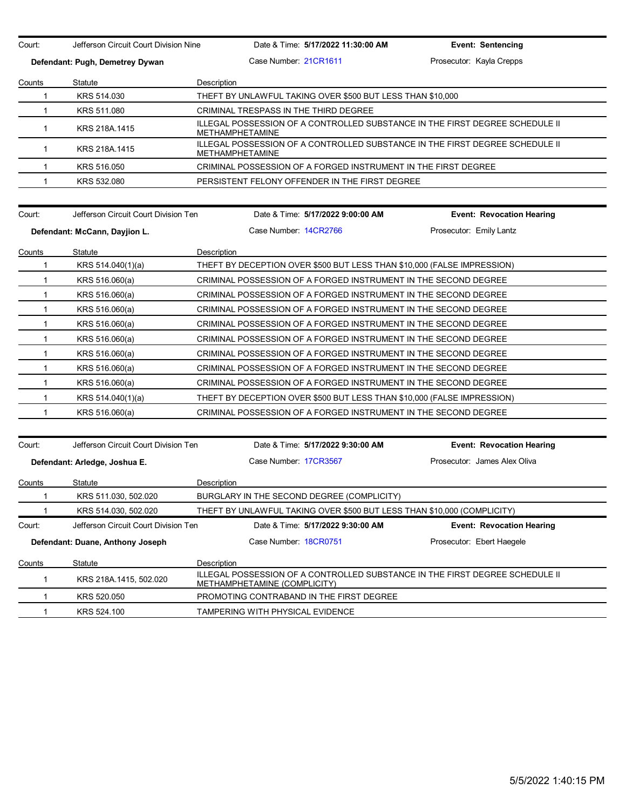Court: Jefferson Circuit Court Division Nine Date & Time: **5/17/2022 11:30:00 AM Event: Sentencing Defendant: Pugh, Demetrey Dywan** Case Number: 21CR1611 Prosecutor: Kayla Crepps Counts Statute **Description** 1 KRS 514.030 THEFT BY UNLAWFUL TAKING OVER \$500 BUT LESS THAN \$10,000 1 KRS 511.080 CRIMINAL TRESPASS IN THE THIRD DEGREE 1 KRS 218A 1415 ILLEGAL POSSESSION OF A CONTROLLED SUBSTANCE IN THE FIRST DEGREE SCHEDULE II METHAMPHETAMINE 1 KRS 218A.1415 ILLEGAL POSSESSION OF A CONTROLLED SUBSTANCE IN THE FIRST DEGREE SCHEDULE II METHAMPHETAMINE 1 KRS 516.050 CRIMINAL POSSESSION OF A FORGED INSTRUMENT IN THE FIRST DEGREE 1 KRS 532.080 PERSISTENT FELONY OFFENDER IN THE FIRST DEGREE Court: Jefferson Circuit Court Division Ten Date & Time: **5/17/2022 9:00:00 AM Event: Revocation Hearing Defendant: McCann, Dayjion L. Case Number: 14CR2766** Prosecutor: Emily Lantz Counts Statute Description 1 KRS 514.040(1)(a) THEFT BY DECEPTION OVER \$500 BUT LESS THAN \$10,000 (FALSE IMPRESSION) 1 KRS 516.060(a) CRIMINAL POSSESSION OF A FORGED INSTRUMENT IN THE SECOND DEGREE 1 KRS 516.060(a) CRIMINAL POSSESSION OF A FORGED INSTRUMENT IN THE SECOND DEGREE 1 KRS 516.060(a) CRIMINAL POSSESSION OF A FORGED INSTRUMENT IN THE SECOND DEGREE 1 KRS 516.060(a) CRIMINAL POSSESSION OF A FORGED INSTRUMENT IN THE SECOND DEGREE 1 KRS 516.060(a) CRIMINAL POSSESSION OF A FORGED INSTRUMENT IN THE SECOND DEGREE 1 KRS 516.060(a) CRIMINAL POSSESSION OF A FORGED INSTRUMENT IN THE SECOND DEGREE 1 KRS 516.060(a) CRIMINAL POSSESSION OF A FORGED INSTRUMENT IN THE SECOND DEGREE 1 KRS 516.060(a) CRIMINAL POSSESSION OF A FORGED INSTRUMENT IN THE SECOND DEGREE 1 KRS 514.040(1)(a) THEFT BY DECEPTION OVER \$500 BUT LESS THAN \$10,000 (FALSE IMPRESSION) 1 KRS 516.060(a) CRIMINAL POSSESSION OF A FORGED INSTRUMENT IN THE SECOND DEGREE Court: Jefferson Circuit Court Division Ten Date & Time: **5/17/2022 9:30:00 AM Event: Revocation Hearing Defendant: Arledge, Joshua E.** Case Number: 17CR3567 Prosecutor: James Alex Oliva **Counts** Statute **Description** 1 KRS 511.030, 502.020 BURGLARY IN THE SECOND DEGREE (COMPLICITY) 1 KRS 514.030, 502.020 THEFT BY UNLAWFUL TAKING OVER \$500 BUT LESS THAN \$10,000 (COMPLICITY) Court: Jefferson Circuit Court Division Ten Date & Time: **5/17/2022 9:30:00 AM Event: Revocation Hearing Defendant: Duane, Anthony Joseph Case Number: 18CR0751 Prosecutor: Ebert Haegele** Counts Statute Description 1 KRS 218A.1415, 502.020 ILLEGAL POSSESSION OF A CONTROLLED SUBSTANCE IN THE FIRST DEGREE SCHEDULE II METHAMPHETAMINE (COMPLICITY) 1 KRS 520.050 PROMOTING CONTRABAND IN THE FIRST DEGREE 1 KRS 524.100 TAMPERING WITH PHYSICAL EVIDENCE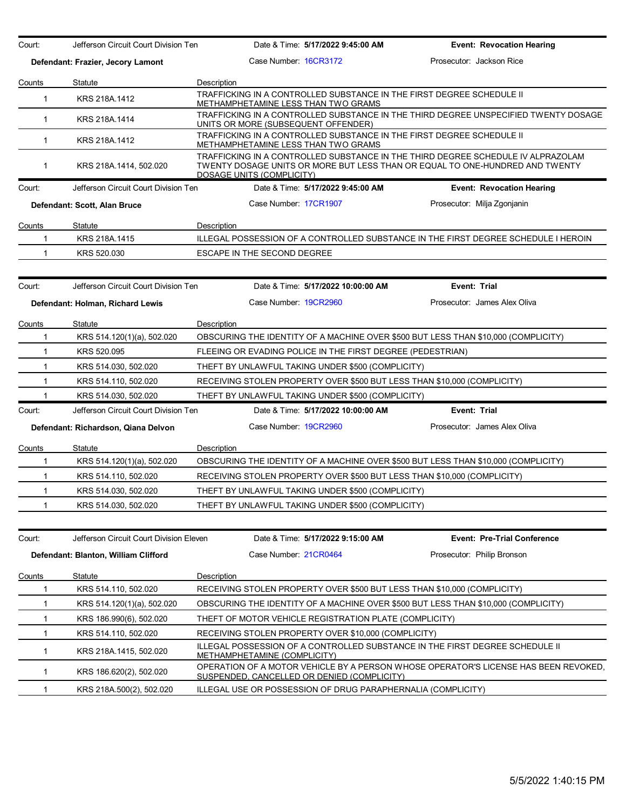| Court:       | Jefferson Circuit Court Division Ten    | Date & Time: 5/17/2022 9:45:00 AM                                                                                                                                                             | <b>Event: Revocation Hearing</b>   |
|--------------|-----------------------------------------|-----------------------------------------------------------------------------------------------------------------------------------------------------------------------------------------------|------------------------------------|
|              | Defendant: Frazier, Jecory Lamont       | Case Number: 16CR3172                                                                                                                                                                         | Prosecutor: Jackson Rice           |
| Counts       | Statute                                 | Description                                                                                                                                                                                   |                                    |
| $\mathbf 1$  | KRS 218A.1412                           | TRAFFICKING IN A CONTROLLED SUBSTANCE IN THE FIRST DEGREE SCHEDULE II<br>METHAMPHETAMINE LESS THAN TWO GRAMS                                                                                  |                                    |
| $\mathbf{1}$ | KRS 218A.1414                           | TRAFFICKING IN A CONTROLLED SUBSTANCE IN THE THIRD DEGREE UNSPECIFIED TWENTY DOSAGE<br>UNITS OR MORE (SUBSEQUENT OFFENDER)                                                                    |                                    |
| $\mathbf{1}$ | KRS 218A.1412                           | TRAFFICKING IN A CONTROLLED SUBSTANCE IN THE FIRST DEGREE SCHEDULE II<br>METHAMPHETAMINE LESS THAN TWO GRAMS                                                                                  |                                    |
| $\mathbf{1}$ | KRS 218A.1414, 502.020                  | TRAFFICKING IN A CONTROLLED SUBSTANCE IN THE THIRD DEGREE SCHEDULE IV ALPRAZOLAM<br>TWENTY DOSAGE UNITS OR MORE BUT LESS THAN OR EQUAL TO ONE-HUNDRED AND TWENTY<br>DOSAGE UNITS (COMPLICITY) |                                    |
| Court:       | Jefferson Circuit Court Division Ten    | Date & Time: 5/17/2022 9:45:00 AM                                                                                                                                                             | <b>Event: Revocation Hearing</b>   |
|              | Defendant: Scott, Alan Bruce            | Case Number 17CR1907                                                                                                                                                                          | Prosecutor: Milja Zgonjanin        |
| Counts       | Statute                                 | Description                                                                                                                                                                                   |                                    |
| $\mathbf{1}$ | KRS 218A.1415                           | ILLEGAL POSSESSION OF A CONTROLLED SUBSTANCE IN THE FIRST DEGREE SCHEDULE I HEROIN                                                                                                            |                                    |
| 1            | KRS 520.030                             | ESCAPE IN THE SECOND DEGREE                                                                                                                                                                   |                                    |
|              |                                         |                                                                                                                                                                                               |                                    |
| Court:       | Jefferson Circuit Court Division Ten    | Date & Time: 5/17/2022 10:00:00 AM                                                                                                                                                            | Event: Trial                       |
|              | Defendant: Holman, Richard Lewis        | Case Number 19CR2960                                                                                                                                                                          | Prosecutor: James Alex Oliva       |
| Counts       | Statute                                 | Description                                                                                                                                                                                   |                                    |
| 1            | KRS 514.120(1)(a), 502.020              | OBSCURING THE IDENTITY OF A MACHINE OVER \$500 BUT LESS THAN \$10,000 (COMPLICITY)                                                                                                            |                                    |
| $\mathbf{1}$ | KRS 520.095                             | FLEEING OR EVADING POLICE IN THE FIRST DEGREE (PEDESTRIAN)                                                                                                                                    |                                    |
| $\mathbf{1}$ | KRS 514.030, 502.020                    | THEFT BY UNLAWFUL TAKING UNDER \$500 (COMPLICITY)                                                                                                                                             |                                    |
| $\mathbf{1}$ | KRS 514.110, 502.020                    | RECEIVING STOLEN PROPERTY OVER \$500 BUT LESS THAN \$10,000 (COMPLICITY)                                                                                                                      |                                    |
| $\mathbf{1}$ | KRS 514.030, 502.020                    | THEFT BY UNLAWFUL TAKING UNDER \$500 (COMPLICITY)                                                                                                                                             |                                    |
| Court:       | Jefferson Circuit Court Division Ten    | Date & Time: 5/17/2022 10:00:00 AM                                                                                                                                                            | Event: Trial                       |
|              | Defendant: Richardson, Qiana Delvon     | Case Number: 19CR2960                                                                                                                                                                         | Prosecutor: James Alex Oliva       |
| Counts       | Statute                                 | Description                                                                                                                                                                                   |                                    |
| 1            | KRS 514.120(1)(a), 502.020              | OBSCURING THE IDENTITY OF A MACHINE OVER \$500 BUT LESS THAN \$10,000 (COMPLICITY)                                                                                                            |                                    |
| $\mathbf{1}$ | KRS 514.110, 502.020                    | RECEIVING STOLEN PROPERTY OVER \$500 BUT LESS THAN \$10,000 (COMPLICITY)                                                                                                                      |                                    |
| $\mathbf{1}$ | KRS 514.030, 502.020                    | THEFT BY UNLAWFUL TAKING UNDER \$500 (COMPLICITY)                                                                                                                                             |                                    |
| $\mathbf{1}$ | KRS 514.030, 502.020                    | THEFT BY UNLAWFUL TAKING UNDER \$500 (COMPLICITY)                                                                                                                                             |                                    |
|              |                                         |                                                                                                                                                                                               |                                    |
| Court:       | Jefferson Circuit Court Division Eleven | Date & Time: 5/17/2022 9:15:00 AM                                                                                                                                                             | <b>Event: Pre-Trial Conference</b> |
|              | Defendant: Blanton, William Clifford    | Case Number 21CR0464                                                                                                                                                                          | Prosecutor: Philip Bronson         |
| Counts       | Statute                                 | Description                                                                                                                                                                                   |                                    |
| 1            | KRS 514.110, 502.020                    | RECEIVING STOLEN PROPERTY OVER \$500 BUT LESS THAN \$10,000 (COMPLICITY)                                                                                                                      |                                    |
| 1            | KRS 514.120(1)(a), 502.020              | OBSCURING THE IDENTITY OF A MACHINE OVER \$500 BUT LESS THAN \$10,000 (COMPLICITY)                                                                                                            |                                    |
| 1            | KRS 186.990(6), 502.020                 | THEFT OF MOTOR VEHICLE REGISTRATION PLATE (COMPLICITY)                                                                                                                                        |                                    |
| 1            | KRS 514.110, 502.020                    | RECEIVING STOLEN PROPERTY OVER \$10,000 (COMPLICITY)                                                                                                                                          |                                    |
| $\mathbf{1}$ | KRS 218A.1415, 502.020                  | ILLEGAL POSSESSION OF A CONTROLLED SUBSTANCE IN THE FIRST DEGREE SCHEDULE II<br><b>METHAMPHETAMINE (COMPLICITY)</b>                                                                           |                                    |
| $\mathbf{1}$ | KRS 186.620(2), 502.020                 | OPERATION OF A MOTOR VEHICLE BY A PERSON WHOSE OPERATOR'S LICENSE HAS BEEN REVOKED.<br>SUSPENDED, CANCELLED OR DENIED (COMPLICITY)                                                            |                                    |
| $\mathbf{1}$ | KRS 218A 500(2), 502.020                | ILLEGAL USE OR POSSESSION OF DRUG PARAPHERNALIA (COMPLICITY)                                                                                                                                  |                                    |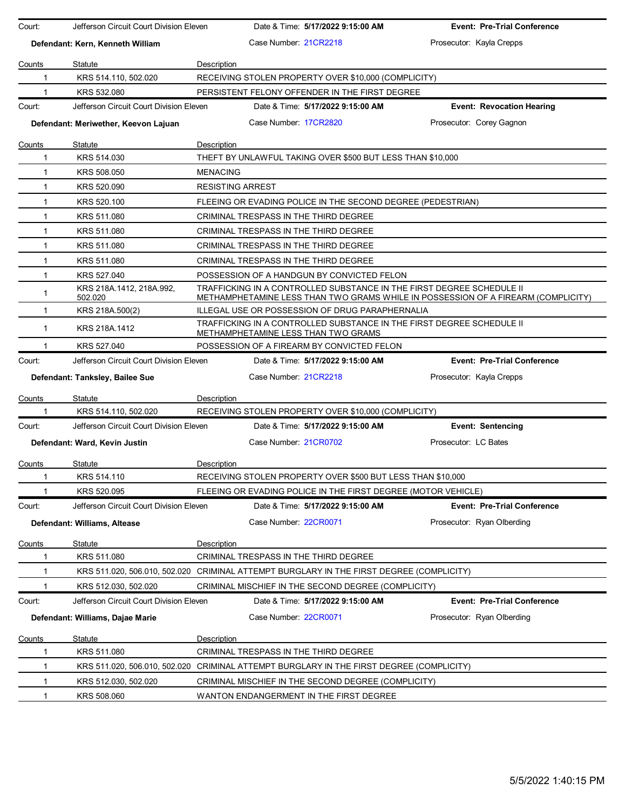| Court:       | Jefferson Circuit Court Division Eleven |                         | Date & Time: 5/17/2022 9:15:00 AM                                                                            | <b>Event: Pre-Trial Conference</b>                                                |
|--------------|-----------------------------------------|-------------------------|--------------------------------------------------------------------------------------------------------------|-----------------------------------------------------------------------------------|
|              | Defendant: Kern, Kenneth William        |                         | Case Number 21CR2218                                                                                         | Prosecutor: Kayla Crepps                                                          |
| Counts       | Statute                                 | Description             |                                                                                                              |                                                                                   |
| 1            | KRS 514.110, 502.020                    |                         | RECEIVING STOLEN PROPERTY OVER \$10,000 (COMPLICITY)                                                         |                                                                                   |
|              | KRS 532,080                             |                         | PERSISTENT FELONY OFFENDER IN THE FIRST DEGREE                                                               |                                                                                   |
| Court:       | Jefferson Circuit Court Division Eleven |                         | Date & Time: 5/17/2022 9:15:00 AM                                                                            | <b>Event: Revocation Hearing</b>                                                  |
|              | Defendant: Meriwether, Keevon Lajuan    |                         | Case Number 17CR2820                                                                                         | Prosecutor: Corey Gagnon                                                          |
| Counts       | Statute                                 | Description             |                                                                                                              |                                                                                   |
| -1           | KRS 514.030                             |                         | THEFT BY UNLAWFUL TAKING OVER \$500 BUT LESS THAN \$10,000                                                   |                                                                                   |
| 1            | KRS 508.050                             | <b>MENACING</b>         |                                                                                                              |                                                                                   |
| $\mathbf 1$  | KRS 520.090                             | <b>RESISTING ARREST</b> |                                                                                                              |                                                                                   |
| 1            | KRS 520.100                             |                         | FLEEING OR EVADING POLICE IN THE SECOND DEGREE (PEDESTRIAN)                                                  |                                                                                   |
| $\mathbf{1}$ | KRS 511.080                             |                         | CRIMINAL TRESPASS IN THE THIRD DEGREE                                                                        |                                                                                   |
| $\mathbf 1$  | KRS 511.080                             |                         | CRIMINAL TRESPASS IN THE THIRD DEGREE                                                                        |                                                                                   |
| $\mathbf{1}$ | KRS 511.080                             |                         | CRIMINAL TRESPASS IN THE THIRD DEGREE                                                                        |                                                                                   |
| $\mathbf 1$  | KRS 511.080                             |                         | CRIMINAL TRESPASS IN THE THIRD DEGREE                                                                        |                                                                                   |
| 1            | KRS 527.040                             |                         | POSSESSION OF A HANDGUN BY CONVICTED FELON                                                                   |                                                                                   |
| 1            | KRS 218A.1412, 218A.992,<br>502.020     |                         | TRAFFICKING IN A CONTROLLED SUBSTANCE IN THE FIRST DEGREE SCHEDULE II                                        | METHAMPHETAMINE LESS THAN TWO GRAMS WHILE IN POSSESSION OF A FIREARM (COMPLICITY) |
| 1            | KRS 218A.500(2)                         |                         | ILLEGAL USE OR POSSESSION OF DRUG PARAPHERNALIA                                                              |                                                                                   |
| $\mathbf{1}$ | KRS 218A.1412                           |                         | TRAFFICKING IN A CONTROLLED SUBSTANCE IN THE FIRST DEGREE SCHEDULE II<br>METHAMPHETAMINE LESS THAN TWO GRAMS |                                                                                   |
|              | KRS 527.040                             |                         | POSSESSION OF A FIREARM BY CONVICTED FELON                                                                   |                                                                                   |
| Court:       | Jefferson Circuit Court Division Eleven |                         | Date & Time: 5/17/2022 9:15:00 AM                                                                            | <b>Event: Pre-Trial Conference</b>                                                |
|              | Defendant: Tanksley, Bailee Sue         |                         | Case Number 21CR2218                                                                                         | Prosecutor: Kayla Crepps                                                          |
| Counts       | Statute                                 | Description             |                                                                                                              |                                                                                   |
|              | KRS 514.110, 502.020                    |                         | RECEIVING STOLEN PROPERTY OVER \$10,000 (COMPLICITY)                                                         |                                                                                   |
| Court:       | Jefferson Circuit Court Division Eleven |                         | Date & Time: 5/17/2022 9:15:00 AM                                                                            | <b>Event: Sentencing</b>                                                          |
|              | Defendant: Ward, Kevin Justin           |                         | Case Number: 21CR0702                                                                                        | Prosecutor: LC Bates                                                              |
| Counts       | Statute                                 | Description             |                                                                                                              |                                                                                   |
| 1            | KRS 514.110                             |                         | RECEIVING STOLEN PROPERTY OVER \$500 BUT LESS THAN \$10,000                                                  |                                                                                   |
|              | KRS 520.095                             |                         | FLEEING OR EVADING POLICE IN THE FIRST DEGREE (MOTOR VEHICLE)                                                |                                                                                   |
| Court:       | Jefferson Circuit Court Division Eleven |                         | Date & Time: 5/17/2022 9:15:00 AM                                                                            | <b>Event: Pre-Trial Conference</b>                                                |
|              | Defendant: Williams, Altease            |                         | Case Number: 22CR0071                                                                                        | Prosecutor: Ryan Olberding                                                        |
| Counts       | <b>Statute</b>                          | Description             |                                                                                                              |                                                                                   |
|              | KRS 511.080                             |                         | CRIMINAL TRESPASS IN THE THIRD DEGREE                                                                        |                                                                                   |
| 1            |                                         |                         | KRS 511.020, 506.010, 502.020 CRIMINAL ATTEMPT BURGLARY IN THE FIRST DEGREE (COMPLICITY)                     |                                                                                   |
|              | KRS 512.030, 502.020                    |                         | CRIMINAL MISCHIEF IN THE SECOND DEGREE (COMPLICITY)                                                          |                                                                                   |
| Court:       | Jefferson Circuit Court Division Eleven |                         | Date & Time: 5/17/2022 9:15:00 AM                                                                            | <b>Event: Pre-Trial Conference</b>                                                |
|              | Defendant: Williams, Dajae Marie        |                         | Case Number 22CR0071                                                                                         | Prosecutor: Ryan Olberding                                                        |
| Counts       | Statute                                 | Description             |                                                                                                              |                                                                                   |
| 1            | KRS 511.080                             |                         | CRIMINAL TRESPASS IN THE THIRD DEGREE                                                                        |                                                                                   |
| 1            | KRS 511.020, 506.010, 502.020           |                         | CRIMINAL ATTEMPT BURGLARY IN THE FIRST DEGREE (COMPLICITY)                                                   |                                                                                   |
| 1            | KRS 512.030, 502.020                    |                         | CRIMINAL MISCHIEF IN THE SECOND DEGREE (COMPLICITY)                                                          |                                                                                   |
| $\mathbf 1$  | KRS 508.060                             |                         | WANTON ENDANGERMENT IN THE FIRST DEGREE                                                                      |                                                                                   |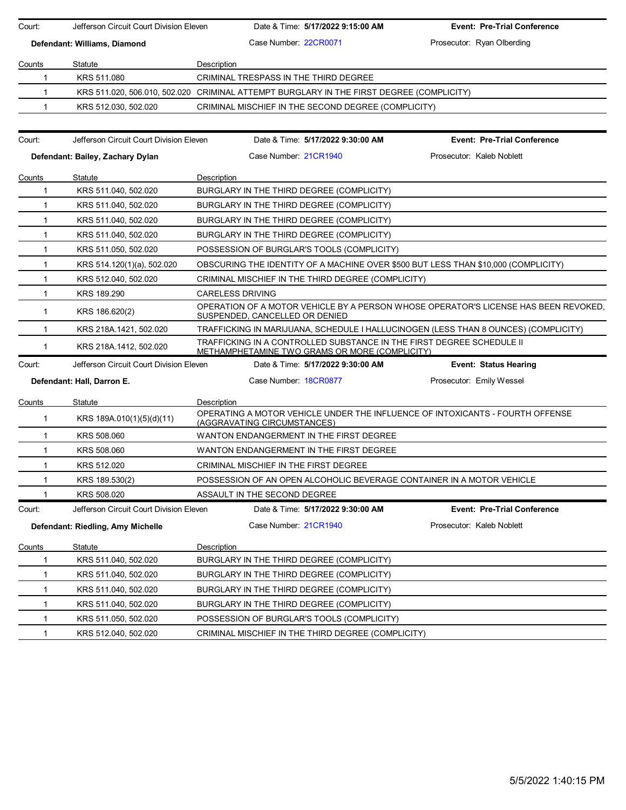| Court:        | Jefferson Circuit Court Division Eleven | Date & Time: 5/17/2022 9:15:00 AM                                                                                              | <b>Event: Pre-Trial Conference</b>                                                  |  |  |  |
|---------------|-----------------------------------------|--------------------------------------------------------------------------------------------------------------------------------|-------------------------------------------------------------------------------------|--|--|--|
|               | Defendant: Williams, Diamond            | Case Number 22CR0071                                                                                                           | Prosecutor: Ryan Olberding                                                          |  |  |  |
|               |                                         |                                                                                                                                |                                                                                     |  |  |  |
| Counts<br>1   | Statute<br>KRS 511.080                  | Description<br>CRIMINAL TRESPASS IN THE THIRD DEGREE                                                                           |                                                                                     |  |  |  |
| 1             |                                         | KRS 511.020, 506.010, 502.020 CRIMINAL ATTEMPT BURGLARY IN THE FIRST DEGREE (COMPLICITY)                                       |                                                                                     |  |  |  |
| 1             | KRS 512.030, 502.020                    | CRIMINAL MISCHIEF IN THE SECOND DEGREE (COMPLICITY)                                                                            |                                                                                     |  |  |  |
|               |                                         |                                                                                                                                |                                                                                     |  |  |  |
| Court:        | Jefferson Circuit Court Division Eleven | Date & Time: 5/17/2022 9:30:00 AM                                                                                              | <b>Event: Pre-Trial Conference</b>                                                  |  |  |  |
|               | Defendant: Bailey, Zachary Dylan        | Case Number 21CR1940                                                                                                           | Prosecutor: Kaleb Noblett                                                           |  |  |  |
| Counts        | Statute                                 | Description                                                                                                                    |                                                                                     |  |  |  |
| $\mathbf 1$   | KRS 511.040, 502.020                    | BURGLARY IN THE THIRD DEGREE (COMPLICITY)                                                                                      |                                                                                     |  |  |  |
| 1             | KRS 511.040, 502.020                    | BURGLARY IN THE THIRD DEGREE (COMPLICITY)                                                                                      |                                                                                     |  |  |  |
| 1             | KRS 511.040, 502.020                    | BURGLARY IN THE THIRD DEGREE (COMPLICITY)                                                                                      |                                                                                     |  |  |  |
| $\mathbf{1}$  | KRS 511.040, 502.020                    | BURGLARY IN THE THIRD DEGREE (COMPLICITY)                                                                                      |                                                                                     |  |  |  |
| $\mathbf{1}$  | KRS 511.050, 502.020                    | POSSESSION OF BURGLAR'S TOOLS (COMPLICITY)                                                                                     |                                                                                     |  |  |  |
| $\mathbf{1}$  | KRS 514.120(1)(a), 502.020              | OBSCURING THE IDENTITY OF A MACHINE OVER \$500 BUT LESS THAN \$10,000 (COMPLICITY)                                             |                                                                                     |  |  |  |
| 1             | KRS 512.040, 502.020                    | CRIMINAL MISCHIEF IN THE THIRD DEGREE (COMPLICITY)                                                                             |                                                                                     |  |  |  |
| 1             | KRS 189.290                             | <b>CARELESS DRIVING</b>                                                                                                        |                                                                                     |  |  |  |
| $\mathbf{1}$  | KRS 186.620(2)                          | SUSPENDED, CANCELLED OR DENIED                                                                                                 | OPERATION OF A MOTOR VEHICLE BY A PERSON WHOSE OPERATOR'S LICENSE HAS BEEN REVOKED. |  |  |  |
| 1             | KRS 218A.1421, 502.020                  | TRAFFICKING IN MARIJUANA, SCHEDULE I HALLUCINOGEN (LESS THAN 8 OUNCES) (COMPLICITY)                                            |                                                                                     |  |  |  |
| $\mathbf{1}$  | KRS 218A.1412, 502.020                  | TRAFFICKING IN A CONTROLLED SUBSTANCE IN THE FIRST DEGREE SCHEDULE II<br><b>METHAMPHETAMINE TWO GRAMS OR MORE (COMPLICITY)</b> |                                                                                     |  |  |  |
| Court:        | Jefferson Circuit Court Division Eleven | Date & Time: 5/17/2022 9:30:00 AM                                                                                              | <b>Event: Status Hearing</b>                                                        |  |  |  |
|               | Defendant: Hall, Darron E.              | Case Number: 18CR0877                                                                                                          | Prosecutor: Emily Wessel                                                            |  |  |  |
| Counts        | Statute                                 | Description                                                                                                                    |                                                                                     |  |  |  |
| $\mathbf{1}$  | KRS 189A.010(1)(5)(d)(11)               | OPERATING A MOTOR VEHICLE UNDER THE INFLUENCE OF INTOXICANTS - FOURTH OFFENSE<br>(AGGRAVATING CIRCUMSTANCES)                   |                                                                                     |  |  |  |
| $\mathbf{1}$  | KRS 508,060                             | WANTON ENDANGERMENT IN THE FIRST DEGREE                                                                                        |                                                                                     |  |  |  |
| 1             | KRS 508.060                             | WANTON ENDANGERMENT IN THE FIRST DEGREE                                                                                        |                                                                                     |  |  |  |
| $\mathbf{1}$  | KRS 512.020                             | CRIMINAL MISCHIEF IN THE FIRST DEGREE                                                                                          |                                                                                     |  |  |  |
| 1             | KRS 189.530(2)                          | POSSESSION OF AN OPEN ALCOHOLIC BEVERAGE CONTAINER IN A MOTOR VEHICLE                                                          |                                                                                     |  |  |  |
|               | KRS 508.020                             | ASSAULT IN THE SECOND DEGREE                                                                                                   |                                                                                     |  |  |  |
| Court:        | Jefferson Circuit Court Division Eleven | Date & Time: 5/17/2022 9:30:00 AM                                                                                              | <b>Event: Pre-Trial Conference</b>                                                  |  |  |  |
|               | Defendant: Riedling, Amy Michelle       | Case Number: 21CR1940                                                                                                          | Prosecutor: Kaleb Noblett                                                           |  |  |  |
| <u>Counts</u> | Statute                                 | Description                                                                                                                    |                                                                                     |  |  |  |
| 1             | KRS 511.040, 502.020                    | BURGLARY IN THE THIRD DEGREE (COMPLICITY)                                                                                      |                                                                                     |  |  |  |
| 1             | KRS 511.040, 502.020                    | BURGLARY IN THE THIRD DEGREE (COMPLICITY)                                                                                      |                                                                                     |  |  |  |
| 1             | KRS 511.040, 502.020                    | BURGLARY IN THE THIRD DEGREE (COMPLICITY)                                                                                      |                                                                                     |  |  |  |
| 1             | KRS 511.040, 502.020                    | BURGLARY IN THE THIRD DEGREE (COMPLICITY)                                                                                      |                                                                                     |  |  |  |
| 1             | KRS 511.050, 502.020                    | POSSESSION OF BURGLAR'S TOOLS (COMPLICITY)                                                                                     |                                                                                     |  |  |  |
| $\mathbf{1}$  | KRS 512.040, 502.020                    | CRIMINAL MISCHIEF IN THE THIRD DEGREE (COMPLICITY)                                                                             |                                                                                     |  |  |  |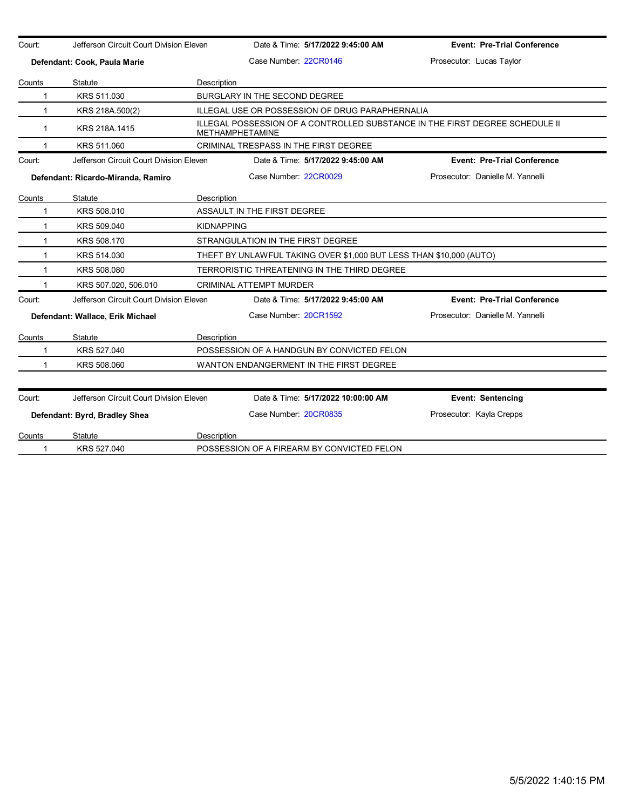| Court:       | Jefferson Circuit Court Division Eleven |                                                                     | Date & Time: 5/17/2022 9:45:00 AM                                                                      | <b>Event: Pre-Trial Conference</b> |  |  |
|--------------|-----------------------------------------|---------------------------------------------------------------------|--------------------------------------------------------------------------------------------------------|------------------------------------|--|--|
|              | Defendant: Cook, Paula Marie            |                                                                     | Case Number 22CR0146                                                                                   | Prosecutor: Lucas Taylor           |  |  |
| Counts       | Statute                                 | Description                                                         |                                                                                                        |                                    |  |  |
| 1            | KRS 511.030                             |                                                                     | BURGLARY IN THE SECOND DEGREE                                                                          |                                    |  |  |
| 1            | KRS 218A.500(2)                         |                                                                     | ILLEGAL USE OR POSSESSION OF DRUG PARAPHERNALIA                                                        |                                    |  |  |
| $\mathbf 1$  | KRS 218A.1415                           |                                                                     | ILLEGAL POSSESSION OF A CONTROLLED SUBSTANCE IN THE FIRST DEGREE SCHEDULE II<br><b>METHAMPHETAMINE</b> |                                    |  |  |
| 1            | KRS 511.060                             |                                                                     | CRIMINAL TRESPASS IN THE FIRST DEGREE                                                                  |                                    |  |  |
| Court:       | Jefferson Circuit Court Division Eleven |                                                                     | Date & Time: 5/17/2022 9:45:00 AM                                                                      | <b>Event: Pre-Trial Conference</b> |  |  |
|              | Defendant: Ricardo-Miranda, Ramiro      |                                                                     | Case Number 22CR0029                                                                                   | Prosecutor: Danielle M. Yannelli   |  |  |
| Counts       | Statute                                 | Description                                                         |                                                                                                        |                                    |  |  |
| 1            | KRS 508.010                             |                                                                     | ASSAULT IN THE FIRST DEGREE                                                                            |                                    |  |  |
| 1            | KRS 509.040                             |                                                                     | <b>KIDNAPPING</b>                                                                                      |                                    |  |  |
| $\mathbf{1}$ | KRS 508.170                             |                                                                     | STRANGULATION IN THE FIRST DEGREE                                                                      |                                    |  |  |
| 1            | KRS 514.030                             | THEFT BY UNLAWFUL TAKING OVER \$1,000 BUT LESS THAN \$10,000 (AUTO) |                                                                                                        |                                    |  |  |
| $\mathbf{1}$ | KRS 508.080                             |                                                                     | TERRORISTIC THREATENING IN THE THIRD DEGREE                                                            |                                    |  |  |
|              | KRS 507.020, 506.010                    |                                                                     | <b>CRIMINAL ATTEMPT MURDER</b>                                                                         |                                    |  |  |
| Court:       | Jefferson Circuit Court Division Eleven |                                                                     | Date & Time: 5/17/2022 9:45:00 AM                                                                      | <b>Event: Pre-Trial Conference</b> |  |  |
|              | Defendant: Wallace, Erik Michael        |                                                                     | Case Number 20CR1592                                                                                   | Prosecutor: Danielle M. Yannelli   |  |  |
| Counts       | Statute                                 | Description                                                         |                                                                                                        |                                    |  |  |
| 1            | KRS 527.040                             |                                                                     | POSSESSION OF A HANDGUN BY CONVICTED FELON                                                             |                                    |  |  |
| 1            | KRS 508,060                             |                                                                     | WANTON ENDANGERMENT IN THE FIRST DEGREE                                                                |                                    |  |  |
| Court:       | Jefferson Circuit Court Division Eleven |                                                                     | Date & Time: 5/17/2022 10:00:00 AM                                                                     | <b>Event: Sentencing</b>           |  |  |
|              | Defendant: Byrd, Bradley Shea           |                                                                     | Case Number 20CR0835                                                                                   | Prosecutor: Kayla Crepps           |  |  |
| Counts       | Statute                                 | Description                                                         |                                                                                                        |                                    |  |  |
| 1            | KRS 527.040                             |                                                                     | POSSESSION OF A FIREARM BY CONVICTED FELON                                                             |                                    |  |  |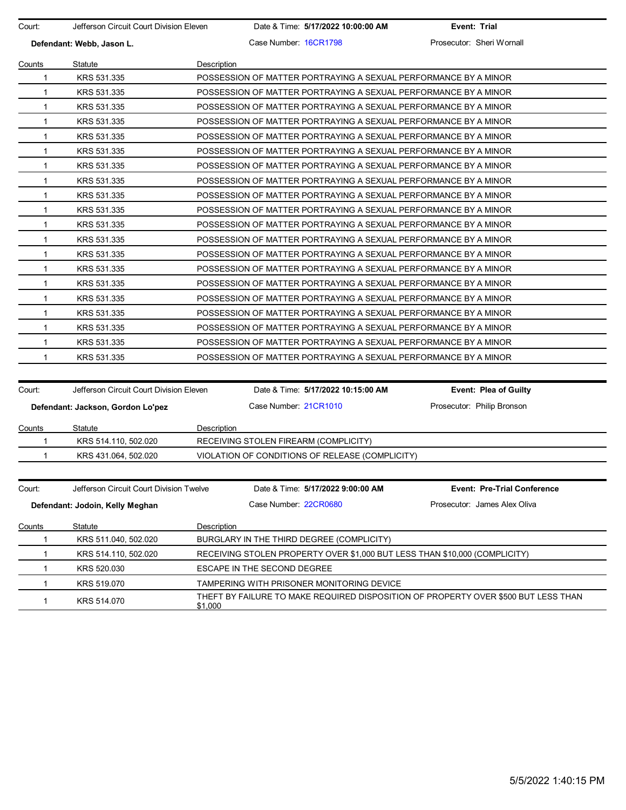| Court:       | Jefferson Circuit Court Division Eleven |             |                             | Date & Time: 5/17/2022 10:00:00 AM              | Event: Trial                                                                       |
|--------------|-----------------------------------------|-------------|-----------------------------|-------------------------------------------------|------------------------------------------------------------------------------------|
|              | Defendant: Webb, Jason L.               |             | Case Number 16CR1798        |                                                 | Prosecutor: Sheri Wornall                                                          |
| Counts       | Statute                                 | Description |                             |                                                 |                                                                                    |
| 1            | KRS 531.335                             |             |                             |                                                 | POSSESSION OF MATTER PORTRAYING A SEXUAL PERFORMANCE BY A MINOR                    |
| $\mathbf{1}$ | KRS 531.335                             |             |                             |                                                 | POSSESSION OF MATTER PORTRAYING A SEXUAL PERFORMANCE BY A MINOR                    |
| 1            | KRS 531.335                             |             |                             |                                                 | POSSESSION OF MATTER PORTRAYING A SEXUAL PERFORMANCE BY A MINOR                    |
| 1            | KRS 531.335                             |             |                             |                                                 | POSSESSION OF MATTER PORTRAYING A SEXUAL PERFORMANCE BY A MINOR                    |
| 1            | KRS 531.335                             |             |                             |                                                 | POSSESSION OF MATTER PORTRAYING A SEXUAL PERFORMANCE BY A MINOR                    |
| $\mathbf 1$  | KRS 531.335                             |             |                             |                                                 | POSSESSION OF MATTER PORTRAYING A SEXUAL PERFORMANCE BY A MINOR                    |
| $\mathbf{1}$ | KRS 531.335                             |             |                             |                                                 | POSSESSION OF MATTER PORTRAYING A SEXUAL PERFORMANCE BY A MINOR                    |
| 1            | KRS 531.335                             |             |                             |                                                 | POSSESSION OF MATTER PORTRAYING A SEXUAL PERFORMANCE BY A MINOR                    |
| 1            | KRS 531.335                             |             |                             |                                                 | POSSESSION OF MATTER PORTRAYING A SEXUAL PERFORMANCE BY A MINOR                    |
| 1            | KRS 531.335                             |             |                             |                                                 | POSSESSION OF MATTER PORTRAYING A SEXUAL PERFORMANCE BY A MINOR                    |
| $\mathbf 1$  | KRS 531.335                             |             |                             |                                                 | POSSESSION OF MATTER PORTRAYING A SEXUAL PERFORMANCE BY A MINOR                    |
| $\mathbf{1}$ | KRS 531.335                             |             |                             |                                                 | POSSESSION OF MATTER PORTRAYING A SEXUAL PERFORMANCE BY A MINOR                    |
| 1            | KRS 531.335                             |             |                             |                                                 | POSSESSION OF MATTER PORTRAYING A SEXUAL PERFORMANCE BY A MINOR                    |
| 1            | KRS 531.335                             |             |                             |                                                 | POSSESSION OF MATTER PORTRAYING A SEXUAL PERFORMANCE BY A MINOR                    |
| 1            | KRS 531.335                             |             |                             |                                                 | POSSESSION OF MATTER PORTRAYING A SEXUAL PERFORMANCE BY A MINOR                    |
| $\mathbf 1$  | KRS 531.335                             |             |                             |                                                 | POSSESSION OF MATTER PORTRAYING A SEXUAL PERFORMANCE BY A MINOR                    |
| 1            | KRS 531.335                             |             |                             |                                                 | POSSESSION OF MATTER PORTRAYING A SEXUAL PERFORMANCE BY A MINOR                    |
| 1            | KRS 531.335                             |             |                             |                                                 | POSSESSION OF MATTER PORTRAYING A SEXUAL PERFORMANCE BY A MINOR                    |
| 1            | KRS 531.335                             |             |                             |                                                 | POSSESSION OF MATTER PORTRAYING A SEXUAL PERFORMANCE BY A MINOR                    |
| 1            | KRS 531.335                             |             |                             |                                                 | POSSESSION OF MATTER PORTRAYING A SEXUAL PERFORMANCE BY A MINOR                    |
|              |                                         |             |                             |                                                 |                                                                                    |
| Court:       | Jefferson Circuit Court Division Eleven |             |                             | Date & Time: 5/17/2022 10:15:00 AM              | Event: Plea of Guilty                                                              |
|              | Defendant: Jackson, Gordon Lo'pez       |             | Case Number 21CR1010        |                                                 | Prosecutor: Philip Bronson                                                         |
| Counts       | Statute                                 | Description |                             |                                                 |                                                                                    |
| 1            | KRS 514.110, 502.020                    |             |                             | RECEIVING STOLEN FIREARM (COMPLICITY)           |                                                                                    |
| 1            | KRS 431.064, 502.020                    |             |                             | VIOLATION OF CONDITIONS OF RELEASE (COMPLICITY) |                                                                                    |
|              |                                         |             |                             |                                                 |                                                                                    |
| Court:       | Jefferson Circuit Court Division Twelve |             |                             | Date & Time: 5/17/2022 9:00:00 AM               | <b>Event: Pre-Trial Conference</b>                                                 |
|              | Defendant: Jodoin, Kelly Meghan         |             | Case Number 22CR0680        |                                                 | Prosecutor: James Alex Oliva                                                       |
| Counts       | Statute                                 | Description |                             |                                                 |                                                                                    |
| 1            | KRS 511.040, 502.020                    |             |                             | BURGLARY IN THE THIRD DEGREE (COMPLICITY)       |                                                                                    |
| 1            | KRS 514.110, 502.020                    |             |                             |                                                 | RECEIVING STOLEN PROPERTY OVER \$1,000 BUT LESS THAN \$10,000 (COMPLICITY)         |
| 1            | KRS 520.030                             |             | ESCAPE IN THE SECOND DEGREE |                                                 |                                                                                    |
| 1            | KRS 519.070                             |             |                             | TAMPERING WITH PRISONER MONITORING DEVICE       |                                                                                    |
| 1            | KRS 514.070                             |             |                             |                                                 | THEFT BY FAILURE TO MAKE REQUIRED DISPOSITION OF PROPERTY OVER \$500 BUT LESS THAN |

\$1,000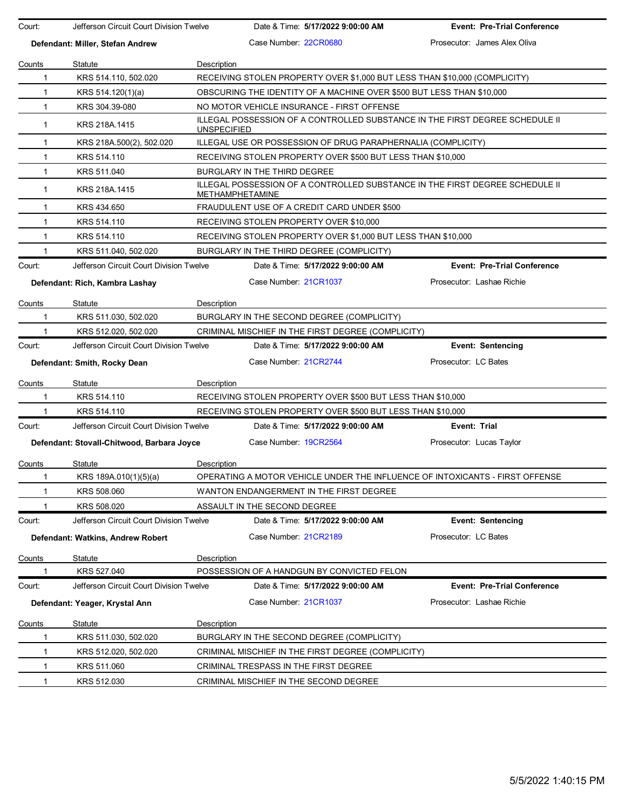| Court:                       | Jefferson Circuit Court Division Twelve                                    |                                                                                                 | Date & Time: 5/17/2022 9:00:00 AM                                            | <b>Event: Pre-Trial Conference</b> |  |  |
|------------------------------|----------------------------------------------------------------------------|-------------------------------------------------------------------------------------------------|------------------------------------------------------------------------------|------------------------------------|--|--|
|                              | Defendant: Miller, Stefan Andrew                                           |                                                                                                 | Case Number: 22CR0680                                                        | Prosecutor: James Alex Oliva       |  |  |
|                              |                                                                            |                                                                                                 |                                                                              |                                    |  |  |
| Counts                       | Statute                                                                    | Description                                                                                     |                                                                              |                                    |  |  |
| 1                            | KRS 514.110, 502.020                                                       |                                                                                                 | RECEIVING STOLEN PROPERTY OVER \$1,000 BUT LESS THAN \$10,000 (COMPLICITY)   |                                    |  |  |
| $\mathbf{1}$                 | KRS 514.120(1)(a)                                                          |                                                                                                 | OBSCURING THE IDENTITY OF A MACHINE OVER \$500 BUT LESS THAN \$10,000        |                                    |  |  |
| $\mathbf{1}$                 | KRS 304.39-080                                                             |                                                                                                 | NO MOTOR VEHICLE INSURANCE - FIRST OFFENSE                                   |                                    |  |  |
| $\mathbf{1}$                 | KRS 218A.1415                                                              | <b>UNSPECIFIED</b>                                                                              | ILLEGAL POSSESSION OF A CONTROLLED SUBSTANCE IN THE FIRST DEGREE SCHEDULE II |                                    |  |  |
| 1                            | KRS 218A.500(2), 502.020                                                   |                                                                                                 | ILLEGAL USE OR POSSESSION OF DRUG PARAPHERNALIA (COMPLICITY)                 |                                    |  |  |
| $\mathbf{1}$                 | KRS 514.110                                                                |                                                                                                 | RECEIVING STOLEN PROPERTY OVER \$500 BUT LESS THAN \$10,000                  |                                    |  |  |
| $\mathbf{1}$                 | KRS 511.040                                                                |                                                                                                 | BURGLARY IN THE THIRD DEGREE                                                 |                                    |  |  |
| $\mathbf{1}$                 | KRS 218A.1415                                                              | ILLEGAL POSSESSION OF A CONTROLLED SUBSTANCE IN THE FIRST DEGREE SCHEDULE II<br>METHAMPHETAMINE |                                                                              |                                    |  |  |
| 1                            | KRS 434.650                                                                |                                                                                                 | FRAUDULENT USE OF A CREDIT CARD UNDER \$500                                  |                                    |  |  |
| $\mathbf{1}$                 | KRS 514.110                                                                |                                                                                                 | RECEIVING STOLEN PROPERTY OVER \$10,000                                      |                                    |  |  |
| $\mathbf 1$                  | KRS 514.110                                                                |                                                                                                 | RECEIVING STOLEN PROPERTY OVER \$1,000 BUT LESS THAN \$10,000                |                                    |  |  |
| 1                            | KRS 511.040, 502.020                                                       |                                                                                                 | BURGLARY IN THE THIRD DEGREE (COMPLICITY)                                    |                                    |  |  |
| Court:                       | Jefferson Circuit Court Division Twelve                                    |                                                                                                 | Date & Time: 5/17/2022 9:00:00 AM                                            | <b>Event: Pre-Trial Conference</b> |  |  |
|                              | Defendant: Rich, Kambra Lashay                                             |                                                                                                 | Case Number 21CR1037                                                         | Prosecutor: Lashae Richie          |  |  |
| Counts                       | Statute                                                                    | Description                                                                                     |                                                                              |                                    |  |  |
| 1                            | KRS 511.030, 502.020                                                       |                                                                                                 | BURGLARY IN THE SECOND DEGREE (COMPLICITY)                                   |                                    |  |  |
| 1                            | KRS 512.020, 502.020<br>CRIMINAL MISCHIEF IN THE FIRST DEGREE (COMPLICITY) |                                                                                                 |                                                                              |                                    |  |  |
| Court:                       | Jefferson Circuit Court Division Twelve                                    |                                                                                                 | Date & Time: 5/17/2022 9:00:00 AM                                            | <b>Event: Sentencing</b>           |  |  |
| Defendant: Smith, Rocky Dean |                                                                            |                                                                                                 | Case Number 21CR2744                                                         | Prosecutor: LC Bates               |  |  |
|                              |                                                                            |                                                                                                 |                                                                              |                                    |  |  |
| Counts                       | Statute                                                                    | Description                                                                                     |                                                                              |                                    |  |  |
| 1                            | KRS 514.110                                                                |                                                                                                 | RECEIVING STOLEN PROPERTY OVER \$500 BUT LESS THAN \$10,000                  |                                    |  |  |
| 1                            | KRS 514.110                                                                |                                                                                                 | RECEIVING STOLEN PROPERTY OVER \$500 BUT LESS THAN \$10,000                  |                                    |  |  |
| Court:                       | Jefferson Circuit Court Division Twelve                                    |                                                                                                 | Date & Time: 5/17/2022 9:00:00 AM                                            | Event: Trial                       |  |  |
|                              | Defendant: Stovall-Chitwood, Barbara Joyce                                 |                                                                                                 | Case Number 19CR2564                                                         | Prosecutor: Lucas Taylor           |  |  |
| Counts                       | Statute                                                                    | Description                                                                                     |                                                                              |                                    |  |  |
|                              | KRS 189A.010(1)(5)(a)                                                      |                                                                                                 | OPERATING A MOTOR VEHICLE UNDER THE INFLUENCE OF INTOXICANTS - FIRST OFFENSE |                                    |  |  |
|                              | KRS 508.060                                                                |                                                                                                 | WANTON ENDANGERMENT IN THE FIRST DEGREE                                      |                                    |  |  |
|                              | KRS 508.020                                                                |                                                                                                 | ASSAULT IN THE SECOND DEGREE                                                 |                                    |  |  |
| Court:                       | Jefferson Circuit Court Division Twelve                                    |                                                                                                 | Date & Time: 5/17/2022 9:00:00 AM                                            | <b>Event: Sentencing</b>           |  |  |
|                              | Defendant: Watkins, Andrew Robert                                          |                                                                                                 | Case Number: 21CR2189                                                        | Prosecutor: LC Bates               |  |  |
| Counts                       | Statute                                                                    | Description                                                                                     |                                                                              |                                    |  |  |
|                              | KRS 527.040                                                                |                                                                                                 | POSSESSION OF A HANDGUN BY CONVICTED FELON                                   |                                    |  |  |
| Court:                       | Jefferson Circuit Court Division Twelve                                    |                                                                                                 | Date & Time: 5/17/2022 9:00:00 AM                                            | <b>Event: Pre-Trial Conference</b> |  |  |
|                              | Defendant: Yeager, Krystal Ann                                             |                                                                                                 | Case Number: 21CR1037                                                        | Prosecutor: Lashae Richie          |  |  |
| Counts                       | Statute                                                                    | Description                                                                                     |                                                                              |                                    |  |  |
| 1                            | KRS 511.030, 502.020                                                       |                                                                                                 | BURGLARY IN THE SECOND DEGREE (COMPLICITY)                                   |                                    |  |  |
| 1                            | KRS 512.020, 502.020                                                       |                                                                                                 | CRIMINAL MISCHIEF IN THE FIRST DEGREE (COMPLICITY)                           |                                    |  |  |
| 1                            | KRS 511.060                                                                |                                                                                                 | CRIMINAL TRESPASS IN THE FIRST DEGREE                                        |                                    |  |  |
| $\mathbf{1}$                 | KRS 512.030                                                                |                                                                                                 | CRIMINAL MISCHIEF IN THE SECOND DEGREE                                       |                                    |  |  |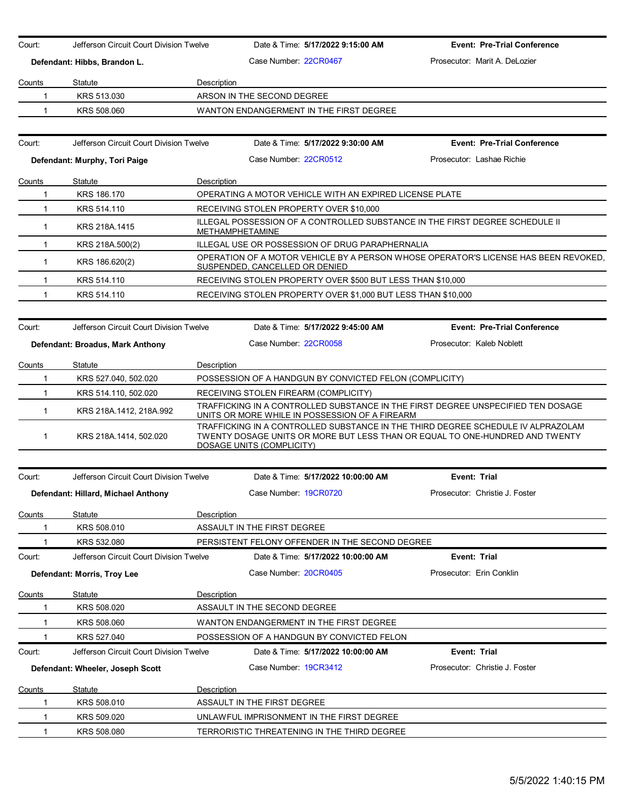| Court:       | Jefferson Circuit Court Division Twelve |                                       | Date & Time: 5/17/2022 9:15:00 AM                                                                                                                                                             | <b>Event: Pre-Trial Conference</b>                                                  |
|--------------|-----------------------------------------|---------------------------------------|-----------------------------------------------------------------------------------------------------------------------------------------------------------------------------------------------|-------------------------------------------------------------------------------------|
|              | Defendant: Hibbs, Brandon L.            |                                       | Case Number 22CR0467                                                                                                                                                                          | Prosecutor: Marit A. DeLozier                                                       |
| Counts       | Statute                                 | Description                           |                                                                                                                                                                                               |                                                                                     |
| 1            | KRS 513,030                             |                                       | ARSON IN THE SECOND DEGREE                                                                                                                                                                    |                                                                                     |
| 1            | KRS 508,060                             |                                       | WANTON ENDANGERMENT IN THE FIRST DEGREE                                                                                                                                                       |                                                                                     |
|              |                                         |                                       |                                                                                                                                                                                               |                                                                                     |
| Court:       | Jefferson Circuit Court Division Twelve |                                       | Date & Time: 5/17/2022 9:30:00 AM                                                                                                                                                             | <b>Event: Pre-Trial Conference</b>                                                  |
|              | Defendant: Murphy, Tori Paige           |                                       | Case Number: 22CR0512                                                                                                                                                                         | Prosecutor: Lashae Richie                                                           |
|              |                                         |                                       |                                                                                                                                                                                               |                                                                                     |
| Counts       | Statute                                 | Description                           |                                                                                                                                                                                               |                                                                                     |
| 1            | KRS 186.170                             |                                       | OPERATING A MOTOR VEHICLE WITH AN EXPIRED LICENSE PLATE                                                                                                                                       |                                                                                     |
| 1            | KRS 514.110                             |                                       | RECEIVING STOLEN PROPERTY OVER \$10,000<br>ILLEGAL POSSESSION OF A CONTROLLED SUBSTANCE IN THE FIRST DEGREE SCHEDULE II                                                                       |                                                                                     |
| $\mathbf{1}$ | KRS 218A.1415                           |                                       | <b>METHAMPHETAMINE</b>                                                                                                                                                                        |                                                                                     |
| $\mathbf{1}$ | KRS 218A.500(2)                         |                                       | ILLEGAL USE OR POSSESSION OF DRUG PARAPHERNALIA                                                                                                                                               |                                                                                     |
| $\mathbf 1$  | KRS 186.620(2)                          |                                       | SUSPENDED, CANCELLED OR DENIED                                                                                                                                                                | OPERATION OF A MOTOR VEHICLE BY A PERSON WHOSE OPERATOR'S LICENSE HAS BEEN REVOKED. |
| 1            | KRS 514.110                             |                                       | RECEIVING STOLEN PROPERTY OVER \$500 BUT LESS THAN \$10,000                                                                                                                                   |                                                                                     |
| 1            | KRS 514.110                             |                                       | RECEIVING STOLEN PROPERTY OVER \$1,000 BUT LESS THAN \$10,000                                                                                                                                 |                                                                                     |
|              |                                         |                                       |                                                                                                                                                                                               |                                                                                     |
| Court:       | Jefferson Circuit Court Division Twelve |                                       | Date & Time: 5/17/2022 9:45:00 AM                                                                                                                                                             | <b>Event: Pre-Trial Conference</b>                                                  |
|              | Defendant: Broadus, Mark Anthony        |                                       | Case Number: 22CR0058                                                                                                                                                                         | Prosecutor: Kaleb Noblett                                                           |
| Counts       | Statute                                 | Description                           |                                                                                                                                                                                               |                                                                                     |
| 1            | KRS 527.040, 502.020                    |                                       | POSSESSION OF A HANDGUN BY CONVICTED FELON (COMPLICITY)                                                                                                                                       |                                                                                     |
| 1            | KRS 514.110, 502.020                    | RECEIVING STOLEN FIREARM (COMPLICITY) |                                                                                                                                                                                               |                                                                                     |
| $\mathbf{1}$ | KRS 218A.1412, 218A.992                 |                                       | TRAFFICKING IN A CONTROLLED SUBSTANCE IN THE FIRST DEGREE UNSPECIFIED TEN DOSAGE<br>UNITS OR MORE WHILE IN POSSESSION OF A FIREARM                                                            |                                                                                     |
| $\mathbf{1}$ | KRS 218A.1414, 502.020                  |                                       | TRAFFICKING IN A CONTROLLED SUBSTANCE IN THE THIRD DEGREE SCHEDULE IV ALPRAZOLAM<br>TWENTY DOSAGE UNITS OR MORE BUT LESS THAN OR EQUAL TO ONE-HUNDRED AND TWENTY<br>DOSAGE UNITS (COMPLICITY) |                                                                                     |
|              | Jefferson Circuit Court Division Twelve |                                       | Date & Time: 5/17/2022 10:00:00 AM                                                                                                                                                            | Event: Trial                                                                        |
| Court:       |                                         |                                       |                                                                                                                                                                                               |                                                                                     |
|              | Defendant: Hillard, Michael Anthony     |                                       | Case Number 19CR0720                                                                                                                                                                          | Prosecutor: Christie J. Foster                                                      |
| Counts       | <b>Statute</b>                          | Description                           |                                                                                                                                                                                               |                                                                                     |
| 1            | KRS 508.010                             |                                       | ASSAULT IN THE FIRST DEGREE                                                                                                                                                                   |                                                                                     |
| 1            | KRS 532.080                             |                                       | PERSISTENT FELONY OFFENDER IN THE SECOND DEGREE                                                                                                                                               |                                                                                     |
| Court:       | Jefferson Circuit Court Division Twelve |                                       | Date & Time: 5/17/2022 10:00:00 AM                                                                                                                                                            | Event: Trial                                                                        |
|              | Defendant: Morris, Troy Lee             |                                       | Case Number: 20CR0405                                                                                                                                                                         | Prosecutor: Erin Conklin                                                            |
| Counts       | Statute                                 | Description                           |                                                                                                                                                                                               |                                                                                     |
| 1            | KRS 508.020                             |                                       | ASSAULT IN THE SECOND DEGREE                                                                                                                                                                  |                                                                                     |
| 1            | KRS 508.060                             |                                       | WANTON ENDANGERMENT IN THE FIRST DEGREE                                                                                                                                                       |                                                                                     |
| 1            | KRS 527.040                             |                                       | POSSESSION OF A HANDGUN BY CONVICTED FELON                                                                                                                                                    |                                                                                     |
| Court:       | Jefferson Circuit Court Division Twelve |                                       | Date & Time: 5/17/2022 10:00:00 AM                                                                                                                                                            | Event: Trial                                                                        |
|              | Defendant: Wheeler, Joseph Scott        |                                       | Case Number 19CR3412                                                                                                                                                                          | Prosecutor: Christie J. Foster                                                      |
| Counts       | Statute                                 | Description                           |                                                                                                                                                                                               |                                                                                     |
| 1            | KRS 508.010                             |                                       | ASSAULT IN THE FIRST DEGREE                                                                                                                                                                   |                                                                                     |
| 1            | KRS 509.020                             |                                       | UNLAWFUL IMPRISONMENT IN THE FIRST DEGREE                                                                                                                                                     |                                                                                     |
| $\mathbf{1}$ | KRS 508.080                             |                                       | TERRORISTIC THREATENING IN THE THIRD DEGREE                                                                                                                                                   |                                                                                     |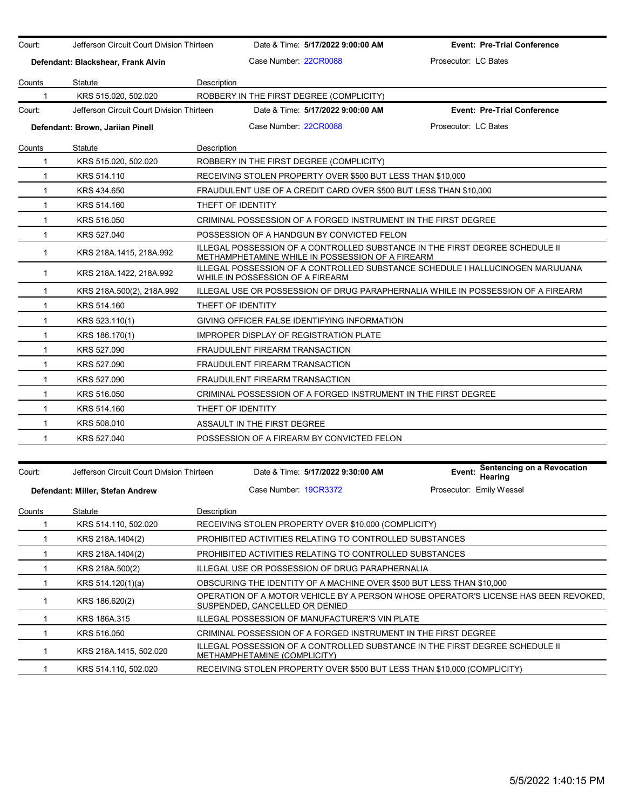| Court:       | Jefferson Circuit Court Division Thirteen                                                                                                                   |                                                                                                                    |                                | Date & Time: 5/17/2022 9:00:00 AM                           | <b>Event: Pre-Trial Conference</b>                                               |
|--------------|-------------------------------------------------------------------------------------------------------------------------------------------------------------|--------------------------------------------------------------------------------------------------------------------|--------------------------------|-------------------------------------------------------------|----------------------------------------------------------------------------------|
|              | Defendant: Blackshear, Frank Alvin                                                                                                                          |                                                                                                                    | Case Number: 22CR0088          |                                                             | Prosecutor: LC Bates                                                             |
| Counts       | Statute                                                                                                                                                     | <b>Description</b>                                                                                                 |                                |                                                             |                                                                                  |
| 1            | KRS 515.020, 502.020                                                                                                                                        |                                                                                                                    |                                | ROBBERY IN THE FIRST DEGREE (COMPLICITY)                    |                                                                                  |
| Court:       | Jefferson Circuit Court Division Thirteen                                                                                                                   |                                                                                                                    |                                | Date & Time: 5/17/2022 9:00:00 AM                           | <b>Event: Pre-Trial Conference</b>                                               |
|              | Defendant: Brown, Jariian Pinell                                                                                                                            |                                                                                                                    | Case Number: 22CR0088          |                                                             | Prosecutor: LC Bates                                                             |
| Counts       | Statute                                                                                                                                                     | Description                                                                                                        |                                |                                                             |                                                                                  |
| 1            | KRS 515.020, 502.020                                                                                                                                        |                                                                                                                    |                                | ROBBERY IN THE FIRST DEGREE (COMPLICITY)                    |                                                                                  |
| $\mathbf{1}$ | KRS 514.110                                                                                                                                                 |                                                                                                                    |                                | RECEIVING STOLEN PROPERTY OVER \$500 BUT LESS THAN \$10,000 |                                                                                  |
| $\mathbf{1}$ | KRS 434.650                                                                                                                                                 |                                                                                                                    |                                |                                                             | FRAUDULENT USE OF A CREDIT CARD OVER \$500 BUT LESS THAN \$10,000                |
| $\mathbf{1}$ | KRS 514.160                                                                                                                                                 | THEFT OF IDENTITY                                                                                                  |                                |                                                             |                                                                                  |
| $\mathbf{1}$ | CRIMINAL POSSESSION OF A FORGED INSTRUMENT IN THE FIRST DEGREE<br>KRS 516.050                                                                               |                                                                                                                    |                                |                                                             |                                                                                  |
| $\mathbf{1}$ | KRS 527.040                                                                                                                                                 | POSSESSION OF A HANDGUN BY CONVICTED FELON                                                                         |                                |                                                             |                                                                                  |
| $\mathbf{1}$ | ILLEGAL POSSESSION OF A CONTROLLED SUBSTANCE IN THE FIRST DEGREE SCHEDULE II<br>KRS 218A 1415, 218A 992<br>METHAMPHETAMINE WHILE IN POSSESSION OF A FIREARM |                                                                                                                    |                                |                                                             |                                                                                  |
| $\mathbf 1$  | KRS 218A 1422, 218A 992                                                                                                                                     | ILLEGAL POSSESSION OF A CONTROLLED SUBSTANCE SCHEDULE I HALLUCINOGEN MARIJUANA<br>WHILE IN POSSESSION OF A FIREARM |                                |                                                             |                                                                                  |
| $\mathbf{1}$ | KRS 218A.500(2), 218A.992                                                                                                                                   |                                                                                                                    |                                |                                                             | ILLEGAL USE OR POSSESSION OF DRUG PARAPHERNALIA WHILE IN POSSESSION OF A FIREARM |
| $\mathbf{1}$ | KRS 514.160                                                                                                                                                 | THEFT OF IDENTITY                                                                                                  |                                |                                                             |                                                                                  |
| $\mathbf{1}$ | KRS 523.110(1)                                                                                                                                              |                                                                                                                    |                                | GIVING OFFICER FALSE IDENTIFYING INFORMATION                |                                                                                  |
| $\mathbf{1}$ | KRS 186.170(1)                                                                                                                                              |                                                                                                                    |                                | <b>IMPROPER DISPLAY OF REGISTRATION PLATE</b>               |                                                                                  |
| $\mathbf{1}$ | KRS 527.090                                                                                                                                                 |                                                                                                                    | FRAUDULENT FIREARM TRANSACTION |                                                             |                                                                                  |
| 1            | KRS 527.090                                                                                                                                                 |                                                                                                                    | FRAUDULENT FIREARM TRANSACTION |                                                             |                                                                                  |
| $\mathbf{1}$ | KRS 527.090                                                                                                                                                 |                                                                                                                    | FRAUDULENT FIREARM TRANSACTION |                                                             |                                                                                  |
| $\mathbf{1}$ | KRS 516.050                                                                                                                                                 |                                                                                                                    |                                |                                                             | CRIMINAL POSSESSION OF A FORGED INSTRUMENT IN THE FIRST DEGREE                   |
| 1            | KRS 514.160                                                                                                                                                 | THEFT OF IDENTITY                                                                                                  |                                |                                                             |                                                                                  |
| $\mathbf{1}$ | KRS 508.010                                                                                                                                                 |                                                                                                                    | ASSAULT IN THE FIRST DEGREE    |                                                             |                                                                                  |
| 1            | KRS 527.040                                                                                                                                                 |                                                                                                                    |                                | POSSESSION OF A FIREARM BY CONVICTED FELON                  |                                                                                  |
| Court:       | Jefferson Circuit Court Division Thirteen                                                                                                                   |                                                                                                                    |                                | Date & Time: 5/17/2022 9:30:00 AM                           | Sentencing on a Revocation<br>Event:<br>Hearing                                  |
|              | Defendant: Miller, Stefan Andrew                                                                                                                            |                                                                                                                    | Case Number 19CR3372           |                                                             | Prosecutor: Emily Wessel                                                         |

| Counts | Statute                | Description                                                                                                           |
|--------|------------------------|-----------------------------------------------------------------------------------------------------------------------|
|        | KRS 514.110, 502.020   | RECEIVING STOLEN PROPERTY OVER \$10,000 (COMPLICITY)                                                                  |
|        | KRS 218A.1404(2)       | <b>PROHIBITED ACTIVITIES RELATING TO CONTROLLED SUBSTANCES</b>                                                        |
|        | KRS 218A.1404(2)       | <b>PROHIBITED ACTIVITIES RELATING TO CONTROLLED SUBSTANCES</b>                                                        |
|        | KRS 218A.500(2)        | ILLEGAL USE OR POSSESSION OF DRUG PARAPHERNALIA                                                                       |
|        | KRS 514.120(1)(a)      | OBSCURING THE IDENTITY OF A MACHINE OVER \$500 BUT LESS THAN \$10,000                                                 |
|        | KRS 186.620(2)         | OPERATION OF A MOTOR VEHICLE BY A PERSON WHOSE OPERATOR'S LICENSE HAS BEEN REVOKED.<br>SUSPENDED, CANCELLED OR DENIED |
|        | KRS 186A.315           | ILLEGAL POSSESSION OF MANUFACTURER'S VIN PLATE                                                                        |
|        | KRS 516,050            | CRIMINAL POSSESSION OF A FORGED INSTRUMENT IN THE FIRST DEGREE                                                        |
|        | KRS 218A 1415, 502.020 | ILLEGAL POSSESSION OF A CONTROLLED SUBSTANCE IN THE FIRST DEGREE SCHEDULE II<br>METHAMPHETAMINE (COMPLICITY)          |
|        | KRS 514.110, 502.020   | RECEIVING STOLEN PROPERTY OVER \$500 BUT LESS THAN \$10,000 (COMPLICITY)                                              |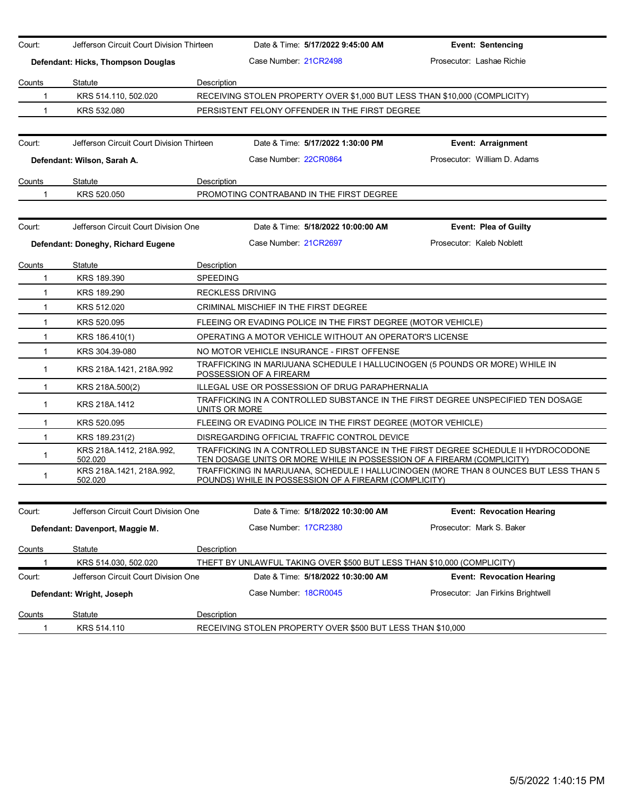| Court:      | Jefferson Circuit Court Division Thirteen |                 | Date & Time: 5/17/2022 9:45:00 AM                                                                       | <b>Event: Sentencing</b>                                                              |
|-------------|-------------------------------------------|-----------------|---------------------------------------------------------------------------------------------------------|---------------------------------------------------------------------------------------|
|             | Defendant: Hicks, Thompson Douglas        |                 | Case Number 21CR2498                                                                                    | Prosecutor: Lashae Richie                                                             |
| Counts      | Statute                                   | Description     |                                                                                                         |                                                                                       |
| 1           | KRS 514.110, 502.020                      |                 | RECEIVING STOLEN PROPERTY OVER \$1,000 BUT LESS THAN \$10,000 (COMPLICITY)                              |                                                                                       |
| 1           | KRS 532.080                               |                 | PERSISTENT FELONY OFFENDER IN THE FIRST DEGREE                                                          |                                                                                       |
|             |                                           |                 |                                                                                                         |                                                                                       |
| Court:      | Jefferson Circuit Court Division Thirteen |                 | Date & Time: 5/17/2022 1:30:00 PM                                                                       | <b>Event: Arraignment</b>                                                             |
|             | Defendant: Wilson, Sarah A.               |                 | Case Number 22CR0864                                                                                    | Prosecutor: William D. Adams                                                          |
| Counts      | Statute                                   | Description     |                                                                                                         |                                                                                       |
| 1           | KRS 520.050                               |                 | PROMOTING CONTRABAND IN THE FIRST DEGREE                                                                |                                                                                       |
|             |                                           |                 |                                                                                                         |                                                                                       |
| Court:      | Jefferson Circuit Court Division One      |                 | Date & Time: 5/18/2022 10:00:00 AM                                                                      | <b>Event: Plea of Guilty</b>                                                          |
|             | Defendant: Doneghy, Richard Eugene        |                 | Case Number 21CR2697                                                                                    | Prosecutor: Kaleb Noblett                                                             |
| Counts      | Statute                                   | Description     |                                                                                                         |                                                                                       |
| 1           | KRS 189.390                               | <b>SPEEDING</b> |                                                                                                         |                                                                                       |
| $\mathbf 1$ | KRS 189.290                               |                 | <b>RECKLESS DRIVING</b>                                                                                 |                                                                                       |
| 1           | KRS 512.020                               |                 | CRIMINAL MISCHIEF IN THE FIRST DEGREE                                                                   |                                                                                       |
| $\mathbf 1$ | KRS 520.095                               |                 | FLEEING OR EVADING POLICE IN THE FIRST DEGREE (MOTOR VEHICLE)                                           |                                                                                       |
| 1           | KRS 186.410(1)                            |                 | OPERATING A MOTOR VEHICLE WITHOUT AN OPERATOR'S LICENSE                                                 |                                                                                       |
| $\mathbf 1$ | KRS 304.39-080                            |                 | NO MOTOR VEHICLE INSURANCE - FIRST OFFENSE                                                              |                                                                                       |
| 1           | KRS 218A 1421, 218A 992                   |                 | TRAFFICKING IN MARIJUANA SCHEDULE I HALLUCINOGEN (5 POUNDS OR MORE) WHILE IN<br>POSSESSION OF A FIREARM |                                                                                       |
| 1           | KRS 218A.500(2)                           |                 | ILLEGAL USE OR POSSESSION OF DRUG PARAPHERNALIA                                                         |                                                                                       |
| $\mathbf 1$ | KRS 218A.1412                             |                 | TRAFFICKING IN A CONTROLLED SUBSTANCE IN THE FIRST DEGREE UNSPECIFIED TEN DOSAGE<br>UNITS OR MORE       |                                                                                       |
| $\mathbf 1$ | KRS 520.095                               |                 | FLEEING OR EVADING POLICE IN THE FIRST DEGREE (MOTOR VEHICLE)                                           |                                                                                       |
| 1           | KRS 189.231(2)                            |                 | DISREGARDING OFFICIAL TRAFFIC CONTROL DEVICE                                                            |                                                                                       |
| 1           | KRS 218A.1412, 218A.992,<br>502.020       |                 | TEN DOSAGE UNITS OR MORE WHILE IN POSSESSION OF A FIREARM (COMPLICITY)                                  | TRAFFICKING IN A CONTROLLED SUBSTANCE IN THE FIRST DEGREE SCHEDULE II HYDROCODONE     |
| 1           | KRS 218A.1421, 218A.992,<br>502.020       |                 | POUNDS) WHILE IN POSSESSION OF A FIREARM (COMPLICITY)                                                   | TRAFFICKING IN MARIJUANA. SCHEDULE I HALLUCINOGEN (MORE THAN 8 OUNCES BUT LESS THAN 5 |
| Court:      | Jefferson Circuit Court Division One      |                 | Date & Time: 5/18/2022 10:30:00 AM                                                                      | <b>Event: Revocation Hearing</b>                                                      |
|             | Defendant: Davenport, Maggie M.           |                 | Case Number: 17CR2380                                                                                   | Prosecutor: Mark S. Baker                                                             |
| Counts      | Statute                                   | Description     |                                                                                                         |                                                                                       |
|             | KRS 514.030, 502.020                      |                 | THEFT BY UNLAWFUL TAKING OVER \$500 BUT LESS THAN \$10,000 (COMPLICITY)                                 |                                                                                       |
| Court:      | Jefferson Circuit Court Division One      |                 | Date & Time: 5/18/2022 10:30:00 AM                                                                      | <b>Event: Revocation Hearing</b>                                                      |
|             | Defendant: Wright, Joseph                 |                 | Case Number: 18CR0045                                                                                   | Prosecutor: Jan Firkins Brightwell                                                    |
| Counts      | Statute                                   | Description     |                                                                                                         |                                                                                       |
| 1           | KRS 514.110                               |                 | RECEIVING STOLEN PROPERTY OVER \$500 BUT LESS THAN \$10,000                                             |                                                                                       |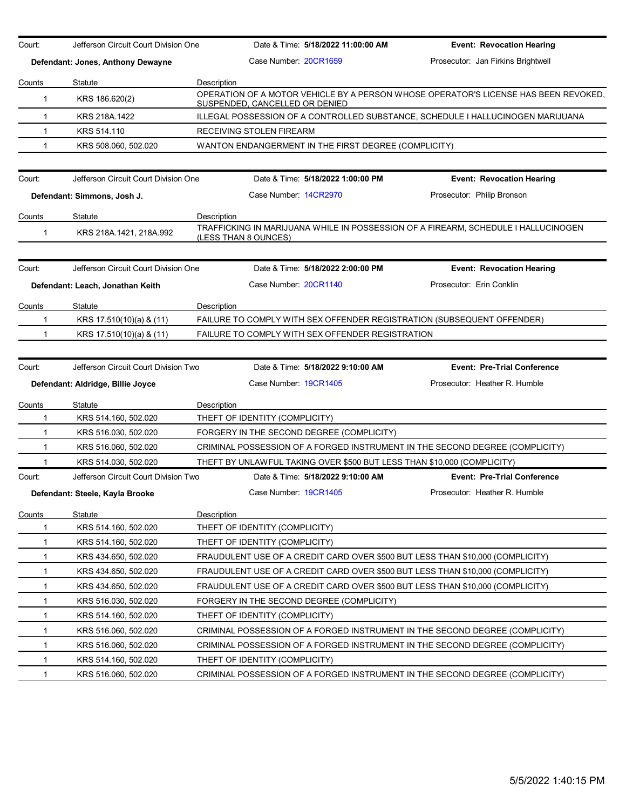| Court:                 | Jefferson Circuit Court Division One | Date & Time: 5/18/2022 11:00:00 AM                                                                                                   | <b>Event: Revocation Hearing</b>   |
|------------------------|--------------------------------------|--------------------------------------------------------------------------------------------------------------------------------------|------------------------------------|
|                        | Defendant: Jones, Anthony Dewayne    | Case Number: 20CR1659                                                                                                                | Prosecutor: Jan Firkins Brightwell |
|                        |                                      |                                                                                                                                      |                                    |
| Counts<br>$\mathbf{1}$ | Statute<br>KRS 186.620(2)            | Description<br>OPERATION OF A MOTOR VEHICLE BY A PERSON WHOSE OPERATOR'S LICENSE HAS BEEN REVOKED.<br>SUSPENDED, CANCELLED OR DENIED |                                    |
| $\mathbf{1}$           | KRS 218A.1422                        | ILLEGAL POSSESSION OF A CONTROLLED SUBSTANCE, SCHEDULE I HALLUCINOGEN MARIJUANA                                                      |                                    |
| $\mathbf{1}$           | KRS 514.110                          | RECEIVING STOLEN FIREARM                                                                                                             |                                    |
| $\mathbf{1}$           | KRS 508.060, 502.020                 | WANTON ENDANGERMENT IN THE FIRST DEGREE (COMPLICITY)                                                                                 |                                    |
|                        |                                      |                                                                                                                                      |                                    |
| Court:                 | Jefferson Circuit Court Division One | Date & Time: 5/18/2022 1:00:00 PM                                                                                                    | <b>Event: Revocation Hearing</b>   |
|                        | Defendant: Simmons, Josh J.          | Case Number 14CR2970                                                                                                                 | Prosecutor: Philip Bronson         |
| <b>Counts</b>          | Statute                              | Description                                                                                                                          |                                    |
| $\mathbf 1$            | KRS 218A.1421, 218A.992              | TRAFFICKING IN MARIJUANA WHILE IN POSSESSION OF A FIREARM, SCHEDULE I HALLUCINOGEN<br>(LESS THAN 8 OUNCES)                           |                                    |
| Court:                 | Jefferson Circuit Court Division One | Date & Time: 5/18/2022 2:00:00 PM                                                                                                    | <b>Event: Revocation Hearing</b>   |
|                        | Defendant: Leach, Jonathan Keith     | Case Number: 20CR1140                                                                                                                | Prosecutor: Erin Conklin           |
|                        |                                      |                                                                                                                                      |                                    |
| Counts                 | Statute                              | Description                                                                                                                          |                                    |
| 1                      | KRS 17.510(10)(a) & (11)             | FAILURE TO COMPLY WITH SEX OFFENDER REGISTRATION (SUBSEQUENT OFFENDER)                                                               |                                    |
| $\mathbf 1$            | KRS 17.510(10)(a) & (11)             | FAILURE TO COMPLY WITH SEX OFFENDER REGISTRATION                                                                                     |                                    |
|                        |                                      |                                                                                                                                      |                                    |
| Court:                 | Jefferson Circuit Court Division Two | Date & Time: 5/18/2022 9:10:00 AM                                                                                                    | <b>Event: Pre-Trial Conference</b> |
|                        | Defendant: Aldridge, Billie Joyce    | Case Number 19CR1405                                                                                                                 | Prosecutor: Heather R. Humble      |
| Counts                 | Statute                              | Description                                                                                                                          |                                    |
| 1                      | KRS 514.160, 502.020                 | THEFT OF IDENTITY (COMPLICITY)                                                                                                       |                                    |
| $\mathbf{1}$           | KRS 516.030, 502.020                 | FORGERY IN THE SECOND DEGREE (COMPLICITY)                                                                                            |                                    |
| $\mathbf{1}$           | KRS 516.060, 502.020                 | CRIMINAL POSSESSION OF A FORGED INSTRUMENT IN THE SECOND DEGREE (COMPLICITY)                                                         |                                    |
| 1                      | KRS 514.030, 502.020                 | THEFT BY UNLAWFUL TAKING OVER \$500 BUT LESS THAN \$10,000 (COMPLICITY)                                                              |                                    |
| Court:                 | Jefferson Circuit Court Division Two | Date & Time: 5/18/2022 9:10:00 AM                                                                                                    | <b>Event: Pre-Trial Conference</b> |
|                        | Defendant: Steele, Kayla Brooke      | Case Number: 19CR1405                                                                                                                | Prosecutor: Heather R. Humble      |
| Counts                 | Statute                              | Description                                                                                                                          |                                    |
| 1                      | KRS 514.160, 502.020                 | THEFT OF IDENTITY (COMPLICITY)                                                                                                       |                                    |
| 1                      | KRS 514.160, 502.020                 | THEFT OF IDENTITY (COMPLICITY)                                                                                                       |                                    |
| 1                      | KRS 434.650, 502.020                 | FRAUDULENT USE OF A CREDIT CARD OVER \$500 BUT LESS THAN \$10,000 (COMPLICITY)                                                       |                                    |
| 1                      | KRS 434.650, 502.020                 | FRAUDULENT USE OF A CREDIT CARD OVER \$500 BUT LESS THAN \$10,000 (COMPLICITY)                                                       |                                    |
| 1                      | KRS 434.650, 502.020                 | FRAUDULENT USE OF A CREDIT CARD OVER \$500 BUT LESS THAN \$10,000 (COMPLICITY)                                                       |                                    |
| 1                      | KRS 516.030, 502.020                 | FORGERY IN THE SECOND DEGREE (COMPLICITY)                                                                                            |                                    |
| 1                      | KRS 514.160, 502.020                 | THEFT OF IDENTITY (COMPLICITY)                                                                                                       |                                    |
| 1                      | KRS 516.060, 502.020                 | CRIMINAL POSSESSION OF A FORGED INSTRUMENT IN THE SECOND DEGREE (COMPLICITY)                                                         |                                    |
| 1                      | KRS 516.060, 502.020                 | CRIMINAL POSSESSION OF A FORGED INSTRUMENT IN THE SECOND DEGREE (COMPLICITY)                                                         |                                    |
|                        |                                      |                                                                                                                                      |                                    |
| 1                      | KRS 514.160, 502.020                 | THEFT OF IDENTITY (COMPLICITY)                                                                                                       |                                    |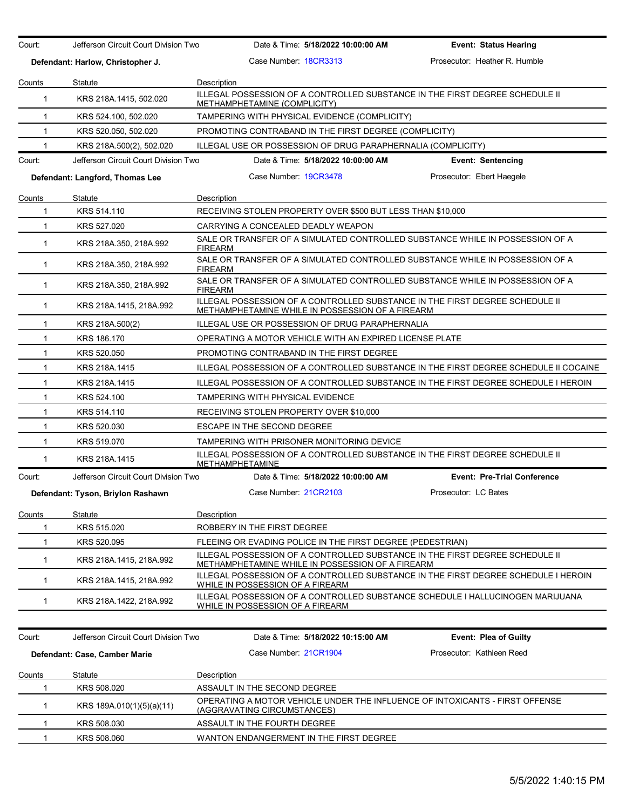| Court:       | Jefferson Circuit Court Division Two | Date & Time: 5/18/2022 10:00:00 AM                                                                                               | <b>Event: Status Hearing</b>       |
|--------------|--------------------------------------|----------------------------------------------------------------------------------------------------------------------------------|------------------------------------|
|              | Defendant: Harlow, Christopher J.    | Case Number: 18CR3313                                                                                                            | Prosecutor: Heather R. Humble      |
| Counts       | Statute                              | Description                                                                                                                      |                                    |
| 1            | KRS 218A.1415, 502.020               | ILLEGAL POSSESSION OF A CONTROLLED SUBSTANCE IN THE FIRST DEGREE SCHEDULE II<br>METHAMPHETAMINE (COMPLICITY)                     |                                    |
| $\mathbf{1}$ | KRS 524.100, 502.020                 | TAMPERING WITH PHYSICAL EVIDENCE (COMPLICITY)                                                                                    |                                    |
| $\mathbf 1$  | KRS 520.050, 502.020                 | PROMOTING CONTRABAND IN THE FIRST DEGREE (COMPLICITY)                                                                            |                                    |
| 1            | KRS 218A.500(2), 502.020             | ILLEGAL USE OR POSSESSION OF DRUG PARAPHERNALIA (COMPLICITY)                                                                     |                                    |
| Court:       | Jefferson Circuit Court Division Two | Date & Time: 5/18/2022 10:00:00 AM                                                                                               | <b>Event: Sentencing</b>           |
|              | Defendant: Langford, Thomas Lee      | Case Number: 19CR3478                                                                                                            | Prosecutor: Ebert Haegele          |
| Counts       | Statute                              | Description                                                                                                                      |                                    |
| 1            | KRS 514.110                          | RECEIVING STOLEN PROPERTY OVER \$500 BUT LESS THAN \$10,000                                                                      |                                    |
| 1            | KRS 527.020                          | CARRYING A CONCEALED DEADLY WEAPON                                                                                               |                                    |
| 1            | KRS 218A.350, 218A.992               | SALE OR TRANSFER OF A SIMULATED CONTROLLED SUBSTANCE WHILE IN POSSESSION OF A<br><b>FIREARM</b>                                  |                                    |
| 1            | KRS 218A.350, 218A.992               | SALE OR TRANSFER OF A SIMULATED CONTROLLED SUBSTANCE WHILE IN POSSESSION OF A<br><b>FIREARM</b>                                  |                                    |
| 1            | KRS 218A.350, 218A.992               | SALE OR TRANSFER OF A SIMULATED CONTROLLED SUBSTANCE WHILE IN POSSESSION OF A<br><b>FIREARM</b>                                  |                                    |
| $\mathbf{1}$ | KRS 218A.1415, 218A.992              | ILLEGAL POSSESSION OF A CONTROLLED SUBSTANCE IN THE FIRST DEGREE SCHEDULE II<br>METHAMPHETAMINE WHILE IN POSSESSION OF A FIREARM |                                    |
| 1            | KRS 218A.500(2)                      | ILLEGAL USE OR POSSESSION OF DRUG PARAPHERNALIA                                                                                  |                                    |
| 1            | KRS 186.170                          | OPERATING A MOTOR VEHICLE WITH AN EXPIRED LICENSE PLATE                                                                          |                                    |
| $\mathbf 1$  | KRS 520.050                          | PROMOTING CONTRABAND IN THE FIRST DEGREE                                                                                         |                                    |
| $\mathbf{1}$ | KRS 218A.1415                        | ILLEGAL POSSESSION OF A CONTROLLED SUBSTANCE IN THE FIRST DEGREE SCHEDULE II COCAINE                                             |                                    |
| $\mathbf 1$  | KRS 218A.1415                        | ILLEGAL POSSESSION OF A CONTROLLED SUBSTANCE IN THE FIRST DEGREE SCHEDULE I HEROIN                                               |                                    |
| 1            | KRS 524.100                          | TAMPERING WITH PHYSICAL EVIDENCE                                                                                                 |                                    |
| 1            | KRS 514.110                          | RECEIVING STOLEN PROPERTY OVER \$10,000                                                                                          |                                    |
| $\mathbf 1$  | KRS 520.030                          | ESCAPE IN THE SECOND DEGREE                                                                                                      |                                    |
| 1            | KRS 519.070                          | TAMPERING WITH PRISONER MONITORING DEVICE                                                                                        |                                    |
| 1            | KRS 218A.1415                        | ILLEGAL POSSESSION OF A CONTROLLED SUBSTANCE IN THE FIRST DEGREE SCHEDULE II<br>METHAMPHETAMINE                                  |                                    |
| Court:       | Jefferson Circuit Court Division Two | Date & Time: 5/18/2022 10:00:00 AM                                                                                               | <b>Event: Pre-Trial Conference</b> |
|              | Defendant: Tyson, Briylon Rashawn    | Case Number: 21CR2103                                                                                                            | Prosecutor: LC Bates               |
| Counts       | Statute                              | <b>Description</b>                                                                                                               |                                    |
| $\mathbf 1$  | KRS 515.020                          | ROBBERY IN THE FIRST DEGREE                                                                                                      |                                    |
| 1            | KRS 520.095                          | FLEEING OR EVADING POLICE IN THE FIRST DEGREE (PEDESTRIAN)                                                                       |                                    |
| 1            | KRS 218A.1415, 218A.992              | ILLEGAL POSSESSION OF A CONTROLLED SUBSTANCE IN THE FIRST DEGREE SCHEDULE II<br>METHAMPHETAMINE WHILE IN POSSESSION OF A FIREARM |                                    |
| 1            | KRS 218A.1415, 218A.992              | ILLEGAL POSSESSION OF A CONTROLLED SUBSTANCE IN THE FIRST DEGREE SCHEDULE I HEROIN<br>WHILE IN POSSESSION OF A FIREARM           |                                    |
| $\mathbf{1}$ | KRS 218A.1422, 218A.992              | ILLEGAL POSSESSION OF A CONTROLLED SUBSTANCE SCHEDULE I HALLUCINOGEN MARIJUANA<br>WHILE IN POSSESSION OF A FIREARM               |                                    |
|              |                                      |                                                                                                                                  |                                    |
| Court:       | Jefferson Circuit Court Division Two | Date & Time: 5/18/2022 10:15:00 AM                                                                                               | <b>Event: Plea of Guilty</b>       |
|              | Defendant: Case, Camber Marie        | Case Number 21CR1904                                                                                                             | Prosecutor: Kathleen Reed          |
| Counts       | Statute                              | Description                                                                                                                      |                                    |
| 1            | KRS 508.020                          | ASSAULT IN THE SECOND DEGREE                                                                                                     |                                    |
| $\mathbf{1}$ | KRS 189A.010(1)(5)(a)(11)            | OPERATING A MOTOR VEHICLE UNDER THE INFLUENCE OF INTOXICANTS - FIRST OFFENSE<br>(AGGRAVATING CIRCUMSTANCES)                      |                                    |
| $\mathbf{1}$ | KRS 508.030                          | ASSAULT IN THE FOURTH DEGREE                                                                                                     |                                    |
| $\mathbf 1$  | KRS 508.060                          | WANTON ENDANGERMENT IN THE FIRST DEGREE                                                                                          |                                    |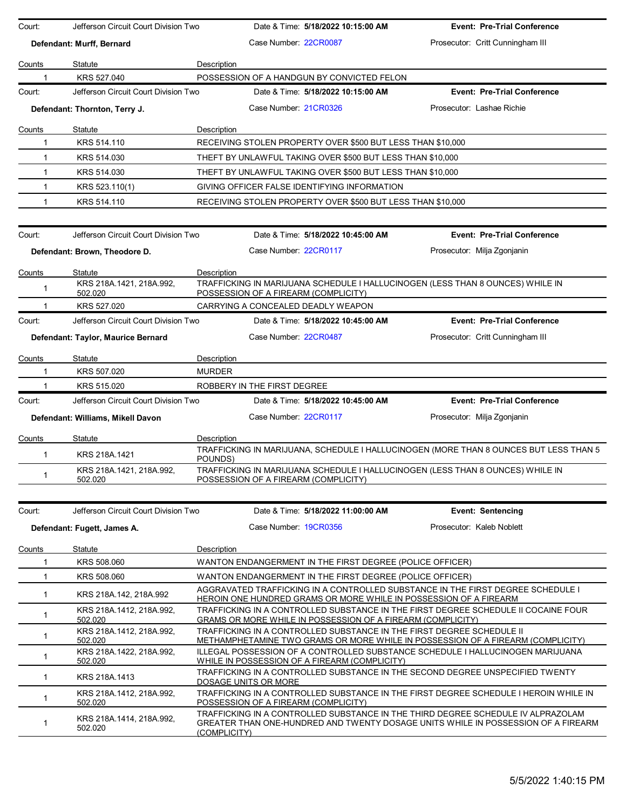| Court:       | Jefferson Circuit Court Division Two | Date & Time: 5/18/2022 10:15:00 AM                                 | <b>Event: Pre-Trial Conference</b>                                                                                                                       |  |
|--------------|--------------------------------------|--------------------------------------------------------------------|----------------------------------------------------------------------------------------------------------------------------------------------------------|--|
|              | Defendant: Murff, Bernard            | Case Number: 22CR0087                                              | Prosecutor: Critt Cunningham III                                                                                                                         |  |
| Counts       | Statute                              | Description                                                        |                                                                                                                                                          |  |
|              | KRS 527.040                          | POSSESSION OF A HANDGUN BY CONVICTED FELON                         |                                                                                                                                                          |  |
| Court:       | Jefferson Circuit Court Division Two | Date & Time: 5/18/2022 10:15:00 AM                                 | <b>Event: Pre-Trial Conference</b>                                                                                                                       |  |
|              | Defendant: Thornton, Terry J.        | Case Number 21CR0326                                               | Prosecutor: Lashae Richie                                                                                                                                |  |
| Counts       | Statute                              | Description                                                        |                                                                                                                                                          |  |
| 1            | KRS 514.110                          | RECEIVING STOLEN PROPERTY OVER \$500 BUT LESS THAN \$10,000        |                                                                                                                                                          |  |
| 1            | KRS 514.030                          | THEFT BY UNLAWFUL TAKING OVER \$500 BUT LESS THAN \$10,000         |                                                                                                                                                          |  |
| $\mathbf{1}$ | KRS 514.030                          | THEFT BY UNLAWFUL TAKING OVER \$500 BUT LESS THAN \$10,000         |                                                                                                                                                          |  |
| $\mathbf{1}$ | KRS 523.110(1)                       | GIVING OFFICER FALSE IDENTIFYING INFORMATION                       |                                                                                                                                                          |  |
| 1            | KRS 514.110                          | RECEIVING STOLEN PROPERTY OVER \$500 BUT LESS THAN \$10,000        |                                                                                                                                                          |  |
|              |                                      |                                                                    |                                                                                                                                                          |  |
| Court:       | Jefferson Circuit Court Division Two | Date & Time: 5/18/2022 10:45:00 AM                                 | <b>Event: Pre-Trial Conference</b>                                                                                                                       |  |
|              | Defendant: Brown, Theodore D.        | Case Number 22CR0117                                               | Prosecutor: Milja Zgonjanin                                                                                                                              |  |
| Counts       | Statute                              | Description                                                        |                                                                                                                                                          |  |
| 1            | KRS 218A.1421, 218A.992,<br>502.020  | POSSESSION OF A FIREARM (COMPLICITY)                               | TRAFFICKING IN MARIJUANA SCHEDULE I HALLUCINOGEN (LESS THAN 8 OUNCES) WHILE IN                                                                           |  |
|              | KRS 527.020                          | CARRYING A CONCEALED DEADLY WEAPON                                 |                                                                                                                                                          |  |
| Court:       | Jefferson Circuit Court Division Two | Date & Time: 5/18/2022 10:45:00 AM                                 | <b>Event: Pre-Trial Conference</b>                                                                                                                       |  |
|              | Defendant: Taylor, Maurice Bernard   | Case Number 22CR0487                                               | Prosecutor: Critt Cunningham III                                                                                                                         |  |
| Counts       | Statute                              | Description                                                        |                                                                                                                                                          |  |
| 1            | KRS 507.020                          | <b>MURDER</b>                                                      |                                                                                                                                                          |  |
| 1            | KRS 515.020                          | ROBBERY IN THE FIRST DEGREE                                        |                                                                                                                                                          |  |
|              |                                      |                                                                    |                                                                                                                                                          |  |
| Court:       | Jefferson Circuit Court Division Two | Date & Time: 5/18/2022 10:45:00 AM                                 | <b>Event: Pre-Trial Conference</b>                                                                                                                       |  |
|              | Defendant: Williams, Mikell Davon    | Case Number: 22CR0117                                              | Prosecutor: Milja Zgonjanin                                                                                                                              |  |
| Counts       | Statute                              | Description                                                        |                                                                                                                                                          |  |
| 1            | KRS 218A.1421                        | POUNDS)                                                            | TRAFFICKING IN MARIJUANA, SCHEDULE I HALLUCINOGEN (MORE THAN 8 OUNCES BUT LESS THAN 5                                                                    |  |
| 1            | KRS 218A.1421, 218A.992,<br>502.020  | POSSESSION OF A FIREARM (COMPLICITY)                               | TRAFFICKING IN MARIJUANA SCHEDULE I HALLUCINOGEN (LESS THAN 8 OUNCES) WHILE IN                                                                           |  |
|              |                                      |                                                                    |                                                                                                                                                          |  |
| Court:       | Jefferson Circuit Court Division Two | Date & Time: 5/18/2022 11:00:00 AM                                 | <b>Event: Sentencing</b>                                                                                                                                 |  |
|              | Defendant: Fugett, James A.          | Case Number 19CR0356                                               | Prosecutor: Kaleb Noblett                                                                                                                                |  |
| Counts       | Statute                              | Description                                                        |                                                                                                                                                          |  |
| 1            | KRS 508.060                          | WANTON ENDANGERMENT IN THE FIRST DEGREE (POLICE OFFICER)           |                                                                                                                                                          |  |
| $\mathbf{1}$ | KRS 508.060                          | WANTON ENDANGERMENT IN THE FIRST DEGREE (POLICE OFFICER)           |                                                                                                                                                          |  |
| $\mathbf{1}$ | KRS 218A.142, 218A.992               |                                                                    | AGGRAVATED TRAFFICKING IN A CONTROLLED SUBSTANCE IN THE FIRST DEGREE SCHEDULE I<br>HEROIN ONE HUNDRED GRAMS OR MORE WHILE IN POSSESSION OF A FIREARM     |  |
| 1            | KRS 218A.1412, 218A.992,<br>502.020  | <b>GRAMS OR MORE WHILE IN POSSESSION OF A FIREARM (COMPLICITY)</b> | TRAFFICKING IN A CONTROLLED SUBSTANCE IN THE FIRST DEGREE SCHEDULE II COCAINE FOUR                                                                       |  |
| 1            | KRS 218A.1412, 218A.992,<br>502.020  |                                                                    | TRAFFICKING IN A CONTROLLED SUBSTANCE IN THE FIRST DEGREE SCHEDULE II<br>METHAMPHETAMINE TWO GRAMS OR MORE WHILE IN POSSESSION OF A FIREARM (COMPLICITY) |  |
| $\mathbf{1}$ | KRS 218A.1422, 218A.992,<br>502.020  | WHILE IN POSSESSION OF A FIREARM (COMPLICITY)                      | ILLEGAL POSSESSION OF A CONTROLLED SUBSTANCE SCHEDULE I HALLUCINOGEN MARIJUANA                                                                           |  |
| 1            | KRS 218A.1413                        | DOSAGE UNITS OR MORE                                               | TRAFFICKING IN A CONTROLLED SUBSTANCE IN THE SECOND DEGREE UNSPECIFIED TWENTY                                                                            |  |
| 1            | KRS 218A.1412, 218A.992,<br>502.020  | POSSESSION OF A FIREARM (COMPLICITY)                               | TRAFFICKING IN A CONTROLLED SUBSTANCE IN THE FIRST DEGREE SCHEDULE I HEROIN WHILE IN                                                                     |  |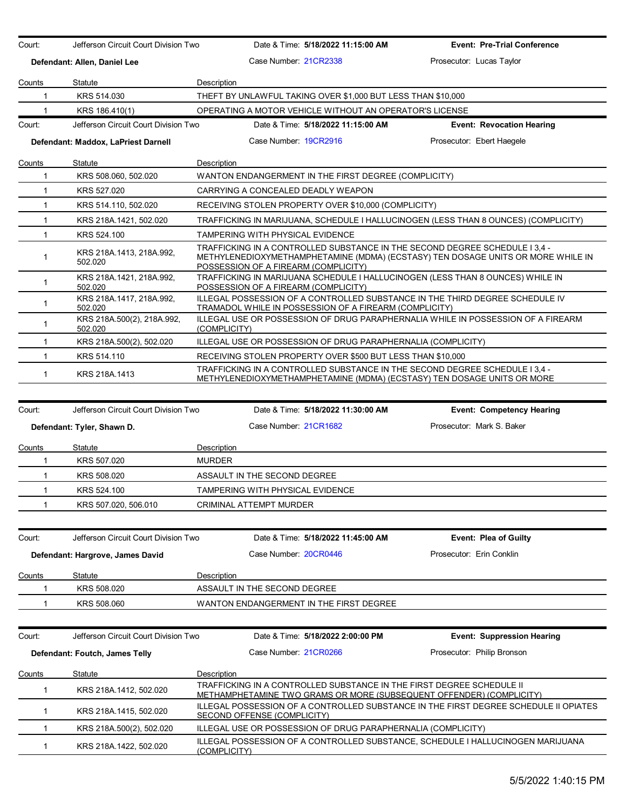| Counts<br>1<br>1             | Defendant: Allen, Daniel Lee          | Jefferson Circuit Court Division Two<br>Date & Time: 5/18/2022 11:15:00 AM                                                                                                                              | <b>Event: Pre-Trial Conference</b> |  |  |  |
|------------------------------|---------------------------------------|---------------------------------------------------------------------------------------------------------------------------------------------------------------------------------------------------------|------------------------------------|--|--|--|
|                              |                                       | Case Number 21CR2338                                                                                                                                                                                    | Prosecutor: Lucas Taylor           |  |  |  |
|                              | Statute                               | Description                                                                                                                                                                                             |                                    |  |  |  |
|                              | KRS 514.030                           | THEFT BY UNLAWFUL TAKING OVER \$1,000 BUT LESS THAN \$10,000                                                                                                                                            |                                    |  |  |  |
|                              | KRS 186.410(1)                        | OPERATING A MOTOR VEHICLE WITHOUT AN OPERATOR'S LICENSE                                                                                                                                                 |                                    |  |  |  |
| Court:                       | Jefferson Circuit Court Division Two  | Date & Time: 5/18/2022 11:15:00 AM                                                                                                                                                                      | <b>Event: Revocation Hearing</b>   |  |  |  |
|                              | Defendant: Maddox, LaPriest Darnell   | Case Number: 19CR2916                                                                                                                                                                                   | Prosecutor: Ebert Haegele          |  |  |  |
|                              |                                       |                                                                                                                                                                                                         |                                    |  |  |  |
| Counts<br>1                  | Statute<br>KRS 508.060, 502.020       | Description<br>WANTON ENDANGERMENT IN THE FIRST DEGREE (COMPLICITY)                                                                                                                                     |                                    |  |  |  |
| $\mathbf{1}$                 | KRS 527.020                           | CARRYING A CONCEALED DEADLY WEAPON                                                                                                                                                                      |                                    |  |  |  |
| $\mathbf{1}$                 | KRS 514.110, 502.020                  | RECEIVING STOLEN PROPERTY OVER \$10,000 (COMPLICITY)                                                                                                                                                    |                                    |  |  |  |
| $\mathbf{1}$                 | KRS 218A.1421, 502.020                | TRAFFICKING IN MARIJUANA, SCHEDULE I HALLUCINOGEN (LESS THAN 8 OUNCES) (COMPLICITY)                                                                                                                     |                                    |  |  |  |
| $\mathbf{1}$                 | KRS 524.100                           | TAMPERING WITH PHYSICAL EVIDENCE                                                                                                                                                                        |                                    |  |  |  |
| 1                            | KRS 218A.1413, 218A.992,<br>502.020   | TRAFFICKING IN A CONTROLLED SUBSTANCE IN THE SECOND DEGREE SCHEDULE I 3.4 -<br>METHYLENEDIOXYMETHAMPHETAMINE (MDMA) (ECSTASY) TEN DOSAGE UNITS OR MORE WHILE IN<br>POSSESSION OF A FIREARM (COMPLICITY) |                                    |  |  |  |
| $\mathbf{1}$                 | KRS 218A.1421, 218A.992,<br>502.020   | TRAFFICKING IN MARIJUANA SCHEDULE I HALLUCINOGEN (LESS THAN 8 OUNCES) WHILE IN<br>POSSESSION OF A FIREARM (COMPLICITY)                                                                                  |                                    |  |  |  |
| $\mathbf{1}$                 | KRS 218A 1417, 218A 992,<br>502.020   | ILLEGAL POSSESSION OF A CONTROLLED SUBSTANCE IN THE THIRD DEGREE SCHEDULE IV<br>TRAMADOL WHILE IN POSSESSION OF A FIREARM (COMPLICITY)                                                                  |                                    |  |  |  |
| $\mathbf{1}$                 | KRS 218A.500(2), 218A.992,<br>502.020 | ILLEGAL USE OR POSSESSION OF DRUG PARAPHERNALIA WHILE IN POSSESSION OF A FIREARM<br>(COMPLICITY)                                                                                                        |                                    |  |  |  |
| $\mathbf 1$                  | KRS 218A.500(2), 502.020              | ILLEGAL USE OR POSSESSION OF DRUG PARAPHERNALIA (COMPLICITY)                                                                                                                                            |                                    |  |  |  |
| 1                            | KRS 514.110                           | RECEIVING STOLEN PROPERTY OVER \$500 BUT LESS THAN \$10,000                                                                                                                                             |                                    |  |  |  |
| $\mathbf{1}$                 | KRS 218A.1413                         | TRAFFICKING IN A CONTROLLED SUBSTANCE IN THE SECOND DEGREE SCHEDULE I 3.4 -<br>METHYLENEDIOXYMETHAMPHETAMINE (MDMA) (ECSTASY) TEN DOSAGE UNITS OR MORE                                                  |                                    |  |  |  |
|                              |                                       |                                                                                                                                                                                                         |                                    |  |  |  |
| Court:                       | Jefferson Circuit Court Division Two  | Date & Time: 5/18/2022 11:30:00 AM                                                                                                                                                                      | <b>Event: Competency Hearing</b>   |  |  |  |
|                              | Defendant: Tyler, Shawn D.            | Case Number 21CR1682                                                                                                                                                                                    | Prosecutor: Mark S. Baker          |  |  |  |
| Counts                       | Statute                               | Description                                                                                                                                                                                             |                                    |  |  |  |
| 1                            | KRS 507.020                           | <b>MURDER</b>                                                                                                                                                                                           |                                    |  |  |  |
| $\mathbf{1}$                 | KRS 508.020                           | ASSAULT IN THE SECOND DEGREE                                                                                                                                                                            |                                    |  |  |  |
| $\mathbf{1}$                 | KRS 524.100                           | TAMPERING WITH PHYSICAL EVIDENCE                                                                                                                                                                        |                                    |  |  |  |
| 1                            | KRS 507.020, 506.010                  | <b>CRIMINAL ATTEMPT MURDER</b>                                                                                                                                                                          |                                    |  |  |  |
| Court:                       | Jefferson Circuit Court Division Two  | Date & Time: 5/18/2022 11:45:00 AM                                                                                                                                                                      | <b>Event: Plea of Guilty</b>       |  |  |  |
|                              | Defendant: Hargrove, James David      | Case Number: 20CR0446                                                                                                                                                                                   | Prosecutor: Erin Conklin           |  |  |  |
|                              |                                       |                                                                                                                                                                                                         |                                    |  |  |  |
| Counts                       | Statute                               | Description                                                                                                                                                                                             |                                    |  |  |  |
| 1                            | KRS 508.020                           | ASSAULT IN THE SECOND DEGREE                                                                                                                                                                            |                                    |  |  |  |
| 1                            | KRS 508.060                           | WANTON ENDANGERMENT IN THE FIRST DEGREE                                                                                                                                                                 |                                    |  |  |  |
|                              | Jefferson Circuit Court Division Two  | Date & Time: 5/18/2022 2:00:00 PM                                                                                                                                                                       | <b>Event: Suppression Hearing</b>  |  |  |  |
|                              |                                       |                                                                                                                                                                                                         |                                    |  |  |  |
|                              | Defendant: Foutch, James Telly        | Case Number 21CR0266                                                                                                                                                                                    | Prosecutor: Philip Bronson         |  |  |  |
|                              |                                       |                                                                                                                                                                                                         |                                    |  |  |  |
| Court:<br><b>Counts</b><br>1 | Statute<br>KRS 218A.1412, 502.020     | Description<br>TRAFFICKING IN A CONTROLLED SUBSTANCE IN THE FIRST DEGREE SCHEDULE II<br>METHAMPHETAMINE TWO GRAMS OR MORE (SUBSEQUENT OFFENDER) (COMPLICITY)                                            |                                    |  |  |  |
| 1                            | KRS 218A.1415, 502.020                | ILLEGAL POSSESSION OF A CONTROLLED SUBSTANCE IN THE FIRST DEGREE SCHEDULE II OPIATES<br>SECOND OFFENSE (COMPLICITY)                                                                                     |                                    |  |  |  |
| 1                            | KRS 218A 500(2), 502.020              | ILLEGAL USE OR POSSESSION OF DRUG PARAPHERNALIA (COMPLICITY)                                                                                                                                            |                                    |  |  |  |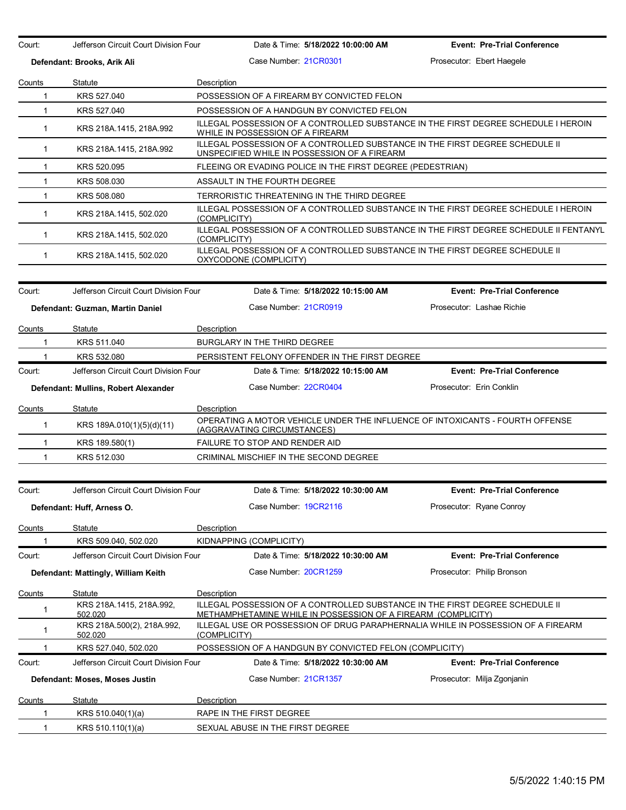| Court:                      | Jefferson Circuit Court Division Four | Date & Time: 5/18/2022 10:00:00 AM                                                                                                            | <b>Event: Pre-Trial Conference</b> |  |  |  |
|-----------------------------|---------------------------------------|-----------------------------------------------------------------------------------------------------------------------------------------------|------------------------------------|--|--|--|
| Defendant: Brooks, Arik Ali |                                       | Case Number 21CR0301                                                                                                                          | Prosecutor: Ebert Haegele          |  |  |  |
| Counts                      | Statute                               | Description                                                                                                                                   |                                    |  |  |  |
| $\mathbf 1$                 | KRS 527.040                           | POSSESSION OF A FIREARM BY CONVICTED FELON                                                                                                    |                                    |  |  |  |
| $\mathbf{1}$                | KRS 527.040                           | POSSESSION OF A HANDGUN BY CONVICTED FELON                                                                                                    |                                    |  |  |  |
| $\mathbf{1}$                | KRS 218A.1415, 218A.992               | ILLEGAL POSSESSION OF A CONTROLLED SUBSTANCE IN THE FIRST DEGREE SCHEDULE I HEROIN<br>WHILE IN POSSESSION OF A FIREARM                        |                                    |  |  |  |
| $\mathbf 1$                 | KRS 218A.1415, 218A.992               | ILLEGAL POSSESSION OF A CONTROLLED SUBSTANCE IN THE FIRST DEGREE SCHEDULE II<br>UNSPECIFIED WHILE IN POSSESSION OF A FIREARM                  |                                    |  |  |  |
| $\mathbf{1}$                | KRS 520.095                           | FLEEING OR EVADING POLICE IN THE FIRST DEGREE (PEDESTRIAN)                                                                                    |                                    |  |  |  |
| $\mathbf{1}$                | KRS 508.030                           | ASSAULT IN THE FOURTH DEGREE                                                                                                                  |                                    |  |  |  |
| $\mathbf{1}$                | KRS 508.080                           | TERRORISTIC THREATENING IN THE THIRD DEGREE                                                                                                   |                                    |  |  |  |
| $\mathbf 1$                 | KRS 218A.1415, 502.020                | ILLEGAL POSSESSION OF A CONTROLLED SUBSTANCE IN THE FIRST DEGREE SCHEDULE I HEROIN<br>(COMPLICITY)                                            |                                    |  |  |  |
| $\mathbf 1$                 | KRS 218A.1415, 502.020                | ILLEGAL POSSESSION OF A CONTROLLED SUBSTANCE IN THE FIRST DEGREE SCHEDULE II FENTANYL<br>(COMPLICITY)                                         |                                    |  |  |  |
| $\mathbf 1$                 | KRS 218A.1415, 502.020                | ILLEGAL POSSESSION OF A CONTROLLED SUBSTANCE IN THE FIRST DEGREE SCHEDULE II<br>OXYCODONE (COMPLICITY)                                        |                                    |  |  |  |
| Court:                      | Jefferson Circuit Court Division Four | Date & Time: 5/18/2022 10:15:00 AM                                                                                                            | <b>Event: Pre-Trial Conference</b> |  |  |  |
|                             | Defendant: Guzman, Martin Daniel      | Case Number: 21CR0919                                                                                                                         | Prosecutor: Lashae Richie          |  |  |  |
| Counts                      | Statute                               | Description                                                                                                                                   |                                    |  |  |  |
| 1                           | KRS 511.040                           | BURGLARY IN THE THIRD DEGREE                                                                                                                  |                                    |  |  |  |
| 1                           | KRS 532.080                           | PERSISTENT FELONY OFFENDER IN THE FIRST DEGREE                                                                                                |                                    |  |  |  |
| Court:                      | Jefferson Circuit Court Division Four | Date & Time: 5/18/2022 10:15:00 AM                                                                                                            | <b>Event: Pre-Trial Conference</b> |  |  |  |
|                             | Defendant: Mullins, Robert Alexander  | Case Number: 22CR0404                                                                                                                         | Prosecutor: Erin Conklin           |  |  |  |
| Counts                      | Statute                               | Description                                                                                                                                   |                                    |  |  |  |
| $\mathbf{1}$                | KRS 189A.010(1)(5)(d)(11)             | OPERATING A MOTOR VEHICLE UNDER THE INFLUENCE OF INTOXICANTS - FOURTH OFFENSE<br>(AGGRAVATING CIRCUMSTANCES)                                  |                                    |  |  |  |
| $\mathbf{1}$                | KRS 189.580(1)                        | FAILURE TO STOP AND RENDER AID                                                                                                                |                                    |  |  |  |
| $\mathbf{1}$                | KRS 512.030                           | CRIMINAL MISCHIEF IN THE SECOND DEGREE                                                                                                        |                                    |  |  |  |
| Court:                      | Jefferson Circuit Court Division Four | Date & Time: 5/18/2022 10:30:00 AM                                                                                                            | <b>Event: Pre-Trial Conference</b> |  |  |  |
|                             | Defendant: Huff, Arness O.            | Case Number: 19CR2116                                                                                                                         | Prosecutor: Ryane Conroy           |  |  |  |
|                             |                                       |                                                                                                                                               |                                    |  |  |  |
| Counts<br>1                 | Statute<br>KRS 509.040, 502.020       | Description<br>KIDNAPPING (COMPLICITY)                                                                                                        |                                    |  |  |  |
| Court:                      | Jefferson Circuit Court Division Four | Date & Time: 5/18/2022 10:30:00 AM                                                                                                            | <b>Event: Pre-Trial Conference</b> |  |  |  |
|                             |                                       |                                                                                                                                               | Prosecutor: Philip Bronson         |  |  |  |
|                             | Defendant: Mattingly, William Keith   | Case Number: 20CR1259                                                                                                                         |                                    |  |  |  |
| Counts                      | Statute                               | Description                                                                                                                                   |                                    |  |  |  |
| 1                           | KRS 218A 1415, 218A 992,<br>502.020   | ILLEGAL POSSESSION OF A CONTROLLED SUBSTANCE IN THE FIRST DEGREE SCHEDULE II<br>METHAMPHETAMINE WHILE IN POSSESSION OF A FIREARM (COMPLICITY) |                                    |  |  |  |
| 1                           | KRS 218A.500(2), 218A.992,<br>502.020 | ILLEGAL USE OR POSSESSION OF DRUG PARAPHERNALIA WHILE IN POSSESSION OF A FIREARM<br>(COMPLICITY)                                              |                                    |  |  |  |
| 1                           | KRS 527.040, 502.020                  | POSSESSION OF A HANDGUN BY CONVICTED FELON (COMPLICITY)                                                                                       |                                    |  |  |  |
| Court:                      | Jefferson Circuit Court Division Four | Date & Time: 5/18/2022 10:30:00 AM                                                                                                            | <b>Event: Pre-Trial Conference</b> |  |  |  |
|                             | Defendant: Moses, Moses Justin        | Case Number 21CR1357                                                                                                                          | Prosecutor: Milja Zgonjanin        |  |  |  |
| Counts                      | Statute                               | Description                                                                                                                                   |                                    |  |  |  |
| 1                           | KRS 510.040(1)(a)                     | RAPE IN THE FIRST DEGREE                                                                                                                      |                                    |  |  |  |
| $\mathbf{1}$                | KRS 510.110(1)(a)                     | SEXUAL ABUSE IN THE FIRST DEGREE                                                                                                              |                                    |  |  |  |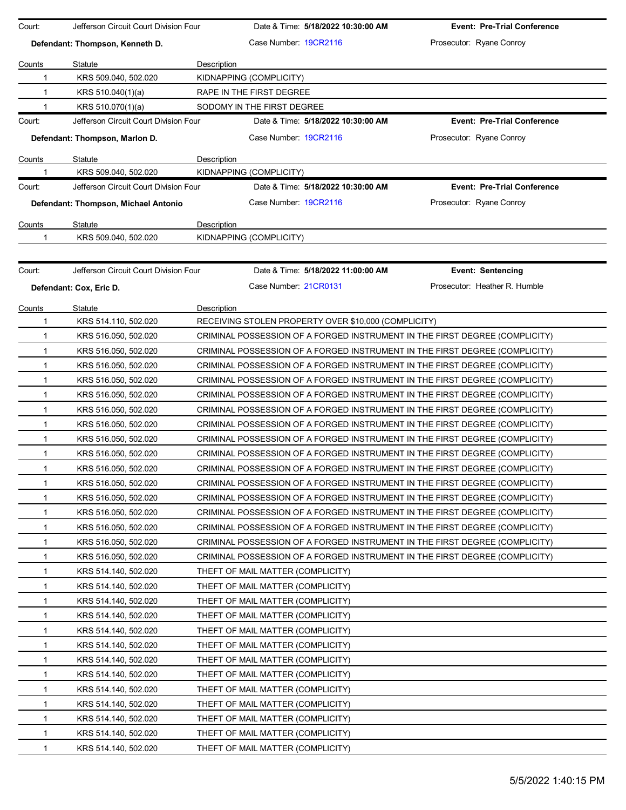| Court:       | Jefferson Circuit Court Division Four |             | Date & Time: 5/18/2022 10:30:00 AM                   | <b>Event: Pre-Trial Conference</b>                                          |
|--------------|---------------------------------------|-------------|------------------------------------------------------|-----------------------------------------------------------------------------|
|              | Defendant: Thompson, Kenneth D.       |             | Case Number 19CR2116                                 | Prosecutor: Ryane Conroy                                                    |
| Counts       | Statute                               | Description |                                                      |                                                                             |
| 1            | KRS 509.040, 502.020                  |             | KIDNAPPING (COMPLICITY)                              |                                                                             |
| 1            | KRS 510.040(1)(a)                     |             | RAPE IN THE FIRST DEGREE                             |                                                                             |
| 1            | KRS 510.070(1)(a)                     |             | SODOMY IN THE FIRST DEGREE                           |                                                                             |
| Court:       | Jefferson Circuit Court Division Four |             | Date & Time: 5/18/2022 10:30:00 AM                   | <b>Event: Pre-Trial Conference</b>                                          |
|              | Defendant: Thompson, Marlon D.        |             | Case Number 19CR2116                                 | Prosecutor: Ryane Conroy                                                    |
| Counts       | Statute                               | Description |                                                      |                                                                             |
| 1            | KRS 509.040, 502.020                  |             | KIDNAPPING (COMPLICITY)                              |                                                                             |
| Court:       | Jefferson Circuit Court Division Four |             | Date & Time: 5/18/2022 10:30:00 AM                   | <b>Event: Pre-Trial Conference</b>                                          |
|              | Defendant: Thompson, Michael Antonio  |             | Case Number 19CR2116                                 | Prosecutor: Ryane Conroy                                                    |
| Counts       | Statute                               | Description |                                                      |                                                                             |
| 1            | KRS 509.040, 502.020                  |             | KIDNAPPING (COMPLICITY)                              |                                                                             |
|              |                                       |             |                                                      |                                                                             |
| Court:       | Jefferson Circuit Court Division Four |             | Date & Time: 5/18/2022 11:00:00 AM                   | <b>Event: Sentencing</b>                                                    |
|              | Defendant: Cox, Eric D.               |             | Case Number 21CR0131                                 | Prosecutor: Heather R. Humble                                               |
| Counts       | Statute                               | Description |                                                      |                                                                             |
| 1            | KRS 514.110, 502.020                  |             | RECEIVING STOLEN PROPERTY OVER \$10,000 (COMPLICITY) |                                                                             |
| 1            | KRS 516.050, 502.020                  |             |                                                      | CRIMINAL POSSESSION OF A FORGED INSTRUMENT IN THE FIRST DEGREE (COMPLICITY) |
| 1            | KRS 516.050, 502.020                  |             |                                                      | CRIMINAL POSSESSION OF A FORGED INSTRUMENT IN THE FIRST DEGREE (COMPLICITY) |
| $\mathbf{1}$ | KRS 516.050, 502.020                  |             |                                                      | CRIMINAL POSSESSION OF A FORGED INSTRUMENT IN THE FIRST DEGREE (COMPLICITY) |
| $\mathbf{1}$ | KRS 516.050, 502.020                  |             |                                                      | CRIMINAL POSSESSION OF A FORGED INSTRUMENT IN THE FIRST DEGREE (COMPLICITY) |
| 1            | KRS 516.050, 502.020                  |             |                                                      | CRIMINAL POSSESSION OF A FORGED INSTRUMENT IN THE FIRST DEGREE (COMPLICITY) |
| 1            | KRS 516.050, 502.020                  |             |                                                      | CRIMINAL POSSESSION OF A FORGED INSTRUMENT IN THE FIRST DEGREE (COMPLICITY) |
| 1            | KRS 516.050, 502.020                  |             |                                                      | CRIMINAL POSSESSION OF A FORGED INSTRUMENT IN THE FIRST DEGREE (COMPLICITY) |
| $\mathbf{1}$ | KRS 516.050, 502.020                  |             |                                                      | CRIMINAL POSSESSION OF A FORGED INSTRUMENT IN THE FIRST DEGREE (COMPLICITY) |
| $\mathbf{1}$ | KRS 516.050, 502.020                  |             |                                                      | CRIMINAL POSSESSION OF A FORGED INSTRUMENT IN THE FIRST DEGREE (COMPLICITY) |
| $\mathbf{1}$ | KRS 516.050, 502.020                  |             |                                                      | CRIMINAL POSSESSION OF A FORGED INSTRUMENT IN THE FIRST DEGREE (COMPLICITY) |
| 1            | KRS 516.050, 502.020                  |             |                                                      | CRIMINAL POSSESSION OF A FORGED INSTRUMENT IN THE FIRST DEGREE (COMPLICITY) |
| 1            | KRS 516.050, 502.020                  |             |                                                      | CRIMINAL POSSESSION OF A FORGED INSTRUMENT IN THE FIRST DEGREE (COMPLICITY) |
| 1            | KRS 516.050, 502.020                  |             |                                                      | CRIMINAL POSSESSION OF A FORGED INSTRUMENT IN THE FIRST DEGREE (COMPLICITY) |
| 1            | KRS 516.050, 502.020                  |             |                                                      | CRIMINAL POSSESSION OF A FORGED INSTRUMENT IN THE FIRST DEGREE (COMPLICITY) |
| 1            | KRS 516.050, 502.020                  |             |                                                      | CRIMINAL POSSESSION OF A FORGED INSTRUMENT IN THE FIRST DEGREE (COMPLICITY) |
| 1            | KRS 516.050, 502.020                  |             |                                                      | CRIMINAL POSSESSION OF A FORGED INSTRUMENT IN THE FIRST DEGREE (COMPLICITY) |
| 1            | KRS 514.140, 502.020                  |             | THEFT OF MAIL MATTER (COMPLICITY)                    |                                                                             |
| 1            | KRS 514.140, 502.020                  |             | THEFT OF MAIL MATTER (COMPLICITY)                    |                                                                             |
| 1            | KRS 514.140, 502.020                  |             | THEFT OF MAIL MATTER (COMPLICITY)                    |                                                                             |
| 1            | KRS 514.140, 502.020                  |             | THEFT OF MAIL MATTER (COMPLICITY)                    |                                                                             |
| 1            | KRS 514.140, 502.020                  |             | THEFT OF MAIL MATTER (COMPLICITY)                    |                                                                             |
| 1            | KRS 514.140, 502.020                  |             | THEFT OF MAIL MATTER (COMPLICITY)                    |                                                                             |
| 1            | KRS 514.140, 502.020                  |             | THEFT OF MAIL MATTER (COMPLICITY)                    |                                                                             |
| 1            | KRS 514.140, 502.020                  |             | THEFT OF MAIL MATTER (COMPLICITY)                    |                                                                             |
| 1            | KRS 514.140, 502.020                  |             | THEFT OF MAIL MATTER (COMPLICITY)                    |                                                                             |
| 1            | KRS 514.140, 502.020                  |             | THEFT OF MAIL MATTER (COMPLICITY)                    |                                                                             |
| 1            | KRS 514.140, 502.020                  |             | THEFT OF MAIL MATTER (COMPLICITY)                    |                                                                             |
| 1            | KRS 514.140, 502.020                  |             | THEFT OF MAIL MATTER (COMPLICITY)                    |                                                                             |
| 1            | KRS 514.140, 502.020                  |             | THEFT OF MAIL MATTER (COMPLICITY)                    |                                                                             |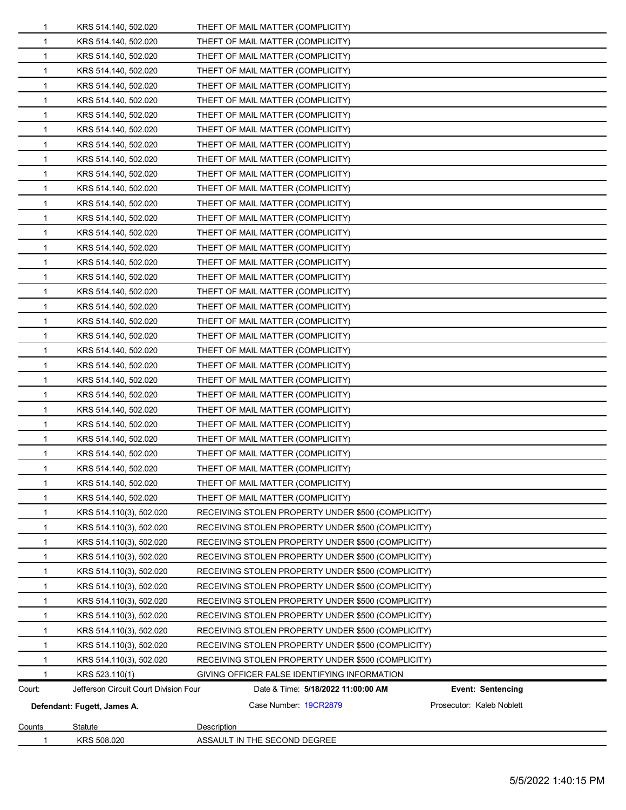| 1             | KRS 508.020                           | ASSAULT IN THE SECOND DEGREE                                   |  |  |
|---------------|---------------------------------------|----------------------------------------------------------------|--|--|
| <b>Counts</b> | Statute                               | Description                                                    |  |  |
|               | Defendant: Fugett, James A.           | Case Number: 19CR2879<br>Prosecutor: Kaleb Noblett             |  |  |
| Court:        | Jefferson Circuit Court Division Four | Date & Time: 5/18/2022 11:00:00 AM<br><b>Event: Sentencing</b> |  |  |
|               | KRS 523.110(1)                        | GIVING OFFICER FALSE IDENTIFYING INFORMATION                   |  |  |
| $\mathbf 1$   | KRS 514.110(3), 502.020               | RECEIVING STOLEN PROPERTY UNDER \$500 (COMPLICITY)             |  |  |
| $\mathbf{1}$  | KRS 514.110(3), 502.020               | RECEIVING STOLEN PROPERTY UNDER \$500 (COMPLICITY)             |  |  |
| 1             | KRS 514.110(3), 502.020               | RECEIVING STOLEN PROPERTY UNDER \$500 (COMPLICITY)             |  |  |
| 1             | KRS 514.110(3), 502.020               | RECEIVING STOLEN PROPERTY UNDER \$500 (COMPLICITY)             |  |  |
| 1             | KRS 514.110(3), 502.020               | RECEIVING STOLEN PROPERTY UNDER \$500 (COMPLICITY)             |  |  |
| $\mathbf{1}$  | KRS 514.110(3), 502.020               | RECEIVING STOLEN PROPERTY UNDER \$500 (COMPLICITY)             |  |  |
| 1             | KRS 514.110(3), 502.020               | RECEIVING STOLEN PROPERTY UNDER \$500 (COMPLICITY)             |  |  |
| 1             | KRS 514.110(3), 502.020               | RECEIVING STOLEN PROPERTY UNDER \$500 (COMPLICITY)             |  |  |
| 1             | KRS 514.110(3), 502.020               | RECEIVING STOLEN PROPERTY UNDER \$500 (COMPLICITY)             |  |  |
| $\mathbf 1$   | KRS 514.110(3), 502.020               | RECEIVING STOLEN PROPERTY UNDER \$500 (COMPLICITY)             |  |  |
| $\mathbf 1$   | KRS 514.110(3), 502.020               | RECEIVING STOLEN PROPERTY UNDER \$500 (COMPLICITY)             |  |  |
| 1             | KRS 514.140, 502.020                  | THEFT OF MAIL MATTER (COMPLICITY)                              |  |  |
|               | KRS 514.140, 502.020                  | THEFT OF MAIL MATTER (COMPLICITY)                              |  |  |
| $\mathbf 1$   | KRS 514.140, 502.020                  | THEFT OF MAIL MATTER (COMPLICITY)                              |  |  |
| 1             | KRS 514.140, 502.020                  | THEFT OF MAIL MATTER (COMPLICITY)                              |  |  |
| 1             | KRS 514.140, 502.020                  | THEFT OF MAIL MATTER (COMPLICITY)                              |  |  |
| $\mathbf 1$   | KRS 514.140, 502.020                  | THEFT OF MAIL MATTER (COMPLICITY)                              |  |  |
| 1             | KRS 514.140, 502.020                  | THEFT OF MAIL MATTER (COMPLICITY)                              |  |  |
| 1             | KRS 514.140, 502.020                  | THEFT OF MAIL MATTER (COMPLICITY)                              |  |  |
| 1             | KRS 514.140, 502.020                  | THEFT OF MAIL MATTER (COMPLICITY)                              |  |  |
| 1             | KRS 514.140, 502.020                  | THEFT OF MAIL MATTER (COMPLICITY)                              |  |  |
| $\mathbf 1$   | KRS 514.140, 502.020                  | THEFT OF MAIL MATTER (COMPLICITY)                              |  |  |
| 1             | KRS 514.140, 502.020                  | THEFT OF MAIL MATTER (COMPLICITY)                              |  |  |
| 1             | KRS 514.140, 502.020                  | THEFT OF MAIL MATTER (COMPLICITY)                              |  |  |
| $\mathbf{1}$  | KRS 514.140, 502.020                  | THEFT OF MAIL MATTER (COMPLICITY)                              |  |  |
| 1             | KRS 514.140, 502.020                  | THEFT OF MAIL MATTER (COMPLICITY)                              |  |  |
| 1             | KRS 514.140, 502.020                  | THEFT OF MAIL MATTER (COMPLICITY)                              |  |  |
| 1             | KRS 514.140, 502.020                  | THEFT OF MAIL MATTER (COMPLICITY)                              |  |  |
| 1             | KRS 514.140, 502.020                  | THEFT OF MAIL MATTER (COMPLICITY)                              |  |  |
| $\mathbf{1}$  | KRS 514.140, 502.020                  | THEFT OF MAIL MATTER (COMPLICITY)                              |  |  |
| 1             | KRS 514.140, 502.020                  | THEFT OF MAIL MATTER (COMPLICITY)                              |  |  |
| 1             | KRS 514.140, 502.020                  | THEFT OF MAIL MATTER (COMPLICITY)                              |  |  |
| 1             | KRS 514.140, 502.020                  | THEFT OF MAIL MATTER (COMPLICITY)                              |  |  |
| 1             | KRS 514.140, 502.020                  | THEFT OF MAIL MATTER (COMPLICITY)                              |  |  |
| 1             | KRS 514.140, 502.020                  | THEFT OF MAIL MATTER (COMPLICITY)                              |  |  |
| 1             | KRS 514.140, 502.020                  | THEFT OF MAIL MATTER (COMPLICITY)                              |  |  |
| 1             | KRS 514.140, 502.020                  | THEFT OF MAIL MATTER (COMPLICITY)                              |  |  |
| 1             | KRS 514.140, 502.020                  | THEFT OF MAIL MATTER (COMPLICITY)                              |  |  |
| 1             | KRS 514.140, 502.020                  | THEFT OF MAIL MATTER (COMPLICITY)                              |  |  |
| 1             | KRS 514.140, 502.020                  | THEFT OF MAIL MATTER (COMPLICITY)                              |  |  |
| 1             | KRS 514.140, 502.020                  | THEFT OF MAIL MATTER (COMPLICITY)                              |  |  |
| 1             | KRS 514.140, 502.020                  | THEFT OF MAIL MATTER (COMPLICITY)                              |  |  |
| 1             | KRS 514.140, 502.020                  | THEFT OF MAIL MATTER (COMPLICITY)                              |  |  |
| 1             | KRS 514.140, 502.020                  | THEFT OF MAIL MATTER (COMPLICITY)                              |  |  |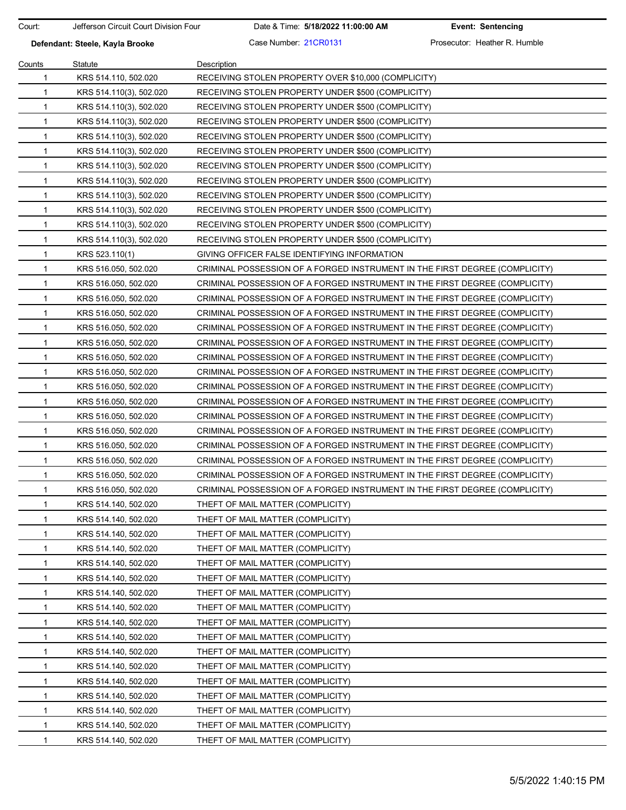Court: Jefferson Circuit Court Division Four Date & Time: **5/18/2022 11:00:00 AM Event: Sentencing**

**Defendant: Steele, Kayla Brooke** Case Number: 21CR0131 Prosecutor: Heather R. Humble

| Counts       | Statute                 | Description                                                                 |
|--------------|-------------------------|-----------------------------------------------------------------------------|
| $\mathbf{1}$ | KRS 514.110, 502.020    | RECEIVING STOLEN PROPERTY OVER \$10,000 (COMPLICITY)                        |
| $\mathbf{1}$ | KRS 514.110(3), 502.020 | RECEIVING STOLEN PROPERTY UNDER \$500 (COMPLICITY)                          |
| 1            | KRS 514.110(3), 502.020 | RECEIVING STOLEN PROPERTY UNDER \$500 (COMPLICITY)                          |
| $\mathbf{1}$ | KRS 514.110(3), 502.020 | RECEIVING STOLEN PROPERTY UNDER \$500 (COMPLICITY)                          |
| $\mathbf 1$  | KRS 514.110(3), 502.020 | RECEIVING STOLEN PROPERTY UNDER \$500 (COMPLICITY)                          |
| $\mathbf{1}$ | KRS 514.110(3), 502.020 | RECEIVING STOLEN PROPERTY UNDER \$500 (COMPLICITY)                          |
| $\mathbf{1}$ | KRS 514.110(3), 502.020 | RECEIVING STOLEN PROPERTY UNDER \$500 (COMPLICITY)                          |
| $\mathbf 1$  | KRS 514.110(3), 502.020 | RECEIVING STOLEN PROPERTY UNDER \$500 (COMPLICITY)                          |
| 1            | KRS 514.110(3), 502.020 | RECEIVING STOLEN PROPERTY UNDER \$500 (COMPLICITY)                          |
| $\mathbf 1$  | KRS 514.110(3), 502.020 | RECEIVING STOLEN PROPERTY UNDER \$500 (COMPLICITY)                          |
| $\mathbf{1}$ | KRS 514.110(3), 502.020 | RECEIVING STOLEN PROPERTY UNDER \$500 (COMPLICITY)                          |
| $\mathbf{1}$ | KRS 514.110(3), 502.020 | RECEIVING STOLEN PROPERTY UNDER \$500 (COMPLICITY)                          |
| $\mathbf 1$  | KRS 523.110(1)          | GIVING OFFICER FALSE IDENTIFYING INFORMATION                                |
| $\mathbf{1}$ | KRS 516.050, 502.020    | CRIMINAL POSSESSION OF A FORGED INSTRUMENT IN THE FIRST DEGREE (COMPLICITY) |
| $\mathbf 1$  | KRS 516.050, 502.020    | CRIMINAL POSSESSION OF A FORGED INSTRUMENT IN THE FIRST DEGREE (COMPLICITY) |
| $\mathbf{1}$ | KRS 516.050, 502.020    | CRIMINAL POSSESSION OF A FORGED INSTRUMENT IN THE FIRST DEGREE (COMPLICITY) |
| $\mathbf{1}$ | KRS 516.050, 502.020    | CRIMINAL POSSESSION OF A FORGED INSTRUMENT IN THE FIRST DEGREE (COMPLICITY) |
| $\mathbf 1$  | KRS 516.050, 502.020    | CRIMINAL POSSESSION OF A FORGED INSTRUMENT IN THE FIRST DEGREE (COMPLICITY) |
| $\mathbf 1$  | KRS 516.050, 502.020    | CRIMINAL POSSESSION OF A FORGED INSTRUMENT IN THE FIRST DEGREE (COMPLICITY) |
| $\mathbf 1$  | KRS 516.050, 502.020    | CRIMINAL POSSESSION OF A FORGED INSTRUMENT IN THE FIRST DEGREE (COMPLICITY) |
| $\mathbf{1}$ | KRS 516.050, 502.020    | CRIMINAL POSSESSION OF A FORGED INSTRUMENT IN THE FIRST DEGREE (COMPLICITY) |
| $\mathbf{1}$ | KRS 516.050, 502.020    | CRIMINAL POSSESSION OF A FORGED INSTRUMENT IN THE FIRST DEGREE (COMPLICITY) |
| 1            | KRS 516.050, 502.020    | CRIMINAL POSSESSION OF A FORGED INSTRUMENT IN THE FIRST DEGREE (COMPLICITY) |
| 1            | KRS 516.050, 502.020    | CRIMINAL POSSESSION OF A FORGED INSTRUMENT IN THE FIRST DEGREE (COMPLICITY) |
| $\mathbf 1$  | KRS 516.050, 502.020    | CRIMINAL POSSESSION OF A FORGED INSTRUMENT IN THE FIRST DEGREE (COMPLICITY) |
| $\mathbf 1$  | KRS 516.050, 502.020    | CRIMINAL POSSESSION OF A FORGED INSTRUMENT IN THE FIRST DEGREE (COMPLICITY) |
| $\mathbf{1}$ | KRS 516.050, 502.020    | CRIMINAL POSSESSION OF A FORGED INSTRUMENT IN THE FIRST DEGREE (COMPLICITY) |
| 1            | KRS 516.050, 502.020    | CRIMINAL POSSESSION OF A FORGED INSTRUMENT IN THE FIRST DEGREE (COMPLICITY) |
| 1            | KRS 516.050, 502.020    | CRIMINAL POSSESSION OF A FORGED INSTRUMENT IN THE FIRST DEGREE (COMPLICITY) |
| $\mathbf{1}$ | KRS 514.140, 502.020    | THEFT OF MAIL MATTER (COMPLICITY)                                           |
| $\mathbf{1}$ | KRS 514.140, 502.020    | THEFT OF MAIL MATTER (COMPLICITY)                                           |
| 1            | KRS 514.140, 502.020    | THEFT OF MAIL MATTER (COMPLICITY)                                           |
| 1            | KRS 514.140, 502.020    | THEFT OF MAIL MATTER (COMPLICITY)                                           |
| $\mathbf{1}$ | KRS 514.140, 502.020    | THEFT OF MAIL MATTER (COMPLICITY)                                           |
| $\mathbf 1$  | KRS 514.140, 502.020    | THEFT OF MAIL MATTER (COMPLICITY)                                           |
| $\mathbf 1$  | KRS 514.140, 502.020    | THEFT OF MAIL MATTER (COMPLICITY)                                           |
| 1            | KRS 514.140, 502.020    | THEFT OF MAIL MATTER (COMPLICITY)                                           |
| 1            | KRS 514.140, 502.020    | THEFT OF MAIL MATTER (COMPLICITY)                                           |
| 1            | KRS 514.140, 502.020    | THEFT OF MAIL MATTER (COMPLICITY)                                           |
| $\mathbf 1$  | KRS 514.140, 502.020    | THEFT OF MAIL MATTER (COMPLICITY)                                           |
| $\mathbf 1$  | KRS 514.140, 502.020    | THEFT OF MAIL MATTER (COMPLICITY)                                           |
| 1            | KRS 514.140, 502.020    | THEFT OF MAIL MATTER (COMPLICITY)                                           |
| 1            | KRS 514.140, 502.020    | THEFT OF MAIL MATTER (COMPLICITY)                                           |
| 1            | KRS 514.140, 502.020    | THEFT OF MAIL MATTER (COMPLICITY)                                           |
| 1            | KRS 514.140, 502.020    | THEFT OF MAIL MATTER (COMPLICITY)                                           |
| 1            | KRS 514.140, 502.020    | THEFT OF MAIL MATTER (COMPLICITY)                                           |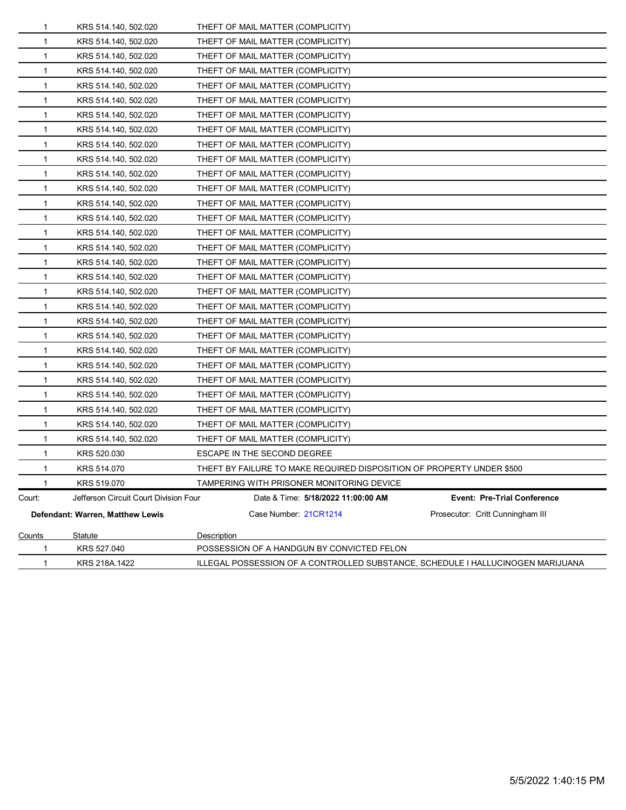| $\mathbf 1$  | KRS 218A.1422                                | ILLEGAL POSSESSION OF A CONTROLLED SUBSTANCE, SCHEDULE I HALLUCINOGEN MARIJUANA |                                    |  |  |
|--------------|----------------------------------------------|---------------------------------------------------------------------------------|------------------------------------|--|--|
| 1            | KRS 527.040                                  | POSSESSION OF A HANDGUN BY CONVICTED FELON                                      |                                    |  |  |
| Counts       | Statute                                      | Description                                                                     |                                    |  |  |
|              | Defendant: Warren, Matthew Lewis             | Case Number: 21CR1214                                                           | Prosecutor: Critt Cunningham III   |  |  |
| Court:       | Jefferson Circuit Court Division Four        | Date & Time: 5/18/2022 11:00:00 AM                                              | <b>Event: Pre-Trial Conference</b> |  |  |
|              | KRS 519.070                                  | TAMPERING WITH PRISONER MONITORING DEVICE                                       |                                    |  |  |
| 1            | KRS 514.070                                  | THEFT BY FAILURE TO MAKE REQUIRED DISPOSITION OF PROPERTY UNDER \$500           |                                    |  |  |
| 1            | KRS 520.030                                  | ESCAPE IN THE SECOND DEGREE                                                     |                                    |  |  |
| 1            | KRS 514.140, 502.020                         | THEFT OF MAIL MATTER (COMPLICITY)                                               |                                    |  |  |
| 1            | KRS 514.140, 502.020                         | THEFT OF MAIL MATTER (COMPLICITY)                                               |                                    |  |  |
| 1            | KRS 514.140, 502.020                         | THEFT OF MAIL MATTER (COMPLICITY)                                               |                                    |  |  |
| 1            | KRS 514.140, 502.020                         | THEFT OF MAIL MATTER (COMPLICITY)                                               |                                    |  |  |
| 1            | KRS 514.140, 502.020                         | THEFT OF MAIL MATTER (COMPLICITY)                                               |                                    |  |  |
| 1            | KRS 514.140, 502.020                         | THEFT OF MAIL MATTER (COMPLICITY)                                               |                                    |  |  |
| 1            | KRS 514.140, 502.020                         | THEFT OF MAIL MATTER (COMPLICITY)                                               |                                    |  |  |
| 1            | KRS 514.140, 502.020                         | THEFT OF MAIL MATTER (COMPLICITY)                                               |                                    |  |  |
| 1            | KRS 514.140, 502.020                         | THEFT OF MAIL MATTER (COMPLICITY)                                               |                                    |  |  |
| 1            | KRS 514.140, 502.020                         | THEFT OF MAIL MATTER (COMPLICITY)                                               |                                    |  |  |
| 1            | KRS 514.140, 502.020                         | THEFT OF MAIL MATTER (COMPLICITY)                                               |                                    |  |  |
| 1            | KRS 514.140, 502.020                         | THEFT OF MAIL MATTER (COMPLICITY)                                               |                                    |  |  |
| 1            | KRS 514.140, 502.020                         | THEFT OF MAIL MATTER (COMPLICITY)                                               |                                    |  |  |
| 1            | KRS 514.140, 502.020                         | THEFT OF MAIL MATTER (COMPLICITY)                                               |                                    |  |  |
| 1            | KRS 514.140, 502.020                         | THEFT OF MAIL MATTER (COMPLICITY)                                               |                                    |  |  |
| 1            | KRS 514.140, 502.020                         | THEFT OF MAIL MATTER (COMPLICITY)                                               |                                    |  |  |
| 1            | KRS 514.140, 502.020                         | THEFT OF MAIL MATTER (COMPLICITY)                                               |                                    |  |  |
| 1            | KRS 514.140, 502.020                         | THEFT OF MAIL MATTER (COMPLICITY)                                               |                                    |  |  |
| 1            | KRS 514.140, 502.020                         | THEFT OF MAIL MATTER (COMPLICITY)                                               |                                    |  |  |
| 1<br>1       | KRS 514.140, 502.020<br>KRS 514.140, 502.020 | THEFT OF MAIL MATTER (COMPLICITY)<br>THEFT OF MAIL MATTER (COMPLICITY)          |                                    |  |  |
|              |                                              | THEFT OF MAIL MATTER (COMPLICITY)                                               |                                    |  |  |
| 1<br>1       | KRS 514.140, 502.020<br>KRS 514.140, 502.020 | THEFT OF MAIL MATTER (COMPLICITY)                                               |                                    |  |  |
| 1            | KRS 514.140, 502.020                         | THEFT OF MAIL MATTER (COMPLICITY)                                               |                                    |  |  |
| 1            | KRS 514.140, 502.020                         | THEFT OF MAIL MATTER (COMPLICITY)                                               |                                    |  |  |
| 1            | KRS 514.140, 502.020                         | THEFT OF MAIL MATTER (COMPLICITY)                                               |                                    |  |  |
| 1            | KRS 514.140, 502.020                         | THEFT OF MAIL MATTER (COMPLICITY)                                               |                                    |  |  |
| 1            | KRS 514.140, 502.020                         | THEFT OF MAIL MATTER (COMPLICITY)                                               |                                    |  |  |
| $\mathbf{1}$ | KRS 514.140, 502.020                         | THEFT OF MAIL MATTER (COMPLICITY)                                               |                                    |  |  |
|              |                                              |                                                                                 |                                    |  |  |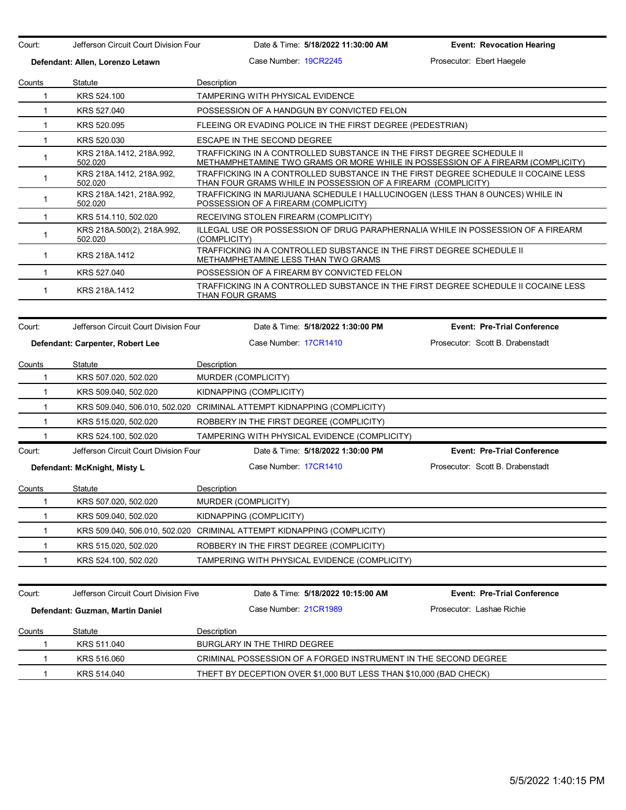Court: Jefferson Circuit Court Division Four Date & Time: **5/18/2022 11:30:00 AM Event: Revocation Hearing Defendant: Allen, Lorenzo Letawn** Case Number: 19CR2245 Prosecutor: Ebert Haegele Counts Statute **Description** 1 KRS 524.100 TAMPERING WITH PHYSICAL EVIDENCE 1 KRS 527.040 POSSESSION OF A HANDGUN BY CONVICTED FELON 1 KRS 520.095 FLEEING OR EVADING POLICE IN THE FIRST DEGREE (PEDESTRIAN) 1 KRS 520.030 ESCAPE IN THE SECOND DEGREE 1 KRS 218A.1412, 218A.992, 502.020 TRAFFICKING IN A CONTROLLED SUBSTANCE IN THE FIRST DEGREE SCHEDULE II METHAMPHETAMINE TWO GRAMS OR MORE WHILE IN POSSESSION OF A FIREARM (COMPLICITY) <sup>1</sup> KRS 218A.1412, 218A.992, 502.020 TRAFFICKING IN A CONTROLLED SUBSTANCE IN THE FIRST DEGREE SCHEDULE II COCAINE LESS THAN FOUR GRAMS WHILE IN POSSESSION OF A FIREARM (COMPLICITY) 1 KRS 218A.1421, 218A.992, 502.020 TRAFFICKING IN MARIJUANA SCHEDULE I HALLUCINOGEN (LESS THAN 8 OUNCES) WHILE IN POSSESSION OF A FIREARM (COMPLICITY) 1 KRS 514.110, 502.020 RECEIVING STOLEN FIREARM (COMPLICITY) <sup>1</sup> KRS 218A.500(2), 218A.992, 502.020 ILLEGAL USE OR POSSESSION OF DRUG PARAPHERNALIA WHILE IN POSSESSION OF A FIREARM (COMPLICITY) 1 KRS 218A.1412 TRAFFICKING IN A CONTROLLED SUBSTANCE IN THE FIRST DEGREE SCHEDULE II METHAMPHETAMINE LESS THAN TWO GRAMS 1 KRS 527.040 POSSESSION OF A FIREARM BY CONVICTED FELON 1 KRS 218A.1412 TRAFFICKING IN A CONTROLLED SUBSTANCE IN THE FIRST DEGREE SCHEDULE II COCAINE LESS THAN FOUR GRAMS Court: Jefferson Circuit Court Division Four Date & Time: **5/18/2022 1:30:00 PM Event: Pre-Trial Conference Defendant: Carpenter, Robert Lee** Case Number: 17CR1410 Prosecutor: Scott B. Drabenstadt Counts Statute **Description** 1 KRS 507.020, 502.020 MURDER (COMPLICITY) 1 KRS 509.040, 502.020 KIDNAPPING (COMPLICITY) 1 KRS 509.040, 506.010, 502.020 CRIMINAL ATTEMPT KIDNAPPING (COMPLICITY) 1 KRS 515.020, 502.020 ROBBERY IN THE FIRST DEGREE (COMPLICITY) 1 KRS 524.100, 502.020 TAMPERING WITH PHYSICAL EVIDENCE (COMPLICITY) Court: Jefferson Circuit Court Division Four Date & Time: **5/18/2022 1:30:00 PM Event: Pre-Trial Conference Defendant: McKnight, Misty L** Case Number: 17CR1410 Prosecutor: Scott B. Drabenstadt Counts Statute **Description** 1 KRS 507.020, 502.020 MURDER (COMPLICITY) 1 KRS 509.040, 502.020 KIDNAPPING (COMPLICITY) 1 KRS 509.040, 506.010, 502.020 CRIMINAL ATTEMPT KIDNAPPING (COMPLICITY) 1 KRS 515.020, 502.020 ROBBERY IN THE FIRST DEGREE (COMPLICITY) 1 KRS 524.100, 502.020 TAMPERING WITH PHYSICAL EVIDENCE (COMPLICITY) Court: Jefferson Circuit Court Division Five Date & Time: **5/18/2022 10:15:00 AM Event: Pre-Trial Conference Defendant: Guzman, Martin Daniel Case Number: 21CR1989 Prosecutor: Lashae Richie Counts** Statute **Description** 1 KRS 511.040 BURGLARY IN THE THIRD DEGREE 1 KRS 516.060 CRIMINAL POSSESSION OF A FORGED INSTRUMENT IN THE SECOND DEGREE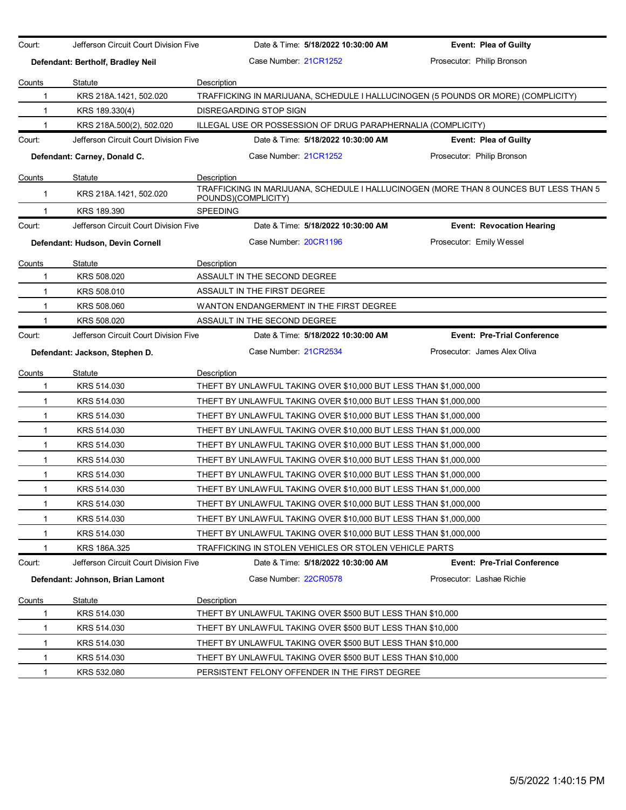| Court:        | Jefferson Circuit Court Division Five |                 |                              | Date & Time: 5/18/2022 10:30:00 AM                               | <b>Event: Plea of Guilty</b>                                                          |
|---------------|---------------------------------------|-----------------|------------------------------|------------------------------------------------------------------|---------------------------------------------------------------------------------------|
|               | Defendant: Bertholf, Bradley Neil     |                 | Case Number 21CR1252         |                                                                  | Prosecutor: Philip Bronson                                                            |
| Counts        | Statute                               | Description     |                              |                                                                  |                                                                                       |
| 1             | KRS 218A.1421, 502.020                |                 |                              |                                                                  | TRAFFICKING IN MARIJUANA, SCHEDULE I HALLUCINOGEN (5 POUNDS OR MORE) (COMPLICITY)     |
| $\mathbf{1}$  | KRS 189.330(4)                        |                 | DISREGARDING STOP SIGN       |                                                                  |                                                                                       |
| 1             | KRS 218A.500(2), 502.020              |                 |                              | ILLEGAL USE OR POSSESSION OF DRUG PARAPHERNALIA (COMPLICITY)     |                                                                                       |
| Court:        | Jefferson Circuit Court Division Five |                 |                              | Date & Time: 5/18/2022 10:30:00 AM                               | <b>Event: Plea of Guilty</b>                                                          |
|               | Defendant: Carney, Donald C.          |                 | Case Number: 21CR1252        |                                                                  | Prosecutor: Philip Bronson                                                            |
| <u>Counts</u> | <b>Statute</b>                        | Description     |                              |                                                                  |                                                                                       |
| 1             | KRS 218A.1421, 502.020                |                 | POUNDS)(COMPLICITY)          |                                                                  | TRAFFICKING IN MARIJUANA, SCHEDULE I HALLUCINOGEN (MORE THAN 8 OUNCES BUT LESS THAN 5 |
| 1             | KRS 189.390                           | <b>SPEEDING</b> |                              |                                                                  |                                                                                       |
| Court:        | Jefferson Circuit Court Division Five |                 |                              | Date & Time: 5/18/2022 10:30:00 AM                               | <b>Event: Revocation Hearing</b>                                                      |
|               | Defendant: Hudson, Devin Cornell      |                 | Case Number: 20CR1196        |                                                                  | Prosecutor: Emily Wessel                                                              |
| Counts        | Statute                               | Description     |                              |                                                                  |                                                                                       |
| 1             | KRS 508.020                           |                 | ASSAULT IN THE SECOND DEGREE |                                                                  |                                                                                       |
| 1             | KRS 508.010                           |                 | ASSAULT IN THE FIRST DEGREE  |                                                                  |                                                                                       |
| $\mathbf{1}$  | KRS 508.060                           |                 |                              | WANTON ENDANGERMENT IN THE FIRST DEGREE                          |                                                                                       |
| 1             | KRS 508.020                           |                 | ASSAULT IN THE SECOND DEGREE |                                                                  |                                                                                       |
| Court:        | Jefferson Circuit Court Division Five |                 |                              | Date & Time: 5/18/2022 10:30:00 AM                               | <b>Event: Pre-Trial Conference</b>                                                    |
|               | Defendant: Jackson, Stephen D.        |                 | Case Number 21CR2534         |                                                                  | Prosecutor: James Alex Oliva                                                          |
| Counts        | Statute                               | Description     |                              |                                                                  |                                                                                       |
| 1             | KRS 514.030                           |                 |                              | THEFT BY UNLAWFUL TAKING OVER \$10,000 BUT LESS THAN \$1,000,000 |                                                                                       |
| 1             | KRS 514.030                           |                 |                              | THEFT BY UNLAWFUL TAKING OVER \$10,000 BUT LESS THAN \$1,000,000 |                                                                                       |
| $\mathbf{1}$  | KRS 514.030                           |                 |                              | THEFT BY UNLAWFUL TAKING OVER \$10,000 BUT LESS THAN \$1,000,000 |                                                                                       |
| $\mathbf{1}$  | KRS 514.030                           |                 |                              | THEFT BY UNLAWFUL TAKING OVER \$10,000 BUT LESS THAN \$1,000,000 |                                                                                       |
| $\mathbf{1}$  | KRS 514.030                           |                 |                              | THEFT BY UNLAWFUL TAKING OVER \$10,000 BUT LESS THAN \$1,000,000 |                                                                                       |
| $\mathbf{1}$  | KRS 514.030                           |                 |                              | THEFT BY UNLAWFUL TAKING OVER \$10,000 BUT LESS THAN \$1,000,000 |                                                                                       |
| 1             | KRS 514.030                           |                 |                              | THEFT BY UNLAWFUL TAKING OVER \$10,000 BUT LESS THAN \$1,000,000 |                                                                                       |
| 1             | KRS 514.030                           |                 |                              | THEFT BY UNLAWFUL TAKING OVER \$10,000 BUT LESS THAN \$1,000,000 |                                                                                       |
| 1             | KRS 514.030                           |                 |                              | THEFT BY UNLAWFUL TAKING OVER \$10,000 BUT LESS THAN \$1,000,000 |                                                                                       |
| 1             | KRS 514.030                           |                 |                              | THEFT BY UNLAWFUL TAKING OVER \$10,000 BUT LESS THAN \$1,000,000 |                                                                                       |
| 1             | KRS 514.030                           |                 |                              | THEFT BY UNLAWFUL TAKING OVER \$10,000 BUT LESS THAN \$1,000,000 |                                                                                       |
| 1             | KRS 186A.325                          |                 |                              | TRAFFICKING IN STOLEN VEHICLES OR STOLEN VEHICLE PARTS           |                                                                                       |
| Court:        | Jefferson Circuit Court Division Five |                 |                              | Date & Time: 5/18/2022 10:30:00 AM                               | <b>Event: Pre-Trial Conference</b>                                                    |
|               | Defendant: Johnson, Brian Lamont      |                 | Case Number: 22CR0578        |                                                                  | Prosecutor: Lashae Richie                                                             |
| Counts        | <b>Statute</b>                        | Description     |                              |                                                                  |                                                                                       |
| 1             | KRS 514.030                           |                 |                              | THEFT BY UNLAWFUL TAKING OVER \$500 BUT LESS THAN \$10,000       |                                                                                       |
| 1             | KRS 514.030                           |                 |                              | THEFT BY UNLAWFUL TAKING OVER \$500 BUT LESS THAN \$10,000       |                                                                                       |
| 1             | KRS 514.030                           |                 |                              | THEFT BY UNLAWFUL TAKING OVER \$500 BUT LESS THAN \$10,000       |                                                                                       |
| 1             | KRS 514.030                           |                 |                              | THEFT BY UNLAWFUL TAKING OVER \$500 BUT LESS THAN \$10,000       |                                                                                       |
| 1             | KRS 532.080                           |                 |                              | PERSISTENT FELONY OFFENDER IN THE FIRST DEGREE                   |                                                                                       |
|               |                                       |                 |                              |                                                                  |                                                                                       |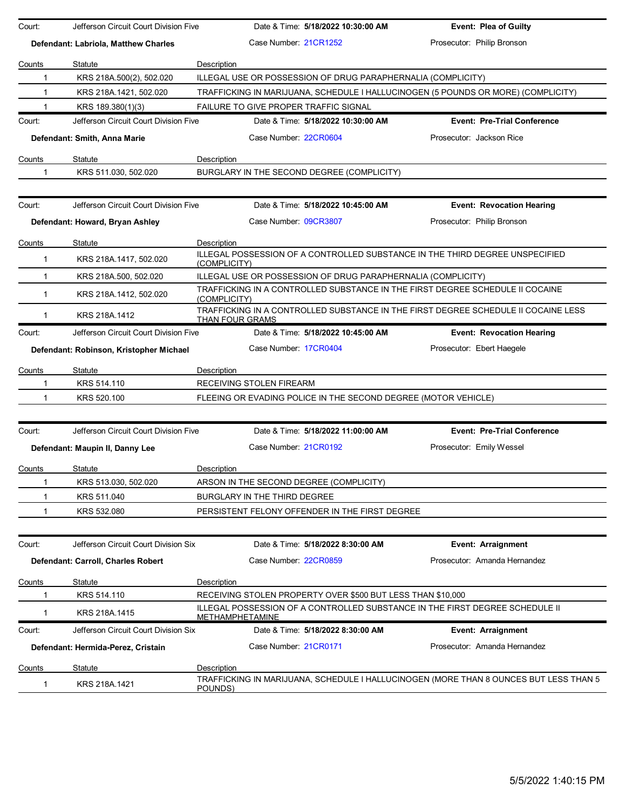| Court:        | Jefferson Circuit Court Division Five   |                                                                | Date & Time: 5/18/2022 10:30:00 AM | <b>Event: Plea of Guilty</b>                                                          |
|---------------|-----------------------------------------|----------------------------------------------------------------|------------------------------------|---------------------------------------------------------------------------------------|
|               | Defendant: Labriola, Matthew Charles    | Case Number 21CR1252                                           |                                    | Prosecutor: Philip Bronson                                                            |
| Counts        | Statute                                 | Description                                                    |                                    |                                                                                       |
| 1             | KRS 218A 500(2), 502.020                | ILLEGAL USE OR POSSESSION OF DRUG PARAPHERNALIA (COMPLICITY)   |                                    |                                                                                       |
| 1             | KRS 218A.1421, 502.020                  |                                                                |                                    | TRAFFICKING IN MARIJUANA, SCHEDULE I HALLUCINOGEN (5 POUNDS OR MORE) (COMPLICITY)     |
|               | KRS 189.380(1)(3)                       | FAILURE TO GIVE PROPER TRAFFIC SIGNAL                          |                                    |                                                                                       |
| Court:        | Jefferson Circuit Court Division Five   |                                                                | Date & Time: 5/18/2022 10:30:00 AM | <b>Event: Pre-Trial Conference</b>                                                    |
|               | Defendant: Smith, Anna Marie            | Case Number 22CR0604                                           |                                    | Prosecutor: Jackson Rice                                                              |
| Counts        | Statute                                 | Description                                                    |                                    |                                                                                       |
| -1            | KRS 511.030, 502.020                    | BURGLARY IN THE SECOND DEGREE (COMPLICITY)                     |                                    |                                                                                       |
| Court:        | Jefferson Circuit Court Division Five   |                                                                | Date & Time: 5/18/2022 10:45:00 AM | <b>Event: Revocation Hearing</b>                                                      |
|               |                                         | Case Number: 09CR3807                                          |                                    | Prosecutor: Philip Bronson                                                            |
|               | Defendant: Howard, Bryan Ashley         |                                                                |                                    |                                                                                       |
| Counts        | Statute                                 | Description                                                    |                                    |                                                                                       |
| 1             | KRS 218A.1417, 502.020                  | (COMPLICITY)                                                   |                                    | ILLEGAL POSSESSION OF A CONTROLLED SUBSTANCE IN THE THIRD DEGREE UNSPECIFIED          |
| 1             | KRS 218A.500, 502.020                   | ILLEGAL USE OR POSSESSION OF DRUG PARAPHERNALIA (COMPLICITY)   |                                    |                                                                                       |
| $\mathbf 1$   | KRS 218A.1412, 502.020                  | (COMPLICITY)                                                   |                                    | TRAFFICKING IN A CONTROLLED SUBSTANCE IN THE FIRST DEGREE SCHEDULE II COCAINE         |
| 1             | KRS 218A.1412                           | <b>THAN FOUR GRAMS</b>                                         |                                    | TRAFFICKING IN A CONTROLLED SUBSTANCE IN THE FIRST DEGREE SCHEDULE II COCAINE LESS    |
| Court:        | Jefferson Circuit Court Division Five   |                                                                | Date & Time: 5/18/2022 10:45:00 AM | <b>Event: Revocation Hearing</b>                                                      |
|               | Defendant: Robinson, Kristopher Michael | Case Number 17CR0404                                           |                                    | Prosecutor: Ebert Haegele                                                             |
| Counts        | Statute                                 | Description                                                    |                                    |                                                                                       |
| 1             | KRS 514.110                             | RECEIVING STOLEN FIREARM                                       |                                    |                                                                                       |
| 1             | KRS 520.100                             | FLEEING OR EVADING POLICE IN THE SECOND DEGREE (MOTOR VEHICLE) |                                    |                                                                                       |
|               |                                         |                                                                |                                    |                                                                                       |
| Court:        | Jefferson Circuit Court Division Five   |                                                                | Date & Time: 5/18/2022 11:00:00 AM | <b>Event: Pre-Trial Conference</b>                                                    |
|               | Defendant: Maupin II, Danny Lee         | Case Number 21CR0192                                           |                                    | Prosecutor: Emily Wessel                                                              |
| Counts        | Statute                                 | Description                                                    |                                    |                                                                                       |
| 1             | KRS 513.030, 502.020                    | ARSON IN THE SECOND DEGREE (COMPLICITY)                        |                                    |                                                                                       |
| 1             | KRS 511.040                             | BURGLARY IN THE THIRD DEGREE                                   |                                    |                                                                                       |
| 1             | KRS 532.080                             | PERSISTENT FELONY OFFENDER IN THE FIRST DEGREE                 |                                    |                                                                                       |
|               |                                         |                                                                |                                    |                                                                                       |
| Court:        | Jefferson Circuit Court Division Six    |                                                                | Date & Time: 5/18/2022 8:30:00 AM  | Event: Arraignment                                                                    |
|               | Defendant: Carroll, Charles Robert      | Case Number: 22CR0859                                          |                                    | Prosecutor: Amanda Hernandez                                                          |
| Counts        | Statute                                 | Description                                                    |                                    |                                                                                       |
| 1             | KRS 514.110                             | RECEIVING STOLEN PROPERTY OVER \$500 BUT LESS THAN \$10,000    |                                    |                                                                                       |
| 1             | KRS 218A.1415                           | <u>METHAMPHETAMINE</u>                                         |                                    | ILLEGAL POSSESSION OF A CONTROLLED SUBSTANCE IN THE FIRST DEGREE SCHEDULE II          |
| Court:        | Jefferson Circuit Court Division Six    |                                                                | Date & Time: 5/18/2022 8:30:00 AM  | Event: Arraignment                                                                    |
|               | Defendant: Hermida-Perez, Cristain      | Case Number 21CR0171                                           |                                    | Prosecutor: Amanda Hernandez                                                          |
| <u>Counts</u> | Statute                                 | Description                                                    |                                    |                                                                                       |
| 1             | KRS 218A.1421                           | POUNDS)                                                        |                                    | TRAFFICKING IN MARIJUANA, SCHEDULE I HALLUCINOGEN (MORE THAN 8 OUNCES BUT LESS THAN 5 |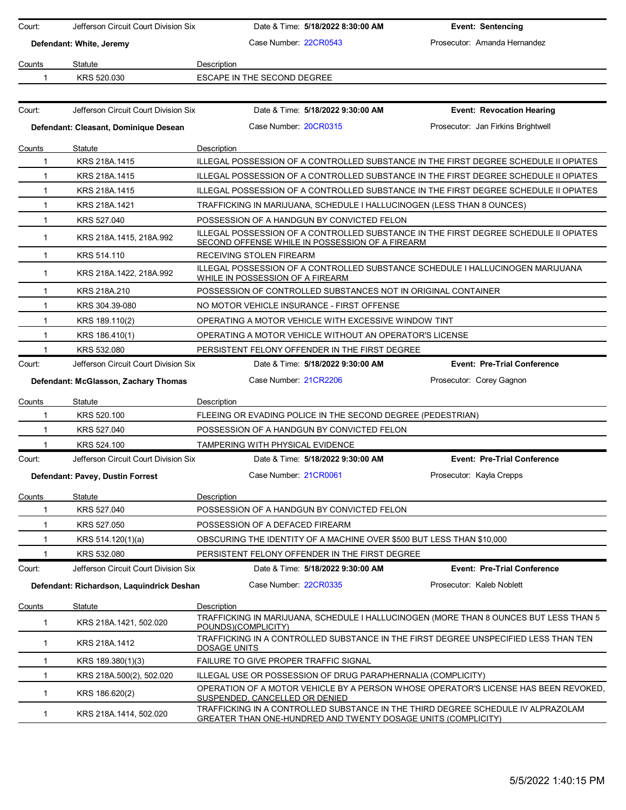| Court:       | Jefferson Circuit Court Division Six      |                                                              | Date & Time: 5/18/2022 8:30:00 AM | <b>Event: Sentencing</b>                                                                                                                          |
|--------------|-------------------------------------------|--------------------------------------------------------------|-----------------------------------|---------------------------------------------------------------------------------------------------------------------------------------------------|
|              | Defendant: White, Jeremy                  | Case Number: 22CR0543                                        |                                   | Prosecutor: Amanda Hernandez                                                                                                                      |
|              |                                           |                                                              |                                   |                                                                                                                                                   |
| Counts       | Statute                                   | Description                                                  |                                   |                                                                                                                                                   |
| 1            | KRS 520.030                               | ESCAPE IN THE SECOND DEGREE                                  |                                   |                                                                                                                                                   |
|              |                                           |                                                              |                                   |                                                                                                                                                   |
| Court:       | Jefferson Circuit Court Division Six      |                                                              | Date & Time: 5/18/2022 9:30:00 AM | <b>Event: Revocation Hearing</b>                                                                                                                  |
|              | Defendant: Cleasant, Dominique Desean     | Case Number: 20CR0315                                        |                                   | Prosecutor: Jan Firkins Brightwell                                                                                                                |
| Counts       | Statute                                   | Description                                                  |                                   |                                                                                                                                                   |
| 1            | KRS 218A.1415                             |                                                              |                                   | ILLEGAL POSSESSION OF A CONTROLLED SUBSTANCE IN THE FIRST DEGREE SCHEDULE II OPIATES                                                              |
| $\mathbf{1}$ | KRS 218A.1415                             |                                                              |                                   | ILLEGAL POSSESSION OF A CONTROLLED SUBSTANCE IN THE FIRST DEGREE SCHEDULE II OPIATES                                                              |
| $\mathbf{1}$ | KRS 218A.1415                             |                                                              |                                   | ILLEGAL POSSESSION OF A CONTROLLED SUBSTANCE IN THE FIRST DEGREE SCHEDULE II OPIATES                                                              |
| $\mathbf{1}$ | KRS 218A.1421                             |                                                              |                                   | TRAFFICKING IN MARIJUANA, SCHEDULE I HALLUCINOGEN (LESS THAN 8 OUNCES)                                                                            |
| 1            | KRS 527.040                               | POSSESSION OF A HANDGUN BY CONVICTED FELON                   |                                   |                                                                                                                                                   |
| $\mathbf 1$  | KRS 218A 1415, 218A 992                   | SECOND OFFENSE WHILE IN POSSESSION OF A FIREARM              |                                   | ILLEGAL POSSESSION OF A CONTROLLED SUBSTANCE IN THE FIRST DEGREE SCHEDULE II OPIATES                                                              |
| $\mathbf{1}$ | KRS 514.110                               | RECEIVING STOLEN FIREARM                                     |                                   |                                                                                                                                                   |
| $\mathbf{1}$ | KRS 218A.1422, 218A.992                   | WHILE IN POSSESSION OF A FIREARM                             |                                   | ILLEGAL POSSESSION OF A CONTROLLED SUBSTANCE SCHEDULE I HALLUCINOGEN MARIJUANA                                                                    |
| 1            | KRS 218A.210                              |                                                              |                                   | POSSESSION OF CONTROLLED SUBSTANCES NOT IN ORIGINAL CONTAINER                                                                                     |
| $\mathbf{1}$ | KRS 304.39-080                            | NO MOTOR VEHICLE INSURANCE - FIRST OFFENSE                   |                                   |                                                                                                                                                   |
| 1            | KRS 189.110(2)                            | OPERATING A MOTOR VEHICLE WITH EXCESSIVE WINDOW TINT         |                                   |                                                                                                                                                   |
| $\mathbf{1}$ | KRS 186.410(1)                            | OPERATING A MOTOR VEHICLE WITHOUT AN OPERATOR'S LICENSE      |                                   |                                                                                                                                                   |
| 1            | KRS 532.080                               | PERSISTENT FELONY OFFENDER IN THE FIRST DEGREE               |                                   |                                                                                                                                                   |
| Court:       | Jefferson Circuit Court Division Six      |                                                              | Date & Time: 5/18/2022 9:30:00 AM | <b>Event: Pre-Trial Conference</b>                                                                                                                |
|              | Defendant: McGlasson, Zachary Thomas      | Case Number 21CR2206                                         |                                   | Prosecutor: Corey Gagnon                                                                                                                          |
| Counts       | Statute                                   | Description                                                  |                                   |                                                                                                                                                   |
| 1            | KRS 520.100                               | FLEEING OR EVADING POLICE IN THE SECOND DEGREE (PEDESTRIAN)  |                                   |                                                                                                                                                   |
| 1            | KRS 527.040                               | POSSESSION OF A HANDGUN BY CONVICTED FELON                   |                                   |                                                                                                                                                   |
| 1            | KRS 524.100                               | TAMPERING WITH PHYSICAL EVIDENCE                             |                                   |                                                                                                                                                   |
| Court:       | Jefferson Circuit Court Division Six      |                                                              | Date & Time: 5/18/2022 9:30:00 AM | <b>Event: Pre-Trial Conference</b>                                                                                                                |
|              | Defendant: Pavey, Dustin Forrest          | Case Number: 21CR0061                                        |                                   | Prosecutor: Kayla Crepps                                                                                                                          |
| Counts       | <b>Statute</b>                            | Description                                                  |                                   |                                                                                                                                                   |
| 1            | KRS 527.040                               | POSSESSION OF A HANDGUN BY CONVICTED FELON                   |                                   |                                                                                                                                                   |
| 1            | KRS 527.050                               | POSSESSION OF A DEFACED FIREARM                              |                                   |                                                                                                                                                   |
| 1            | KRS 514.120(1)(a)                         |                                                              |                                   | OBSCURING THE IDENTITY OF A MACHINE OVER \$500 BUT LESS THAN \$10,000                                                                             |
| $\mathbf{1}$ | KRS 532.080                               | PERSISTENT FELONY OFFENDER IN THE FIRST DEGREE               |                                   |                                                                                                                                                   |
| Court:       | Jefferson Circuit Court Division Six      |                                                              | Date & Time: 5/18/2022 9:30:00 AM | <b>Event: Pre-Trial Conference</b>                                                                                                                |
|              | Defendant: Richardson, Laquindrick Deshan | Case Number: 22CR0335                                        |                                   | Prosecutor: Kaleb Noblett                                                                                                                         |
| Counts       | <b>Statute</b>                            | Description                                                  |                                   |                                                                                                                                                   |
| 1            | KRS 218A.1421, 502.020                    | POUNDS)(COMPLICITY)                                          |                                   | TRAFFICKING IN MARIJUANA, SCHEDULE I HALLUCINOGEN (MORE THAN 8 OUNCES BUT LESS THAN 5                                                             |
| 1            | KRS 218A.1412                             | DOSAGE UNITS                                                 |                                   | TRAFFICKING IN A CONTROLLED SUBSTANCE IN THE FIRST DEGREE UNSPECIFIED LESS THAN TEN                                                               |
| 1            | KRS 189.380(1)(3)                         | FAILURE TO GIVE PROPER TRAFFIC SIGNAL                        |                                   |                                                                                                                                                   |
| 1            | KRS 218A.500(2), 502.020                  | ILLEGAL USE OR POSSESSION OF DRUG PARAPHERNALIA (COMPLICITY) |                                   |                                                                                                                                                   |
| $\mathbf{1}$ | KRS 186.620(2)                            | SUSPENDED, CANCELLED OR DENIED                               |                                   | OPERATION OF A MOTOR VEHICLE BY A PERSON WHOSE OPERATOR'S LICENSE HAS BEEN REVOKED.                                                               |
| $\mathbf{1}$ | KRS 218A.1414, 502.020                    |                                                              |                                   | TRAFFICKING IN A CONTROLLED SUBSTANCE IN THE THIRD DEGREE SCHEDULE IV ALPRAZOLAM<br>GREATER THAN ONE-HUNDRED AND TWENTY DOSAGE UNITS (COMPLICITY) |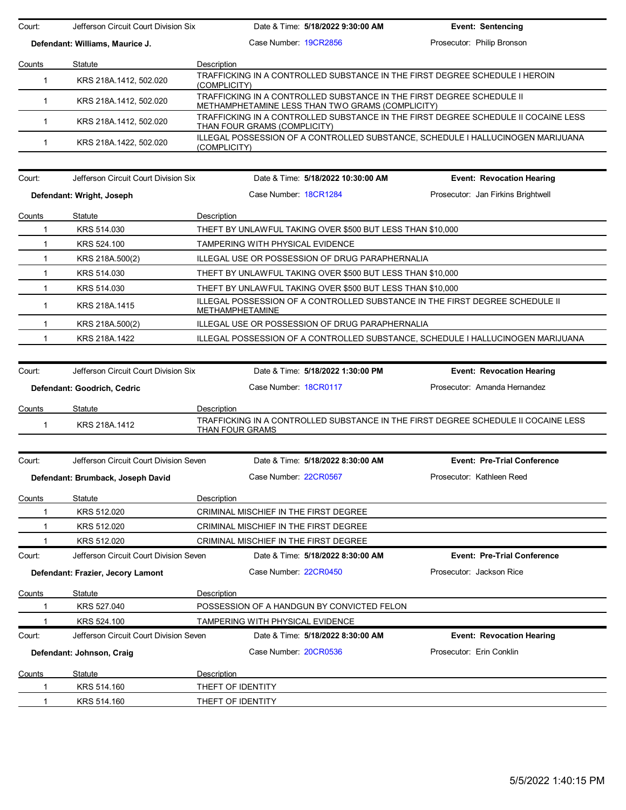| Court:       | Jefferson Circuit Court Division Six                                | Date & Time: 5/18/2022 9:30:00 AM                                                                                         | <b>Event: Sentencing</b>                                         |
|--------------|---------------------------------------------------------------------|---------------------------------------------------------------------------------------------------------------------------|------------------------------------------------------------------|
|              | Defendant: Williams, Maurice J.                                     | Case Number: 19CR2856                                                                                                     | Prosecutor: Philip Bronson                                       |
| Counts       | Statute                                                             | Description                                                                                                               |                                                                  |
| $\mathbf{1}$ | KRS 218A.1412, 502.020                                              | TRAFFICKING IN A CONTROLLED SUBSTANCE IN THE FIRST DEGREE SCHEDULE I HEROIN<br>(COMPLICITY)                               |                                                                  |
| 1.           | KRS 218A.1412, 502.020                                              | TRAFFICKING IN A CONTROLLED SUBSTANCE IN THE FIRST DEGREE SCHEDULE II<br>METHAMPHETAMINE LESS THAN TWO GRAMS (COMPLICITY) |                                                                  |
| $\mathbf{1}$ | KRS 218A.1412, 502.020                                              | TRAFFICKING IN A CONTROLLED SUBSTANCE IN THE FIRST DEGREE SCHEDULE II COCAINE LESS<br>THAN FOUR GRAMS (COMPLICITY)        |                                                                  |
| $\mathbf{1}$ | KRS 218A.1422, 502.020                                              | ILLEGAL POSSESSION OF A CONTROLLED SUBSTANCE, SCHEDULE I HALLUCINOGEN MARIJUANA<br>(COMPLICITY)                           |                                                                  |
| Court:       | Jefferson Circuit Court Division Six                                | Date & Time: 5/18/2022 10:30:00 AM                                                                                        | <b>Event: Revocation Hearing</b>                                 |
|              | Defendant: Wright, Joseph                                           | Case Number: 18CR1284                                                                                                     | Prosecutor: Jan Firkins Brightwell                               |
| Counts       | Statute                                                             | Description                                                                                                               |                                                                  |
| 1            | KRS 514.030                                                         | THEFT BY UNLAWFUL TAKING OVER \$500 BUT LESS THAN \$10,000                                                                |                                                                  |
| $\mathbf{1}$ | KRS 524.100                                                         | TAMPERING WITH PHYSICAL EVIDENCE                                                                                          |                                                                  |
| $\mathbf{1}$ | KRS 218A.500(2)                                                     | ILLEGAL USE OR POSSESSION OF DRUG PARAPHERNALIA                                                                           |                                                                  |
| $\mathbf{1}$ | KRS 514.030                                                         | THEFT BY UNLAWFUL TAKING OVER \$500 BUT LESS THAN \$10,000                                                                |                                                                  |
| 1            | KRS 514.030                                                         | THEFT BY UNLAWFUL TAKING OVER \$500 BUT LESS THAN \$10,000                                                                |                                                                  |
| $\mathbf{1}$ | KRS 218A.1415                                                       | ILLEGAL POSSESSION OF A CONTROLLED SUBSTANCE IN THE FIRST DEGREE SCHEDULE II<br><b>METHAMPHETAMINE</b>                    |                                                                  |
| $\mathbf 1$  | KRS 218A.500(2)                                                     | ILLEGAL USE OR POSSESSION OF DRUG PARAPHERNALIA                                                                           |                                                                  |
| 1            | KRS 218A.1422                                                       | ILLEGAL POSSESSION OF A CONTROLLED SUBSTANCE, SCHEDULE I HALLUCINOGEN MARIJUANA                                           |                                                                  |
|              |                                                                     |                                                                                                                           |                                                                  |
| Court:       | Jefferson Circuit Court Division Six<br>Defendant: Goodrich, Cedric | Date & Time: 5/18/2022 1:30:00 PM<br>Case Number: 18CR0117                                                                | <b>Event: Revocation Hearing</b><br>Prosecutor: Amanda Hernandez |
|              |                                                                     |                                                                                                                           |                                                                  |
| Counts<br>1  | Statute<br>KRS 218A.1412                                            | Description<br>TRAFFICKING IN A CONTROLLED SUBSTANCE IN THE FIRST DEGREE SCHEDULE II COCAINE LESS                         |                                                                  |
|              |                                                                     | THAN FOUR GRAMS                                                                                                           |                                                                  |
| Court:       |                                                                     |                                                                                                                           |                                                                  |
|              | Jefferson Circuit Court Division Seven                              | Date & Time: 5/18/2022 8:30:00 AM                                                                                         | <b>Event: Pre-Trial Conference</b>                               |
|              | Defendant: Brumback, Joseph David                                   | Case Number: 22CR0567                                                                                                     | Prosecutor: Kathleen Reed                                        |
| Counts       | Statute                                                             | Description                                                                                                               |                                                                  |
|              | KRS 512.020                                                         | CRIMINAL MISCHIEF IN THE FIRST DEGREE                                                                                     |                                                                  |
|              | KRS 512.020                                                         | CRIMINAL MISCHIEF IN THE FIRST DEGREE                                                                                     |                                                                  |
|              | KRS 512.020                                                         | CRIMINAL MISCHIEF IN THE FIRST DEGREE                                                                                     |                                                                  |
| Court:       | Jefferson Circuit Court Division Seven                              | Date & Time: 5/18/2022 8:30:00 AM                                                                                         | <b>Event: Pre-Trial Conference</b>                               |
|              | Defendant: Frazier, Jecory Lamont                                   | Case Number: 22CR0450                                                                                                     | Prosecutor: Jackson Rice                                         |
| Counts       | Statute                                                             | Description                                                                                                               |                                                                  |
|              | KRS 527.040                                                         | POSSESSION OF A HANDGUN BY CONVICTED FELON                                                                                |                                                                  |
|              | KRS 524.100                                                         | TAMPERING WITH PHYSICAL EVIDENCE                                                                                          |                                                                  |
| Court:       | Jefferson Circuit Court Division Seven                              | Date & Time: 5/18/2022 8:30:00 AM                                                                                         | <b>Event: Revocation Hearing</b>                                 |
|              | Defendant: Johnson, Craig                                           | Case Number: 20CR0536                                                                                                     | Prosecutor: Erin Conklin                                         |
| Counts       | Statute                                                             | Description                                                                                                               |                                                                  |
|              | KRS 514.160                                                         | THEFT OF IDENTITY                                                                                                         |                                                                  |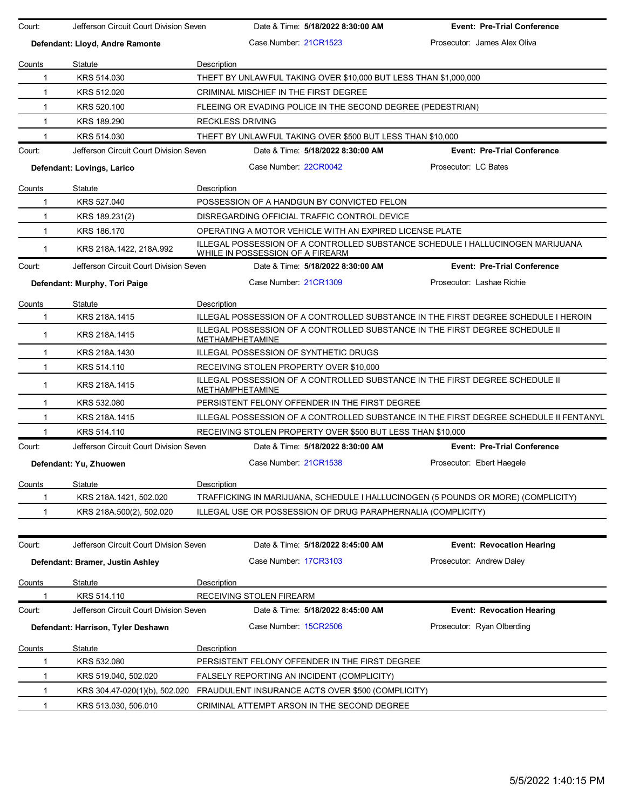| Court:                          | Jefferson Circuit Court Division Seven | Date & Time: 5/18/2022 8:30:00 AM                                                                                  | <b>Event: Pre-Trial Conference</b>                                           |  |  |  |
|---------------------------------|----------------------------------------|--------------------------------------------------------------------------------------------------------------------|------------------------------------------------------------------------------|--|--|--|
| Defendant: Lloyd, Andre Ramonte |                                        | Case Number 21CR1523                                                                                               | Prosecutor: James Alex Oliva                                                 |  |  |  |
| Counts                          | Statute                                | Description                                                                                                        |                                                                              |  |  |  |
| 1                               | KRS 514.030                            | THEFT BY UNLAWFUL TAKING OVER \$10,000 BUT LESS THAN \$1,000,000                                                   |                                                                              |  |  |  |
| $\mathbf{1}$                    | KRS 512.020                            | CRIMINAL MISCHIEF IN THE FIRST DEGREE                                                                              |                                                                              |  |  |  |
| $\mathbf{1}$                    | KRS 520.100                            | FLEEING OR EVADING POLICE IN THE SECOND DEGREE (PEDESTRIAN)                                                        |                                                                              |  |  |  |
| $\mathbf{1}$                    | KRS 189.290                            | <b>RECKLESS DRIVING</b>                                                                                            |                                                                              |  |  |  |
| 1                               | KRS 514.030                            | THEFT BY UNLAWFUL TAKING OVER \$500 BUT LESS THAN \$10,000                                                         |                                                                              |  |  |  |
| Court:                          | Jefferson Circuit Court Division Seven | Date & Time: 5/18/2022 8:30:00 AM                                                                                  | <b>Event: Pre-Trial Conference</b>                                           |  |  |  |
| Defendant: Lovings, Larico      |                                        | Case Number: 22CR0042                                                                                              | Prosecutor: LC Bates                                                         |  |  |  |
| Counts                          | Statute                                | Description                                                                                                        |                                                                              |  |  |  |
| 1                               | KRS 527.040                            | POSSESSION OF A HANDGUN BY CONVICTED FELON                                                                         |                                                                              |  |  |  |
| $\mathbf{1}$                    | KRS 189.231(2)                         | DISREGARDING OFFICIAL TRAFFIC CONTROL DEVICE                                                                       |                                                                              |  |  |  |
| $\mathbf{1}$                    | KRS 186.170                            | OPERATING A MOTOR VEHICLE WITH AN EXPIRED LICENSE PLATE                                                            |                                                                              |  |  |  |
| $\mathbf{1}$                    | KRS 218A.1422, 218A.992                | ILLEGAL POSSESSION OF A CONTROLLED SUBSTANCE SCHEDULE I HALLUCINOGEN MARIJUANA<br>WHILE IN POSSESSION OF A FIREARM |                                                                              |  |  |  |
| Court:                          | Jefferson Circuit Court Division Seven | Date & Time: 5/18/2022 8:30:00 AM                                                                                  | <b>Event: Pre-Trial Conference</b>                                           |  |  |  |
|                                 | Defendant: Murphy, Tori Paige          | Case Number 21CR1309                                                                                               | Prosecutor: Lashae Richie                                                    |  |  |  |
| Counts                          | Statute                                | Description                                                                                                        |                                                                              |  |  |  |
| 1                               | KRS 218A.1415                          | ILLEGAL POSSESSION OF A CONTROLLED SUBSTANCE IN THE FIRST DEGREE SCHEDULE I HEROIN                                 |                                                                              |  |  |  |
| $\mathbf 1$                     | KRS 218A.1415                          | ILLEGAL POSSESSION OF A CONTROLLED SUBSTANCE IN THE FIRST DEGREE SCHEDULE II<br>METHAMPHETAMINE                    |                                                                              |  |  |  |
| $\mathbf{1}$                    | KRS 218A.1430                          | ILLEGAL POSSESSION OF SYNTHETIC DRUGS                                                                              |                                                                              |  |  |  |
| $\mathbf{1}$                    | KRS 514.110                            | RECEIVING STOLEN PROPERTY OVER \$10,000                                                                            |                                                                              |  |  |  |
| $\mathbf{1}$                    | KRS 218A.1415                          | <b>METHAMPHETAMINE</b>                                                                                             | ILLEGAL POSSESSION OF A CONTROLLED SUBSTANCE IN THE FIRST DEGREE SCHEDULE II |  |  |  |
| $\mathbf 1$                     | KRS 532.080                            | PERSISTENT FELONY OFFENDER IN THE FIRST DEGREE                                                                     |                                                                              |  |  |  |
| $\mathbf{1}$                    | KRS 218A.1415                          | ILLEGAL POSSESSION OF A CONTROLLED SUBSTANCE IN THE FIRST DEGREE SCHEDULE II FENTANYL                              |                                                                              |  |  |  |
| 1                               | KRS 514.110                            | RECEIVING STOLEN PROPERTY OVER \$500 BUT LESS THAN \$10,000                                                        |                                                                              |  |  |  |
| Court:                          | Jefferson Circuit Court Division Seven | Date & Time: 5/18/2022 8:30:00 AM                                                                                  | <b>Event: Pre-Trial Conference</b>                                           |  |  |  |
|                                 | Defendant: Yu, Zhuowen                 | Case Number 21CR1538                                                                                               | Prosecutor: Ebert Haegele                                                    |  |  |  |
| Counts                          | Statute                                | Description                                                                                                        |                                                                              |  |  |  |
| 1                               | KRS 218A.1421, 502.020                 | TRAFFICKING IN MARIJUANA, SCHEDULE I HALLUCINOGEN (5 POUNDS OR MORE) (COMPLICITY)                                  |                                                                              |  |  |  |
| 1                               | KRS 218A.500(2), 502.020               | ILLEGAL USE OR POSSESSION OF DRUG PARAPHERNALIA (COMPLICITY)                                                       |                                                                              |  |  |  |
| Court:                          | Jefferson Circuit Court Division Seven | Date & Time: 5/18/2022 8:45:00 AM                                                                                  | <b>Event: Revocation Hearing</b>                                             |  |  |  |
|                                 | Defendant: Bramer, Justin Ashley       | Case Number 17CR3103                                                                                               | Prosecutor: Andrew Daley                                                     |  |  |  |
| Counts                          | Statute                                | Description                                                                                                        |                                                                              |  |  |  |
|                                 | KRS 514.110                            | RECEIVING STOLEN FIREARM                                                                                           |                                                                              |  |  |  |
| Court:                          | Jefferson Circuit Court Division Seven | Date & Time: 5/18/2022 8:45:00 AM                                                                                  | <b>Event: Revocation Hearing</b>                                             |  |  |  |
|                                 | Defendant: Harrison, Tyler Deshawn     | Case Number: 15CR2506                                                                                              | Prosecutor: Ryan Olberding                                                   |  |  |  |
| Counts                          | Statute                                | Description                                                                                                        |                                                                              |  |  |  |
| 1                               | KRS 532.080                            | PERSISTENT FELONY OFFENDER IN THE FIRST DEGREE                                                                     |                                                                              |  |  |  |
| 1                               | KRS 519.040, 502.020                   | FALSELY REPORTING AN INCIDENT (COMPLICITY)                                                                         |                                                                              |  |  |  |
| 1                               | KRS 304.47-020(1)(b), 502.020          | FRAUDULENT INSURANCE ACTS OVER \$500 (COMPLICITY)                                                                  |                                                                              |  |  |  |
| 1                               | KRS 513.030, 506.010                   | CRIMINAL ATTEMPT ARSON IN THE SECOND DEGREE                                                                        |                                                                              |  |  |  |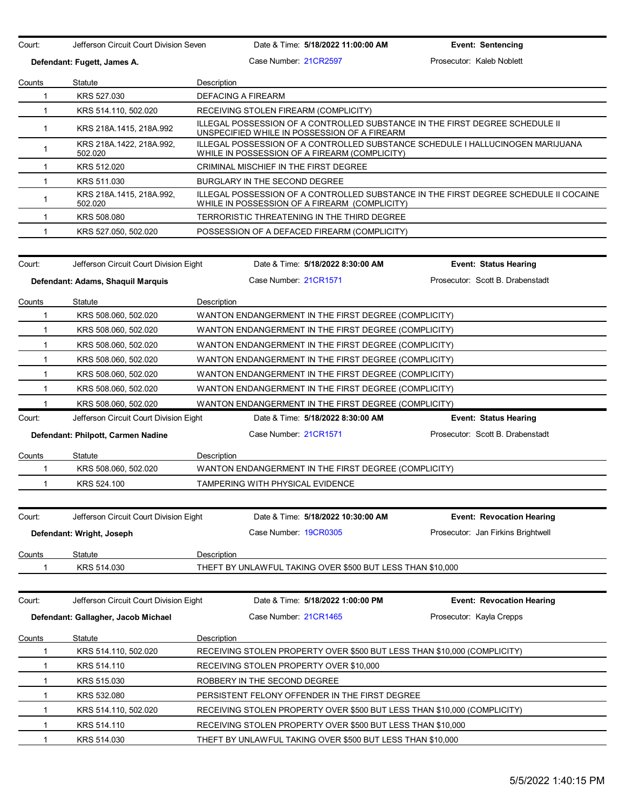| Jefferson Circuit Court Division Seven<br>Court:<br>Defendant: Fugett, James A. |                                        | Date & Time: 5/18/2022 11:00:00 AM                                                                                                    | <b>Event: Sentencing</b>           |  |  |  |
|---------------------------------------------------------------------------------|----------------------------------------|---------------------------------------------------------------------------------------------------------------------------------------|------------------------------------|--|--|--|
|                                                                                 |                                        | Case Number: 21CR2597                                                                                                                 | Prosecutor: Kaleb Noblett          |  |  |  |
| Counts                                                                          | Statute                                | Description                                                                                                                           |                                    |  |  |  |
| $\mathbf{1}$                                                                    | KRS 527.030                            | <b>DEFACING A FIREARM</b>                                                                                                             |                                    |  |  |  |
| 1                                                                               | KRS 514.110, 502.020                   | RECEIVING STOLEN FIREARM (COMPLICITY)                                                                                                 |                                    |  |  |  |
| $\mathbf{1}$                                                                    | KRS 218A.1415, 218A.992                | ILLEGAL POSSESSION OF A CONTROLLED SUBSTANCE IN THE FIRST DEGREE SCHEDULE II<br>UNSPECIFIED WHILE IN POSSESSION OF A FIREARM          |                                    |  |  |  |
| $\mathbf{1}$                                                                    | KRS 218A.1422, 218A.992,<br>502.020    | ILLEGAL POSSESSION OF A CONTROLLED SUBSTANCE SCHEDULE I HALLUCINOGEN MARIJUANA<br>WHILE IN POSSESSION OF A FIREARM (COMPLICITY)       |                                    |  |  |  |
| $\mathbf{1}$                                                                    | KRS 512.020                            | <b>CRIMINAL MISCHIEF IN THE FIRST DEGREE</b>                                                                                          |                                    |  |  |  |
| $\mathbf{1}$                                                                    | KRS 511.030                            | BURGLARY IN THE SECOND DEGREE                                                                                                         |                                    |  |  |  |
| $\mathbf{1}$                                                                    | KRS 218A 1415, 218A 992,<br>502.020    | ILLEGAL POSSESSION OF A CONTROLLED SUBSTANCE IN THE FIRST DEGREE SCHEDULE II COCAINE<br>WHILE IN POSSESSION OF A FIREARM (COMPLICITY) |                                    |  |  |  |
| $\mathbf{1}$                                                                    | KRS 508,080                            | TERRORISTIC THREATENING IN THE THIRD DEGREE                                                                                           |                                    |  |  |  |
| 1                                                                               | KRS 527.050, 502.020                   | POSSESSION OF A DEFACED FIREARM (COMPLICITY)                                                                                          |                                    |  |  |  |
| Court:                                                                          | Jefferson Circuit Court Division Eight | Date & Time: 5/18/2022 8:30:00 AM                                                                                                     | <b>Event: Status Hearing</b>       |  |  |  |
|                                                                                 | Defendant: Adams, Shaquil Marquis      | Case Number 21CR1571                                                                                                                  | Prosecutor: Scott B. Drabenstadt   |  |  |  |
|                                                                                 |                                        |                                                                                                                                       |                                    |  |  |  |
| Counts                                                                          | Statute                                | Description                                                                                                                           |                                    |  |  |  |
| 1                                                                               | KRS 508.060, 502.020                   | WANTON ENDANGERMENT IN THE FIRST DEGREE (COMPLICITY)                                                                                  |                                    |  |  |  |
| $\mathbf{1}$                                                                    | KRS 508.060, 502.020                   | WANTON ENDANGERMENT IN THE FIRST DEGREE (COMPLICITY)                                                                                  |                                    |  |  |  |
| $\mathbf{1}$                                                                    | KRS 508.060, 502.020                   | WANTON ENDANGERMENT IN THE FIRST DEGREE (COMPLICITY)                                                                                  |                                    |  |  |  |
| $\mathbf{1}$                                                                    | KRS 508.060, 502.020                   | WANTON ENDANGERMENT IN THE FIRST DEGREE (COMPLICITY)                                                                                  |                                    |  |  |  |
| $\mathbf{1}$                                                                    | KRS 508.060, 502.020                   | WANTON ENDANGERMENT IN THE FIRST DEGREE (COMPLICITY)                                                                                  |                                    |  |  |  |
| $\mathbf{1}$                                                                    | KRS 508.060, 502.020                   | WANTON ENDANGERMENT IN THE FIRST DEGREE (COMPLICITY)                                                                                  |                                    |  |  |  |
| 1                                                                               | KRS 508.060, 502.020                   | WANTON ENDANGERMENT IN THE FIRST DEGREE (COMPLICITY)                                                                                  |                                    |  |  |  |
| Court:                                                                          | Jefferson Circuit Court Division Eight | Date & Time: 5/18/2022 8:30:00 AM                                                                                                     | <b>Event: Status Hearing</b>       |  |  |  |
|                                                                                 | Defendant: Philpott, Carmen Nadine     | Case Number 21CR1571                                                                                                                  | Prosecutor: Scott B. Drabenstadt   |  |  |  |
| Counts                                                                          | Statute                                | Description                                                                                                                           |                                    |  |  |  |
| 1                                                                               | KRS 508.060, 502.020                   | WANTON ENDANGERMENT IN THE FIRST DEGREE (COMPLICITY)                                                                                  |                                    |  |  |  |
| 1                                                                               | KRS 524.100                            | TAMPERING WITH PHYSICAL EVIDENCE                                                                                                      |                                    |  |  |  |
|                                                                                 |                                        |                                                                                                                                       |                                    |  |  |  |
| Court:                                                                          | Jefferson Circuit Court Division Eight | Date & Time: 5/18/2022 10:30:00 AM                                                                                                    | <b>Event: Revocation Hearing</b>   |  |  |  |
|                                                                                 | Defendant: Wright, Joseph              | Case Number 19CR0305                                                                                                                  | Prosecutor: Jan Firkins Brightwell |  |  |  |
| Counts                                                                          | Statute                                | Description                                                                                                                           |                                    |  |  |  |
|                                                                                 | KRS 514.030                            | THEFT BY UNLAWFUL TAKING OVER \$500 BUT LESS THAN \$10,000                                                                            |                                    |  |  |  |
| Court:                                                                          | Jefferson Circuit Court Division Eight | Date & Time: 5/18/2022 1:00:00 PM                                                                                                     | <b>Event: Revocation Hearing</b>   |  |  |  |
|                                                                                 | Defendant: Gallagher, Jacob Michael    | Case Number: 21CR1465                                                                                                                 | Prosecutor: Kayla Crepps           |  |  |  |
| Counts                                                                          | Statute                                | Description                                                                                                                           |                                    |  |  |  |
| 1                                                                               | KRS 514.110, 502.020                   | RECEIVING STOLEN PROPERTY OVER \$500 BUT LESS THAN \$10,000 (COMPLICITY)                                                              |                                    |  |  |  |
| 1                                                                               | KRS 514.110                            | RECEIVING STOLEN PROPERTY OVER \$10,000                                                                                               |                                    |  |  |  |
| 1                                                                               | KRS 515.030                            | ROBBERY IN THE SECOND DEGREE                                                                                                          |                                    |  |  |  |
| 1                                                                               | KRS 532.080                            | PERSISTENT FELONY OFFENDER IN THE FIRST DEGREE                                                                                        |                                    |  |  |  |
| 1                                                                               | KRS 514.110, 502.020                   | RECEIVING STOLEN PROPERTY OVER \$500 BUT LESS THAN \$10,000 (COMPLICITY)                                                              |                                    |  |  |  |
| 1                                                                               | KRS 514.110                            | RECEIVING STOLEN PROPERTY OVER \$500 BUT LESS THAN \$10,000                                                                           |                                    |  |  |  |
| $\mathbf{1}$                                                                    | KRS 514.030                            | THEFT BY UNLAWFUL TAKING OVER \$500 BUT LESS THAN \$10,000                                                                            |                                    |  |  |  |
|                                                                                 |                                        |                                                                                                                                       |                                    |  |  |  |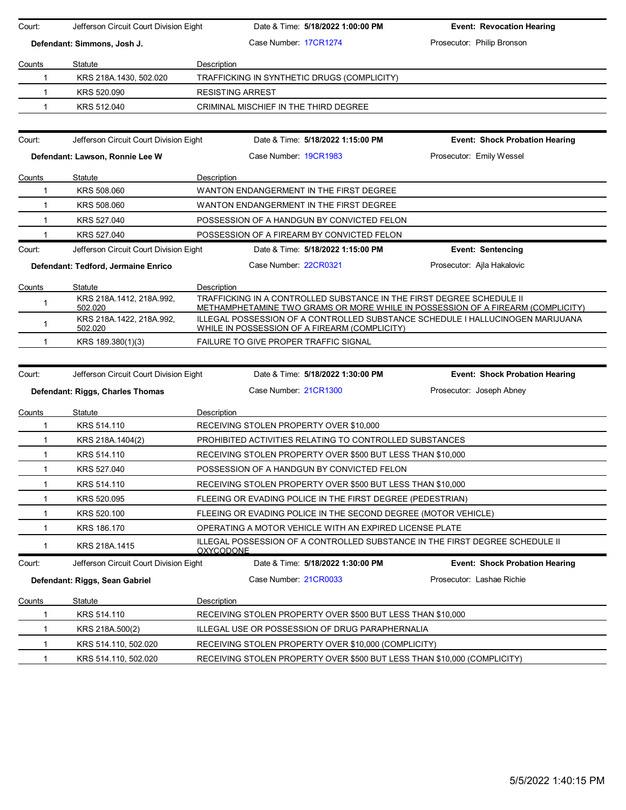| Court:                                           | Jefferson Circuit Court Division Eight |                  | Date & Time: 5/18/2022 1:00:00 PM                                                                                                                        | <b>Event: Revocation Hearing</b>      |  |
|--------------------------------------------------|----------------------------------------|------------------|----------------------------------------------------------------------------------------------------------------------------------------------------------|---------------------------------------|--|
| Defendant: Simmons, Josh J.                      |                                        |                  | Case Number: 17CR1274                                                                                                                                    | Prosecutor: Philip Bronson            |  |
| Counts                                           | Statute                                | Description      |                                                                                                                                                          |                                       |  |
| 1                                                | KRS 218A.1430, 502.020                 |                  | TRAFFICKING IN SYNTHETIC DRUGS (COMPLICITY)                                                                                                              |                                       |  |
| $\mathbf{1}$                                     | KRS 520.090                            |                  | <b>RESISTING ARREST</b>                                                                                                                                  |                                       |  |
| $\mathbf 1$                                      | KRS 512.040                            |                  | CRIMINAL MISCHIEF IN THE THIRD DEGREE                                                                                                                    |                                       |  |
| Court:                                           | Jefferson Circuit Court Division Eight |                  | Date & Time: 5/18/2022 1:15:00 PM                                                                                                                        | <b>Event: Shock Probation Hearing</b> |  |
| Defendant: Lawson, Ronnie Lee W                  |                                        |                  | Case Number: 19CR1983                                                                                                                                    | Prosecutor: Emily Wessel              |  |
| Counts                                           | Statute                                | Description      |                                                                                                                                                          |                                       |  |
| 1                                                | KRS 508,060                            |                  | WANTON ENDANGERMENT IN THE FIRST DEGREE                                                                                                                  |                                       |  |
| $\mathbf 1$                                      | KRS 508,060                            |                  | WANTON ENDANGERMENT IN THE FIRST DEGREE                                                                                                                  |                                       |  |
| $\mathbf 1$                                      | KRS 527,040                            |                  | POSSESSION OF A HANDGUN BY CONVICTED FELON                                                                                                               |                                       |  |
| 1                                                | KRS 527.040                            |                  | POSSESSION OF A FIREARM BY CONVICTED FELON                                                                                                               |                                       |  |
| Court:                                           | Jefferson Circuit Court Division Eight |                  | Date & Time: 5/18/2022 1:15:00 PM                                                                                                                        | <b>Event: Sentencing</b>              |  |
|                                                  | Defendant: Tedford, Jermaine Enrico    |                  | Case Number 22CR0321                                                                                                                                     | Prosecutor: Ajla Hakalovic            |  |
| Counts                                           | Statute                                | Description      |                                                                                                                                                          |                                       |  |
| 1                                                | KRS 218A.1412, 218A.992,<br>502.020    |                  | TRAFFICKING IN A CONTROLLED SUBSTANCE IN THE FIRST DEGREE SCHEDULE II<br>METHAMPHETAMINE TWO GRAMS OR MORE WHILE IN POSSESSION OF A FIREARM (COMPLICITY) |                                       |  |
| 1                                                | KRS 218A.1422, 218A.992,<br>502.020    |                  | ILLEGAL POSSESSION OF A CONTROLLED SUBSTANCE SCHEDULE I HALLUCINOGEN MARIJUANA<br>WHILE IN POSSESSION OF A FIREARM (COMPLICITY)                          |                                       |  |
|                                                  |                                        |                  |                                                                                                                                                          |                                       |  |
| 1                                                | KRS 189.380(1)(3)                      |                  | FAILURE TO GIVE PROPER TRAFFIC SIGNAL                                                                                                                    |                                       |  |
|                                                  |                                        |                  |                                                                                                                                                          |                                       |  |
|                                                  | Jefferson Circuit Court Division Eight |                  | Date & Time: 5/18/2022 1:30:00 PM                                                                                                                        | <b>Event: Shock Probation Hearing</b> |  |
|                                                  | Defendant: Riggs, Charles Thomas       |                  | Case Number: 21CR1300                                                                                                                                    | Prosecutor: Joseph Abney              |  |
|                                                  | Statute                                | Description      |                                                                                                                                                          |                                       |  |
| 1                                                | KRS 514.110                            |                  | RECEIVING STOLEN PROPERTY OVER \$10,000                                                                                                                  |                                       |  |
| $\mathbf{1}$                                     | KRS 218A.1404(2)                       |                  | <b>PROHIBITED ACTIVITIES RELATING TO CONTROLLED SUBSTANCES</b>                                                                                           |                                       |  |
| $\mathbf{1}$                                     | KRS 514.110                            |                  | RECEIVING STOLEN PROPERTY OVER \$500 BUT LESS THAN \$10,000                                                                                              |                                       |  |
| $\mathbf{1}$                                     | KRS 527.040                            |                  | POSSESSION OF A HANDGUN BY CONVICTED FELON                                                                                                               |                                       |  |
| 1                                                | KRS 514.110                            |                  | RECEIVING STOLEN PROPERTY OVER \$500 BUT LESS THAN \$10,000                                                                                              |                                       |  |
| 1                                                | KRS 520.095                            |                  | FLEEING OR EVADING POLICE IN THE FIRST DEGREE (PEDESTRIAN)                                                                                               |                                       |  |
| 1                                                | KRS 520.100                            |                  | FLEEING OR EVADING POLICE IN THE SECOND DEGREE (MOTOR VEHICLE)                                                                                           |                                       |  |
| 1                                                | KRS 186.170                            |                  | OPERATING A MOTOR VEHICLE WITH AN EXPIRED LICENSE PLATE                                                                                                  |                                       |  |
| $\mathbf 1$                                      | KRS 218A.1415                          | <b>OXYCODONE</b> | ILLEGAL POSSESSION OF A CONTROLLED SUBSTANCE IN THE FIRST DEGREE SCHEDULE II                                                                             |                                       |  |
|                                                  | Jefferson Circuit Court Division Eight |                  | Date & Time: 5/18/2022 1:30:00 PM                                                                                                                        | <b>Event: Shock Probation Hearing</b> |  |
|                                                  | Defendant: Riggs, Sean Gabriel         |                  | Case Number: 21CR0033                                                                                                                                    | Prosecutor: Lashae Richie             |  |
|                                                  | Statute                                | Description      |                                                                                                                                                          |                                       |  |
| 1                                                | KRS 514.110                            |                  | RECEIVING STOLEN PROPERTY OVER \$500 BUT LESS THAN \$10,000                                                                                              |                                       |  |
| 1                                                | KRS 218A.500(2)                        |                  | ILLEGAL USE OR POSSESSION OF DRUG PARAPHERNALIA                                                                                                          |                                       |  |
| Court:<br>Counts<br>Court:<br><b>Counts</b><br>1 | KRS 514.110, 502.020                   |                  | RECEIVING STOLEN PROPERTY OVER \$10,000 (COMPLICITY)                                                                                                     |                                       |  |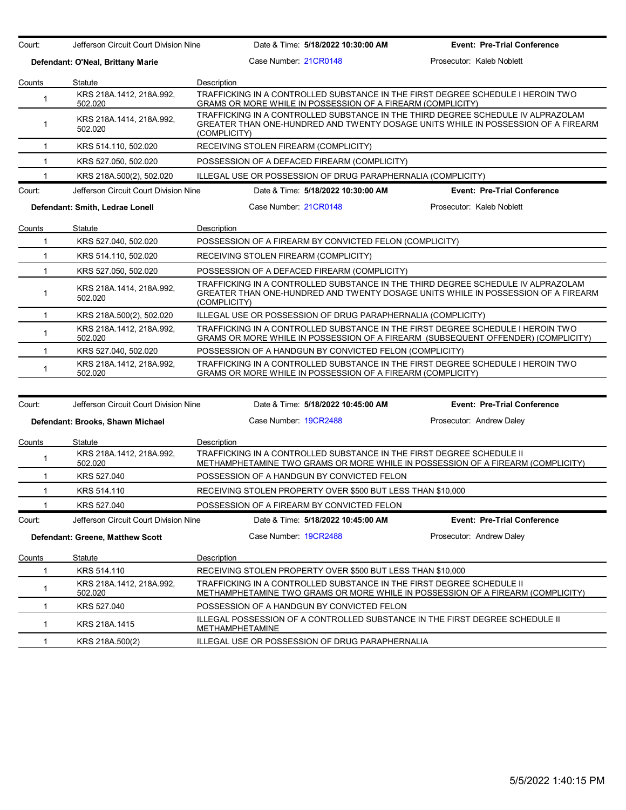| Court:                            | Jefferson Circuit Court Division Nine | Date & Time: 5/18/2022 10:30:00 AM                                                                                                                                                    | <b>Event: Pre-Trial Conference</b> |
|-----------------------------------|---------------------------------------|---------------------------------------------------------------------------------------------------------------------------------------------------------------------------------------|------------------------------------|
| Defendant: O'Neal, Brittany Marie |                                       | Case Number 21CR0148<br>Prosecutor: Kaleb Noblett                                                                                                                                     |                                    |
| Counts<br>Statute                 |                                       | Description                                                                                                                                                                           |                                    |
| $\mathbf 1$                       | KRS 218A.1412, 218A.992,<br>502.020   | TRAFFICKING IN A CONTROLLED SUBSTANCE IN THE FIRST DEGREE SCHEDULE I HEROIN TWO<br>GRAMS OR MORE WHILE IN POSSESSION OF A FIREARM (COMPLICITY)                                        |                                    |
| $\mathbf{1}$                      | KRS 218A 1414, 218A 992,<br>502.020   | TRAFFICKING IN A CONTROLLED SUBSTANCE IN THE THIRD DEGREE SCHEDULE IV ALPRAZOLAM<br>GREATER THAN ONE-HUNDRED AND TWENTY DOSAGE UNITS WHILE IN POSSESSION OF A FIREARM<br>(COMPLICITY) |                                    |
| $\mathbf{1}$                      | KRS 514.110, 502.020                  | RECEIVING STOLEN FIREARM (COMPLICITY)                                                                                                                                                 |                                    |
| $\mathbf{1}$                      | KRS 527.050, 502.020                  | POSSESSION OF A DEFACED FIREARM (COMPLICITY)                                                                                                                                          |                                    |
| $\mathbf{1}$                      | KRS 218A.500(2), 502.020              | ILLEGAL USE OR POSSESSION OF DRUG PARAPHERNALIA (COMPLICITY)                                                                                                                          |                                    |
| Court:                            | Jefferson Circuit Court Division Nine | Date & Time: 5/18/2022 10:30:00 AM                                                                                                                                                    | <b>Event: Pre-Trial Conference</b> |
|                                   | Defendant: Smith, Ledrae Lonell       | Case Number 21CR0148                                                                                                                                                                  | Prosecutor: Kaleb Noblett          |
| Counts                            | <b>Statute</b>                        | Description                                                                                                                                                                           |                                    |
| $\mathbf{1}$                      | KRS 527.040, 502.020                  | POSSESSION OF A FIREARM BY CONVICTED FELON (COMPLICITY)                                                                                                                               |                                    |
| $\mathbf{1}$                      | KRS 514.110, 502.020                  | RECEIVING STOLEN FIREARM (COMPLICITY)                                                                                                                                                 |                                    |
| $\mathbf{1}$                      | KRS 527.050, 502.020                  | POSSESSION OF A DEFACED FIREARM (COMPLICITY)                                                                                                                                          |                                    |
| $\mathbf 1$                       | KRS 218A.1414, 218A.992,<br>502.020   | TRAFFICKING IN A CONTROLLED SUBSTANCE IN THE THIRD DEGREE SCHEDULE IV ALPRAZOLAM<br>GREATER THAN ONE-HUNDRED AND TWENTY DOSAGE UNITS WHILE IN POSSESSION OF A FIREARM<br>(COMPLICITY) |                                    |
| $\mathbf{1}$                      | KRS 218A.500(2), 502.020              | ILLEGAL USE OR POSSESSION OF DRUG PARAPHERNALIA (COMPLICITY)                                                                                                                          |                                    |
| $\mathbf{1}$                      | KRS 218A 1412, 218A 992,<br>502.020   | TRAFFICKING IN A CONTROLLED SUBSTANCE IN THE FIRST DEGREE SCHEDULE I HEROIN TWO<br>GRAMS OR MORE WHILE IN POSSESSION OF A FIREARM (SUBSEQUENT OFFENDER) (COMPLICITY)                  |                                    |
| $\mathbf{1}$                      | KRS 527.040, 502.020                  | POSSESSION OF A HANDGUN BY CONVICTED FELON (COMPLICITY)                                                                                                                               |                                    |
| $\mathbf{1}$                      | KRS 218A.1412, 218A.992,<br>502.020   | TRAFFICKING IN A CONTROLLED SUBSTANCE IN THE FIRST DEGREE SCHEDULE I HEROIN TWO<br>GRAMS OR MORE WHILE IN POSSESSION OF A FIREARM (COMPLICITY)                                        |                                    |
|                                   |                                       |                                                                                                                                                                                       |                                    |
| Court:                            | Jefferson Circuit Court Division Nine | Date & Time: 5/18/2022 10:45:00 AM                                                                                                                                                    | <b>Event: Pre-Trial Conference</b> |
|                                   | Defendant: Brooks, Shawn Michael      | Case Number 19CR2488                                                                                                                                                                  | Prosecutor: Andrew Daley           |
| Counts                            | Statute                               | Description                                                                                                                                                                           |                                    |
| 1                                 | KRS 218A.1412, 218A.992,<br>502.020   | TRAFFICKING IN A CONTROLLED SUBSTANCE IN THE FIRST DEGREE SCHEDULE II<br>METHAMPHETAMINE TWO GRAMS OR MORE WHILE IN POSSESSION OF A FIREARM (COMPLICITY)                              |                                    |
| $\mathbf{1}$                      | KRS 527.040                           | POSSESSION OF A HANDGUN BY CONVICTED FELON                                                                                                                                            |                                    |
| $\mathbf{1}$                      | KRS 514.110                           | RECEIVING STOLEN PROPERTY OVER \$500 BUT LESS THAN \$10,000                                                                                                                           |                                    |

1 KRS 527.040 POSSESSION OF A FIREARM BY CONVICTED FELON Court: Jefferson Circuit Court Division Nine Date & Time: **5/18/2022 10:45:00 AM Event: Pre-Trial Conference Defendant: Greene, Matthew Scott** Case Number: 19CR2488 Prosecutor: Andrew Daley Counts Statute Description 1 KRS 514.110 RECEIVING STOLEN PROPERTY OVER \$500 BUT LESS THAN \$10,000 1 KRS 218A.1412, 218A.992, 502.020 TRAFFICKING IN A CONTROLLED SUBSTANCE IN THE FIRST DEGREE SCHEDULE II METHAMPHETAMINE TWO GRAMS OR MORE WHILE IN POSSESSION OF A FIREARM (COMPLICITY) 1 KRS 527.040 POSSESSION OF A HANDGUN BY CONVICTED FELON 1 KRS 218A.1415 ILLEGAL POSSESSION OF A CONTROLLED SUBSTANCE IN THE FIRST DEGREE SCHEDULE II METHAMPHETAMINE

1 KRS 218A.500(2) ILLEGAL USE OR POSSESSION OF DRUG PARAPHERNALIA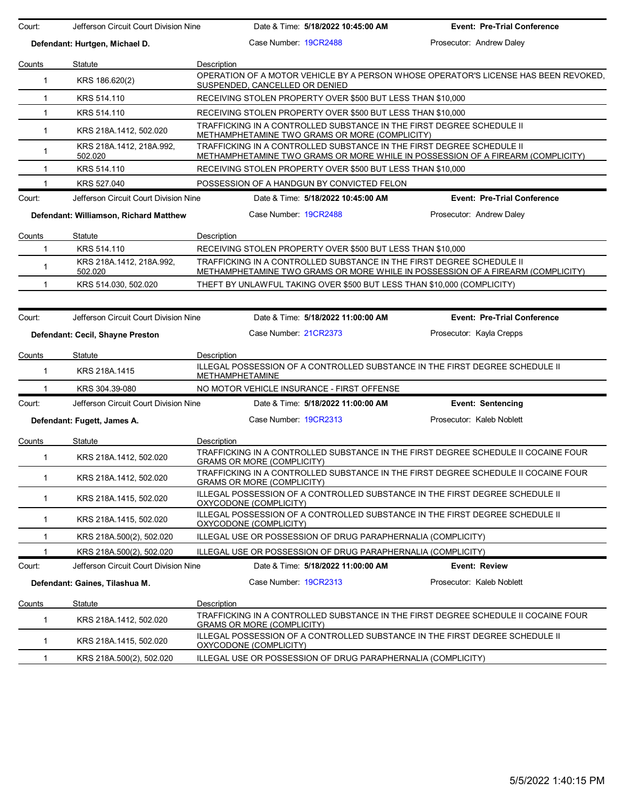| Court:       | Jefferson Circuit Court Division Nine  | Date & Time: 5/18/2022 10:45:00 AM                                                                                                                       | <b>Event: Pre-Trial Conference</b>                                                  |
|--------------|----------------------------------------|----------------------------------------------------------------------------------------------------------------------------------------------------------|-------------------------------------------------------------------------------------|
|              | Defendant: Hurtgen, Michael D.         | Case Number: 19CR2488                                                                                                                                    | Prosecutor: Andrew Daley                                                            |
| Counts       | Statute                                | Description                                                                                                                                              |                                                                                     |
| $\mathbf{1}$ | KRS 186.620(2)                         | SUSPENDED, CANCELLED OR DENIED                                                                                                                           | OPERATION OF A MOTOR VEHICLE BY A PERSON WHOSE OPERATOR'S LICENSE HAS BEEN REVOKED. |
| 1            | KRS 514.110                            | RECEIVING STOLEN PROPERTY OVER \$500 BUT LESS THAN \$10,000                                                                                              |                                                                                     |
| $\mathbf{1}$ | KRS 514.110                            | RECEIVING STOLEN PROPERTY OVER \$500 BUT LESS THAN \$10,000                                                                                              |                                                                                     |
| $\mathbf{1}$ | KRS 218A 1412, 502.020                 | TRAFFICKING IN A CONTROLLED SUBSTANCE IN THE FIRST DEGREE SCHEDULE II<br>METHAMPHETAMINE TWO GRAMS OR MORE (COMPLICITY)                                  |                                                                                     |
| 1            | KRS 218A.1412, 218A.992,<br>502.020    | TRAFFICKING IN A CONTROLLED SUBSTANCE IN THE FIRST DEGREE SCHEDULE II<br>METHAMPHETAMINE TWO GRAMS OR MORE WHILE IN POSSESSION OF A FIREARM (COMPLICITY) |                                                                                     |
| 1            | KRS 514.110                            | RECEIVING STOLEN PROPERTY OVER \$500 BUT LESS THAN \$10,000                                                                                              |                                                                                     |
|              | KRS 527.040                            | POSSESSION OF A HANDGUN BY CONVICTED FELON                                                                                                               |                                                                                     |
| Court:       | Jefferson Circuit Court Division Nine  | Date & Time: 5/18/2022 10:45:00 AM                                                                                                                       | <b>Event: Pre-Trial Conference</b>                                                  |
|              | Defendant: Williamson, Richard Matthew | Case Number 19CR2488                                                                                                                                     | Prosecutor: Andrew Daley                                                            |
| Counts       | Statute                                | Description                                                                                                                                              |                                                                                     |
| 1            | KRS 514.110                            | RECEIVING STOLEN PROPERTY OVER \$500 BUT LESS THAN \$10,000                                                                                              |                                                                                     |
| 1            | KRS 218A 1412, 218A 992,<br>502.020    | TRAFFICKING IN A CONTROLLED SUBSTANCE IN THE FIRST DEGREE SCHEDULE II<br>METHAMPHETAMINE TWO GRAMS OR MORE WHILE IN POSSESSION OF A FIREARM (COMPLICITY) |                                                                                     |
| 1            | KRS 514.030, 502.020                   | THEFT BY UNLAWFUL TAKING OVER \$500 BUT LESS THAN \$10,000 (COMPLICITY)                                                                                  |                                                                                     |
|              |                                        |                                                                                                                                                          |                                                                                     |
| Court:       | Jefferson Circuit Court Division Nine  | Date & Time: 5/18/2022 11:00:00 AM                                                                                                                       | <b>Event: Pre-Trial Conference</b>                                                  |
|              | Defendant: Cecil, Shayne Preston       | Case Number: 21CR2373                                                                                                                                    | Prosecutor: Kayla Crepps                                                            |
| Counts       | Statute                                | Description                                                                                                                                              |                                                                                     |
| 1            | KRS 218A.1415                          | ILLEGAL POSSESSION OF A CONTROLLED SUBSTANCE IN THE FIRST DEGREE SCHEDULE II<br><b>METHAMPHETAMINE</b>                                                   |                                                                                     |
| 1            | KRS 304.39-080                         | NO MOTOR VEHICLE INSURANCE - FIRST OFFENSE                                                                                                               |                                                                                     |
| Court:       | Jefferson Circuit Court Division Nine  | Date & Time: 5/18/2022 11:00:00 AM                                                                                                                       | <b>Event: Sentencing</b>                                                            |
|              | Defendant: Fugett, James A.            | Case Number: 19CR2313                                                                                                                                    | Prosecutor: Kaleb Noblett                                                           |
| Counts       | Statute                                | Description                                                                                                                                              |                                                                                     |
| 1            | KRS 218A.1412, 502.020                 | TRAFFICKING IN A CONTROLLED SUBSTANCE IN THE FIRST DEGREE SCHEDULE II COCAINE FOUR<br><b>GRAMS OR MORE (COMPLICITY)</b>                                  |                                                                                     |
| $\mathbf{1}$ | KRS 218A.1412, 502.020                 | TRAFFICKING IN A CONTROLLED SUBSTANCE IN THE FIRST DEGREE SCHEDULE II COCAINE FOUR<br>GRAMS OR MORE (COMPLICITY)                                         |                                                                                     |
| 1            | KRS 218A.1415, 502.020                 | ILLEGAL POSSESSION OF A CONTROLLED SUBSTANCE IN THE FIRST DEGREE SCHEDULE II<br>OXYCODONE (COMPLICITY)                                                   |                                                                                     |
| $\mathbf{1}$ | KRS 218A.1415, 502.020                 | ILLEGAL POSSESSION OF A CONTROLLED SUBSTANCE IN THE FIRST DEGREE SCHEDULE II<br>OXYCODONE (COMPLICITY)                                                   |                                                                                     |
| 1            | KRS 218A.500(2), 502.020               | ILLEGAL USE OR POSSESSION OF DRUG PARAPHERNALIA (COMPLICITY)                                                                                             |                                                                                     |
| 1            | KRS 218A.500(2), 502.020               | ILLEGAL USE OR POSSESSION OF DRUG PARAPHERNALIA (COMPLICITY)                                                                                             |                                                                                     |
| Court:       | Jefferson Circuit Court Division Nine  | Date & Time: 5/18/2022 11:00:00 AM                                                                                                                       | <b>Event: Review</b>                                                                |
|              | Defendant: Gaines, Tilashua M.         | Case Number 19CR2313                                                                                                                                     | Prosecutor: Kaleb Noblett                                                           |
| Counts       | Statute                                | Description                                                                                                                                              |                                                                                     |
| 1            | KRS 218A.1412, 502.020                 | TRAFFICKING IN A CONTROLLED SUBSTANCE IN THE FIRST DEGREE SCHEDULE II COCAINE FOUR<br><b>GRAMS OR MORE (COMPLICITY)</b>                                  |                                                                                     |
| 1            | KRS 218A.1415, 502.020                 | ILLEGAL POSSESSION OF A CONTROLLED SUBSTANCE IN THE FIRST DEGREE SCHEDULE II<br>OXYCODONE (COMPLICITY)                                                   |                                                                                     |
| 1            | KRS 218A.500(2), 502.020               | ILLEGAL USE OR POSSESSION OF DRUG PARAPHERNALIA (COMPLICITY)                                                                                             |                                                                                     |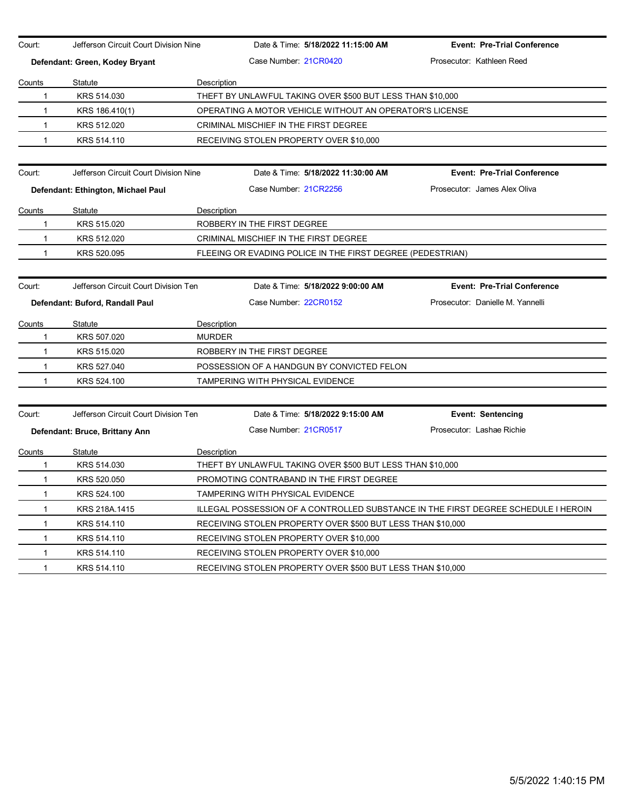| Court:       | Jefferson Circuit Court Division Nine |               | Date & Time: 5/18/2022 11:15:00 AM                          | <b>Event: Pre-Trial Conference</b>                                                 |
|--------------|---------------------------------------|---------------|-------------------------------------------------------------|------------------------------------------------------------------------------------|
|              | Defendant: Green, Kodey Bryant        |               | Case Number 21CR0420                                        | Prosecutor: Kathleen Reed                                                          |
| Counts       | Statute                               | Description   |                                                             |                                                                                    |
| 1            | KRS 514,030                           |               | THEFT BY UNLAWFUL TAKING OVER \$500 BUT LESS THAN \$10,000  |                                                                                    |
| 1            | KRS 186.410(1)                        |               | OPERATING A MOTOR VEHICLE WITHOUT AN OPERATOR'S LICENSE     |                                                                                    |
| 1            | KRS 512.020                           |               | CRIMINAL MISCHIEF IN THE FIRST DEGREE                       |                                                                                    |
| 1            | KRS 514.110                           |               | RECEIVING STOLEN PROPERTY OVER \$10,000                     |                                                                                    |
|              |                                       |               |                                                             |                                                                                    |
| Court:       | Jefferson Circuit Court Division Nine |               | Date & Time: 5/18/2022 11:30:00 AM                          | <b>Event: Pre-Trial Conference</b>                                                 |
|              | Defendant: Ethington, Michael Paul    |               | Case Number 21CR2256                                        | Prosecutor: James Alex Oliva                                                       |
| Counts       | Statute                               | Description   |                                                             |                                                                                    |
| 1            | KRS 515.020                           |               | ROBBERY IN THE FIRST DEGREE                                 |                                                                                    |
| 1            | KRS 512.020                           |               | CRIMINAL MISCHIEF IN THE FIRST DEGREE                       |                                                                                    |
| 1            | KRS 520.095                           |               | FLEEING OR EVADING POLICE IN THE FIRST DEGREE (PEDESTRIAN)  |                                                                                    |
|              |                                       |               |                                                             |                                                                                    |
| Court:       | Jefferson Circuit Court Division Ten  |               | Date & Time: 5/18/2022 9:00:00 AM                           | <b>Event: Pre-Trial Conference</b>                                                 |
|              | Defendant: Buford, Randall Paul       |               | Case Number: 22CR0152                                       | Prosecutor: Danielle M. Yannelli                                                   |
| Counts       | <b>Statute</b>                        | Description   |                                                             |                                                                                    |
| 1            | KRS 507.020                           | <b>MURDER</b> |                                                             |                                                                                    |
| $\mathbf{1}$ | KRS 515.020                           |               | ROBBERY IN THE FIRST DEGREE                                 |                                                                                    |
| 1            | KRS 527.040                           |               | POSSESSION OF A HANDGUN BY CONVICTED FELON                  |                                                                                    |
| 1            | KRS 524.100                           |               | TAMPERING WITH PHYSICAL EVIDENCE                            |                                                                                    |
|              |                                       |               |                                                             |                                                                                    |
| Court:       | Jefferson Circuit Court Division Ten  |               | Date & Time: 5/18/2022 9:15:00 AM                           | <b>Event: Sentencing</b>                                                           |
|              | Defendant: Bruce, Brittany Ann        |               | Case Number 21CR0517                                        | Prosecutor: Lashae Richie                                                          |
| Counts       | <b>Statute</b>                        | Description   |                                                             |                                                                                    |
| 1            | KRS 514.030                           |               | THEFT BY UNLAWFUL TAKING OVER \$500 BUT LESS THAN \$10,000  |                                                                                    |
| 1            | KRS 520.050                           |               | PROMOTING CONTRABAND IN THE FIRST DEGREE                    |                                                                                    |
| 1            | KRS 524.100                           |               | TAMPERING WITH PHYSICAL EVIDENCE                            |                                                                                    |
| 1            | KRS 218A.1415                         |               |                                                             | ILLEGAL POSSESSION OF A CONTROLLED SUBSTANCE IN THE FIRST DEGREE SCHEDULE I HEROIN |
| 1            | KRS 514.110                           |               | RECEIVING STOLEN PROPERTY OVER \$500 BUT LESS THAN \$10,000 |                                                                                    |
| 1            | KRS 514.110                           |               | RECEIVING STOLEN PROPERTY OVER \$10,000                     |                                                                                    |
| 1            | KRS 514.110                           |               | RECEIVING STOLEN PROPERTY OVER \$10,000                     |                                                                                    |
| 1            | KRS 514.110                           |               | RECEIVING STOLEN PROPERTY OVER \$500 BUT LESS THAN \$10,000 |                                                                                    |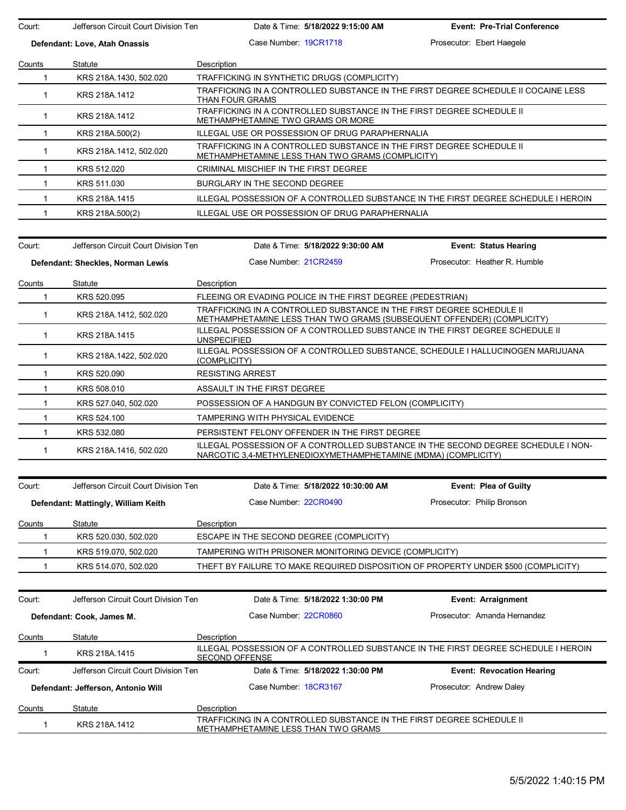| Court:        | Jefferson Circuit Court Division Ten |                                            | Date & Time: 5/18/2022 9:15:00 AM                                                  | <b>Event: Pre-Trial Conference</b>                                                                                                                  |  |
|---------------|--------------------------------------|--------------------------------------------|------------------------------------------------------------------------------------|-----------------------------------------------------------------------------------------------------------------------------------------------------|--|
|               | Defendant: Love, Atah Onassis        |                                            | Case Number 19CR1718                                                               | Prosecutor: Ebert Haegele                                                                                                                           |  |
| Counts        | Statute                              | Description                                |                                                                                    |                                                                                                                                                     |  |
| $\mathbf{1}$  | KRS 218A.1430, 502.020               |                                            | TRAFFICKING IN SYNTHETIC DRUGS (COMPLICITY)                                        |                                                                                                                                                     |  |
| $\mathbf{1}$  | KRS 218A.1412                        | THAN FOUR GRAMS                            | TRAFFICKING IN A CONTROLLED SUBSTANCE IN THE FIRST DEGREE SCHEDULE II COCAINE LESS |                                                                                                                                                     |  |
| $\mathbf{1}$  | KRS 218A.1412                        | METHAMPHETAMINE TWO GRAMS OR MORE          |                                                                                    | TRAFFICKING IN A CONTROLLED SUBSTANCE IN THE FIRST DEGREE SCHEDULE II                                                                               |  |
| $\mathbf{1}$  | KRS 218A.500(2)                      |                                            | ILLEGAL USE OR POSSESSION OF DRUG PARAPHERNALIA                                    |                                                                                                                                                     |  |
| $\mathbf{1}$  | KRS 218A.1412, 502.020               |                                            | METHAMPHETAMINE LESS THAN TWO GRAMS (COMPLICITY)                                   | TRAFFICKING IN A CONTROLLED SUBSTANCE IN THE FIRST DEGREE SCHEDULE II                                                                               |  |
| $\mathbf{1}$  | KRS 512.020                          | CRIMINAL MISCHIEF IN THE FIRST DEGREE      |                                                                                    |                                                                                                                                                     |  |
| -1            | KRS 511.030                          | BURGLARY IN THE SECOND DEGREE              |                                                                                    |                                                                                                                                                     |  |
| 1             | KRS 218A.1415                        |                                            |                                                                                    | ILLEGAL POSSESSION OF A CONTROLLED SUBSTANCE IN THE FIRST DEGREE SCHEDULE I HEROIN                                                                  |  |
| 1             | KRS 218A.500(2)                      |                                            | ILLEGAL USE OR POSSESSION OF DRUG PARAPHERNALIA                                    |                                                                                                                                                     |  |
| Court:        | Jefferson Circuit Court Division Ten |                                            | Date & Time: 5/18/2022 9:30:00 AM                                                  | Event: Status Hearing                                                                                                                               |  |
|               | Defendant: Sheckles, Norman Lewis    |                                            | Case Number 21CR2459                                                               | Prosecutor: Heather R. Humble                                                                                                                       |  |
|               |                                      |                                            |                                                                                    |                                                                                                                                                     |  |
| Counts        | Statute                              | Description                                |                                                                                    |                                                                                                                                                     |  |
| $\mathbf 1$   | KRS 520.095                          |                                            | FLEEING OR EVADING POLICE IN THE FIRST DEGREE (PEDESTRIAN)                         |                                                                                                                                                     |  |
| $\mathbf{1}$  | KRS 218A 1412, 502.020               |                                            |                                                                                    | TRAFFICKING IN A CONTROLLED SUBSTANCE IN THE FIRST DEGREE SCHEDULE II<br>METHAMPHETAMINE LESS THAN TWO GRAMS (SUBSEQUENT OFFENDER) (COMPLICITY)     |  |
| $\mathbf{1}$  | KRS 218A.1415                        | <b>UNSPECIFIED</b>                         |                                                                                    | ILLEGAL POSSESSION OF A CONTROLLED SUBSTANCE IN THE FIRST DEGREE SCHEDULE II                                                                        |  |
| $\mathbf{1}$  | KRS 218A.1422, 502.020               | (COMPLICITY)                               |                                                                                    | ILLEGAL POSSESSION OF A CONTROLLED SUBSTANCE, SCHEDULE I HALLUCINOGEN MARIJUANA                                                                     |  |
| 1             | KRS 520.090                          | <b>RESISTING ARREST</b>                    |                                                                                    |                                                                                                                                                     |  |
| $\mathbf{1}$  | KRS 508.010                          | ASSAULT IN THE FIRST DEGREE                |                                                                                    |                                                                                                                                                     |  |
| $\mathbf{1}$  | KRS 527.040, 502.020                 |                                            | POSSESSION OF A HANDGUN BY CONVICTED FELON (COMPLICITY)                            |                                                                                                                                                     |  |
| $\mathbf{1}$  | KRS 524.100                          | TAMPERING WITH PHYSICAL EVIDENCE           |                                                                                    |                                                                                                                                                     |  |
| $\mathbf{1}$  | KRS 532.080                          |                                            | PERSISTENT FELONY OFFENDER IN THE FIRST DEGREE                                     |                                                                                                                                                     |  |
| $\mathbf{1}$  | KRS 218A.1416, 502.020               |                                            |                                                                                    | ILLEGAL POSSESSION OF A CONTROLLED SUBSTANCE IN THE SECOND DEGREE SCHEDULE I NON-<br>NARCOTIC 3,4-METHYLENEDIOXYMETHAMPHETAMINE (MDMA) (COMPLICITY) |  |
| Court:        | Jefferson Circuit Court Division Ten |                                            | Date & Time: 5/18/2022 10:30:00 AM                                                 | <b>Event: Plea of Guilty</b>                                                                                                                        |  |
|               | Defendant: Mattingly, William Keith  |                                            | Case Number 22CR0490                                                               | Prosecutor: Philip Bronson                                                                                                                          |  |
|               |                                      |                                            |                                                                                    |                                                                                                                                                     |  |
| <u>Counts</u> | Statute                              | Description                                |                                                                                    |                                                                                                                                                     |  |
| 1             | KRS 520.030, 502.020                 | ESCAPE IN THE SECOND DEGREE (COMPLICITY)   |                                                                                    |                                                                                                                                                     |  |
| 1             | KRS 519.070, 502.020                 |                                            | TAMPERING WITH PRISONER MONITORING DEVICE (COMPLICITY)                             |                                                                                                                                                     |  |
| 1             | KRS 514.070, 502.020                 |                                            |                                                                                    | THEFT BY FAILURE TO MAKE REQUIRED DISPOSITION OF PROPERTY UNDER \$500 (COMPLICITY)                                                                  |  |
| Court:        | Jefferson Circuit Court Division Ten |                                            | Date & Time: 5/18/2022 1:30:00 PM                                                  | <b>Event: Arraignment</b>                                                                                                                           |  |
|               | Defendant: Cook, James M.            |                                            | Case Number: 22CR0860                                                              | Prosecutor: Amanda Hernandez                                                                                                                        |  |
| <u>Counts</u> | Statute                              | Description                                |                                                                                    |                                                                                                                                                     |  |
| 1             | KRS 218A.1415                        | <b>SECOND OFFENSE</b>                      |                                                                                    | ILLEGAL POSSESSION OF A CONTROLLED SUBSTANCE IN THE FIRST DEGREE SCHEDULE I HEROIN                                                                  |  |
| Court:        | Jefferson Circuit Court Division Ten |                                            | Date & Time: 5/18/2022 1:30:00 PM                                                  | <b>Event: Revocation Hearing</b>                                                                                                                    |  |
|               | Defendant: Jefferson, Antonio Will   |                                            | Case Number: 18CR3167                                                              | Prosecutor: Andrew Daley                                                                                                                            |  |
| <u>Counts</u> | Statute                              | Description                                |                                                                                    |                                                                                                                                                     |  |
| $\mathbf 1$   | KRS 218A.1412                        | <b>METHAMPHETAMINE LESS THAN TWO GRAMS</b> |                                                                                    | TRAFFICKING IN A CONTROLLED SUBSTANCE IN THE FIRST DEGREE SCHEDULE II                                                                               |  |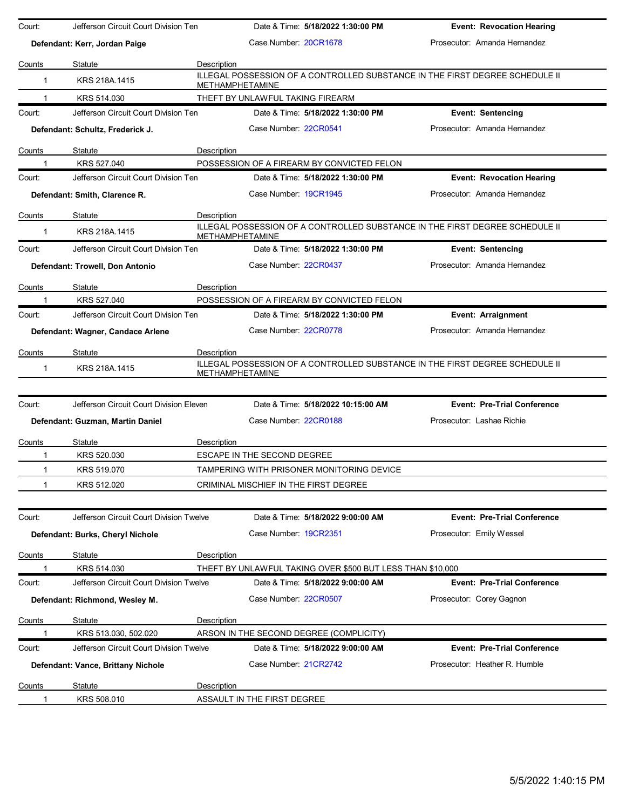| Court:       | Jefferson Circuit Court Division Ten    |             | Date & Time: 5/18/2022 1:30:00 PM                                                                      | <b>Event: Revocation Hearing</b>   |
|--------------|-----------------------------------------|-------------|--------------------------------------------------------------------------------------------------------|------------------------------------|
|              | Defendant: Kerr, Jordan Paige           |             | Case Number: 20CR1678                                                                                  | Prosecutor: Amanda Hernandez       |
| Counts       | Statute                                 | Description |                                                                                                        |                                    |
| 1            | KRS 218A.1415                           |             | ILLEGAL POSSESSION OF A CONTROLLED SUBSTANCE IN THE FIRST DEGREE SCHEDULE II<br><b>METHAMPHETAMINE</b> |                                    |
| 1            | KRS 514.030                             |             | THEFT BY UNLAWFUL TAKING FIREARM                                                                       |                                    |
| Court:       | Jefferson Circuit Court Division Ten    |             | Date & Time: 5/18/2022 1:30:00 PM                                                                      | <b>Event: Sentencing</b>           |
|              | Defendant: Schultz, Frederick J.        |             | Case Number. 22CR0541                                                                                  | Prosecutor: Amanda Hernandez       |
| Counts       | Statute                                 | Description |                                                                                                        |                                    |
|              | KRS 527.040                             |             | POSSESSION OF A FIREARM BY CONVICTED FELON                                                             |                                    |
| Court:       | Jefferson Circuit Court Division Ten    |             | Date & Time: 5/18/2022 1:30:00 PM                                                                      | <b>Event: Revocation Hearing</b>   |
|              | Defendant: Smith, Clarence R.           |             | Case Number 19CR1945                                                                                   | Prosecutor: Amanda Hernandez       |
| Counts       | Statute                                 | Description |                                                                                                        |                                    |
| 1            | KRS 218A.1415                           |             | ILLEGAL POSSESSION OF A CONTROLLED SUBSTANCE IN THE FIRST DEGREE SCHEDULE II<br><b>METHAMPHETAMINE</b> |                                    |
| Court:       | Jefferson Circuit Court Division Ten    |             | Date & Time: 5/18/2022 1:30:00 PM                                                                      | <b>Event: Sentencing</b>           |
|              | Defendant: Trowell, Don Antonio         |             | Case Number 22CR0437                                                                                   | Prosecutor: Amanda Hernandez       |
| Counts       | Statute                                 | Description |                                                                                                        |                                    |
|              | KRS 527.040                             |             | POSSESSION OF A FIREARM BY CONVICTED FELON                                                             |                                    |
| Court:       | Jefferson Circuit Court Division Ten    |             | Date & Time: 5/18/2022 1:30:00 PM                                                                      | Event: Arraignment                 |
|              | Defendant: Wagner, Candace Arlene       |             | Case Number: 22CR0778                                                                                  | Prosecutor: Amanda Hernandez       |
| Counts       | Statute                                 | Description |                                                                                                        |                                    |
| $\mathbf{1}$ | KRS 218A.1415                           |             | ILLEGAL POSSESSION OF A CONTROLLED SUBSTANCE IN THE FIRST DEGREE SCHEDULE II<br><b>METHAMPHETAMINE</b> |                                    |
| Court:       | Jefferson Circuit Court Division Eleven |             | Date & Time: 5/18/2022 10:15:00 AM                                                                     | <b>Event: Pre-Trial Conference</b> |
|              |                                         |             | Case Number: 22CR0188                                                                                  | Prosecutor: Lashae Richie          |
|              | Defendant: Guzman, Martin Daniel        |             |                                                                                                        |                                    |
| Counts       | Statute                                 | Description |                                                                                                        |                                    |
| 1            | KRS 520.030                             |             | ESCAPE IN THE SECOND DEGREE                                                                            |                                    |
| $\mathbf{1}$ | KRS 519.070                             |             | TAMPERING WITH PRISONER MONITORING DEVICE                                                              |                                    |
| 1            | KRS 512.020                             |             | CRIMINAL MISCHIEF IN THE FIRST DEGREE                                                                  |                                    |
| Court:       | Jefferson Circuit Court Division Twelve |             | Date & Time: 5/18/2022 9:00:00 AM                                                                      | <b>Event: Pre-Trial Conference</b> |
|              | Defendant: Burks, Cheryl Nichole        |             | Case Number 19CR2351                                                                                   | Prosecutor: Emily Wessel           |
| Counts       | Statute                                 | Description |                                                                                                        |                                    |
|              | KRS 514.030                             |             | THEFT BY UNLAWFUL TAKING OVER \$500 BUT LESS THAN \$10,000                                             |                                    |
| Court:       | Jefferson Circuit Court Division Twelve |             | Date & Time: 5/18/2022 9:00:00 AM                                                                      | <b>Event: Pre-Trial Conference</b> |
|              | Defendant: Richmond, Wesley M.          |             | Case Number: 22CR0507                                                                                  | Prosecutor: Corey Gagnon           |
| Counts       | Statute                                 | Description |                                                                                                        |                                    |
| 1            | KRS 513.030, 502.020                    |             | ARSON IN THE SECOND DEGREE (COMPLICITY)                                                                |                                    |
| Court:       | Jefferson Circuit Court Division Twelve |             | Date & Time: 5/18/2022 9:00:00 AM                                                                      | <b>Event: Pre-Trial Conference</b> |
|              | Defendant: Vance, Brittany Nichole      |             | Case Number: 21CR2742                                                                                  | Prosecutor: Heather R. Humble      |
| Counts       | Statute                                 | Description |                                                                                                        |                                    |
| 1            | KRS 508.010                             |             | ASSAULT IN THE FIRST DEGREE                                                                            |                                    |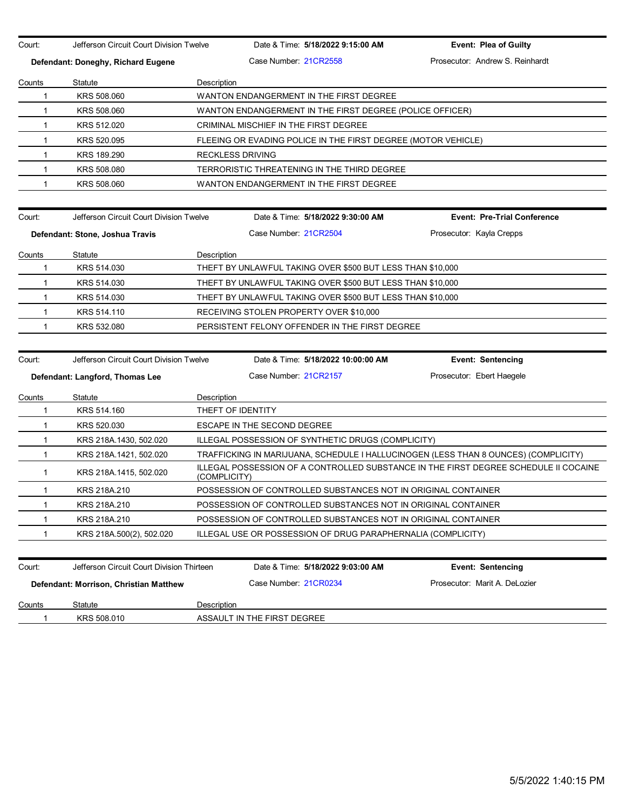Court: Jefferson Circuit Court Division Twelve Date & Time: 5/18/2022 9:15:00 AM **Event: Plea of Guilty Defendant: Doneghy, Richard Eugene** Case Number: 21CR2558 Prosecutor: Andrew S. Reinhardt Counts Statute **Description** 1 KRS 508.060 WANTON ENDANGERMENT IN THE FIRST DEGREE 1 KRS 508.060 WANTON ENDANGERMENT IN THE FIRST DEGREE (POLICE OFFICER) 1 KRS 512.020 CRIMINAL MISCHIEF IN THE FIRST DEGREE 1 KRS 520.095 FLEEING OR EVADING POLICE IN THE FIRST DEGREE (MOTOR VEHICLE) 1 KRS 189.290 RECKLESS DRIVING 1 KRS 508.080 TERRORISTIC THREATENING IN THE THIRD DEGREE 1 KRS 508.060 WANTON ENDANGERMENT IN THE FIRST DEGREE Court: Jefferson Circuit Court Division Twelve Date & Time: **5/18/2022 9:30:00 AM Event: Pre-Trial Conference Defendant: Stone, Joshua Travis Case Number: 21CR2504** Prosecutor: Kayla Crepps Counts Statute Description 1 KRS 514.030 THEFT BY UNLAWFUL TAKING OVER \$500 BUT LESS THAN \$10,000 1 KRS 514.030 THEFT BY UNLAWFUL TAKING OVER \$500 BUT LESS THAN \$10,000 1 KRS 514.030 THEFT BY UNLAWFUL TAKING OVER \$500 BUT LESS THAN \$10,000 1 KRS 514.110 RECEIVING STOLEN PROPERTY OVER \$10,000 1 KRS 532.080 PERSISTENT FELONY OFFENDER IN THE FIRST DEGREE Court: Jefferson Circuit Court Division Twelve Date & Time: **5/18/2022 10:00:00 AM Event: Sentencing Defendant: Langford, Thomas Lee** Case Number: 21CR2157 Prosecutor: Ebert Haegele Counts Statute **Description** 1 KRS 514.160 THEFT OF IDENTITY 1 KRS 520.030 ESCAPE IN THE SECOND DEGREE 1 KRS 218A.1430, 502.020 ILLEGAL POSSESSION OF SYNTHETIC DRUGS (COMPLICITY) 1 KRS 218A.1421, 502.020 TRAFFICKING IN MARIJUANA, SCHEDULE I HALLUCINOGEN (LESS THAN 8 OUNCES) (COMPLICITY) 1 KRS 218A.1415, 502.020 ILLEGAL POSSESSION OF A CONTROLLED SUBSTANCE IN THE FIRST DEGREE SCHEDULE II COCAINE (COMPLICITY) 1 KRS 218A.210 POSSESSION OF CONTROLLED SUBSTANCES NOT IN ORIGINAL CONTAINER 1 KRS 218A.210 POSSESSION OF CONTROLLED SUBSTANCES NOT IN ORIGINAL CONTAINER 1 KRS 218A.210 POSSESSION OF CONTROLLED SUBSTANCES NOT IN ORIGINAL CONTAINER 1 KRS 218A.500(2), 502.020 ILLEGAL USE OR POSSESSION OF DRUG PARAPHERNALIA (COMPLICITY) Court: Jefferson Circuit Court Division Thirteen Date & Time: **5/18/2022 9:03:00 AM Event: Sentencing Defendant: Morrison, Christian Matthew Case Number: 21CR0234 Prosecutor: Marit A. DeLozier Counts** Statute **Description** 1 KRS 508.010 ASSAULT IN THE FIRST DEGREE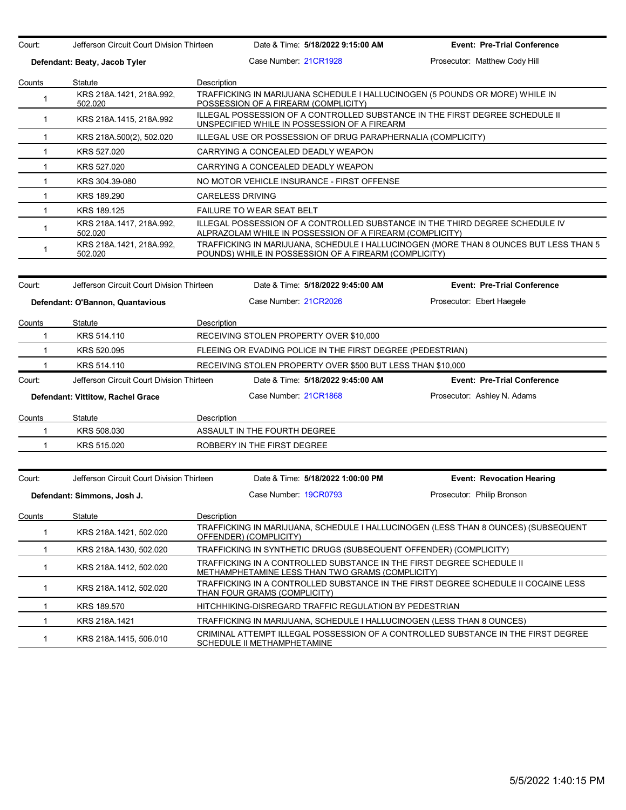| Court:       | Jefferson Circuit Court Division Thirteen |             | Date & Time: 5/18/2022 9:15:00 AM                                                                                                        | <b>Event: Pre-Trial Conference</b>                                                    |
|--------------|-------------------------------------------|-------------|------------------------------------------------------------------------------------------------------------------------------------------|---------------------------------------------------------------------------------------|
|              | Defendant: Beaty, Jacob Tyler             |             | Case Number 21CR1928                                                                                                                     | Prosecutor: Matthew Cody Hill                                                         |
| Counts       | Statute                                   | Description |                                                                                                                                          |                                                                                       |
| $\mathbf{1}$ | KRS 218A.1421, 218A.992,<br>502.020       |             | TRAFFICKING IN MARIJUANA SCHEDULE I HALLUCINOGEN (5 POUNDS OR MORE) WHILE IN<br>POSSESSION OF A FIREARM (COMPLICITY)                     |                                                                                       |
| $\mathbf{1}$ | KRS 218A 1415, 218A 992                   |             | ILLEGAL POSSESSION OF A CONTROLLED SUBSTANCE IN THE FIRST DEGREE SCHEDULE II<br>UNSPECIFIED WHILE IN POSSESSION OF A FIREARM             |                                                                                       |
| $\mathbf{1}$ | KRS 218A.500(2), 502.020                  |             | ILLEGAL USE OR POSSESSION OF DRUG PARAPHERNALIA (COMPLICITY)                                                                             |                                                                                       |
| $\mathbf{1}$ | KRS 527.020                               |             | CARRYING A CONCEALED DEADLY WEAPON                                                                                                       |                                                                                       |
| $\mathbf{1}$ | KRS 527.020                               |             | CARRYING A CONCEALED DEADLY WEAPON                                                                                                       |                                                                                       |
| $\mathbf{1}$ | KRS 304.39-080                            |             | NO MOTOR VEHICLE INSURANCE - FIRST OFFENSE                                                                                               |                                                                                       |
| $\mathbf{1}$ | KRS 189.290                               |             | <b>CARELESS DRIVING</b>                                                                                                                  |                                                                                       |
| $\mathbf{1}$ | KRS 189.125                               |             | <b>FAILURE TO WEAR SEAT BELT</b>                                                                                                         |                                                                                       |
| $\mathbf{1}$ | KRS 218A.1417, 218A.992,<br>502.020       |             | ILLEGAL POSSESSION OF A CONTROLLED SUBSTANCE IN THE THIRD DEGREE SCHEDULE IV<br>ALPRAZOLAM WHILE IN POSSESSION OF A FIREARM (COMPLICITY) |                                                                                       |
| $\mathbf{1}$ | KRS 218A.1421, 218A.992,<br>502.020       |             | POUNDS) WHILE IN POSSESSION OF A FIREARM (COMPLICITY)                                                                                    | TRAFFICKING IN MARIJUANA, SCHEDULE I HALLUCINOGEN (MORE THAN 8 OUNCES BUT LESS THAN 5 |
| Court:       | Jefferson Circuit Court Division Thirteen |             | Date & Time: 5/18/2022 9:45:00 AM                                                                                                        | <b>Event: Pre-Trial Conference</b>                                                    |
|              |                                           |             |                                                                                                                                          |                                                                                       |
|              | Defendant: O'Bannon, Quantavious          |             | Case Number 21CR2026                                                                                                                     | Prosecutor: Ebert Haegele                                                             |
| Counts       | Statute                                   | Description |                                                                                                                                          |                                                                                       |
| $\mathbf 1$  | KRS 514.110                               |             | RECEIVING STOLEN PROPERTY OVER \$10,000                                                                                                  |                                                                                       |
| $\mathbf{1}$ | KRS 520.095                               |             | FLEEING OR EVADING POLICE IN THE FIRST DEGREE (PEDESTRIAN)                                                                               |                                                                                       |
| $\mathbf{1}$ | KRS 514.110                               |             | RECEIVING STOLEN PROPERTY OVER \$500 BUT LESS THAN \$10,000                                                                              |                                                                                       |
| Court:       | Jefferson Circuit Court Division Thirteen |             | Date & Time: 5/18/2022 9:45:00 AM                                                                                                        | <b>Event: Pre-Trial Conference</b>                                                    |
|              | Defendant: Vittitow, Rachel Grace         |             | Case Number 21CR1868                                                                                                                     | Prosecutor: Ashley N. Adams                                                           |
| Counts       | Statute                                   | Description |                                                                                                                                          |                                                                                       |
| 1            | KRS 508.030                               |             | ASSAULT IN THE FOURTH DEGREE                                                                                                             |                                                                                       |
| $\mathbf{1}$ | KRS 515.020                               |             | ROBBERY IN THE FIRST DEGREE                                                                                                              |                                                                                       |
|              |                                           |             |                                                                                                                                          |                                                                                       |
| Court:       | Jefferson Circuit Court Division Thirteen |             | Date & Time: 5/18/2022 1:00:00 PM                                                                                                        | <b>Event: Revocation Hearing</b>                                                      |
|              | Defendant: Simmons, Josh J.               |             | Case Number: 19CR0793                                                                                                                    | Prosecutor: Philip Bronson                                                            |
| Counts       | Statute                                   | Description |                                                                                                                                          |                                                                                       |
| $\mathbf{1}$ | KRS 218A.1421, 502.020                    |             | OFFENDER) (COMPLICITY)                                                                                                                   | TRAFFICKING IN MARIJUANA, SCHEDULE I HALLUCINOGEN (LESS THAN 8 OUNCES) (SUBSEQUENT    |
| 1            | KRS 218A.1430, 502.020                    |             | TRAFFICKING IN SYNTHETIC DRUGS (SUBSEQUENT OFFENDER) (COMPLICITY)                                                                        |                                                                                       |
| $\mathbf{1}$ | KRS 218A.1412, 502.020                    |             | TRAFFICKING IN A CONTROLLED SUBSTANCE IN THE FIRST DEGREE SCHEDULE II<br>METHAMPHETAMINE LESS THAN TWO GRAMS (COMPLICITY)                |                                                                                       |
| $\mathbf{1}$ | KRS 218A 1412, 502.020                    |             | THAN FOUR GRAMS (COMPLICITY)                                                                                                             | TRAFFICKING IN A CONTROLLED SUBSTANCE IN THE FIRST DEGREE SCHEDULE II COCAINE LESS    |
| 1            | KRS 189.570                               |             | HITCHHIKING-DISREGARD TRAFFIC REGULATION BY PEDESTRIAN                                                                                   |                                                                                       |
| $\mathbf 1$  | KRS 218A.1421                             |             | TRAFFICKING IN MARIJUANA, SCHEDULE I HALLUCINOGEN (LESS THAN 8 OUNCES)                                                                   |                                                                                       |
| $\mathbf{1}$ | KRS 218A.1415, 506.010                    |             | SCHEDULE II METHAMPHETAMINE                                                                                                              | CRIMINAL ATTEMPT ILLEGAL POSSESSION OF A CONTROLLED SUBSTANCE IN THE FIRST DEGREE     |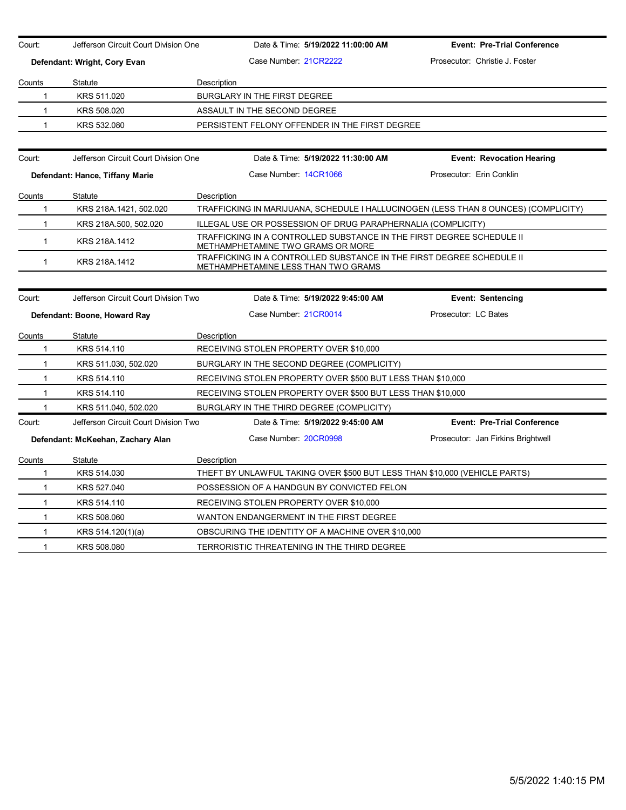| Court:       | Jefferson Circuit Court Division One |                              |                       | Date & Time: 5/19/2022 11:00:00 AM                           | <b>Event: Pre-Trial Conference</b>                                                  |
|--------------|--------------------------------------|------------------------------|-----------------------|--------------------------------------------------------------|-------------------------------------------------------------------------------------|
|              | Defendant: Wright, Cory Evan         |                              | Case Number 21CR2222  |                                                              | Prosecutor: Christie J. Foster                                                      |
| Counts       | Statute                              | Description                  |                       |                                                              |                                                                                     |
| $\mathbf{1}$ | KRS 511.020                          | BURGLARY IN THE FIRST DEGREE |                       |                                                              |                                                                                     |
| $\mathbf{1}$ | KRS 508.020                          | ASSAULT IN THE SECOND DEGREE |                       |                                                              |                                                                                     |
| $\mathbf{1}$ | KRS 532.080                          |                              |                       | PERSISTENT FELONY OFFENDER IN THE FIRST DEGREE               |                                                                                     |
| Court:       | Jefferson Circuit Court Division One |                              |                       | Date & Time: 5/19/2022 11:30:00 AM                           | <b>Event: Revocation Hearing</b>                                                    |
|              | Defendant: Hance, Tiffany Marie      |                              | Case Number: 14CR1066 |                                                              | Prosecutor: Erin Conklin                                                            |
| Counts       | Statute                              | Description                  |                       |                                                              |                                                                                     |
| $\mathbf{1}$ | KRS 218A.1421, 502.020               |                              |                       |                                                              | TRAFFICKING IN MARIJUANA, SCHEDULE I HALLUCINOGEN (LESS THAN 8 OUNCES) (COMPLICITY) |
| 1            | KRS 218A.500, 502.020                |                              |                       | ILLEGAL USE OR POSSESSION OF DRUG PARAPHERNALIA (COMPLICITY) |                                                                                     |
| $\mathbf{1}$ | KRS 218A.1412                        |                              |                       | <b>METHAMPHETAMINE TWO GRAMS OR MORE</b>                     | TRAFFICKING IN A CONTROLLED SUBSTANCE IN THE FIRST DEGREE SCHEDULE II               |
| $\mathbf{1}$ | KRS 218A.1412                        |                              |                       | METHAMPHETAMINE LESS THAN TWO GRAMS                          | TRAFFICKING IN A CONTROLLED SUBSTANCE IN THE FIRST DEGREE SCHEDULE II               |
|              |                                      |                              |                       |                                                              |                                                                                     |
| Court:       | Jefferson Circuit Court Division Two |                              |                       | Date & Time: 5/19/2022 9:45:00 AM                            | <b>Event: Sentencing</b>                                                            |
|              | Defendant: Boone, Howard Ray         |                              | Case Number 21CR0014  |                                                              | Prosecutor: LC Bates                                                                |
| Counts       | Statute                              | Description                  |                       |                                                              |                                                                                     |
| $\mathbf{1}$ | KRS 514.110                          |                              |                       | RECEIVING STOLEN PROPERTY OVER \$10,000                      |                                                                                     |
| $\mathbf{1}$ | KRS 511.030, 502.020                 |                              |                       | BURGLARY IN THE SECOND DEGREE (COMPLICITY)                   |                                                                                     |
| $\mathbf{1}$ | KRS 514.110                          |                              |                       | RECEIVING STOLEN PROPERTY OVER \$500 BUT LESS THAN \$10,000  |                                                                                     |
| $\mathbf{1}$ | KRS 514.110                          |                              |                       | RECEIVING STOLEN PROPERTY OVER \$500 BUT LESS THAN \$10,000  |                                                                                     |
| $\mathbf{1}$ | KRS 511.040, 502.020                 |                              |                       | BURGLARY IN THE THIRD DEGREE (COMPLICITY)                    |                                                                                     |
| Court:       | Jefferson Circuit Court Division Two |                              |                       | Date & Time: 5/19/2022 9:45:00 AM                            | <b>Event: Pre-Trial Conference</b>                                                  |
|              | Defendant: McKeehan, Zachary Alan    |                              | Case Number 20CR0998  |                                                              | Prosecutor: Jan Firkins Brightwell                                                  |
| Counts       | Statute                              | Description                  |                       |                                                              |                                                                                     |
| $\mathbf{1}$ | KRS 514.030                          |                              |                       |                                                              | THEFT BY UNLAWFUL TAKING OVER \$500 BUT LESS THAN \$10,000 (VEHICLE PARTS)          |
| $\mathbf{1}$ | KRS 527.040                          |                              |                       | POSSESSION OF A HANDGUN BY CONVICTED FELON                   |                                                                                     |
| $\mathbf{1}$ | KRS 514.110                          |                              |                       | RECEIVING STOLEN PROPERTY OVER \$10,000                      |                                                                                     |
| $\mathbf{1}$ | KRS 508.060                          |                              |                       | WANTON ENDANGERMENT IN THE FIRST DEGREE                      |                                                                                     |
| $\mathbf{1}$ | KRS 514.120(1)(a)                    |                              |                       | OBSCURING THE IDENTITY OF A MACHINE OVER \$10,000            |                                                                                     |
| $\mathbf{1}$ | KRS 508,080                          |                              |                       | TERRORISTIC THREATENING IN THE THIRD DEGREE                  |                                                                                     |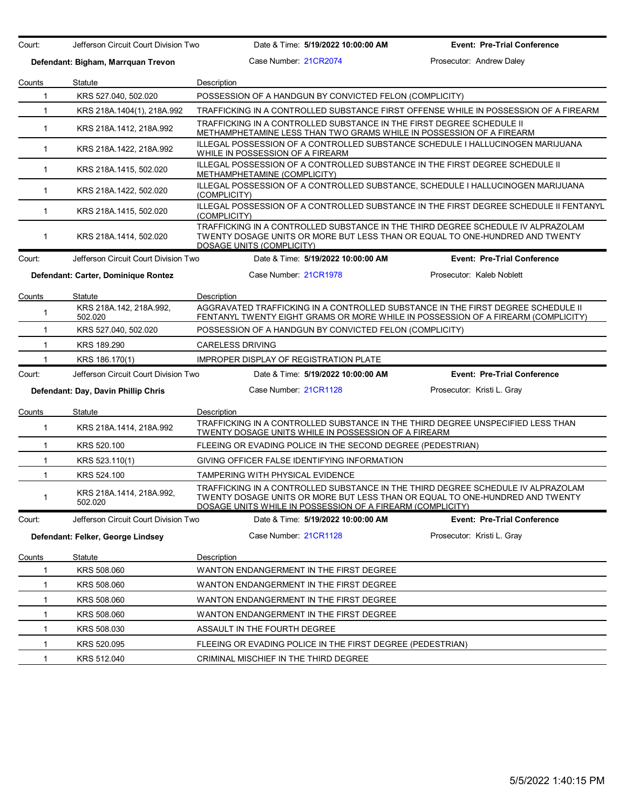Court: Jefferson Circuit Court Division Two Date & Time: **5/19/2022 10:00:00 AM Event: Pre-Trial Conference Defendant: Bigham, Marrquan Trevon** Case Number: 21CR2074 Prosecutor: Andrew Daley Counts Statute **Description** 1 KRS 527.040, 502.020 POSSESSION OF A HANDGUN BY CONVICTED FELON (COMPLICITY) 1 KRS 218A.1404(1), 218A.992 TRAFFICKING IN A CONTROLLED SUBSTANCE FIRST OFFENSE WHILE IN POSSESSION OF A FIREARM 1 KRS 218A.1412, 218A.992 TRAFFICKING IN A CONTROLLED SUBSTANCE IN THE FIRST DEGREE SCHEDULE II METHAMPHETAMINE LESS THAN TWO GRAMS WHILE IN POSSESSION OF A FIREARM 1 KRS 218A.1422, 218A.992 ILLEGAL POSSESSION OF A CONTROLLED SUBSTANCE SCHEDULE I HALLUCINOGEN MARIJUANA WHILE IN POSSESSION OF A FIREARM 1 KRS 218A.1415, 502.020 ILLEGAL POSSESSION OF A CONTROLLED SUBSTANCE IN THE FIRST DEGREE SCHEDULE II METHAMPHETAMINE (COMPLICITY) 1 KRS 218A.1422, 502.020 ILLEGAL POSSESSION OF A CONTROLLED SUBSTANCE, SCHEDULE I HALLUCINOGEN MARIJUANA (COMPLICITY) 1 KRS 218A.1415, 502.020 ILLEGAL POSSESSION OF A CONTROLLED SUBSTANCE IN THE FIRST DEGREE SCHEDULE II FENTANYL (COMPLICITY) 1 KRS 218A.1414, 502.020 TRAFFICKING IN A CONTROLLED SUBSTANCE IN THE THIRD DEGREE SCHEDULE IV ALPRAZOLAM TWENTY DOSAGE UNITS OR MORE BUT LESS THAN OR EQUAL TO ONE-HUNDRED AND TWENTY DOSAGE UNITS (COMPLICITY) Court: Jefferson Circuit Court Division Two Date & Time: **5/19/2022 10:00:00 AM Event: Pre-Trial Conference Defendant: Carter, Dominique Rontez** Case Number: 21CR1978 Prosecutor: Kaleb Noblett Counts Statute **Description** <sup>1</sup> KRS 218A.142, 218A.992, 502.020 AGGRAVATED TRAFFICKING IN A CONTROLLED SUBSTANCE IN THE FIRST DEGREE SCHEDULE II FENTANYL TWENTY EIGHT GRAMS OR MORE WHILE IN POSSESSION OF A FIREARM (COMPLICITY) 1 KRS 527.040, 502.020 POSSESSION OF A HANDGUN BY CONVICTED FELON (COMPLICITY) 1 KRS 189.290 CARELESS DRIVING 1 KRS 186.170(1) IMPROPER DISPLAY OF REGISTRATION PLATE Court: Jefferson Circuit Court Division Two Date & Time: **5/19/2022 10:00:00 AM Event: Pre-Trial Conference Defendant: Day, Davin Phillip Chris** Case Number: 21CR1128 Prosecutor: Kristi L. Gray Counts Statute Description 1 KRS 218A.1414, 218A.992 TRAFFICKING IN A CONTROLLED SUBSTANCE IN THE THIRD DEGREE UNSPECIFIED LESS THAN TWENTY DOSAGE UNITS WHILE IN POSSESSION OF A FIREARM 1 KRS 520.100 FLEEING OR EVADING POLICE IN THE SECOND DEGREE (PEDESTRIAN) 1 KRS 523.110(1) GIVING OFFICER FALSE IDENTIFYING INFORMATION 1 KRS 524.100 TAMPERING WITH PHYSICAL EVIDENCE <sup>1</sup> KRS 218A.1414, 218A.992, 502.020 TRAFFICKING IN A CONTROLLED SUBSTANCE IN THE THIRD DEGREE SCHEDULE IV ALPRAZOLAM TWENTY DOSAGE UNITS OR MORE BUT LESS THAN OR EQUAL TO ONE-HUNDRED AND TWENTY DOSAGE UNITS WHILE IN POSSESSION OF A FIREARM (COMPLICITY) Court: Jefferson Circuit Court Division Two Date & Time: **5/19/2022 10:00:00 AM Event: Pre-Trial Conference Defendant: Felker, George Lindsey Case Number: 21CR1128** Prosecutor: Kristi L. Gray Counts Statute Description 1 KRS 508.060 WANTON ENDANGERMENT IN THE FIRST DEGREE 1 KRS 508.060 WANTON ENDANGERMENT IN THE FIRST DEGREE 1 KRS 508.060 WANTON ENDANGERMENT IN THE FIRST DEGREE 1 KRS 508.060 WANTON ENDANGERMENT IN THE FIRST DEGREE 1 KRS 508.030 ASSAULT IN THE FOURTH DEGREE 1 KRS 520.095 FLEEING OR EVADING POLICE IN THE FIRST DEGREE (PEDESTRIAN) 1 KRS 512.040 CRIMINAL MISCHIEF IN THE THIRD DEGREE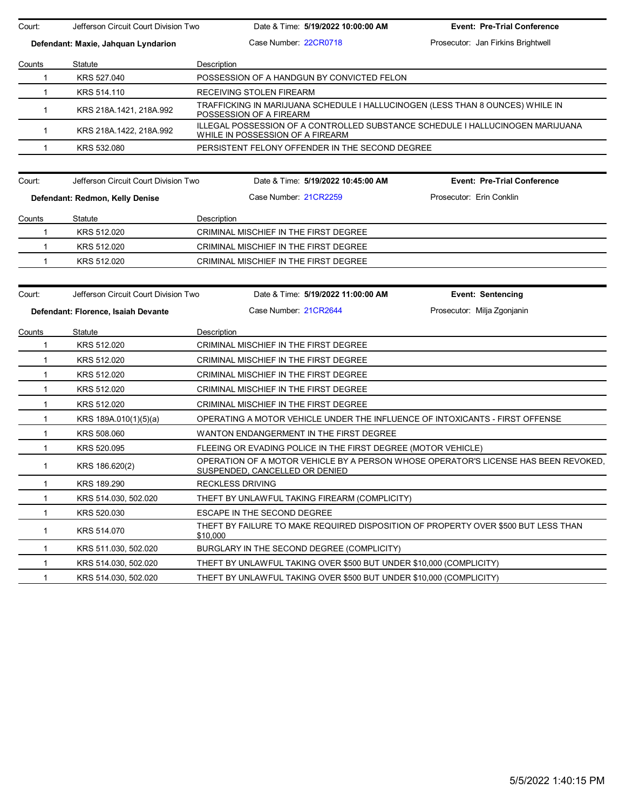| Court:        | Jefferson Circuit Court Division Two | Date & Time: 5/19/2022 10:00:00 AM                                                                                           | <b>Event: Pre-Trial Conference</b> |
|---------------|--------------------------------------|------------------------------------------------------------------------------------------------------------------------------|------------------------------------|
|               | Defendant: Maxie, Jahquan Lyndarion  | Case Number: 22CR0718                                                                                                        | Prosecutor: Jan Firkins Brightwell |
| Counts        | Statute                              | Description                                                                                                                  |                                    |
| 1             | KRS 527.040                          | POSSESSION OF A HANDGUN BY CONVICTED FELON                                                                                   |                                    |
| $\mathbf{1}$  | KRS 514.110                          | RECEIVING STOLEN FIREARM                                                                                                     |                                    |
| 1             | KRS 218A.1421, 218A.992              | TRAFFICKING IN MARIJUANA SCHEDULE I HALLUCINOGEN (LESS THAN 8 OUNCES) WHILE IN<br>POSSESSION OF A FIREARM                    |                                    |
| $\mathbf{1}$  | KRS 218A.1422, 218A.992              | ILLEGAL POSSESSION OF A CONTROLLED SUBSTANCE SCHEDULE I HALLUCINOGEN MARIJUANA<br>WHILE IN POSSESSION OF A FIREARM           |                                    |
| 1             | KRS 532.080                          | PERSISTENT FELONY OFFENDER IN THE SECOND DEGREE                                                                              |                                    |
| Court:        | Jefferson Circuit Court Division Two | Date & Time: 5/19/2022 10:45:00 AM                                                                                           | <b>Event: Pre-Trial Conference</b> |
|               | Defendant: Redmon, Kelly Denise      | Case Number 21CR2259                                                                                                         | Prosecutor: Erin Conklin           |
| <b>Counts</b> | Statute                              | Description                                                                                                                  |                                    |
| 1             | KRS 512.020                          | CRIMINAL MISCHIEF IN THE FIRST DEGREE                                                                                        |                                    |
| 1             | KRS 512.020                          | CRIMINAL MISCHIEF IN THE FIRST DEGREE                                                                                        |                                    |
| 1             | KRS 512.020                          | CRIMINAL MISCHIEF IN THE FIRST DEGREE                                                                                        |                                    |
|               |                                      |                                                                                                                              |                                    |
| Court:        | Jefferson Circuit Court Division Two | Date & Time: 5/19/2022 11:00:00 AM                                                                                           | <b>Event: Sentencing</b>           |
|               |                                      |                                                                                                                              |                                    |
|               | Defendant: Florence, Isaiah Devante  | Case Number 21CR2644                                                                                                         | Prosecutor: Milja Zgonjanin        |
| Counts        | Statute                              | Description                                                                                                                  |                                    |
| 1             | KRS 512.020                          | CRIMINAL MISCHIEF IN THE FIRST DEGREE                                                                                        |                                    |
| 1             | KRS 512.020                          | CRIMINAL MISCHIEF IN THE FIRST DEGREE                                                                                        |                                    |
| 1             | KRS 512.020                          | CRIMINAL MISCHIEF IN THE FIRST DEGREE                                                                                        |                                    |
| 1             | KRS 512.020                          | CRIMINAL MISCHIEF IN THE FIRST DEGREE                                                                                        |                                    |
| 1             | KRS 512.020                          | CRIMINAL MISCHIEF IN THE FIRST DEGREE                                                                                        |                                    |
| 1             | KRS 189A.010(1)(5)(a)                | OPERATING A MOTOR VEHICLE UNDER THE INFLUENCE OF INTOXICANTS - FIRST OFFENSE                                                 |                                    |
| 1             | KRS 508.060                          | WANTON ENDANGERMENT IN THE FIRST DEGREE                                                                                      |                                    |
| 1             | KRS 520.095                          | FLEEING OR EVADING POLICE IN THE FIRST DEGREE (MOTOR VEHICLE)                                                                |                                    |
| 1             | KRS 186.620(2)                       | OPERATION OF A MOTOR VEHICLE BY A PERSON WHOSE OPERATOR'S LICENSE HAS BEEN REVOKED.<br><u>SUSPENDED, CANCELLED OR DENIED</u> |                                    |
| 1             | KRS 189.290                          | <b>RECKLESS DRIVING</b>                                                                                                      |                                    |
| 1             | KRS 514.030, 502.020                 | THEFT BY UNLAWFUL TAKING FIREARM (COMPLICITY)                                                                                |                                    |
| 1             | KRS 520.030                          | ESCAPE IN THE SECOND DEGREE                                                                                                  |                                    |
| 1             | KRS 514.070                          | THEFT BY FAILURE TO MAKE REQUIRED DISPOSITION OF PROPERTY OVER \$500 BUT LESS THAN<br>\$10,000                               |                                    |
| 1             | KRS 511.030, 502.020                 | BURGLARY IN THE SECOND DEGREE (COMPLICITY)                                                                                   |                                    |
| 1             | KRS 514.030, 502.020                 | THEFT BY UNLAWFUL TAKING OVER \$500 BUT UNDER \$10,000 (COMPLICITY)                                                          |                                    |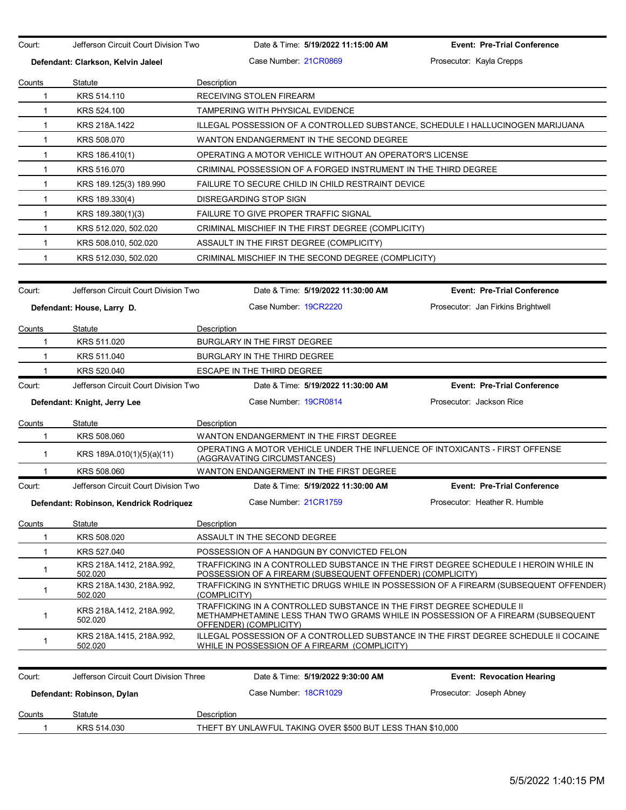Court: Jefferson Circuit Court Division Two Date & Time: **5/19/2022 11:15:00 AM Event: Pre-Trial Conference Defendant: Clarkson, Kelvin Jaleel Case Number: 21CR0869 Prosecutor: Kayla Crepps** Prosecutor: Kayla Crepps Counts Statute **Description** 1 KRS 514.110 RECEIVING STOLEN FIREARM 1 KRS 524.100 TAMPERING WITH PHYSICAL EVIDENCE 1 KRS 218A.1422 ILLEGAL POSSESSION OF A CONTROLLED SUBSTANCE, SCHEDULE I HALLUCINOGEN MARIJUANA 1 KRS 508.070 WANTON ENDANGERMENT IN THE SECOND DEGREE 1 KRS 186.410(1) OPERATING A MOTOR VEHICLE WITHOUT AN OPERATOR'S LICENSE 1 KRS 516.070 CRIMINAL POSSESSION OF A FORGED INSTRUMENT IN THE THIRD DEGREE 1 KRS 189.125(3) 189.990 FAILURE TO SECURE CHILD IN CHILD RESTRAINT DEVICE 1 KRS 189.330(4) DISREGARDING STOP SIGN 1 KRS 189.380(1)(3) FAILURE TO GIVE PROPER TRAFFIC SIGNAL 1 KRS 512.020, 502.020 CRIMINAL MISCHIEF IN THE FIRST DEGREE (COMPLICITY) 1 KRS 508.010, 502.020 ASSAULT IN THE FIRST DEGREE (COMPLICITY) 1 KRS 512.030, 502.020 CRIMINAL MISCHIEF IN THE SECOND DEGREE (COMPLICITY) Court: Jefferson Circuit Court Division Two Date & Time: **5/19/2022 11:30:00 AM Event: Pre-Trial Conference Defendant: House, Larry D.** Case Number: 19CR2220 Prosecutor: Jan Firkins Brightwell Counts Statute Description 1 KRS 511.020 BURGLARY IN THE FIRST DEGREE 1 KRS 511.040 BURGLARY IN THE THIRD DEGREE 1 KRS 520.040 ESCAPE IN THE THIRD DEGREE Court: Jefferson Circuit Court Division Two Date & Time: **5/19/2022 11:30:00 AM Event: Pre-Trial Conference Defendant: Knight, Jerry Lee Case Number: 19CR0814** Prosecutor: Jackson Rice Prosecutor: Jackson Rice Counts Statute **Description** 1 KRS 508.060 WANTON ENDANGERMENT IN THE FIRST DEGREE 1 KRS 189A.010(1)(5)(a)(11) OPERATING A MOTOR VEHICLE UNDER THE INFLUENCE OF INTOXICANTS - FIRST OFFENSE (AGGRAVATING CIRCUMSTANCES) 1 KRS 508.060 WANTON ENDANGERMENT IN THE FIRST DEGREE Court: Jefferson Circuit Court Division Two Date & Time: **5/19/2022 11:30:00 AM Event: Pre-Trial Conference Defendant: Robinson, Kendrick Rodriquez** Case Number: 21CR1759 Prosecutor: Heather R. Humble Counts Statute **Description** 1 KRS 508.020 ASSAULT IN THE SECOND DEGREE 1 KRS 527.040 POSSESSION OF A HANDGUN BY CONVICTED FELON 1 KRS 218A.1412, 218A.992, 502.020 TRAFFICKING IN A CONTROLLED SUBSTANCE IN THE FIRST DEGREE SCHEDULE I HEROIN WHILE IN POSSESSION OF A FIREARM (SUBSEQUENT OFFENDER) (COMPLICITY) <sup>1</sup> KRS 218A.1430, 218A.992, 502.020 TRAFFICKING IN SYNTHETIC DRUGS WHILE IN POSSESSION OF A FIREARM (SUBSEQUENT OFFENDER) (COMPLICITY) 1 KRS 218A.1412, 218A.992, 502.020 TRAFFICKING IN A CONTROLLED SUBSTANCE IN THE FIRST DEGREE SCHEDULE II METHAMPHETAMINE LESS THAN TWO GRAMS WHILE IN POSSESSION OF A FIREARM (SUBSEQUENT OFFENDER) (COMPLICITY) 1 KRS 218A.1415, 218A.992, 502.020 ILLEGAL POSSESSION OF A CONTROLLED SUBSTANCE IN THE FIRST DEGREE SCHEDULE II COCAINE WHILE IN POSSESSION OF A FIREARM (COMPLICITY) Court: Jefferson Circuit Court Division Three Date & Time: **5/19/2022 9:30:00 AM Event: Revocation Hearing Defendant: Robinson, Dylan <b>Case Number:** 18CR1029 Prosecutor: Joseph Abney **Counts** Statute **Description** 1 KRS 514.030 THEFT BY UNLAWFUL TAKING OVER \$500 BUT LESS THAN \$10,000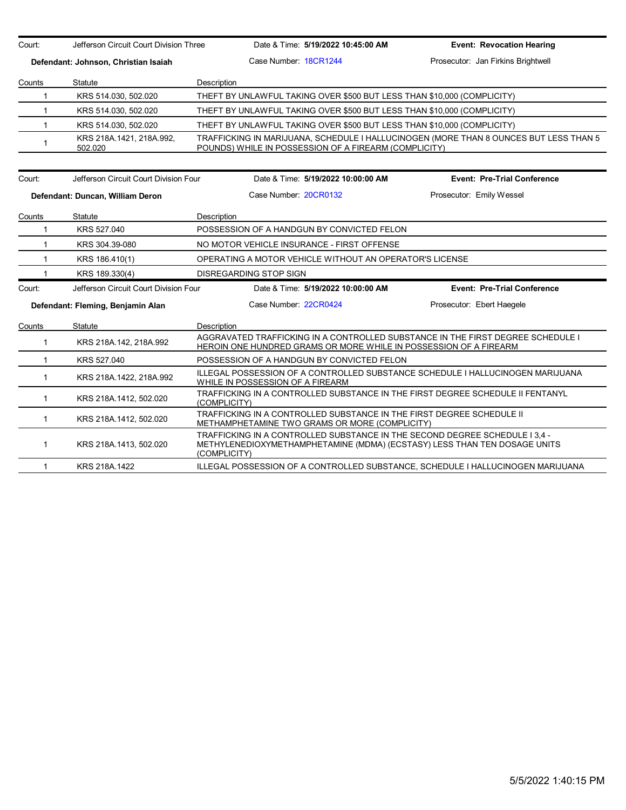Court: Jefferson Circuit Court Division Three Date & Time: **5/19/2022 10:45:00 AM Event: Revocation Hearing Defendant: Johnson, Christian Isaiah** Case Number: 18CR1244 Prosecutor: Jan Firkins Brightwell Counts Statute **Description** 1 KRS 514.030, 502.020 THEFT BY UNLAWFUL TAKING OVER \$500 BUT LESS THAN \$10,000 (COMPLICITY) 1 KRS 514.030, 502.020 THEFT BY UNLAWFUL TAKING OVER \$500 BUT LESS THAN \$10,000 (COMPLICITY) 1 KRS 514.030, 502.020 THEFT BY UNLAWFUL TAKING OVER \$500 BUT LESS THAN \$10,000 (COMPLICITY) 1 KRS 218A.1421, 218A.992, 502.020 TRAFFICKING IN MARIJUANA, SCHEDULE I HALLUCINOGEN (MORE THAN 8 OUNCES BUT LESS THAN 5 POUNDS) WHILE IN POSSESSION OF A FIREARM (COMPLICITY) Court: Jefferson Circuit Court Division Four Date & Time: **5/19/2022 10:00:00 AM Event: Pre-Trial Conference Defendant: Duncan, William Deron Case Number: 20CR0132** Prosecutor: Emily Wessel Counts Statute Description 1 KRS 527.040 POSSESSION OF A HANDGUN BY CONVICTED FELON 1 KRS 304.39-080 NO MOTOR VEHICLE INSURANCE - FIRST OFFENSE 1 KRS 186.410(1) OPERATING A MOTOR VEHICLE WITHOUT AN OPERATOR'S LICENSE 1 KRS 189.330(4) DISREGARDING STOP SIGN Court: Jefferson Circuit Court Division Four Date & Time: **5/19/2022 10:00:00 AM Event: Pre-Trial Conference Defendant: Fleming, Benjamin Alan** Case Number: 22CR0424 Prosecutor: Ebert Haegele Counts Statute Description 1 KRS 218A.142, 218A.992 AGGRAVATED TRAFFICKING IN A CONTROLLED SUBSTANCE IN THE FIRST DEGREE SCHEDULE I HEROIN ONE HUNDRED GRAMS OR MORE WHILE IN POSSESSION OF A FIREARM 1 KRS 527.040 POSSESSION OF A HANDGUN BY CONVICTED FELON 1 KRS 218A.1422, 218A.992 ILLEGAL POSSESSION OF A CONTROLLED SUBSTANCE SCHEDULE I HALLUCINOGEN MARIJUANA WHILE IN POSSESSION OF A FIREARM 1 KRS 218A.1412, 502.020 TRAFFICKING IN A CONTROLLED SUBSTANCE IN THE FIRST DEGREE SCHEDULE II FENTANYL (COMPLICITY) 1 KRS 218A.1412, 502.020 TRAFFICKING IN A CONTROLLED SUBSTANCE IN THE FIRST DEGREE SCHEDULE II METHAMPHETAMINE TWO GRAMS OR MORE (COMPLICITY) 1 KRS 218A.1413, 502.020 TRAFFICKING IN A CONTROLLED SUBSTANCE IN THE SECOND DEGREE SCHEDULE I 3,4 - METHYLENEDIOXYMETHAMPHETAMINE (MDMA) (ECSTASY) LESS THAN TEN DOSAGE UNITS (COMPLICITY) 1 KRS 218A.1422 ILLEGAL POSSESSION OF A CONTROLLED SUBSTANCE, SCHEDULE I HALLUCINOGEN MARIJUANA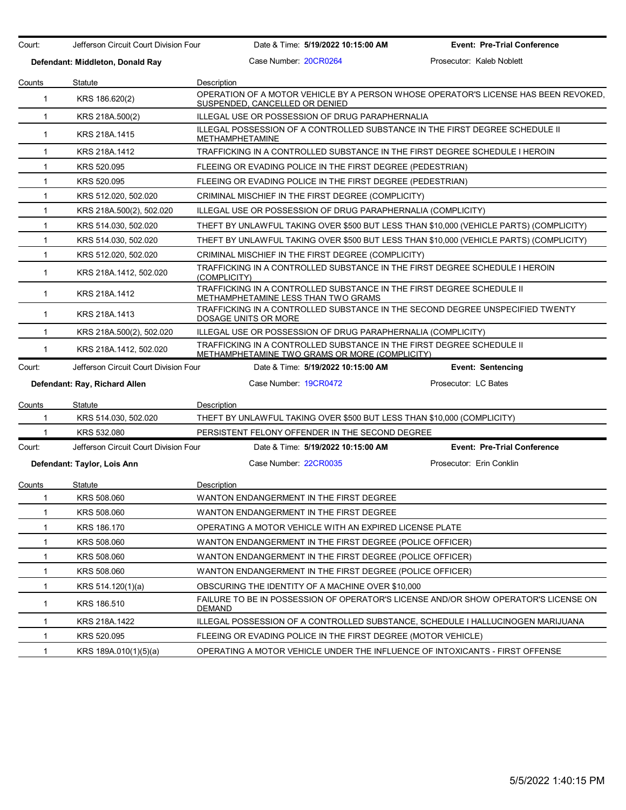| Court:       | Jefferson Circuit Court Division Four |                                         | Date & Time: 5/19/2022 10:15:00 AM                            | <b>Event: Pre-Trial Conference</b>                                                      |  |
|--------------|---------------------------------------|-----------------------------------------|---------------------------------------------------------------|-----------------------------------------------------------------------------------------|--|
|              | Defendant: Middleton, Donald Ray      | Case Number: 20CR0264                   |                                                               | Prosecutor: Kaleb Noblett                                                               |  |
| Counts       | Statute                               | Description                             |                                                               |                                                                                         |  |
| 1            | KRS 186.620(2)                        | SUSPENDED, CANCELLED OR DENIED          |                                                               | OPERATION OF A MOTOR VEHICLE BY A PERSON WHOSE OPERATOR'S LICENSE HAS BEEN REVOKED.     |  |
| 1            | KRS 218A.500(2)                       |                                         | ILLEGAL USE OR POSSESSION OF DRUG PARAPHERNALIA               |                                                                                         |  |
| $\mathbf{1}$ | KRS 218A.1415                         | <b>METHAMPHETAMINE</b>                  |                                                               | ILLEGAL POSSESSION OF A CONTROLLED SUBSTANCE IN THE FIRST DEGREE SCHEDULE II            |  |
| 1            | KRS 218A.1412                         |                                         |                                                               | TRAFFICKING IN A CONTROLLED SUBSTANCE IN THE FIRST DEGREE SCHEDULE I HEROIN             |  |
| 1            | KRS 520.095                           |                                         | FLEEING OR EVADING POLICE IN THE FIRST DEGREE (PEDESTRIAN)    |                                                                                         |  |
| 1            | KRS 520.095                           |                                         | FLEEING OR EVADING POLICE IN THE FIRST DEGREE (PEDESTRIAN)    |                                                                                         |  |
| 1            | KRS 512.020, 502.020                  |                                         | CRIMINAL MISCHIEF IN THE FIRST DEGREE (COMPLICITY)            |                                                                                         |  |
| 1            | KRS 218A.500(2), 502.020              |                                         | ILLEGAL USE OR POSSESSION OF DRUG PARAPHERNALIA (COMPLICITY)  |                                                                                         |  |
| 1            | KRS 514.030, 502.020                  |                                         |                                                               | THEFT BY UNLAWFUL TAKING OVER \$500 BUT LESS THAN \$10,000 (VEHICLE PARTS) (COMPLICITY) |  |
| 1            | KRS 514.030, 502.020                  |                                         |                                                               | THEFT BY UNLAWFUL TAKING OVER \$500 BUT LESS THAN \$10,000 (VEHICLE PARTS) (COMPLICITY) |  |
| 1            | KRS 512.020, 502.020                  |                                         | CRIMINAL MISCHIEF IN THE FIRST DEGREE (COMPLICITY)            |                                                                                         |  |
| 1            | KRS 218A.1412, 502.020                | (COMPLICITY)                            |                                                               | TRAFFICKING IN A CONTROLLED SUBSTANCE IN THE FIRST DEGREE SCHEDULE I HEROIN             |  |
| 1            | KRS 218A.1412                         | METHAMPHETAMINE LESS THAN TWO GRAMS     |                                                               | TRAFFICKING IN A CONTROLLED SUBSTANCE IN THE FIRST DEGREE SCHEDULE II                   |  |
| 1            | KRS 218A.1413                         | DOSAGE UNITS OR MORE                    |                                                               | TRAFFICKING IN A CONTROLLED SUBSTANCE IN THE SECOND DEGREE UNSPECIFIED TWENTY           |  |
| 1            | KRS 218A.500(2), 502.020              |                                         | ILLEGAL USE OR POSSESSION OF DRUG PARAPHERNALIA (COMPLICITY)  |                                                                                         |  |
| 1            | KRS 218A.1412, 502.020                |                                         | METHAMPHETAMINE TWO GRAMS OR MORE (COMPLICITY)                | TRAFFICKING IN A CONTROLLED SUBSTANCE IN THE FIRST DEGREE SCHEDULE II                   |  |
| Court:       | Jefferson Circuit Court Division Four |                                         | Date & Time: 5/19/2022 10:15:00 AM                            | <b>Event: Sentencing</b>                                                                |  |
|              | Defendant: Ray, Richard Allen         | Case Number 19CR0472                    |                                                               | Prosecutor: LC Bates                                                                    |  |
| Counts       | Statute                               | Description                             |                                                               |                                                                                         |  |
| 1            | KRS 514.030, 502.020                  |                                         |                                                               | THEFT BY UNLAWFUL TAKING OVER \$500 BUT LESS THAN \$10,000 (COMPLICITY)                 |  |
| 1            | KRS 532.080                           |                                         | PERSISTENT FELONY OFFENDER IN THE SECOND DEGREE               |                                                                                         |  |
| Court:       | Jefferson Circuit Court Division Four |                                         | Date & Time: 5/19/2022 10:15:00 AM                            | <b>Event: Pre-Trial Conference</b>                                                      |  |
|              | Defendant: Taylor, Lois Ann           | Case Number 22CR0035                    |                                                               | Prosecutor: Erin Conklin                                                                |  |
| Counts       | Statute                               | Description                             |                                                               |                                                                                         |  |
| 1            | KRS 508.060                           | WANTON ENDANGERMENT IN THE FIRST DEGREE |                                                               |                                                                                         |  |
| 1            | KRS 508.060                           | WANTON ENDANGERMENT IN THE FIRST DEGREE |                                                               |                                                                                         |  |
| 1            | KRS 186.170                           |                                         | OPERATING A MOTOR VEHICLE WITH AN EXPIRED LICENSE PLATE       |                                                                                         |  |
| 1            | KRS 508.060                           |                                         | WANTON ENDANGERMENT IN THE FIRST DEGREE (POLICE OFFICER)      |                                                                                         |  |
| 1            | KRS 508.060                           |                                         | WANTON ENDANGERMENT IN THE FIRST DEGREE (POLICE OFFICER)      |                                                                                         |  |
| 1            | KRS 508.060                           |                                         | WANTON ENDANGERMENT IN THE FIRST DEGREE (POLICE OFFICER)      |                                                                                         |  |
| 1            | KRS 514.120(1)(a)                     |                                         | OBSCURING THE IDENTITY OF A MACHINE OVER \$10,000             |                                                                                         |  |
| 1            | KRS 186.510                           | <b>DEMAND</b>                           |                                                               | FAILURE TO BE IN POSSESSION OF OPERATOR'S LICENSE AND/OR SHOW OPERATOR'S LICENSE ON     |  |
| 1            | KRS 218A.1422                         |                                         |                                                               | ILLEGAL POSSESSION OF A CONTROLLED SUBSTANCE, SCHEDULE I HALLUCINOGEN MARIJUANA         |  |
| 1            | KRS 520.095                           |                                         | FLEEING OR EVADING POLICE IN THE FIRST DEGREE (MOTOR VEHICLE) |                                                                                         |  |
| 1            | KRS 189A.010(1)(5)(a)                 |                                         |                                                               | OPERATING A MOTOR VEHICLE UNDER THE INFLUENCE OF INTOXICANTS - FIRST OFFENSE            |  |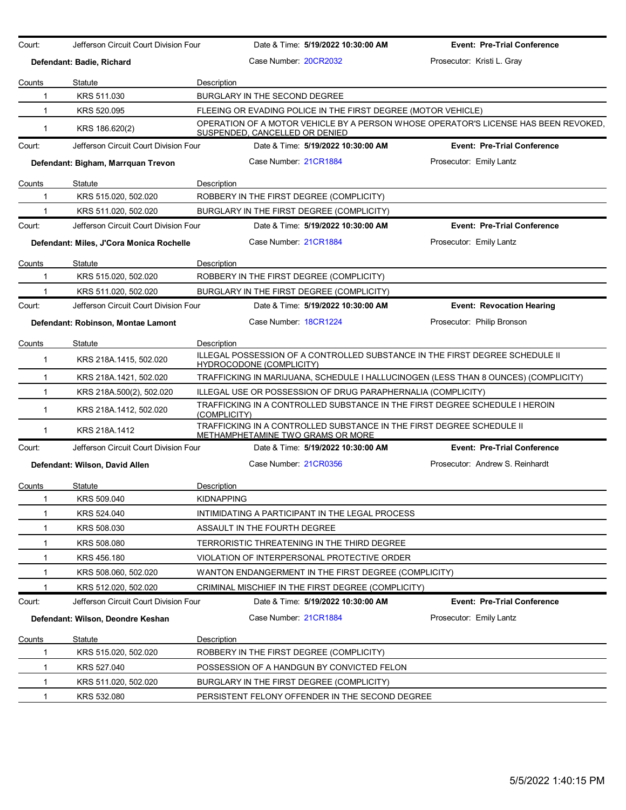| Court:        | Jefferson Circuit Court Division Four    |                    |                                       | Date & Time: 5/19/2022 10:30:00 AM                            | <b>Event: Pre-Trial Conference</b>                                                  |
|---------------|------------------------------------------|--------------------|---------------------------------------|---------------------------------------------------------------|-------------------------------------------------------------------------------------|
|               | Defendant: Badie, Richard                |                    | Case Number 20CR2032                  |                                                               | Prosecutor: Kristi L. Gray                                                          |
| Counts        | Statute                                  | Description        |                                       |                                                               |                                                                                     |
| 1             | KRS 511.030                              |                    | BURGLARY IN THE SECOND DEGREE         |                                                               |                                                                                     |
| 1             | KRS 520.095                              |                    |                                       | FLEEING OR EVADING POLICE IN THE FIRST DEGREE (MOTOR VEHICLE) |                                                                                     |
| 1             | KRS 186.620(2)                           |                    | <u>SUSPENDED, CANCELLED OR DENIED</u> |                                                               | OPERATION OF A MOTOR VEHICLE BY A PERSON WHOSE OPERATOR'S LICENSE HAS BEEN REVOKED. |
| Court:        | Jefferson Circuit Court Division Four    |                    |                                       | Date & Time: 5/19/2022 10:30:00 AM                            | <b>Event: Pre-Trial Conference</b>                                                  |
|               | Defendant: Bigham, Marrquan Trevon       |                    | Case Number 21CR1884                  |                                                               | Prosecutor: Emily Lantz                                                             |
| Counts        | Statute                                  | Description        |                                       |                                                               |                                                                                     |
| 1             | KRS 515.020, 502.020                     |                    |                                       | ROBBERY IN THE FIRST DEGREE (COMPLICITY)                      |                                                                                     |
|               | KRS 511.020, 502.020                     |                    |                                       | BURGLARY IN THE FIRST DEGREE (COMPLICITY)                     |                                                                                     |
| Court:        | Jefferson Circuit Court Division Four    |                    |                                       | Date & Time: 5/19/2022 10:30:00 AM                            | <b>Event: Pre-Trial Conference</b>                                                  |
|               | Defendant: Miles, J'Cora Monica Rochelle |                    | Case Number 21CR1884                  |                                                               | Prosecutor: Emily Lantz                                                             |
| Counts        | Statute                                  | Description        |                                       |                                                               |                                                                                     |
| 1             | KRS 515.020, 502.020                     |                    |                                       | ROBBERY IN THE FIRST DEGREE (COMPLICITY)                      |                                                                                     |
|               | KRS 511.020, 502.020                     |                    |                                       | BURGLARY IN THE FIRST DEGREE (COMPLICITY)                     |                                                                                     |
| Court:        | Jefferson Circuit Court Division Four    |                    |                                       | Date & Time: 5/19/2022 10:30:00 AM                            | <b>Event: Revocation Hearing</b>                                                    |
|               | Defendant: Robinson, Montae Lamont       |                    | Case Number 18CR1224                  |                                                               | Prosecutor: Philip Bronson                                                          |
| Counts        | Statute                                  | Description        |                                       |                                                               |                                                                                     |
| 1             | KRS 218A.1415, 502.020                   |                    | <b>HYDROCODONE (COMPLICITY)</b>       |                                                               | ILLEGAL POSSESSION OF A CONTROLLED SUBSTANCE IN THE FIRST DEGREE SCHEDULE II        |
| 1             | KRS 218A.1421, 502.020                   |                    |                                       |                                                               | TRAFFICKING IN MARIJUANA, SCHEDULE I HALLUCINOGEN (LESS THAN 8 OUNCES) (COMPLICITY) |
| $\mathbf{1}$  | KRS 218A.500(2), 502.020                 |                    |                                       | ILLEGAL USE OR POSSESSION OF DRUG PARAPHERNALIA (COMPLICITY)  |                                                                                     |
| $\mathbf{1}$  | KRS 218A.1412, 502.020                   | (COMPLICITY)       |                                       |                                                               | TRAFFICKING IN A CONTROLLED SUBSTANCE IN THE FIRST DEGREE SCHEDULE I HEROIN         |
| 1             | KRS 218A.1412                            |                    |                                       | <u>METHAMPHETAMINE TWO GRAMS OR MORE</u>                      | TRAFFICKING IN A CONTROLLED SUBSTANCE IN THE FIRST DEGREE SCHEDULE II               |
| Court:        | Jefferson Circuit Court Division Four    |                    |                                       | Date & Time: 5/19/2022 10:30:00 AM                            | <b>Event: Pre-Trial Conference</b>                                                  |
|               | Defendant: Wilson, David Allen           |                    | Case Number 21CR0356                  |                                                               | Prosecutor: Andrew S. Reinhardt                                                     |
| Counts        | Statute                                  | <b>Description</b> |                                       |                                                               |                                                                                     |
| 1             | KRS 509.040                              | <b>KIDNAPPING</b>  |                                       |                                                               |                                                                                     |
| 1             | KRS 524.040                              |                    |                                       | INTIMIDATING A PARTICIPANT IN THE LEGAL PROCESS               |                                                                                     |
| 1             | KRS 508.030                              |                    | ASSAULT IN THE FOURTH DEGREE          |                                                               |                                                                                     |
| 1             | KRS 508.080                              |                    |                                       | TERRORISTIC THREATENING IN THE THIRD DEGREE                   |                                                                                     |
| 1             | KRS 456.180                              |                    |                                       | VIOLATION OF INTERPERSONAL PROTECTIVE ORDER                   |                                                                                     |
| 1             | KRS 508.060, 502.020                     |                    |                                       | WANTON ENDANGERMENT IN THE FIRST DEGREE (COMPLICITY)          |                                                                                     |
|               | KRS 512.020, 502.020                     |                    |                                       | CRIMINAL MISCHIEF IN THE FIRST DEGREE (COMPLICITY)            |                                                                                     |
| Court:        | Jefferson Circuit Court Division Four    |                    |                                       | Date & Time: 5/19/2022 10:30:00 AM                            | <b>Event: Pre-Trial Conference</b>                                                  |
|               | Defendant: Wilson, Deondre Keshan        |                    | Case Number 21CR1884                  |                                                               | Prosecutor: Emily Lantz                                                             |
| <u>Counts</u> | Statute                                  | Description        |                                       |                                                               |                                                                                     |
| 1             | KRS 515.020, 502.020                     |                    |                                       | ROBBERY IN THE FIRST DEGREE (COMPLICITY)                      |                                                                                     |
| 1             | KRS 527.040                              |                    |                                       | POSSESSION OF A HANDGUN BY CONVICTED FELON                    |                                                                                     |
| 1             | KRS 511.020, 502.020                     |                    |                                       | BURGLARY IN THE FIRST DEGREE (COMPLICITY)                     |                                                                                     |
| 1             | KRS 532.080                              |                    |                                       | PERSISTENT FELONY OFFENDER IN THE SECOND DEGREE               |                                                                                     |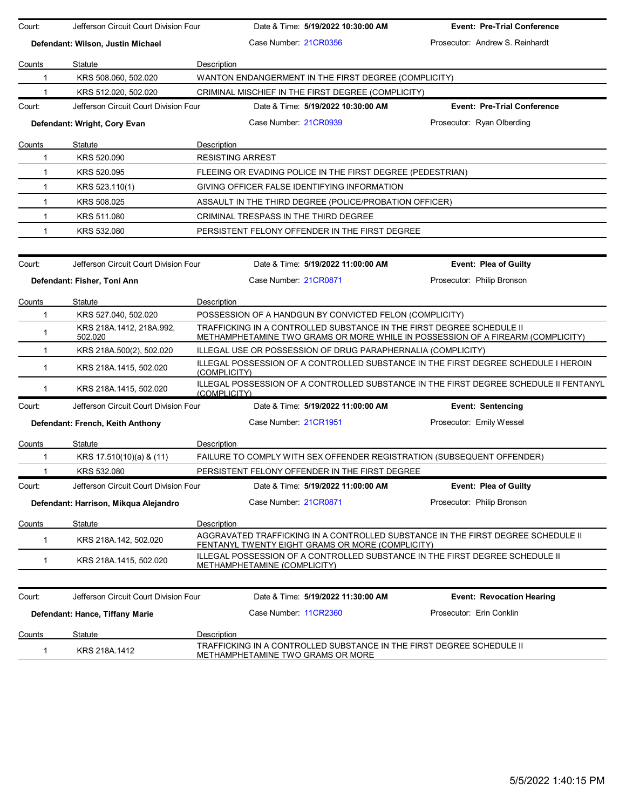| Court:        | Jefferson Circuit Court Division Four                         | Date & Time: 5/19/2022 10:30:00 AM                                                                                                                       | <b>Event: Pre-Trial Conference</b> |
|---------------|---------------------------------------------------------------|----------------------------------------------------------------------------------------------------------------------------------------------------------|------------------------------------|
|               | Defendant: Wilson, Justin Michael                             | Case Number 21CR0356                                                                                                                                     | Prosecutor: Andrew S. Reinhardt    |
|               |                                                               |                                                                                                                                                          |                                    |
| Counts        | Statute                                                       | Description                                                                                                                                              |                                    |
| 1             | KRS 508.060, 502.020                                          | WANTON ENDANGERMENT IN THE FIRST DEGREE (COMPLICITY)                                                                                                     |                                    |
| 1<br>Court:   | KRS 512.020, 502.020<br>Jefferson Circuit Court Division Four | CRIMINAL MISCHIEF IN THE FIRST DEGREE (COMPLICITY)<br>Date & Time: 5/19/2022 10:30:00 AM                                                                 | <b>Event: Pre-Trial Conference</b> |
|               |                                                               |                                                                                                                                                          |                                    |
|               | Defendant: Wright, Cory Evan                                  | Case Number 21CR0939                                                                                                                                     | Prosecutor: Ryan Olberding         |
| <b>Counts</b> | Statute                                                       | Description                                                                                                                                              |                                    |
| 1             | KRS 520.090                                                   | <b>RESISTING ARREST</b>                                                                                                                                  |                                    |
| $\mathbf 1$   | KRS 520.095                                                   | FLEEING OR EVADING POLICE IN THE FIRST DEGREE (PEDESTRIAN)                                                                                               |                                    |
| $\mathbf{1}$  | KRS 523.110(1)                                                | GIVING OFFICER FALSE IDENTIFYING INFORMATION                                                                                                             |                                    |
| $\mathbf{1}$  | KRS 508.025                                                   | ASSAULT IN THE THIRD DEGREE (POLICE/PROBATION OFFICER)                                                                                                   |                                    |
| $\mathbf{1}$  | KRS 511.080                                                   | CRIMINAL TRESPASS IN THE THIRD DEGREE                                                                                                                    |                                    |
| 1             | KRS 532.080                                                   | PERSISTENT FELONY OFFENDER IN THE FIRST DEGREE                                                                                                           |                                    |
| Court:        | Jefferson Circuit Court Division Four                         | Date & Time: 5/19/2022 11:00:00 AM                                                                                                                       | <b>Event: Plea of Guilty</b>       |
|               | Defendant: Fisher, Toni Ann                                   | Case Number 21CR0871                                                                                                                                     | Prosecutor: Philip Bronson         |
| Counts        | Statute                                                       | Description                                                                                                                                              |                                    |
| 1             | KRS 527.040, 502.020                                          | POSSESSION OF A HANDGUN BY CONVICTED FELON (COMPLICITY)                                                                                                  |                                    |
| $\mathbf 1$   | KRS 218A 1412, 218A 992,<br>502.020                           | TRAFFICKING IN A CONTROLLED SUBSTANCE IN THE FIRST DEGREE SCHEDULE II<br>METHAMPHETAMINE TWO GRAMS OR MORE WHILE IN POSSESSION OF A FIREARM (COMPLICITY) |                                    |
| $\mathbf{1}$  | KRS 218A.500(2), 502.020                                      | ILLEGAL USE OR POSSESSION OF DRUG PARAPHERNALIA (COMPLICITY)                                                                                             |                                    |
| $\mathbf{1}$  | KRS 218A.1415, 502.020                                        | ILLEGAL POSSESSION OF A CONTROLLED SUBSTANCE IN THE FIRST DEGREE SCHEDULE I HEROIN<br>(COMPLICITY)                                                       |                                    |
| -1            | KRS 218A.1415, 502.020                                        | ILLEGAL POSSESSION OF A CONTROLLED SUBSTANCE IN THE FIRST DEGREE SCHEDULE II FENTANYL<br>(COMPLICITY)                                                    |                                    |
| Court:        | Jefferson Circuit Court Division Four                         | Date & Time: 5/19/2022 11:00:00 AM                                                                                                                       | <b>Event: Sentencing</b>           |
|               | Defendant: French, Keith Anthony                              | Case Number 21CR1951                                                                                                                                     | Prosecutor: Emily Wessel           |
| Counts        | Statute                                                       | Description                                                                                                                                              |                                    |
| 1             | KRS 17.510(10)(a) & (11)                                      | FAILURE TO COMPLY WITH SEX OFFENDER REGISTRATION (SUBSEQUENT OFFENDER)                                                                                   |                                    |
|               | KRS 532.080                                                   | PERSISTENT FELONY OFFENDER IN THE FIRST DEGREE                                                                                                           |                                    |
| Court:        | Jefferson Circuit Court Division Four                         | Date & Time: 5/19/2022 11:00:00 AM                                                                                                                       | Event: Plea of Guilty              |
|               | Defendant: Harrison, Mikqua Alejandro                         | Case Number 21CR0871                                                                                                                                     | Prosecutor: Philip Bronson         |
| <u>Counts</u> | Statute                                                       | Description                                                                                                                                              |                                    |
| 1             | KRS 218A.142, 502.020                                         | AGGRAVATED TRAFFICKING IN A CONTROLLED SUBSTANCE IN THE FIRST DEGREE SCHEDULE II<br>FENTANYL TWENTY EIGHT GRAMS OR MORE (COMPLICITY)                     |                                    |
| 1             | KRS 218A.1415, 502.020                                        | ILLEGAL POSSESSION OF A CONTROLLED SUBSTANCE IN THE FIRST DEGREE SCHEDULE II<br>METHAMPHETAMINE (COMPLICITY)                                             |                                    |
|               |                                                               |                                                                                                                                                          |                                    |
| Court:        | Jefferson Circuit Court Division Four                         | Date & Time: 5/19/2022 11:30:00 AM                                                                                                                       | <b>Event: Revocation Hearing</b>   |
|               | Defendant: Hance, Tiffany Marie                               | Case Number 11CR2360                                                                                                                                     | Prosecutor: Erin Conklin           |
| Counts        | Statute                                                       | Description                                                                                                                                              |                                    |
| $\mathbf 1$   | KRS 218A.1412                                                 | TRAFFICKING IN A CONTROLLED SUBSTANCE IN THE FIRST DEGREE SCHEDULE II<br>METHAMPHETAMINE TWO GRAMS OR MORE                                               |                                    |
|               |                                                               |                                                                                                                                                          |                                    |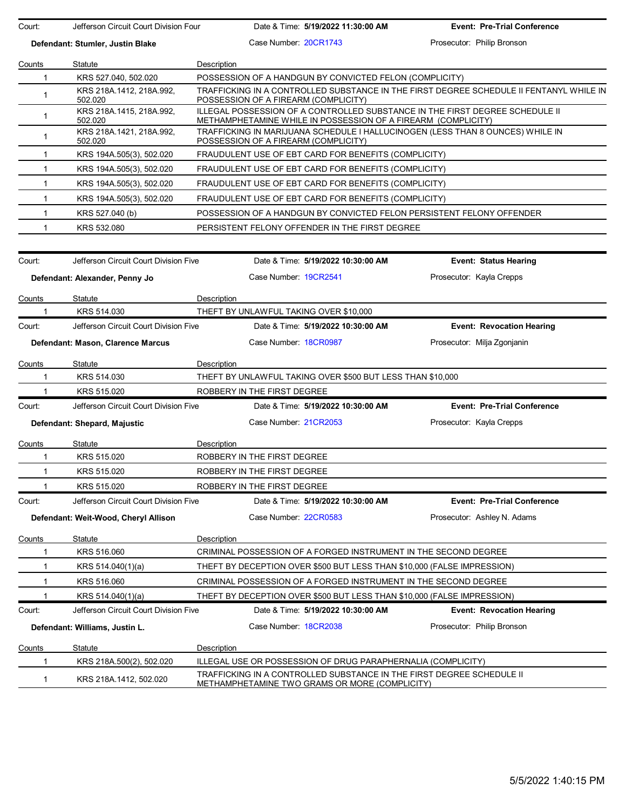| Court:       | Jefferson Circuit Court Division Four |             |                             | Date & Time: 5/19/2022 11:30:00 AM                            | <b>Event: Pre-Trial Conference</b>                                                      |
|--------------|---------------------------------------|-------------|-----------------------------|---------------------------------------------------------------|-----------------------------------------------------------------------------------------|
|              | Defendant: Stumler, Justin Blake      |             | Case Number: 20CR1743       |                                                               | Prosecutor: Philip Bronson                                                              |
| Counts       | Statute                               | Description |                             |                                                               |                                                                                         |
| 1            | KRS 527.040, 502.020                  |             |                             | POSSESSION OF A HANDGUN BY CONVICTED FELON (COMPLICITY)       |                                                                                         |
| 1            | KRS 218A.1412, 218A.992,<br>502.020   |             |                             | POSSESSION OF A FIREARM (COMPLICITY)                          | TRAFFICKING IN A CONTROLLED SUBSTANCE IN THE FIRST DEGREE SCHEDULE II FENTANYL WHILE IN |
| $\mathbf{1}$ | KRS 218A.1415, 218A.992,<br>502.020   |             |                             | METHAMPHETAMINE WHILE IN POSSESSION OF A FIREARM (COMPLICITY) | ILLEGAL POSSESSION OF A CONTROLLED SUBSTANCE IN THE FIRST DEGREE SCHEDULE II            |
| $\mathbf{1}$ | KRS 218A.1421, 218A.992,<br>502.020   |             |                             | POSSESSION OF A FIREARM (COMPLICITY)                          | TRAFFICKING IN MARIJUANA SCHEDULE I HALLUCINOGEN (LESS THAN 8 OUNCES) WHILE IN          |
| $\mathbf{1}$ | KRS 194A.505(3), 502.020              |             |                             | FRAUDULENT USE OF EBT CARD FOR BENEFITS (COMPLICITY)          |                                                                                         |
| 1            | KRS 194A 505(3), 502.020              |             |                             | FRAUDULENT USE OF EBT CARD FOR BENEFITS (COMPLICITY)          |                                                                                         |
| $\mathbf{1}$ | KRS 194A 505(3), 502.020              |             |                             | FRAUDULENT USE OF EBT CARD FOR BENEFITS (COMPLICITY)          |                                                                                         |
| $\mathbf{1}$ | KRS 194A 505(3), 502.020              |             |                             | FRAUDULENT USE OF EBT CARD FOR BENEFITS (COMPLICITY)          |                                                                                         |
| $\mathbf{1}$ | KRS 527.040 (b)                       |             |                             |                                                               | POSSESSION OF A HANDGUN BY CONVICTED FELON PERSISTENT FELONY OFFENDER                   |
| 1            | KRS 532.080                           |             |                             | PERSISTENT FELONY OFFENDER IN THE FIRST DEGREE                |                                                                                         |
| Court:       | Jefferson Circuit Court Division Five |             |                             | Date & Time: 5/19/2022 10:30:00 AM                            | <b>Event: Status Hearing</b>                                                            |
|              | Defendant: Alexander, Penny Jo        |             | Case Number 19CR2541        |                                                               | Prosecutor: Kayla Crepps                                                                |
|              |                                       |             |                             |                                                               |                                                                                         |
| Counts<br>1  | Statute<br>KRS 514.030                | Description |                             | THEFT BY UNLAWFUL TAKING OVER \$10,000                        |                                                                                         |
| Court:       | Jefferson Circuit Court Division Five |             |                             | Date & Time: 5/19/2022 10:30:00 AM                            | <b>Event: Revocation Hearing</b>                                                        |
|              |                                       |             | Case Number 18CR0987        |                                                               | Prosecutor: Milja Zgonjanin                                                             |
|              | Defendant: Mason, Clarence Marcus     |             |                             |                                                               |                                                                                         |
| Counts       | Statute                               | Description |                             |                                                               |                                                                                         |
| 1            | KRS 514.030                           |             |                             | THEFT BY UNLAWFUL TAKING OVER \$500 BUT LESS THAN \$10,000    |                                                                                         |
| 1            | KRS 515.020                           |             | ROBBERY IN THE FIRST DEGREE |                                                               |                                                                                         |
| Court:       | Jefferson Circuit Court Division Five |             |                             | Date & Time: 5/19/2022 10:30:00 AM                            | <b>Event: Pre-Trial Conference</b>                                                      |
|              | Defendant: Shepard, Majustic          |             | Case Number: 21CR2053       |                                                               | Prosecutor: Kayla Crepps                                                                |
| Counts       | Statute                               | Description |                             |                                                               |                                                                                         |
| 1            | KRS 515.020                           |             | ROBBERY IN THE FIRST DEGREE |                                                               |                                                                                         |
| $\mathbf{1}$ | KRS 515.020                           |             | ROBBERY IN THE FIRST DEGREE |                                                               |                                                                                         |
| 1            | KRS 515.020                           |             | ROBBERY IN THE FIRST DEGREE |                                                               |                                                                                         |
| Court:       | Jefferson Circuit Court Division Five |             |                             | Date & Time: 5/19/2022 10:30:00 AM                            | <b>Event: Pre-Trial Conference</b>                                                      |
|              | Defendant: Weit-Wood, Cheryl Allison  |             | Case Number: 22CR0583       |                                                               | Prosecutor: Ashley N. Adams                                                             |
| Counts       | Statute                               | Description |                             |                                                               |                                                                                         |
| 1            | KRS 516.060                           |             |                             |                                                               | CRIMINAL POSSESSION OF A FORGED INSTRUMENT IN THE SECOND DEGREE                         |
| 1            | KRS 514.040(1)(a)                     |             |                             |                                                               | THEFT BY DECEPTION OVER \$500 BUT LESS THAN \$10,000 (FALSE IMPRESSION)                 |
| 1            | KRS 516.060                           |             |                             |                                                               | CRIMINAL POSSESSION OF A FORGED INSTRUMENT IN THE SECOND DEGREE                         |
| 1            | KRS 514.040(1)(a)                     |             |                             |                                                               | THEFT BY DECEPTION OVER \$500 BUT LESS THAN \$10,000 (FALSE IMPRESSION)                 |
| Court:       | Jefferson Circuit Court Division Five |             |                             | Date & Time: 5/19/2022 10:30:00 AM                            | <b>Event: Revocation Hearing</b>                                                        |
|              | Defendant: Williams, Justin L.        |             | Case Number 18CR2038        |                                                               | Prosecutor: Philip Bronson                                                              |
| Counts       | Statute                               | Description |                             |                                                               |                                                                                         |
| 1            | KRS 218A 500(2), 502.020              |             |                             | ILLEGAL USE OR POSSESSION OF DRUG PARAPHERNALIA (COMPLICITY)  |                                                                                         |
| $\mathbf{1}$ | KRS 218A.1412, 502.020                |             |                             | METHAMPHETAMINE TWO GRAMS OR MORE (COMPLICITY)                | TRAFFICKING IN A CONTROLLED SUBSTANCE IN THE FIRST DEGREE SCHEDULE II                   |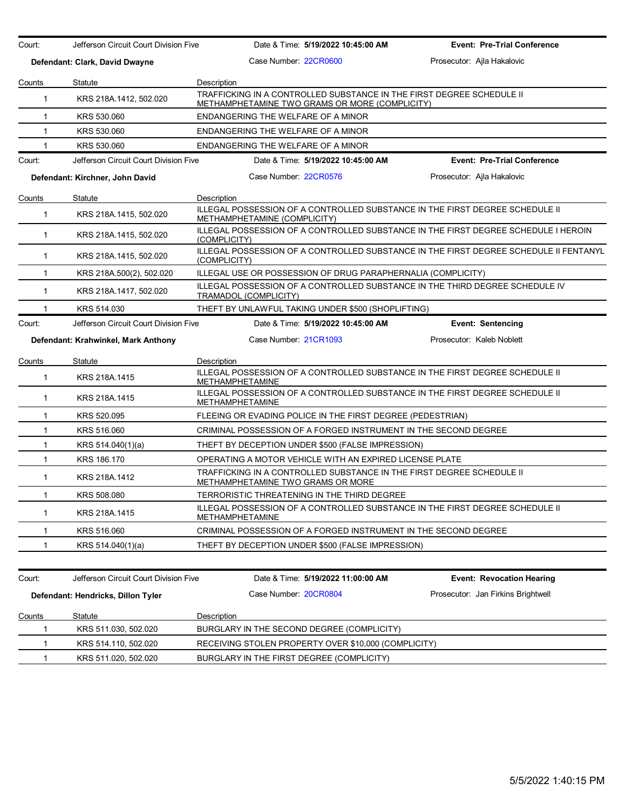| Court:       | Jefferson Circuit Court Division Five | Date & Time: 5/19/2022 10:45:00 AM                                                                                      | <b>Event: Pre-Trial Conference</b> |
|--------------|---------------------------------------|-------------------------------------------------------------------------------------------------------------------------|------------------------------------|
|              | Defendant: Clark, David Dwayne        | Case Number 22CR0600                                                                                                    | Prosecutor: Ajla Hakalovic         |
| Counts       | Statute                               | Description                                                                                                             |                                    |
| $\mathbf{1}$ | KRS 218A.1412, 502.020                | TRAFFICKING IN A CONTROLLED SUBSTANCE IN THE FIRST DEGREE SCHEDULE II<br>METHAMPHETAMINE TWO GRAMS OR MORE (COMPLICITY) |                                    |
| 1            | KRS 530.060                           | ENDANGERING THE WELFARE OF A MINOR                                                                                      |                                    |
| $\mathbf{1}$ | KRS 530.060                           | ENDANGERING THE WELFARE OF A MINOR                                                                                      |                                    |
| 1            | KRS 530.060                           | ENDANGERING THE WELFARE OF A MINOR                                                                                      |                                    |
| Court:       | Jefferson Circuit Court Division Five | Date & Time: 5/19/2022 10:45:00 AM                                                                                      | <b>Event: Pre-Trial Conference</b> |
|              | Defendant: Kirchner, John David       | Case Number: 22CR0576                                                                                                   | Prosecutor: Ajla Hakalovic         |
| Counts       | Statute                               | Description                                                                                                             |                                    |
| 1            | KRS 218A.1415, 502.020                | ILLEGAL POSSESSION OF A CONTROLLED SUBSTANCE IN THE FIRST DEGREE SCHEDULE II<br>METHAMPHETAMINE (COMPLICITY)            |                                    |
| $\mathbf{1}$ | KRS 218A.1415, 502.020                | ILLEGAL POSSESSION OF A CONTROLLED SUBSTANCE IN THE FIRST DEGREE SCHEDULE I HEROIN<br>(COMPLICITY)                      |                                    |
| $\mathbf{1}$ | KRS 218A.1415, 502.020                | ILLEGAL POSSESSION OF A CONTROLLED SUBSTANCE IN THE FIRST DEGREE SCHEDULE II FENTANYL<br>(COMPLICITY)                   |                                    |
| 1            | KRS 218A.500(2), 502.020              | ILLEGAL USE OR POSSESSION OF DRUG PARAPHERNALIA (COMPLICITY)                                                            |                                    |
| $\mathbf{1}$ | KRS 218A.1417, 502.020                | ILLEGAL POSSESSION OF A CONTROLLED SUBSTANCE IN THE THIRD DEGREE SCHEDULE IV<br>TRAMADOL (COMPLICITY)                   |                                    |
| 1            | KRS 514.030                           | THEFT BY UNLAWFUL TAKING UNDER \$500 (SHOPLIFTING)                                                                      |                                    |
| Court:       | Jefferson Circuit Court Division Five | Date & Time: 5/19/2022 10:45:00 AM                                                                                      | <b>Event: Sentencing</b>           |
|              | Defendant: Krahwinkel, Mark Anthony   | Case Number: 21CR1093                                                                                                   | Prosecutor: Kaleb Noblett          |
| Counts       | Statute                               | Description                                                                                                             |                                    |
| 1            | KRS 218A.1415                         | ILLEGAL POSSESSION OF A CONTROLLED SUBSTANCE IN THE FIRST DEGREE SCHEDULE II<br><b>METHAMPHETAMINE</b>                  |                                    |
| $\mathbf{1}$ | KRS 218A.1415                         | ILLEGAL POSSESSION OF A CONTROLLED SUBSTANCE IN THE FIRST DEGREE SCHEDULE II<br>METHAMPHETAMINE                         |                                    |
| $\mathbf{1}$ | KRS 520.095                           | FLEEING OR EVADING POLICE IN THE FIRST DEGREE (PEDESTRIAN)                                                              |                                    |
| $\mathbf{1}$ | KRS 516.060                           | CRIMINAL POSSESSION OF A FORGED INSTRUMENT IN THE SECOND DEGREE                                                         |                                    |
| 1            | KRS 514.040(1)(a)                     | THEFT BY DECEPTION UNDER \$500 (FALSE IMPRESSION)                                                                       |                                    |
| $\mathbf{1}$ | KRS 186.170                           | OPERATING A MOTOR VEHICLE WITH AN EXPIRED LICENSE PLATE                                                                 |                                    |
| $\mathbf{1}$ | KRS 218A.1412                         | TRAFFICKING IN A CONTROLLED SUBSTANCE IN THE FIRST DEGREE SCHEDULE II<br>METHAMPHETAMINE TWO GRAMS OR MORE              |                                    |
| 1            | KRS 508.080                           | TERRORISTIC THREATENING IN THE THIRD DEGREE                                                                             |                                    |
| 1            | KRS 218A.1415                         | ILLEGAL POSSESSION OF A CONTROLLED SUBSTANCE IN THE FIRST DEGREE SCHEDULE II<br>METHAMPHETAMINE                         |                                    |
| -1           | KRS 516.060                           | CRIMINAL POSSESSION OF A FORGED INSTRUMENT IN THE SECOND DEGREE                                                         |                                    |
| 1            | KRS 514.040(1)(a)                     | THEFT BY DECEPTION UNDER \$500 (FALSE IMPRESSION)                                                                       |                                    |
|              |                                       |                                                                                                                         |                                    |
| Court:       | Jefferson Circuit Court Division Five | Date & Time: 5/19/2022 11:00:00 AM                                                                                      | <b>Event: Revocation Hearing</b>   |
|              | Defendant: Hendricks, Dillon Tyler    | Case Number 20CR0804                                                                                                    | Prosecutor: Jan Firkins Brightwell |
| Counts       | Statute                               | Description                                                                                                             |                                    |
| 1            | KRS 511.030, 502.020                  | BURGLARY IN THE SECOND DEGREE (COMPLICITY)                                                                              |                                    |
|              | KRS 514.110, 502.020                  | RECEIVING STOLEN PROPERTY OVER \$10,000 (COMPLICITY)                                                                    |                                    |
| 1            | KRS 511.020, 502.020                  | BURGLARY IN THE FIRST DEGREE (COMPLICITY)                                                                               |                                    |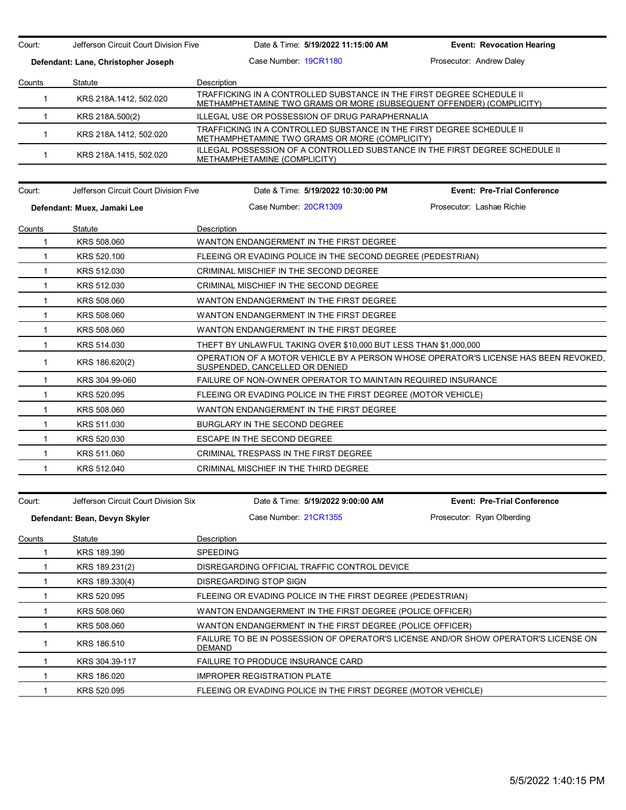| Court:       | Jefferson Circuit Court Division Five | Date & Time: 5/19/2022 11:15:00 AM                                                                                                            | <b>Event: Revocation Hearing</b>   |  |  |  |
|--------------|---------------------------------------|-----------------------------------------------------------------------------------------------------------------------------------------------|------------------------------------|--|--|--|
|              | Defendant: Lane, Christopher Joseph   | Case Number 19CR1180                                                                                                                          | Prosecutor: Andrew Daley           |  |  |  |
| Counts       | Statute                               | Description                                                                                                                                   |                                    |  |  |  |
| $\mathbf{1}$ | KRS 218A.1412, 502.020                | TRAFFICKING IN A CONTROLLED SUBSTANCE IN THE FIRST DEGREE SCHEDULE II<br>METHAMPHETAMINE TWO GRAMS OR MORE (SUBSEQUENT OFFENDER) (COMPLICITY) |                                    |  |  |  |
| $\mathbf{1}$ | KRS 218A.500(2)                       | ILLEGAL USE OR POSSESSION OF DRUG PARAPHERNALIA                                                                                               |                                    |  |  |  |
| $\mathbf{1}$ | KRS 218A.1412, 502.020                | TRAFFICKING IN A CONTROLLED SUBSTANCE IN THE FIRST DEGREE SCHEDULE II<br>METHAMPHETAMINE TWO GRAMS OR MORE (COMPLICITY)                       |                                    |  |  |  |
| 1            | KRS 218A.1415, 502.020                | ILLEGAL POSSESSION OF A CONTROLLED SUBSTANCE IN THE FIRST DEGREE SCHEDULE II<br>METHAMPHETAMINE (COMPLICITY)                                  |                                    |  |  |  |
| Court:       | Jefferson Circuit Court Division Five | Date & Time: 5/19/2022 10:30:00 PM                                                                                                            | <b>Event: Pre-Trial Conference</b> |  |  |  |
|              | Defendant: Muex, Jamaki Lee           | Case Number 20CR1309                                                                                                                          | Prosecutor: Lashae Richie          |  |  |  |
| Counts       | Statute                               | <b>Description</b>                                                                                                                            |                                    |  |  |  |
| 1            | KRS 508,060                           | WANTON ENDANGERMENT IN THE FIRST DEGREE                                                                                                       |                                    |  |  |  |
| $\mathbf{1}$ | KRS 520.100                           | FLEEING OR EVADING POLICE IN THE SECOND DEGREE (PEDESTRIAN)                                                                                   |                                    |  |  |  |
| 1            | KRS 512.030                           | CRIMINAL MISCHIEF IN THE SECOND DEGREE                                                                                                        |                                    |  |  |  |
| $\mathbf{1}$ | KRS 512.030                           | CRIMINAL MISCHIEF IN THE SECOND DEGREE                                                                                                        |                                    |  |  |  |
| $\mathbf{1}$ | KRS 508.060                           | WANTON ENDANGERMENT IN THE FIRST DEGREE                                                                                                       |                                    |  |  |  |
| $\mathbf{1}$ | KRS 508.060                           | WANTON ENDANGERMENT IN THE FIRST DEGREE                                                                                                       |                                    |  |  |  |
| $\mathbf{1}$ | KRS 508.060                           | WANTON ENDANGERMENT IN THE FIRST DEGREE                                                                                                       |                                    |  |  |  |
| 1            | KRS 514.030                           | THEFT BY UNLAWFUL TAKING OVER \$10,000 BUT LESS THAN \$1,000,000                                                                              |                                    |  |  |  |
| $\mathbf{1}$ | KRS 186.620(2)                        | OPERATION OF A MOTOR VEHICLE BY A PERSON WHOSE OPERATOR'S LICENSE HAS BEEN REVOKED.<br>SUSPENDED, CANCELLED OR DENIED                         |                                    |  |  |  |
| $\mathbf{1}$ | KRS 304.99-060                        | FAILURE OF NON-OWNER OPERATOR TO MAINTAIN REQUIRED INSURANCE                                                                                  |                                    |  |  |  |
| 1            | KRS 520.095                           | FLEEING OR EVADING POLICE IN THE FIRST DEGREE (MOTOR VEHICLE)                                                                                 |                                    |  |  |  |
| 1            | KRS 508.060                           | WANTON ENDANGERMENT IN THE FIRST DEGREE                                                                                                       |                                    |  |  |  |
| $\mathbf{1}$ | KRS 511.030                           | BURGLARY IN THE SECOND DEGREE                                                                                                                 |                                    |  |  |  |
| $\mathbf{1}$ | KRS 520.030                           | ESCAPE IN THE SECOND DEGREE                                                                                                                   |                                    |  |  |  |
| 1            | KRS 511.060                           | CRIMINAL TRESPASS IN THE FIRST DEGREE                                                                                                         |                                    |  |  |  |
| $\mathbf 1$  | KRS 512.040                           | CRIMINAL MISCHIEF IN THE THIRD DEGREE                                                                                                         |                                    |  |  |  |
|              |                                       |                                                                                                                                               |                                    |  |  |  |
| Court:       | Jefferson Circuit Court Division Six  | Date & Time: 5/19/2022 9:00:00 AM                                                                                                             | <b>Event: Pre-Trial Conference</b> |  |  |  |
|              | Defendant: Bean, Devyn Skyler         | Case Number: 21CR1355                                                                                                                         | Prosecutor: Ryan Olberding         |  |  |  |
| Counts       | Statute                               | Description                                                                                                                                   |                                    |  |  |  |
| 1            | KRS 189.390                           | SPEEDING                                                                                                                                      |                                    |  |  |  |
| 1            | KRS 189.231(2)                        | DISREGARDING OFFICIAL TRAFFIC CONTROL DEVICE                                                                                                  |                                    |  |  |  |
| 1            | KRS 189.330(4)                        | DISREGARDING STOP SIGN                                                                                                                        |                                    |  |  |  |
| 1            | KRS 520.095                           | FLEEING OR EVADING POLICE IN THE FIRST DEGREE (PEDESTRIAN)                                                                                    |                                    |  |  |  |
| 1            | KRS 508.060                           | WANTON ENDANGERMENT IN THE FIRST DEGREE (POLICE OFFICER)                                                                                      |                                    |  |  |  |
| 1            | KRS 508.060                           | WANTON ENDANGERMENT IN THE FIRST DEGREE (POLICE OFFICER)                                                                                      |                                    |  |  |  |
| 1            | KRS 186.510                           | FAILURE TO BE IN POSSESSION OF OPERATOR'S LICENSE AND/OR SHOW OPERATOR'S LICENSE ON<br>DEMAND                                                 |                                    |  |  |  |
| 1            | KRS 304.39-117                        | FAILURE TO PRODUCE INSURANCE CARD                                                                                                             |                                    |  |  |  |
|              | KRS 186.020                           | <b>IMPROPER REGISTRATION PLATE</b>                                                                                                            |                                    |  |  |  |
| 1            | KRS 520.095                           | FLEEING OR EVADING POLICE IN THE FIRST DEGREE (MOTOR VEHICLE)                                                                                 |                                    |  |  |  |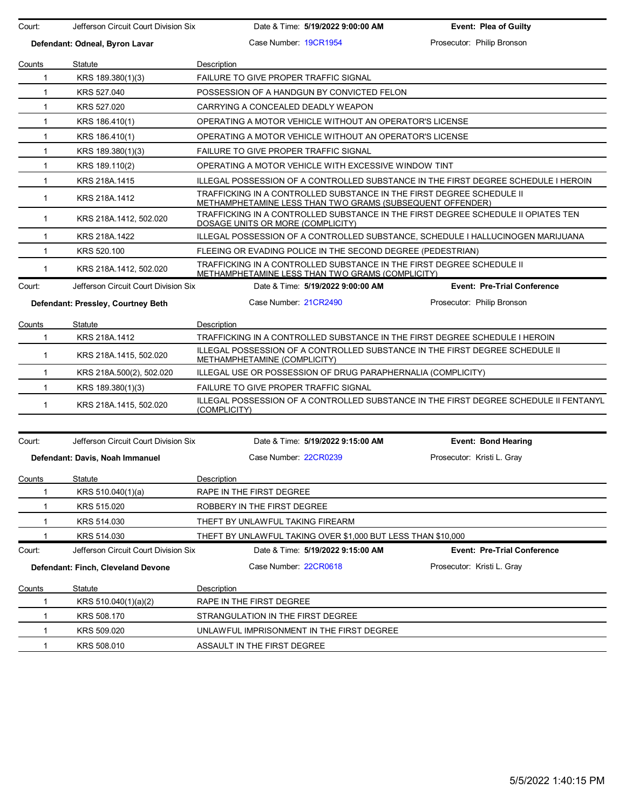| Court:       | Jefferson Circuit Court Division Six | Date & Time: 5/19/2022 9:00:00 AM                                                                                                  | <b>Event: Plea of Guilty</b>       |
|--------------|--------------------------------------|------------------------------------------------------------------------------------------------------------------------------------|------------------------------------|
|              | Defendant: Odneal, Byron Lavar       | Case Number 19CR1954                                                                                                               | Prosecutor: Philip Bronson         |
| Counts       | Statute                              | <b>Description</b>                                                                                                                 |                                    |
| 1            | KRS 189.380(1)(3)                    | <b>FAILURE TO GIVE PROPER TRAFFIC SIGNAL</b>                                                                                       |                                    |
| $\mathbf{1}$ | KRS 527,040                          | POSSESSION OF A HANDGUN BY CONVICTED FELON                                                                                         |                                    |
| 1            | KRS 527.020                          | CARRYING A CONCEALED DEADLY WEAPON                                                                                                 |                                    |
| $\mathbf{1}$ | KRS 186.410(1)                       | OPERATING A MOTOR VEHICLE WITHOUT AN OPERATOR'S LICENSE                                                                            |                                    |
| 1            | KRS 186.410(1)                       | OPERATING A MOTOR VEHICLE WITHOUT AN OPERATOR'S LICENSE                                                                            |                                    |
| $\mathbf{1}$ | KRS 189.380(1)(3)                    | FAILURE TO GIVE PROPER TRAFFIC SIGNAL                                                                                              |                                    |
| $\mathbf{1}$ | KRS 189.110(2)                       | OPERATING A MOTOR VEHICLE WITH EXCESSIVE WINDOW TINT                                                                               |                                    |
| 1            | KRS 218A.1415                        | ILLEGAL POSSESSION OF A CONTROLLED SUBSTANCE IN THE FIRST DEGREE SCHEDULE I HEROIN                                                 |                                    |
| $\mathbf{1}$ | KRS 218A.1412                        | TRAFFICKING IN A CONTROLLED SUBSTANCE IN THE FIRST DEGREE SCHEDULE II<br>METHAMPHETAMINE LESS THAN TWO GRAMS (SUBSEQUENT OFFENDER) |                                    |
| 1            | KRS 218A 1412, 502.020               | TRAFFICKING IN A CONTROLLED SUBSTANCE IN THE FIRST DEGREE SCHEDULE II OPIATES TEN<br>DOSAGE UNITS OR MORE (COMPLICITY)             |                                    |
| 1            | KRS 218A.1422                        | ILLEGAL POSSESSION OF A CONTROLLED SUBSTANCE, SCHEDULE I HALLUCINOGEN MARIJUANA                                                    |                                    |
| $\mathbf{1}$ | KRS 520.100                          | FLEEING OR EVADING POLICE IN THE SECOND DEGREE (PEDESTRIAN)                                                                        |                                    |
| 1            | KRS 218A 1412, 502.020               | TRAFFICKING IN A CONTROLLED SUBSTANCE IN THE FIRST DEGREE SCHEDULE II<br>METHAMPHETAMINE LESS THAN TWO GRAMS (COMPLICITY)          |                                    |
| Court:       | Jefferson Circuit Court Division Six | Date & Time: 5/19/2022 9:00:00 AM                                                                                                  | <b>Event: Pre-Trial Conference</b> |
|              | Defendant: Pressley, Courtney Beth   | Case Number 21CR2490                                                                                                               | Prosecutor: Philip Bronson         |
| Counts       | Statute                              | Description                                                                                                                        |                                    |
| 1            | KRS 218A.1412                        | TRAFFICKING IN A CONTROLLED SUBSTANCE IN THE FIRST DEGREE SCHEDULE I HEROIN                                                        |                                    |
| 1            | KRS 218A.1415, 502.020               | ILLEGAL POSSESSION OF A CONTROLLED SUBSTANCE IN THE FIRST DEGREE SCHEDULE II<br>METHAMPHETAMINE (COMPLICITY)                       |                                    |
| $\mathbf{1}$ | KRS 218A 500(2), 502.020             | ILLEGAL USE OR POSSESSION OF DRUG PARAPHERNALIA (COMPLICITY)                                                                       |                                    |
| $\mathbf{1}$ | KRS 189.380(1)(3)                    | FAILURE TO GIVE PROPER TRAFFIC SIGNAL                                                                                              |                                    |
| $\mathbf{1}$ | KRS 218A.1415, 502.020               | ILLEGAL POSSESSION OF A CONTROLLED SUBSTANCE IN THE FIRST DEGREE SCHEDULE II FENTANYL<br>(COMPLICITY)                              |                                    |
| Court:       | Jefferson Circuit Court Division Six | Date & Time: 5/19/2022 9:15:00 AM                                                                                                  | Event: Bond Hearing                |
|              | Defendant: Davis, Noah Immanuel      | Case Number 22CR0239                                                                                                               | Prosecutor: Kristi L. Gray         |
|              |                                      |                                                                                                                                    |                                    |
| Counts<br>1  | Statute<br>KRS 510.040(1)(a)         | Description<br>RAPE IN THE FIRST DEGREE                                                                                            |                                    |
|              | KRS 515.020                          | ROBBERY IN THE FIRST DEGREE                                                                                                        |                                    |
| 1            | KRS 514.030                          | THEFT BY UNLAWFUL TAKING FIREARM                                                                                                   |                                    |
|              | KRS 514.030                          | THEFT BY UNLAWFUL TAKING OVER \$1,000 BUT LESS THAN \$10,000                                                                       |                                    |
| Court:       | Jefferson Circuit Court Division Six | Date & Time: 5/19/2022 9:15:00 AM                                                                                                  | <b>Event: Pre-Trial Conference</b> |
|              | Defendant: Finch, Cleveland Devone   | Case Number 22CR0618                                                                                                               | Prosecutor: Kristi L. Gray         |
| Counts       | Statute                              | Description                                                                                                                        |                                    |
| 1            | KRS 510.040(1)(a)(2)                 | RAPE IN THE FIRST DEGREE                                                                                                           |                                    |
| -1           | KRS 508.170                          | STRANGULATION IN THE FIRST DEGREE                                                                                                  |                                    |
| 1            | KRS 509.020                          | UNLAWFUL IMPRISONMENT IN THE FIRST DEGREE                                                                                          |                                    |
|              |                                      |                                                                                                                                    |                                    |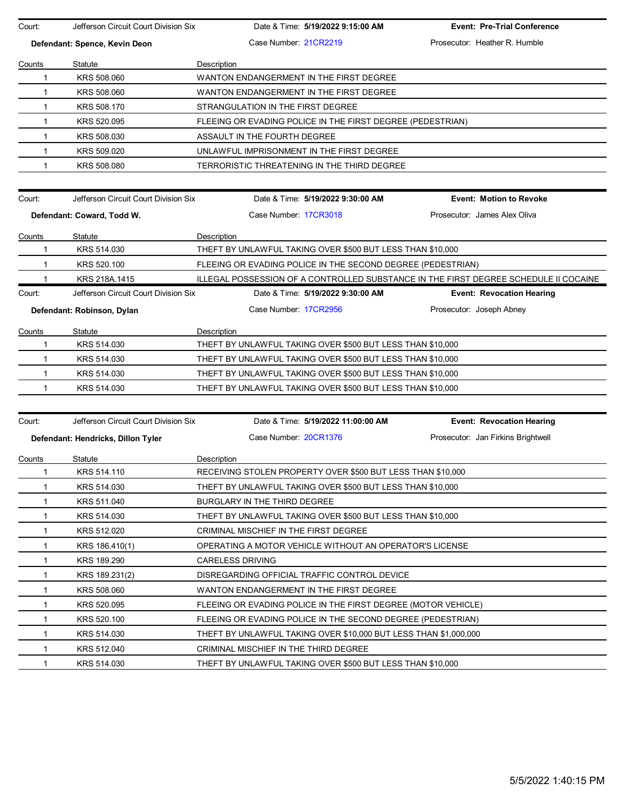| Court:       | Jefferson Circuit Court Division Six | Date & Time: 5/19/2022 9:15:00 AM                                                    | <b>Event: Pre-Trial Conference</b> |
|--------------|--------------------------------------|--------------------------------------------------------------------------------------|------------------------------------|
|              | Defendant: Spence, Kevin Deon        | Case Number 21CR2219                                                                 | Prosecutor: Heather R. Humble      |
| Counts       | Statute                              | Description                                                                          |                                    |
| $\mathbf 1$  | KRS 508.060                          | WANTON ENDANGERMENT IN THE FIRST DEGREE                                              |                                    |
| $\mathbf{1}$ | KRS 508.060                          | WANTON ENDANGERMENT IN THE FIRST DEGREE                                              |                                    |
| $\mathbf{1}$ | KRS 508.170                          | STRANGULATION IN THE FIRST DEGREE                                                    |                                    |
| $\mathbf{1}$ | KRS 520.095                          | FLEEING OR EVADING POLICE IN THE FIRST DEGREE (PEDESTRIAN)                           |                                    |
| $\mathbf{1}$ | KRS 508.030                          | ASSAULT IN THE FOURTH DEGREE                                                         |                                    |
| $\mathbf 1$  | KRS 509.020                          | UNLAWFUL IMPRISONMENT IN THE FIRST DEGREE                                            |                                    |
| 1            | KRS 508.080                          | TERRORISTIC THREATENING IN THE THIRD DEGREE                                          |                                    |
|              |                                      |                                                                                      |                                    |
| Court:       | Jefferson Circuit Court Division Six | Date & Time: 5/19/2022 9:30:00 AM                                                    | <b>Event: Motion to Revoke</b>     |
|              | Defendant: Coward, Todd W.           | Case Number 17CR3018                                                                 | Prosecutor: James Alex Oliva       |
| Counts       | Statute                              | Description                                                                          |                                    |
| 1            | KRS 514.030                          | THEFT BY UNLAWFUL TAKING OVER \$500 BUT LESS THAN \$10,000                           |                                    |
| -1           | KRS 520.100                          | FLEEING OR EVADING POLICE IN THE SECOND DEGREE (PEDESTRIAN)                          |                                    |
|              | KRS 218A.1415                        | ILLEGAL POSSESSION OF A CONTROLLED SUBSTANCE IN THE FIRST DEGREE SCHEDULE II COCAINE |                                    |
| Court:       | Jefferson Circuit Court Division Six | Date & Time: 5/19/2022 9:30:00 AM                                                    | <b>Event: Revocation Hearing</b>   |
|              | Defendant: Robinson, Dylan           | Case Number 17CR2956                                                                 | Prosecutor: Joseph Abney           |
| Counts       | Statute                              | Description                                                                          |                                    |
| 1            | KRS 514.030                          | THEFT BY UNLAWFUL TAKING OVER \$500 BUT LESS THAN \$10,000                           |                                    |
| 1            | KRS 514.030                          | THEFT BY UNLAWFUL TAKING OVER \$500 BUT LESS THAN \$10,000                           |                                    |
| $\mathbf{1}$ | KRS 514.030                          | THEFT BY UNLAWFUL TAKING OVER \$500 BUT LESS THAN \$10,000                           |                                    |
| $\mathbf{1}$ | KRS 514.030                          | THEFT BY UNLAWFUL TAKING OVER \$500 BUT LESS THAN \$10,000                           |                                    |
|              |                                      |                                                                                      |                                    |
| Court:       | Jefferson Circuit Court Division Six | Date & Time: 5/19/2022 11:00:00 AM                                                   | <b>Event: Revocation Hearing</b>   |
|              | Defendant: Hendricks, Dillon Tyler   | Case Number 20CR1376                                                                 | Prosecutor: Jan Firkins Brightwell |
| Counts       | Statute                              | Description                                                                          |                                    |
| 1            | KRS 514.110                          | RECEIVING STOLEN PROPERTY OVER \$500 BUT LESS THAN \$10,000                          |                                    |
| 1            | KRS 514.030                          | THEFT BY UNLAWFUL TAKING OVER \$500 BUT LESS THAN \$10,000                           |                                    |
| 1            | KRS 511.040                          | BURGLARY IN THE THIRD DEGREE                                                         |                                    |
| 1            | KRS 514.030                          | THEFT BY UNLAWFUL TAKING OVER \$500 BUT LESS THAN \$10,000                           |                                    |
| 1            | KRS 512.020                          | CRIMINAL MISCHIEF IN THE FIRST DEGREE                                                |                                    |
|              | KRS 186.410(1)                       | OPERATING A MOTOR VEHICLE WITHOUT AN OPERATOR'S LICENSE                              |                                    |
| 1            | KRS 189.290                          | <b>CARELESS DRIVING</b>                                                              |                                    |
| 1            | KRS 189.231(2)                       | DISREGARDING OFFICIAL TRAFFIC CONTROL DEVICE                                         |                                    |
| 1            | KRS 508.060                          | WANTON ENDANGERMENT IN THE FIRST DEGREE                                              |                                    |
| 1            | KRS 520.095                          | FLEEING OR EVADING POLICE IN THE FIRST DEGREE (MOTOR VEHICLE)                        |                                    |
|              | KRS 520.100                          | FLEEING OR EVADING POLICE IN THE SECOND DEGREE (PEDESTRIAN)                          |                                    |
| 1            | KRS 514.030                          | THEFT BY UNLAWFUL TAKING OVER \$10,000 BUT LESS THAN \$1,000,000                     |                                    |
| 1            | KRS 512.040                          | CRIMINAL MISCHIEF IN THE THIRD DEGREE                                                |                                    |
| $\mathbf{1}$ | KRS 514.030                          | THEFT BY UNLAWFUL TAKING OVER \$500 BUT LESS THAN \$10,000                           |                                    |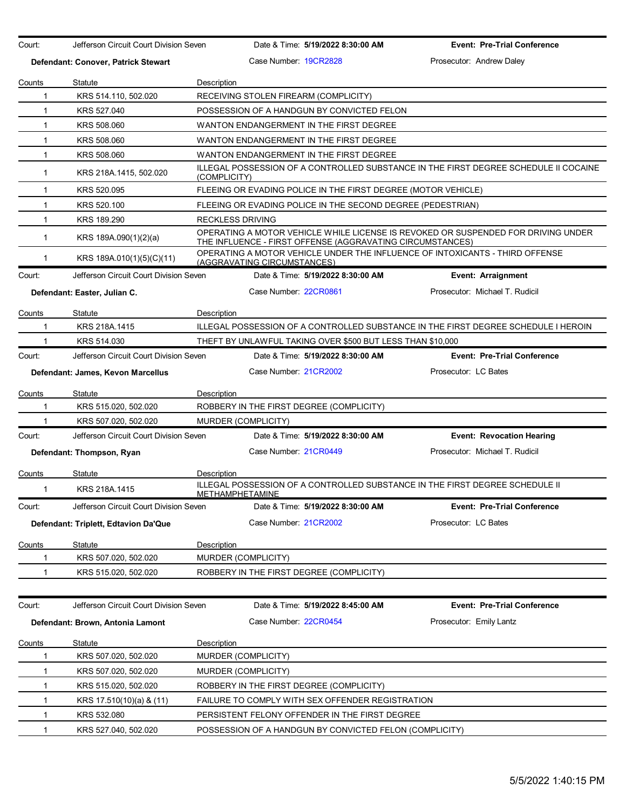| Court:       | Jefferson Circuit Court Division Seven |              | Date & Time: 5/19/2022 8:30:00 AM                                                                           | <b>Event: Pre-Trial Conference</b>                                                   |
|--------------|----------------------------------------|--------------|-------------------------------------------------------------------------------------------------------------|--------------------------------------------------------------------------------------|
|              | Defendant: Conover, Patrick Stewart    |              | Case Number 19CR2828                                                                                        | Prosecutor: Andrew Daley                                                             |
| Counts       | Statute                                | Description  |                                                                                                             |                                                                                      |
| $\mathbf{1}$ | KRS 514.110, 502.020                   |              | RECEIVING STOLEN FIREARM (COMPLICITY)                                                                       |                                                                                      |
| 1            | KRS 527,040                            |              | POSSESSION OF A HANDGUN BY CONVICTED FELON                                                                  |                                                                                      |
| $\mathbf{1}$ | KRS 508.060                            |              | WANTON ENDANGERMENT IN THE FIRST DEGREE                                                                     |                                                                                      |
| $\mathbf{1}$ | KRS 508,060                            |              | WANTON ENDANGERMENT IN THE FIRST DEGREE                                                                     |                                                                                      |
| 1            | KRS 508.060                            |              | WANTON ENDANGERMENT IN THE FIRST DEGREE                                                                     |                                                                                      |
| $\mathbf{1}$ | KRS 218A.1415, 502.020                 | (COMPLICITY) |                                                                                                             | ILLEGAL POSSESSION OF A CONTROLLED SUBSTANCE IN THE FIRST DEGREE SCHEDULE II COCAINE |
| $\mathbf{1}$ | KRS 520.095                            |              | FLEEING OR EVADING POLICE IN THE FIRST DEGREE (MOTOR VEHICLE)                                               |                                                                                      |
| $\mathbf{1}$ | KRS 520.100                            |              | FLEEING OR EVADING POLICE IN THE SECOND DEGREE (PEDESTRIAN)                                                 |                                                                                      |
| $\mathbf{1}$ | KRS 189.290                            |              | <b>RECKLESS DRIVING</b>                                                                                     |                                                                                      |
| $\mathbf{1}$ | KRS 189A.090(1)(2)(a)                  |              | THE INFLUENCE - FIRST OFFENSE (AGGRAVATING CIRCUMSTANCES)                                                   | OPERATING A MOTOR VEHICLE WHILE LICENSE IS REVOKED OR SUSPENDED FOR DRIVING UNDER    |
| 1            | KRS 189A.010(1)(5)(C)(11)              |              | OPERATING A MOTOR VEHICLE UNDER THE INFLUENCE OF INTOXICANTS - THIRD OFFENSE<br>(AGGRAVATING CIRCUMSTANCES) |                                                                                      |
| Court:       | Jefferson Circuit Court Division Seven |              | Date & Time: 5/19/2022 8:30:00 AM                                                                           | <b>Event: Arraignment</b>                                                            |
|              | Defendant: Easter, Julian C.           |              | Case Number 22CR0861                                                                                        | Prosecutor: Michael T. Rudicil                                                       |
| Counts       | Statute                                | Description  |                                                                                                             |                                                                                      |
| 1            | KRS 218A.1415                          |              |                                                                                                             | ILLEGAL POSSESSION OF A CONTROLLED SUBSTANCE IN THE FIRST DEGREE SCHEDULE I HEROIN   |
| 1            | KRS 514.030                            |              | THEFT BY UNLAWFUL TAKING OVER \$500 BUT LESS THAN \$10,000                                                  |                                                                                      |
| Court:       | Jefferson Circuit Court Division Seven |              | Date & Time: 5/19/2022 8:30:00 AM                                                                           | <b>Event: Pre-Trial Conference</b>                                                   |
|              | Defendant: James, Kevon Marcellus      |              | Case Number 21CR2002                                                                                        | Prosecutor: LC Bates                                                                 |
| Counts       | Statute                                | Description  |                                                                                                             |                                                                                      |
| 1            | KRS 515.020, 502.020                   |              | ROBBERY IN THE FIRST DEGREE (COMPLICITY)                                                                    |                                                                                      |
| 1            | KRS 507.020, 502.020                   |              | MURDER (COMPLICITY)                                                                                         |                                                                                      |
| Court:       | Jefferson Circuit Court Division Seven |              | Date & Time: 5/19/2022 8:30:00 AM                                                                           | <b>Event: Revocation Hearing</b>                                                     |
|              | Defendant: Thompson, Ryan              |              | Case Number 21CR0449                                                                                        | Prosecutor: Michael T. Rudicil                                                       |
| Counts       | Statute                                | Description  |                                                                                                             |                                                                                      |
| $\mathbf{1}$ | KRS 218A.1415                          |              | ILLEGAL POSSESSION OF A CONTROLLED SUBSTANCE IN THE FIRST DEGREE SCHEDULE II<br>METHAMPHETAMINE             |                                                                                      |
| Court:       | Jefferson Circuit Court Division Seven |              | Date & Time: 5/19/2022 8:30:00 AM                                                                           | <b>Event: Pre-Trial Conference</b>                                                   |
|              | Defendant: Triplett, Edtavion Da'Que   |              | Case Number: 21CR2002                                                                                       | Prosecutor: LC Bates                                                                 |
| Counts       | Statute                                | Description  |                                                                                                             |                                                                                      |
|              | KRS 507.020, 502.020                   |              | MURDER (COMPLICITY)                                                                                         |                                                                                      |
| 1            | KRS 515.020, 502.020                   |              | ROBBERY IN THE FIRST DEGREE (COMPLICITY)                                                                    |                                                                                      |
| Court:       | Jefferson Circuit Court Division Seven |              | Date & Time: 5/19/2022 8:45:00 AM                                                                           | <b>Event: Pre-Trial Conference</b>                                                   |
|              | Defendant: Brown, Antonia Lamont       |              | Case Number: 22CR0454                                                                                       | Prosecutor: Emily Lantz                                                              |
| Counts       | Statute                                | Description  |                                                                                                             |                                                                                      |
| 1            | KRS 507.020, 502.020                   |              | MURDER (COMPLICITY)                                                                                         |                                                                                      |
| 1            | KRS 507.020, 502.020                   |              | MURDER (COMPLICITY)                                                                                         |                                                                                      |
| 1            | KRS 515.020, 502.020                   |              | ROBBERY IN THE FIRST DEGREE (COMPLICITY)                                                                    |                                                                                      |
| 1            | KRS 17.510(10)(a) & (11)               |              | FAILURE TO COMPLY WITH SEX OFFENDER REGISTRATION                                                            |                                                                                      |
| 1            | KRS 532.080                            |              | PERSISTENT FELONY OFFENDER IN THE FIRST DEGREE                                                              |                                                                                      |
| 1            | KRS 527.040, 502.020                   |              | POSSESSION OF A HANDGUN BY CONVICTED FELON (COMPLICITY)                                                     |                                                                                      |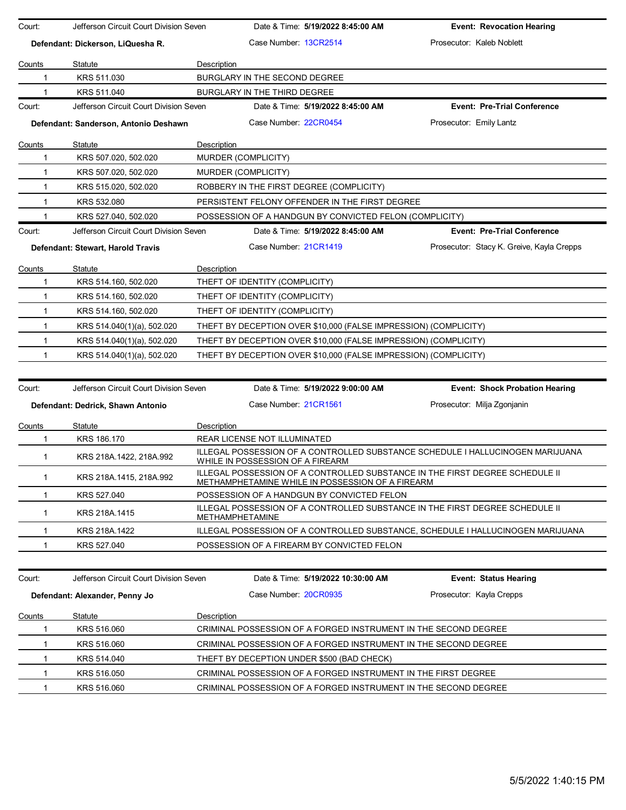| Court:       | Jefferson Circuit Court Division Seven |             | Date & Time: 5/19/2022 8:45:00 AM                                                                                                | <b>Event: Revocation Hearing</b>                                                |
|--------------|----------------------------------------|-------------|----------------------------------------------------------------------------------------------------------------------------------|---------------------------------------------------------------------------------|
|              | Defendant: Dickerson, LiQuesha R.      |             | Case Number 13CR2514                                                                                                             | Prosecutor: Kaleb Noblett                                                       |
| Counts       | Statute                                | Description |                                                                                                                                  |                                                                                 |
|              | KRS 511.030                            |             | BURGLARY IN THE SECOND DEGREE                                                                                                    |                                                                                 |
| 1            | KRS 511.040                            |             | BURGLARY IN THE THIRD DEGREE                                                                                                     |                                                                                 |
| Court:       | Jefferson Circuit Court Division Seven |             | Date & Time: 5/19/2022 8:45:00 AM                                                                                                | <b>Event: Pre-Trial Conference</b>                                              |
|              | Defendant: Sanderson, Antonio Deshawn  |             | Case Number 22CR0454                                                                                                             | Prosecutor: Emily Lantz                                                         |
| Counts       | Statute                                | Description |                                                                                                                                  |                                                                                 |
| 1            | KRS 507.020, 502.020                   |             | MURDER (COMPLICITY)                                                                                                              |                                                                                 |
| 1            | KRS 507.020, 502.020                   |             | MURDER (COMPLICITY)                                                                                                              |                                                                                 |
| $\mathbf 1$  | KRS 515.020, 502.020                   |             | ROBBERY IN THE FIRST DEGREE (COMPLICITY)                                                                                         |                                                                                 |
| $\mathbf{1}$ | KRS 532.080                            |             | PERSISTENT FELONY OFFENDER IN THE FIRST DEGREE                                                                                   |                                                                                 |
| 1            | KRS 527.040, 502.020                   |             | POSSESSION OF A HANDGUN BY CONVICTED FELON (COMPLICITY)                                                                          |                                                                                 |
| Court:       | Jefferson Circuit Court Division Seven |             | Date & Time: 5/19/2022 8:45:00 AM                                                                                                | <b>Event: Pre-Trial Conference</b>                                              |
|              | Defendant: Stewart, Harold Travis      |             | Case Number 21CR1419                                                                                                             | Prosecutor: Stacy K. Greive, Kayla Crepps                                       |
| Counts       | Statute                                | Description |                                                                                                                                  |                                                                                 |
| 1            | KRS 514.160, 502.020                   |             | THEFT OF IDENTITY (COMPLICITY)                                                                                                   |                                                                                 |
| 1            | KRS 514.160, 502.020                   |             | THEFT OF IDENTITY (COMPLICITY)                                                                                                   |                                                                                 |
| 1            | KRS 514.160, 502.020                   |             | THEFT OF IDENTITY (COMPLICITY)                                                                                                   |                                                                                 |
| 1            | KRS 514.040(1)(a), 502.020             |             | THEFT BY DECEPTION OVER \$10,000 (FALSE IMPRESSION) (COMPLICITY)                                                                 |                                                                                 |
| $\mathbf{1}$ | KRS 514.040(1)(a), 502.020             |             | THEFT BY DECEPTION OVER \$10,000 (FALSE IMPRESSION) (COMPLICITY)                                                                 |                                                                                 |
| $\mathbf 1$  | KRS 514.040(1)(a), 502.020             |             | THEFT BY DECEPTION OVER \$10,000 (FALSE IMPRESSION) (COMPLICITY)                                                                 |                                                                                 |
|              |                                        |             |                                                                                                                                  |                                                                                 |
| Court:       | Jefferson Circuit Court Division Seven |             | Date & Time: 5/19/2022 9:00:00 AM                                                                                                | <b>Event: Shock Probation Hearing</b>                                           |
|              | Defendant: Dedrick, Shawn Antonio      |             | Case Number: 21CR1561                                                                                                            | Prosecutor: Milja Zgonjanin                                                     |
| Counts       | Statute                                | Description |                                                                                                                                  |                                                                                 |
| 1            | KRS 186.170                            |             | REAR LICENSE NOT ILLUMINATED                                                                                                     |                                                                                 |
| $\mathbf{1}$ | KRS 218A.1422, 218A.992                |             | WHILE IN POSSESSION OF A FIREARM                                                                                                 | ILLEGAL POSSESSION OF A CONTROLLED SUBSTANCE SCHEDULE I HALLUCINOGEN MARIJUANA  |
| 1            | KRS 218A.1415, 218A.992                |             | ILLEGAL POSSESSION OF A CONTROLLED SUBSTANCE IN THE FIRST DEGREE SCHEDULE II<br>METHAMPHETAMINE WHILE IN POSSESSION OF A FIREARM |                                                                                 |
|              | KRS 527.040                            |             | POSSESSION OF A HANDGUN BY CONVICTED FELON                                                                                       |                                                                                 |
| 1            | KRS 218A.1415                          |             | ILLEGAL POSSESSION OF A CONTROLLED SUBSTANCE IN THE FIRST DEGREE SCHEDULE II<br><b>METHAMPHETAMINE</b>                           |                                                                                 |
| 1            | KRS 218A.1422                          |             |                                                                                                                                  | ILLEGAL POSSESSION OF A CONTROLLED SUBSTANCE, SCHEDULE I HALLUCINOGEN MARIJUANA |
| 1            | KRS 527.040                            |             | POSSESSION OF A FIREARM BY CONVICTED FELON                                                                                       |                                                                                 |
|              |                                        |             |                                                                                                                                  |                                                                                 |
| Court:       | Jefferson Circuit Court Division Seven |             | Date & Time: 5/19/2022 10:30:00 AM                                                                                               | <b>Event: Status Hearing</b>                                                    |
|              | Defendant: Alexander, Penny Jo         |             | Case Number: 20CR0935                                                                                                            | Prosecutor: Kayla Crepps                                                        |
| Counts       | Statute                                | Description |                                                                                                                                  |                                                                                 |
| 1            | KRS 516.060                            |             | CRIMINAL POSSESSION OF A FORGED INSTRUMENT IN THE SECOND DEGREE                                                                  |                                                                                 |
| 1            | KRS 516.060                            |             | CRIMINAL POSSESSION OF A FORGED INSTRUMENT IN THE SECOND DEGREE                                                                  |                                                                                 |
| 1            | KRS 514.040                            |             | THEFT BY DECEPTION UNDER \$500 (BAD CHECK)                                                                                       |                                                                                 |
| 1            | KRS 516.050                            |             | CRIMINAL POSSESSION OF A FORGED INSTRUMENT IN THE FIRST DEGREE                                                                   |                                                                                 |
| 1            | KRS 516.060                            |             | CRIMINAL POSSESSION OF A FORGED INSTRUMENT IN THE SECOND DEGREE                                                                  |                                                                                 |
|              |                                        |             |                                                                                                                                  |                                                                                 |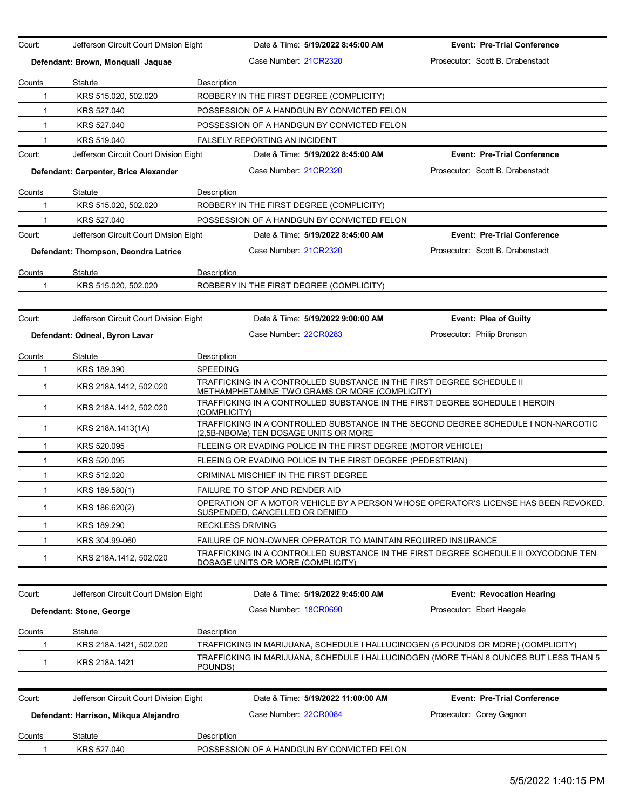| Court:        | Jefferson Circuit Court Division Eight | Date & Time: 5/19/2022 8:45:00 AM                                                                                           | <b>Event: Pre-Trial Conference</b> |
|---------------|----------------------------------------|-----------------------------------------------------------------------------------------------------------------------------|------------------------------------|
|               | Defendant: Brown, Monquall Jaquae      | Case Number 21CR2320                                                                                                        | Prosecutor: Scott B. Drabenstadt   |
| Counts        | Statute                                | Description                                                                                                                 |                                    |
| 1             | KRS 515.020, 502.020                   | ROBBERY IN THE FIRST DEGREE (COMPLICITY)                                                                                    |                                    |
| $\mathbf{1}$  | KRS 527.040                            | POSSESSION OF A HANDGUN BY CONVICTED FELON                                                                                  |                                    |
| 1             | KRS 527.040                            | POSSESSION OF A HANDGUN BY CONVICTED FELON                                                                                  |                                    |
| 1             | KRS 519.040                            | FALSELY REPORTING AN INCIDENT                                                                                               |                                    |
| Court:        | Jefferson Circuit Court Division Eight | Date & Time: 5/19/2022 8:45:00 AM                                                                                           | <b>Event: Pre-Trial Conference</b> |
|               | Defendant: Carpenter, Brice Alexander  | Case Number 21CR2320                                                                                                        | Prosecutor: Scott B. Drabenstadt   |
| Counts        | Statute                                | Description                                                                                                                 |                                    |
| 1             | KRS 515.020, 502.020                   | ROBBERY IN THE FIRST DEGREE (COMPLICITY)                                                                                    |                                    |
| 1             | KRS 527.040                            | POSSESSION OF A HANDGUN BY CONVICTED FELON                                                                                  |                                    |
| Court:        | Jefferson Circuit Court Division Eight | Date & Time: 5/19/2022 8:45:00 AM                                                                                           | <b>Event: Pre-Trial Conference</b> |
|               | Defendant: Thompson, Deondra Latrice   | Case Number 21CR2320                                                                                                        | Prosecutor: Scott B. Drabenstadt   |
| Counts        | Statute                                | Description                                                                                                                 |                                    |
| 1             | KRS 515.020, 502.020                   | ROBBERY IN THE FIRST DEGREE (COMPLICITY)                                                                                    |                                    |
| Court:        | Jefferson Circuit Court Division Eight | Date & Time: 5/19/2022 9:00:00 AM                                                                                           | <b>Event: Plea of Guilty</b>       |
|               | Defendant: Odneal, Byron Lavar         | Case Number: 22CR0283                                                                                                       | Prosecutor: Philip Bronson         |
| Counts        | Statute                                | Description                                                                                                                 |                                    |
| 1             | KRS 189.390                            | <b>SPEEDING</b>                                                                                                             |                                    |
| 1             | KRS 218A.1412, 502.020                 | TRAFFICKING IN A CONTROLLED SUBSTANCE IN THE FIRST DEGREE SCHEDULE II<br>METHAMPHETAMINE TWO GRAMS OR MORE (COMPLICITY)     |                                    |
| $\mathbf{1}$  | KRS 218A.1412, 502.020                 | TRAFFICKING IN A CONTROLLED SUBSTANCE IN THE FIRST DEGREE SCHEDULE I HEROIN<br>(COMPLICITY)                                 |                                    |
| 1             | KRS 218A.1413(1A)                      | TRAFFICKING IN A CONTROLLED SUBSTANCE IN THE SECOND DEGREE SCHEDULE I NON-NARCOTIC<br>(2,5B-NBOMe) TEN DOSAGE UNITS OR MORE |                                    |
| 1             | KRS 520.095                            | FLEEING OR EVADING POLICE IN THE FIRST DEGREE (MOTOR VEHICLE)                                                               |                                    |
| 1             | KRS 520.095                            | FLEEING OR EVADING POLICE IN THE FIRST DEGREE (PEDESTRIAN)                                                                  |                                    |
| 1             | KRS 512.020                            | CRIMINAL MISCHIEF IN THE FIRST DEGREE                                                                                       |                                    |
| 1             | KRS 189.580(1)                         | FAILURE TO STOP AND RENDER AID                                                                                              |                                    |
| 1             | KRS 186.620(2)                         | OPERATION OF A MOTOR VEHICLE BY A PERSON WHOSE OPERATOR'S LICENSE HAS BEEN REVOKED,<br>SUSPENDED, CANCELLED OR DENIED       |                                    |
| 1             | KRS 189.290                            | <b>RECKLESS DRIVING</b>                                                                                                     |                                    |
| 1             | KRS 304.99-060                         | FAILURE OF NON-OWNER OPERATOR TO MAINTAIN REQUIRED INSURANCE                                                                |                                    |
| 1             | KRS 218A.1412, 502.020                 | TRAFFICKING IN A CONTROLLED SUBSTANCE IN THE FIRST DEGREE SCHEDULE II OXYCODONE TEN<br>DOSAGE UNITS OR MORE (COMPLICITY)    |                                    |
|               |                                        |                                                                                                                             |                                    |
| Court:        | Jefferson Circuit Court Division Eight | Date & Time: 5/19/2022 9:45:00 AM                                                                                           | <b>Event: Revocation Hearing</b>   |
|               | Defendant: Stone, George               | Case Number 18CR0690                                                                                                        | Prosecutor: Ebert Haegele          |
| Counts        | Statute                                | Description                                                                                                                 |                                    |
| 1             | KRS 218A.1421, 502.020                 | TRAFFICKING IN MARIJUANA, SCHEDULE I HALLUCINOGEN (5 POUNDS OR MORE) (COMPLICITY)                                           |                                    |
| 1             | KRS 218A.1421                          | TRAFFICKING IN MARIJUANA, SCHEDULE I HALLUCINOGEN (MORE THAN 8 OUNCES BUT LESS THAN 5<br>POUNDS)                            |                                    |
| Court:        |                                        | Date & Time: 5/19/2022 11:00:00 AM                                                                                          | <b>Event: Pre-Trial Conference</b> |
|               | Jefferson Circuit Court Division Eight |                                                                                                                             |                                    |
|               | Defendant: Harrison, Mikqua Alejandro  | Case Number: 22CR0084                                                                                                       | Prosecutor: Corey Gagnon           |
| <b>Counts</b> | Statute                                | Description                                                                                                                 |                                    |
| 1             | KRS 527.040                            | POSSESSION OF A HANDGUN BY CONVICTED FELON                                                                                  |                                    |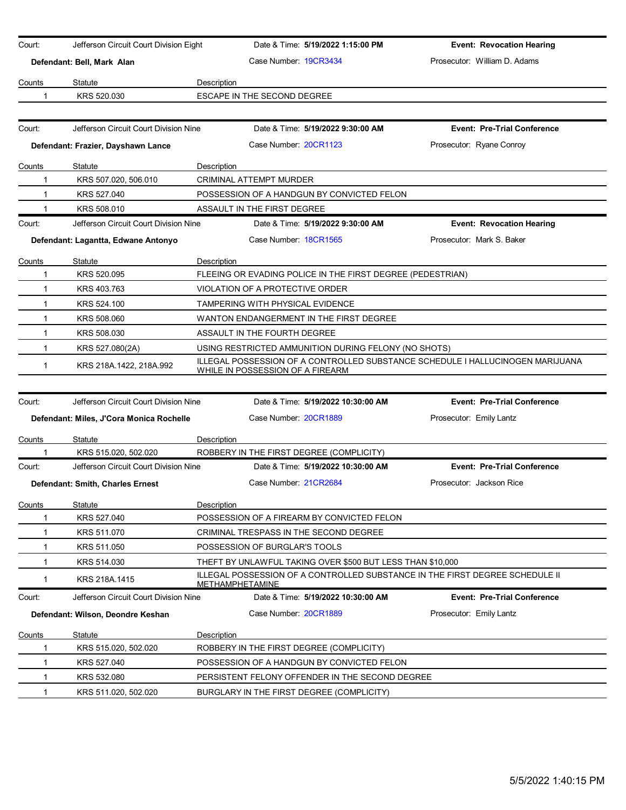| Court:       | Jefferson Circuit Court Division Eight   |             |                                           | Date & Time: 5/19/2022 1:15:00 PM                          | <b>Event: Revocation Hearing</b>                                               |
|--------------|------------------------------------------|-------------|-------------------------------------------|------------------------------------------------------------|--------------------------------------------------------------------------------|
|              | Defendant: Bell, Mark Alan               |             | Case Number 19CR3434                      |                                                            | Prosecutor: William D. Adams                                                   |
| Counts       | Statute                                  | Description |                                           |                                                            |                                                                                |
| 1            | KRS 520.030                              |             | ESCAPE IN THE SECOND DEGREE               |                                                            |                                                                                |
|              |                                          |             |                                           |                                                            |                                                                                |
| Court:       | Jefferson Circuit Court Division Nine    |             |                                           | Date & Time: 5/19/2022 9:30:00 AM                          | <b>Event: Pre-Trial Conference</b>                                             |
|              | Defendant: Frazier, Dayshawn Lance       |             | Case Number: 20CR1123                     |                                                            | Prosecutor: Ryane Conroy                                                       |
| Counts       | Statute                                  | Description |                                           |                                                            |                                                                                |
| 1            | KRS 507.020, 506.010                     |             | <b>CRIMINAL ATTEMPT MURDER</b>            |                                                            |                                                                                |
| 1            | KRS 527.040                              |             |                                           | POSSESSION OF A HANDGUN BY CONVICTED FELON                 |                                                                                |
| 1            | KRS 508.010                              |             | ASSAULT IN THE FIRST DEGREE               |                                                            |                                                                                |
| Court:       | Jefferson Circuit Court Division Nine    |             |                                           | Date & Time: 5/19/2022 9:30:00 AM                          | <b>Event: Revocation Hearing</b>                                               |
|              | Defendant: Lagantta, Edwane Antonyo      |             | Case Number: 18CR1565                     |                                                            | Prosecutor: Mark S. Baker                                                      |
|              | Statute                                  | Description |                                           |                                                            |                                                                                |
| Counts<br>1  | KRS 520.095                              |             |                                           | FLEEING OR EVADING POLICE IN THE FIRST DEGREE (PEDESTRIAN) |                                                                                |
| 1            | KRS 403.763                              |             | VIOLATION OF A PROTECTIVE ORDER           |                                                            |                                                                                |
| 1            | KRS 524.100                              |             | <b>TAMPERING WITH PHYSICAL EVIDENCE</b>   |                                                            |                                                                                |
| $\mathbf{1}$ | KRS 508.060                              |             |                                           | WANTON ENDANGERMENT IN THE FIRST DEGREE                    |                                                                                |
|              |                                          |             |                                           |                                                            |                                                                                |
| 1            | KRS 508.030                              |             | ASSAULT IN THE FOURTH DEGREE              |                                                            |                                                                                |
| $\mathbf{1}$ | KRS 527.080(2A)                          |             |                                           | USING RESTRICTED AMMUNITION DURING FELONY (NO SHOTS)       | ILLEGAL POSSESSION OF A CONTROLLED SUBSTANCE SCHEDULE I HALLUCINOGEN MARIJUANA |
| 1            | KRS 218A.1422, 218A.992                  |             | WHILE IN POSSESSION OF A FIREARM          |                                                            |                                                                                |
|              |                                          |             |                                           |                                                            |                                                                                |
| Court:       | Jefferson Circuit Court Division Nine    |             |                                           | Date & Time: 5/19/2022 10:30:00 AM                         | <b>Event: Pre-Trial Conference</b>                                             |
|              | Defendant: Miles, J'Cora Monica Rochelle |             | Case Number 20CR1889                      |                                                            | Prosecutor: Emily Lantz                                                        |
| Counts       | Statute                                  | Description |                                           |                                                            |                                                                                |
| 1            | KRS 515.020, 502.020                     |             | ROBBERY IN THE FIRST DEGREE (COMPLICITY)  |                                                            |                                                                                |
| Court:       | Jefferson Circuit Court Division Nine    |             |                                           | Date & Time: 5/19/2022 10:30:00 AM                         | <b>Event: Pre-Trial Conference</b>                                             |
|              | Defendant: Smith, Charles Ernest         |             | Case Number 21CR2684                      |                                                            | Prosecutor: Jackson Rice                                                       |
| Counts       | Statute                                  | Description |                                           |                                                            |                                                                                |
| 1            | KRS 527.040                              |             |                                           | POSSESSION OF A FIREARM BY CONVICTED FELON                 |                                                                                |
| 1            | KRS 511.070                              |             | CRIMINAL TRESPASS IN THE SECOND DEGREE    |                                                            |                                                                                |
| 1            | KRS 511.050                              |             | POSSESSION OF BURGLAR'S TOOLS             |                                                            |                                                                                |
| $\mathbf 1$  | KRS 514.030                              |             |                                           | THEFT BY UNLAWFUL TAKING OVER \$500 BUT LESS THAN \$10,000 |                                                                                |
| 1            | KRS 218A.1415                            |             | <b>METHAMPHETAMINE</b>                    |                                                            | ILLEGAL POSSESSION OF A CONTROLLED SUBSTANCE IN THE FIRST DEGREE SCHEDULE II   |
| Court:       | Jefferson Circuit Court Division Nine    |             |                                           | Date & Time: 5/19/2022 10:30:00 AM                         | <b>Event: Pre-Trial Conference</b>                                             |
|              | Defendant: Wilson, Deondre Keshan        |             | Case Number 20CR1889                      |                                                            | Prosecutor: Emily Lantz                                                        |
| Counts       | Statute                                  | Description |                                           |                                                            |                                                                                |
| 1            | KRS 515.020, 502.020                     |             | ROBBERY IN THE FIRST DEGREE (COMPLICITY)  |                                                            |                                                                                |
| 1            | KRS 527.040                              |             |                                           | POSSESSION OF A HANDGUN BY CONVICTED FELON                 |                                                                                |
| 1            | KRS 532.080                              |             |                                           | PERSISTENT FELONY OFFENDER IN THE SECOND DEGREE            |                                                                                |
| 1            | KRS 511.020, 502.020                     |             | BURGLARY IN THE FIRST DEGREE (COMPLICITY) |                                                            |                                                                                |
|              |                                          |             |                                           |                                                            |                                                                                |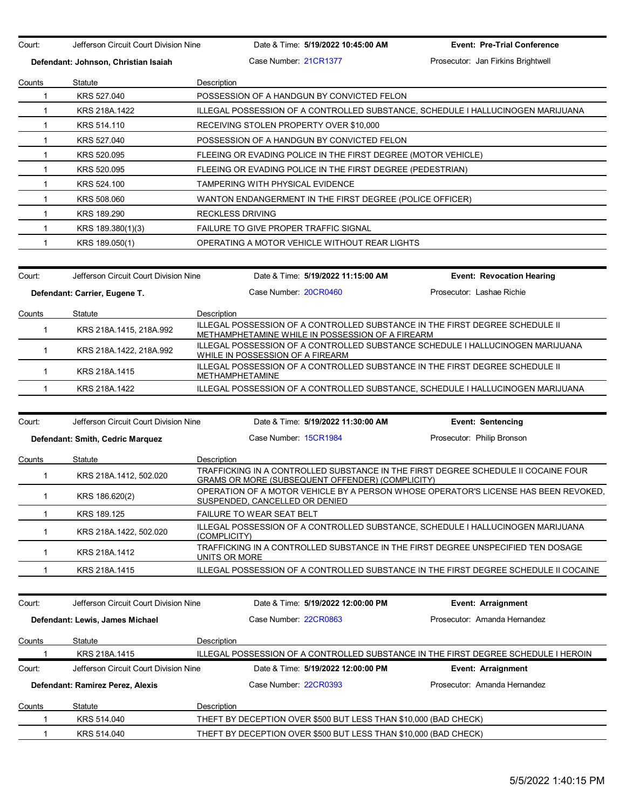| Court:                | Jefferson Circuit Court Division Nine | Date & Time: 5/19/2022 10:45:00 AM                                                                                                     | <b>Event: Pre-Trial Conference</b> |  |  |  |
|-----------------------|---------------------------------------|----------------------------------------------------------------------------------------------------------------------------------------|------------------------------------|--|--|--|
|                       | Defendant: Johnson, Christian Isaiah  | Case Number 21CR1377                                                                                                                   | Prosecutor: Jan Firkins Brightwell |  |  |  |
|                       | Statute                               | Description                                                                                                                            |                                    |  |  |  |
| Counts<br>$\mathbf 1$ | KRS 527.040                           | POSSESSION OF A HANDGUN BY CONVICTED FELON                                                                                             |                                    |  |  |  |
| $\mathbf{1}$          | KRS 218A.1422                         | ILLEGAL POSSESSION OF A CONTROLLED SUBSTANCE, SCHEDULE I HALLUCINOGEN MARIJUANA                                                        |                                    |  |  |  |
| 1                     | KRS 514.110                           | RECEIVING STOLEN PROPERTY OVER \$10,000                                                                                                |                                    |  |  |  |
| $\mathbf{1}$          | KRS 527.040                           | POSSESSION OF A HANDGUN BY CONVICTED FELON                                                                                             |                                    |  |  |  |
| 1                     | KRS 520.095                           | FLEEING OR EVADING POLICE IN THE FIRST DEGREE (MOTOR VEHICLE)                                                                          |                                    |  |  |  |
| $\mathbf{1}$          | KRS 520.095                           | FLEEING OR EVADING POLICE IN THE FIRST DEGREE (PEDESTRIAN)                                                                             |                                    |  |  |  |
| $\mathbf{1}$          | KRS 524.100                           | <b>TAMPERING WITH PHYSICAL EVIDENCE</b>                                                                                                |                                    |  |  |  |
| 1                     | KRS 508.060                           | WANTON ENDANGERMENT IN THE FIRST DEGREE (POLICE OFFICER)                                                                               |                                    |  |  |  |
| $\mathbf{1}$          | KRS 189.290                           | <b>RECKLESS DRIVING</b>                                                                                                                |                                    |  |  |  |
| 1                     | KRS 189.380(1)(3)                     | FAILURE TO GIVE PROPER TRAFFIC SIGNAL                                                                                                  |                                    |  |  |  |
| $\mathbf 1$           | KRS 189.050(1)                        | OPERATING A MOTOR VEHICLE WITHOUT REAR LIGHTS                                                                                          |                                    |  |  |  |
|                       |                                       |                                                                                                                                        |                                    |  |  |  |
| Court:                | Jefferson Circuit Court Division Nine | Date & Time: 5/19/2022 11:15:00 AM                                                                                                     | <b>Event: Revocation Hearing</b>   |  |  |  |
|                       | Defendant: Carrier, Eugene T.         | Case Number: 20CR0460                                                                                                                  | Prosecutor: Lashae Richie          |  |  |  |
| Counts                | Statute                               | Description                                                                                                                            |                                    |  |  |  |
| 1                     | KRS 218A.1415, 218A.992               | ILLEGAL POSSESSION OF A CONTROLLED SUBSTANCE IN THE FIRST DEGREE SCHEDULE II<br>METHAMPHETAMINE WHILE IN POSSESSION OF A FIREARM       |                                    |  |  |  |
| $\mathbf{1}$          | KRS 218A.1422, 218A.992               | ILLEGAL POSSESSION OF A CONTROLLED SUBSTANCE SCHEDULE I HALLUCINOGEN MARIJUANA<br>WHILE IN POSSESSION OF A FIREARM                     |                                    |  |  |  |
| $\mathbf{1}$          | KRS 218A.1415                         | ILLEGAL POSSESSION OF A CONTROLLED SUBSTANCE IN THE FIRST DEGREE SCHEDULE II<br><b>METHAMPHETAMINE</b>                                 |                                    |  |  |  |
| 1                     | KRS 218A.1422                         | ILLEGAL POSSESSION OF A CONTROLLED SUBSTANCE, SCHEDULE I HALLUCINOGEN MARIJUANA                                                        |                                    |  |  |  |
|                       |                                       |                                                                                                                                        |                                    |  |  |  |
| Court:                | Jefferson Circuit Court Division Nine | Date & Time: 5/19/2022 11:30:00 AM                                                                                                     | <b>Event: Sentencing</b>           |  |  |  |
|                       | Defendant: Smith, Cedric Marquez      | Case Number 15CR1984                                                                                                                   | Prosecutor: Philip Bronson         |  |  |  |
| Counts                | Statute                               | Description                                                                                                                            |                                    |  |  |  |
| 1                     | KRS 218A 1412, 502.020                | TRAFFICKING IN A CONTROLLED SUBSTANCE IN THE FIRST DEGREE SCHEDULE II COCAINE FOUR<br>GRAMS OR MORE (SUBSEQUENT OFFENDER) (COMPLICITY) |                                    |  |  |  |
| $\mathbf{1}$          | KRS 186.620(2)                        | OPERATION OF A MOTOR VEHICLE BY A PERSON WHOSE OPERATOR'S LICENSE HAS BEEN REVOKED,<br>SUSPENDED, CANCELLED OR DENIED                  |                                    |  |  |  |
| 1                     | KRS 189.125                           | <b>FAILURE TO WEAR SEAT BELT</b>                                                                                                       |                                    |  |  |  |
| 1                     | KRS 218A.1422, 502.020                | ILLEGAL POSSESSION OF A CONTROLLED SUBSTANCE, SCHEDULE I HALLUCINOGEN MARIJUANA<br>(COMPLICITY)                                        |                                    |  |  |  |
| 1                     | KRS 218A.1412                         | TRAFFICKING IN A CONTROLLED SUBSTANCE IN THE FIRST DEGREE UNSPECIFIED TEN DOSAGE<br>UNITS OR MORE                                      |                                    |  |  |  |
| 1                     | KRS 218A.1415                         | ILLEGAL POSSESSION OF A CONTROLLED SUBSTANCE IN THE FIRST DEGREE SCHEDULE II COCAINE                                                   |                                    |  |  |  |
| Court:                | Jefferson Circuit Court Division Nine | Date & Time: 5/19/2022 12:00:00 PM                                                                                                     | <b>Event: Arraignment</b>          |  |  |  |
|                       | Defendant: Lewis, James Michael       | Case Number: 22CR0863                                                                                                                  | Prosecutor: Amanda Hernandez       |  |  |  |
|                       |                                       |                                                                                                                                        |                                    |  |  |  |
| <u>Counts</u>         | Statute                               | <b>Description</b>                                                                                                                     |                                    |  |  |  |
| 1                     | KRS 218A.1415                         | ILLEGAL POSSESSION OF A CONTROLLED SUBSTANCE IN THE FIRST DEGREE SCHEDULE I HEROIN                                                     |                                    |  |  |  |
| Court:                | Jefferson Circuit Court Division Nine | Date & Time: 5/19/2022 12:00:00 PM                                                                                                     | Event: Arraignment                 |  |  |  |
|                       | Defendant: Ramirez Perez, Alexis      | Case Number: 22CR0393                                                                                                                  | Prosecutor: Amanda Hernandez       |  |  |  |
| Counts                | Statute                               | Description                                                                                                                            |                                    |  |  |  |
| 1                     | KRS 514.040                           | THEFT BY DECEPTION OVER \$500 BUT LESS THAN \$10,000 (BAD CHECK)                                                                       |                                    |  |  |  |
| 1                     | KRS 514.040                           | THEFT BY DECEPTION OVER \$500 BUT LESS THAN \$10,000 (BAD CHECK)                                                                       |                                    |  |  |  |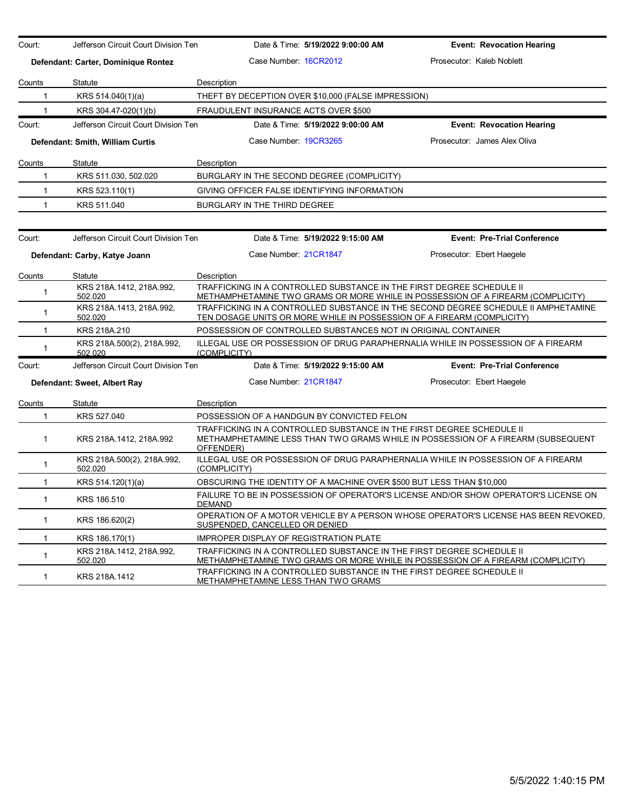| Court:        | Jefferson Circuit Court Division Ten  | Date & Time: 5/19/2022 9:00:00 AM                                                                                                                                      | <b>Event: Revocation Hearing</b>                                                    |
|---------------|---------------------------------------|------------------------------------------------------------------------------------------------------------------------------------------------------------------------|-------------------------------------------------------------------------------------|
|               | Defendant: Carter, Dominique Rontez   | Case Number: 16CR2012                                                                                                                                                  | Prosecutor: Kaleb Noblett                                                           |
| Counts        | Statute                               | Description                                                                                                                                                            |                                                                                     |
| $\mathbf{1}$  | KRS 514.040(1)(a)                     | THEFT BY DECEPTION OVER \$10,000 (FALSE IMPRESSION)                                                                                                                    |                                                                                     |
| 1             | KRS 304.47-020(1)(b)                  | FRAUDULENT INSURANCE ACTS OVER \$500                                                                                                                                   |                                                                                     |
| Court:        | Jefferson Circuit Court Division Ten  | Date & Time: 5/19/2022 9:00:00 AM                                                                                                                                      | <b>Event: Revocation Hearing</b>                                                    |
|               | Defendant: Smith, William Curtis      | Case Number 19CR3265                                                                                                                                                   | Prosecutor: James Alex Oliva                                                        |
| <b>Counts</b> | Statute                               | Description                                                                                                                                                            |                                                                                     |
| $\mathbf{1}$  | KRS 511.030, 502.020                  | BURGLARY IN THE SECOND DEGREE (COMPLICITY)                                                                                                                             |                                                                                     |
| $\mathbf{1}$  | KRS 523.110(1)                        | GIVING OFFICER FALSE IDENTIFYING INFORMATION                                                                                                                           |                                                                                     |
| $\mathbf{1}$  | KRS 511.040                           | BURGLARY IN THE THIRD DEGREE                                                                                                                                           |                                                                                     |
| Court:        | Jefferson Circuit Court Division Ten  | Date & Time: 5/19/2022 9:15:00 AM                                                                                                                                      | <b>Event: Pre-Trial Conference</b>                                                  |
|               | Defendant: Carby, Katye Joann         | Case Number: 21CR1847                                                                                                                                                  | Prosecutor: Ebert Haegele                                                           |
| Counts        | Statute                               | Description                                                                                                                                                            |                                                                                     |
| $\mathbf 1$   | KRS 218A 1412, 218A 992,<br>502.020   | TRAFFICKING IN A CONTROLLED SUBSTANCE IN THE FIRST DEGREE SCHEDULE II<br>METHAMPHETAMINE TWO GRAMS OR MORE WHILE IN POSSESSION OF A FIREARM (COMPLICITY)               |                                                                                     |
| $\mathbf 1$   | KRS 218A.1413, 218A.992,<br>502.020   | TRAFFICKING IN A CONTROLLED SUBSTANCE IN THE SECOND DEGREE SCHEDULE II AMPHETAMINE<br>TEN DOSAGE UNITS OR MORE WHILE IN POSSESSION OF A FIREARM (COMPLICITY)           |                                                                                     |
| $\mathbf 1$   | KRS 218A.210                          | POSSESSION OF CONTROLLED SUBSTANCES NOT IN ORIGINAL CONTAINER                                                                                                          |                                                                                     |
| 1             | KRS 218A.500(2), 218A.992,<br>502.020 | ILLEGAL USE OR POSSESSION OF DRUG PARAPHERNALIA WHILE IN POSSESSION OF A FIREARM<br>(COMPLICITY)                                                                       |                                                                                     |
| Court:        | Jefferson Circuit Court Division Ten  | Date & Time: 5/19/2022 9:15:00 AM                                                                                                                                      | <b>Event: Pre-Trial Conference</b>                                                  |
|               | Defendant: Sweet, Albert Ray          | Case Number 21CR1847                                                                                                                                                   | Prosecutor: Ebert Haegele                                                           |
| Counts        | Statute                               | Description                                                                                                                                                            |                                                                                     |
| 1             | KRS 527.040                           | POSSESSION OF A HANDGUN BY CONVICTED FELON                                                                                                                             |                                                                                     |
| $\mathbf{1}$  | KRS 218A.1412, 218A.992               | TRAFFICKING IN A CONTROLLED SUBSTANCE IN THE FIRST DEGREE SCHEDULE II<br>METHAMPHETAMINE LESS THAN TWO GRAMS WHILE IN POSSESSION OF A FIREARM (SUBSEQUENT<br>OFFENDER) |                                                                                     |
| 1             | KRS 218A.500(2), 218A.992,<br>502.020 | ILLEGAL USE OR POSSESSION OF DRUG PARAPHERNALIA WHILE IN POSSESSION OF A FIREARM<br>(COMPLICITY)                                                                       |                                                                                     |
| $\mathbf 1$   | KRS 514.120(1)(a)                     | OBSCURING THE IDENTITY OF A MACHINE OVER \$500 BUT LESS THAN \$10,000                                                                                                  |                                                                                     |
| $\mathbf{1}$  | KRS 186.510                           | FAILURE TO BE IN POSSESSION OF OPERATOR'S LICENSE AND/OR SHOW OPERATOR'S LICENSE ON<br><b>DEMAND</b>                                                                   |                                                                                     |
| $\mathbf{1}$  | KRS 186.620(2)                        | SUSPENDED, CANCELLED OR DENIED                                                                                                                                         | OPERATION OF A MOTOR VEHICLE BY A PERSON WHOSE OPERATOR'S LICENSE HAS BEEN REVOKED. |
| 1.            | KRS 186.170(1)                        | <b>IMPROPER DISPLAY OF REGISTRATION PLATE</b>                                                                                                                          |                                                                                     |
| $\mathbf{1}$  | KRS 218A 1412, 218A 992,<br>502.020   | TRAFFICKING IN A CONTROLLED SUBSTANCE IN THE FIRST DEGREE SCHEDULE II<br>METHAMPHETAMINE TWO GRAMS OR MORE WHILE IN POSSESSION OF A FIREARM (COMPLICITY)               |                                                                                     |
| $\mathbf{1}$  | KRS 218A.1412                         | TRAFFICKING IN A CONTROLLED SUBSTANCE IN THE FIRST DEGREE SCHEDULE II<br>METHAMPHETAMINE LESS THAN TWO GRAMS                                                           |                                                                                     |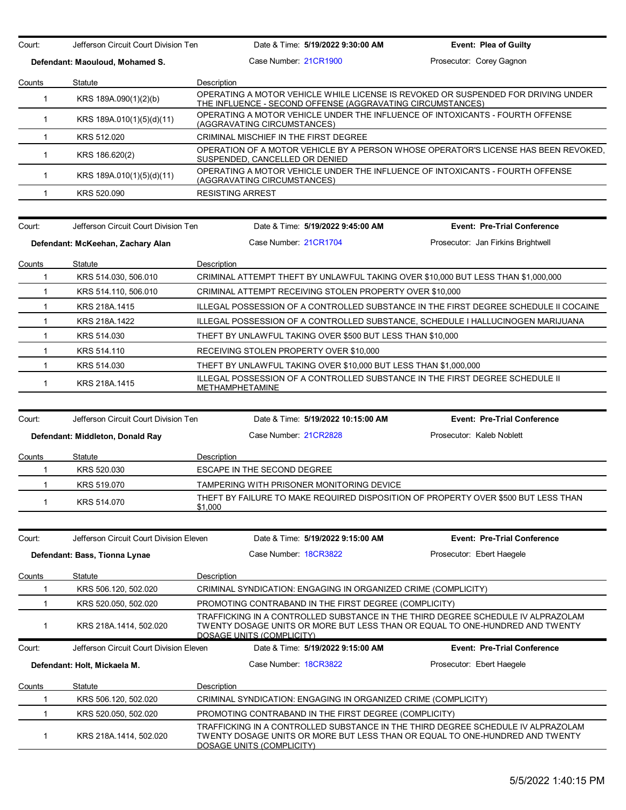Court: Jefferson Circuit Court Division Ten Date & Time: **5/19/2022 9:30:00 AM Event: Plea of Guilty**

**Defendant: Maouloud, Mohamed S.** Case Number: 21CR1900 Prosecutor: Corey Gagnon

| OPERATING A MOTOR VEHICLE WHILE LICENSE IS REVOKED OR SUSPENDED FOR DRIVING UNDER<br>KRS 189A.090(1)(2)(b)<br>THE INFLUENCE - SECOND OFFENSE (AGGRAVATING CIRCUMSTANCES) |  |
|--------------------------------------------------------------------------------------------------------------------------------------------------------------------------|--|
|                                                                                                                                                                          |  |
| OPERATING A MOTOR VEHICLE UNDER THE INFLUENCE OF INTOXICANTS - FOURTH OFFENSE<br>KRS 189A.010(1)(5)(d)(11)<br>(AGGRAVATING CIRCUMSTANCES)                                |  |
| KRS 512.020<br>CRIMINAL MISCHIEF IN THE FIRST DEGREE                                                                                                                     |  |
| OPERATION OF A MOTOR VEHICLE BY A PERSON WHOSE OPERATOR'S LICENSE HAS BEEN REVOKED.<br>KRS 186.620(2)<br>SUSPENDED, CANCELLED OR DENIED                                  |  |
| OPERATING A MOTOR VEHICLE UNDER THE INFLUENCE OF INTOXICANTS - FOURTH OFFENSE<br>KRS 189A.010(1)(5)(d)(11)<br>(AGGRAVATING CIRCUMSTANCES)                                |  |
| KRS 520.090<br><b>RESISTING ARREST</b>                                                                                                                                   |  |

| Court: | Jefferson Circuit Court Division Ten | Date & Time: 5/19/2022 9:45:00 AM                                                                      | <b>Event: Pre-Trial Conference</b>                                                   |
|--------|--------------------------------------|--------------------------------------------------------------------------------------------------------|--------------------------------------------------------------------------------------|
|        | Defendant: McKeehan, Zachary Alan    | Case Number: 21CR1704                                                                                  | Prosecutor: Jan Firkins Brightwell                                                   |
| Counts | Statute                              | Description                                                                                            |                                                                                      |
|        | KRS 514.030, 506.010                 | CRIMINAL ATTEMPT THEFT BY UNLAWFUL TAKING OVER \$10,000 BUT LESS THAN \$1,000,000                      |                                                                                      |
|        | KRS 514.110, 506.010                 | CRIMINAL ATTEMPT RECEIVING STOLEN PROPERTY OVER \$10,000                                               |                                                                                      |
|        | KRS 218A.1415                        |                                                                                                        | ILLEGAL POSSESSION OF A CONTROLLED SUBSTANCE IN THE FIRST DEGREE SCHEDULE II COCAINE |
|        | KRS 218A.1422                        | ILLEGAL POSSESSION OF A CONTROLLED SUBSTANCE, SCHEDULE I HALLUCINOGEN MARIJUANA                        |                                                                                      |
|        | KRS 514.030                          | THEFT BY UNLAWFUL TAKING OVER \$500 BUT LESS THAN \$10,000                                             |                                                                                      |
|        | KRS 514.110                          | RECEIVING STOLEN PROPERTY OVER \$10,000                                                                |                                                                                      |
|        | KRS 514,030                          | THEFT BY UNLAWFUL TAKING OVER \$10,000 BUT LESS THAN \$1,000,000                                       |                                                                                      |
|        | KRS 218A 1415                        | ILLEGAL POSSESSION OF A CONTROLLED SUBSTANCE IN THE FIRST DEGREE SCHEDULE II<br><b>METHAMPHETAMINE</b> |                                                                                      |

| Court: | Jefferson Circuit Court Division Ten | Date & Time: 5/19/2022 10:15:00 AM                                                            | <b>Event: Pre-Trial Conference</b> |
|--------|--------------------------------------|-----------------------------------------------------------------------------------------------|------------------------------------|
|        | Defendant: Middleton, Donald Ray     | Case Number 21CR2828                                                                          | Prosecutor: Kaleb Noblett          |
| Counts | Statute                              | Description                                                                                   |                                    |
|        | KRS 520.030                          | ESCAPE IN THE SECOND DEGREE                                                                   |                                    |
|        | KRS 519,070                          | TAMPERING WITH PRISONER MONITORING DEVICE                                                     |                                    |
|        | KRS 514.070                          | THEFT BY FAILURE TO MAKE REQUIRED DISPOSITION OF PROPERTY OVER \$500 BUT LESS THAN<br>\$1,000 |                                    |
|        |                                      |                                                                                               |                                    |

| Court: | Jefferson Circuit Court Division Eleven |                                                                | Date & Time: 5/19/2022 9:15:00 AM | <b>Event: Pre-Trial Conference</b>                                                                                                                               |
|--------|-----------------------------------------|----------------------------------------------------------------|-----------------------------------|------------------------------------------------------------------------------------------------------------------------------------------------------------------|
|        | Defendant: Bass, Tionna Lynae           | Case Number 18CR3822                                           |                                   | Prosecutor: Ebert Haegele                                                                                                                                        |
| Counts | Statute                                 | Description                                                    |                                   |                                                                                                                                                                  |
|        | KRS 506.120, 502.020                    | CRIMINAL SYNDICATION: ENGAGING IN ORGANIZED CRIME (COMPLICITY) |                                   |                                                                                                                                                                  |
|        | KRS 520.050, 502.020                    | PROMOTING CONTRABAND IN THE FIRST DEGREE (COMPLICITY)          |                                   |                                                                                                                                                                  |
|        | KRS 218A 1414, 502.020                  | DOSAGE UNITS (COMPLICITY)                                      |                                   | TRAFFICKING IN A CONTROLLED SUBSTANCE IN THE THIRD DEGREE SCHEDULE IV ALPRAZOLAM<br>TWENTY DOSAGE UNITS OR MORE BUT LESS THAN OR EQUAL TO ONE-HUNDRED AND TWENTY |
|        |                                         |                                                                |                                   |                                                                                                                                                                  |
| Court: | Jefferson Circuit Court Division Eleven |                                                                | Date & Time: 5/19/2022 9:15:00 AM | <b>Event: Pre-Trial Conference</b>                                                                                                                               |
|        | Defendant: Holt, Mickaela M.            | Case Number 18CR3822                                           |                                   | Prosecutor: Ebert Haegele                                                                                                                                        |
| Counts | Statute                                 | Description                                                    |                                   |                                                                                                                                                                  |
|        | KRS 506.120, 502.020                    | CRIMINAL SYNDICATION: ENGAGING IN ORGANIZED CRIME (COMPLICITY) |                                   |                                                                                                                                                                  |
|        | KRS 520.050, 502.020                    | PROMOTING CONTRABAND IN THE FIRST DEGREE (COMPLICITY)          |                                   |                                                                                                                                                                  |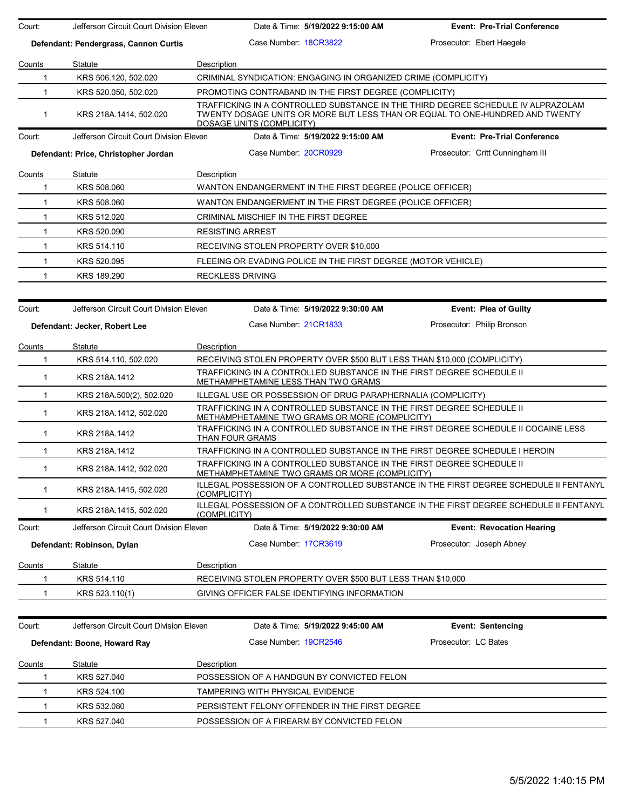| Court:        | Jefferson Circuit Court Division Eleven | Date & Time: 5/19/2022 9:15:00 AM                                                                                       | <b>Event: Pre-Trial Conference</b>                                                                                                                               |  |
|---------------|-----------------------------------------|-------------------------------------------------------------------------------------------------------------------------|------------------------------------------------------------------------------------------------------------------------------------------------------------------|--|
|               | Defendant: Pendergrass, Cannon Curtis   | Case Number 18CR3822                                                                                                    | Prosecutor: Ebert Haegele                                                                                                                                        |  |
| Counts        | Statute                                 | Description                                                                                                             |                                                                                                                                                                  |  |
| $\mathbf 1$   | KRS 506.120, 502.020                    | CRIMINAL SYNDICATION: ENGAGING IN ORGANIZED CRIME (COMPLICITY)                                                          |                                                                                                                                                                  |  |
| $\mathbf{1}$  | KRS 520.050, 502.020                    | PROMOTING CONTRABAND IN THE FIRST DEGREE (COMPLICITY)                                                                   |                                                                                                                                                                  |  |
| 1             | KRS 218A.1414, 502.020                  | DOSAGE UNITS (COMPLICITY)                                                                                               | TRAFFICKING IN A CONTROLLED SUBSTANCE IN THE THIRD DEGREE SCHEDULE IV ALPRAZOLAM<br>TWENTY DOSAGE UNITS OR MORE BUT LESS THAN OR EQUAL TO ONE-HUNDRED AND TWENTY |  |
| Court:        | Jefferson Circuit Court Division Eleven | Date & Time: 5/19/2022 9:15:00 AM                                                                                       | <b>Event: Pre-Trial Conference</b>                                                                                                                               |  |
|               | Defendant: Price, Christopher Jordan    | Case Number: 20CR0929                                                                                                   | Prosecutor: Critt Cunningham III                                                                                                                                 |  |
| Counts        | Statute                                 | Description                                                                                                             |                                                                                                                                                                  |  |
| 1             | KRS 508.060                             | WANTON ENDANGERMENT IN THE FIRST DEGREE (POLICE OFFICER)                                                                |                                                                                                                                                                  |  |
| $\mathbf{1}$  | KRS 508.060                             | WANTON ENDANGERMENT IN THE FIRST DEGREE (POLICE OFFICER)                                                                |                                                                                                                                                                  |  |
| $\mathbf{1}$  | KRS 512.020                             | CRIMINAL MISCHIEF IN THE FIRST DEGREE                                                                                   |                                                                                                                                                                  |  |
| $\mathbf{1}$  | KRS 520.090                             | <b>RESISTING ARREST</b>                                                                                                 |                                                                                                                                                                  |  |
| $\mathbf 1$   | KRS 514.110                             | RECEIVING STOLEN PROPERTY OVER \$10,000                                                                                 |                                                                                                                                                                  |  |
| 1             | KRS 520.095                             | FLEEING OR EVADING POLICE IN THE FIRST DEGREE (MOTOR VEHICLE)                                                           |                                                                                                                                                                  |  |
| 1             | KRS 189.290                             | <b>RECKLESS DRIVING</b>                                                                                                 |                                                                                                                                                                  |  |
|               |                                         |                                                                                                                         |                                                                                                                                                                  |  |
| Court:        | Jefferson Circuit Court Division Eleven | Date & Time: 5/19/2022 9:30:00 AM                                                                                       | Event: Plea of Guilty                                                                                                                                            |  |
|               | Defendant: Jecker, Robert Lee           | Case Number 21CR1833                                                                                                    | Prosecutor: Philip Bronson                                                                                                                                       |  |
| Counts        | Statute                                 | Description                                                                                                             |                                                                                                                                                                  |  |
| $\mathbf{1}$  | KRS 514.110, 502.020                    | RECEIVING STOLEN PROPERTY OVER \$500 BUT LESS THAN \$10,000 (COMPLICITY)                                                |                                                                                                                                                                  |  |
| $\mathbf{1}$  | KRS 218A.1412                           | TRAFFICKING IN A CONTROLLED SUBSTANCE IN THE FIRST DEGREE SCHEDULE II<br>METHAMPHETAMINE LESS THAN TWO GRAMS            |                                                                                                                                                                  |  |
| $\mathbf{1}$  | KRS 218A.500(2), 502.020                | ILLEGAL USE OR POSSESSION OF DRUG PARAPHERNALIA (COMPLICITY)                                                            |                                                                                                                                                                  |  |
| $\mathbf{1}$  | KRS 218A.1412, 502.020                  | TRAFFICKING IN A CONTROLLED SUBSTANCE IN THE FIRST DEGREE SCHEDULE II<br>METHAMPHETAMINE TWO GRAMS OR MORE (COMPLICITY) |                                                                                                                                                                  |  |
| 1             | KRS 218A.1412                           | THAN FOUR GRAMS                                                                                                         | TRAFFICKING IN A CONTROLLED SUBSTANCE IN THE FIRST DEGREE SCHEDULE II COCAINE LESS                                                                               |  |
| $\mathbf{1}$  | KRS 218A.1412                           | TRAFFICKING IN A CONTROLLED SUBSTANCE IN THE FIRST DEGREE SCHEDULE I HEROIN                                             |                                                                                                                                                                  |  |
| $\mathbf{1}$  | KRS 218A.1412, 502.020                  | TRAFFICKING IN A CONTROLLED SUBSTANCE IN THE FIRST DEGREE SCHEDULE II<br>METHAMPHETAMINE TWO GRAMS OR MORE (COMPLICITY) |                                                                                                                                                                  |  |
| $\mathbf{1}$  | KRS 218A.1415, 502.020                  | (COMPLICITY)                                                                                                            | ILLEGAL POSSESSION OF A CONTROLLED SUBSTANCE IN THE FIRST DEGREE SCHEDULE II FENTANYL                                                                            |  |
| 1             | KRS 218A.1415, 502.020                  | <u>(COMPLICITY)</u>                                                                                                     | ILLEGAL POSSESSION OF A CONTROLLED SUBSTANCE IN THE FIRST DEGREE SCHEDULE II FENTANYL                                                                            |  |
| Court:        | Jefferson Circuit Court Division Eleven | Date & Time: 5/19/2022 9:30:00 AM                                                                                       | <b>Event: Revocation Hearing</b>                                                                                                                                 |  |
|               | Defendant: Robinson, Dylan              | Case Number 17CR3619                                                                                                    | Prosecutor: Joseph Abney                                                                                                                                         |  |
| Counts        | Statute                                 | Description                                                                                                             |                                                                                                                                                                  |  |
| 1             | KRS 514.110                             | RECEIVING STOLEN PROPERTY OVER \$500 BUT LESS THAN \$10,000                                                             |                                                                                                                                                                  |  |
| 1             | KRS 523.110(1)                          | GIVING OFFICER FALSE IDENTIFYING INFORMATION                                                                            |                                                                                                                                                                  |  |
| Court:        | Jefferson Circuit Court Division Eleven | Date & Time: 5/19/2022 9:45:00 AM                                                                                       | <b>Event: Sentencing</b>                                                                                                                                         |  |
|               |                                         |                                                                                                                         |                                                                                                                                                                  |  |
|               | Defendant: Boone, Howard Ray            | Case Number 19CR2546                                                                                                    | Prosecutor: LC Bates                                                                                                                                             |  |
| <b>Counts</b> | Statute                                 | Description                                                                                                             |                                                                                                                                                                  |  |
| 1             | KRS 527.040                             | POSSESSION OF A HANDGUN BY CONVICTED FELON                                                                              |                                                                                                                                                                  |  |
| 1             | KRS 524.100                             | TAMPERING WITH PHYSICAL EVIDENCE                                                                                        |                                                                                                                                                                  |  |
| 1             | KRS 532.080                             | PERSISTENT FELONY OFFENDER IN THE FIRST DEGREE                                                                          |                                                                                                                                                                  |  |
| $\mathbf{1}$  | KRS 527.040                             | POSSESSION OF A FIREARM BY CONVICTED FELON                                                                              |                                                                                                                                                                  |  |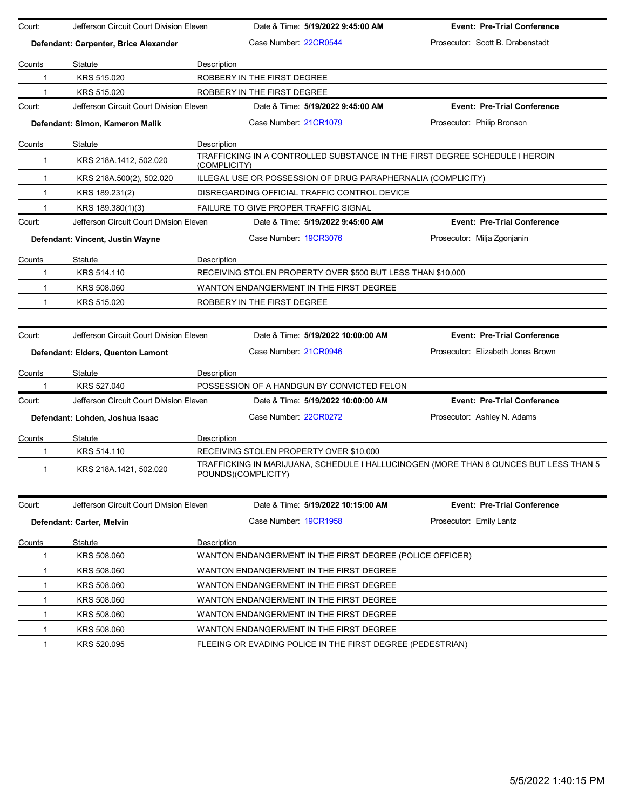| Court:       | Jefferson Circuit Court Division Eleven |              |                             | Date & Time: 5/19/2022 9:45:00 AM                            | <b>Event: Pre-Trial Conference</b>                                                    |
|--------------|-----------------------------------------|--------------|-----------------------------|--------------------------------------------------------------|---------------------------------------------------------------------------------------|
|              | Defendant: Carpenter, Brice Alexander   |              | Case Number: 22CR0544       |                                                              | Prosecutor: Scott B. Drabenstadt                                                      |
| Counts       | Statute                                 | Description  |                             |                                                              |                                                                                       |
| 1            | KRS 515.020                             |              | ROBBERY IN THE FIRST DEGREE |                                                              |                                                                                       |
| 1            | KRS 515.020                             |              | ROBBERY IN THE FIRST DEGREE |                                                              |                                                                                       |
| Court:       | Jefferson Circuit Court Division Eleven |              |                             | Date & Time: 5/19/2022 9:45:00 AM                            | <b>Event: Pre-Trial Conference</b>                                                    |
|              | Defendant: Simon, Kameron Malik         |              | Case Number 21CR1079        |                                                              | Prosecutor: Philip Bronson                                                            |
| Counts       | Statute                                 | Description  |                             |                                                              |                                                                                       |
| 1            | KRS 218A.1412, 502.020                  | (COMPLICITY) |                             |                                                              | TRAFFICKING IN A CONTROLLED SUBSTANCE IN THE FIRST DEGREE SCHEDULE I HEROIN           |
| 1            | KRS 218A.500(2), 502.020                |              |                             | ILLEGAL USE OR POSSESSION OF DRUG PARAPHERNALIA (COMPLICITY) |                                                                                       |
| $\mathbf{1}$ | KRS 189.231(2)                          |              |                             | DISREGARDING OFFICIAL TRAFFIC CONTROL DEVICE                 |                                                                                       |
| 1            | KRS 189.380(1)(3)                       |              |                             | FAILURE TO GIVE PROPER TRAFFIC SIGNAL                        |                                                                                       |
| Court:       | Jefferson Circuit Court Division Eleven |              |                             | Date & Time: 5/19/2022 9:45:00 AM                            | <b>Event: Pre-Trial Conference</b>                                                    |
|              | Defendant: Vincent, Justin Wayne        |              | Case Number 19CR3076        |                                                              | Prosecutor: Milja Zgonjanin                                                           |
| Counts       | Statute                                 | Description  |                             |                                                              |                                                                                       |
| 1            | KRS 514.110                             |              |                             | RECEIVING STOLEN PROPERTY OVER \$500 BUT LESS THAN \$10,000  |                                                                                       |
| 1            | KRS 508.060                             |              |                             | WANTON ENDANGERMENT IN THE FIRST DEGREE                      |                                                                                       |
| $\mathbf{1}$ | KRS 515.020                             |              | ROBBERY IN THE FIRST DEGREE |                                                              |                                                                                       |
|              |                                         |              |                             |                                                              |                                                                                       |
| Court:       | Jefferson Circuit Court Division Eleven |              |                             | Date & Time: 5/19/2022 10:00:00 AM                           | <b>Event: Pre-Trial Conference</b>                                                    |
|              |                                         |              | Case Number 21CR0946        |                                                              | Prosecutor: Elizabeth Jones Brown                                                     |
|              | Defendant: Elders, Quenton Lamont       |              |                             |                                                              |                                                                                       |
| Counts       | Statute                                 | Description  |                             |                                                              |                                                                                       |
|              | KRS 527.040                             |              |                             | POSSESSION OF A HANDGUN BY CONVICTED FELON                   |                                                                                       |
| Court:       | Jefferson Circuit Court Division Eleven |              |                             | Date & Time: 5/19/2022 10:00:00 AM                           | <b>Event: Pre-Trial Conference</b>                                                    |
|              | Defendant: Lohden, Joshua Isaac         |              | Case Number: 22CR0272       |                                                              | Prosecutor: Ashley N. Adams                                                           |
| Counts       | Statute                                 | Description  |                             |                                                              |                                                                                       |
| 1            | KRS 514.110                             |              |                             | RECEIVING STOLEN PROPERTY OVER \$10,000                      |                                                                                       |
| 1            | KRS 218A.1421, 502.020                  |              | POUNDS)(COMPLICITY)         |                                                              | TRAFFICKING IN MARIJUANA, SCHEDULE I HALLUCINOGEN (MORE THAN 8 OUNCES BUT LESS THAN 5 |
|              |                                         |              |                             |                                                              |                                                                                       |
| Court:       | Jefferson Circuit Court Division Eleven |              |                             | Date & Time: 5/19/2022 10:15:00 AM                           | <b>Event: Pre-Trial Conference</b>                                                    |
|              | Defendant: Carter, Melvin               |              | Case Number 19CR1958        |                                                              | Prosecutor: Emily Lantz                                                               |
| Counts       | Statute                                 | Description  |                             |                                                              |                                                                                       |
| 1            | KRS 508.060                             |              |                             | WANTON ENDANGERMENT IN THE FIRST DEGREE (POLICE OFFICER)     |                                                                                       |
| 1            | KRS 508.060                             |              |                             | WANTON ENDANGERMENT IN THE FIRST DEGREE                      |                                                                                       |
| $\mathbf 1$  | KRS 508.060                             |              |                             | WANTON ENDANGERMENT IN THE FIRST DEGREE                      |                                                                                       |
| 1            | KRS 508.060                             |              |                             | WANTON ENDANGERMENT IN THE FIRST DEGREE                      |                                                                                       |
| 1            | KRS 508.060                             |              |                             | WANTON ENDANGERMENT IN THE FIRST DEGREE                      |                                                                                       |
| 1            | KRS 508.060                             |              |                             | WANTON ENDANGERMENT IN THE FIRST DEGREE                      |                                                                                       |
| 1            | KRS 520.095                             |              |                             | FLEEING OR EVADING POLICE IN THE FIRST DEGREE (PEDESTRIAN)   |                                                                                       |
|              |                                         |              |                             |                                                              |                                                                                       |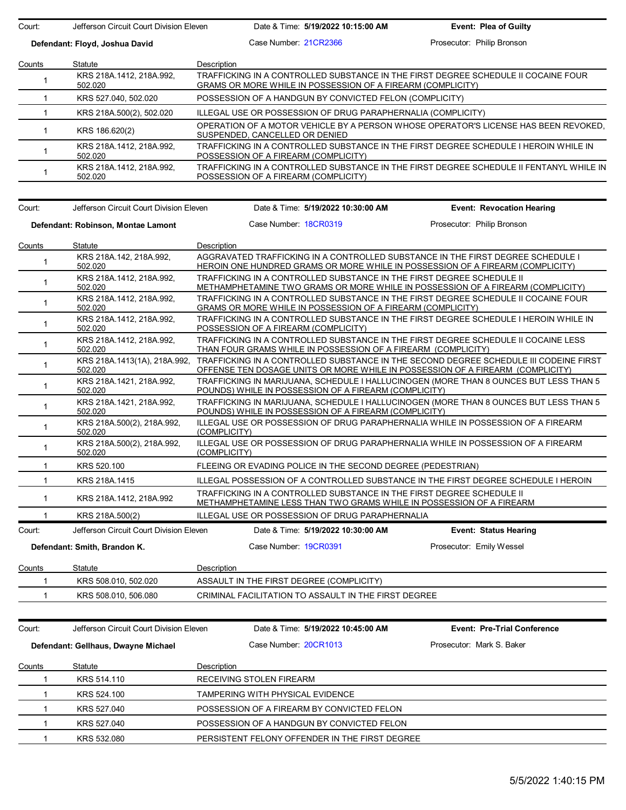Court: Jefferson Circuit Court Division Eleven Date & Time: **5/19/2022 10:15:00 AM Event: Plea of Guilty**

**Defendant: Floyd, Joshua David** Case Number: 21CR2366 Prosecutor: Philip Bronson

| Counts | Statute                             | Description                                                                                                                                       |
|--------|-------------------------------------|---------------------------------------------------------------------------------------------------------------------------------------------------|
|        | KRS 218A.1412, 218A.992,<br>502.020 | TRAFFICKING IN A CONTROLLED SUBSTANCE IN THE FIRST DEGREE SCHEDULE II COCAINE FOUR<br>GRAMS OR MORE WHILE IN POSSESSION OF A FIREARM (COMPLICITY) |
|        | KRS 527.040, 502.020                | POSSESSION OF A HANDGUN BY CONVICTED FELON (COMPLICITY)                                                                                           |
|        | KRS 218A.500(2), 502.020            | ILLEGAL USE OR POSSESSION OF DRUG PARAPHERNALIA (COMPLICITY)                                                                                      |
|        | KRS 186.620(2)                      | OPERATION OF A MOTOR VEHICLE BY A PERSON WHOSE OPERATOR'S LICENSE HAS BEEN REVOKED.<br>SUSPENDED, CANCELLED OR DENIED                             |
|        | KRS 218A 1412, 218A 992,<br>502.020 | TRAFFICKING IN A CONTROLLED SUBSTANCE IN THE FIRST DEGREE SCHEDULE I HEROIN WHILE IN<br>POSSESSION OF A FIREARM (COMPLICITY)                      |
|        | KRS 218A.1412, 218A.992,<br>502.020 | TRAFFICKING IN A CONTROLLED SUBSTANCE IN THE FIRST DEGREE SCHEDULE II FENTANYL WHILE IN<br>POSSESSION OF A FIREARM (COMPLICITY)                   |

| Court:                             | Jefferson Circuit Court Division Eleven |                                                               | Date & Time: 5/19/2022 10:30:00 AM                                                                                                            | <b>Event: Revocation Hearing</b>                                                                                                                                        |  |
|------------------------------------|-----------------------------------------|---------------------------------------------------------------|-----------------------------------------------------------------------------------------------------------------------------------------------|-------------------------------------------------------------------------------------------------------------------------------------------------------------------------|--|
| Defendant: Robinson, Montae Lamont |                                         | Case Number: 18CR0319                                         |                                                                                                                                               | Prosecutor: Philip Bronson                                                                                                                                              |  |
| Counts                             | Statute                                 | Description                                                   |                                                                                                                                               |                                                                                                                                                                         |  |
| 1                                  | KRS 218A.142, 218A.992,<br>502.020      |                                                               |                                                                                                                                               | AGGRAVATED TRAFFICKING IN A CONTROLLED SUBSTANCE IN THE FIRST DEGREE SCHEDULE I<br>HEROIN ONE HUNDRED GRAMS OR MORE WHILE IN POSSESSION OF A FIREARM (COMPLICITY)       |  |
| 1                                  | KRS 218A.1412, 218A.992,<br>502.020     |                                                               |                                                                                                                                               | TRAFFICKING IN A CONTROLLED SUBSTANCE IN THE FIRST DEGREE SCHEDULE II<br>METHAMPHETAMINE TWO GRAMS OR MORE WHILE IN POSSESSION OF A FIREARM (COMPLICITY)                |  |
| 1                                  | KRS 218A.1412, 218A.992,<br>502.020     | GRAMS OR MORE WHILE IN POSSESSION OF A FIREARM (COMPLICITY)   |                                                                                                                                               | TRAFFICKING IN A CONTROLLED SUBSTANCE IN THE FIRST DEGREE SCHEDULE II COCAINE FOUR                                                                                      |  |
| $\mathbf 1$                        | KRS 218A.1412, 218A.992,<br>502.020     | POSSESSION OF A FIREARM (COMPLICITY)                          |                                                                                                                                               | TRAFFICKING IN A CONTROLLED SUBSTANCE IN THE FIRST DEGREE SCHEDULE I HEROIN WHILE IN                                                                                    |  |
| $\mathbf{1}$                       | KRS 218A.1412, 218A.992,<br>502.020     | THAN FOUR GRAMS WHILE IN POSSESSION OF A FIREARM (COMPLICITY) |                                                                                                                                               | TRAFFICKING IN A CONTROLLED SUBSTANCE IN THE FIRST DEGREE SCHEDULE II COCAINE LESS                                                                                      |  |
| 1                                  | KRS 218A.1413(1A), 218A.992,<br>502.020 |                                                               |                                                                                                                                               | TRAFFICKING IN A CONTROLLED SUBSTANCE IN THE SECOND DEGREE SCHEDULE III CODEINE FIRST<br>OFFENSE TEN DOSAGE UNITS OR MORE WHILE IN POSSESSION OF A FIREARM (COMPLICITY) |  |
| $\mathbf{1}$                       | KRS 218A.1421, 218A.992,<br>502.020     | POUNDS) WHILE IN POSSESSION OF A FIREARM (COMPLICITY)         |                                                                                                                                               | TRAFFICKING IN MARIJUANA, SCHEDULE I HALLUCINOGEN (MORE THAN 8 OUNCES BUT LESS THAN 5                                                                                   |  |
| 1                                  | KRS 218A.1421, 218A.992,<br>502.020     | POUNDS) WHILE IN POSSESSION OF A FIREARM (COMPLICITY)         |                                                                                                                                               | TRAFFICKING IN MARIJUANA, SCHEDULE I HALLUCINOGEN (MORE THAN 8 OUNCES BUT LESS THAN 5                                                                                   |  |
| $\mathbf 1$                        | KRS 218A.500(2), 218A.992,<br>502.020   | (COMPLICITY)                                                  |                                                                                                                                               | ILLEGAL USE OR POSSESSION OF DRUG PARAPHERNALIA WHILE IN POSSESSION OF A FIREARM                                                                                        |  |
| $\mathbf 1$                        | KRS 218A.500(2), 218A.992,<br>502.020   | (COMPLICITY)                                                  | ILLEGAL USE OR POSSESSION OF DRUG PARAPHERNALIA WHILE IN POSSESSION OF A FIREARM                                                              |                                                                                                                                                                         |  |
| 1                                  | KRS 520.100                             |                                                               | FLEEING OR EVADING POLICE IN THE SECOND DEGREE (PEDESTRIAN)                                                                                   |                                                                                                                                                                         |  |
| $\mathbf{1}$                       | KRS 218A.1415                           |                                                               | ILLEGAL POSSESSION OF A CONTROLLED SUBSTANCE IN THE FIRST DEGREE SCHEDULE I HEROIN                                                            |                                                                                                                                                                         |  |
| 1                                  | KRS 218A.1412, 218A.992                 |                                                               | TRAFFICKING IN A CONTROLLED SUBSTANCE IN THE FIRST DEGREE SCHEDULE II<br>METHAMPHETAMINE LESS THAN TWO GRAMS WHILE IN POSSESSION OF A FIREARM |                                                                                                                                                                         |  |
| $\mathbf{1}$                       | KRS 218A.500(2)                         | ILLEGAL USE OR POSSESSION OF DRUG PARAPHERNALIA               |                                                                                                                                               |                                                                                                                                                                         |  |
| Court:                             | Jefferson Circuit Court Division Eleven |                                                               | Date & Time: 5/19/2022 10:30:00 AM                                                                                                            | <b>Event: Status Hearing</b>                                                                                                                                            |  |
|                                    | Defendant: Smith, Brandon K.            | Case Number 19CR0391                                          |                                                                                                                                               | Prosecutor: Emily Wessel                                                                                                                                                |  |
| Counts                             | Statute                                 | Description                                                   |                                                                                                                                               |                                                                                                                                                                         |  |
| 1.                                 | KRS 508.010, 502.020                    | ASSAULT IN THE FIRST DEGREE (COMPLICITY)                      |                                                                                                                                               |                                                                                                                                                                         |  |
| $\mathbf{1}$                       | KRS 508.010, 506.080                    | CRIMINAL FACILITATION TO ASSAULT IN THE FIRST DEGREE          |                                                                                                                                               |                                                                                                                                                                         |  |
| Court:                             | Jefferson Circuit Court Division Eleven |                                                               | Date & Time: 5/19/2022 10:45:00 AM                                                                                                            | <b>Event: Pre-Trial Conference</b>                                                                                                                                      |  |
|                                    | Defendant: Gellhaus, Dwayne Michael     | Case Number 20CR1013                                          |                                                                                                                                               | Prosecutor: Mark S. Baker                                                                                                                                               |  |
| Counts                             | Statute                                 | Description                                                   |                                                                                                                                               |                                                                                                                                                                         |  |
| 1                                  | KRS 514.110                             | RECEIVING STOLEN FIREARM                                      |                                                                                                                                               |                                                                                                                                                                         |  |
| 1                                  | KRS 524.100                             | TAMPERING WITH PHYSICAL EVIDENCE                              |                                                                                                                                               |                                                                                                                                                                         |  |
| 1.                                 | KRS 527.040                             | POSSESSION OF A FIREARM BY CONVICTED FELON                    |                                                                                                                                               |                                                                                                                                                                         |  |
| 1                                  | KRS 527.040                             | POSSESSION OF A HANDGUN BY CONVICTED FELON                    |                                                                                                                                               |                                                                                                                                                                         |  |
| $\mathbf{1}$                       | KRS 532.080                             | PERSISTENT FELONY OFFENDER IN THE FIRST DEGREE                |                                                                                                                                               |                                                                                                                                                                         |  |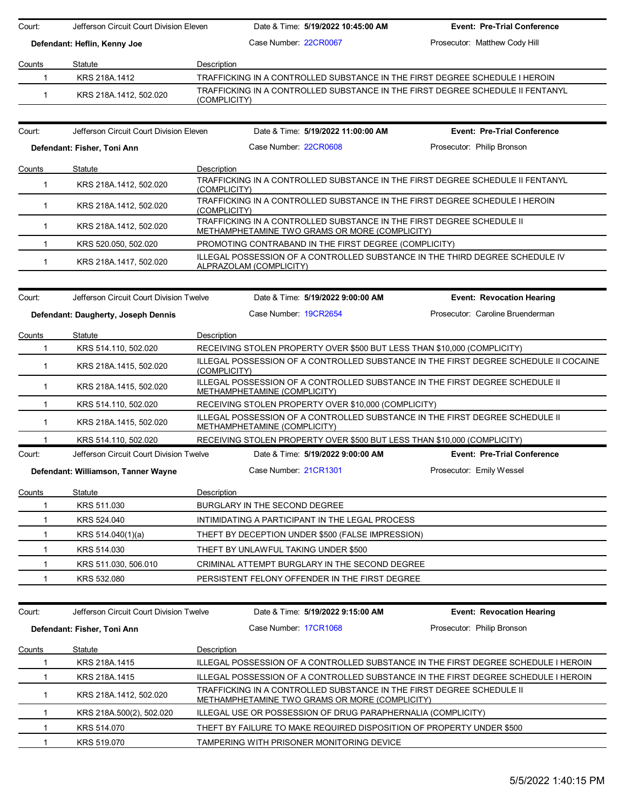| Court:<br>Jefferson Circuit Court Division Eleven |                                         | Date & Time: 5/19/2022 10:45:00 AM                                                                                      | <b>Event: Pre-Trial Conference</b> |
|---------------------------------------------------|-----------------------------------------|-------------------------------------------------------------------------------------------------------------------------|------------------------------------|
|                                                   | Defendant: Heflin, Kenny Joe            | Case Number: 22CR0067                                                                                                   | Prosecutor: Matthew Cody Hill      |
| Counts                                            | Statute                                 | Description                                                                                                             |                                    |
| $\mathbf{1}$                                      | KRS 218A.1412                           | TRAFFICKING IN A CONTROLLED SUBSTANCE IN THE FIRST DEGREE SCHEDULE I HEROIN                                             |                                    |
| $\mathbf{1}$                                      | KRS 218A.1412, 502.020                  | TRAFFICKING IN A CONTROLLED SUBSTANCE IN THE FIRST DEGREE SCHEDULE II FENTANYL<br>(COMPLICITY)                          |                                    |
| Court:                                            | Jefferson Circuit Court Division Eleven | Date & Time: 5/19/2022 11:00:00 AM                                                                                      | <b>Event: Pre-Trial Conference</b> |
| Defendant: Fisher, Toni Ann                       |                                         | Case Number: 22CR0608                                                                                                   | Prosecutor: Philip Bronson         |
| Counts                                            | Statute                                 | Description                                                                                                             |                                    |
| $\mathbf{1}$                                      | KRS 218A.1412, 502.020                  | TRAFFICKING IN A CONTROLLED SUBSTANCE IN THE FIRST DEGREE SCHEDULE II FENTANYL<br>(COMPLICITY)                          |                                    |
| $\mathbf{1}$                                      | KRS 218A.1412, 502.020                  | TRAFFICKING IN A CONTROLLED SUBSTANCE IN THE FIRST DEGREE SCHEDULE I HEROIN<br>(COMPLICITY)                             |                                    |
| $\mathbf{1}$                                      | KRS 218A.1412, 502.020                  | TRAFFICKING IN A CONTROLLED SUBSTANCE IN THE FIRST DEGREE SCHEDULE II<br>METHAMPHETAMINE TWO GRAMS OR MORE (COMPLICITY) |                                    |
| $\mathbf{1}$                                      | KRS 520.050, 502.020                    | PROMOTING CONTRABAND IN THE FIRST DEGREE (COMPLICITY)                                                                   |                                    |
| $\mathbf 1$                                       | KRS 218A.1417, 502.020                  | ILLEGAL POSSESSION OF A CONTROLLED SUBSTANCE IN THE THIRD DEGREE SCHEDULE IV<br>ALPRAZOLAM (COMPLICITY)                 |                                    |
| Court:                                            | Jefferson Circuit Court Division Twelve | Date & Time: 5/19/2022 9:00:00 AM                                                                                       | <b>Event: Revocation Hearing</b>   |
|                                                   | Defendant: Daugherty, Joseph Dennis     | Case Number 19CR2654                                                                                                    | Prosecutor: Caroline Bruenderman   |
| Counts                                            | Statute                                 | Description                                                                                                             |                                    |
| $\mathbf{1}$                                      | KRS 514.110, 502.020                    | RECEIVING STOLEN PROPERTY OVER \$500 BUT LESS THAN \$10,000 (COMPLICITY)                                                |                                    |
| $\mathbf{1}$                                      | KRS 218A.1415, 502.020                  | ILLEGAL POSSESSION OF A CONTROLLED SUBSTANCE IN THE FIRST DEGREE SCHEDULE II COCAINE<br>(COMPLICITY)                    |                                    |
| $\mathbf{1}$                                      | KRS 218A.1415, 502.020                  | ILLEGAL POSSESSION OF A CONTROLLED SUBSTANCE IN THE FIRST DEGREE SCHEDULE II<br>METHAMPHETAMINE (COMPLICITY)            |                                    |
| $\mathbf{1}$                                      | KRS 514.110, 502.020                    | RECEIVING STOLEN PROPERTY OVER \$10,000 (COMPLICITY)                                                                    |                                    |
| $\mathbf 1$                                       | KRS 218A.1415, 502.020                  | ILLEGAL POSSESSION OF A CONTROLLED SUBSTANCE IN THE FIRST DEGREE SCHEDULE II<br>METHAMPHETAMINE (COMPLICITY)            |                                    |
| 1                                                 | KRS 514.110, 502.020                    | RECEIVING STOLEN PROPERTY OVER \$500 BUT LESS THAN \$10,000 (COMPLICITY)                                                |                                    |
| Court:                                            | Jefferson Circuit Court Division Twelve | Date & Time: 5/19/2022 9:00:00 AM                                                                                       | <b>Event: Pre-Trial Conference</b> |
|                                                   | Defendant: Williamson, Tanner Wayne     | Case Number 21CR1301                                                                                                    | Prosecutor: Emily Wessel           |
| Counts                                            | Statute                                 | Description                                                                                                             |                                    |
| 1                                                 | KRS 511.030                             | BURGLARY IN THE SECOND DEGREE                                                                                           |                                    |
| 1                                                 | KRS 524.040                             | INTIMIDATING A PARTICIPANT IN THE LEGAL PROCESS                                                                         |                                    |
| 1.                                                | KRS 514.040(1)(a)                       | THEFT BY DECEPTION UNDER \$500 (FALSE IMPRESSION)                                                                       |                                    |
| 1                                                 | KRS 514.030                             | THEFT BY UNLAWFUL TAKING UNDER \$500                                                                                    |                                    |
| 1                                                 | KRS 511.030, 506.010                    | CRIMINAL ATTEMPT BURGLARY IN THE SECOND DEGREE                                                                          |                                    |
| $\mathbf{1}$                                      | KRS 532.080                             | PERSISTENT FELONY OFFENDER IN THE FIRST DEGREE                                                                          |                                    |
|                                                   |                                         |                                                                                                                         |                                    |
| Court:                                            | Jefferson Circuit Court Division Twelve | Date & Time: 5/19/2022 9:15:00 AM                                                                                       | <b>Event: Revocation Hearing</b>   |
|                                                   | Defendant: Fisher, Toni Ann             | Case Number 17CR1068                                                                                                    | Prosecutor: Philip Bronson         |
| Counts                                            | Statute                                 | Description                                                                                                             |                                    |
| 1                                                 | KRS 218A.1415                           | ILLEGAL POSSESSION OF A CONTROLLED SUBSTANCE IN THE FIRST DEGREE SCHEDULE I HEROIN                                      |                                    |
| 1                                                 | KRS 218A.1415                           | ILLEGAL POSSESSION OF A CONTROLLED SUBSTANCE IN THE FIRST DEGREE SCHEDULE I HEROIN                                      |                                    |
| 1                                                 | KRS 218A.1412, 502.020                  | TRAFFICKING IN A CONTROLLED SUBSTANCE IN THE FIRST DEGREE SCHEDULE II<br>METHAMPHETAMINE TWO GRAMS OR MORE (COMPLICITY) |                                    |
| 1                                                 | KRS 218A.500(2), 502.020                | ILLEGAL USE OR POSSESSION OF DRUG PARAPHERNALIA (COMPLICITY)                                                            |                                    |
| 1                                                 | KRS 514.070                             | THEFT BY FAILURE TO MAKE REQUIRED DISPOSITION OF PROPERTY UNDER \$500                                                   |                                    |
| $\mathbf{1}$                                      | KRS 519.070                             | TAMPERING WITH PRISONER MONITORING DEVICE                                                                               |                                    |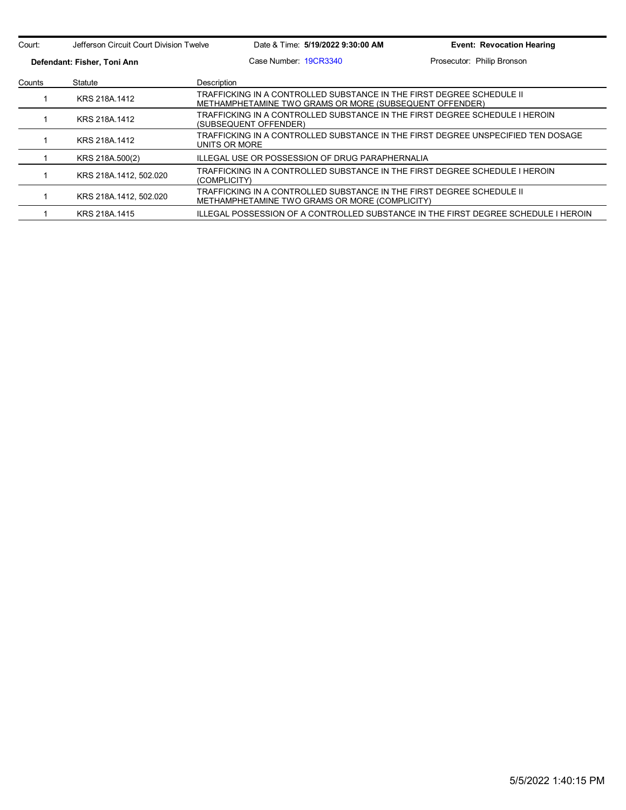| Court: | Jefferson Circuit Court Division Twelve |                                                                                                                                  | Date & Time: 5/19/2022 9:30:00 AM | <b>Event: Revocation Hearing</b>                                                   |
|--------|-----------------------------------------|----------------------------------------------------------------------------------------------------------------------------------|-----------------------------------|------------------------------------------------------------------------------------|
|        | Defendant: Fisher, Toni Ann             |                                                                                                                                  | Case Number 19CR3340              | Prosecutor: Philip Bronson                                                         |
| Counts | Description<br>Statute                  |                                                                                                                                  |                                   |                                                                                    |
|        | KRS 218A.1412                           | TRAFFICKING IN A CONTROLLED SUBSTANCE IN THE FIRST DEGREE SCHEDULE II<br>METHAMPHETAMINE TWO GRAMS OR MORE (SUBSEQUENT OFFENDER) |                                   |                                                                                    |
|        | KRS 218A 1412                           | TRAFFICKING IN A CONTROLLED SUBSTANCE IN THE FIRST DEGREE SCHEDULE I HEROIN<br>(SUBSEQUENT OFFENDER)                             |                                   |                                                                                    |
|        | KRS 218A.1412                           | TRAFFICKING IN A CONTROLLED SUBSTANCE IN THE FIRST DEGREE UNSPECIFIED TEN DOSAGE<br>UNITS OR MORE                                |                                   |                                                                                    |
|        | KRS 218A.500(2)                         | ILLEGAL USE OR POSSESSION OF DRUG PARAPHERNALIA                                                                                  |                                   |                                                                                    |
|        | KRS 218A.1412, 502.020                  | (COMPLICITY)                                                                                                                     |                                   | TRAFFICKING IN A CONTROLLED SUBSTANCE IN THE FIRST DEGREE SCHEDULE I HEROIN        |
|        | KRS 218A 1412, 502.020                  | TRAFFICKING IN A CONTROLLED SUBSTANCE IN THE FIRST DEGREE SCHEDULE II<br>METHAMPHETAMINE TWO GRAMS OR MORE (COMPLICITY)          |                                   |                                                                                    |
|        | KRS 218A 1415                           |                                                                                                                                  |                                   | ILLEGAL POSSESSION OF A CONTROLLED SUBSTANCE IN THE FIRST DEGREE SCHEDULE I HEROIN |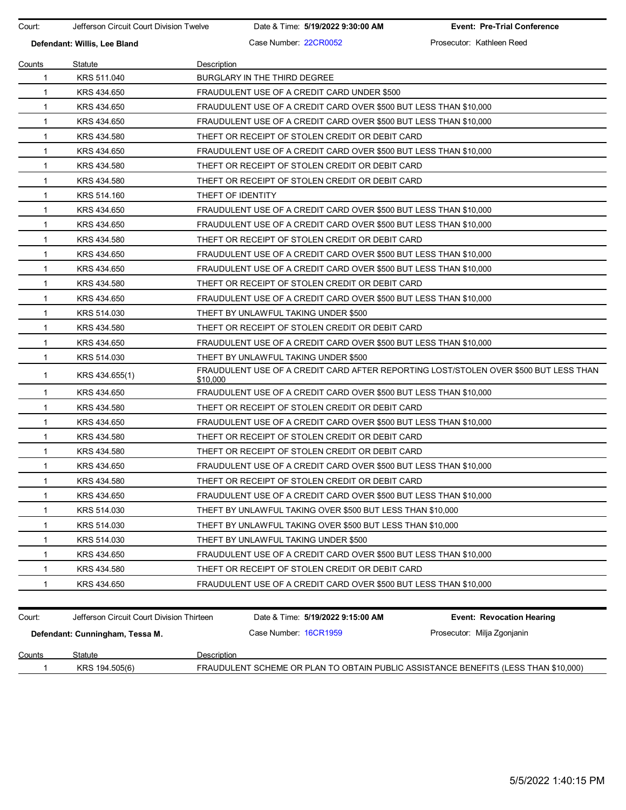Court: Jefferson Circuit Court Division Twelve Date & Time: **5/19/2022 9:30:00 AM Event: Pre-Trial Conference**

**Defendant: Willis, Lee Bland Case Number: 22CR0052** Prosecutor: Kathleen Reed

| Counts       | Statute                                   | <b>Description</b>                                                                  |                                                                                      |  |  |  |
|--------------|-------------------------------------------|-------------------------------------------------------------------------------------|--------------------------------------------------------------------------------------|--|--|--|
| 1            | KRS 511,040                               | BURGLARY IN THE THIRD DEGREE                                                        |                                                                                      |  |  |  |
| $\mathbf{1}$ | KRS 434.650                               | FRAUDULENT USE OF A CREDIT CARD UNDER \$500                                         |                                                                                      |  |  |  |
| $\mathbf{1}$ | KRS 434.650                               |                                                                                     | FRAUDULENT USE OF A CREDIT CARD OVER \$500 BUT LESS THAN \$10,000                    |  |  |  |
| $\mathbf{1}$ | KRS 434.650                               | FRAUDULENT USE OF A CREDIT CARD OVER \$500 BUT LESS THAN \$10,000                   |                                                                                      |  |  |  |
| 1            | KRS 434.580                               | THEFT OR RECEIPT OF STOLEN CREDIT OR DEBIT CARD                                     |                                                                                      |  |  |  |
| $\mathbf{1}$ | KRS 434.650                               | FRAUDULENT USE OF A CREDIT CARD OVER \$500 BUT LESS THAN \$10,000                   |                                                                                      |  |  |  |
| $\mathbf{1}$ | KRS 434.580                               | THEFT OR RECEIPT OF STOLEN CREDIT OR DEBIT CARD                                     |                                                                                      |  |  |  |
| $\mathbf{1}$ | KRS 434.580                               | THEFT OR RECEIPT OF STOLEN CREDIT OR DEBIT CARD                                     |                                                                                      |  |  |  |
| 1            | KRS 514.160                               | THEFT OF IDENTITY                                                                   |                                                                                      |  |  |  |
| 1            | KRS 434.650                               | FRAUDULENT USE OF A CREDIT CARD OVER \$500 BUT LESS THAN \$10,000                   |                                                                                      |  |  |  |
| $\mathbf{1}$ | KRS 434.650                               | FRAUDULENT USE OF A CREDIT CARD OVER \$500 BUT LESS THAN \$10,000                   |                                                                                      |  |  |  |
| $\mathbf{1}$ | KRS 434.580                               | THEFT OR RECEIPT OF STOLEN CREDIT OR DEBIT CARD                                     |                                                                                      |  |  |  |
| $\mathbf{1}$ | KRS 434.650                               | FRAUDULENT USE OF A CREDIT CARD OVER \$500 BUT LESS THAN \$10,000                   |                                                                                      |  |  |  |
| 1            | KRS 434.650                               | FRAUDULENT USE OF A CREDIT CARD OVER \$500 BUT LESS THAN \$10,000                   |                                                                                      |  |  |  |
| 1            | KRS 434.580                               | THEFT OR RECEIPT OF STOLEN CREDIT OR DEBIT CARD                                     |                                                                                      |  |  |  |
| $\mathbf{1}$ | KRS 434.650                               | FRAUDULENT USE OF A CREDIT CARD OVER \$500 BUT LESS THAN \$10,000                   |                                                                                      |  |  |  |
| $\mathbf{1}$ | KRS 514.030                               | THEFT BY UNLAWFUL TAKING UNDER \$500                                                |                                                                                      |  |  |  |
| $\mathbf{1}$ | KRS 434.580                               |                                                                                     | THEFT OR RECEIPT OF STOLEN CREDIT OR DEBIT CARD                                      |  |  |  |
| 1            | KRS 434.650                               |                                                                                     | FRAUDULENT USE OF A CREDIT CARD OVER \$500 BUT LESS THAN \$10,000                    |  |  |  |
| 1            | KRS 514.030                               | THEFT BY UNLAWFUL TAKING UNDER \$500                                                |                                                                                      |  |  |  |
| 1            | KRS 434.655(1)                            | \$10,000                                                                            | FRAUDULENT USE OF A CREDIT CARD AFTER REPORTING LOST/STOLEN OVER \$500 BUT LESS THAN |  |  |  |
| $\mathbf{1}$ | KRS 434.650                               | FRAUDULENT USE OF A CREDIT CARD OVER \$500 BUT LESS THAN \$10,000                   |                                                                                      |  |  |  |
| 1            | KRS 434.580                               | THEFT OR RECEIPT OF STOLEN CREDIT OR DEBIT CARD                                     |                                                                                      |  |  |  |
| 1            | KRS 434.650                               | FRAUDULENT USE OF A CREDIT CARD OVER \$500 BUT LESS THAN \$10,000                   |                                                                                      |  |  |  |
| 1            | KRS 434.580                               | THEFT OR RECEIPT OF STOLEN CREDIT OR DEBIT CARD                                     |                                                                                      |  |  |  |
| $\mathbf{1}$ | KRS 434.580                               | THEFT OR RECEIPT OF STOLEN CREDIT OR DEBIT CARD                                     |                                                                                      |  |  |  |
| $\mathbf{1}$ | KRS 434.650                               | FRAUDULENT USE OF A CREDIT CARD OVER \$500 BUT LESS THAN \$10,000                   |                                                                                      |  |  |  |
| 1            | KRS 434.580                               | THEFT OR RECEIPT OF STOLEN CREDIT OR DEBIT CARD                                     |                                                                                      |  |  |  |
| 1            | KRS 434.650                               | FRAUDULENT USE OF A CREDIT CARD OVER \$500 BUT LESS THAN \$10,000                   |                                                                                      |  |  |  |
| 1            | KRS 514.030                               | THEFT BY UNLAWFUL TAKING OVER \$500 BUT LESS THAN \$10,000                          |                                                                                      |  |  |  |
| 1            | KRS 514.030                               | THEFT BY UNLAWFUL TAKING OVER \$500 BUT LESS THAN \$10,000                          |                                                                                      |  |  |  |
| 1            | KRS 514.030                               | THEFT BY UNLAWFUL TAKING UNDER \$500                                                |                                                                                      |  |  |  |
| 1            | KRS 434.650                               | FRAUDULENT USE OF A CREDIT CARD OVER \$500 BUT LESS THAN \$10,000                   |                                                                                      |  |  |  |
| 1            | KRS 434.580                               | THEFT OR RECEIPT OF STOLEN CREDIT OR DEBIT CARD                                     |                                                                                      |  |  |  |
| 1            | KRS 434.650                               | FRAUDULENT USE OF A CREDIT CARD OVER \$500 BUT LESS THAN \$10,000                   |                                                                                      |  |  |  |
|              |                                           |                                                                                     |                                                                                      |  |  |  |
| Court:       | Jefferson Circuit Court Division Thirteen | Date & Time: 5/19/2022 9:15:00 AM                                                   | <b>Event: Revocation Hearing</b>                                                     |  |  |  |
|              | Defendant: Cunningham, Tessa M.           | Case Number 16CR1959                                                                | Prosecutor: Milja Zgonjanin                                                          |  |  |  |
| Counts       | Statute                                   | Description                                                                         |                                                                                      |  |  |  |
| 1            | KRS 194.505(6)                            | FRAUDULENT SCHEME OR PLAN TO OBTAIN PUBLIC ASSISTANCE BENEFITS (LESS THAN \$10,000) |                                                                                      |  |  |  |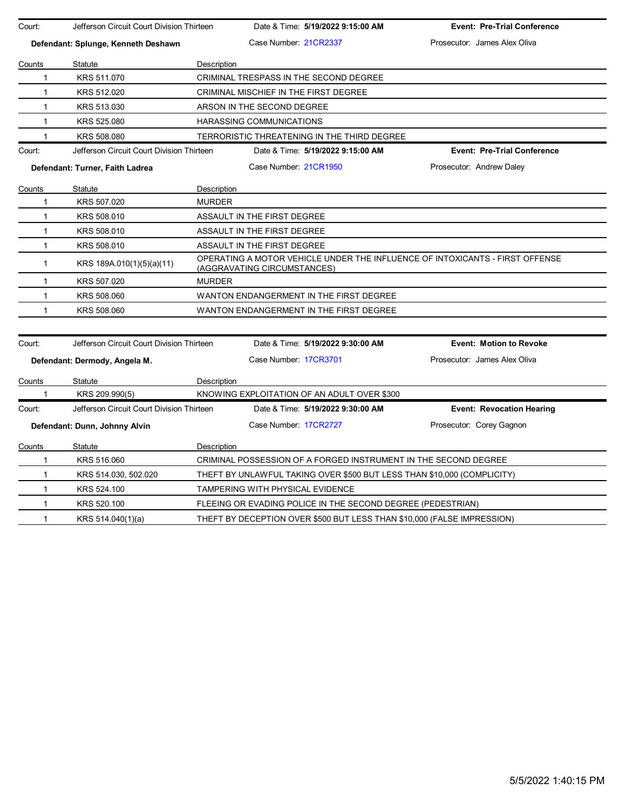| Court:       | Jefferson Circuit Court Division Thirteen |               | Date & Time: 5/19/2022 9:15:00 AM                                                                           | <b>Event: Pre-Trial Conference</b> |
|--------------|-------------------------------------------|---------------|-------------------------------------------------------------------------------------------------------------|------------------------------------|
|              | Defendant: Splunge, Kenneth Deshawn       |               | Case Number 21CR2337                                                                                        | Prosecutor: James Alex Oliva       |
|              |                                           |               |                                                                                                             |                                    |
| Counts       | Statute                                   | Description   |                                                                                                             |                                    |
| 1            | KRS 511.070                               |               | CRIMINAL TRESPASS IN THE SECOND DEGREE                                                                      |                                    |
| $\mathbf{1}$ | KRS 512.020                               |               | CRIMINAL MISCHIEF IN THE FIRST DEGREE                                                                       |                                    |
| $\mathbf{1}$ | KRS 513.030                               |               | ARSON IN THE SECOND DEGREE                                                                                  |                                    |
| $\mathbf{1}$ | KRS 525.080                               |               | HARASSING COMMUNICATIONS                                                                                    |                                    |
| $\mathbf{1}$ | KRS 508.080                               |               | TERRORISTIC THREATENING IN THE THIRD DEGREE                                                                 |                                    |
| Court:       | Jefferson Circuit Court Division Thirteen |               | Date & Time: 5/19/2022 9:15:00 AM                                                                           | <b>Event: Pre-Trial Conference</b> |
|              | Defendant: Turner, Faith Ladrea           |               | Case Number 21CR1950                                                                                        | Prosecutor: Andrew Daley           |
| Counts       | Statute                                   | Description   |                                                                                                             |                                    |
| $\mathbf{1}$ | KRS 507.020                               | <b>MURDER</b> |                                                                                                             |                                    |
| $\mathbf{1}$ | KRS 508.010                               |               | ASSAULT IN THE FIRST DEGREE                                                                                 |                                    |
| $\mathbf{1}$ | KRS 508.010                               |               | ASSAULT IN THE FIRST DEGREE                                                                                 |                                    |
| $\mathbf{1}$ | KRS 508.010                               |               | ASSAULT IN THE FIRST DEGREE                                                                                 |                                    |
| $\mathbf{1}$ | KRS 189A.010(1)(5)(a)(11)                 |               | OPERATING A MOTOR VEHICLE UNDER THE INFLUENCE OF INTOXICANTS - FIRST OFFENSE<br>(AGGRAVATING CIRCUMSTANCES) |                                    |
| $\mathbf{1}$ | KRS 507.020                               | <b>MURDER</b> |                                                                                                             |                                    |
| $\mathbf{1}$ | KRS 508.060                               |               | WANTON ENDANGERMENT IN THE FIRST DEGREE                                                                     |                                    |
| $\mathbf{1}$ | KRS 508.060                               |               | WANTON ENDANGERMENT IN THE FIRST DEGREE                                                                     |                                    |
|              |                                           |               |                                                                                                             |                                    |
| Court:       | Jefferson Circuit Court Division Thirteen |               | Date & Time: 5/19/2022 9:30:00 AM                                                                           | <b>Event: Motion to Revoke</b>     |
|              | Defendant: Dermody, Angela M.             |               | Case Number: 17CR3701                                                                                       | Prosecutor: James Alex Oliva       |
| Counts       | Statute                                   | Description   |                                                                                                             |                                    |
| 1            | KRS 209.990(5)                            |               | KNOWING EXPLOITATION OF AN ADULT OVER \$300                                                                 |                                    |
| Court:       | Jefferson Circuit Court Division Thirteen |               | Date & Time: 5/19/2022 9:30:00 AM                                                                           | <b>Event: Revocation Hearing</b>   |
|              | Defendant: Dunn, Johnny Alvin             |               | Case Number: 17CR2727                                                                                       | Prosecutor: Corey Gagnon           |
| Counts       | Statute                                   | Description   |                                                                                                             |                                    |
| $\mathbf{1}$ | KRS 516.060                               |               | CRIMINAL POSSESSION OF A FORGED INSTRUMENT IN THE SECOND DEGREE                                             |                                    |
| 1            | KRS 514.030, 502.020                      |               | THEFT BY UNLAWFUL TAKING OVER \$500 BUT LESS THAN \$10,000 (COMPLICITY)                                     |                                    |
| $\mathbf{1}$ | KRS 524.100                               |               | TAMPERING WITH PHYSICAL EVIDENCE                                                                            |                                    |
| $\mathbf{1}$ | KRS 520.100                               |               | FLEEING OR EVADING POLICE IN THE SECOND DEGREE (PEDESTRIAN)                                                 |                                    |
| $\mathbf{1}$ | KRS 514.040(1)(a)                         |               | THEFT BY DECEPTION OVER \$500 BUT LESS THAN \$10,000 (FALSE IMPRESSION)                                     |                                    |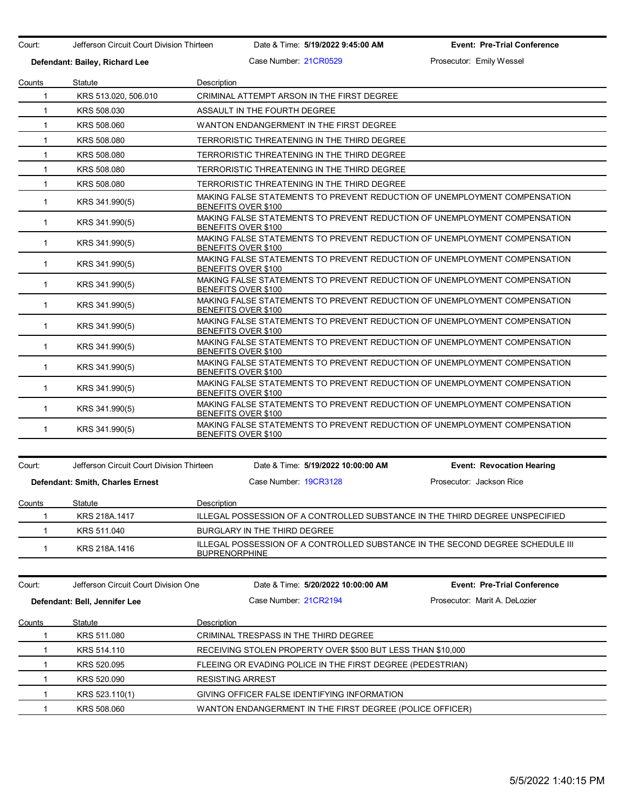| Court:       | Jefferson Circuit Court Division Thirteen |                         | Date & Time: 5/19/2022 9:45:00 AM |                                                             | <b>Event: Pre-Trial Conference</b>                                             |
|--------------|-------------------------------------------|-------------------------|-----------------------------------|-------------------------------------------------------------|--------------------------------------------------------------------------------|
|              | Defendant: Bailey, Richard Lee            |                         | Case Number 21CR0529              |                                                             | Prosecutor: Emily Wessel                                                       |
| Counts       | Statute                                   | Description             |                                   |                                                             |                                                                                |
| 1            | KRS 513.020, 506.010                      |                         |                                   | CRIMINAL ATTEMPT ARSON IN THE FIRST DEGREE                  |                                                                                |
| 1            | KRS 508.030                               |                         | ASSAULT IN THE FOURTH DEGREE      |                                                             |                                                                                |
| 1            | KRS 508.060                               |                         |                                   | WANTON ENDANGERMENT IN THE FIRST DEGREE                     |                                                                                |
| $\mathbf{1}$ | KRS 508.080                               |                         |                                   | TERRORISTIC THREATENING IN THE THIRD DEGREE                 |                                                                                |
| $\mathbf{1}$ | KRS 508.080                               |                         |                                   | TERRORISTIC THREATENING IN THE THIRD DEGREE                 |                                                                                |
| $\mathbf{1}$ | KRS 508.080                               |                         |                                   | TERRORISTIC THREATENING IN THE THIRD DEGREE                 |                                                                                |
| 1            | KRS 508.080                               |                         |                                   | TERRORISTIC THREATENING IN THE THIRD DEGREE                 |                                                                                |
| 1            | KRS 341.990(5)                            |                         | BENEFITS OVER \$100               |                                                             | MAKING FALSE STATEMENTS TO PREVENT REDUCTION OF UNEMPLOYMENT COMPENSATION      |
| $\mathbf 1$  | KRS 341.990(5)                            |                         | BENEFITS OVER \$100               |                                                             | MAKING FALSE STATEMENTS TO PREVENT REDUCTION OF UNEMPLOYMENT COMPENSATION      |
| $\mathbf{1}$ | KRS 341.990(5)                            |                         | BENEFITS OVER \$100               |                                                             | MAKING FALSE STATEMENTS TO PREVENT REDUCTION OF UNEMPLOYMENT COMPENSATION      |
| $\mathbf{1}$ | KRS 341.990(5)                            |                         | BENEFITS OVER \$100               |                                                             | MAKING FALSE STATEMENTS TO PREVENT REDUCTION OF UNEMPLOYMENT COMPENSATION      |
| 1            | KRS 341.990(5)                            |                         | BENEFITS OVER \$100               |                                                             | MAKING FALSE STATEMENTS TO PREVENT REDUCTION OF UNEMPLOYMENT COMPENSATION      |
| $\mathbf 1$  | KRS 341.990(5)                            |                         | BENEFITS OVER \$100               |                                                             | MAKING FALSE STATEMENTS TO PREVENT REDUCTION OF UNEMPLOYMENT COMPENSATION      |
| $\mathbf{1}$ | KRS 341.990(5)                            |                         | BENEFITS OVER \$100               |                                                             | MAKING FALSE STATEMENTS TO PREVENT REDUCTION OF UNEMPLOYMENT COMPENSATION      |
| 1            | KRS 341.990(5)                            |                         | BENEFITS OVER \$100               |                                                             | MAKING FALSE STATEMENTS TO PREVENT REDUCTION OF UNEMPLOYMENT COMPENSATION      |
| 1            | KRS 341.990(5)                            |                         | BENEFITS OVER \$100               |                                                             | MAKING FALSE STATEMENTS TO PREVENT REDUCTION OF UNEMPLOYMENT COMPENSATION      |
| $\mathbf 1$  | KRS 341.990(5)                            |                         | BENEFITS OVER \$100               |                                                             | MAKING FALSE STATEMENTS TO PREVENT REDUCTION OF UNEMPLOYMENT COMPENSATION      |
| $\mathbf{1}$ | KRS 341.990(5)                            |                         | BENEFITS OVER \$100               |                                                             | MAKING FALSE STATEMENTS TO PREVENT REDUCTION OF UNEMPLOYMENT COMPENSATION      |
| 1            | KRS 341.990(5)                            |                         | BENEFITS OVER \$100               |                                                             | MAKING FALSE STATEMENTS TO PREVENT REDUCTION OF UNEMPLOYMENT COMPENSATION      |
| Court:       | Jefferson Circuit Court Division Thirteen |                         |                                   | Date & Time: 5/19/2022 10:00:00 AM                          | <b>Event: Revocation Hearing</b>                                               |
|              | Defendant: Smith, Charles Ernest          |                         | Case Number 19CR3128              |                                                             | Prosecutor: Jackson Rice                                                       |
| Counts       | Statute                                   | Description             |                                   |                                                             |                                                                                |
| 1            | KRS 218A.1417                             |                         |                                   |                                                             | ILLEGAL POSSESSION OF A CONTROLLED SUBSTANCE IN THE THIRD DEGREE UNSPECIFIED   |
| 1            | KRS 511.040                               |                         | BURGLARY IN THE THIRD DEGREE      |                                                             |                                                                                |
| 1            | KRS 218A.1416                             | <b>BUPRENORPHINE</b>    |                                   |                                                             | ILLEGAL POSSESSION OF A CONTROLLED SUBSTANCE IN THE SECOND DEGREE SCHEDULE III |
|              |                                           |                         |                                   |                                                             |                                                                                |
| Court:       | Jefferson Circuit Court Division One      |                         |                                   | Date & Time: 5/20/2022 10:00:00 AM                          | <b>Event: Pre-Trial Conference</b>                                             |
|              | Defendant: Bell, Jennifer Lee             |                         | Case Number 21CR2194              |                                                             | Prosecutor: Marit A. DeLozier                                                  |
| Counts       | Statute                                   | Description             |                                   |                                                             |                                                                                |
| 1            | KRS 511.080                               |                         |                                   | CRIMINAL TRESPASS IN THE THIRD DEGREE                       |                                                                                |
| 1            | KRS 514.110                               |                         |                                   | RECEIVING STOLEN PROPERTY OVER \$500 BUT LESS THAN \$10,000 |                                                                                |
| 1            | KRS 520.095                               |                         |                                   | FLEEING OR EVADING POLICE IN THE FIRST DEGREE (PEDESTRIAN)  |                                                                                |
| 1            | KRS 520.090                               | <b>RESISTING ARREST</b> |                                   |                                                             |                                                                                |
| 1            | KRS 523.110(1)                            |                         |                                   | GIVING OFFICER FALSE IDENTIFYING INFORMATION                |                                                                                |
| 1            | KRS 508.060                               |                         |                                   |                                                             | WANTON ENDANGERMENT IN THE FIRST DEGREE (POLICE OFFICER)                       |
|              |                                           |                         |                                   |                                                             |                                                                                |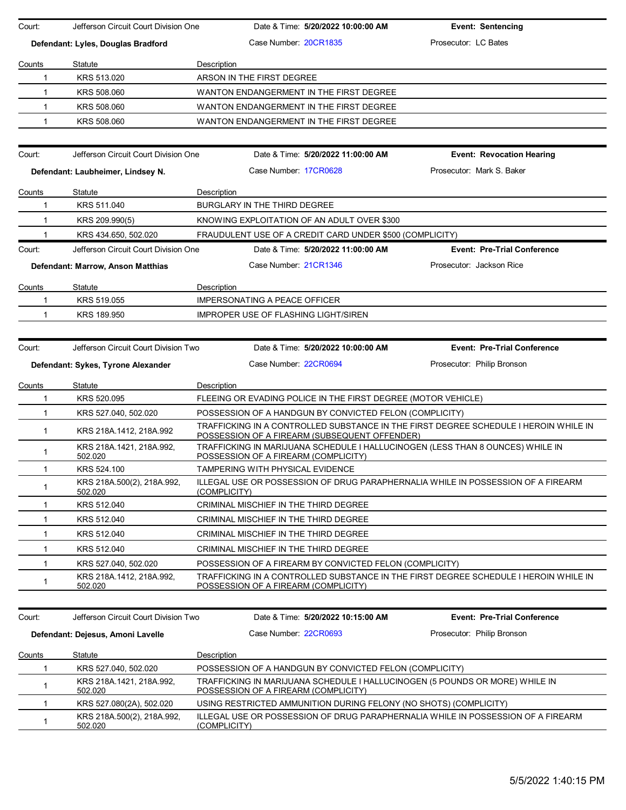| Court:       | Jefferson Circuit Court Division One  | Date & Time: 5/20/2022 10:00:00 AM                                                                                                    | <b>Event: Sentencing</b>           |
|--------------|---------------------------------------|---------------------------------------------------------------------------------------------------------------------------------------|------------------------------------|
|              | Defendant: Lyles, Douglas Bradford    | Case Number 20CR1835                                                                                                                  | Prosecutor: LC Bates               |
| Counts       | Statute                               | Description                                                                                                                           |                                    |
| 1            | KRS 513.020                           | ARSON IN THE FIRST DEGREE                                                                                                             |                                    |
| $\mathbf{1}$ | KRS 508,060                           | WANTON ENDANGERMENT IN THE FIRST DEGREE                                                                                               |                                    |
| $\mathbf{1}$ | KRS 508.060                           | WANTON ENDANGERMENT IN THE FIRST DEGREE                                                                                               |                                    |
| 1            | KRS 508.060                           | WANTON ENDANGERMENT IN THE FIRST DEGREE                                                                                               |                                    |
|              |                                       |                                                                                                                                       |                                    |
| Court:       | Jefferson Circuit Court Division One  | Date & Time: 5/20/2022 11:00:00 AM                                                                                                    | <b>Event: Revocation Hearing</b>   |
|              | Defendant: Laubheimer, Lindsey N.     | Case Number 17CR0628                                                                                                                  | Prosecutor: Mark S. Baker          |
| Counts       | Statute                               | Description                                                                                                                           |                                    |
| 1            | KRS 511.040                           | BURGLARY IN THE THIRD DEGREE                                                                                                          |                                    |
| 1            | KRS 209.990(5)                        | KNOWING EXPLOITATION OF AN ADULT OVER \$300                                                                                           |                                    |
|              | KRS 434.650, 502.020                  | FRAUDULENT USE OF A CREDIT CARD UNDER \$500 (COMPLICITY)                                                                              |                                    |
| Court:       | Jefferson Circuit Court Division One  | Date & Time: 5/20/2022 11:00:00 AM                                                                                                    | <b>Event: Pre-Trial Conference</b> |
|              | Defendant: Marrow, Anson Matthias     | Case Number: 21CR1346                                                                                                                 | Prosecutor: Jackson Rice           |
| Counts       | Statute                               | Description                                                                                                                           |                                    |
| 1            | KRS 519.055                           | <b>IMPERSONATING A PEACE OFFICER</b>                                                                                                  |                                    |
| 1            | KRS 189.950                           | IMPROPER USE OF FLASHING LIGHT/SIREN                                                                                                  |                                    |
|              |                                       |                                                                                                                                       |                                    |
| Court:       | Jefferson Circuit Court Division Two  | Date & Time: 5/20/2022 10:00:00 AM                                                                                                    | <b>Event: Pre-Trial Conference</b> |
|              | Defendant: Sykes, Tyrone Alexander    | Case Number: 22CR0694                                                                                                                 | Prosecutor: Philip Bronson         |
| Counts       | Statute                               | Description                                                                                                                           |                                    |
| 1            | KRS 520.095                           | FLEEING OR EVADING POLICE IN THE FIRST DEGREE (MOTOR VEHICLE)                                                                         |                                    |
| $\mathbf{1}$ | KRS 527.040, 502.020                  | POSSESSION OF A HANDGUN BY CONVICTED FELON (COMPLICITY)                                                                               |                                    |
| $\mathbf{1}$ | KRS 218A.1412, 218A.992               | TRAFFICKING IN A CONTROLLED SUBSTANCE IN THE FIRST DEGREE SCHEDULE I HEROIN WHILE IN<br>POSSESSION OF A FIREARM (SUBSEQUENT OFFENDER) |                                    |
| 1            | KRS 218A.1421, 218A.992,<br>502.020   | TRAFFICKING IN MARIJUANA SCHEDULE I HALLUCINOGEN (LESS THAN 8 OUNCES) WHILE IN<br>POSSESSION OF A FIREARM (COMPLICITY)                |                                    |
| $\mathbf{1}$ | KRS 524.100                           | <b>TAMPERING WITH PHYSICAL EVIDENCE</b>                                                                                               |                                    |
| $\mathbf{1}$ | KRS 218A.500(2), 218A.992,<br>502.020 | ILLEGAL USE OR POSSESSION OF DRUG PARAPHERNALIA WHILE IN POSSESSION OF A FIREARM<br>(COMPLICITY)                                      |                                    |
| $\mathbf 1$  | KRS 512.040                           | CRIMINAL MISCHIEF IN THE THIRD DEGREE                                                                                                 |                                    |
| $\mathbf{1}$ | KRS 512.040                           | CRIMINAL MISCHIEF IN THE THIRD DEGREE                                                                                                 |                                    |
| $\mathbf 1$  | KRS 512.040                           | CRIMINAL MISCHIEF IN THE THIRD DEGREE                                                                                                 |                                    |
| $\mathbf{1}$ | KRS 512.040                           | CRIMINAL MISCHIEF IN THE THIRD DEGREE                                                                                                 |                                    |
| $\mathbf{1}$ | KRS 527.040, 502.020                  | POSSESSION OF A FIREARM BY CONVICTED FELON (COMPLICITY)                                                                               |                                    |
| $\mathbf 1$  | KRS 218A.1412, 218A.992,<br>502.020   | TRAFFICKING IN A CONTROLLED SUBSTANCE IN THE FIRST DEGREE SCHEDULE I HEROIN WHILE IN<br>POSSESSION OF A FIREARM (COMPLICITY)          |                                    |
|              |                                       |                                                                                                                                       |                                    |
| Court:       | Jefferson Circuit Court Division Two  | Date & Time: 5/20/2022 10:15:00 AM                                                                                                    | <b>Event: Pre-Trial Conference</b> |
|              | Defendant: Dejesus, Amoni Lavelle     | Case Number: 22CR0693                                                                                                                 | Prosecutor: Philip Bronson         |
| Counts       | Statute                               | Description                                                                                                                           |                                    |
| 1            | KRS 527.040, 502.020                  | POSSESSION OF A HANDGUN BY CONVICTED FELON (COMPLICITY)                                                                               |                                    |
| -1           | KRS 218A.1421, 218A.992,<br>502.020   | TRAFFICKING IN MARIJUANA SCHEDULE I HALLUCINOGEN (5 POUNDS OR MORE) WHILE IN<br>POSSESSION OF A FIREARM (COMPLICITY)                  |                                    |
| $\mathbf{1}$ | KRS 527.080(2A), 502.020              | USING RESTRICTED AMMUNITION DURING FELONY (NO SHOTS) (COMPLICITY)                                                                     |                                    |
| $\mathbf{1}$ | KRS 218A.500(2), 218A.992,<br>502.020 | ILLEGAL USE OR POSSESSION OF DRUG PARAPHERNALIA WHILE IN POSSESSION OF A FIREARM<br>(COMPLICITY)                                      |                                    |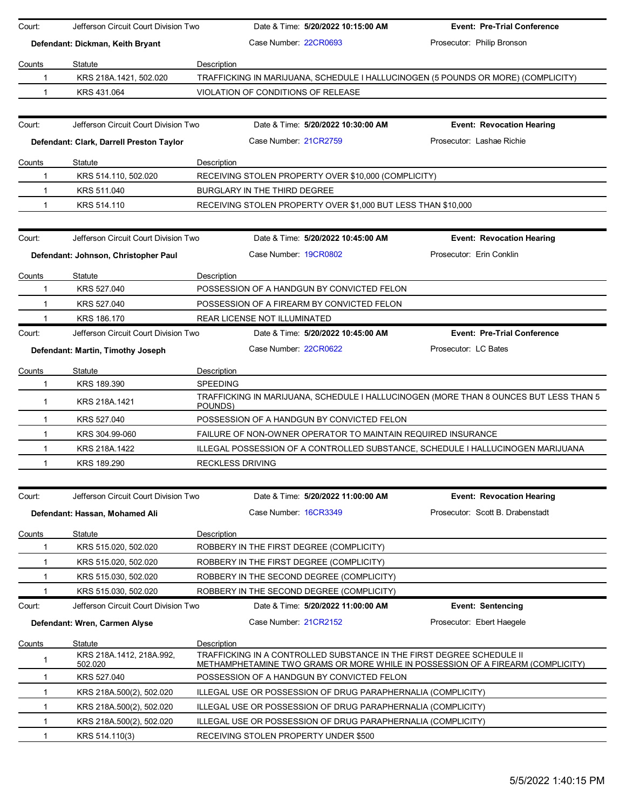| Court:       | Jefferson Circuit Court Division Two     | Date & Time: 5/20/2022 10:15:00 AM                                                                                                                       | <b>Event: Pre-Trial Conference</b> |
|--------------|------------------------------------------|----------------------------------------------------------------------------------------------------------------------------------------------------------|------------------------------------|
|              | Defendant: Dickman, Keith Bryant         | Case Number 22CR0693                                                                                                                                     | Prosecutor: Philip Bronson         |
| Counts       | Statute                                  | Description                                                                                                                                              |                                    |
| -1           | KRS 218A.1421, 502.020                   | TRAFFICKING IN MARIJUANA, SCHEDULE I HALLUCINOGEN (5 POUNDS OR MORE) (COMPLICITY)                                                                        |                                    |
| 1            | KRS 431.064                              | VIOLATION OF CONDITIONS OF RELEASE                                                                                                                       |                                    |
|              |                                          |                                                                                                                                                          |                                    |
| Court:       | Jefferson Circuit Court Division Two     | Date & Time: 5/20/2022 10:30:00 AM                                                                                                                       | <b>Event: Revocation Hearing</b>   |
|              | Defendant: Clark, Darrell Preston Taylor | Case Number 21CR2759                                                                                                                                     | Prosecutor: Lashae Richie          |
| Counts       | Statute                                  | Description                                                                                                                                              |                                    |
| 1            | KRS 514.110, 502.020                     | RECEIVING STOLEN PROPERTY OVER \$10,000 (COMPLICITY)                                                                                                     |                                    |
| 1            | KRS 511.040                              | BURGLARY IN THE THIRD DEGREE                                                                                                                             |                                    |
| $\mathbf 1$  | KRS 514.110                              | RECEIVING STOLEN PROPERTY OVER \$1,000 BUT LESS THAN \$10,000                                                                                            |                                    |
|              |                                          |                                                                                                                                                          |                                    |
| Court:       | Jefferson Circuit Court Division Two     | Date & Time: 5/20/2022 10:45:00 AM                                                                                                                       | <b>Event: Revocation Hearing</b>   |
|              | Defendant: Johnson, Christopher Paul     | Case Number: 19CR0802                                                                                                                                    | Prosecutor: Erin Conklin           |
| Counts       | Statute                                  | Description                                                                                                                                              |                                    |
| -1           | KRS 527,040                              | POSSESSION OF A HANDGUN BY CONVICTED FELON                                                                                                               |                                    |
| 1            | KRS 527.040                              | POSSESSION OF A FIREARM BY CONVICTED FELON                                                                                                               |                                    |
| 1            | KRS 186.170                              | REAR LICENSE NOT ILLUMINATED                                                                                                                             |                                    |
| Court:       | Jefferson Circuit Court Division Two     | Date & Time: 5/20/2022 10:45:00 AM                                                                                                                       | <b>Event: Pre-Trial Conference</b> |
|              | Defendant: Martin, Timothy Joseph        | Case Number 22CR0622                                                                                                                                     | Prosecutor: LC Bates               |
| Counts       | Statute                                  | Description                                                                                                                                              |                                    |
| 1            | KRS 189.390                              | <b>SPEEDING</b>                                                                                                                                          |                                    |
| $\mathbf{1}$ | KRS 218A.1421                            | TRAFFICKING IN MARIJUANA, SCHEDULE I HALLUCINOGEN (MORE THAN 8 OUNCES BUT LESS THAN 5<br>POUNDS)                                                         |                                    |
| 1            | KRS 527.040                              | POSSESSION OF A HANDGUN BY CONVICTED FELON                                                                                                               |                                    |
| 1            | KRS 304.99-060                           | FAILURE OF NON-OWNER OPERATOR TO MAINTAIN REQUIRED INSURANCE                                                                                             |                                    |
| 1            | KRS 218A.1422                            | ILLEGAL POSSESSION OF A CONTROLLED SUBSTANCE, SCHEDULE I HALLUCINOGEN MARIJUANA                                                                          |                                    |
| 1            | KRS 189.290                              | <b>RECKLESS DRIVING</b>                                                                                                                                  |                                    |
|              |                                          |                                                                                                                                                          |                                    |
| Court:       | Jefferson Circuit Court Division Two     | Date & Time: 5/20/2022 11:00:00 AM                                                                                                                       | <b>Event: Revocation Hearing</b>   |
|              | Defendant: Hassan, Mohamed Ali           | Case Number 16CR3349                                                                                                                                     | Prosecutor: Scott B. Drabenstadt   |
| Counts       | Statute                                  | Description                                                                                                                                              |                                    |
| 1            | KRS 515.020, 502.020                     | ROBBERY IN THE FIRST DEGREE (COMPLICITY)                                                                                                                 |                                    |
| 1            | KRS 515.020, 502.020                     | ROBBERY IN THE FIRST DEGREE (COMPLICITY)                                                                                                                 |                                    |
| 1            | KRS 515.030, 502.020                     | ROBBERY IN THE SECOND DEGREE (COMPLICITY)                                                                                                                |                                    |
| 1            | KRS 515.030, 502.020                     | ROBBERY IN THE SECOND DEGREE (COMPLICITY)                                                                                                                |                                    |
| Court:       | Jefferson Circuit Court Division Two     | Date & Time: 5/20/2022 11:00:00 AM                                                                                                                       | <b>Event: Sentencing</b>           |
|              | Defendant: Wren, Carmen Alyse            | Case Number 21CR2152                                                                                                                                     | Prosecutor: Ebert Haegele          |
| Counts       | Statute                                  | Description                                                                                                                                              |                                    |
| 1            | KRS 218A 1412, 218A 992,<br>502.020      | TRAFFICKING IN A CONTROLLED SUBSTANCE IN THE FIRST DEGREE SCHEDULE II<br>METHAMPHETAMINE TWO GRAMS OR MORE WHILE IN POSSESSION OF A FIREARM (COMPLICITY) |                                    |
| 1            | KRS 527.040                              | POSSESSION OF A HANDGUN BY CONVICTED FELON                                                                                                               |                                    |
| 1            | KRS 218A 500(2), 502.020                 | ILLEGAL USE OR POSSESSION OF DRUG PARAPHERNALIA (COMPLICITY)                                                                                             |                                    |
| 1            | KRS 218A 500(2), 502.020                 | ILLEGAL USE OR POSSESSION OF DRUG PARAPHERNALIA (COMPLICITY)                                                                                             |                                    |
| 1            | KRS 218A 500(2), 502.020                 | ILLEGAL USE OR POSSESSION OF DRUG PARAPHERNALIA (COMPLICITY)                                                                                             |                                    |
| 1            | KRS 514.110(3)                           | RECEIVING STOLEN PROPERTY UNDER \$500                                                                                                                    |                                    |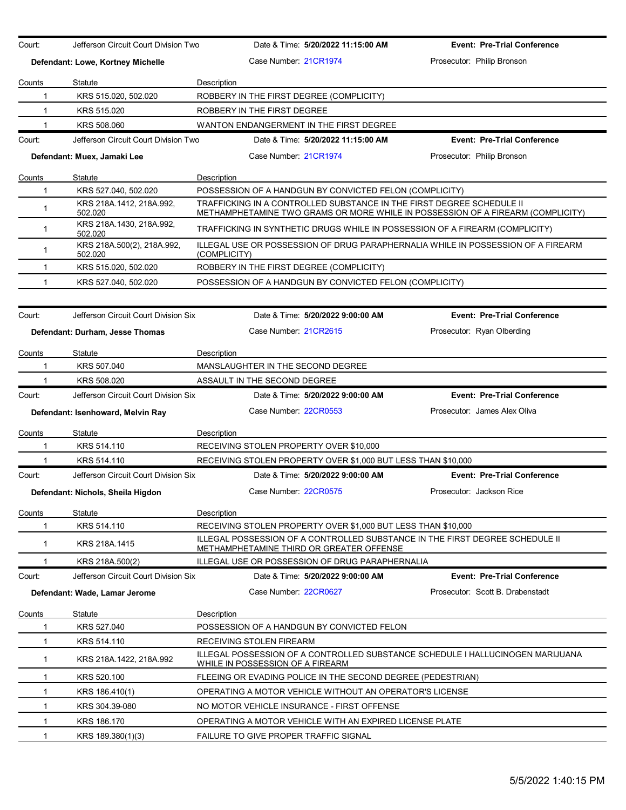| Court:        | Jefferson Circuit Court Division Two  | Date & Time: 5/20/2022 11:15:00 AM                                                                                                                       | <b>Event: Pre-Trial Conference</b> |
|---------------|---------------------------------------|----------------------------------------------------------------------------------------------------------------------------------------------------------|------------------------------------|
|               | Defendant: Lowe, Kortney Michelle     | Case Number 21CR1974                                                                                                                                     | Prosecutor: Philip Bronson         |
| Counts        | Statute                               | Description                                                                                                                                              |                                    |
| $\mathbf{1}$  | KRS 515.020, 502.020                  | ROBBERY IN THE FIRST DEGREE (COMPLICITY)                                                                                                                 |                                    |
| $\mathbf{1}$  | KRS 515,020                           | ROBBERY IN THE FIRST DEGREE                                                                                                                              |                                    |
|               | KRS 508.060                           | WANTON ENDANGERMENT IN THE FIRST DEGREE                                                                                                                  |                                    |
| Court:        | Jefferson Circuit Court Division Two  | Date & Time: 5/20/2022 11:15:00 AM                                                                                                                       | <b>Event: Pre-Trial Conference</b> |
|               | Defendant: Muex, Jamaki Lee           | Case Number 21CR1974                                                                                                                                     | Prosecutor: Philip Bronson         |
| Counts        | Statute                               | Description                                                                                                                                              |                                    |
| $\mathbf{1}$  | KRS 527.040, 502.020                  | POSSESSION OF A HANDGUN BY CONVICTED FELON (COMPLICITY)                                                                                                  |                                    |
| 1             | KRS 218A.1412, 218A.992,<br>502.020   | TRAFFICKING IN A CONTROLLED SUBSTANCE IN THE FIRST DEGREE SCHEDULE II<br>METHAMPHETAMINE TWO GRAMS OR MORE WHILE IN POSSESSION OF A FIREARM (COMPLICITY) |                                    |
| $\mathbf{1}$  | KRS 218A.1430, 218A.992,<br>502.020   | TRAFFICKING IN SYNTHETIC DRUGS WHILE IN POSSESSION OF A FIREARM (COMPLICITY)                                                                             |                                    |
| $\mathbf{1}$  | KRS 218A.500(2), 218A.992,<br>502.020 | ILLEGAL USE OR POSSESSION OF DRUG PARAPHERNALIA WHILE IN POSSESSION OF A FIREARM<br>(COMPLICITY)                                                         |                                    |
| $\mathbf{1}$  | KRS 515.020, 502.020                  | ROBBERY IN THE FIRST DEGREE (COMPLICITY)                                                                                                                 |                                    |
| $\mathbf 1$   | KRS 527.040, 502.020                  | POSSESSION OF A HANDGUN BY CONVICTED FELON (COMPLICITY)                                                                                                  |                                    |
|               |                                       |                                                                                                                                                          |                                    |
| Court:        | Jefferson Circuit Court Division Six  | Date & Time: 5/20/2022 9:00:00 AM                                                                                                                        | <b>Event: Pre-Trial Conference</b> |
|               | Defendant: Durham, Jesse Thomas       | Case Number: 21CR2615                                                                                                                                    | Prosecutor: Ryan Olberding         |
| <u>Counts</u> | Statute                               | Description                                                                                                                                              |                                    |
| 1             | KRS 507.040                           | MANSLAUGHTER IN THE SECOND DEGREE                                                                                                                        |                                    |
| 1             | KRS 508.020                           | ASSAULT IN THE SECOND DEGREE                                                                                                                             |                                    |
| Court:        | Jefferson Circuit Court Division Six  | Date & Time: 5/20/2022 9:00:00 AM                                                                                                                        | <b>Event: Pre-Trial Conference</b> |
|               | Defendant: Isenhoward, Melvin Ray     | Case Number 22CR0553                                                                                                                                     | Prosecutor: James Alex Oliva       |
| Counts        | Statute                               | Description                                                                                                                                              |                                    |
| 1             | KRS 514.110                           | RECEIVING STOLEN PROPERTY OVER \$10,000                                                                                                                  |                                    |
| 1             | KRS 514.110                           | RECEIVING STOLEN PROPERTY OVER \$1,000 BUT LESS THAN \$10,000                                                                                            |                                    |
| Court:        | Jefferson Circuit Court Division Six  | Date & Time: 5/20/2022 9:00:00 AM                                                                                                                        | <b>Event: Pre-Trial Conference</b> |
|               | Defendant: Nichols, Sheila Higdon     | Case Number: 22CR0575                                                                                                                                    | Prosecutor: Jackson Rice           |
| Counts        | Statute                               | Description                                                                                                                                              |                                    |
| 1             | KRS 514.110                           | RECEIVING STOLEN PROPERTY OVER \$1,000 BUT LESS THAN \$10,000                                                                                            |                                    |
| $\mathbf{1}$  | KRS 218A.1415                         | ILLEGAL POSSESSION OF A CONTROLLED SUBSTANCE IN THE FIRST DEGREE SCHEDULE II<br>METHAMPHETAMINE THIRD OR GREATER OFFENSE                                 |                                    |
|               | KRS 218A.500(2)                       | ILLEGAL USE OR POSSESSION OF DRUG PARAPHERNALIA                                                                                                          |                                    |
| Court:        | Jefferson Circuit Court Division Six  | Date & Time: 5/20/2022 9:00:00 AM                                                                                                                        | <b>Event: Pre-Trial Conference</b> |
|               | Defendant: Wade, Lamar Jerome         | Case Number 22CR0627                                                                                                                                     | Prosecutor: Scott B. Drabenstadt   |
| Counts        | Statute                               | <b>Description</b>                                                                                                                                       |                                    |
| 1             | KRS 527.040                           | POSSESSION OF A HANDGUN BY CONVICTED FELON                                                                                                               |                                    |
| 1             | KRS 514.110                           | RECEIVING STOLEN FIREARM                                                                                                                                 |                                    |
| 1             | KRS 218A.1422, 218A.992               | ILLEGAL POSSESSION OF A CONTROLLED SUBSTANCE SCHEDULE I HALLUCINOGEN MARIJUANA<br>WHILE IN POSSESSION OF A FIREARM                                       |                                    |
| 1             | KRS 520.100                           | FLEEING OR EVADING POLICE IN THE SECOND DEGREE (PEDESTRIAN)                                                                                              |                                    |
| $\mathbf{1}$  | KRS 186.410(1)                        | OPERATING A MOTOR VEHICLE WITHOUT AN OPERATOR'S LICENSE                                                                                                  |                                    |
| $\mathbf{1}$  | KRS 304.39-080                        | NO MOTOR VEHICLE INSURANCE - FIRST OFFENSE                                                                                                               |                                    |
| $\mathbf 1$   | KRS 186.170                           | OPERATING A MOTOR VEHICLE WITH AN EXPIRED LICENSE PLATE                                                                                                  |                                    |
| 1             | KRS 189.380(1)(3)                     | FAILURE TO GIVE PROPER TRAFFIC SIGNAL                                                                                                                    |                                    |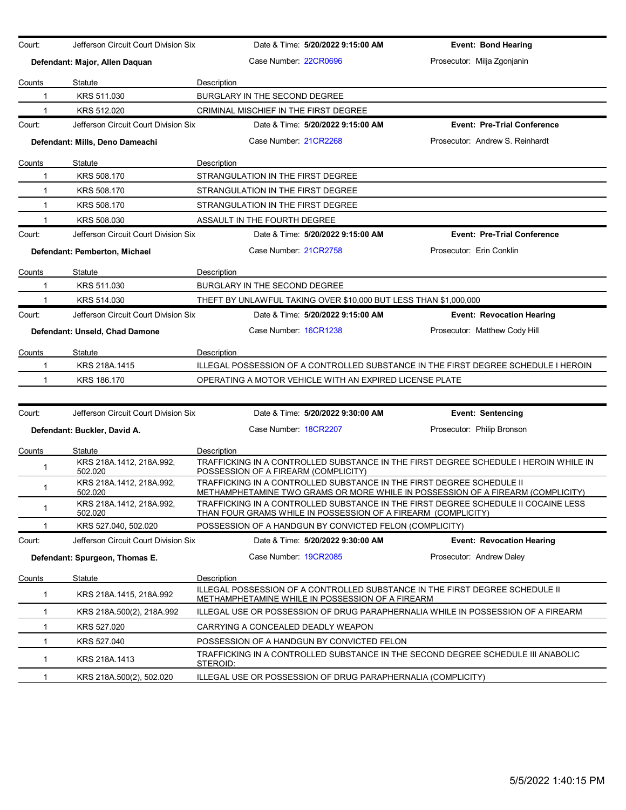| Court:        | Jefferson Circuit Court Division Six | Date & Time: 5/20/2022 9:15:00 AM                                                                                                                        | <b>Event: Bond Hearing</b>         |  |  |
|---------------|--------------------------------------|----------------------------------------------------------------------------------------------------------------------------------------------------------|------------------------------------|--|--|
|               |                                      |                                                                                                                                                          |                                    |  |  |
|               | Defendant: Major, Allen Daquan       | Case Number: 22CR0696                                                                                                                                    | Prosecutor: Milja Zgonjanin        |  |  |
| Counts        | Statute                              | Description                                                                                                                                              |                                    |  |  |
| 1             | KRS 511.030                          | BURGLARY IN THE SECOND DEGREE                                                                                                                            |                                    |  |  |
| 1             | KRS 512.020                          | CRIMINAL MISCHIEF IN THE FIRST DEGREE                                                                                                                    |                                    |  |  |
| Court:        | Jefferson Circuit Court Division Six | Date & Time: 5/20/2022 9:15:00 AM                                                                                                                        | <b>Event: Pre-Trial Conference</b> |  |  |
|               | Defendant: Mills, Deno Dameachi      | Case Number 21CR2268                                                                                                                                     | Prosecutor: Andrew S. Reinhardt    |  |  |
| <b>Counts</b> | Statute                              | Description                                                                                                                                              |                                    |  |  |
| 1             | KRS 508.170                          | STRANGULATION IN THE FIRST DEGREE                                                                                                                        |                                    |  |  |
| $\mathbf{1}$  | KRS 508.170                          | STRANGULATION IN THE FIRST DEGREE                                                                                                                        |                                    |  |  |
| $\mathbf{1}$  | KRS 508.170                          | STRANGULATION IN THE FIRST DEGREE                                                                                                                        |                                    |  |  |
| 1             | KRS 508.030                          | ASSAULT IN THE FOURTH DEGREE                                                                                                                             |                                    |  |  |
| Court:        | Jefferson Circuit Court Division Six | Date & Time: 5/20/2022 9:15:00 AM                                                                                                                        | <b>Event: Pre-Trial Conference</b> |  |  |
|               | Defendant: Pemberton, Michael        | Case Number: 21CR2758                                                                                                                                    | Prosecutor: Erin Conklin           |  |  |
| Counts        | Statute                              | Description                                                                                                                                              |                                    |  |  |
| 1             | KRS 511.030                          | BURGLARY IN THE SECOND DEGREE                                                                                                                            |                                    |  |  |
| 1             | KRS 514.030                          | THEFT BY UNLAWFUL TAKING OVER \$10,000 BUT LESS THAN \$1,000,000                                                                                         |                                    |  |  |
| Court:        | Jefferson Circuit Court Division Six | Date & Time: 5/20/2022 9:15:00 AM                                                                                                                        | <b>Event: Revocation Hearing</b>   |  |  |
|               | Defendant: Unseld, Chad Damone       | Case Number: 16CR1238                                                                                                                                    | Prosecutor: Matthew Cody Hill      |  |  |
| Counts        | Statute                              | Description                                                                                                                                              |                                    |  |  |
| 1             | KRS 218A.1415                        | ILLEGAL POSSESSION OF A CONTROLLED SUBSTANCE IN THE FIRST DEGREE SCHEDULE I HEROIN                                                                       |                                    |  |  |
| $\mathbf 1$   | KRS 186.170                          | OPERATING A MOTOR VEHICLE WITH AN EXPIRED LICENSE PLATE                                                                                                  |                                    |  |  |
|               |                                      |                                                                                                                                                          |                                    |  |  |
| Court:        | Jefferson Circuit Court Division Six | Date & Time: 5/20/2022 9:30:00 AM                                                                                                                        | <b>Event: Sentencing</b>           |  |  |
|               | Defendant: Buckler, David A.         | Case Number 18CR2207                                                                                                                                     | Prosecutor: Philip Bronson         |  |  |
| <b>Counts</b> | Statute                              | Description                                                                                                                                              |                                    |  |  |
| 1             | KRS 218A.1412, 218A.992,<br>502.020  | TRAFFICKING IN A CONTROLLED SUBSTANCE IN THE FIRST DEGREE SCHEDULE I HEROIN WHILE IN<br>POSSESSION OF A FIREARM (COMPLICITY)                             |                                    |  |  |
| 1             | KRS 218A.1412, 218A.992,<br>502.020  | TRAFFICKING IN A CONTROLLED SUBSTANCE IN THE FIRST DEGREE SCHEDULE II<br>METHAMPHETAMINE TWO GRAMS OR MORE WHILE IN POSSESSION OF A FIREARM (COMPLICITY) |                                    |  |  |
| 1             | KRS 218A.1412, 218A.992,<br>502.020  | TRAFFICKING IN A CONTROLLED SUBSTANCE IN THE FIRST DEGREE SCHEDULE II COCAINE LESS<br>THAN FOUR GRAMS WHILE IN POSSESSION OF A FIREARM (COMPLICITY)      |                                    |  |  |
| 1             | KRS 527.040, 502.020                 | POSSESSION OF A HANDGUN BY CONVICTED FELON (COMPLICITY)                                                                                                  |                                    |  |  |
| Court:        | Jefferson Circuit Court Division Six | Date & Time: 5/20/2022 9:30:00 AM                                                                                                                        | <b>Event: Revocation Hearing</b>   |  |  |
|               | Defendant: Spurgeon, Thomas E.       | Case Number 19CR2085                                                                                                                                     | Prosecutor: Andrew Daley           |  |  |
| Counts        | Statute                              | Description                                                                                                                                              |                                    |  |  |
| 1             | KRS 218A 1415, 218A 992              | ILLEGAL POSSESSION OF A CONTROLLED SUBSTANCE IN THE FIRST DEGREE SCHEDULE II<br>METHAMPHETAMINE WHILE IN POSSESSION OF A FIREARM                         |                                    |  |  |
| 1             | KRS 218A.500(2), 218A.992            | ILLEGAL USE OR POSSESSION OF DRUG PARAPHERNALIA WHILE IN POSSESSION OF A FIREARM                                                                         |                                    |  |  |
| 1             | KRS 527.020                          | CARRYING A CONCEALED DEADLY WEAPON                                                                                                                       |                                    |  |  |
| 1             | KRS 527.040                          | POSSESSION OF A HANDGUN BY CONVICTED FELON                                                                                                               |                                    |  |  |
| $\mathbf{1}$  | KRS 218A.1413                        | TRAFFICKING IN A CONTROLLED SUBSTANCE IN THE SECOND DEGREE SCHEDULE III ANABOLIC<br>STEROID:                                                             |                                    |  |  |
| 1             | KRS 218A.500(2), 502.020             | ILLEGAL USE OR POSSESSION OF DRUG PARAPHERNALIA (COMPLICITY)                                                                                             |                                    |  |  |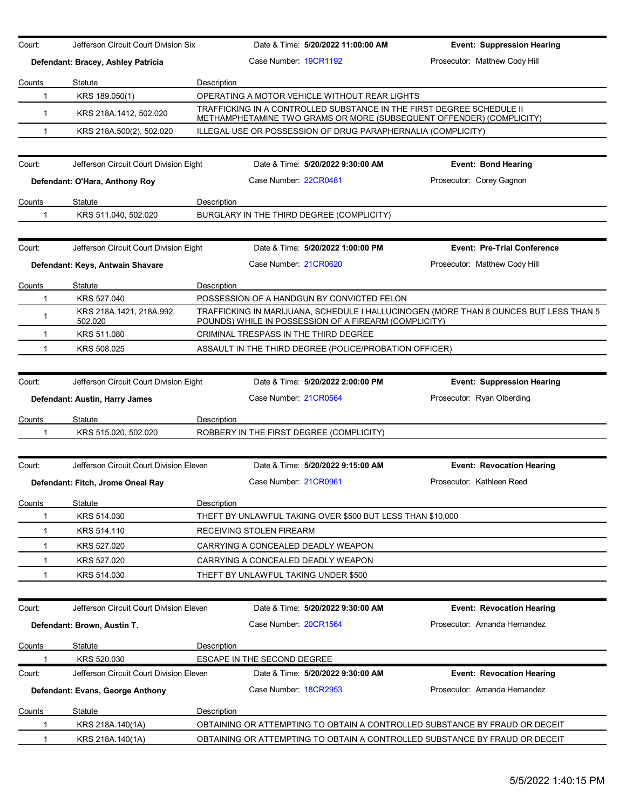| Court:       | Jefferson Circuit Court Division Six    |             | Date & Time: 5/20/2022 11:00:00 AM                                                                                                            | <b>Event: Suppression Hearing</b>                                                     |
|--------------|-----------------------------------------|-------------|-----------------------------------------------------------------------------------------------------------------------------------------------|---------------------------------------------------------------------------------------|
|              | Defendant: Bracey, Ashley Patricia      |             | Case Number: 19CR1192                                                                                                                         | Prosecutor: Matthew Cody Hill                                                         |
| Counts       | Statute                                 | Description |                                                                                                                                               |                                                                                       |
| 1            | KRS 189.050(1)                          |             | OPERATING A MOTOR VEHICLE WITHOUT REAR LIGHTS                                                                                                 |                                                                                       |
| $\mathbf{1}$ | KRS 218A.1412, 502.020                  |             | TRAFFICKING IN A CONTROLLED SUBSTANCE IN THE FIRST DEGREE SCHEDULE II<br>METHAMPHETAMINE TWO GRAMS OR MORE (SUBSEQUENT OFFENDER) (COMPLICITY) |                                                                                       |
| 1            | KRS 218A.500(2), 502.020                |             | ILLEGAL USE OR POSSESSION OF DRUG PARAPHERNALIA (COMPLICITY)                                                                                  |                                                                                       |
|              |                                         |             |                                                                                                                                               |                                                                                       |
| Court:       | Jefferson Circuit Court Division Eight  |             | Date & Time: 5/20/2022 9:30:00 AM                                                                                                             | Event: Bond Hearing                                                                   |
|              | Defendant: O'Hara, Anthony Roy          |             | Case Number 22CR0481                                                                                                                          | Prosecutor: Corey Gagnon                                                              |
| Counts       | Statute                                 | Description |                                                                                                                                               |                                                                                       |
| 1            | KRS 511.040, 502.020                    |             | BURGLARY IN THE THIRD DEGREE (COMPLICITY)                                                                                                     |                                                                                       |
|              |                                         |             |                                                                                                                                               |                                                                                       |
| Court:       | Jefferson Circuit Court Division Eight  |             | Date & Time: 5/20/2022 1:00:00 PM                                                                                                             | <b>Event: Pre-Trial Conference</b>                                                    |
|              | Defendant: Keys, Antwain Shavare        |             | Case Number 21CR0620                                                                                                                          | Prosecutor: Matthew Cody Hill                                                         |
| Counts       | Statute                                 | Description |                                                                                                                                               |                                                                                       |
| 1            | KRS 527.040                             |             | POSSESSION OF A HANDGUN BY CONVICTED FELON                                                                                                    |                                                                                       |
| 1            | KRS 218A.1421, 218A.992,<br>502.020     |             | POUNDS) WHILE IN POSSESSION OF A FIREARM (COMPLICITY)                                                                                         | TRAFFICKING IN MARIJUANA, SCHEDULE I HALLUCINOGEN (MORE THAN 8 OUNCES BUT LESS THAN 5 |
| 1            | KRS 511.080                             |             | CRIMINAL TRESPASS IN THE THIRD DEGREE                                                                                                         |                                                                                       |
| 1            | KRS 508.025                             |             | ASSAULT IN THE THIRD DEGREE (POLICE/PROBATION OFFICER)                                                                                        |                                                                                       |
|              |                                         |             |                                                                                                                                               |                                                                                       |
| Court:       | Jefferson Circuit Court Division Eight  |             | Date & Time: 5/20/2022 2:00:00 PM                                                                                                             | <b>Event: Suppression Hearing</b>                                                     |
|              | Defendant: Austin, Harry James          |             | Case Number 21CR0564                                                                                                                          | Prosecutor: Ryan Olberding                                                            |
| Counts       | Statute                                 | Description |                                                                                                                                               |                                                                                       |
| 1            | KRS 515.020, 502.020                    |             | ROBBERY IN THE FIRST DEGREE (COMPLICITY)                                                                                                      |                                                                                       |
|              |                                         |             |                                                                                                                                               |                                                                                       |
| Court:       | Jefferson Circuit Court Division Eleven |             | Date & Time: 5/20/2022 9:15:00 AM                                                                                                             | <b>Event: Revocation Hearing</b>                                                      |
|              | Defendant: Fitch, Jrome Oneal Ray       |             | Case Number 21CR0961                                                                                                                          | Prosecutor: Kathleen Reed                                                             |
| Counts       | Statute                                 | Description |                                                                                                                                               |                                                                                       |
| 1            | KRS 514.030                             |             | THEFT BY UNLAWFUL TAKING OVER \$500 BUT LESS THAN \$10,000                                                                                    |                                                                                       |
| 1            | KRS 514.110                             |             | RECEIVING STOLEN FIREARM                                                                                                                      |                                                                                       |
| 1            | KRS 527.020                             |             | CARRYING A CONCEALED DEADLY WEAPON                                                                                                            |                                                                                       |
| 1            | KRS 527.020                             |             | CARRYING A CONCEALED DEADLY WEAPON                                                                                                            |                                                                                       |
| 1            | KRS 514.030                             |             | THEFT BY UNLAWFUL TAKING UNDER \$500                                                                                                          |                                                                                       |
| Court:       | Jefferson Circuit Court Division Eleven |             | Date & Time: 5/20/2022 9:30:00 AM                                                                                                             | <b>Event: Revocation Hearing</b>                                                      |
|              | Defendant: Brown, Austin T.             |             | Case Number 20CR1564                                                                                                                          | Prosecutor: Amanda Hernandez                                                          |
|              |                                         |             |                                                                                                                                               |                                                                                       |
| Counts       | Statute                                 | Description |                                                                                                                                               |                                                                                       |
|              | KRS 520.030                             |             | ESCAPE IN THE SECOND DEGREE                                                                                                                   |                                                                                       |
| Court:       | Jefferson Circuit Court Division Eleven |             | Date & Time: 5/20/2022 9:30:00 AM                                                                                                             | <b>Event: Revocation Hearing</b><br>Prosecutor: Amanda Hernandez                      |
|              | Defendant: Evans, George Anthony        |             | Case Number: 18CR2953                                                                                                                         |                                                                                       |
| Counts       | Statute                                 | Description |                                                                                                                                               |                                                                                       |
| 1            | KRS 218A.140(1A)                        |             | OBTAINING OR ATTEMPTING TO OBTAIN A CONTROLLED SUBSTANCE BY FRAUD OR DECEIT                                                                   |                                                                                       |
| 1            | KRS 218A.140(1A)                        |             | OBTAINING OR ATTEMPTING TO OBTAIN A CONTROLLED SUBSTANCE BY FRAUD OR DECEIT                                                                   |                                                                                       |